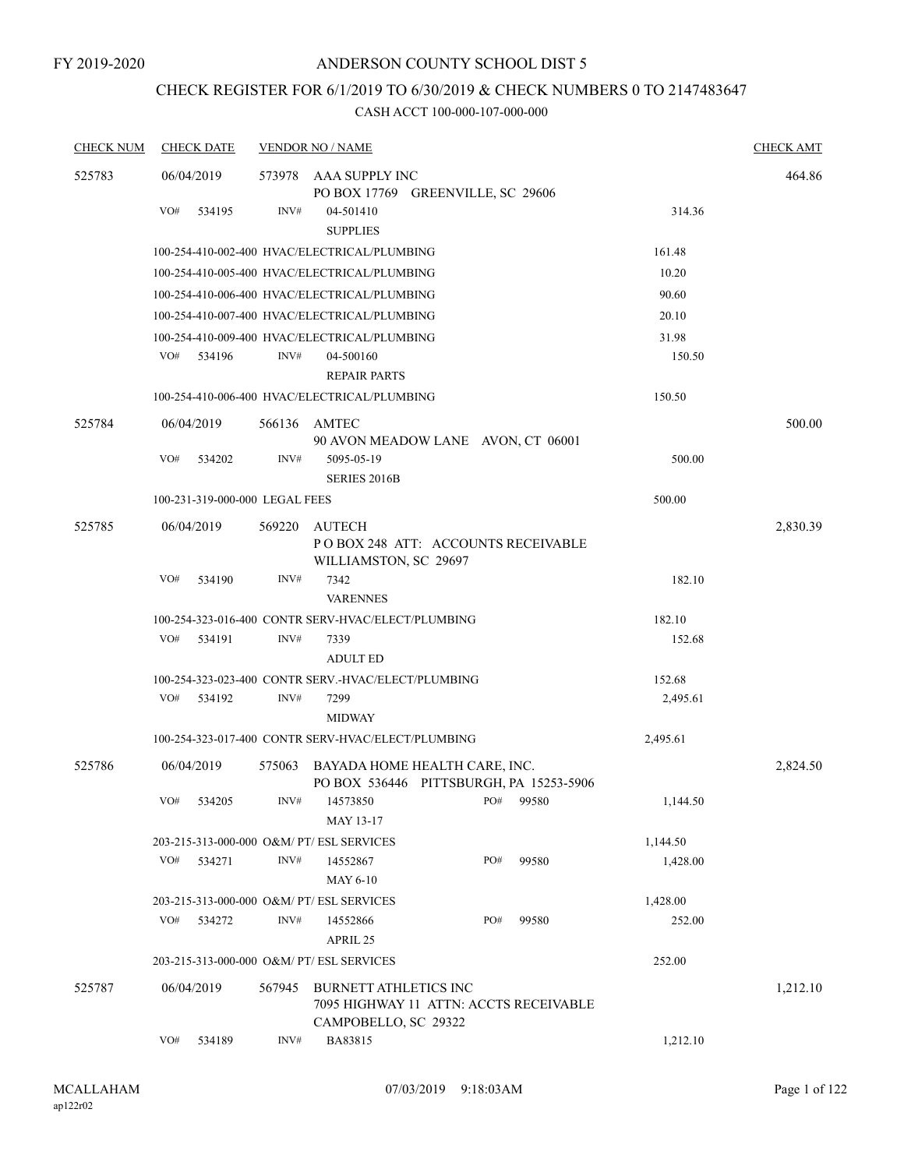# CHECK REGISTER FOR 6/1/2019 TO 6/30/2019 & CHECK NUMBERS 0 TO 2147483647

| <b>CHECK NUM</b> | <b>CHECK DATE</b>                                   |        | <b>VENDOR NO / NAME</b>                                                  |  |     |       |          | <b>CHECK AMT</b> |
|------------------|-----------------------------------------------------|--------|--------------------------------------------------------------------------|--|-----|-------|----------|------------------|
| 525783           | 06/04/2019                                          |        | 573978 AAA SUPPLY INC                                                    |  |     |       |          | 464.86           |
|                  |                                                     |        | PO BOX 17769 GREENVILLE, SC 29606                                        |  |     |       |          |                  |
|                  | VO#<br>534195                                       | INV#   | 04-501410<br><b>SUPPLIES</b>                                             |  |     |       | 314.36   |                  |
|                  |                                                     |        | 100-254-410-002-400 HVAC/ELECTRICAL/PLUMBING                             |  |     |       | 161.48   |                  |
|                  |                                                     |        | 100-254-410-005-400 HVAC/ELECTRICAL/PLUMBING                             |  |     |       | 10.20    |                  |
|                  |                                                     |        | 100-254-410-006-400 HVAC/ELECTRICAL/PLUMBING                             |  |     |       | 90.60    |                  |
|                  |                                                     |        | 100-254-410-007-400 HVAC/ELECTRICAL/PLUMBING                             |  |     |       | 20.10    |                  |
|                  |                                                     |        | 100-254-410-009-400 HVAC/ELECTRICAL/PLUMBING                             |  |     |       | 31.98    |                  |
|                  | VO#<br>534196                                       | INV#   | 04-500160<br><b>REPAIR PARTS</b>                                         |  |     |       | 150.50   |                  |
|                  |                                                     |        | 100-254-410-006-400 HVAC/ELECTRICAL/PLUMBING                             |  |     |       | 150.50   |                  |
| 525784           | 06/04/2019                                          |        | 566136 AMTEC<br>90 AVON MEADOW LANE AVON, CT 06001                       |  |     |       |          | 500.00           |
|                  | VO#<br>534202                                       | INV#   | 5095-05-19<br><b>SERIES 2016B</b>                                        |  |     |       | 500.00   |                  |
|                  | 100-231-319-000-000 LEGAL FEES                      |        |                                                                          |  |     |       | 500.00   |                  |
| 525785           | 06/04/2019                                          | 569220 | AUTECH<br>PO BOX 248 ATT: ACCOUNTS RECEIVABLE<br>WILLIAMSTON, SC 29697   |  |     |       |          | 2,830.39         |
|                  | VO#<br>534190                                       | INV#   | 7342<br><b>VARENNES</b>                                                  |  |     |       | 182.10   |                  |
|                  |                                                     |        | 100-254-323-016-400 CONTR SERV-HVAC/ELECT/PLUMBING                       |  |     |       | 182.10   |                  |
|                  | VO#<br>534191                                       | INV#   | 7339<br><b>ADULT ED</b>                                                  |  |     |       | 152.68   |                  |
|                  | 100-254-323-023-400 CONTR SERV.-HVAC/ELECT/PLUMBING |        | 152.68                                                                   |  |     |       |          |                  |
|                  | VO#<br>534192                                       | INV#   | 7299                                                                     |  |     |       | 2,495.61 |                  |
|                  |                                                     |        | <b>MIDWAY</b>                                                            |  |     |       |          |                  |
|                  |                                                     |        | 100-254-323-017-400 CONTR SERV-HVAC/ELECT/PLUMBING                       |  |     |       | 2,495.61 |                  |
| 525786           | 06/04/2019                                          | 575063 | BAYADA HOME HEALTH CARE, INC.<br>PO BOX 536446 PITTSBURGH, PA 15253-5906 |  |     |       |          | 2,824.50         |
|                  | VO# 534205                                          |        | $1NV#$ 14573850 PO# 99580<br>MAY 13-17                                   |  |     |       | 1,144.50 |                  |
|                  | 203-215-313-000-000 O&M/ PT/ ESL SERVICES           |        |                                                                          |  |     |       | 1,144.50 |                  |
|                  | VO#<br>534271                                       | INV#   | 14552867<br>MAY 6-10                                                     |  | PO# | 99580 | 1,428.00 |                  |
|                  | 203-215-313-000-000 O&M/ PT/ ESL SERVICES           |        |                                                                          |  |     |       | 1,428.00 |                  |
|                  | VO#<br>534272                                       | INV#   | 14552866<br>APRIL 25                                                     |  | PO# | 99580 | 252.00   |                  |
|                  | 203-215-313-000-000 O&M/ PT/ ESL SERVICES           |        |                                                                          |  |     |       | 252.00   |                  |
| 525787           | 06/04/2019                                          | 567945 | <b>BURNETT ATHLETICS INC</b><br>7095 HIGHWAY 11 ATTN: ACCTS RECEIVABLE   |  |     |       |          | 1,212.10         |
|                  | VO#<br>534189                                       | INV#   | CAMPOBELLO, SC 29322<br>BA83815                                          |  |     |       | 1,212.10 |                  |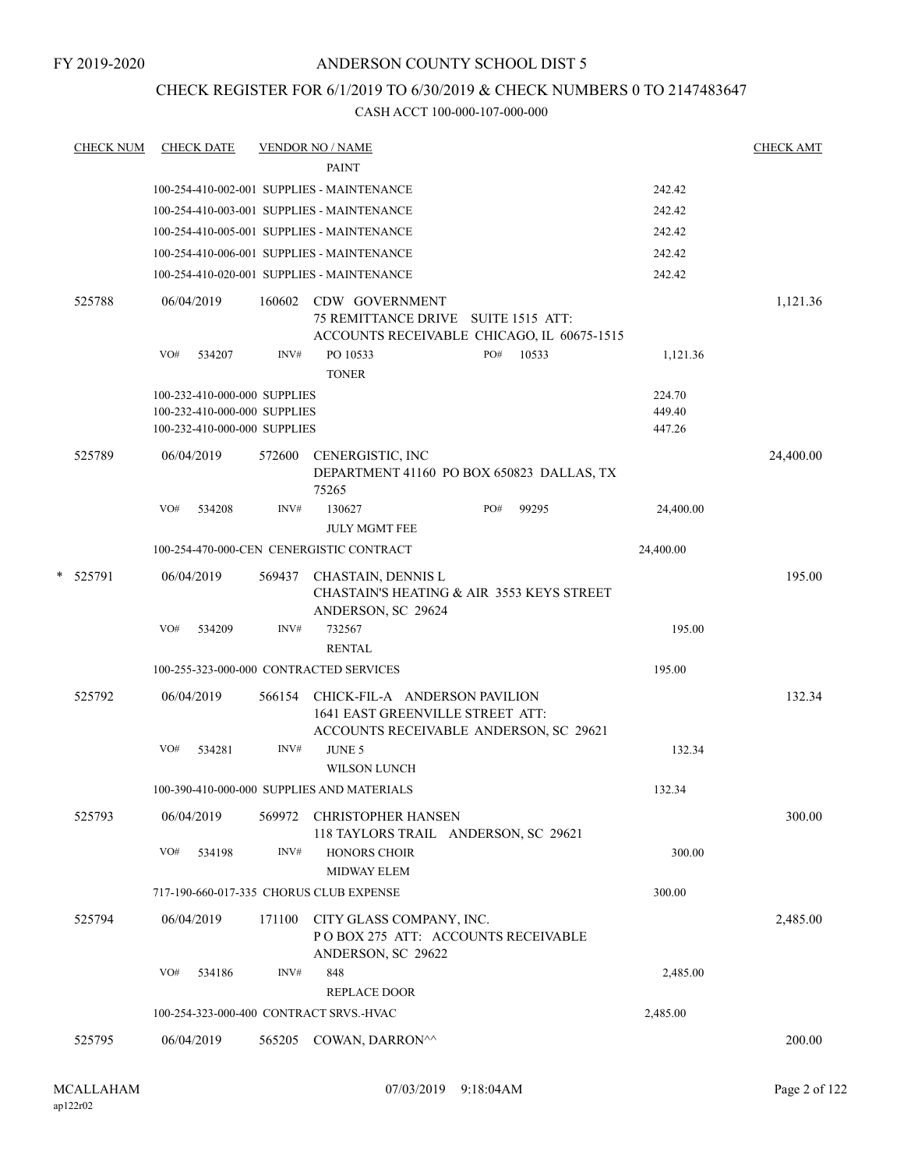# CHECK REGISTER FOR 6/1/2019 TO 6/30/2019 & CHECK NUMBERS 0 TO 2147483647

| <u>CHECK NUM</u> |                    |        |                                                                                                                     |                          |                                                                                                                                                                    |                                                                                                                                                                                                                                                                                                                                                                                                                                                                                                                                                                                                                                                                                                      |                          |                                                                                                                                                  | CHECK AMT                                                                                                                                                                                                                        |
|------------------|--------------------|--------|---------------------------------------------------------------------------------------------------------------------|--------------------------|--------------------------------------------------------------------------------------------------------------------------------------------------------------------|------------------------------------------------------------------------------------------------------------------------------------------------------------------------------------------------------------------------------------------------------------------------------------------------------------------------------------------------------------------------------------------------------------------------------------------------------------------------------------------------------------------------------------------------------------------------------------------------------------------------------------------------------------------------------------------------------|--------------------------|--------------------------------------------------------------------------------------------------------------------------------------------------|----------------------------------------------------------------------------------------------------------------------------------------------------------------------------------------------------------------------------------|
|                  |                    |        |                                                                                                                     | <b>PAINT</b>             |                                                                                                                                                                    |                                                                                                                                                                                                                                                                                                                                                                                                                                                                                                                                                                                                                                                                                                      |                          |                                                                                                                                                  |                                                                                                                                                                                                                                  |
|                  |                    |        |                                                                                                                     |                          |                                                                                                                                                                    |                                                                                                                                                                                                                                                                                                                                                                                                                                                                                                                                                                                                                                                                                                      |                          | 242.42                                                                                                                                           |                                                                                                                                                                                                                                  |
|                  |                    |        |                                                                                                                     |                          |                                                                                                                                                                    |                                                                                                                                                                                                                                                                                                                                                                                                                                                                                                                                                                                                                                                                                                      |                          | 242.42                                                                                                                                           |                                                                                                                                                                                                                                  |
|                  |                    |        |                                                                                                                     |                          |                                                                                                                                                                    |                                                                                                                                                                                                                                                                                                                                                                                                                                                                                                                                                                                                                                                                                                      |                          | 242.42                                                                                                                                           |                                                                                                                                                                                                                                  |
|                  |                    |        |                                                                                                                     |                          |                                                                                                                                                                    |                                                                                                                                                                                                                                                                                                                                                                                                                                                                                                                                                                                                                                                                                                      |                          | 242.42                                                                                                                                           |                                                                                                                                                                                                                                  |
|                  |                    |        |                                                                                                                     |                          |                                                                                                                                                                    |                                                                                                                                                                                                                                                                                                                                                                                                                                                                                                                                                                                                                                                                                                      |                          | 242.42                                                                                                                                           |                                                                                                                                                                                                                                  |
| 525788           |                    |        | 160602                                                                                                              |                          |                                                                                                                                                                    |                                                                                                                                                                                                                                                                                                                                                                                                                                                                                                                                                                                                                                                                                                      |                          |                                                                                                                                                  | 1,121.36                                                                                                                                                                                                                         |
|                  | VO#                | 534207 | INV#                                                                                                                | PO 10533<br><b>TONER</b> |                                                                                                                                                                    | PO#                                                                                                                                                                                                                                                                                                                                                                                                                                                                                                                                                                                                                                                                                                  | 10533                    | 1,121.36                                                                                                                                         |                                                                                                                                                                                                                                  |
|                  |                    |        |                                                                                                                     |                          |                                                                                                                                                                    |                                                                                                                                                                                                                                                                                                                                                                                                                                                                                                                                                                                                                                                                                                      |                          | 224.70                                                                                                                                           |                                                                                                                                                                                                                                  |
|                  |                    |        |                                                                                                                     |                          |                                                                                                                                                                    |                                                                                                                                                                                                                                                                                                                                                                                                                                                                                                                                                                                                                                                                                                      |                          | 449.40                                                                                                                                           |                                                                                                                                                                                                                                  |
|                  |                    |        |                                                                                                                     |                          |                                                                                                                                                                    |                                                                                                                                                                                                                                                                                                                                                                                                                                                                                                                                                                                                                                                                                                      |                          | 447.26                                                                                                                                           |                                                                                                                                                                                                                                  |
| 525789           |                    |        | 572600                                                                                                              | 75265                    |                                                                                                                                                                    |                                                                                                                                                                                                                                                                                                                                                                                                                                                                                                                                                                                                                                                                                                      |                          |                                                                                                                                                  | 24,400.00                                                                                                                                                                                                                        |
|                  | VO#                | 534208 | INV#                                                                                                                | 130627                   |                                                                                                                                                                    | PO#                                                                                                                                                                                                                                                                                                                                                                                                                                                                                                                                                                                                                                                                                                  | 99295                    | 24,400.00                                                                                                                                        |                                                                                                                                                                                                                                  |
|                  |                    |        |                                                                                                                     |                          |                                                                                                                                                                    |                                                                                                                                                                                                                                                                                                                                                                                                                                                                                                                                                                                                                                                                                                      |                          | 24,400.00                                                                                                                                        |                                                                                                                                                                                                                                  |
|                  |                    |        | 569437                                                                                                              |                          |                                                                                                                                                                    |                                                                                                                                                                                                                                                                                                                                                                                                                                                                                                                                                                                                                                                                                                      |                          |                                                                                                                                                  | 195.00                                                                                                                                                                                                                           |
|                  | VO#                | 534209 | INV#                                                                                                                | 732567<br><b>RENTAL</b>  |                                                                                                                                                                    |                                                                                                                                                                                                                                                                                                                                                                                                                                                                                                                                                                                                                                                                                                      |                          | 195.00                                                                                                                                           |                                                                                                                                                                                                                                  |
|                  |                    |        |                                                                                                                     |                          |                                                                                                                                                                    |                                                                                                                                                                                                                                                                                                                                                                                                                                                                                                                                                                                                                                                                                                      |                          | 195.00                                                                                                                                           |                                                                                                                                                                                                                                  |
| 525792           |                    |        | 566154                                                                                                              |                          |                                                                                                                                                                    |                                                                                                                                                                                                                                                                                                                                                                                                                                                                                                                                                                                                                                                                                                      |                          |                                                                                                                                                  | 132.34                                                                                                                                                                                                                           |
|                  | VO#                | 534281 | INV#                                                                                                                | <b>JUNE 5</b>            |                                                                                                                                                                    |                                                                                                                                                                                                                                                                                                                                                                                                                                                                                                                                                                                                                                                                                                      |                          | 132.34                                                                                                                                           |                                                                                                                                                                                                                                  |
|                  |                    |        |                                                                                                                     |                          |                                                                                                                                                                    |                                                                                                                                                                                                                                                                                                                                                                                                                                                                                                                                                                                                                                                                                                      |                          | 132.34                                                                                                                                           |                                                                                                                                                                                                                                  |
| 525793           |                    |        |                                                                                                                     |                          |                                                                                                                                                                    |                                                                                                                                                                                                                                                                                                                                                                                                                                                                                                                                                                                                                                                                                                      |                          |                                                                                                                                                  | 300.00                                                                                                                                                                                                                           |
|                  | VO#                | 534198 | INV#                                                                                                                |                          |                                                                                                                                                                    |                                                                                                                                                                                                                                                                                                                                                                                                                                                                                                                                                                                                                                                                                                      |                          | 300.00                                                                                                                                           |                                                                                                                                                                                                                                  |
|                  |                    |        |                                                                                                                     |                          |                                                                                                                                                                    |                                                                                                                                                                                                                                                                                                                                                                                                                                                                                                                                                                                                                                                                                                      |                          | 300.00                                                                                                                                           |                                                                                                                                                                                                                                  |
| 525794           |                    |        | 171100                                                                                                              |                          |                                                                                                                                                                    |                                                                                                                                                                                                                                                                                                                                                                                                                                                                                                                                                                                                                                                                                                      |                          |                                                                                                                                                  | 2,485.00                                                                                                                                                                                                                         |
|                  | VO#                | 534186 | INV#                                                                                                                | 848                      |                                                                                                                                                                    |                                                                                                                                                                                                                                                                                                                                                                                                                                                                                                                                                                                                                                                                                                      |                          | 2,485.00                                                                                                                                         |                                                                                                                                                                                                                                  |
|                  |                    |        |                                                                                                                     |                          |                                                                                                                                                                    |                                                                                                                                                                                                                                                                                                                                                                                                                                                                                                                                                                                                                                                                                                      |                          |                                                                                                                                                  |                                                                                                                                                                                                                                  |
|                  |                    |        |                                                                                                                     |                          |                                                                                                                                                                    |                                                                                                                                                                                                                                                                                                                                                                                                                                                                                                                                                                                                                                                                                                      |                          |                                                                                                                                                  |                                                                                                                                                                                                                                  |
|                  |                    |        |                                                                                                                     |                          |                                                                                                                                                                    |                                                                                                                                                                                                                                                                                                                                                                                                                                                                                                                                                                                                                                                                                                      |                          |                                                                                                                                                  | 200.00                                                                                                                                                                                                                           |
|                  | * 525791<br>525795 |        | <b>CHECK DATE</b><br>06/04/2019<br>06/04/2019<br>06/04/2019<br>06/04/2019<br>06/04/2019<br>06/04/2019<br>06/04/2019 |                          | <b>VENDOR NO / NAME</b><br>100-232-410-000-000 SUPPLIES<br>100-232-410-000-000 SUPPLIES<br>100-232-410-000-000 SUPPLIES<br>100-254-323-000-400 CONTRACT SRVS.-HVAC | 100-254-410-002-001 SUPPLIES - MAINTENANCE<br>100-254-410-003-001 SUPPLIES - MAINTENANCE<br>100-254-410-005-001 SUPPLIES - MAINTENANCE<br>100-254-410-006-001 SUPPLIES - MAINTENANCE<br>100-254-410-020-001 SUPPLIES - MAINTENANCE<br>CDW GOVERNMENT<br>CENERGISTIC, INC<br><b>JULY MGMT FEE</b><br>100-254-470-000-CEN CENERGISTIC CONTRACT<br>CHASTAIN, DENNIS L<br>ANDERSON, SC 29624<br>100-255-323-000-000 CONTRACTED SERVICES<br><b>WILSON LUNCH</b><br>100-390-410-000-000 SUPPLIES AND MATERIALS<br>569972 CHRISTOPHER HANSEN<br><b>HONORS CHOIR</b><br><b>MIDWAY ELEM</b><br>717-190-660-017-335 CHORUS CLUB EXPENSE<br>ANDERSON, SC 29622<br><b>REPLACE DOOR</b><br>565205 COWAN, DARRON^^ | CITY GLASS COMPANY, INC. | 75 REMITTANCE DRIVE SUITE 1515 ATT:<br>CHICK-FIL-A ANDERSON PAVILION<br>1641 EAST GREENVILLE STREET ATT:<br>118 TAYLORS TRAIL ANDERSON, SC 29621 | ACCOUNTS RECEIVABLE CHICAGO, IL 60675-1515<br>DEPARTMENT 41160 PO BOX 650823 DALLAS, TX<br>CHASTAIN'S HEATING & AIR 3553 KEYS STREET<br>ACCOUNTS RECEIVABLE ANDERSON, SC 29621<br>POBOX 275 ATT: ACCOUNTS RECEIVABLE<br>2,485.00 |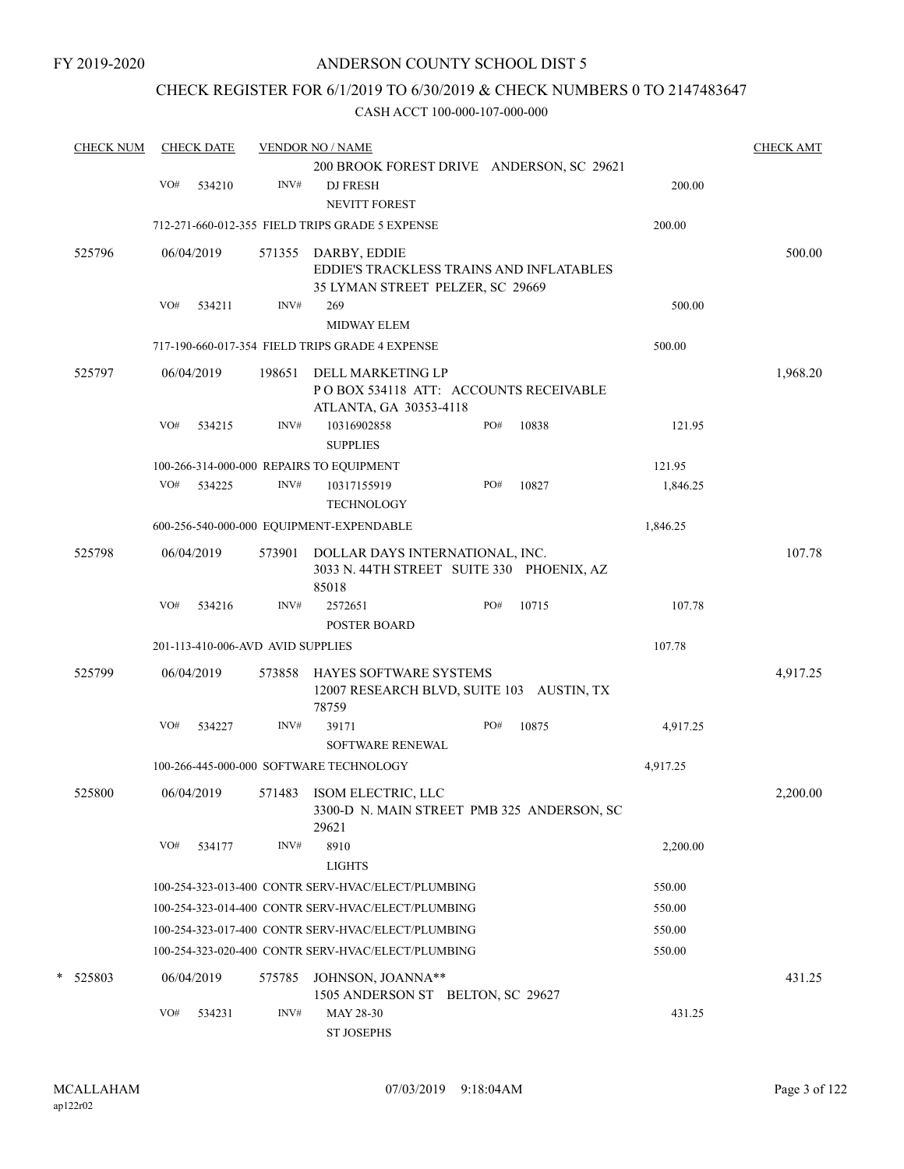# CHECK REGISTER FOR 6/1/2019 TO 6/30/2019 & CHECK NUMBERS 0 TO 2147483647

| <b>CHECK AMT</b> |
|------------------|
|                  |
|                  |
|                  |
|                  |
| 500.00           |
|                  |
|                  |
|                  |
|                  |
|                  |
| 1,968.20         |
|                  |
|                  |
|                  |
|                  |
|                  |
|                  |
|                  |
| 107.78           |
|                  |
|                  |
|                  |
|                  |
|                  |
| 4,917.25         |
|                  |
|                  |
|                  |
|                  |
| 2,200.00         |
|                  |
|                  |
|                  |
|                  |
|                  |
|                  |
|                  |
|                  |
| 431.25           |
|                  |
|                  |
|                  |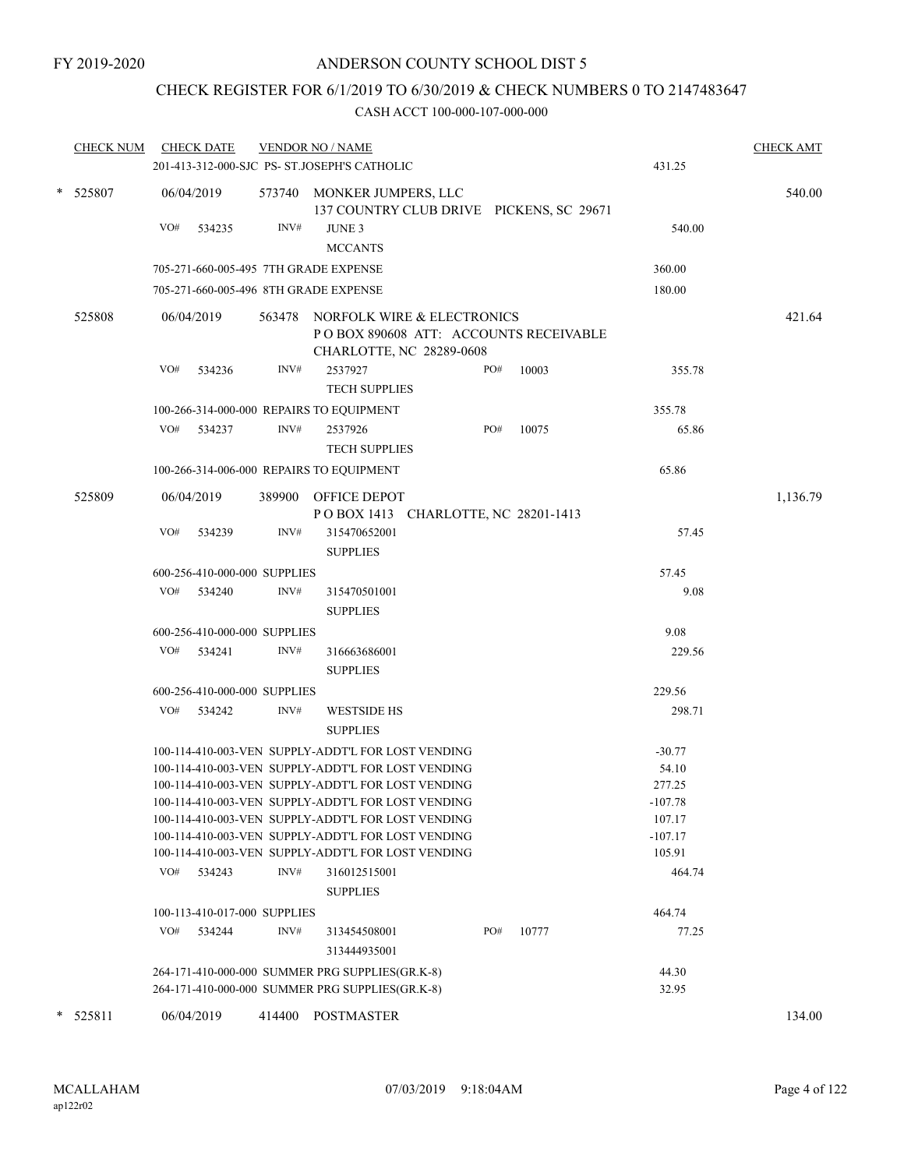# CHECK REGISTER FOR 6/1/2019 TO 6/30/2019 & CHECK NUMBERS 0 TO 2147483647

|   | <b>CHECK NUM</b> |            | <b>CHECK DATE</b>            |        | <b>VENDOR NO / NAME</b><br>201-413-312-000-SJC PS- ST.JOSEPH'S CATHOLIC                                                                                                                                                                                                                                                          |     |       | 431.25                                                          | <b>CHECK AMT</b> |
|---|------------------|------------|------------------------------|--------|----------------------------------------------------------------------------------------------------------------------------------------------------------------------------------------------------------------------------------------------------------------------------------------------------------------------------------|-----|-------|-----------------------------------------------------------------|------------------|
|   | * 525807         |            | 06/04/2019                   |        | 573740 MONKER JUMPERS, LLC<br>137 COUNTRY CLUB DRIVE PICKENS, SC 29671                                                                                                                                                                                                                                                           |     |       |                                                                 | 540.00           |
|   |                  | VO#        | 534235                       | INV#   | JUNE 3<br><b>MCCANTS</b>                                                                                                                                                                                                                                                                                                         |     |       | 540.00                                                          |                  |
|   |                  |            |                              |        | 705-271-660-005-495 7TH GRADE EXPENSE                                                                                                                                                                                                                                                                                            |     |       | 360.00                                                          |                  |
|   |                  |            |                              |        | 705-271-660-005-496 8TH GRADE EXPENSE                                                                                                                                                                                                                                                                                            |     |       | 180.00                                                          |                  |
|   | 525808           | 06/04/2019 |                              |        | 563478 NORFOLK WIRE & ELECTRONICS<br>POBOX 890608 ATT: ACCOUNTS RECEIVABLE<br>CHARLOTTE, NC 28289-0608                                                                                                                                                                                                                           |     |       |                                                                 | 421.64           |
|   |                  | VO#        | 534236                       | INV#   | 2537927<br><b>TECH SUPPLIES</b>                                                                                                                                                                                                                                                                                                  | PO# | 10003 | 355.78                                                          |                  |
|   |                  |            |                              |        | 100-266-314-000-000 REPAIRS TO EQUIPMENT                                                                                                                                                                                                                                                                                         |     |       | 355.78                                                          |                  |
|   |                  |            | VO# 534237                   | INV#   | 2537926<br><b>TECH SUPPLIES</b>                                                                                                                                                                                                                                                                                                  | PO# | 10075 | 65.86                                                           |                  |
|   |                  |            |                              |        | 100-266-314-006-000 REPAIRS TO EQUIPMENT                                                                                                                                                                                                                                                                                         |     |       | 65.86                                                           |                  |
|   | 525809           |            | 06/04/2019                   |        | 389900 OFFICE DEPOT<br>POBOX 1413 CHARLOTTE, NC 28201-1413                                                                                                                                                                                                                                                                       |     |       |                                                                 | 1,136.79         |
|   |                  | VO#        | 534239                       | INV#   | 315470652001<br><b>SUPPLIES</b>                                                                                                                                                                                                                                                                                                  |     |       | 57.45                                                           |                  |
|   |                  |            | 600-256-410-000-000 SUPPLIES |        |                                                                                                                                                                                                                                                                                                                                  |     |       | 57.45                                                           |                  |
|   |                  |            | VO# 534240                   | INV#   | 315470501001<br><b>SUPPLIES</b>                                                                                                                                                                                                                                                                                                  |     |       | 9.08                                                            |                  |
|   |                  |            | 600-256-410-000-000 SUPPLIES |        |                                                                                                                                                                                                                                                                                                                                  |     |       | 9.08                                                            |                  |
|   |                  |            | VO# 534241                   | INV#   | 316663686001<br><b>SUPPLIES</b>                                                                                                                                                                                                                                                                                                  |     |       | 229.56                                                          |                  |
|   |                  |            | 600-256-410-000-000 SUPPLIES |        |                                                                                                                                                                                                                                                                                                                                  |     |       | 229.56                                                          |                  |
|   |                  |            | VO# 534242                   | INV#   | <b>WESTSIDE HS</b><br><b>SUPPLIES</b>                                                                                                                                                                                                                                                                                            |     |       | 298.71                                                          |                  |
|   |                  |            |                              |        | 100-114-410-003-VEN SUPPLY-ADDT'L FOR LOST VENDING<br>100-114-410-003-VEN SUPPLY-ADDT'L FOR LOST VENDING<br>100-114-410-003-VEN SUPPLY-ADDT'L FOR LOST VENDING<br>100-114-410-003-VEN SUPPLY-ADDT'L FOR LOST VENDING<br>100-114-410-003-VEN SUPPLY-ADDT'L FOR LOST VENDING<br>100-114-410-003-VEN SUPPLY-ADDT'L FOR LOST VENDING |     |       | $-30.77$<br>54.10<br>277.25<br>$-107.78$<br>107.17<br>$-107.17$ |                  |
|   |                  |            | VO# 534243                   | INV#   | 100-114-410-003-VEN SUPPLY-ADDT'L FOR LOST VENDING<br>316012515001<br><b>SUPPLIES</b>                                                                                                                                                                                                                                            |     |       | 105.91<br>464.74                                                |                  |
|   |                  |            | 100-113-410-017-000 SUPPLIES |        |                                                                                                                                                                                                                                                                                                                                  |     |       | 464.74                                                          |                  |
|   |                  | VO#        | 534244                       | INV#   | 313454508001<br>313444935001                                                                                                                                                                                                                                                                                                     | PO# | 10777 | 77.25                                                           |                  |
|   |                  |            |                              |        | 264-171-410-000-000 SUMMER PRG SUPPLIES(GR.K-8)<br>264-171-410-000-000 SUMMER PRG SUPPLIES(GR.K-8)                                                                                                                                                                                                                               |     |       | 44.30<br>32.95                                                  |                  |
| ∗ | 525811           |            | 06/04/2019                   | 414400 | POSTMASTER                                                                                                                                                                                                                                                                                                                       |     |       |                                                                 | 134.00           |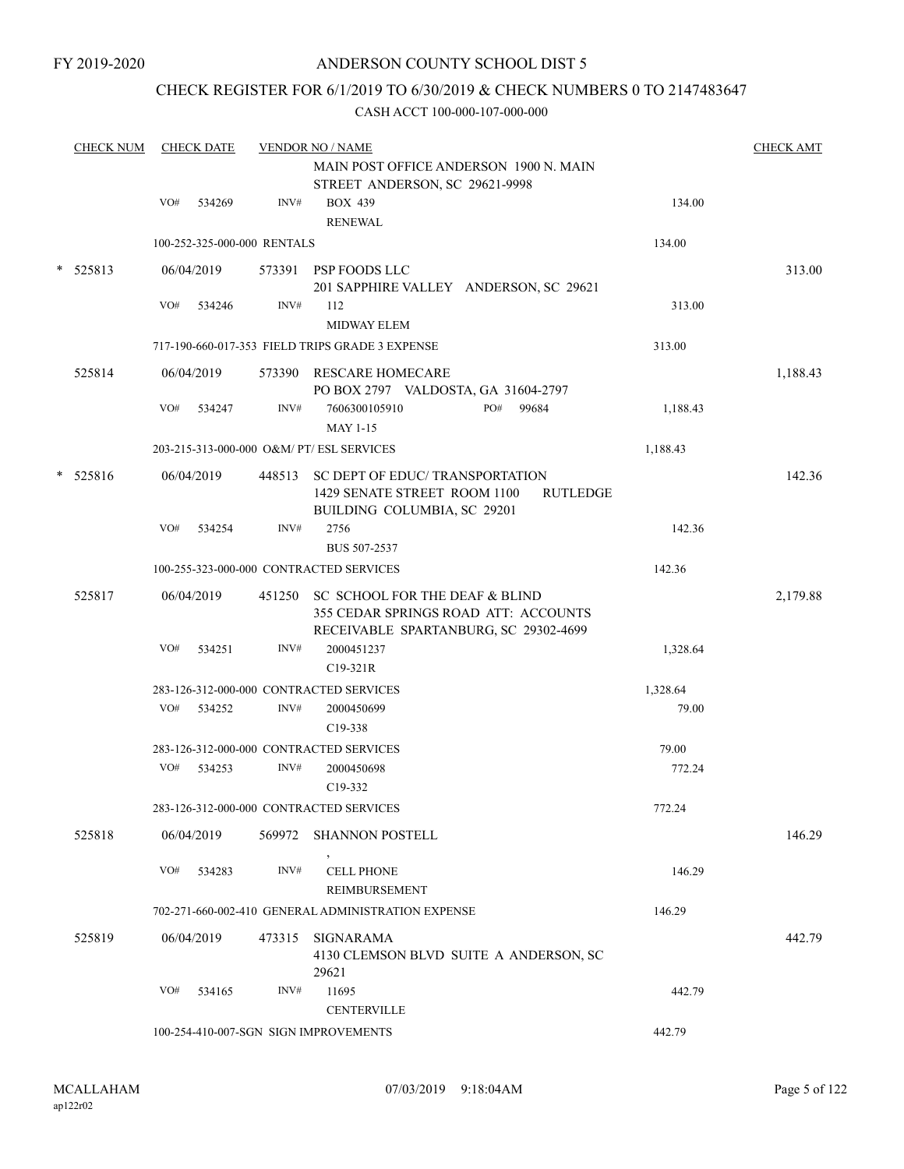# CHECK REGISTER FOR 6/1/2019 TO 6/30/2019 & CHECK NUMBERS 0 TO 2147483647

|   | <b>CHECK NUM</b> |     | <b>CHECK DATE</b> |                             | <b>VENDOR NO / NAME</b>                                                                                                  |          | <b>CHECK AMT</b> |
|---|------------------|-----|-------------------|-----------------------------|--------------------------------------------------------------------------------------------------------------------------|----------|------------------|
|   |                  |     |                   |                             | MAIN POST OFFICE ANDERSON 1900 N. MAIN<br>STREET ANDERSON, SC 29621-9998                                                 |          |                  |
|   |                  | VO# | 534269            | INV#                        | <b>BOX 439</b>                                                                                                           | 134.00   |                  |
|   |                  |     |                   |                             | <b>RENEWAL</b>                                                                                                           |          |                  |
|   |                  |     |                   | 100-252-325-000-000 RENTALS |                                                                                                                          | 134.00   |                  |
|   | $*$ 525813       |     | 06/04/2019        |                             | 573391 PSP FOODS LLC                                                                                                     |          | 313.00           |
|   |                  |     |                   |                             | 201 SAPPHIRE VALLEY ANDERSON, SC 29621                                                                                   |          |                  |
|   |                  | VO# | 534246            | INV#                        | 112                                                                                                                      | 313.00   |                  |
|   |                  |     |                   |                             | <b>MIDWAY ELEM</b>                                                                                                       |          |                  |
|   |                  |     |                   |                             | 717-190-660-017-353 FIELD TRIPS GRADE 3 EXPENSE                                                                          | 313.00   |                  |
|   | 525814           |     | 06/04/2019        |                             | 573390 RESCARE HOMECARE                                                                                                  |          | 1,188.43         |
|   |                  |     |                   |                             | PO BOX 2797 VALDOSTA, GA 31604-2797                                                                                      |          |                  |
|   |                  | VO# | 534247            | INV#                        | 7606300105910<br>PO#<br>99684<br><b>MAY 1-15</b>                                                                         | 1,188.43 |                  |
|   |                  |     |                   |                             | 203-215-313-000-000 O&M/ PT/ ESL SERVICES                                                                                | 1,188.43 |                  |
| * | 525816           |     | 06/04/2019        |                             | 448513 SC DEPT OF EDUC/ TRANSPORTATION<br>1429 SENATE STREET ROOM 1100<br><b>RUTLEDGE</b><br>BUILDING COLUMBIA, SC 29201 |          | 142.36           |
|   |                  | VO# | 534254            | INV#                        | 2756                                                                                                                     | 142.36   |                  |
|   |                  |     |                   |                             | BUS 507-2537                                                                                                             |          |                  |
|   |                  |     |                   |                             | 100-255-323-000-000 CONTRACTED SERVICES                                                                                  | 142.36   |                  |
|   | 525817           |     | 06/04/2019        |                             | 451250 SC SCHOOL FOR THE DEAF & BLIND                                                                                    |          | 2,179.88         |
|   |                  |     |                   |                             | 355 CEDAR SPRINGS ROAD ATT: ACCOUNTS                                                                                     |          |                  |
|   |                  |     |                   |                             | RECEIVABLE SPARTANBURG, SC 29302-4699                                                                                    |          |                  |
|   |                  | VO# | 534251            | INV#                        | 2000451237<br>C19-321R                                                                                                   | 1,328.64 |                  |
|   |                  |     |                   |                             | 283-126-312-000-000 CONTRACTED SERVICES                                                                                  | 1,328.64 |                  |
|   |                  | VO# | 534252            | INV#                        | 2000450699                                                                                                               | 79.00    |                  |
|   |                  |     |                   |                             | C <sub>19</sub> -338                                                                                                     |          |                  |
|   |                  |     |                   |                             | 283-126-312-000-000 CONTRACTED SERVICES                                                                                  | 79.00    |                  |
|   |                  | VO# | 534253            | INV#                        | 2000450698                                                                                                               | 772.24   |                  |
|   |                  |     |                   |                             | C19-332                                                                                                                  |          |                  |
|   |                  |     |                   |                             | 283-126-312-000-000 CONTRACTED SERVICES                                                                                  | 772.24   |                  |
|   | 525818           |     | 06/04/2019        |                             | 569972 SHANNON POSTELL                                                                                                   |          | 146.29           |
|   |                  | VO# | 534283            | INV#                        | <b>CELL PHONE</b>                                                                                                        | 146.29   |                  |
|   |                  |     |                   |                             | REIMBURSEMENT                                                                                                            |          |                  |
|   |                  |     |                   |                             | 702-271-660-002-410 GENERAL ADMINISTRATION EXPENSE                                                                       | 146.29   |                  |
|   | 525819           |     | 06/04/2019        | 473315                      | SIGNARAMA<br>4130 CLEMSON BLVD SUITE A ANDERSON, SC<br>29621                                                             |          | 442.79           |
|   |                  | VO# | 534165            | INV#                        | 11695                                                                                                                    | 442.79   |                  |
|   |                  |     |                   |                             | <b>CENTERVILLE</b>                                                                                                       |          |                  |
|   |                  |     |                   |                             | 100-254-410-007-SGN SIGN IMPROVEMENTS                                                                                    | 442.79   |                  |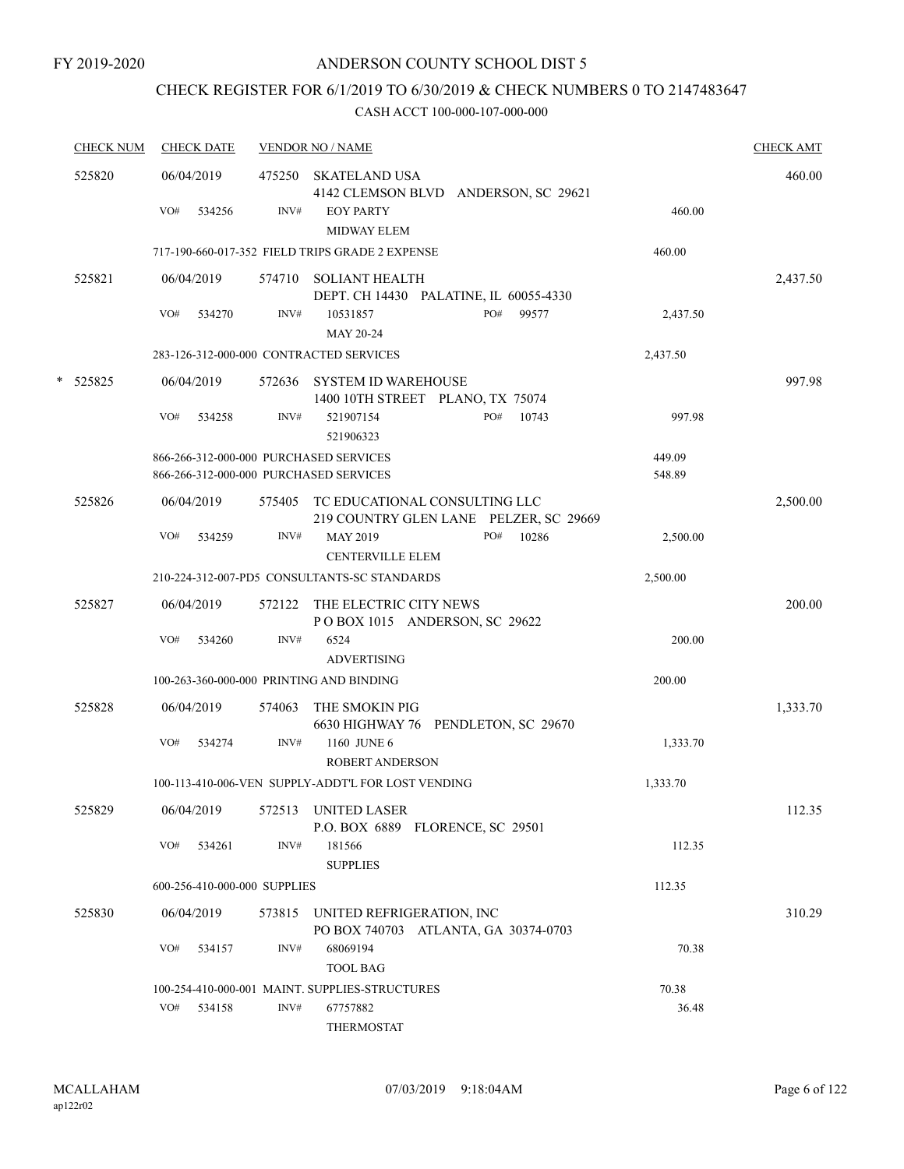# CHECK REGISTER FOR 6/1/2019 TO 6/30/2019 & CHECK NUMBERS 0 TO 2147483647

| <b>CHECK NUM</b> | <b>CHECK DATE</b>                                                                |        | <b>VENDOR NO / NAME</b>                                                        |                  | <b>CHECK AMT</b> |
|------------------|----------------------------------------------------------------------------------|--------|--------------------------------------------------------------------------------|------------------|------------------|
| 525820           | 06/04/2019                                                                       |        | 475250 SKATELAND USA<br>4142 CLEMSON BLVD ANDERSON, SC 29621                   |                  | 460.00           |
|                  | VO#<br>534256                                                                    | INV#   | <b>EOY PARTY</b><br>MIDWAY ELEM                                                | 460.00           |                  |
|                  |                                                                                  |        | 717-190-660-017-352 FIELD TRIPS GRADE 2 EXPENSE                                | 460.00           |                  |
| 525821           | 06/04/2019                                                                       |        | 574710 SOLIANT HEALTH<br>DEPT. CH 14430 PALATINE, IL 60055-4330                |                  | 2,437.50         |
|                  | VO#<br>534270                                                                    | INV#   | PO#<br>99577<br>10531857<br>MAY 20-24                                          | 2,437.50         |                  |
|                  | 283-126-312-000-000 CONTRACTED SERVICES                                          |        |                                                                                | 2,437.50         |                  |
| * 525825         | 06/04/2019                                                                       | 572636 | <b>SYSTEM ID WAREHOUSE</b><br>1400 10TH STREET PLANO, TX 75074                 |                  | 997.98           |
|                  | VO#<br>534258                                                                    | INV#   | PO#<br>10743<br>521907154<br>521906323                                         | 997.98           |                  |
|                  | 866-266-312-000-000 PURCHASED SERVICES<br>866-266-312-000-000 PURCHASED SERVICES |        |                                                                                | 449.09<br>548.89 |                  |
| 525826           | 06/04/2019                                                                       |        | 575405 TC EDUCATIONAL CONSULTING LLC<br>219 COUNTRY GLEN LANE PELZER, SC 29669 |                  | 2,500.00         |
|                  | VO#<br>534259                                                                    | INV#   | PO#<br>10286<br><b>MAY 2019</b><br><b>CENTERVILLE ELEM</b>                     | 2,500.00         |                  |
|                  |                                                                                  |        | 210-224-312-007-PD5 CONSULTANTS-SC STANDARDS                                   | 2,500.00         |                  |
| 525827           | 06/04/2019                                                                       | 572122 | THE ELECTRIC CITY NEWS<br>POBOX 1015 ANDERSON, SC 29622                        |                  | 200.00           |
|                  | VO#<br>534260                                                                    | INV#   | 6524<br><b>ADVERTISING</b>                                                     | 200.00           |                  |
|                  | 100-263-360-000-000 PRINTING AND BINDING                                         |        |                                                                                | 200.00           |                  |
| 525828           | 06/04/2019                                                                       | 574063 | THE SMOKIN PIG<br>6630 HIGHWAY 76 PENDLETON, SC 29670                          |                  | 1,333.70         |
|                  | VO#<br>534274                                                                    | INV#   | 1160 JUNE 6<br><b>ROBERT ANDERSON</b>                                          | 1,333.70         |                  |
|                  |                                                                                  |        | 100-113-410-006-VEN SUPPLY-ADDT'L FOR LOST VENDING                             | 1,333.70         |                  |
| 525829           | 06/04/2019                                                                       | 572513 | <b>UNITED LASER</b><br>P.O. BOX 6889 FLORENCE, SC 29501                        |                  | 112.35           |
|                  | VO#<br>534261                                                                    | INV#   | 181566<br><b>SUPPLIES</b>                                                      | 112.35           |                  |
|                  | 600-256-410-000-000 SUPPLIES                                                     |        |                                                                                | 112.35           |                  |
| 525830           | 06/04/2019                                                                       | 573815 | UNITED REFRIGERATION, INC<br>PO BOX 740703 ATLANTA, GA 30374-0703              |                  | 310.29           |
|                  | VO#<br>534157                                                                    | INV#   | 68069194<br><b>TOOL BAG</b>                                                    | 70.38            |                  |
|                  |                                                                                  |        | 100-254-410-000-001 MAINT. SUPPLIES-STRUCTURES                                 | 70.38            |                  |
|                  | VO# 534158                                                                       | INV#   | 67757882<br>THERMOSTAT                                                         | 36.48            |                  |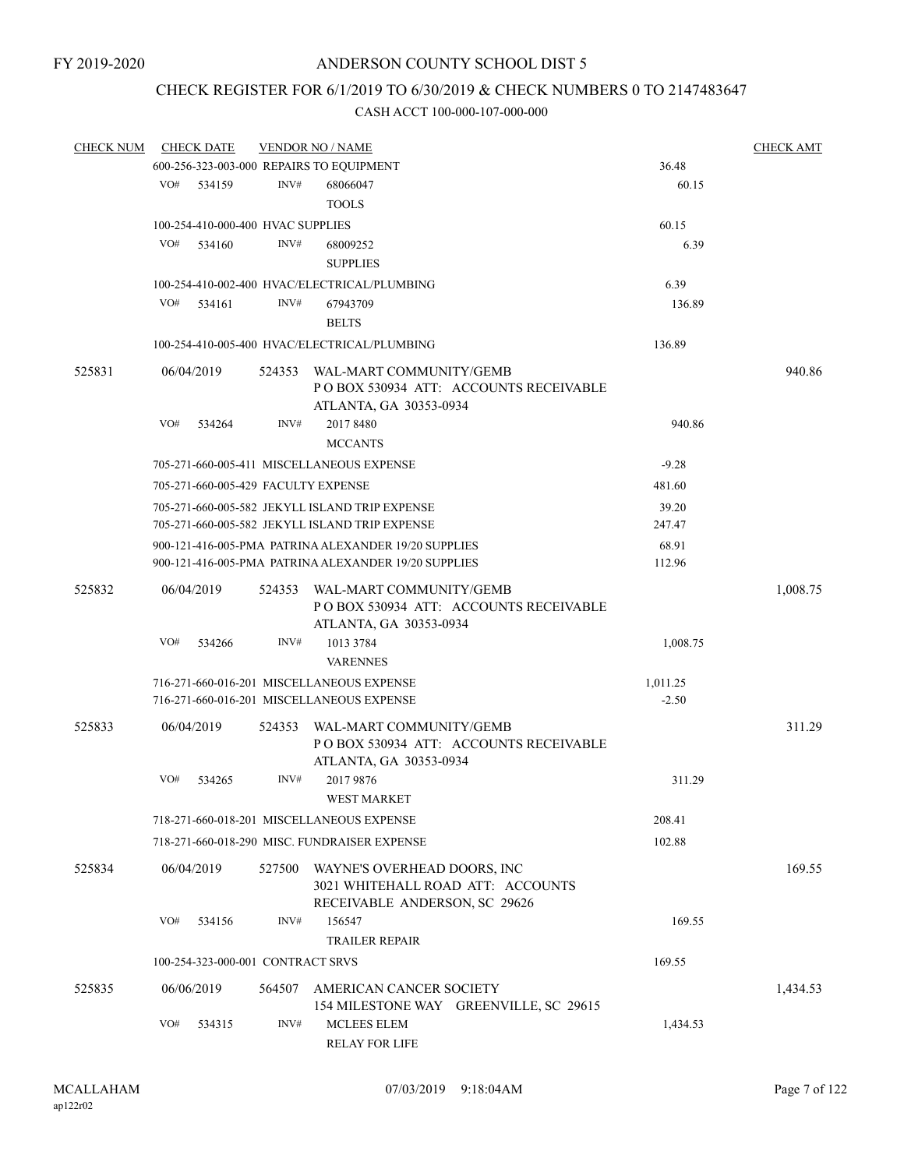# CHECK REGISTER FOR 6/1/2019 TO 6/30/2019 & CHECK NUMBERS 0 TO 2147483647

| <b>CHECK NUM</b> |     | <b>CHECK DATE</b>                   |        | <b>VENDOR NO / NAME</b>                                                                                  |          | <b>CHECK AMT</b> |
|------------------|-----|-------------------------------------|--------|----------------------------------------------------------------------------------------------------------|----------|------------------|
|                  |     |                                     |        | 600-256-323-003-000 REPAIRS TO EQUIPMENT                                                                 | 36.48    |                  |
|                  | VO# | 534159                              | INV#   | 68066047                                                                                                 | 60.15    |                  |
|                  |     |                                     |        | <b>TOOLS</b>                                                                                             |          |                  |
|                  |     | 100-254-410-000-400 HVAC SUPPLIES   |        |                                                                                                          | 60.15    |                  |
|                  | VO# | 534160                              | INV#   | 68009252                                                                                                 | 6.39     |                  |
|                  |     |                                     |        | <b>SUPPLIES</b>                                                                                          |          |                  |
|                  |     |                                     |        |                                                                                                          |          |                  |
|                  |     |                                     |        | 100-254-410-002-400 HVAC/ELECTRICAL/PLUMBING                                                             | 6.39     |                  |
|                  | VO# | 534161                              | INV#   | 67943709                                                                                                 | 136.89   |                  |
|                  |     |                                     |        | <b>BELTS</b>                                                                                             |          |                  |
|                  |     |                                     |        | 100-254-410-005-400 HVAC/ELECTRICAL/PLUMBING                                                             | 136.89   |                  |
| 525831           |     | 06/04/2019                          | 524353 | WAL-MART COMMUNITY/GEMB<br>POBOX 530934 ATT: ACCOUNTS RECEIVABLE                                         |          | 940.86           |
|                  |     |                                     |        | ATLANTA, GA 30353-0934                                                                                   |          |                  |
|                  | VO# | 534264                              | INV#   | 2017 8480                                                                                                | 940.86   |                  |
|                  |     |                                     |        | <b>MCCANTS</b>                                                                                           |          |                  |
|                  |     |                                     |        | 705-271-660-005-411 MISCELLANEOUS EXPENSE                                                                | $-9.28$  |                  |
|                  |     | 705-271-660-005-429 FACULTY EXPENSE |        |                                                                                                          | 481.60   |                  |
|                  |     |                                     |        | 705-271-660-005-582 JEKYLL ISLAND TRIP EXPENSE                                                           | 39.20    |                  |
|                  |     |                                     |        | 705-271-660-005-582 JEKYLL ISLAND TRIP EXPENSE                                                           | 247.47   |                  |
|                  |     |                                     |        | 900-121-416-005-PMA PATRINA ALEXANDER 19/20 SUPPLIES                                                     | 68.91    |                  |
|                  |     |                                     |        | 900-121-416-005-PMA PATRINA ALEXANDER 19/20 SUPPLIES                                                     | 112.96   |                  |
| 525832           |     | 06/04/2019                          | 524353 | WAL-MART COMMUNITY/GEMB<br>PO BOX 530934 ATT: ACCOUNTS RECEIVABLE<br>ATLANTA, GA 30353-0934              |          | 1,008.75         |
|                  | VO# | 534266                              | INV#   | 1013 3784<br><b>VARENNES</b>                                                                             | 1,008.75 |                  |
|                  |     |                                     |        | 716-271-660-016-201 MISCELLANEOUS EXPENSE                                                                | 1,011.25 |                  |
|                  |     |                                     |        | 716-271-660-016-201 MISCELLANEOUS EXPENSE                                                                | $-2.50$  |                  |
|                  |     |                                     |        |                                                                                                          |          |                  |
| 525833           |     | 06/04/2019                          | 524353 | WAL-MART COMMUNITY/GEMB<br>POBOX 530934 ATT: ACCOUNTS RECEIVABLE<br>ATLANTA, GA 30353-0934               |          | 311.29           |
|                  | VO# | 534265                              | INV#   | 2017 9876<br><b>WEST MARKET</b>                                                                          | 311.29   |                  |
|                  |     |                                     |        |                                                                                                          |          |                  |
|                  |     |                                     |        | 718-271-660-018-201 MISCELLANEOUS EXPENSE                                                                | 208.41   |                  |
|                  |     |                                     |        | 718-271-660-018-290 MISC. FUNDRAISER EXPENSE                                                             | 102.88   |                  |
| 525834           |     | 06/04/2019                          |        | 527500 WAYNE'S OVERHEAD DOORS, INC<br>3021 WHITEHALL ROAD ATT: ACCOUNTS<br>RECEIVABLE ANDERSON, SC 29626 |          | 169.55           |
|                  | VO# | 534156                              | INV#   | 156547                                                                                                   | 169.55   |                  |
|                  |     |                                     |        | <b>TRAILER REPAIR</b>                                                                                    |          |                  |
|                  |     | 100-254-323-000-001 CONTRACT SRVS   |        |                                                                                                          | 169.55   |                  |
|                  |     |                                     |        |                                                                                                          |          |                  |
| 525835           |     | 06/06/2019                          | 564507 | AMERICAN CANCER SOCIETY<br>154 MILESTONE WAY GREENVILLE, SC 29615                                        |          | 1,434.53         |
|                  | VO# | 534315                              | INV#   | <b>MCLEES ELEM</b><br><b>RELAY FOR LIFE</b>                                                              | 1,434.53 |                  |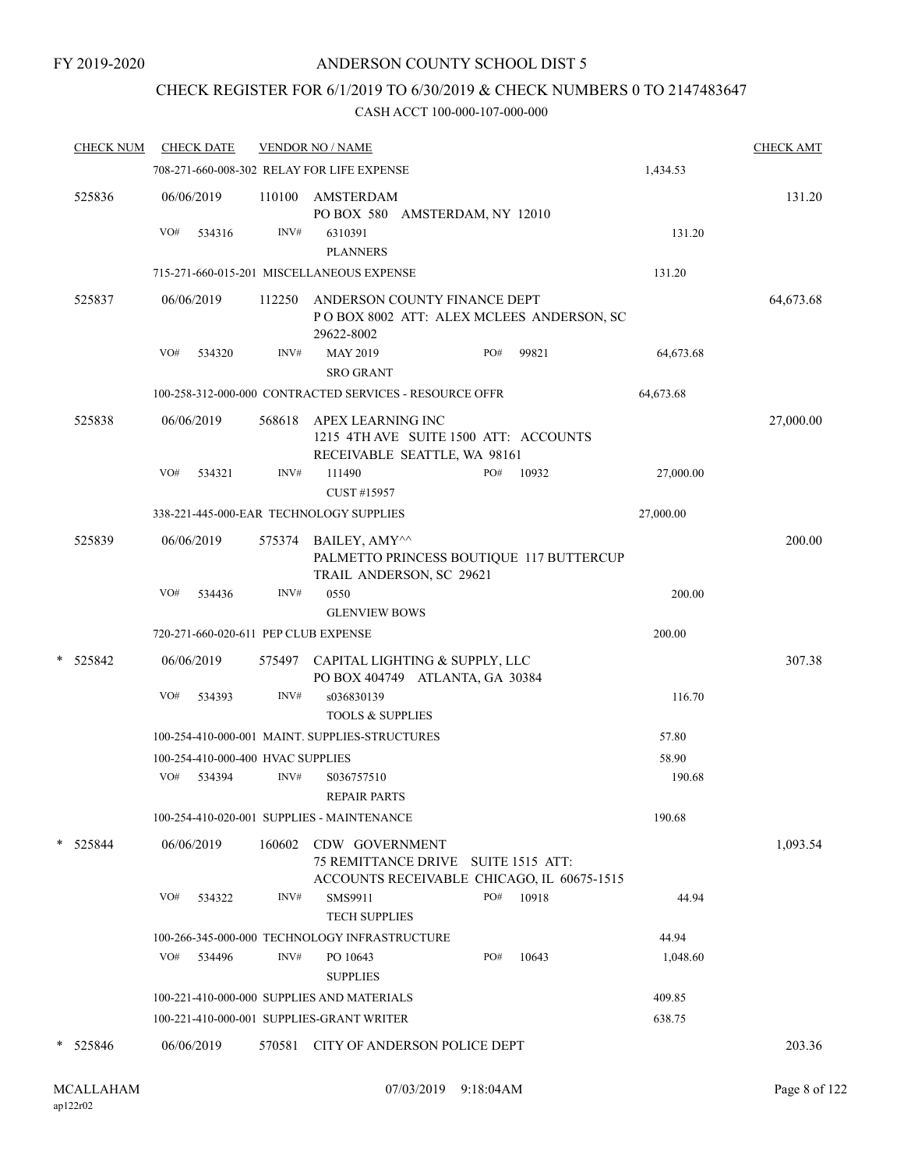# CHECK REGISTER FOR 6/1/2019 TO 6/30/2019 & CHECK NUMBERS 0 TO 2147483647

| <b>CHECK NUM</b> | <b>CHECK DATE</b>                                  |        | <b>VENDOR NO / NAME</b>                                                                             |                 | <b>CHECK AMT</b> |
|------------------|----------------------------------------------------|--------|-----------------------------------------------------------------------------------------------------|-----------------|------------------|
|                  |                                                    |        | 708-271-660-008-302 RELAY FOR LIFE EXPENSE                                                          | 1,434.53        |                  |
| 525836           | 06/06/2019                                         |        | 110100 AMSTERDAM<br>PO BOX 580 AMSTERDAM, NY 12010                                                  |                 | 131.20           |
|                  | VO#<br>534316                                      | INV#   | 6310391<br><b>PLANNERS</b>                                                                          | 131.20          |                  |
|                  |                                                    |        | 715-271-660-015-201 MISCELLANEOUS EXPENSE                                                           | 131.20          |                  |
| 525837           | 06/06/2019                                         | 112250 | ANDERSON COUNTY FINANCE DEPT<br>POBOX 8002 ATT: ALEX MCLEES ANDERSON, SC<br>29622-8002              |                 | 64,673.68        |
|                  | VO#<br>534320                                      | INV#   | PO#<br>MAY 2019<br>99821<br><b>SRO GRANT</b>                                                        | 64,673.68       |                  |
|                  |                                                    |        | 100-258-312-000-000 CONTRACTED SERVICES - RESOURCE OFFR                                             | 64,673.68       |                  |
| 525838           | 06/06/2019                                         | 568618 | APEX LEARNING INC<br>1215 4TH AVE SUITE 1500 ATT: ACCOUNTS<br>RECEIVABLE SEATTLE, WA 98161          |                 | 27,000.00        |
|                  | VO#<br>534321                                      | INV#   | 111490<br>PO#<br>10932<br>CUST #15957                                                               | 27,000.00       |                  |
|                  | 338-221-445-000-EAR TECHNOLOGY SUPPLIES            |        |                                                                                                     | 27,000.00       |                  |
| 525839           | 06/06/2019                                         |        | 575374 BAILEY, AMY^^<br>PALMETTO PRINCESS BOUTIQUE 117 BUTTERCUP<br>TRAIL ANDERSON, SC 29621        |                 | 200.00           |
|                  | VO#<br>534436                                      | INV#   | 0550<br><b>GLENVIEW BOWS</b>                                                                        | 200.00          |                  |
|                  | 720-271-660-020-611 PEP CLUB EXPENSE               |        |                                                                                                     | 200.00          |                  |
| * 525842         | 06/06/2019                                         |        | 575497 CAPITAL LIGHTING & SUPPLY, LLC<br>PO BOX 404749 ATLANTA, GA 30384                            |                 | 307.38           |
|                  | VO#<br>534393                                      | INV#   | s036830139<br><b>TOOLS &amp; SUPPLIES</b>                                                           | 116.70          |                  |
|                  |                                                    |        | 100-254-410-000-001 MAINT. SUPPLIES-STRUCTURES                                                      | 57.80           |                  |
|                  | 100-254-410-000-400 HVAC SUPPLIES<br>VO#<br>534394 | INV#   | S036757510                                                                                          | 58.90<br>190.68 |                  |
|                  |                                                    |        | <b>REPAIR PARTS</b><br>100-254-410-020-001 SUPPLIES - MAINTENANCE                                   | 190.68          |                  |
| * 525844         | 06/06/2019                                         | 160602 | CDW GOVERNMENT<br>75 REMITTANCE DRIVE SUITE 1515 ATT:<br>ACCOUNTS RECEIVABLE CHICAGO, IL 60675-1515 |                 | 1,093.54         |
|                  | VO#<br>534322                                      | INV#   | SMS9911<br>PO#<br>10918<br><b>TECH SUPPLIES</b>                                                     | 44.94           |                  |
|                  |                                                    |        | 100-266-345-000-000 TECHNOLOGY INFRASTRUCTURE                                                       | 44.94           |                  |
|                  | VO#<br>534496                                      | INV#   | PO#<br>10643<br>PO 10643<br><b>SUPPLIES</b>                                                         | 1,048.60        |                  |
|                  |                                                    |        | 100-221-410-000-000 SUPPLIES AND MATERIALS                                                          | 409.85          |                  |
|                  |                                                    |        | 100-221-410-000-001 SUPPLIES-GRANT WRITER                                                           | 638.75          |                  |
| * 525846         | 06/06/2019                                         | 570581 | CITY OF ANDERSON POLICE DEPT                                                                        |                 | 203.36           |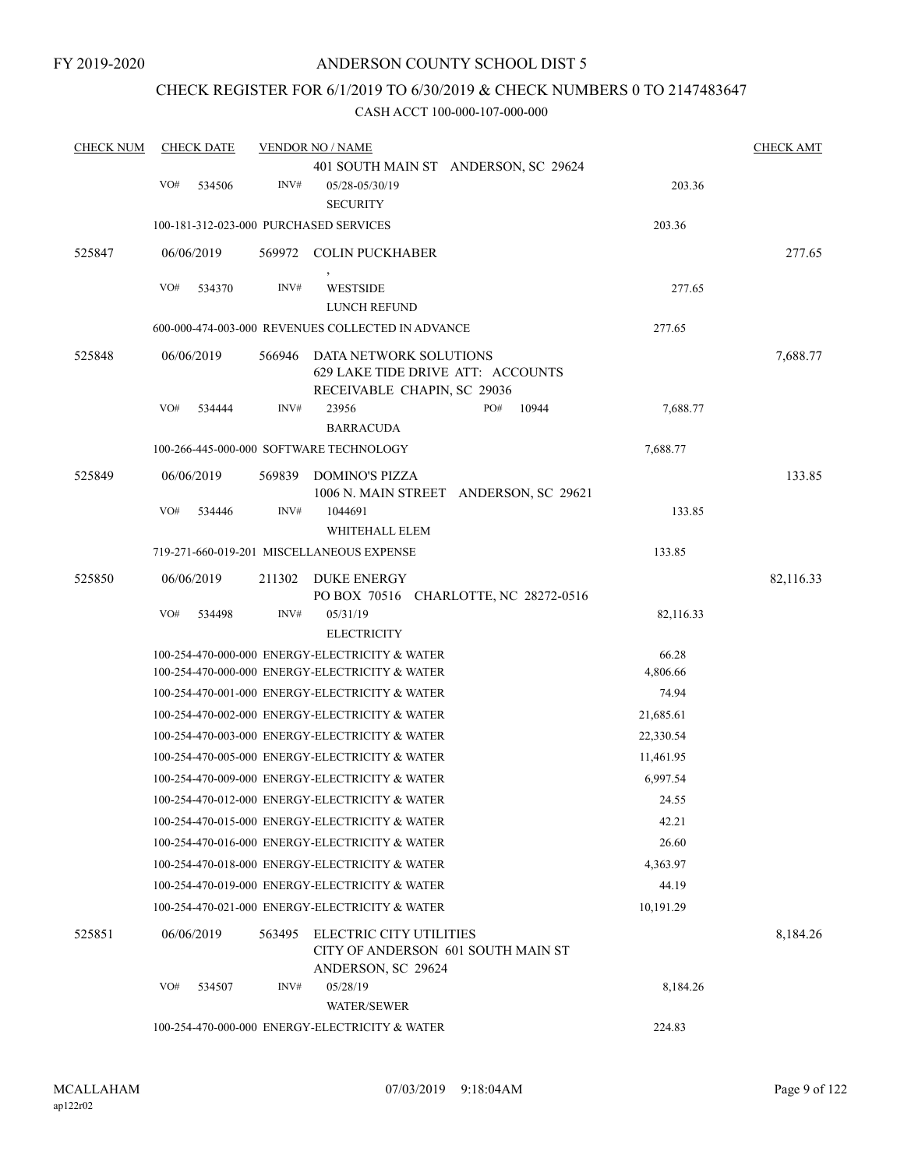# CHECK REGISTER FOR 6/1/2019 TO 6/30/2019 & CHECK NUMBERS 0 TO 2147483647

| <b>CHECK NUM</b> | <b>CHECK DATE</b>                      |        | <b>VENDOR NO / NAME</b>                                                                    |                                        |           | <b>CHECK AMT</b> |
|------------------|----------------------------------------|--------|--------------------------------------------------------------------------------------------|----------------------------------------|-----------|------------------|
|                  |                                        |        |                                                                                            | 401 SOUTH MAIN ST ANDERSON, SC 29624   |           |                  |
|                  | VO#<br>534506                          | INV#   | 05/28-05/30/19<br><b>SECURITY</b>                                                          |                                        | 203.36    |                  |
|                  | 100-181-312-023-000 PURCHASED SERVICES |        |                                                                                            |                                        | 203.36    |                  |
| 525847           | 06/06/2019                             |        | 569972 COLIN PUCKHABER                                                                     |                                        |           | 277.65           |
|                  | VO#<br>534370                          | INV#   | <b>WESTSIDE</b><br><b>LUNCH REFUND</b>                                                     |                                        | 277.65    |                  |
|                  |                                        |        | 600-000-474-003-000 REVENUES COLLECTED IN ADVANCE                                          |                                        | 277.65    |                  |
| 525848           | 06/06/2019                             | 566946 | DATA NETWORK SOLUTIONS<br>629 LAKE TIDE DRIVE ATT: ACCOUNTS<br>RECEIVABLE CHAPIN, SC 29036 |                                        |           | 7,688.77         |
|                  | VO#<br>534444                          | INV#   | 23956<br><b>BARRACUDA</b>                                                                  | PO#<br>10944                           | 7,688.77  |                  |
|                  |                                        |        | 100-266-445-000-000 SOFTWARE TECHNOLOGY                                                    |                                        | 7,688.77  |                  |
| 525849           | 06/06/2019                             | 569839 | DOMINO'S PIZZA                                                                             | 1006 N. MAIN STREET ANDERSON, SC 29621 |           | 133.85           |
|                  | VO#<br>534446                          | INV#   | 1044691<br>WHITEHALL ELEM                                                                  |                                        | 133.85    |                  |
|                  |                                        |        | 719-271-660-019-201 MISCELLANEOUS EXPENSE                                                  |                                        | 133.85    |                  |
| 525850           | 06/06/2019                             | 211302 | DUKE ENERGY                                                                                |                                        |           | 82,116.33        |
|                  |                                        |        |                                                                                            | PO BOX 70516 CHARLOTTE, NC 28272-0516  |           |                  |
|                  | VO#<br>534498                          | INV#   | 05/31/19<br><b>ELECTRICITY</b>                                                             |                                        | 82,116.33 |                  |
|                  |                                        |        | 100-254-470-000-000 ENERGY-ELECTRICITY & WATER                                             |                                        | 66.28     |                  |
|                  |                                        |        | 100-254-470-000-000 ENERGY-ELECTRICITY & WATER                                             |                                        | 4,806.66  |                  |
|                  |                                        |        | 100-254-470-001-000 ENERGY-ELECTRICITY & WATER                                             |                                        | 74.94     |                  |
|                  |                                        |        | 100-254-470-002-000 ENERGY-ELECTRICITY & WATER                                             |                                        | 21,685.61 |                  |
|                  |                                        |        | 100-254-470-003-000 ENERGY-ELECTRICITY & WATER                                             |                                        | 22,330.54 |                  |
|                  |                                        |        | 100-254-470-005-000 ENERGY-ELECTRICITY & WATER                                             |                                        | 11,461.95 |                  |
|                  |                                        |        | 100-254-470-009-000 ENERGY-ELECTRICITY & WATER                                             |                                        | 6,997.54  |                  |
|                  |                                        |        | 100-254-470-012-000 ENERGY-ELECTRICITY & WATER                                             |                                        | 24.55     |                  |
|                  |                                        |        | 100-254-470-015-000 ENERGY-ELECTRICITY & WATER                                             |                                        | 42.21     |                  |
|                  |                                        |        | 100-254-470-016-000 ENERGY-ELECTRICITY & WATER                                             |                                        | 26.60     |                  |
|                  |                                        |        | 100-254-470-018-000 ENERGY-ELECTRICITY & WATER                                             |                                        | 4,363.97  |                  |
|                  |                                        |        | 100-254-470-019-000 ENERGY-ELECTRICITY & WATER                                             |                                        | 44.19     |                  |
|                  |                                        |        | 100-254-470-021-000 ENERGY-ELECTRICITY & WATER                                             |                                        | 10,191.29 |                  |
| 525851           | 06/06/2019                             | 563495 | ELECTRIC CITY UTILITIES<br>CITY OF ANDERSON 601 SOUTH MAIN ST<br>ANDERSON, SC 29624        |                                        |           | 8,184.26         |
|                  | VO#<br>534507                          | INV#   | 05/28/19<br><b>WATER/SEWER</b>                                                             |                                        | 8,184.26  |                  |
|                  |                                        |        | 100-254-470-000-000 ENERGY-ELECTRICITY & WATER                                             |                                        | 224.83    |                  |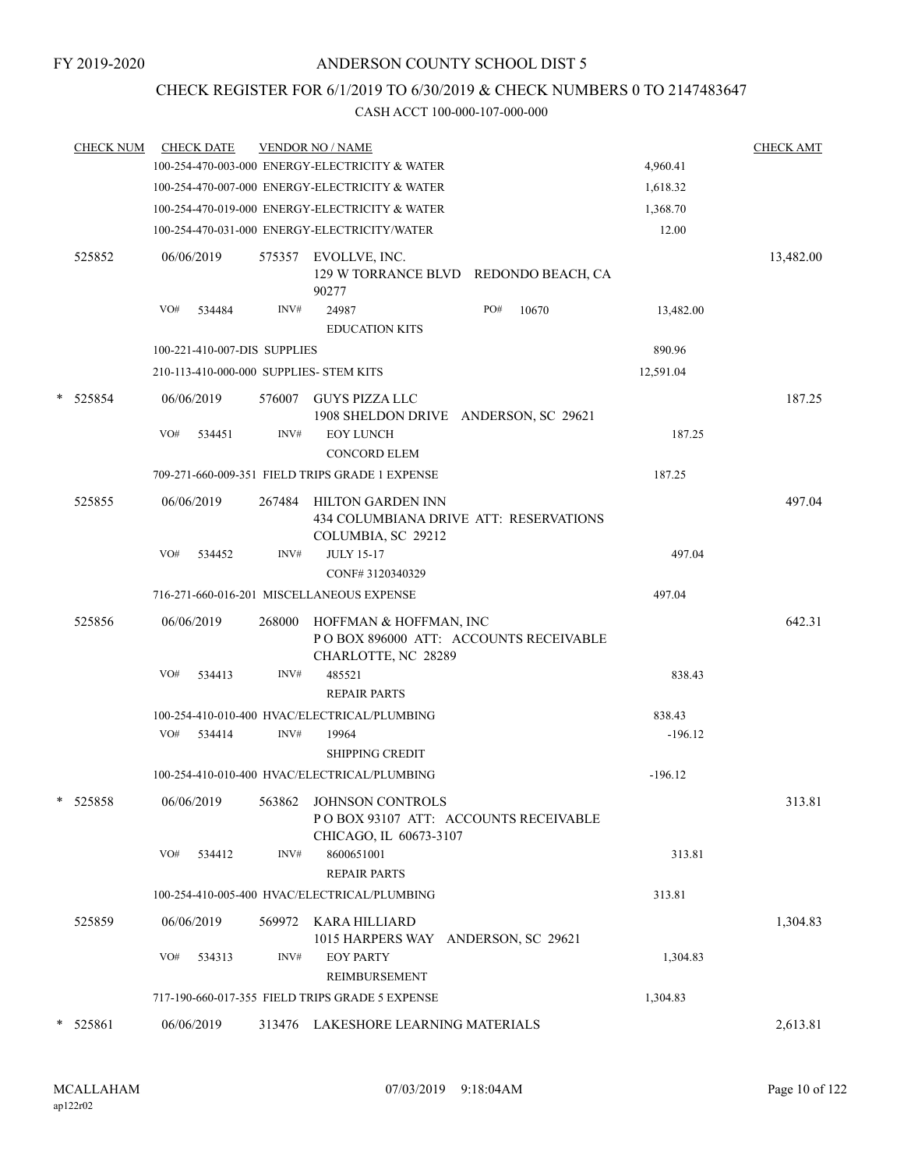# CHECK REGISTER FOR 6/1/2019 TO 6/30/2019 & CHECK NUMBERS 0 TO 2147483647

|   | <b>CHECK NUM</b> | <b>CHECK DATE</b>                       |        | <b>VENDOR NO / NAME</b>                                                                   |           | <b>CHECK AMT</b> |
|---|------------------|-----------------------------------------|--------|-------------------------------------------------------------------------------------------|-----------|------------------|
|   |                  |                                         |        | 100-254-470-003-000 ENERGY-ELECTRICITY & WATER                                            | 4,960.41  |                  |
|   |                  |                                         |        | 100-254-470-007-000 ENERGY-ELECTRICITY & WATER                                            | 1,618.32  |                  |
|   |                  |                                         |        | 100-254-470-019-000 ENERGY-ELECTRICITY & WATER                                            | 1,368.70  |                  |
|   |                  |                                         |        | 100-254-470-031-000 ENERGY-ELECTRICITY/WATER                                              | 12.00     |                  |
|   | 525852           | 06/06/2019                              | 575357 | EVOLLVE, INC.<br>129 W TORRANCE BLVD REDONDO BEACH, CA<br>90277                           |           | 13,482.00        |
|   |                  | VO#<br>534484                           | INV#   | PO#<br>24987<br>10670<br><b>EDUCATION KITS</b>                                            | 13,482.00 |                  |
|   |                  | 100-221-410-007-DIS SUPPLIES            |        |                                                                                           | 890.96    |                  |
|   |                  | 210-113-410-000-000 SUPPLIES- STEM KITS |        |                                                                                           | 12,591.04 |                  |
|   | $*$ 525854       | 06/06/2019                              | 576007 | GUYS PIZZA LLC<br>1908 SHELDON DRIVE ANDERSON, SC 29621                                   |           | 187.25           |
|   |                  | VO#<br>534451                           | INV#   | <b>EOY LUNCH</b><br><b>CONCORD ELEM</b>                                                   | 187.25    |                  |
|   |                  |                                         |        | 709-271-660-009-351 FIELD TRIPS GRADE 1 EXPENSE                                           | 187.25    |                  |
|   | 525855           | 06/06/2019                              | 267484 | HILTON GARDEN INN<br>434 COLUMBIANA DRIVE ATT: RESERVATIONS<br>COLUMBIA, SC 29212         |           | 497.04           |
|   |                  | VO#<br>534452                           | INV#   | <b>JULY 15-17</b><br>CONF#3120340329                                                      | 497.04    |                  |
|   |                  |                                         |        | 716-271-660-016-201 MISCELLANEOUS EXPENSE                                                 | 497.04    |                  |
|   | 525856           | 06/06/2019                              | 268000 | HOFFMAN & HOFFMAN, INC<br>POBOX 896000 ATT: ACCOUNTS RECEIVABLE<br>CHARLOTTE, NC 28289    |           | 642.31           |
|   |                  | VO#<br>534413                           | INV#   | 485521<br><b>REPAIR PARTS</b>                                                             | 838.43    |                  |
|   |                  |                                         |        | 100-254-410-010-400 HVAC/ELECTRICAL/PLUMBING                                              | 838.43    |                  |
|   |                  | VO#<br>534414                           | INV#   | 19964<br><b>SHIPPING CREDIT</b>                                                           | $-196.12$ |                  |
|   |                  |                                         |        | 100-254-410-010-400 HVAC/ELECTRICAL/PLUMBING                                              | $-196.12$ |                  |
| * | 525858           | 06/06/2019                              |        | 563862 JOHNSON CONTROLS<br>POBOX 93107 ATT: ACCOUNTS RECEIVABLE<br>CHICAGO, IL 60673-3107 |           | 313.81           |
|   |                  | VO# 534412                              | INV#   | 8600651001<br><b>REPAIR PARTS</b>                                                         | 313.81    |                  |
|   |                  |                                         |        | 100-254-410-005-400 HVAC/ELECTRICAL/PLUMBING                                              | 313.81    |                  |
|   | 525859           | 06/06/2019                              |        | 569972 KARA HILLIARD<br>1015 HARPERS WAY ANDERSON, SC 29621                               |           | 1,304.83         |
|   |                  | VO#<br>534313                           | INV#   | <b>EOY PARTY</b><br>REIMBURSEMENT                                                         | 1,304.83  |                  |
|   |                  |                                         |        | 717-190-660-017-355 FIELD TRIPS GRADE 5 EXPENSE                                           | 1,304.83  |                  |
|   | 525861           | 06/06/2019                              |        | 313476 LAKESHORE LEARNING MATERIALS                                                       |           | 2,613.81         |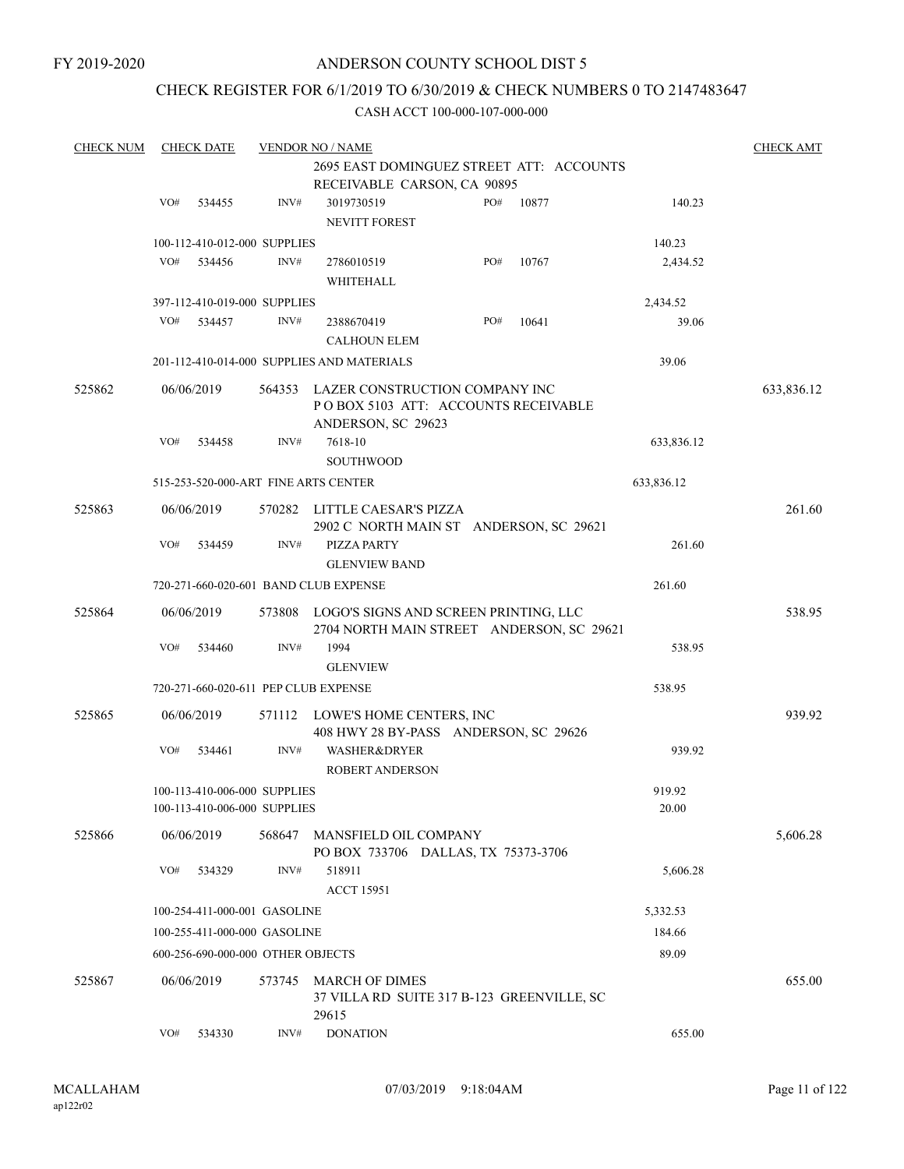# CHECK REGISTER FOR 6/1/2019 TO 6/30/2019 & CHECK NUMBERS 0 TO 2147483647

| <b>CHECK NUM</b> |                                                                         | <b>CHECK DATE</b>                 |        | <b>VENDOR NO / NAME</b>                                                                      |     |       |            | <b>CHECK AMT</b> |
|------------------|-------------------------------------------------------------------------|-----------------------------------|--------|----------------------------------------------------------------------------------------------|-----|-------|------------|------------------|
|                  | 2695 EAST DOMINGUEZ STREET ATT: ACCOUNTS<br>RECEIVABLE CARSON, CA 90895 |                                   |        |                                                                                              |     |       |            |                  |
|                  | VO#                                                                     | 534455                            | INV#   | 3019730519<br><b>NEVITT FOREST</b>                                                           | PO# | 10877 | 140.23     |                  |
|                  |                                                                         | 100-112-410-012-000 SUPPLIES      |        |                                                                                              |     |       | 140.23     |                  |
|                  | VO#                                                                     | 534456                            | INV#   | 2786010519<br>WHITEHALL                                                                      | PO# | 10767 | 2,434.52   |                  |
|                  |                                                                         | 397-112-410-019-000 SUPPLIES      |        |                                                                                              |     |       | 2,434.52   |                  |
|                  | VO#                                                                     | 534457                            | INV#   | 2388670419<br><b>CALHOUN ELEM</b>                                                            | PO# | 10641 | 39.06      |                  |
|                  |                                                                         |                                   |        | 201-112-410-014-000 SUPPLIES AND MATERIALS                                                   |     |       | 39.06      |                  |
| 525862           |                                                                         | 06/06/2019                        | 564353 | LAZER CONSTRUCTION COMPANY INC<br>PO BOX 5103 ATT: ACCOUNTS RECEIVABLE<br>ANDERSON, SC 29623 |     |       |            | 633,836.12       |
|                  | VO#                                                                     | 534458                            | INV#   | 7618-10                                                                                      |     |       | 633,836.12 |                  |
|                  |                                                                         |                                   |        | <b>SOUTHWOOD</b>                                                                             |     |       |            |                  |
|                  |                                                                         |                                   |        | 515-253-520-000-ART FINE ARTS CENTER                                                         |     |       | 633,836.12 |                  |
| 525863           |                                                                         | 06/06/2019                        |        | 570282 LITTLE CAESAR'S PIZZA<br>2902 C NORTH MAIN ST ANDERSON, SC 29621                      |     |       |            | 261.60           |
|                  | VO#                                                                     | 534459                            | INV#   | PIZZA PARTY<br><b>GLENVIEW BAND</b>                                                          |     |       | 261.60     |                  |
|                  |                                                                         |                                   |        | 720-271-660-020-601 BAND CLUB EXPENSE                                                        |     |       | 261.60     |                  |
| 525864           |                                                                         | 06/06/2019                        |        | 573808 LOGO'S SIGNS AND SCREEN PRINTING, LLC<br>2704 NORTH MAIN STREET ANDERSON, SC 29621    |     |       |            | 538.95           |
|                  | VO#                                                                     | 534460                            | INV#   | 1994                                                                                         |     |       | 538.95     |                  |
|                  |                                                                         |                                   |        | <b>GLENVIEW</b>                                                                              |     |       |            |                  |
|                  |                                                                         |                                   |        | 720-271-660-020-611 PEP CLUB EXPENSE                                                         |     |       | 538.95     |                  |
| 525865           |                                                                         | 06/06/2019                        | 571112 | LOWE'S HOME CENTERS, INC<br>408 HWY 28 BY-PASS ANDERSON, SC 29626                            |     |       |            | 939.92           |
|                  | VO#                                                                     | 534461                            | INV#   | <b>WASHER&amp;DRYER</b><br><b>ROBERT ANDERSON</b>                                            |     |       | 939.92     |                  |
|                  |                                                                         | 100-113-410-006-000 SUPPLIES      |        |                                                                                              |     |       | 919.92     |                  |
|                  |                                                                         | 100-113-410-006-000 SUPPLIES      |        |                                                                                              |     |       | 20.00      |                  |
| 525866           |                                                                         | 06/06/2019                        | 568647 | MANSFIELD OIL COMPANY<br>PO BOX 733706 DALLAS, TX 75373-3706                                 |     |       |            | 5,606.28         |
|                  | VO#                                                                     | 534329                            | INV#   | 518911<br><b>ACCT 15951</b>                                                                  |     |       | 5,606.28   |                  |
|                  |                                                                         | 100-254-411-000-001 GASOLINE      |        |                                                                                              |     |       | 5,332.53   |                  |
|                  |                                                                         | 100-255-411-000-000 GASOLINE      |        |                                                                                              |     |       | 184.66     |                  |
|                  |                                                                         | 600-256-690-000-000 OTHER OBJECTS |        |                                                                                              |     |       | 89.09      |                  |
| 525867           |                                                                         | 06/06/2019                        | 573745 | <b>MARCH OF DIMES</b><br>37 VILLA RD SUITE 317 B-123 GREENVILLE, SC                          |     |       |            | 655.00           |
|                  | VO#                                                                     | 534330                            | INV#   | 29615<br><b>DONATION</b>                                                                     |     |       | 655.00     |                  |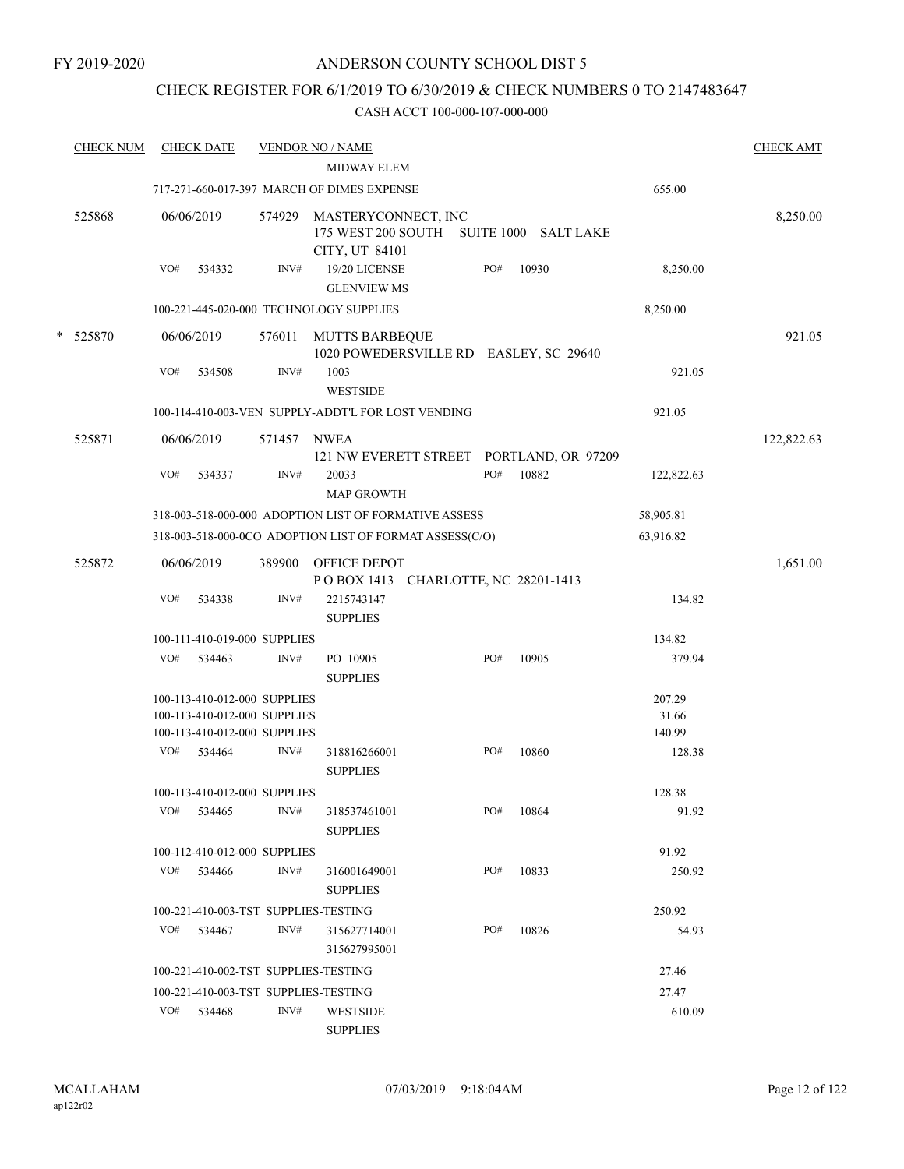# CHECK REGISTER FOR 6/1/2019 TO 6/30/2019 & CHECK NUMBERS 0 TO 2147483647

|   | <b>CHECK NUM</b> |     | <b>CHECK DATE</b>                                            |             | <b>VENDOR NO / NAME</b><br>MIDWAY ELEM                                           |     |       |                 | <b>CHECK AMT</b> |
|---|------------------|-----|--------------------------------------------------------------|-------------|----------------------------------------------------------------------------------|-----|-------|-----------------|------------------|
|   |                  |     |                                                              |             | 717-271-660-017-397 MARCH OF DIMES EXPENSE                                       |     |       | 655.00          |                  |
|   | 525868           |     | 06/06/2019                                                   | 574929      | MASTERYCONNECT, INC<br>175 WEST 200 SOUTH SUITE 1000 SALT LAKE<br>CITY, UT 84101 |     |       |                 | 8,250.00         |
|   |                  | VO# | 534332                                                       | INV#        | 19/20 LICENSE<br><b>GLENVIEW MS</b>                                              | PO# | 10930 | 8,250.00        |                  |
|   |                  |     |                                                              |             | 100-221-445-020-000 TECHNOLOGY SUPPLIES                                          |     |       | 8,250.00        |                  |
| * | 525870           |     | 06/06/2019                                                   |             | 576011 MUTTS BARBEQUE<br>1020 POWEDERSVILLE RD EASLEY, SC 29640                  |     |       |                 | 921.05           |
|   |                  | VO# | 534508                                                       | INV#        | 1003<br><b>WESTSIDE</b>                                                          |     |       | 921.05          |                  |
|   |                  |     |                                                              |             | 100-114-410-003-VEN SUPPLY-ADDT'L FOR LOST VENDING                               |     |       | 921.05          |                  |
|   | 525871           |     | 06/06/2019                                                   | 571457 NWEA | 121 NW EVERETT STREET PORTLAND, OR 97209                                         |     |       |                 | 122,822.63       |
|   |                  | VO# | 534337                                                       | INV#        | 20033<br><b>MAP GROWTH</b>                                                       | PO# | 10882 | 122,822.63      |                  |
|   |                  |     |                                                              |             | 318-003-518-000-000 ADOPTION LIST OF FORMATIVE ASSESS                            |     |       | 58,905.81       |                  |
|   |                  |     |                                                              |             | 318-003-518-000-0CO ADOPTION LIST OF FORMAT ASSESS(C/O)                          |     |       | 63,916.82       |                  |
|   | 525872           |     | 06/06/2019                                                   | 389900      | OFFICE DEPOT<br>POBOX 1413 CHARLOTTE, NC 28201-1413                              |     |       |                 | 1,651.00         |
|   |                  | VO# | 534338                                                       | INV#        | 2215743147<br><b>SUPPLIES</b>                                                    |     |       | 134.82          |                  |
|   |                  |     | 100-111-410-019-000 SUPPLIES                                 |             |                                                                                  |     |       | 134.82          |                  |
|   |                  | VO# | 534463                                                       | INV#        | PO 10905<br><b>SUPPLIES</b>                                                      | PO# | 10905 | 379.94          |                  |
|   |                  |     | 100-113-410-012-000 SUPPLIES                                 |             |                                                                                  |     |       | 207.29          |                  |
|   |                  |     | 100-113-410-012-000 SUPPLIES<br>100-113-410-012-000 SUPPLIES |             |                                                                                  |     |       | 31.66<br>140.99 |                  |
|   |                  | VO# | 534464                                                       | INV#        | 318816266001<br><b>SUPPLIES</b>                                                  | PO# | 10860 | 128.38          |                  |
|   |                  |     | 100-113-410-012-000 SUPPLIES                                 |             |                                                                                  |     |       | 128.38          |                  |
|   |                  | VO# | 534465                                                       | INV#        | 318537461001<br><b>SUPPLIES</b>                                                  | PO# | 10864 | 91.92           |                  |
|   |                  |     | 100-112-410-012-000 SUPPLIES                                 |             |                                                                                  |     |       | 91.92           |                  |
|   |                  | VO# | 534466                                                       | INV#        | 316001649001<br><b>SUPPLIES</b>                                                  | PO# | 10833 | 250.92          |                  |
|   |                  |     | 100-221-410-003-TST SUPPLIES-TESTING                         |             |                                                                                  |     |       | 250.92          |                  |
|   |                  | VO# | 534467                                                       | INV#        | 315627714001<br>315627995001                                                     | PO# | 10826 | 54.93           |                  |
|   |                  |     | 100-221-410-002-TST SUPPLIES-TESTING                         |             |                                                                                  |     |       | 27.46           |                  |
|   |                  |     | 100-221-410-003-TST SUPPLIES-TESTING                         |             |                                                                                  |     |       | 27.47           |                  |
|   |                  | VO# | 534468                                                       | INV#        | <b>WESTSIDE</b><br><b>SUPPLIES</b>                                               |     |       | 610.09          |                  |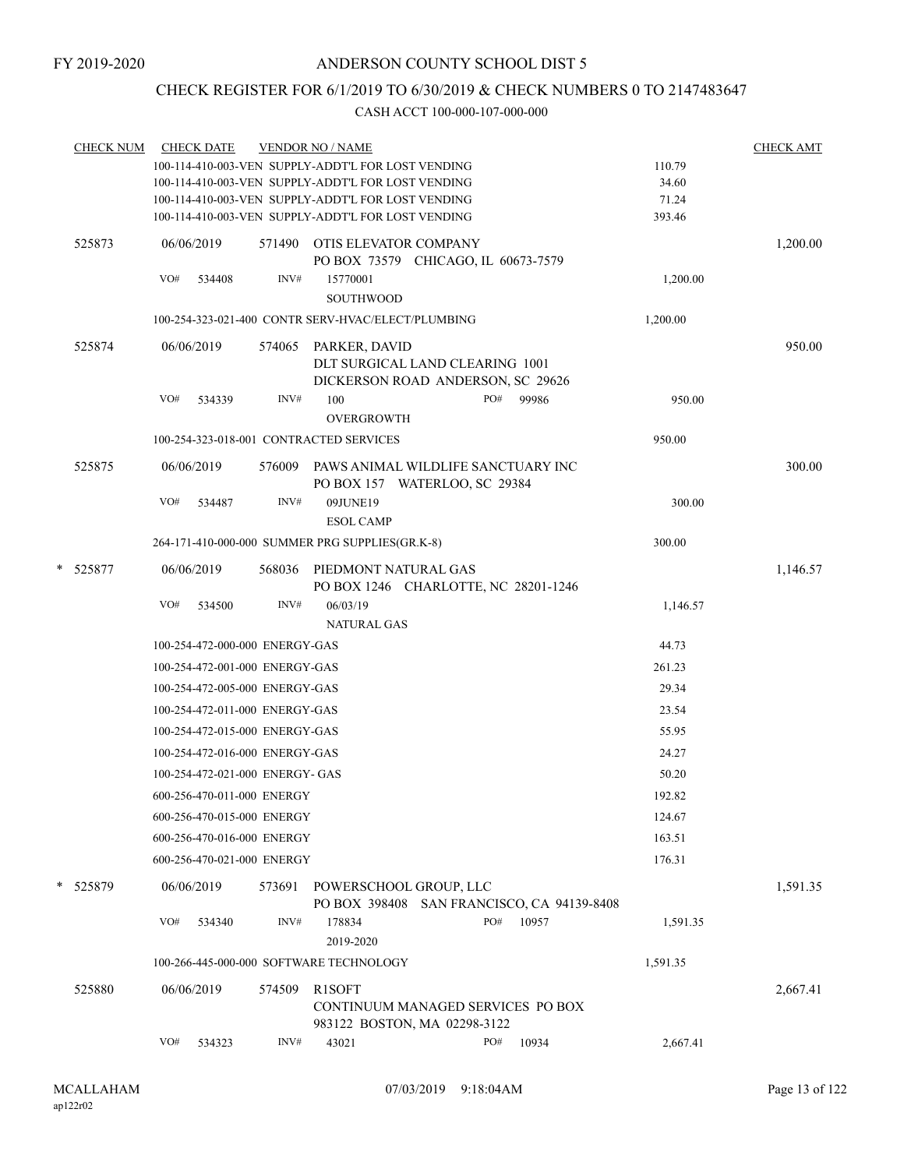# CHECK REGISTER FOR 6/1/2019 TO 6/30/2019 & CHECK NUMBERS 0 TO 2147483647

|   | <b>CHECK NUM</b> |     | <b>CHECK DATE</b>               |        | <b>VENDOR NO / NAME</b>                                              |     |       |          | <b>CHECK AMT</b> |
|---|------------------|-----|---------------------------------|--------|----------------------------------------------------------------------|-----|-------|----------|------------------|
|   |                  |     |                                 |        | 100-114-410-003-VEN SUPPLY-ADDT'L FOR LOST VENDING                   |     |       | 110.79   |                  |
|   |                  |     |                                 |        | 100-114-410-003-VEN SUPPLY-ADDT'L FOR LOST VENDING                   |     |       | 34.60    |                  |
|   |                  |     |                                 |        | 100-114-410-003-VEN SUPPLY-ADDT'L FOR LOST VENDING                   |     |       | 71.24    |                  |
|   |                  |     |                                 |        | 100-114-410-003-VEN SUPPLY-ADDT'L FOR LOST VENDING                   |     |       | 393.46   |                  |
|   | 525873           |     | 06/06/2019                      |        | 571490 OTIS ELEVATOR COMPANY<br>PO BOX 73579 CHICAGO, IL 60673-7579  |     |       |          | 1,200.00         |
|   |                  | VO# | 534408                          | INV#   | 15770001<br>SOUTHWOOD                                                |     |       | 1,200.00 |                  |
|   |                  |     |                                 |        | 100-254-323-021-400 CONTR SERV-HVAC/ELECT/PLUMBING                   |     |       | 1,200.00 |                  |
|   | 525874           |     | 06/06/2019                      |        | 574065 PARKER, DAVID<br>DLT SURGICAL LAND CLEARING 1001              |     |       |          | 950.00           |
|   |                  |     |                                 |        | DICKERSON ROAD ANDERSON, SC 29626                                    |     |       |          |                  |
|   |                  | VO# | 534339                          | INV#   | 100                                                                  | PO# | 99986 | 950.00   |                  |
|   |                  |     |                                 |        | <b>OVERGROWTH</b>                                                    |     |       |          |                  |
|   |                  |     |                                 |        | 100-254-323-018-001 CONTRACTED SERVICES                              |     |       | 950.00   |                  |
|   | 525875           |     | 06/06/2019                      | 576009 | PAWS ANIMAL WILDLIFE SANCTUARY INC<br>PO BOX 157 WATERLOO, SC 29384  |     |       |          | 300.00           |
|   |                  | VO# | 534487                          | INV#   | 09JUNE19                                                             |     |       | 300.00   |                  |
|   |                  |     |                                 |        | <b>ESOL CAMP</b>                                                     |     |       |          |                  |
|   |                  |     |                                 |        | 264-171-410-000-000 SUMMER PRG SUPPLIES(GR.K-8)                      |     |       | 300.00   |                  |
| * | 525877           |     | 06/06/2019                      |        | 568036 PIEDMONT NATURAL GAS<br>PO BOX 1246 CHARLOTTE, NC 28201-1246  |     |       |          | 1,146.57         |
|   |                  | VO# | 534500                          | INV#   | 06/03/19<br><b>NATURAL GAS</b>                                       |     |       | 1,146.57 |                  |
|   |                  |     | 100-254-472-000-000 ENERGY-GAS  |        |                                                                      |     |       | 44.73    |                  |
|   |                  |     | 100-254-472-001-000 ENERGY-GAS  |        |                                                                      |     |       | 261.23   |                  |
|   |                  |     | 100-254-472-005-000 ENERGY-GAS  |        |                                                                      |     |       | 29.34    |                  |
|   |                  |     | 100-254-472-011-000 ENERGY-GAS  |        |                                                                      |     |       | 23.54    |                  |
|   |                  |     |                                 |        |                                                                      |     |       |          |                  |
|   |                  |     | 100-254-472-015-000 ENERGY-GAS  |        |                                                                      |     |       | 55.95    |                  |
|   |                  |     | 100-254-472-016-000 ENERGY-GAS  |        |                                                                      |     |       | 24.27    |                  |
|   |                  |     | 100-254-472-021-000 ENERGY- GAS |        |                                                                      |     |       | 50.20    |                  |
|   |                  |     | 600-256-470-011-000 ENERGY      |        |                                                                      |     |       | 192.82   |                  |
|   |                  |     | 600-256-470-015-000 ENERGY      |        |                                                                      |     |       | 124.67   |                  |
|   |                  |     | 600-256-470-016-000 ENERGY      |        |                                                                      |     |       | 163.51   |                  |
|   |                  |     | 600-256-470-021-000 ENERGY      |        |                                                                      |     |       | 176.31   |                  |
|   | * 525879         |     | 06/06/2019                      | 573691 | POWERSCHOOL GROUP, LLC<br>PO BOX 398408 SAN FRANCISCO, CA 94139-8408 |     |       |          | 1,591.35         |
|   |                  | VO# | 534340                          | INV#   | 178834<br>2019-2020                                                  | PO# | 10957 | 1,591.35 |                  |
|   |                  |     |                                 |        | 100-266-445-000-000 SOFTWARE TECHNOLOGY                              |     |       | 1,591.35 |                  |
|   | 525880           |     | 06/06/2019                      | 574509 | R1SOFT                                                               |     |       |          | 2,667.41         |
|   |                  |     |                                 |        | CONTINUUM MANAGED SERVICES PO BOX<br>983122 BOSTON, MA 02298-3122    |     |       |          |                  |
|   |                  | VO# | 534323                          | INV#   | 43021                                                                | PO# | 10934 | 2,667.41 |                  |
|   |                  |     |                                 |        |                                                                      |     |       |          |                  |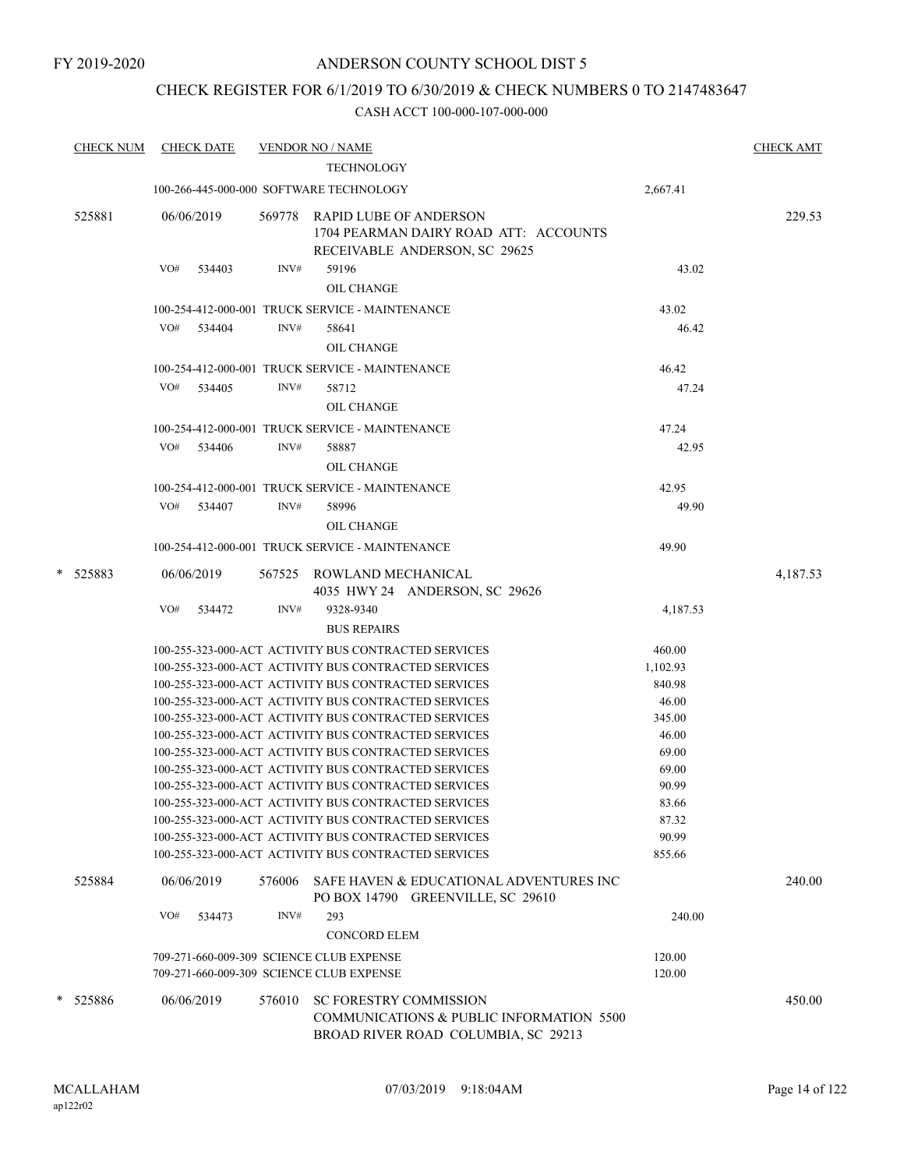# CHECK REGISTER FOR 6/1/2019 TO 6/30/2019 & CHECK NUMBERS 0 TO 2147483647

|   | <b>CHECK NUM</b> | <b>CHECK DATE</b>                        |        | <b>VENDOR NO / NAME</b><br><b>TECHNOLOGY</b>                                                                 |                | <b>CHECK AMT</b> |
|---|------------------|------------------------------------------|--------|--------------------------------------------------------------------------------------------------------------|----------------|------------------|
|   |                  |                                          |        | 100-266-445-000-000 SOFTWARE TECHNOLOGY                                                                      | 2,667.41       |                  |
|   | 525881           | 06/06/2019                               | 569778 | RAPID LUBE OF ANDERSON<br>1704 PEARMAN DAIRY ROAD ATT: ACCOUNTS<br>RECEIVABLE ANDERSON, SC 29625             |                | 229.53           |
|   |                  | VO#<br>534403                            | INV#   | 59196<br>OIL CHANGE                                                                                          | 43.02          |                  |
|   |                  |                                          |        | 100-254-412-000-001 TRUCK SERVICE - MAINTENANCE                                                              | 43.02          |                  |
|   |                  | VO# 534404                               | INV#   | 58641                                                                                                        | 46.42          |                  |
|   |                  |                                          |        | OIL CHANGE                                                                                                   |                |                  |
|   |                  |                                          |        | 100-254-412-000-001 TRUCK SERVICE - MAINTENANCE                                                              | 46.42          |                  |
|   |                  | VO# 534405                               | INV#   | 58712                                                                                                        | 47.24          |                  |
|   |                  |                                          |        | OIL CHANGE                                                                                                   |                |                  |
|   |                  |                                          |        | 100-254-412-000-001 TRUCK SERVICE - MAINTENANCE                                                              | 47.24          |                  |
|   |                  | VO#<br>534406                            | INV#   | 58887                                                                                                        | 42.95          |                  |
|   |                  |                                          |        | OIL CHANGE                                                                                                   |                |                  |
|   |                  |                                          |        | 100-254-412-000-001 TRUCK SERVICE - MAINTENANCE                                                              | 42.95          |                  |
|   |                  | VO# 534407                               | INV#   | 58996                                                                                                        | 49.90          |                  |
|   |                  |                                          |        | OIL CHANGE                                                                                                   |                |                  |
|   |                  |                                          |        | 100-254-412-000-001 TRUCK SERVICE - MAINTENANCE                                                              | 49.90          |                  |
| * | 525883           | 06/06/2019                               |        | 567525 ROWLAND MECHANICAL<br>4035 HWY 24 ANDERSON, SC 29626                                                  |                | 4,187.53         |
|   |                  | VO#<br>534472                            | INV#   | 9328-9340                                                                                                    | 4,187.53       |                  |
|   |                  |                                          |        | <b>BUS REPAIRS</b>                                                                                           |                |                  |
|   |                  |                                          |        | 100-255-323-000-ACT ACTIVITY BUS CONTRACTED SERVICES                                                         | 460.00         |                  |
|   |                  |                                          |        | 100-255-323-000-ACT ACTIVITY BUS CONTRACTED SERVICES                                                         | 1,102.93       |                  |
|   |                  |                                          |        | 100-255-323-000-ACT ACTIVITY BUS CONTRACTED SERVICES                                                         | 840.98         |                  |
|   |                  |                                          |        | 100-255-323-000-ACT ACTIVITY BUS CONTRACTED SERVICES                                                         | 46.00          |                  |
|   |                  |                                          |        | 100-255-323-000-ACT ACTIVITY BUS CONTRACTED SERVICES                                                         | 345.00         |                  |
|   |                  |                                          |        | 100-255-323-000-ACT ACTIVITY BUS CONTRACTED SERVICES                                                         | 46.00          |                  |
|   |                  |                                          |        | 100-255-323-000-ACT ACTIVITY BUS CONTRACTED SERVICES<br>100-255-323-000-ACT ACTIVITY BUS CONTRACTED SERVICES | 69.00<br>69.00 |                  |
|   |                  |                                          |        | 100-255-323-000-ACT ACTIVITY BUS CONTRACTED SERVICES                                                         | 90.99          |                  |
|   |                  |                                          |        | 100-255-323-000-ACT ACTIVITY BUS CONTRACTED SERVICES                                                         | 83.66          |                  |
|   |                  |                                          |        | 100-255-323-000-ACT ACTIVITY BUS CONTRACTED SERVICES                                                         | 87.32          |                  |
|   |                  |                                          |        | 100-255-323-000-ACT ACTIVITY BUS CONTRACTED SERVICES                                                         | 90.99          |                  |
|   |                  |                                          |        | 100-255-323-000-ACT ACTIVITY BUS CONTRACTED SERVICES                                                         | 855.66         |                  |
|   | 525884           | 06/06/2019                               |        | 576006 SAFE HAVEN & EDUCATIONAL ADVENTURES INC<br>PO BOX 14790 GREENVILLE, SC 29610                          |                | 240.00           |
|   |                  | VO#<br>534473                            | INV#   | 293                                                                                                          | 240.00         |                  |
|   |                  |                                          |        | <b>CONCORD ELEM</b>                                                                                          |                |                  |
|   |                  | 709-271-660-009-309 SCIENCE CLUB EXPENSE |        |                                                                                                              | 120.00         |                  |
|   |                  | 709-271-660-009-309 SCIENCE CLUB EXPENSE |        |                                                                                                              | 120.00         |                  |
|   | * 525886         | 06/06/2019                               | 576010 | <b>SC FORESTRY COMMISSION</b>                                                                                |                | 450.00           |
|   |                  |                                          |        | COMMUNICATIONS & PUBLIC INFORMATION 5500                                                                     |                |                  |
|   |                  |                                          |        | BROAD RIVER ROAD COLUMBIA, SC 29213                                                                          |                |                  |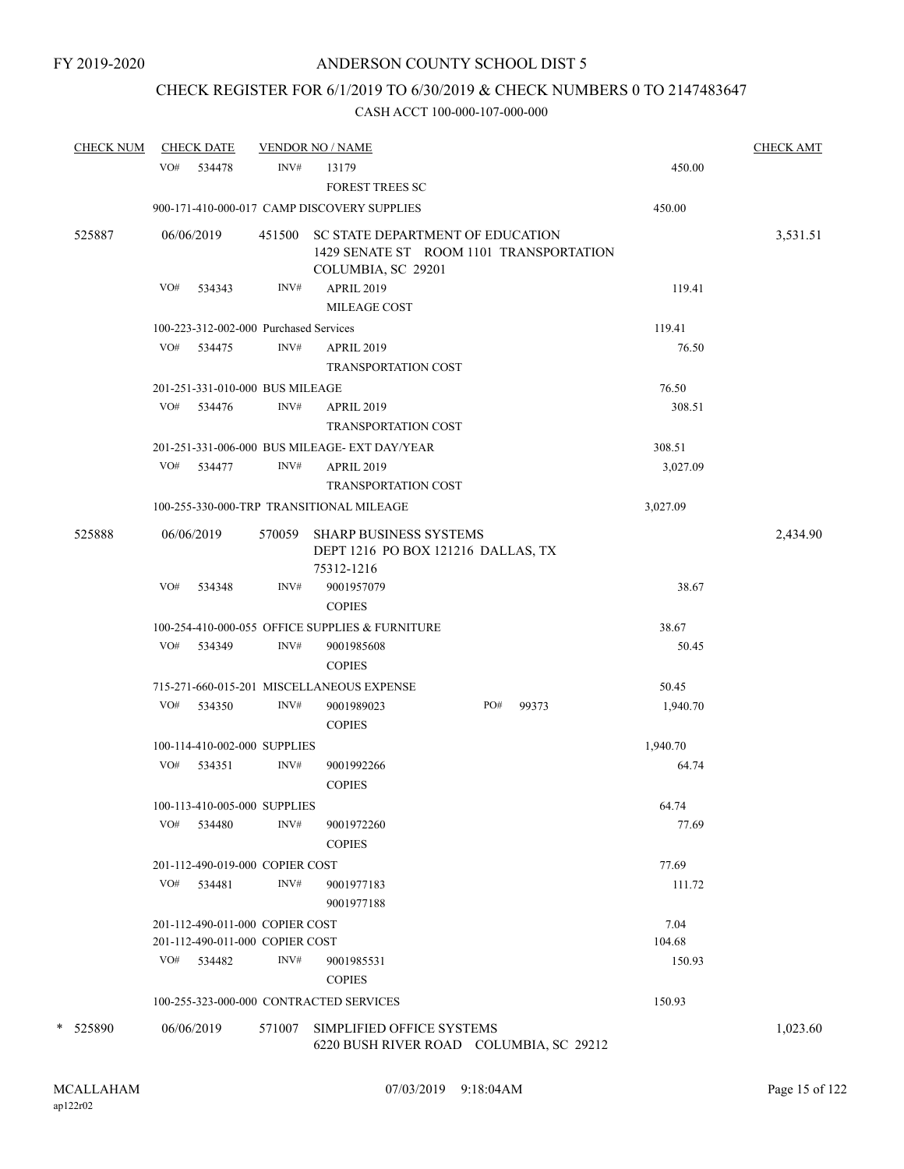# CHECK REGISTER FOR 6/1/2019 TO 6/30/2019 & CHECK NUMBERS 0 TO 2147483647

| <b>CHECK NUM</b> |     | <b>CHECK DATE</b>                      |        | <b>VENDOR NO / NAME</b>                                                                                  |     |       |          | <b>CHECK AMT</b> |
|------------------|-----|----------------------------------------|--------|----------------------------------------------------------------------------------------------------------|-----|-------|----------|------------------|
|                  | VO# | 534478                                 | INV#   | 13179<br><b>FOREST TREES SC</b>                                                                          |     |       | 450.00   |                  |
|                  |     |                                        |        | 900-171-410-000-017 CAMP DISCOVERY SUPPLIES                                                              |     |       | 450.00   |                  |
| 525887           |     | 06/06/2019                             |        | 451500 SC STATE DEPARTMENT OF EDUCATION<br>1429 SENATE ST ROOM 1101 TRANSPORTATION<br>COLUMBIA, SC 29201 |     |       |          | 3,531.51         |
|                  | VO# | 534343                                 | INV#   | <b>APRIL 2019</b><br>MILEAGE COST                                                                        |     |       | 119.41   |                  |
|                  |     | 100-223-312-002-000 Purchased Services |        |                                                                                                          |     |       | 119.41   |                  |
|                  | VO# | 534475                                 | INV#   | <b>APRIL 2019</b><br><b>TRANSPORTATION COST</b>                                                          |     |       | 76.50    |                  |
|                  |     | 201-251-331-010-000 BUS MILEAGE        |        |                                                                                                          |     |       | 76.50    |                  |
|                  | VO# | 534476                                 | INV#   | <b>APRIL 2019</b><br><b>TRANSPORTATION COST</b>                                                          |     |       | 308.51   |                  |
|                  |     |                                        |        | 201-251-331-006-000 BUS MILEAGE- EXT DAY/YEAR                                                            |     |       | 308.51   |                  |
|                  | VO# | 534477                                 | INV#   | <b>APRIL 2019</b><br><b>TRANSPORTATION COST</b>                                                          |     |       | 3,027.09 |                  |
|                  |     |                                        |        | 100-255-330-000-TRP TRANSITIONAL MILEAGE                                                                 |     |       | 3,027.09 |                  |
| 525888           |     | 06/06/2019                             | 570059 | <b>SHARP BUSINESS SYSTEMS</b><br>DEPT 1216 PO BOX 121216 DALLAS, TX<br>75312-1216                        |     |       |          | 2,434.90         |
|                  | VO# | 534348                                 | INV#   | 9001957079<br><b>COPIES</b>                                                                              |     |       | 38.67    |                  |
|                  |     |                                        |        | 100-254-410-000-055 OFFICE SUPPLIES & FURNITURE                                                          |     |       | 38.67    |                  |
|                  | VO# | 534349                                 | INV#   | 9001985608<br><b>COPIES</b>                                                                              |     |       | 50.45    |                  |
|                  |     |                                        |        | 715-271-660-015-201 MISCELLANEOUS EXPENSE                                                                |     |       | 50.45    |                  |
|                  | VO# | 534350                                 | INV#   | 9001989023<br><b>COPIES</b>                                                                              | PO# | 99373 | 1,940.70 |                  |
|                  |     | 100-114-410-002-000 SUPPLIES           |        |                                                                                                          |     |       | 1,940.70 |                  |
|                  | VO# | 534351                                 | INV#   | 9001992266<br><b>COPIES</b>                                                                              |     |       | 64.74    |                  |
|                  |     | 100-113-410-005-000 SUPPLIES           |        |                                                                                                          |     |       | 64.74    |                  |
|                  | VO# | 534480                                 | INV#   | 9001972260<br><b>COPIES</b>                                                                              |     |       | 77.69    |                  |
|                  |     | 201-112-490-019-000 COPIER COST        |        |                                                                                                          |     |       | 77.69    |                  |
|                  | VO# | 534481                                 | INV#   | 9001977183<br>9001977188                                                                                 |     |       | 111.72   |                  |
|                  |     | 201-112-490-011-000 COPIER COST        |        |                                                                                                          |     |       | 7.04     |                  |
|                  |     | 201-112-490-011-000 COPIER COST        |        |                                                                                                          |     |       | 104.68   |                  |
|                  | VO# | 534482                                 | INV#   | 9001985531<br><b>COPIES</b>                                                                              |     |       | 150.93   |                  |
|                  |     |                                        |        | 100-255-323-000-000 CONTRACTED SERVICES                                                                  |     |       | 150.93   |                  |
| * 525890         |     | 06/06/2019                             | 571007 | SIMPLIFIED OFFICE SYSTEMS<br>6220 BUSH RIVER ROAD COLUMBIA, SC 29212                                     |     |       |          | 1,023.60         |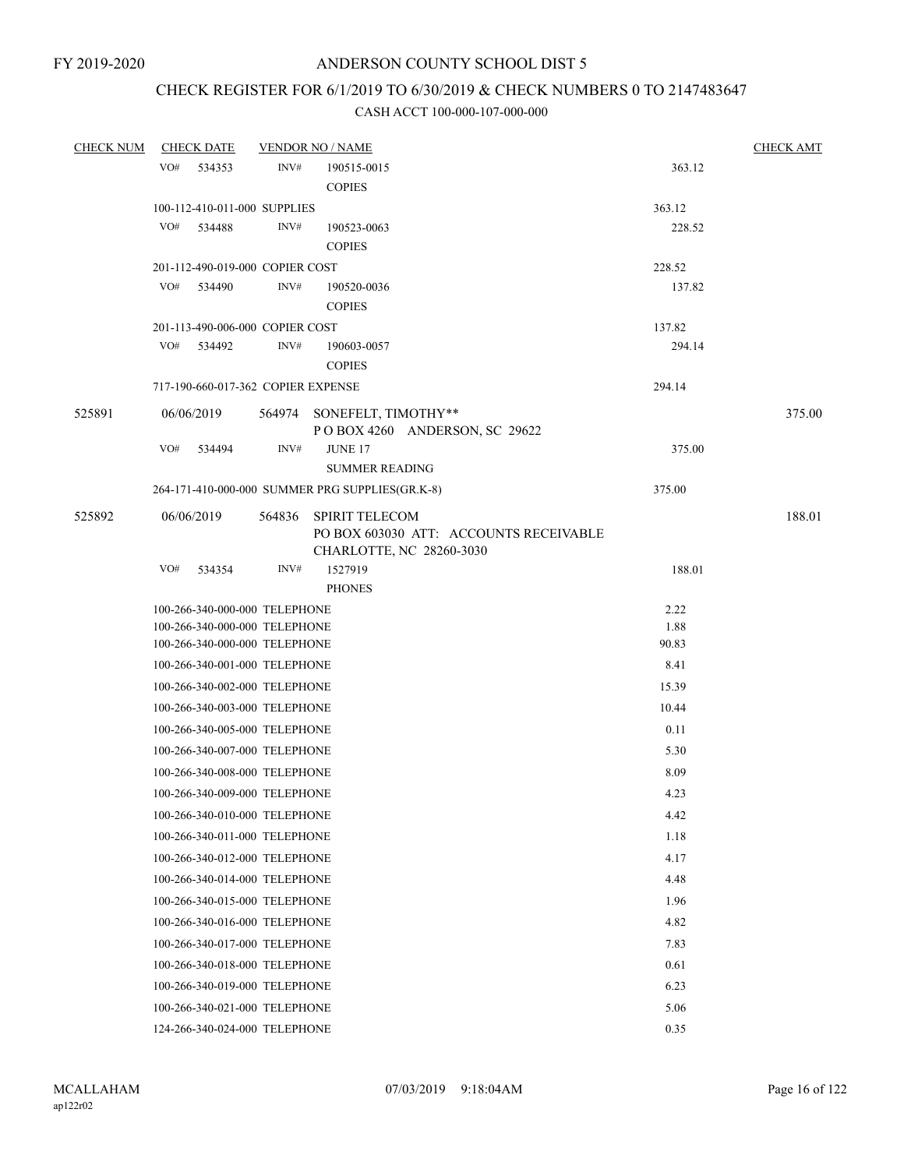# CHECK REGISTER FOR 6/1/2019 TO 6/30/2019 & CHECK NUMBERS 0 TO 2147483647

| <b>CHECK NUM</b> |     | <b>CHECK DATE</b> |                                         | <b>VENDOR NO / NAME</b>                                                                     |                  | <b>CHECK AMT</b> |
|------------------|-----|-------------------|-----------------------------------------|---------------------------------------------------------------------------------------------|------------------|------------------|
|                  | VO# | 534353            | INV#                                    | 190515-0015<br><b>COPIES</b>                                                                | 363.12           |                  |
|                  |     |                   | 100-112-410-011-000 SUPPLIES            |                                                                                             | 363.12           |                  |
|                  | VO# | 534488            | INV#                                    | 190523-0063                                                                                 | 228.52           |                  |
|                  |     |                   |                                         | <b>COPIES</b>                                                                               |                  |                  |
|                  | VO# |                   | 201-112-490-019-000 COPIER COST<br>INV# |                                                                                             | 228.52<br>137.82 |                  |
|                  |     | 534490            |                                         | 190520-0036<br><b>COPIES</b>                                                                |                  |                  |
|                  |     |                   | 201-113-490-006-000 COPIER COST         |                                                                                             | 137.82           |                  |
|                  | VO# | 534492            | INV#                                    | 190603-0057                                                                                 | 294.14           |                  |
|                  |     |                   |                                         | <b>COPIES</b>                                                                               |                  |                  |
|                  |     |                   | 717-190-660-017-362 COPIER EXPENSE      |                                                                                             | 294.14           |                  |
| 525891           |     | 06/06/2019        |                                         | 564974 SONEFELT, TIMOTHY**<br>POBOX 4260 ANDERSON, SC 29622                                 |                  | 375.00           |
|                  | VO# | 534494            | INV#                                    | <b>JUNE 17</b><br><b>SUMMER READING</b>                                                     | 375.00           |                  |
|                  |     |                   |                                         | 264-171-410-000-000 SUMMER PRG SUPPLIES(GR.K-8)                                             | 375.00           |                  |
| 525892           |     | 06/06/2019        | 564836                                  | <b>SPIRIT TELECOM</b><br>PO BOX 603030 ATT: ACCOUNTS RECEIVABLE<br>CHARLOTTE, NC 28260-3030 |                  | 188.01           |
|                  | VO# | 534354            | INV#                                    | 1527919<br><b>PHONES</b>                                                                    | 188.01           |                  |
|                  |     |                   | 100-266-340-000-000 TELEPHONE           |                                                                                             | 2.22             |                  |
|                  |     |                   | 100-266-340-000-000 TELEPHONE           |                                                                                             | 1.88             |                  |
|                  |     |                   | 100-266-340-000-000 TELEPHONE           |                                                                                             | 90.83            |                  |
|                  |     |                   | 100-266-340-001-000 TELEPHONE           |                                                                                             | 8.41             |                  |
|                  |     |                   | 100-266-340-002-000 TELEPHONE           |                                                                                             | 15.39            |                  |
|                  |     |                   | 100-266-340-003-000 TELEPHONE           |                                                                                             | 10.44            |                  |
|                  |     |                   | 100-266-340-005-000 TELEPHONE           |                                                                                             | 0.11             |                  |
|                  |     |                   | 100-266-340-007-000 TELEPHONE           |                                                                                             | 5.30             |                  |
|                  |     |                   | 100-266-340-008-000 TELEPHONE           |                                                                                             | 8.09             |                  |
|                  |     |                   | 100-266-340-009-000 TELEPHONE           |                                                                                             | 4.23             |                  |
|                  |     |                   | 100-266-340-010-000 TELEPHONE           |                                                                                             | 4.42             |                  |
|                  |     |                   | 100-266-340-011-000 TELEPHONE           |                                                                                             | 1.18             |                  |
|                  |     |                   | 100-266-340-012-000 TELEPHONE           |                                                                                             | 4.17             |                  |
|                  |     |                   | 100-266-340-014-000 TELEPHONE           |                                                                                             | 4.48             |                  |
|                  |     |                   | 100-266-340-015-000 TELEPHONE           |                                                                                             | 1.96             |                  |
|                  |     |                   | 100-266-340-016-000 TELEPHONE           |                                                                                             | 4.82             |                  |
|                  |     |                   | 100-266-340-017-000 TELEPHONE           |                                                                                             | 7.83             |                  |
|                  |     |                   | 100-266-340-018-000 TELEPHONE           |                                                                                             | 0.61             |                  |
|                  |     |                   | 100-266-340-019-000 TELEPHONE           |                                                                                             | 6.23             |                  |
|                  |     |                   | 100-266-340-021-000 TELEPHONE           |                                                                                             | 5.06             |                  |
|                  |     |                   | 124-266-340-024-000 TELEPHONE           |                                                                                             | 0.35             |                  |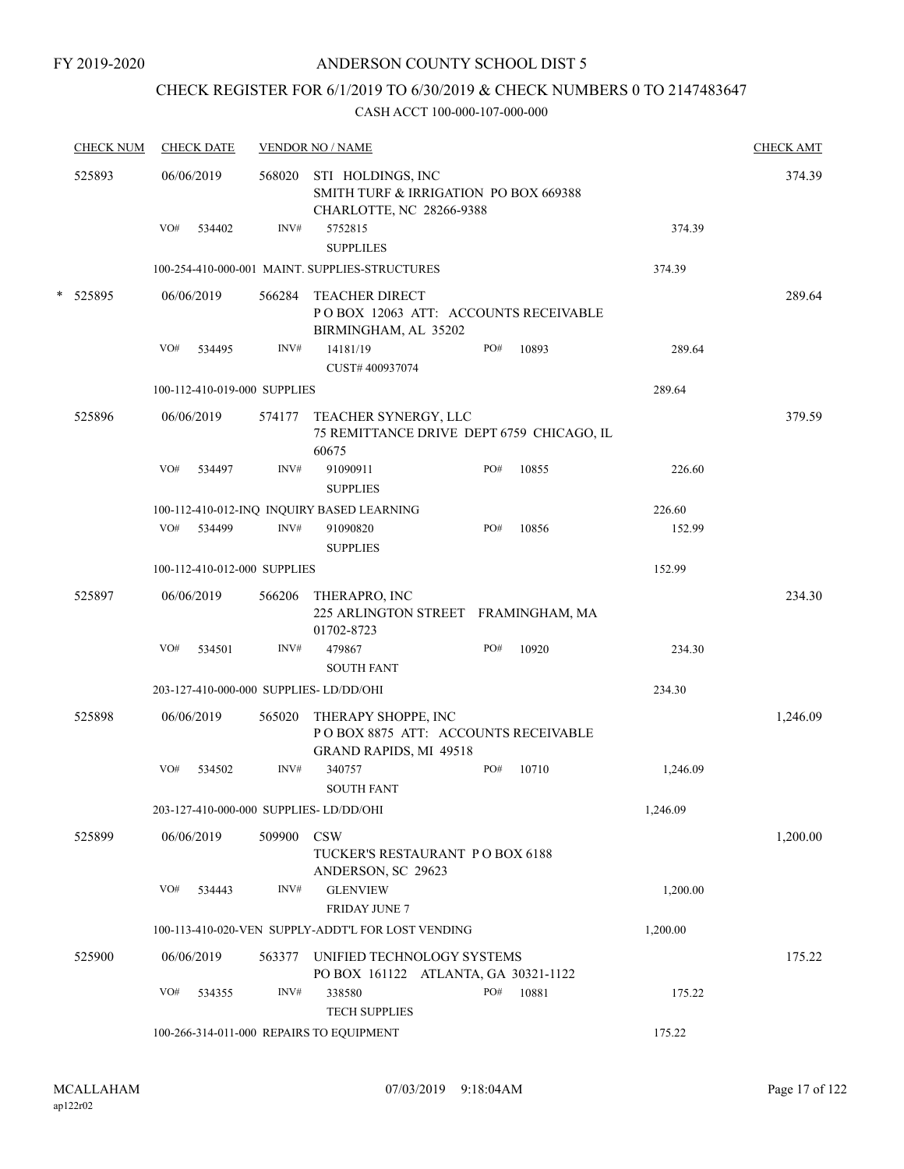# CHECK REGISTER FOR 6/1/2019 TO 6/30/2019 & CHECK NUMBERS 0 TO 2147483647

| <b>CHECK NUM</b> | <b>CHECK DATE</b>                       |        | <b>VENDOR NO / NAME</b>                                                                |     |       |          | <b>CHECK AMT</b> |
|------------------|-----------------------------------------|--------|----------------------------------------------------------------------------------------|-----|-------|----------|------------------|
| 525893           | 06/06/2019                              | 568020 | STI HOLDINGS, INC<br>SMITH TURF & IRRIGATION PO BOX 669388<br>CHARLOTTE, NC 28266-9388 |     |       |          | 374.39           |
|                  | VO#<br>534402                           | INV#   | 5752815<br><b>SUPPLILES</b>                                                            |     |       | 374.39   |                  |
|                  |                                         |        | 100-254-410-000-001 MAINT. SUPPLIES-STRUCTURES                                         |     |       | 374.39   |                  |
| * 525895         | 06/06/2019                              | 566284 | <b>TEACHER DIRECT</b><br>POBOX 12063 ATT: ACCOUNTS RECEIVABLE<br>BIRMINGHAM, AL 35202  |     |       |          | 289.64           |
|                  | VO#<br>534495                           | INV#   | 14181/19                                                                               | PO# | 10893 | 289.64   |                  |
|                  |                                         |        | CUST#400937074                                                                         |     |       |          |                  |
|                  | 100-112-410-019-000 SUPPLIES            |        |                                                                                        |     |       | 289.64   |                  |
| 525896           | 06/06/2019                              | 574177 | TEACHER SYNERGY, LLC<br>75 REMITTANCE DRIVE DEPT 6759 CHICAGO, IL<br>60675             |     |       |          | 379.59           |
|                  | VO#<br>534497                           | INV#   | 91090911<br><b>SUPPLIES</b>                                                            | PO# | 10855 | 226.60   |                  |
|                  |                                         |        | 100-112-410-012-INQ INQUIRY BASED LEARNING                                             |     |       | 226.60   |                  |
|                  | VO# 534499                              | INV#   | 91090820<br><b>SUPPLIES</b>                                                            | PO# | 10856 | 152.99   |                  |
|                  | 100-112-410-012-000 SUPPLIES            |        |                                                                                        |     |       | 152.99   |                  |
| 525897           | 06/06/2019                              | 566206 | THERAPRO, INC<br>225 ARLINGTON STREET FRAMINGHAM, MA<br>01702-8723                     |     |       |          | 234.30           |
|                  | VO#<br>534501                           | INV#   | 479867                                                                                 | PO# | 10920 | 234.30   |                  |
|                  |                                         |        | <b>SOUTH FANT</b>                                                                      |     |       |          |                  |
|                  | 203-127-410-000-000 SUPPLIES- LD/DD/OHI |        |                                                                                        |     |       | 234.30   |                  |
| 525898           | 06/06/2019                              | 565020 | THERAPY SHOPPE, INC<br>POBOX 8875 ATT: ACCOUNTS RECEIVABLE<br>GRAND RAPIDS, MI 49518   |     |       |          | 1,246.09         |
|                  | VO#<br>534502                           | INV#   | 340757<br><b>SOUTH FANT</b>                                                            | PO# | 10710 | 1,246.09 |                  |
|                  | 203-127-410-000-000 SUPPLIES- LD/DD/OHI |        |                                                                                        |     |       | 1,246.09 |                  |
| 525899           | 06/06/2019                              | 509900 | <b>CSW</b><br>TUCKER'S RESTAURANT PO BOX 6188<br>ANDERSON, SC 29623                    |     |       |          | 1,200.00         |
|                  | VO#<br>534443                           | INV#   | <b>GLENVIEW</b><br><b>FRIDAY JUNE 7</b>                                                |     |       | 1,200.00 |                  |
|                  |                                         |        | 100-113-410-020-VEN SUPPLY-ADDT'L FOR LOST VENDING                                     |     |       | 1,200.00 |                  |
| 525900           | 06/06/2019                              | 563377 | UNIFIED TECHNOLOGY SYSTEMS<br>PO BOX 161122 ATLANTA, GA 30321-1122                     |     |       |          | 175.22           |
|                  | VO#<br>534355                           | INV#   | 338580<br><b>TECH SUPPLIES</b>                                                         | PO# | 10881 | 175.22   |                  |
|                  |                                         |        | 100-266-314-011-000 REPAIRS TO EQUIPMENT                                               |     |       | 175.22   |                  |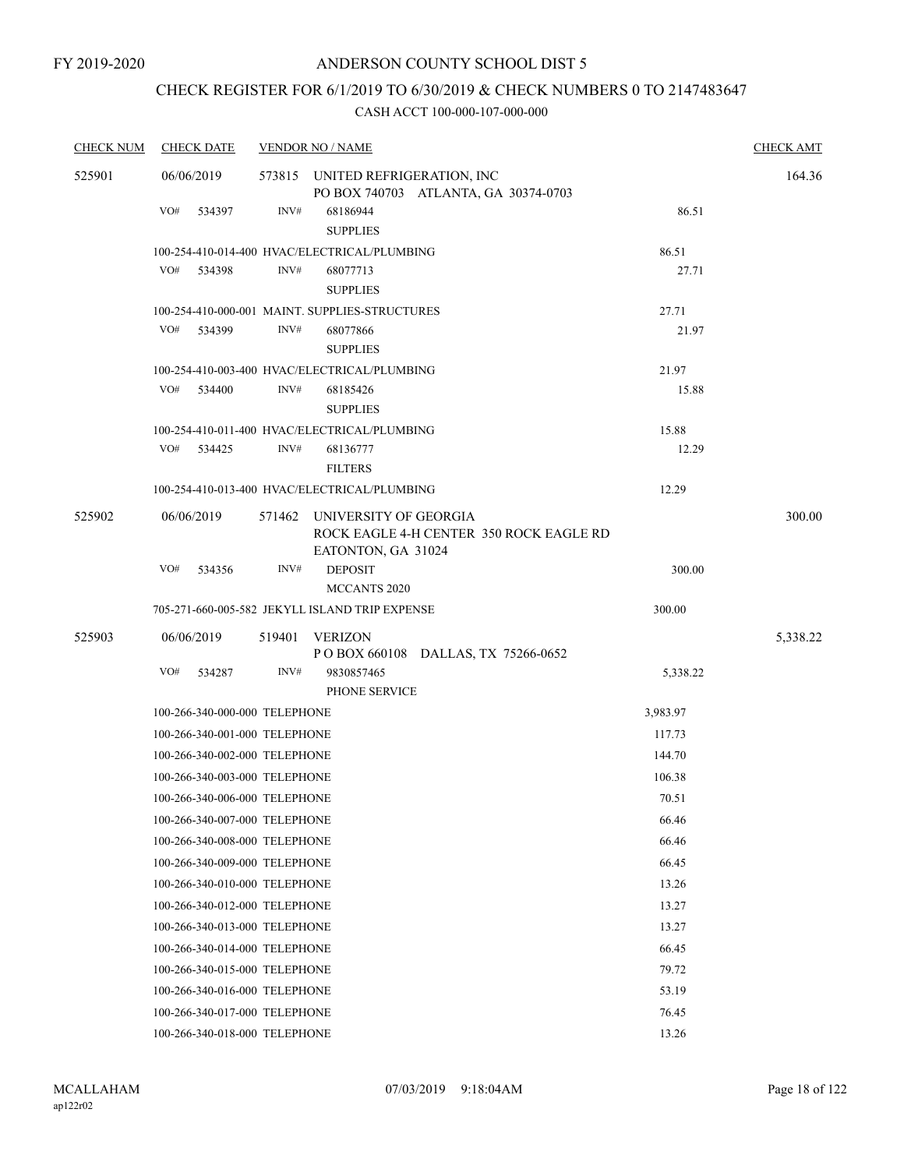# CHECK REGISTER FOR 6/1/2019 TO 6/30/2019 & CHECK NUMBERS 0 TO 2147483647

| <b>CHECK NUM</b> | <b>CHECK DATE</b>                      |                | <b>VENDOR NO / NAME</b>                                                                |          | <b>CHECK AMT</b> |  |  |  |
|------------------|----------------------------------------|----------------|----------------------------------------------------------------------------------------|----------|------------------|--|--|--|
| 525901           | 06/06/2019<br>VO#<br>534397            | INV#           | 573815 UNITED REFRIGERATION, INC<br>PO BOX 740703 ATLANTA, GA 30374-0703<br>68186944   | 86.51    | 164.36           |  |  |  |
|                  |                                        |                | <b>SUPPLIES</b>                                                                        |          |                  |  |  |  |
|                  |                                        |                | 100-254-410-014-400 HVAC/ELECTRICAL/PLUMBING                                           | 86.51    |                  |  |  |  |
|                  | VO#<br>534398                          | INV#           | 68077713<br><b>SUPPLIES</b>                                                            | 27.71    |                  |  |  |  |
|                  |                                        |                | 100-254-410-000-001 MAINT. SUPPLIES-STRUCTURES                                         | 27.71    |                  |  |  |  |
|                  | VO#<br>534399                          | $\text{INV}\#$ | 68077866<br><b>SUPPLIES</b>                                                            | 21.97    |                  |  |  |  |
|                  |                                        |                | 100-254-410-003-400 HVAC/ELECTRICAL/PLUMBING                                           | 21.97    |                  |  |  |  |
|                  | VO#<br>534400                          | INV#           | 68185426<br><b>SUPPLIES</b>                                                            | 15.88    |                  |  |  |  |
|                  |                                        |                | 100-254-410-011-400 HVAC/ELECTRICAL/PLUMBING                                           | 15.88    |                  |  |  |  |
|                  | VO#<br>534425                          | INV#           | 68136777<br><b>FILTERS</b>                                                             | 12.29    |                  |  |  |  |
|                  |                                        |                | 100-254-410-013-400 HVAC/ELECTRICAL/PLUMBING                                           | 12.29    |                  |  |  |  |
| 525902           | 06/06/2019                             | 571462         | UNIVERSITY OF GEORGIA<br>ROCK EAGLE 4-H CENTER 350 ROCK EAGLE RD<br>EATONTON, GA 31024 |          | 300.00           |  |  |  |
|                  | VO#<br>534356                          | INV#           | <b>DEPOSIT</b><br>MCCANTS 2020                                                         | 300.00   |                  |  |  |  |
|                  |                                        |                | 705-271-660-005-582 JEKYLL ISLAND TRIP EXPENSE                                         | 300.00   |                  |  |  |  |
| 525903           | 06/06/2019                             | 519401         | <b>VERIZON</b>                                                                         |          | 5,338.22         |  |  |  |
|                  | VO#<br>534287                          | INV#           | POBOX 660108 DALLAS, TX 75266-0652<br>9830857465<br>PHONE SERVICE                      | 5,338.22 |                  |  |  |  |
|                  | 100-266-340-000-000 TELEPHONE          |                |                                                                                        | 3,983.97 |                  |  |  |  |
|                  | 100-266-340-001-000 TELEPHONE          |                |                                                                                        | 117.73   |                  |  |  |  |
|                  | 100-266-340-002-000 TELEPHONE          |                |                                                                                        | 144.70   |                  |  |  |  |
|                  | 100-266-340-003-000 TELEPHONE          |                |                                                                                        | 106.38   |                  |  |  |  |
|                  | 100-266-340-006-000 TELEPHONE          |                |                                                                                        | 70.51    |                  |  |  |  |
|                  | 100-266-340-007-000 TELEPHONE          |                |                                                                                        | 66.46    |                  |  |  |  |
|                  | 100-266-340-008-000 TELEPHONE          |                |                                                                                        | 66.46    |                  |  |  |  |
|                  | 100-266-340-009-000 TELEPHONE          |                |                                                                                        | 66.45    |                  |  |  |  |
|                  | 100-266-340-010-000 TELEPHONE          |                |                                                                                        | 13.26    |                  |  |  |  |
|                  | 100-266-340-012-000 TELEPHONE          |                |                                                                                        | 13.27    |                  |  |  |  |
|                  | 100-266-340-013-000 TELEPHONE          |                |                                                                                        | 13.27    |                  |  |  |  |
|                  | 100-266-340-014-000 TELEPHONE          |                |                                                                                        | 66.45    |                  |  |  |  |
|                  | 100-266-340-015-000 TELEPHONE<br>79.72 |                |                                                                                        |          |                  |  |  |  |
|                  | 100-266-340-016-000 TELEPHONE          |                |                                                                                        | 53.19    |                  |  |  |  |
|                  | 100-266-340-017-000 TELEPHONE          |                |                                                                                        | 76.45    |                  |  |  |  |
|                  | 100-266-340-018-000 TELEPHONE          |                |                                                                                        | 13.26    |                  |  |  |  |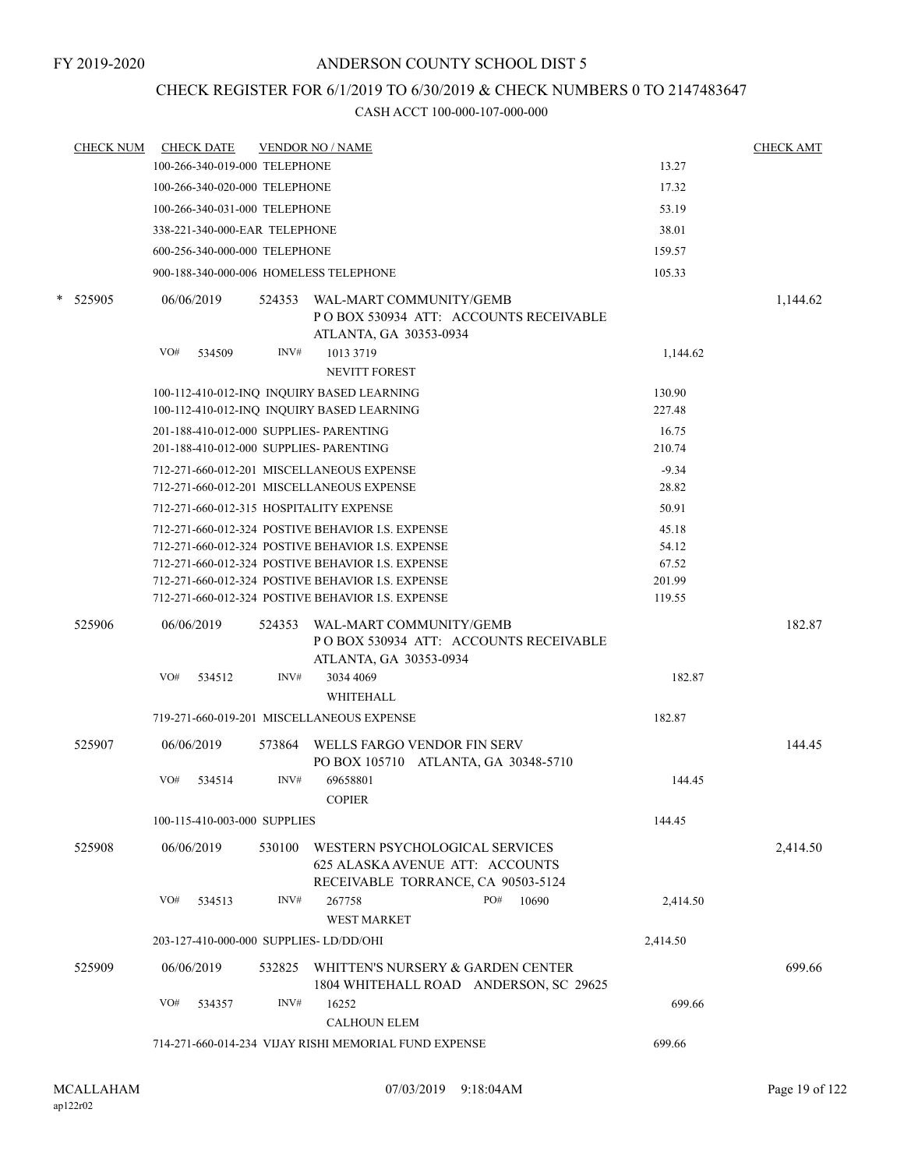# CHECK REGISTER FOR 6/1/2019 TO 6/30/2019 & CHECK NUMBERS 0 TO 2147483647

|   | <b>CHECK NUM</b> |            | <b>CHECK DATE</b>             |        | <b>VENDOR NO / NAME</b>                                                                                 |                 | <b>CHECK AMT</b> |
|---|------------------|------------|-------------------------------|--------|---------------------------------------------------------------------------------------------------------|-----------------|------------------|
|   |                  |            | 100-266-340-019-000 TELEPHONE |        |                                                                                                         | 13.27           |                  |
|   |                  |            | 100-266-340-020-000 TELEPHONE |        |                                                                                                         | 17.32           |                  |
|   |                  |            | 100-266-340-031-000 TELEPHONE |        |                                                                                                         | 53.19           |                  |
|   |                  |            | 338-221-340-000-EAR TELEPHONE |        |                                                                                                         | 38.01           |                  |
|   |                  |            | 600-256-340-000-000 TELEPHONE |        |                                                                                                         | 159.57          |                  |
|   |                  |            |                               |        | 900-188-340-000-006 HOMELESS TELEPHONE                                                                  | 105.33          |                  |
| * | 525905           | 06/06/2019 |                               | 524353 | WAL-MART COMMUNITY/GEMB<br>PO BOX 530934 ATT: ACCOUNTS RECEIVABLE<br>ATLANTA, GA 30353-0934             |                 | 1,144.62         |
|   |                  | VO#        | 534509                        | INV#   | 1013 3719                                                                                               | 1,144.62        |                  |
|   |                  |            |                               |        | <b>NEVITT FOREST</b>                                                                                    | 130.90          |                  |
|   |                  |            |                               |        | 100-112-410-012-INQ INQUIRY BASED LEARNING<br>100-112-410-012-INQ INQUIRY BASED LEARNING                | 227.48          |                  |
|   |                  |            |                               |        | 201-188-410-012-000 SUPPLIES- PARENTING                                                                 | 16.75           |                  |
|   |                  |            |                               |        | 201-188-410-012-000 SUPPLIES- PARENTING                                                                 | 210.74          |                  |
|   |                  |            |                               |        | 712-271-660-012-201 MISCELLANEOUS EXPENSE                                                               | $-9.34$         |                  |
|   |                  |            |                               |        | 712-271-660-012-201 MISCELLANEOUS EXPENSE                                                               | 28.82           |                  |
|   |                  |            |                               |        | 712-271-660-012-315 HOSPITALITY EXPENSE                                                                 | 50.91           |                  |
|   |                  |            |                               |        | 712-271-660-012-324 POSTIVE BEHAVIOR I.S. EXPENSE                                                       | 45.18           |                  |
|   |                  |            |                               |        | 712-271-660-012-324 POSTIVE BEHAVIOR I.S. EXPENSE                                                       | 54.12           |                  |
|   |                  |            |                               |        | 712-271-660-012-324 POSTIVE BEHAVIOR I.S. EXPENSE<br>712-271-660-012-324 POSTIVE BEHAVIOR I.S. EXPENSE  | 67.52<br>201.99 |                  |
|   |                  |            |                               |        | 712-271-660-012-324 POSTIVE BEHAVIOR I.S. EXPENSE                                                       | 119.55          |                  |
|   | 525906           | 06/06/2019 |                               | 524353 | WAL-MART COMMUNITY/GEMB<br>POBOX 530934 ATT: ACCOUNTS RECEIVABLE<br>ATLANTA, GA 30353-0934              |                 | 182.87           |
|   |                  | VO#        | 534512                        | INV#   | 3034 4069<br>WHITEHALL                                                                                  | 182.87          |                  |
|   |                  |            |                               |        | 719-271-660-019-201 MISCELLANEOUS EXPENSE                                                               | 182.87          |                  |
|   | 525907           | 06/06/2019 |                               | 573864 | WELLS FARGO VENDOR FIN SERV<br>PO BOX 105710 ATLANTA, GA 30348-5710                                     |                 | 144.45           |
|   |                  | VO#        | 534514                        | INV#   | 69658801<br><b>COPIER</b>                                                                               | 144.45          |                  |
|   |                  |            | 100-115-410-003-000 SUPPLIES  |        |                                                                                                         | 144.45          |                  |
|   | 525908           | 06/06/2019 |                               | 530100 | WESTERN PSYCHOLOGICAL SERVICES<br>625 ALASKA AVENUE ATT: ACCOUNTS<br>RECEIVABLE TORRANCE, CA 90503-5124 |                 | 2,414.50         |
|   |                  | VO#        | 534513                        | INV#   | 10690<br>267758<br>PO#<br><b>WEST MARKET</b>                                                            | 2,414.50        |                  |
|   |                  |            |                               |        | 203-127-410-000-000 SUPPLIES-LD/DD/OHI                                                                  | 2,414.50        |                  |
|   | 525909           | 06/06/2019 |                               |        | 532825 WHITTEN'S NURSERY & GARDEN CENTER                                                                |                 | 699.66           |
|   |                  | VO#        | 534357                        | INV#   | 1804 WHITEHALL ROAD ANDERSON, SC 29625<br>16252                                                         | 699.66          |                  |
|   |                  |            |                               |        | <b>CALHOUN ELEM</b>                                                                                     |                 |                  |
|   |                  |            |                               |        | 714-271-660-014-234 VIJAY RISHI MEMORIAL FUND EXPENSE                                                   | 699.66          |                  |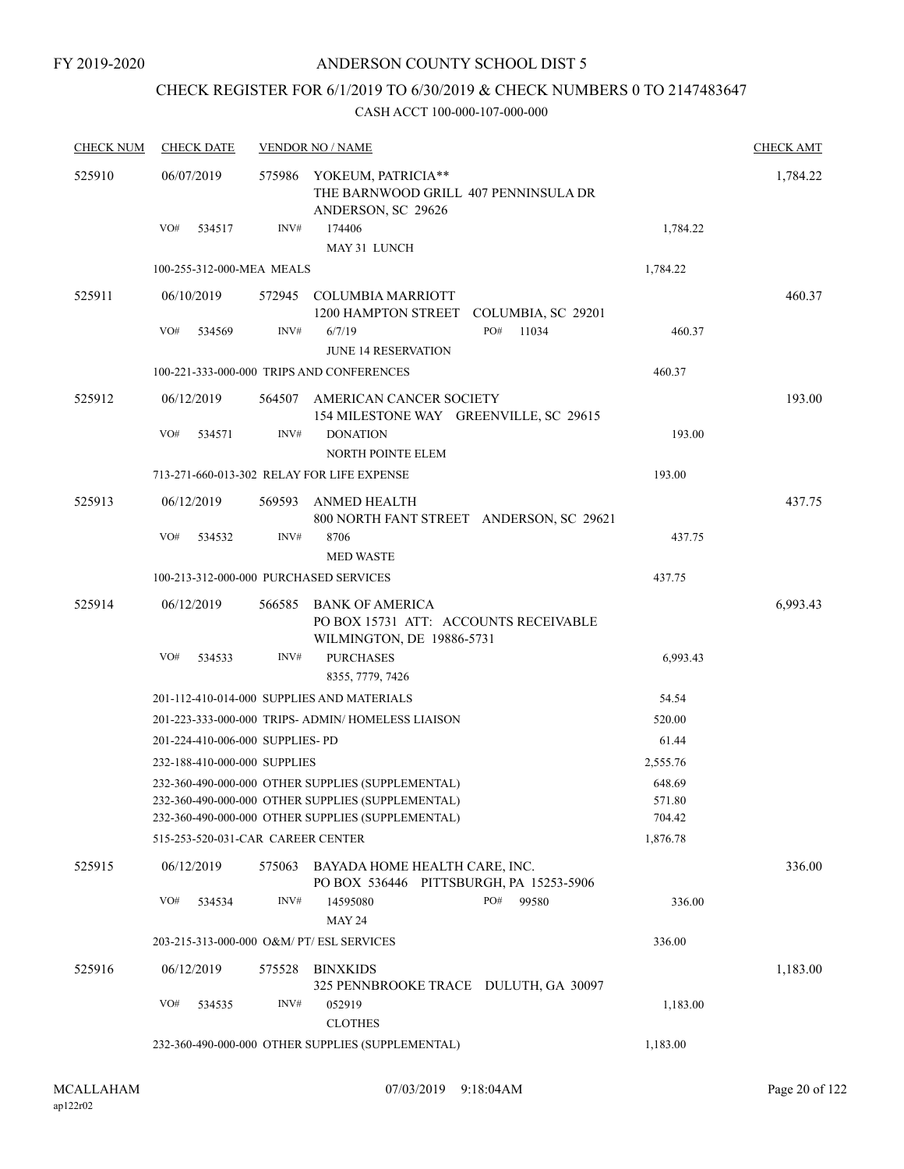FY 2019-2020

# ANDERSON COUNTY SCHOOL DIST 5

# CHECK REGISTER FOR 6/1/2019 TO 6/30/2019 & CHECK NUMBERS 0 TO 2147483647

| <b>CHECK NUM</b> | <b>CHECK DATE</b>                         |        | <b>VENDOR NO / NAME</b>                                                                                |              |                  | <b>CHECK AMT</b> |
|------------------|-------------------------------------------|--------|--------------------------------------------------------------------------------------------------------|--------------|------------------|------------------|
| 525910           | 06/07/2019                                | 575986 | YOKEUM, PATRICIA**<br>THE BARNWOOD GRILL 407 PENNINSULA DR<br>ANDERSON, SC 29626                       |              |                  | 1,784.22         |
|                  | VO#<br>534517                             | INV#   | 174406<br>MAY 31 LUNCH                                                                                 |              | 1,784.22         |                  |
|                  | 100-255-312-000-MEA MEALS                 |        |                                                                                                        |              | 1,784.22         |                  |
| 525911           | 06/10/2019                                |        | 572945 COLUMBIA MARRIOTT<br>1200 HAMPTON STREET COLUMBIA, SC 29201                                     |              |                  | 460.37           |
|                  | VO#<br>534569                             | INV#   | 6/7/19<br><b>JUNE 14 RESERVATION</b>                                                                   | PO#<br>11034 | 460.37           |                  |
|                  |                                           |        | 100-221-333-000-000 TRIPS AND CONFERENCES                                                              |              | 460.37           |                  |
| 525912           | 06/12/2019                                |        | 564507 AMERICAN CANCER SOCIETY<br>154 MILESTONE WAY GREENVILLE, SC 29615                               |              |                  | 193.00           |
|                  | VO#<br>534571                             | INV#   | <b>DONATION</b><br>NORTH POINTE ELEM                                                                   |              | 193.00           |                  |
|                  |                                           |        | 713-271-660-013-302 RELAY FOR LIFE EXPENSE                                                             |              | 193.00           |                  |
| 525913           | 06/12/2019                                | 569593 | ANMED HEALTH<br>800 NORTH FANT STREET ANDERSON, SC 29621                                               |              |                  | 437.75           |
|                  | VO#<br>534532                             | INV#   | 8706<br><b>MED WASTE</b>                                                                               |              | 437.75           |                  |
|                  | 100-213-312-000-000 PURCHASED SERVICES    |        |                                                                                                        |              | 437.75           |                  |
| 525914           | 06/12/2019                                | 566585 | <b>BANK OF AMERICA</b><br>PO BOX 15731 ATT: ACCOUNTS RECEIVABLE<br>WILMINGTON, DE 19886-5731           |              |                  | 6,993.43         |
|                  | VO#<br>534533                             | INV#   | <b>PURCHASES</b><br>8355, 7779, 7426                                                                   |              | 6,993.43         |                  |
|                  |                                           |        | 201-112-410-014-000 SUPPLIES AND MATERIALS                                                             |              | 54.54            |                  |
|                  |                                           |        | 201-223-333-000-000 TRIPS- ADMIN/HOMELESS LIAISON                                                      |              | 520.00           |                  |
|                  | 201-224-410-006-000 SUPPLIES- PD          |        |                                                                                                        |              | 61.44            |                  |
|                  | 232-188-410-000-000 SUPPLIES              |        |                                                                                                        |              | 2,555.76         |                  |
|                  |                                           |        | 232-360-490-000-000 OTHER SUPPLIES (SUPPLEMENTAL)                                                      |              | 648.69           |                  |
|                  |                                           |        | 232-360-490-000-000 OTHER SUPPLIES (SUPPLEMENTAL)<br>232-360-490-000-000 OTHER SUPPLIES (SUPPLEMENTAL) |              | 571.80<br>704.42 |                  |
|                  | 515-253-520-031-CAR CAREER CENTER         |        |                                                                                                        |              | 1,876.78         |                  |
| 525915           | 06/12/2019                                | 575063 | BAYADA HOME HEALTH CARE, INC.<br>PO BOX 536446 PITTSBURGH, PA 15253-5906                               |              |                  | 336.00           |
|                  | VO#<br>534534                             | INV#   | 14595080<br><b>MAY 24</b>                                                                              | PO#<br>99580 | 336.00           |                  |
|                  | 203-215-313-000-000 O&M/ PT/ ESL SERVICES |        |                                                                                                        |              | 336.00           |                  |
| 525916           | 06/12/2019                                | 575528 | <b>BINXKIDS</b>                                                                                        |              |                  | 1,183.00         |
|                  | VO#<br>534535                             | INV#   | 325 PENNBROOKE TRACE DULUTH, GA 30097<br>052919<br><b>CLOTHES</b>                                      |              | 1,183.00         |                  |
|                  |                                           |        | 232-360-490-000-000 OTHER SUPPLIES (SUPPLEMENTAL)                                                      |              | 1,183.00         |                  |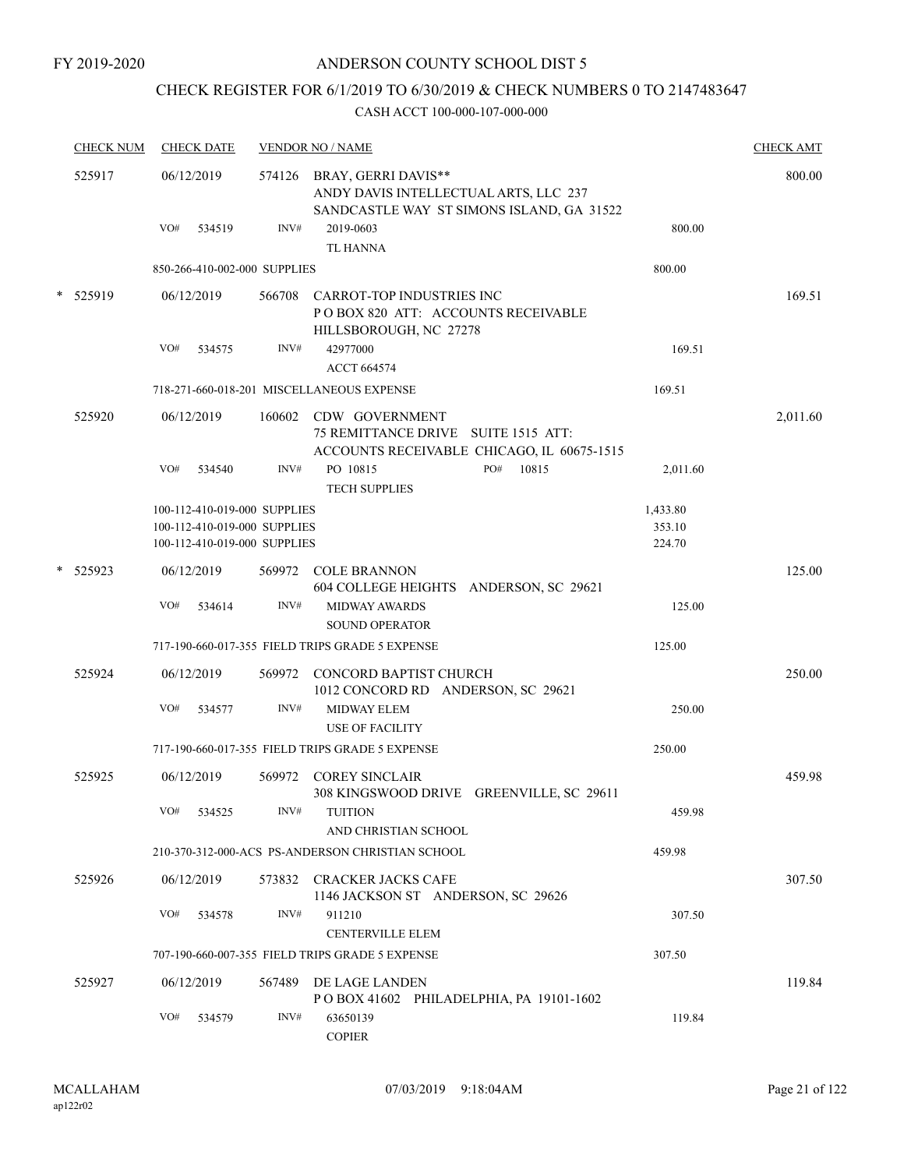# CHECK REGISTER FOR 6/1/2019 TO 6/30/2019 & CHECK NUMBERS 0 TO 2147483647

| <b>CHECK NUM</b> | <b>CHECK DATE</b>            |        | <b>VENDOR NO / NAME</b>                                                                                          |          | <b>CHECK AMT</b> |
|------------------|------------------------------|--------|------------------------------------------------------------------------------------------------------------------|----------|------------------|
| 525917           | 06/12/2019                   |        | 574126 BRAY, GERRI DAVIS**<br>ANDY DAVIS INTELLECTUAL ARTS, LLC 237<br>SANDCASTLE WAY ST SIMONS ISLAND, GA 31522 |          | 800.00           |
|                  | VO#<br>534519                | INV#   | 2019-0603<br><b>TL HANNA</b>                                                                                     | 800.00   |                  |
|                  | 850-266-410-002-000 SUPPLIES |        |                                                                                                                  | 800.00   |                  |
| * 525919         | 06/12/2019                   |        | 566708 CARROT-TOP INDUSTRIES INC<br>POBOX 820 ATT: ACCOUNTS RECEIVABLE<br>HILLSBOROUGH, NC 27278                 |          | 169.51           |
|                  | VO#<br>534575                | INV#   | 42977000<br><b>ACCT 664574</b>                                                                                   | 169.51   |                  |
|                  |                              |        | 718-271-660-018-201 MISCELLANEOUS EXPENSE                                                                        | 169.51   |                  |
| 525920           | 06/12/2019                   |        | 160602 CDW GOVERNMENT<br>75 REMITTANCE DRIVE SUITE 1515 ATT:<br>ACCOUNTS RECEIVABLE CHICAGO, IL 60675-1515       |          | 2,011.60         |
|                  | VO#<br>534540                | INV#   | PO 10815<br>PO#<br>10815<br><b>TECH SUPPLIES</b>                                                                 | 2,011.60 |                  |
|                  | 100-112-410-019-000 SUPPLIES |        |                                                                                                                  | 1,433.80 |                  |
|                  | 100-112-410-019-000 SUPPLIES |        |                                                                                                                  | 353.10   |                  |
|                  | 100-112-410-019-000 SUPPLIES |        |                                                                                                                  | 224.70   |                  |
| * 525923         | 06/12/2019                   |        | 569972 COLE BRANNON<br>604 COLLEGE HEIGHTS ANDERSON, SC 29621                                                    |          | 125.00           |
|                  | VO#<br>534614                | INV#   | <b>MIDWAY AWARDS</b><br><b>SOUND OPERATOR</b>                                                                    | 125.00   |                  |
|                  |                              |        | 717-190-660-017-355 FIELD TRIPS GRADE 5 EXPENSE                                                                  | 125.00   |                  |
| 525924           | 06/12/2019                   |        | 569972 CONCORD BAPTIST CHURCH<br>1012 CONCORD RD ANDERSON, SC 29621                                              |          | 250.00           |
|                  | VO#<br>534577                | INV#   | <b>MIDWAY ELEM</b><br><b>USE OF FACILITY</b>                                                                     | 250.00   |                  |
|                  |                              |        | 717-190-660-017-355 FIELD TRIPS GRADE 5 EXPENSE                                                                  | 250.00   |                  |
| 525925           | 06/12/2019                   | 569972 | <b>COREY SINCLAIR</b><br>308 KINGSWOOD DRIVE GREENVILLE, SC 29611                                                |          | 459.98           |
|                  | VO#<br>534525                | INV#   | <b>TUITION</b><br>AND CHRISTIAN SCHOOL                                                                           | 459.98   |                  |
|                  |                              |        | 210-370-312-000-ACS PS-ANDERSON CHRISTIAN SCHOOL                                                                 | 459.98   |                  |
| 525926           | 06/12/2019                   | 573832 | <b>CRACKER JACKS CAFE</b><br>1146 JACKSON ST ANDERSON, SC 29626                                                  |          | 307.50           |
|                  | VO#<br>534578                | INV#   | 911210<br><b>CENTERVILLE ELEM</b>                                                                                | 307.50   |                  |
|                  |                              |        | 707-190-660-007-355 FIELD TRIPS GRADE 5 EXPENSE                                                                  | 307.50   |                  |
| 525927           | 06/12/2019                   | 567489 | DE LAGE LANDEN<br>POBOX 41602 PHILADELPHIA, PA 19101-1602                                                        |          | 119.84           |
|                  | VO#<br>534579                | INV#   | 63650139<br><b>COPIER</b>                                                                                        | 119.84   |                  |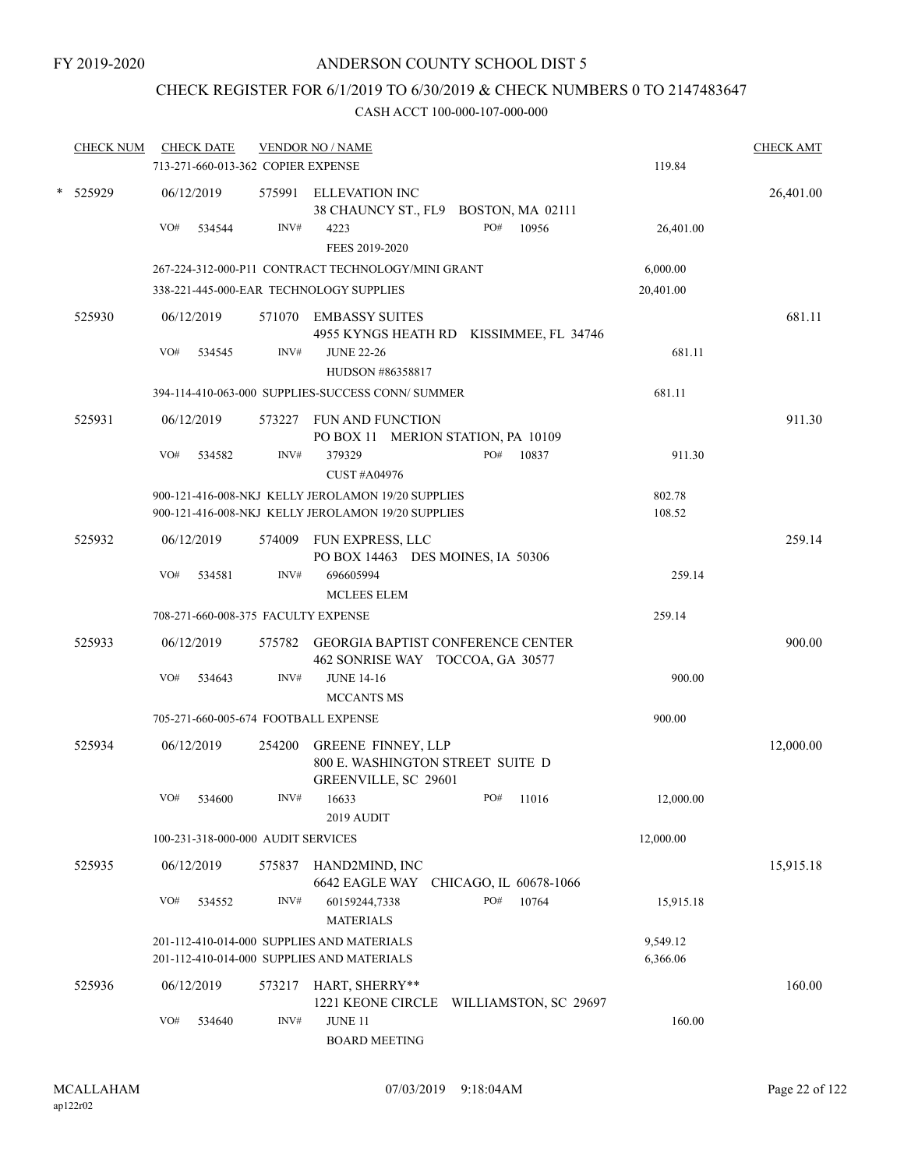# CHECK REGISTER FOR 6/1/2019 TO 6/30/2019 & CHECK NUMBERS 0 TO 2147483647

|   | <b>CHECK NUM</b> |     | <b>CHECK DATE</b>                  |        | <b>VENDOR NO / NAME</b>                                                                                  |                      | <b>CHECK AMT</b> |
|---|------------------|-----|------------------------------------|--------|----------------------------------------------------------------------------------------------------------|----------------------|------------------|
|   |                  |     | 713-271-660-013-362 COPIER EXPENSE |        |                                                                                                          | 119.84               |                  |
| * | 525929           |     | 06/12/2019                         |        | 575991 ELLEVATION INC<br>38 CHAUNCY ST., FL9 BOSTON, MA 02111                                            |                      | 26,401.00        |
|   |                  | VO# | 534544                             | INV#   | PO#<br>4223<br>10956<br>FEES 2019-2020                                                                   | 26,401.00            |                  |
|   |                  |     |                                    |        | 267-224-312-000-P11 CONTRACT TECHNOLOGY/MINI GRANT                                                       | 6,000.00             |                  |
|   |                  |     |                                    |        | 338-221-445-000-EAR TECHNOLOGY SUPPLIES                                                                  | 20,401.00            |                  |
|   | 525930           |     | 06/12/2019                         |        | 571070 EMBASSY SUITES<br>4955 KYNGS HEATH RD KISSIMMEE, FL 34746                                         |                      | 681.11           |
|   |                  | VO# | 534545                             | INV#   | <b>JUNE 22-26</b><br>HUDSON #86358817                                                                    | 681.11               |                  |
|   |                  |     |                                    |        | 394-114-410-063-000 SUPPLIES-SUCCESS CONN/ SUMMER                                                        | 681.11               |                  |
|   | 525931           |     | 06/12/2019                         |        | 573227 FUN AND FUNCTION<br>PO BOX 11 MERION STATION, PA 10109                                            |                      | 911.30           |
|   |                  | VO# | 534582                             | INV#   | 379329<br>PO#<br>10837<br><b>CUST #A04976</b>                                                            | 911.30               |                  |
|   |                  |     |                                    |        | 900-121-416-008-NKJ KELLY JEROLAMON 19/20 SUPPLIES<br>900-121-416-008-NKJ KELLY JEROLAMON 19/20 SUPPLIES | 802.78<br>108.52     |                  |
|   | 525932           |     | 06/12/2019                         | 574009 | FUN EXPRESS, LLC<br>PO BOX 14463 DES MOINES, IA 50306                                                    |                      | 259.14           |
|   |                  | VO# | 534581                             | INV#   | 696605994<br><b>MCLEES ELEM</b>                                                                          | 259.14               |                  |
|   |                  |     |                                    |        | 708-271-660-008-375 FACULTY EXPENSE                                                                      | 259.14               |                  |
|   | 525933           |     | 06/12/2019                         |        | 575782 GEORGIA BAPTIST CONFERENCE CENTER<br>462 SONRISE WAY TOCCOA, GA 30577                             |                      | 900.00           |
|   |                  | VO# | 534643                             | INV#   | <b>JUNE 14-16</b><br>MCCANTS MS                                                                          | 900.00               |                  |
|   |                  |     |                                    |        | 705-271-660-005-674 FOOTBALL EXPENSE                                                                     | 900.00               |                  |
|   | 525934           |     | 06/12/2019                         | 254200 | <b>GREENE FINNEY, LLP</b><br>800 E. WASHINGTON STREET SUITE D<br>GREENVILLE, SC 29601                    |                      | 12,000.00        |
|   |                  | VO# | 534600                             | INV#   | PO# 11016<br>16633<br>2019 AUDIT                                                                         | 12,000.00            |                  |
|   |                  |     | 100-231-318-000-000 AUDIT SERVICES |        |                                                                                                          | 12,000.00            |                  |
|   | 525935           |     | 06/12/2019                         |        | 575837 HAND2MIND, INC<br>6642 EAGLE WAY CHICAGO, IL 60678-1066                                           |                      | 15,915.18        |
|   |                  | VO# | 534552                             | INV#   | PO#<br>10764<br>60159244,7338<br><b>MATERIALS</b>                                                        | 15,915.18            |                  |
|   |                  |     |                                    |        | 201-112-410-014-000 SUPPLIES AND MATERIALS<br>201-112-410-014-000 SUPPLIES AND MATERIALS                 | 9,549.12<br>6,366.06 |                  |
|   | 525936           |     | 06/12/2019                         |        | 573217 HART, SHERRY**<br>1221 KEONE CIRCLE WILLIAMSTON, SC 29697                                         |                      | 160.00           |
|   |                  | VO# | 534640                             | INV#   | JUNE 11<br><b>BOARD MEETING</b>                                                                          | 160.00               |                  |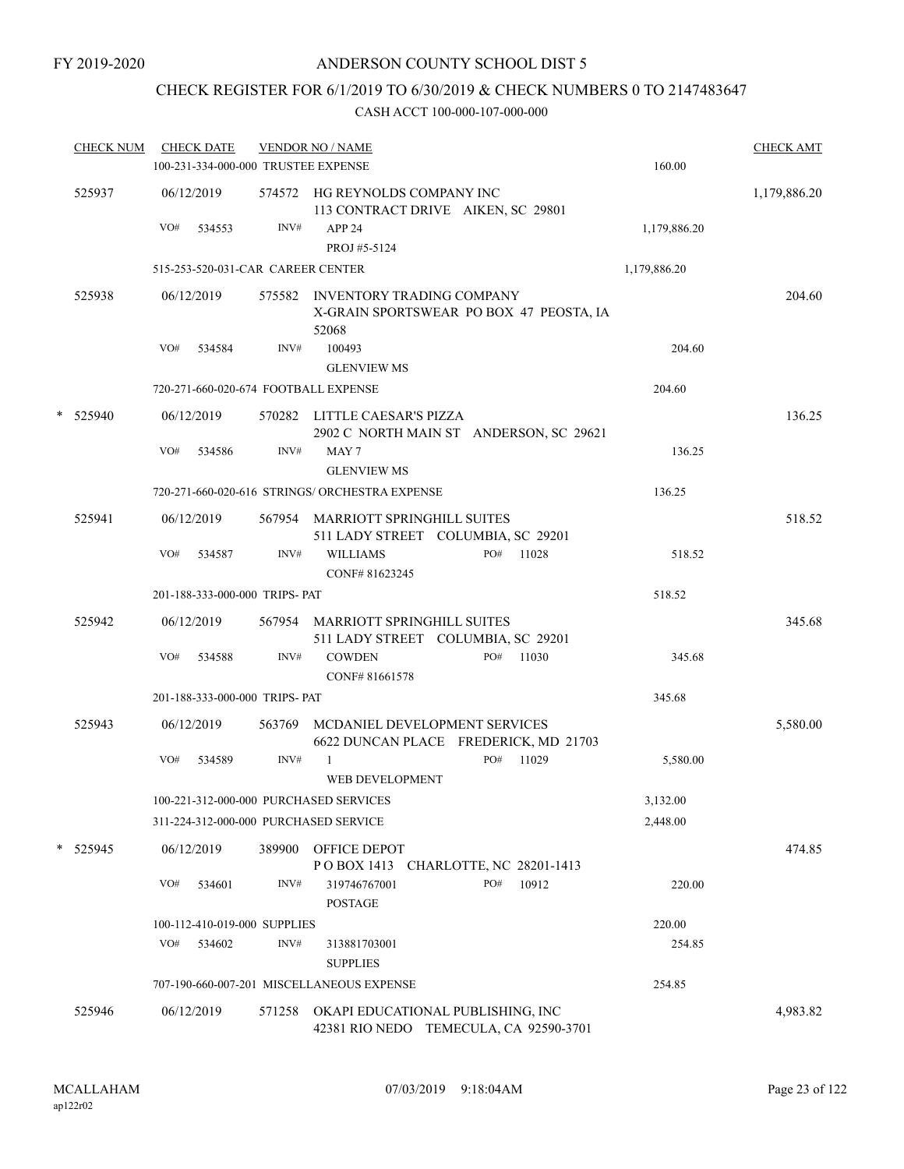# CHECK REGISTER FOR 6/1/2019 TO 6/30/2019 & CHECK NUMBERS 0 TO 2147483647

| <b>CHECK NUM</b> | <b>CHECK DATE</b><br>100-231-334-000-000 TRUSTEE EXPENSE |      | <b>VENDOR NO / NAME</b>                                                              | 160.00       | <b>CHECK AMT</b> |
|------------------|----------------------------------------------------------|------|--------------------------------------------------------------------------------------|--------------|------------------|
| 525937           | 06/12/2019                                               |      | 574572 HG REYNOLDS COMPANY INC<br>113 CONTRACT DRIVE AIKEN, SC 29801                 |              | 1,179,886.20     |
|                  | VO#<br>534553                                            | INV# | APP <sub>24</sub><br>PROJ #5-5124                                                    | 1,179,886.20 |                  |
|                  | 515-253-520-031-CAR CAREER CENTER                        |      |                                                                                      | 1,179,886.20 |                  |
| 525938           | 06/12/2019                                               |      | 575582 INVENTORY TRADING COMPANY<br>X-GRAIN SPORTSWEAR PO BOX 47 PEOSTA, IA<br>52068 |              | 204.60           |
|                  | VO#<br>534584                                            | INV# | 100493                                                                               | 204.60       |                  |
|                  |                                                          |      | <b>GLENVIEW MS</b>                                                                   |              |                  |
|                  | 720-271-660-020-674 FOOTBALL EXPENSE                     |      |                                                                                      | 204.60       |                  |
| * 525940         | 06/12/2019<br>VO#<br>534586                              | INV# | 570282 LITTLE CAESAR'S PIZZA<br>2902 C NORTH MAIN ST ANDERSON, SC 29621<br>MAY 7     | 136.25       | 136.25           |
|                  |                                                          |      | <b>GLENVIEW MS</b>                                                                   |              |                  |
|                  |                                                          |      | 720-271-660-020-616 STRINGS/ ORCHESTRA EXPENSE                                       | 136.25       |                  |
| 525941           | 06/12/2019                                               |      | 567954 MARRIOTT SPRINGHILL SUITES<br>511 LADY STREET COLUMBIA, SC 29201              |              | 518.52           |
|                  | VO#<br>534587                                            | INV# | <b>WILLIAMS</b><br>PO# 11028<br>CONF#81623245                                        | 518.52       |                  |
|                  | 201-188-333-000-000 TRIPS- PAT                           |      |                                                                                      | 518.52       |                  |
| 525942           | 06/12/2019                                               |      | 567954 MARRIOTT SPRINGHILL SUITES<br>511 LADY STREET COLUMBIA, SC 29201              |              | 345.68           |
|                  | VO#<br>534588                                            | INV# | <b>COWDEN</b><br>PO#<br>11030<br>CONF#81661578                                       | 345.68       |                  |
|                  | 201-188-333-000-000 TRIPS- PAT                           |      |                                                                                      | 345.68       |                  |
| 525943           | 06/12/2019                                               |      | 563769 MCDANIEL DEVELOPMENT SERVICES                                                 |              | 5,580.00         |
|                  | VO#<br>534589                                            | INV# | 6622 DUNCAN PLACE FREDERICK, MD 21703<br>PO#<br>11029<br>-1<br>WEB DEVELOPMENT       | 5,580.00     |                  |
|                  | 100-221-312-000-000 PURCHASED SERVICES                   |      |                                                                                      | 3,132.00     |                  |
|                  | 311-224-312-000-000 PURCHASED SERVICE                    |      |                                                                                      | 2,448.00     |                  |
| * 525945         | 06/12/2019                                               |      | 389900 OFFICE DEPOT<br>POBOX 1413 CHARLOTTE, NC 28201-1413                           |              | 474.85           |
|                  | VO#<br>534601                                            | INV# | PO#<br>10912<br>319746767001<br><b>POSTAGE</b>                                       | 220.00       |                  |
|                  | 100-112-410-019-000 SUPPLIES                             |      |                                                                                      | 220.00       |                  |
|                  | VO#<br>534602                                            | INV# | 313881703001<br><b>SUPPLIES</b>                                                      | 254.85       |                  |
|                  |                                                          |      | 707-190-660-007-201 MISCELLANEOUS EXPENSE                                            | 254.85       |                  |
| 525946           | 06/12/2019                                               |      | 571258 OKAPI EDUCATIONAL PUBLISHING, INC<br>42381 RIO NEDO TEMECULA, CA 92590-3701   |              | 4,983.82         |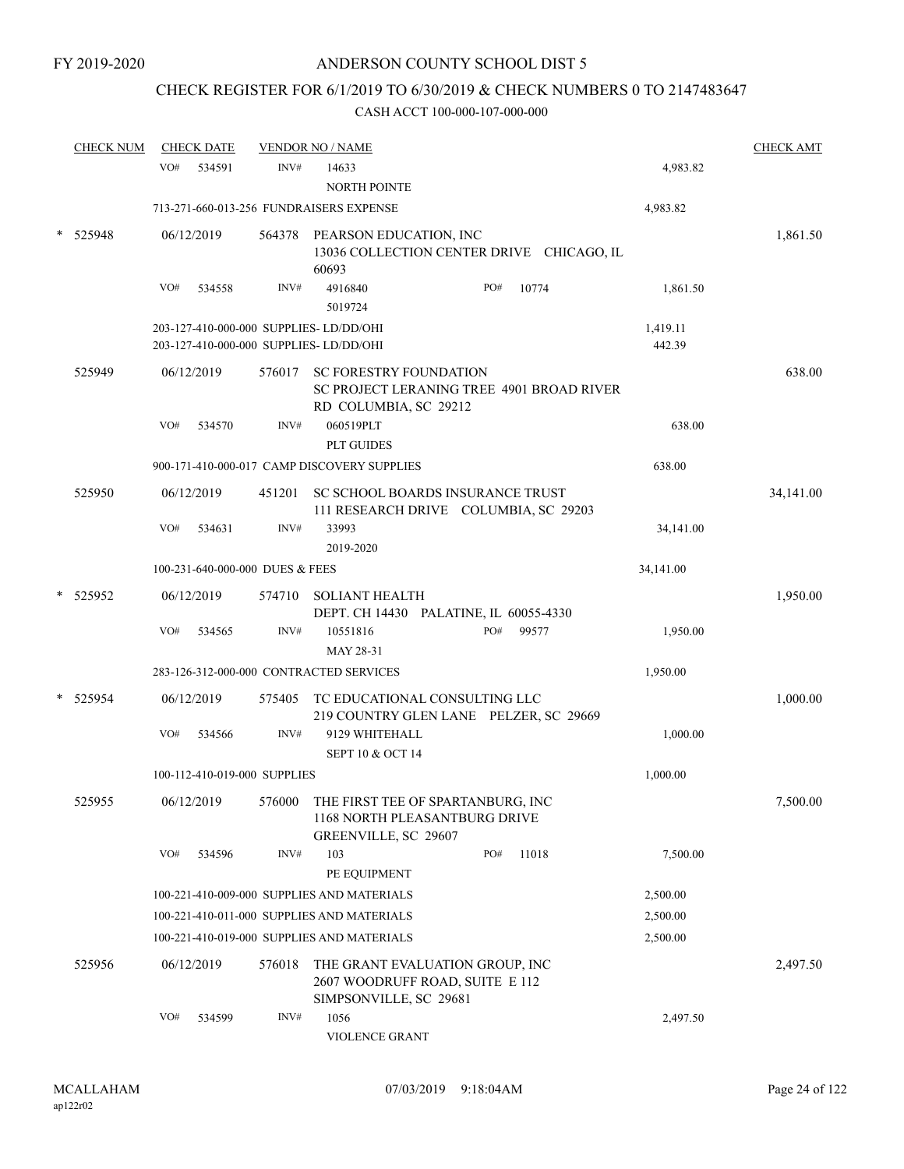# CHECK REGISTER FOR 6/1/2019 TO 6/30/2019 & CHECK NUMBERS 0 TO 2147483647

| <b>CHECK NUM</b> | <b>CHECK DATE</b>                                                                  |        | <b>VENDOR NO / NAME</b>                                                                           |                                           |                    | <b>CHECK AMT</b> |
|------------------|------------------------------------------------------------------------------------|--------|---------------------------------------------------------------------------------------------------|-------------------------------------------|--------------------|------------------|
|                  | VO#<br>534591                                                                      | INV#   | 14633<br>NORTH POINTE                                                                             |                                           | 4,983.82           |                  |
|                  | 713-271-660-013-256 FUNDRAISERS EXPENSE                                            |        |                                                                                                   |                                           | 4,983.82           |                  |
| 525948           | 06/12/2019                                                                         | 564378 | PEARSON EDUCATION, INC<br>60693                                                                   | 13036 COLLECTION CENTER DRIVE CHICAGO, IL |                    | 1,861.50         |
|                  | VO#<br>534558                                                                      | INV#   | 4916840<br>5019724                                                                                | PO#<br>10774                              | 1,861.50           |                  |
|                  | 203-127-410-000-000 SUPPLIES- LD/DD/OHI<br>203-127-410-000-000 SUPPLIES- LD/DD/OHI |        |                                                                                                   |                                           | 1,419.11<br>442.39 |                  |
| 525949           | 06/12/2019                                                                         | 576017 | SC FORESTRY FOUNDATION<br>RD COLUMBIA, SC 29212                                                   | SC PROJECT LERANING TREE 4901 BROAD RIVER |                    | 638.00           |
|                  | VO#<br>534570                                                                      | INV#   | 060519PLT<br><b>PLT GUIDES</b>                                                                    |                                           | 638.00             |                  |
|                  |                                                                                    |        | 900-171-410-000-017 CAMP DISCOVERY SUPPLIES                                                       |                                           | 638.00             |                  |
| 525950           | 06/12/2019                                                                         | 451201 | SC SCHOOL BOARDS INSURANCE TRUST                                                                  | 111 RESEARCH DRIVE COLUMBIA, SC 29203     |                    | 34,141.00        |
|                  | VO#<br>534631                                                                      | INV#   | 33993<br>2019-2020                                                                                |                                           | 34,141.00          |                  |
|                  | 100-231-640-000-000 DUES & FEES                                                    |        |                                                                                                   |                                           | 34,141.00          |                  |
| * 525952         | 06/12/2019                                                                         | 574710 | <b>SOLIANT HEALTH</b><br>DEPT. CH 14430 PALATINE, IL 60055-4330                                   |                                           |                    | 1,950.00         |
|                  | VO#<br>534565                                                                      | INV#   | 10551816<br>MAY 28-31                                                                             | PO#<br>99577                              | 1,950.00           |                  |
|                  | 283-126-312-000-000 CONTRACTED SERVICES                                            |        |                                                                                                   |                                           | 1,950.00           |                  |
| 525954           | 06/12/2019                                                                         | 575405 | TC EDUCATIONAL CONSULTING LLC                                                                     | 219 COUNTRY GLEN LANE PELZER, SC 29669    |                    | 1,000.00         |
|                  | VO#<br>534566                                                                      | INV#   | 9129 WHITEHALL<br><b>SEPT 10 &amp; OCT 14</b>                                                     |                                           | 1,000.00           |                  |
|                  | 100-112-410-019-000 SUPPLIES                                                       |        |                                                                                                   |                                           | 1,000.00           |                  |
| 525955           | 06/12/2019                                                                         |        | 576000 THE FIRST TEE OF SPARTANBURG, INC<br>1168 NORTH PLEASANTBURG DRIVE<br>GREENVILLE, SC 29607 |                                           |                    | 7,500.00         |
|                  | VO#<br>534596                                                                      | INV#   | 103<br>PE EQUIPMENT                                                                               | PO#<br>11018                              | 7,500.00           |                  |
|                  |                                                                                    |        | 100-221-410-009-000 SUPPLIES AND MATERIALS                                                        |                                           | 2,500.00           |                  |
|                  |                                                                                    |        | 100-221-410-011-000 SUPPLIES AND MATERIALS                                                        |                                           | 2,500.00           |                  |
|                  |                                                                                    |        | 100-221-410-019-000 SUPPLIES AND MATERIALS                                                        |                                           | 2,500.00           |                  |
| 525956           | 06/12/2019                                                                         | 576018 | THE GRANT EVALUATION GROUP, INC<br>2607 WOODRUFF ROAD, SUITE E 112<br>SIMPSONVILLE, SC 29681      |                                           |                    | 2,497.50         |
|                  | VO#<br>534599                                                                      | INV#   | 1056<br>VIOLENCE GRANT                                                                            |                                           | 2,497.50           |                  |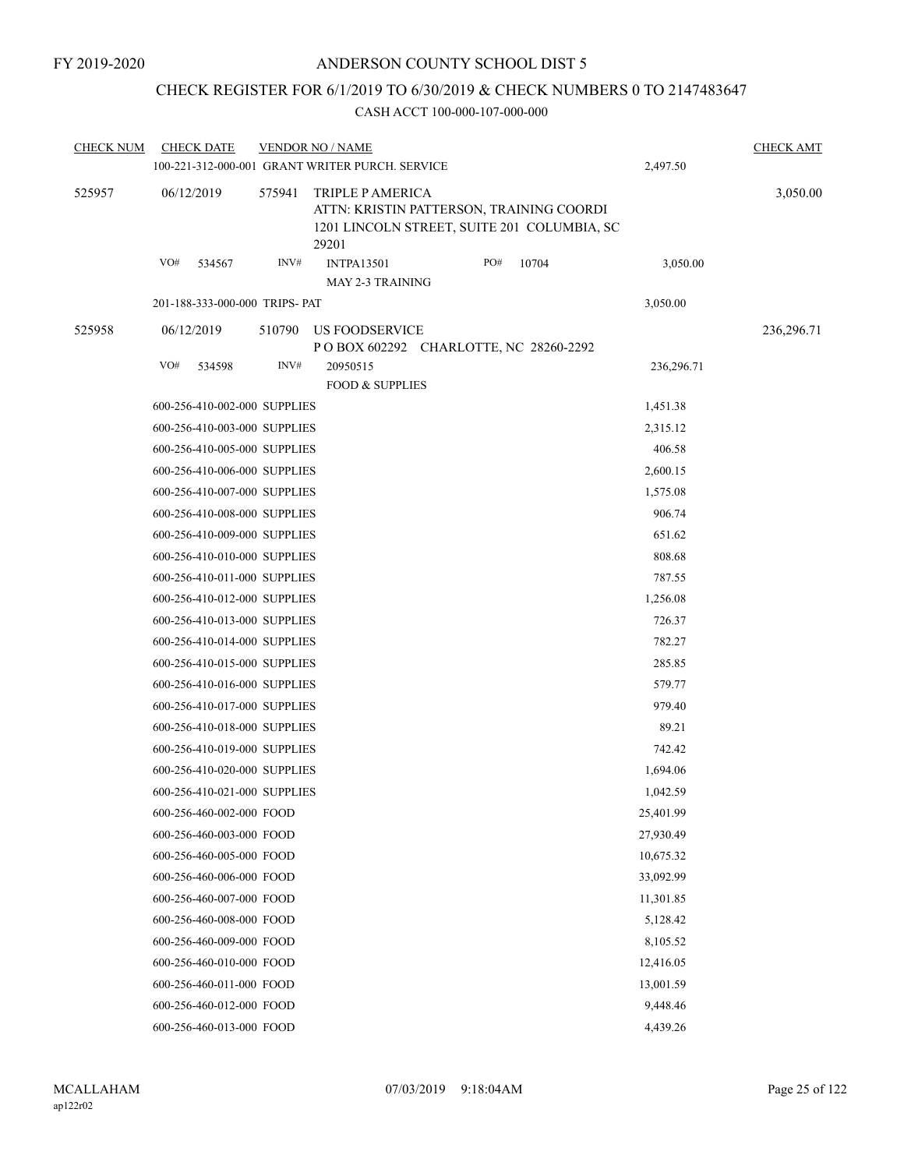# CHECK REGISTER FOR 6/1/2019 TO 6/30/2019 & CHECK NUMBERS 0 TO 2147483647

| <b>CHECK NUM</b> |            | <b>CHECK DATE</b>                                            |        | <b>VENDOR NO / NAME</b><br>100-221-312-000-001 GRANT WRITER PURCH. SERVICE                                           |     |       | 2,497.50           | <b>CHECK AMT</b> |
|------------------|------------|--------------------------------------------------------------|--------|----------------------------------------------------------------------------------------------------------------------|-----|-------|--------------------|------------------|
| 525957           | 06/12/2019 |                                                              | 575941 | TRIPLE P AMERICA<br>ATTN: KRISTIN PATTERSON, TRAINING COORDI<br>1201 LINCOLN STREET, SUITE 201 COLUMBIA, SC<br>29201 |     |       |                    | 3,050.00         |
|                  | VO#        | 534567                                                       | INV#   | <b>INTPA13501</b><br><b>MAY 2-3 TRAINING</b>                                                                         | PO# | 10704 | 3,050.00           |                  |
|                  |            | 201-188-333-000-000 TRIPS- PAT                               |        |                                                                                                                      |     |       | 3,050.00           |                  |
| 525958           | 06/12/2019 |                                                              | 510790 | US FOODSERVICE                                                                                                       |     |       |                    | 236,296.71       |
|                  | VO#        | 534598                                                       | INV#   | P O BOX 602292 CHARLOTTE, NC 28260-2292<br>20950515                                                                  |     |       | 236,296.71         |                  |
|                  |            |                                                              |        | <b>FOOD &amp; SUPPLIES</b>                                                                                           |     |       |                    |                  |
|                  |            | 600-256-410-002-000 SUPPLIES                                 |        |                                                                                                                      |     |       | 1,451.38           |                  |
|                  |            | 600-256-410-003-000 SUPPLIES                                 |        |                                                                                                                      |     |       | 2,315.12           |                  |
|                  |            | 600-256-410-005-000 SUPPLIES                                 |        |                                                                                                                      |     |       | 406.58             |                  |
|                  |            | 600-256-410-006-000 SUPPLIES                                 |        |                                                                                                                      |     |       | 2,600.15           |                  |
|                  |            | 600-256-410-007-000 SUPPLIES                                 |        |                                                                                                                      |     |       | 1,575.08           |                  |
|                  |            | 600-256-410-008-000 SUPPLIES                                 |        |                                                                                                                      |     |       | 906.74             |                  |
|                  |            | 600-256-410-009-000 SUPPLIES                                 |        |                                                                                                                      |     |       | 651.62             |                  |
|                  |            | 600-256-410-010-000 SUPPLIES                                 |        |                                                                                                                      |     |       | 808.68             |                  |
|                  |            | 600-256-410-011-000 SUPPLIES                                 |        |                                                                                                                      |     |       | 787.55             |                  |
|                  |            | 600-256-410-012-000 SUPPLIES<br>600-256-410-013-000 SUPPLIES |        |                                                                                                                      |     |       | 1,256.08<br>726.37 |                  |
|                  |            | 600-256-410-014-000 SUPPLIES                                 |        |                                                                                                                      |     |       | 782.27             |                  |
|                  |            | 600-256-410-015-000 SUPPLIES                                 |        |                                                                                                                      |     |       | 285.85             |                  |
|                  |            | 600-256-410-016-000 SUPPLIES                                 |        |                                                                                                                      |     |       | 579.77             |                  |
|                  |            | 600-256-410-017-000 SUPPLIES                                 |        |                                                                                                                      |     |       | 979.40             |                  |
|                  |            | 600-256-410-018-000 SUPPLIES                                 |        |                                                                                                                      |     |       | 89.21              |                  |
|                  |            | 600-256-410-019-000 SUPPLIES                                 |        |                                                                                                                      |     |       | 742.42             |                  |
|                  |            | 600-256-410-020-000 SUPPLIES                                 |        |                                                                                                                      |     |       | 1,694.06           |                  |
|                  |            | 600-256-410-021-000 SUPPLIES                                 |        |                                                                                                                      |     |       | 1,042.59           |                  |
|                  |            | 600-256-460-002-000 FOOD                                     |        |                                                                                                                      |     |       | 25,401.99          |                  |
|                  |            | 600-256-460-003-000 FOOD                                     |        |                                                                                                                      |     |       | 27,930.49          |                  |
|                  |            | 600-256-460-005-000 FOOD                                     |        |                                                                                                                      |     |       | 10,675.32          |                  |
|                  |            | 600-256-460-006-000 FOOD                                     |        |                                                                                                                      |     |       | 33,092.99          |                  |
|                  |            | 600-256-460-007-000 FOOD                                     |        |                                                                                                                      |     |       | 11,301.85          |                  |
|                  |            | 600-256-460-008-000 FOOD                                     |        |                                                                                                                      |     |       | 5,128.42           |                  |
|                  |            | 600-256-460-009-000 FOOD                                     |        |                                                                                                                      |     |       | 8,105.52           |                  |
|                  |            | 600-256-460-010-000 FOOD                                     |        |                                                                                                                      |     |       | 12,416.05          |                  |
|                  |            | 600-256-460-011-000 FOOD                                     |        |                                                                                                                      |     |       | 13,001.59          |                  |
|                  |            | 600-256-460-012-000 FOOD                                     |        |                                                                                                                      |     |       | 9,448.46           |                  |
|                  |            | 600-256-460-013-000 FOOD                                     |        |                                                                                                                      |     |       | 4,439.26           |                  |
|                  |            |                                                              |        |                                                                                                                      |     |       |                    |                  |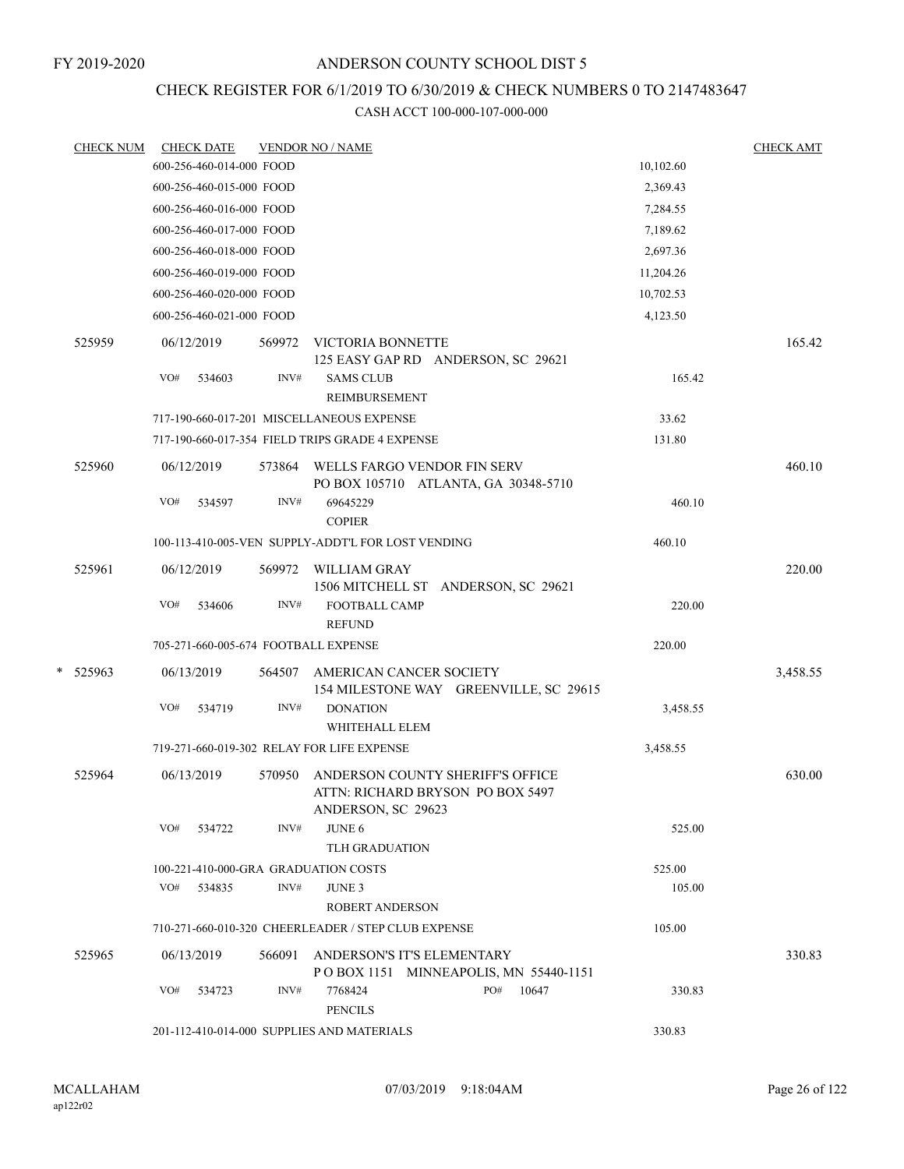### FY 2019-2020

# ANDERSON COUNTY SCHOOL DIST 5

# CHECK REGISTER FOR 6/1/2019 TO 6/30/2019 & CHECK NUMBERS 0 TO 2147483647

|   | <b>CHECK NUM</b> |     | <b>CHECK DATE</b>        |        | <b>VENDOR NO / NAME</b>                             |                                                                            |                                        |           | <b>CHECK AMT</b> |
|---|------------------|-----|--------------------------|--------|-----------------------------------------------------|----------------------------------------------------------------------------|----------------------------------------|-----------|------------------|
|   |                  |     | 600-256-460-014-000 FOOD |        |                                                     |                                                                            |                                        | 10,102.60 |                  |
|   |                  |     | 600-256-460-015-000 FOOD |        |                                                     |                                                                            |                                        | 2,369.43  |                  |
|   |                  |     | 600-256-460-016-000 FOOD |        |                                                     |                                                                            |                                        | 7,284.55  |                  |
|   |                  |     | 600-256-460-017-000 FOOD |        |                                                     |                                                                            |                                        | 7,189.62  |                  |
|   |                  |     | 600-256-460-018-000 FOOD |        |                                                     |                                                                            |                                        | 2,697.36  |                  |
|   |                  |     | 600-256-460-019-000 FOOD |        |                                                     |                                                                            |                                        | 11,204.26 |                  |
|   |                  |     | 600-256-460-020-000 FOOD |        |                                                     |                                                                            |                                        | 10,702.53 |                  |
|   |                  |     | 600-256-460-021-000 FOOD |        |                                                     |                                                                            |                                        | 4,123.50  |                  |
|   | 525959           |     | 06/12/2019               | 569972 | VICTORIA BONNETTE                                   | 125 EASY GAP RD ANDERSON, SC 29621                                         |                                        |           | 165.42           |
|   |                  | VO# | 534603                   | INV#   | <b>SAMS CLUB</b><br>REIMBURSEMENT                   |                                                                            |                                        | 165.42    |                  |
|   |                  |     |                          |        | 717-190-660-017-201 MISCELLANEOUS EXPENSE           |                                                                            |                                        | 33.62     |                  |
|   |                  |     |                          |        | 717-190-660-017-354 FIELD TRIPS GRADE 4 EXPENSE     |                                                                            |                                        | 131.80    |                  |
|   | 525960           |     | 06/12/2019               |        |                                                     | 573864 WELLS FARGO VENDOR FIN SERV<br>PO BOX 105710 ATLANTA, GA 30348-5710 |                                        |           | 460.10           |
|   |                  | VO# | 534597                   | INV#   | 69645229<br><b>COPIER</b>                           |                                                                            |                                        | 460.10    |                  |
|   |                  |     |                          |        | 100-113-410-005-VEN SUPPLY-ADDT'L FOR LOST VENDING  |                                                                            |                                        | 460.10    |                  |
|   | 525961           |     | 06/12/2019               | 569972 | WILLIAM GRAY                                        | 1506 MITCHELL ST ANDERSON, SC 29621                                        |                                        |           | 220.00           |
|   |                  | VO# | 534606                   | INV#   | FOOTBALL CAMP<br><b>REFUND</b>                      |                                                                            |                                        | 220.00    |                  |
|   |                  |     |                          |        | 705-271-660-005-674 FOOTBALL EXPENSE                |                                                                            |                                        | 220.00    |                  |
| * | 525963           |     | 06/13/2019               | 564507 |                                                     | AMERICAN CANCER SOCIETY                                                    | 154 MILESTONE WAY GREENVILLE, SC 29615 |           | 3,458.55         |
|   |                  | VO# | 534719                   | INV#   | <b>DONATION</b><br>WHITEHALL ELEM                   |                                                                            |                                        | 3,458.55  |                  |
|   |                  |     |                          |        | 719-271-660-019-302 RELAY FOR LIFE EXPENSE          |                                                                            |                                        | 3,458.55  |                  |
|   | 525964           |     | 06/13/2019               | 570950 | ANDERSON, SC 29623                                  | ANDERSON COUNTY SHERIFF'S OFFICE<br>ATTN: RICHARD BRYSON PO BOX 5497       |                                        |           | 630.00           |
|   |                  | VO# | 534722                   | INV#   | <b>JUNE 6</b><br><b>TLH GRADUATION</b>              |                                                                            |                                        | 525.00    |                  |
|   |                  |     |                          |        | 100-221-410-000-GRA GRADUATION COSTS                |                                                                            |                                        | 525.00    |                  |
|   |                  | VO# | 534835                   | INV#   | <b>JUNE 3</b><br><b>ROBERT ANDERSON</b>             |                                                                            |                                        | 105.00    |                  |
|   |                  |     |                          |        | 710-271-660-010-320 CHEERLEADER / STEP CLUB EXPENSE |                                                                            |                                        | 105.00    |                  |
|   | 525965           |     |                          |        |                                                     |                                                                            |                                        |           | 330.83           |
|   |                  |     | 06/13/2019               | 566091 |                                                     | ANDERSON'S IT'S ELEMENTARY                                                 | POBOX 1151 MINNEAPOLIS, MN 55440-1151  |           |                  |
|   |                  | VO# | 534723                   | INV#   | 7768424<br><b>PENCILS</b>                           |                                                                            | PO#<br>10647                           | 330.83    |                  |
|   |                  |     |                          |        | 201-112-410-014-000 SUPPLIES AND MATERIALS          |                                                                            |                                        | 330.83    |                  |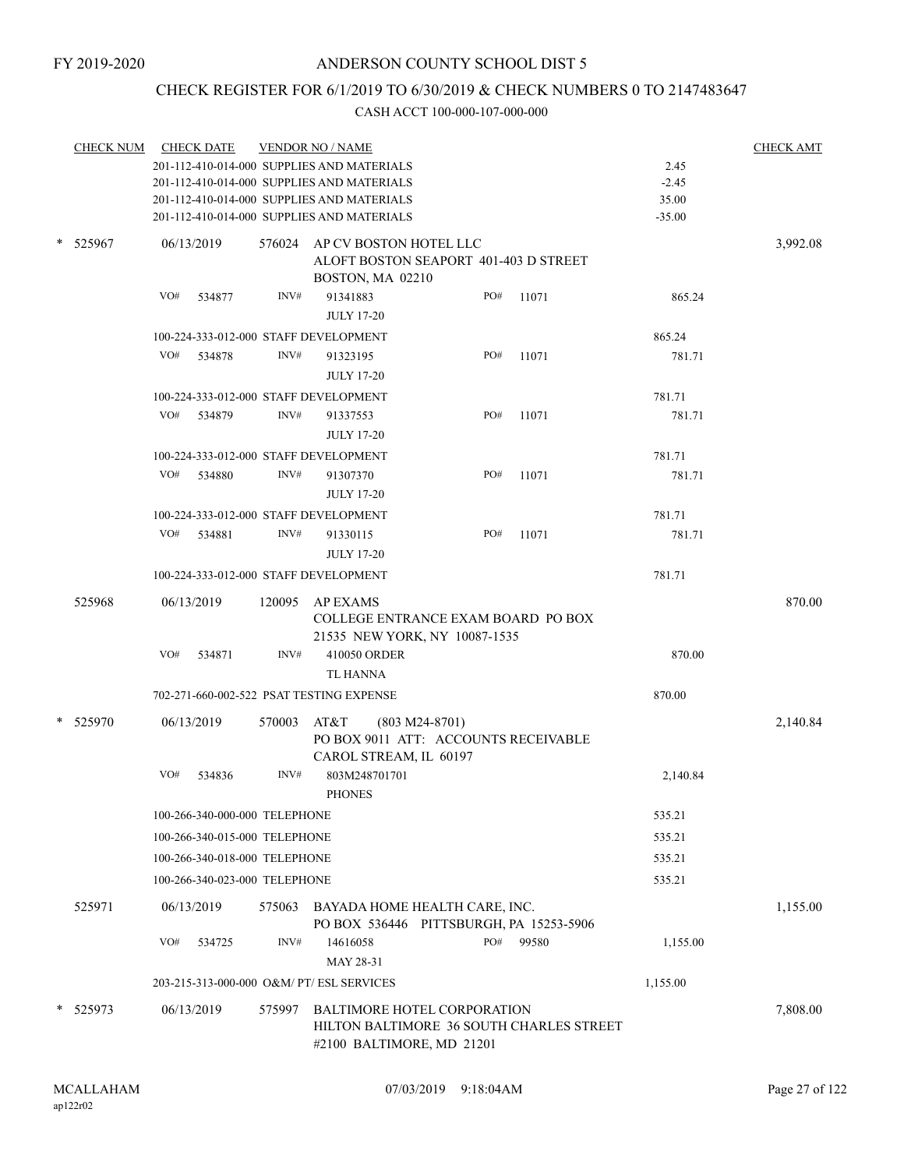# CHECK REGISTER FOR 6/1/2019 TO 6/30/2019 & CHECK NUMBERS 0 TO 2147483647

|   | <u>CHECK NUM</u> |     | <b>CHECK DATE</b>             |        | <b>VENDOR NO / NAME</b>                                                                                     |     |       |          | <b>CHECK AMT</b> |
|---|------------------|-----|-------------------------------|--------|-------------------------------------------------------------------------------------------------------------|-----|-------|----------|------------------|
|   |                  |     |                               |        | 201-112-410-014-000 SUPPLIES AND MATERIALS                                                                  |     |       | 2.45     |                  |
|   |                  |     |                               |        | 201-112-410-014-000 SUPPLIES AND MATERIALS                                                                  |     |       | $-2.45$  |                  |
|   |                  |     |                               |        | 201-112-410-014-000 SUPPLIES AND MATERIALS                                                                  |     |       | 35.00    |                  |
|   |                  |     |                               |        | 201-112-410-014-000 SUPPLIES AND MATERIALS                                                                  |     |       | $-35.00$ |                  |
| * | 525967           |     | 06/13/2019                    | 576024 | AP CV BOSTON HOTEL LLC<br>ALOFT BOSTON SEAPORT 401-403 D STREET<br>BOSTON, MA 02210                         |     |       |          | 3,992.08         |
|   |                  | VO# | 534877                        | INV#   | 91341883                                                                                                    | PO# | 11071 | 865.24   |                  |
|   |                  |     |                               |        | <b>JULY 17-20</b>                                                                                           |     |       |          |                  |
|   |                  |     |                               |        | 100-224-333-012-000 STAFF DEVELOPMENT                                                                       |     |       | 865.24   |                  |
|   |                  | VO# | 534878                        | INV#   | 91323195                                                                                                    | PO# | 11071 | 781.71   |                  |
|   |                  |     |                               |        | <b>JULY 17-20</b>                                                                                           |     |       |          |                  |
|   |                  |     |                               |        | 100-224-333-012-000 STAFF DEVELOPMENT                                                                       |     |       | 781.71   |                  |
|   |                  | VO# | 534879                        | INV#   | 91337553                                                                                                    | PO# | 11071 | 781.71   |                  |
|   |                  |     |                               |        | <b>JULY 17-20</b>                                                                                           |     |       |          |                  |
|   |                  |     |                               |        | 100-224-333-012-000 STAFF DEVELOPMENT                                                                       |     |       | 781.71   |                  |
|   |                  | VO# | 534880                        | INV#   | 91307370                                                                                                    | PO# | 11071 | 781.71   |                  |
|   |                  |     |                               |        | <b>JULY 17-20</b>                                                                                           |     |       |          |                  |
|   |                  |     |                               |        | 100-224-333-012-000 STAFF DEVELOPMENT                                                                       |     |       | 781.71   |                  |
|   |                  | VO# | 534881                        | INV#   | 91330115                                                                                                    | PO# | 11071 | 781.71   |                  |
|   |                  |     |                               |        | <b>JULY 17-20</b>                                                                                           |     |       |          |                  |
|   |                  |     |                               |        | 100-224-333-012-000 STAFF DEVELOPMENT                                                                       |     |       | 781.71   |                  |
|   | 525968           |     | 06/13/2019                    | 120095 | AP EXAMS<br>COLLEGE ENTRANCE EXAM BOARD PO BOX<br>21535 NEW YORK, NY 10087-1535                             |     |       |          | 870.00           |
|   |                  | VO# | 534871                        | INV#   | 410050 ORDER                                                                                                |     |       | 870.00   |                  |
|   |                  |     |                               |        | <b>TL HANNA</b>                                                                                             |     |       |          |                  |
|   |                  |     |                               |        | 702-271-660-002-522 PSAT TESTING EXPENSE                                                                    |     |       | 870.00   |                  |
| * | 525970           |     | 06/13/2019                    | 570003 | AT&T<br>$(803 M24-8701)$<br>PO BOX 9011 ATT: ACCOUNTS RECEIVABLE<br>CAROL STREAM, IL 60197                  |     |       |          | 2,140.84         |
|   |                  | VO# | 534836                        | INV#   | 803M248701701<br><b>PHONES</b>                                                                              |     |       | 2,140.84 |                  |
|   |                  |     | 100-266-340-000-000 TELEPHONE |        |                                                                                                             |     |       | 535.21   |                  |
|   |                  |     | 100-266-340-015-000 TELEPHONE |        |                                                                                                             |     |       | 535.21   |                  |
|   |                  |     | 100-266-340-018-000 TELEPHONE |        |                                                                                                             |     |       | 535.21   |                  |
|   |                  |     |                               |        |                                                                                                             |     |       |          |                  |
|   |                  |     | 100-266-340-023-000 TELEPHONE |        |                                                                                                             |     |       | 535.21   |                  |
|   | 525971           |     | 06/13/2019                    |        | 575063 BAYADA HOME HEALTH CARE, INC.<br>PO BOX 536446 PITTSBURGH, PA 15253-5906                             |     |       |          | 1,155.00         |
|   |                  | VO# | 534725                        | INV#   | 14616058<br>MAY 28-31                                                                                       | PO# | 99580 | 1,155.00 |                  |
|   |                  |     |                               |        | 203-215-313-000-000 O&M/ PT/ ESL SERVICES                                                                   |     |       | 1,155.00 |                  |
|   |                  |     |                               |        |                                                                                                             |     |       |          |                  |
|   | * 525973         |     | 06/13/2019                    | 575997 | <b>BALTIMORE HOTEL CORPORATION</b><br>HILTON BALTIMORE 36 SOUTH CHARLES STREET<br>#2100 BALTIMORE, MD 21201 |     |       |          | 7,808.00         |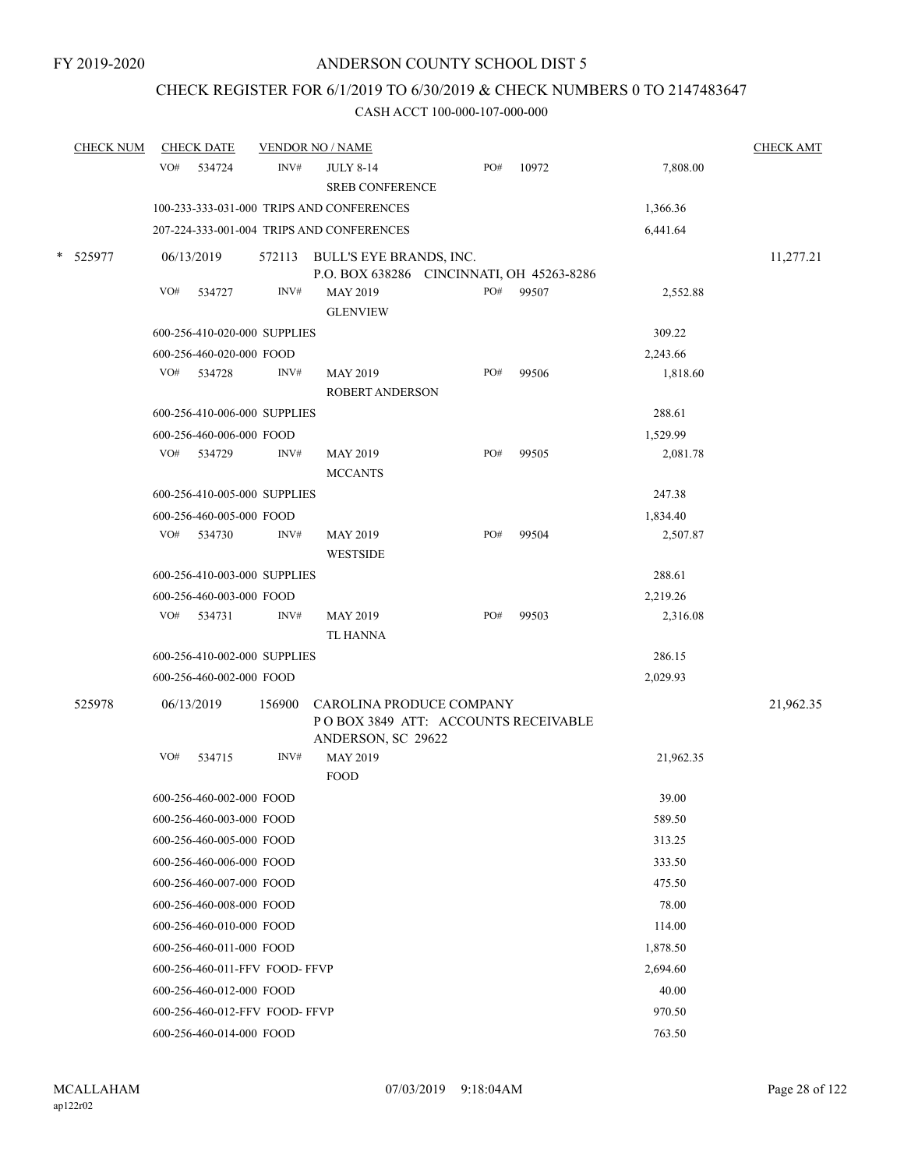# CHECK REGISTER FOR 6/1/2019 TO 6/30/2019 & CHECK NUMBERS 0 TO 2147483647

| <b>CHECK NUM</b> |     | <b>CHECK DATE</b>              |        | <b>VENDOR NO / NAME</b>                                                               |     |       |           | <b>CHECK AMT</b> |
|------------------|-----|--------------------------------|--------|---------------------------------------------------------------------------------------|-----|-------|-----------|------------------|
|                  | VO# | 534724                         | INV#   | <b>JULY 8-14</b><br><b>SREB CONFERENCE</b>                                            | PO# | 10972 | 7,808.00  |                  |
|                  |     |                                |        | 100-233-333-031-000 TRIPS AND CONFERENCES                                             |     |       | 1,366.36  |                  |
|                  |     |                                |        | 207-224-333-001-004 TRIPS AND CONFERENCES                                             |     |       | 6,441.64  |                  |
| * 525977         |     | 06/13/2019                     |        | 572113 BULL'S EYE BRANDS, INC.<br>P.O. BOX 638286 CINCINNATI, OH 45263-8286           |     |       |           | 11,277.21        |
|                  | VO# | 534727                         | INV#   | <b>MAY 2019</b><br><b>GLENVIEW</b>                                                    | PO# | 99507 | 2,552.88  |                  |
|                  |     | 600-256-410-020-000 SUPPLIES   |        |                                                                                       |     |       | 309.22    |                  |
|                  |     | 600-256-460-020-000 FOOD       |        |                                                                                       |     |       | 2,243.66  |                  |
|                  | VO# | 534728                         | INV#   | <b>MAY 2019</b><br><b>ROBERT ANDERSON</b>                                             | PO# | 99506 | 1,818.60  |                  |
|                  |     | 600-256-410-006-000 SUPPLIES   |        |                                                                                       |     |       | 288.61    |                  |
|                  |     | 600-256-460-006-000 FOOD       |        |                                                                                       |     |       | 1,529.99  |                  |
|                  | VO# | 534729                         | INV#   | MAY 2019<br><b>MCCANTS</b>                                                            | PO# | 99505 | 2,081.78  |                  |
|                  |     | 600-256-410-005-000 SUPPLIES   |        |                                                                                       |     |       | 247.38    |                  |
|                  |     | 600-256-460-005-000 FOOD       |        |                                                                                       |     |       | 1,834.40  |                  |
|                  | VO# | 534730                         | INV#   | MAY 2019<br><b>WESTSIDE</b>                                                           | PO# | 99504 | 2,507.87  |                  |
|                  |     | 600-256-410-003-000 SUPPLIES   |        |                                                                                       |     |       | 288.61    |                  |
|                  |     | 600-256-460-003-000 FOOD       |        |                                                                                       |     |       | 2,219.26  |                  |
|                  | VO# | 534731                         | INV#   | MAY 2019<br><b>TL HANNA</b>                                                           | PO# | 99503 | 2,316.08  |                  |
|                  |     | 600-256-410-002-000 SUPPLIES   |        |                                                                                       |     |       | 286.15    |                  |
|                  |     | 600-256-460-002-000 FOOD       |        |                                                                                       |     |       | 2,029.93  |                  |
| 525978           |     | 06/13/2019                     | 156900 | CAROLINA PRODUCE COMPANY<br>POBOX 3849 ATT: ACCOUNTS RECEIVABLE<br>ANDERSON, SC 29622 |     |       |           | 21,962.35        |
|                  | VO# | 534715                         | INV#   | MAY 2019<br><b>FOOD</b>                                                               |     |       | 21,962.35 |                  |
|                  |     | 600-256-460-002-000 FOOD       |        |                                                                                       |     |       | 39.00     |                  |
|                  |     | 600-256-460-003-000 FOOD       |        |                                                                                       |     |       | 589.50    |                  |
|                  |     | 600-256-460-005-000 FOOD       |        |                                                                                       |     |       | 313.25    |                  |
|                  |     | 600-256-460-006-000 FOOD       |        |                                                                                       |     |       | 333.50    |                  |
|                  |     | 600-256-460-007-000 FOOD       |        |                                                                                       |     |       | 475.50    |                  |
|                  |     | 600-256-460-008-000 FOOD       |        |                                                                                       |     |       | 78.00     |                  |
|                  |     | 600-256-460-010-000 FOOD       |        |                                                                                       |     |       | 114.00    |                  |
|                  |     | 600-256-460-011-000 FOOD       |        |                                                                                       |     |       | 1,878.50  |                  |
|                  |     | 600-256-460-011-FFV FOOD- FFVP |        |                                                                                       |     |       | 2,694.60  |                  |
|                  |     | 600-256-460-012-000 FOOD       |        |                                                                                       |     |       | 40.00     |                  |
|                  |     | 600-256-460-012-FFV FOOD-FFVP  |        |                                                                                       |     |       | 970.50    |                  |
|                  |     | 600-256-460-014-000 FOOD       |        |                                                                                       |     |       | 763.50    |                  |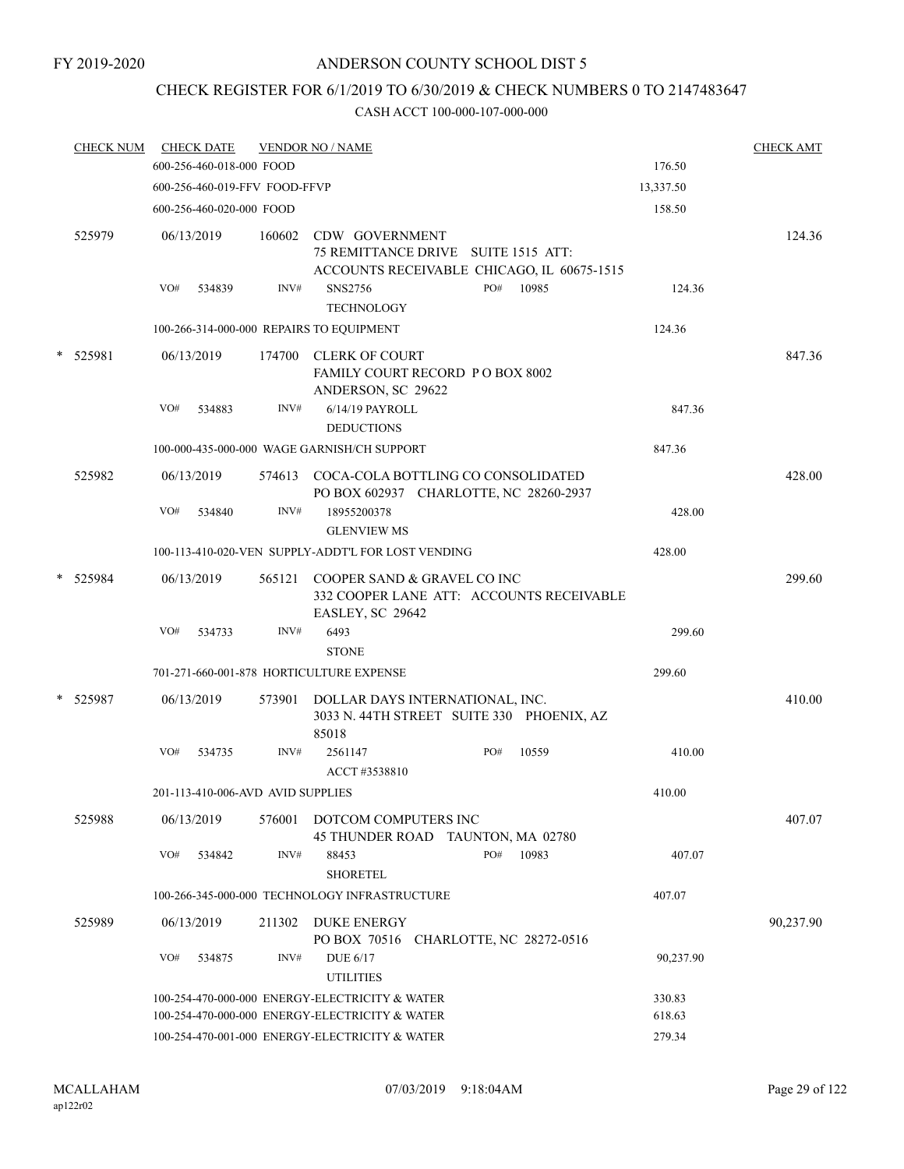# CHECK REGISTER FOR 6/1/2019 TO 6/30/2019 & CHECK NUMBERS 0 TO 2147483647

|   | <b>CHECK NUM</b> |     | <b>CHECK DATE</b>                              |        | <b>VENDOR NO / NAME</b>                                                                      |     |                                            |           | <b>CHECK AMT</b> |
|---|------------------|-----|------------------------------------------------|--------|----------------------------------------------------------------------------------------------|-----|--------------------------------------------|-----------|------------------|
|   |                  |     | 600-256-460-018-000 FOOD                       |        |                                                                                              |     |                                            | 176.50    |                  |
|   |                  |     | 600-256-460-019-FFV FOOD-FFVP                  |        |                                                                                              |     |                                            | 13,337.50 |                  |
|   |                  |     | 600-256-460-020-000 FOOD                       |        |                                                                                              |     |                                            | 158.50    |                  |
|   | 525979           |     | 06/13/2019                                     | 160602 | CDW GOVERNMENT<br>75 REMITTANCE DRIVE SUITE 1515 ATT:                                        |     | ACCOUNTS RECEIVABLE CHICAGO, IL 60675-1515 |           | 124.36           |
|   |                  | VO# | 534839                                         | INV#   | SNS2756<br><b>TECHNOLOGY</b>                                                                 | PO# | 10985                                      | 124.36    |                  |
|   |                  |     |                                                |        | 100-266-314-000-000 REPAIRS TO EQUIPMENT                                                     |     |                                            | 124.36    |                  |
| * | 525981           |     | 06/13/2019                                     |        | 174700 CLERK OF COURT<br>FAMILY COURT RECORD P O BOX 8002<br>ANDERSON, SC 29622              |     |                                            |           | 847.36           |
|   |                  | VO# | 534883                                         | INV#   | 6/14/19 PAYROLL<br><b>DEDUCTIONS</b>                                                         |     |                                            | 847.36    |                  |
|   |                  |     |                                                |        | 100-000-435-000-000 WAGE GARNISH/CH SUPPORT                                                  |     |                                            | 847.36    |                  |
|   | 525982           |     | 06/13/2019                                     |        | 574613 COCA-COLA BOTTLING CO CONSOLIDATED<br>PO BOX 602937 CHARLOTTE, NC 28260-2937          |     |                                            |           | 428.00           |
|   |                  | VO# | 534840                                         | INV#   | 18955200378<br><b>GLENVIEW MS</b>                                                            |     |                                            | 428.00    |                  |
|   |                  |     |                                                |        | 100-113-410-020-VEN SUPPLY-ADDT'L FOR LOST VENDING                                           |     |                                            | 428.00    |                  |
|   | * 525984         |     | 06/13/2019                                     |        | 565121 COOPER SAND & GRAVEL CO INC<br>EASLEY, SC 29642                                       |     | 332 COOPER LANE ATT: ACCOUNTS RECEIVABLE   |           | 299.60           |
|   |                  | VO# | 534733                                         | INV#   | 6493<br><b>STONE</b>                                                                         |     |                                            | 299.60    |                  |
|   |                  |     |                                                |        | 701-271-660-001-878 HORTICULTURE EXPENSE                                                     |     |                                            | 299.60    |                  |
|   | * 525987         |     | 06/13/2019                                     |        | 573901 DOLLAR DAYS INTERNATIONAL, INC.<br>3033 N. 44TH STREET SUITE 330 PHOENIX, AZ<br>85018 |     |                                            |           | 410.00           |
|   |                  | VO# | 534735                                         | INV#   | 2561147<br>ACCT #3538810                                                                     | PO# | 10559                                      | 410.00    |                  |
|   |                  |     | 201-113-410-006-AVD AVID SUPPLIES              |        |                                                                                              |     |                                            | 410.00    |                  |
|   | 525988           |     | 06/13/2019                                     | 576001 | DOTCOM COMPUTERS INC<br>45 THUNDER ROAD TAUNTON, MA 02780                                    |     |                                            |           | 407.07           |
|   |                  | VO# | 534842                                         | INV#   | 88453<br><b>SHORETEL</b>                                                                     | PO# | 10983                                      | 407.07    |                  |
|   |                  |     |                                                |        | 100-266-345-000-000 TECHNOLOGY INFRASTRUCTURE                                                |     |                                            | 407.07    |                  |
|   | 525989           |     | 06/13/2019                                     | 211302 | <b>DUKE ENERGY</b><br>PO BOX 70516 CHARLOTTE, NC 28272-0516                                  |     |                                            |           | 90,237.90        |
|   |                  | VO# | 534875                                         | INV#   | DUE 6/17<br><b>UTILITIES</b>                                                                 |     |                                            | 90,237.90 |                  |
|   |                  |     | 100-254-470-000-000 ENERGY-ELECTRICITY & WATER |        | 330.83                                                                                       |     |                                            |           |                  |
|   |                  |     | 100-254-470-000-000 ENERGY-ELECTRICITY & WATER |        | 618.63                                                                                       |     |                                            |           |                  |
|   |                  |     | 100-254-470-001-000 ENERGY-ELECTRICITY & WATER |        | 279.34                                                                                       |     |                                            |           |                  |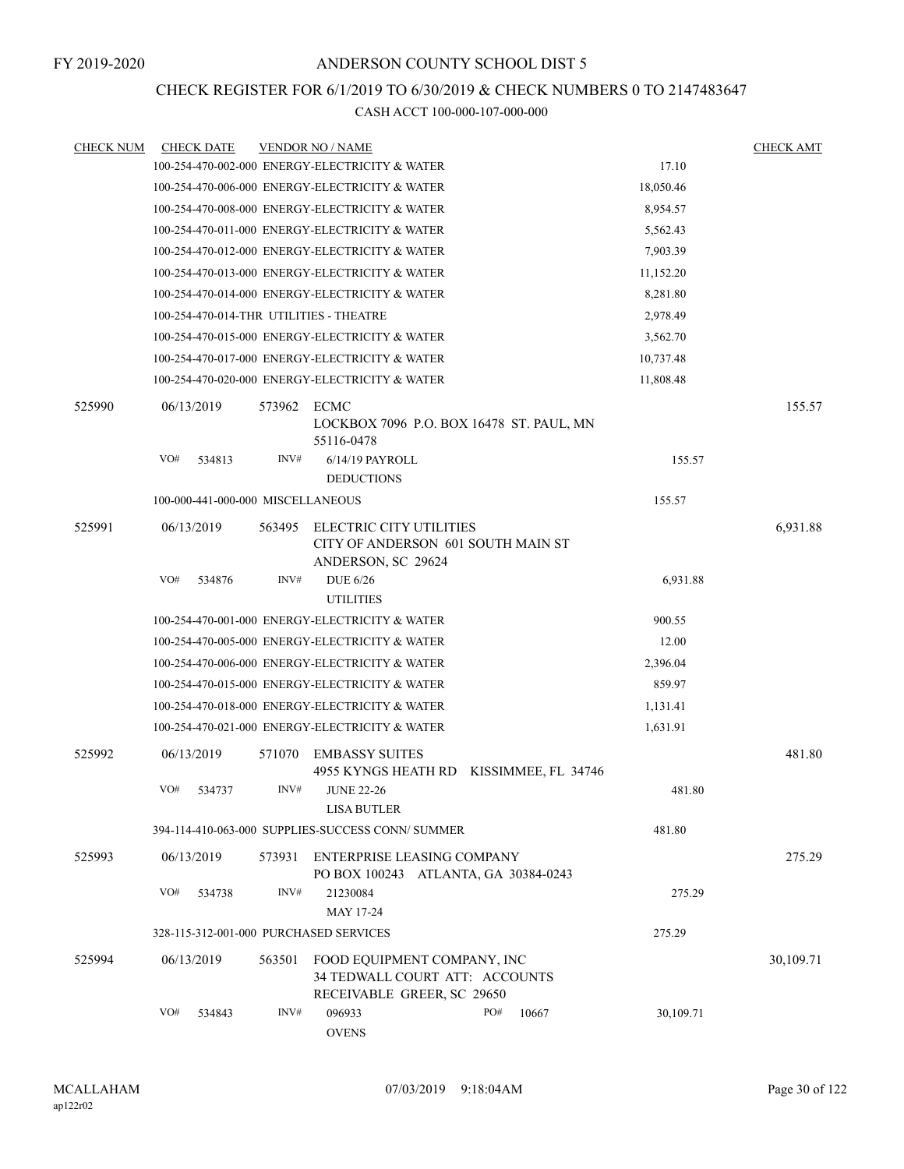# CHECK REGISTER FOR 6/1/2019 TO 6/30/2019 & CHECK NUMBERS 0 TO 2147483647

| <b>CHECK NUM</b> | <b>CHECK DATE</b>                       |        | <b>VENDOR NO / NAME</b>                                                                     |     |                     |           | <b>CHECK AMT</b> |
|------------------|-----------------------------------------|--------|---------------------------------------------------------------------------------------------|-----|---------------------|-----------|------------------|
|                  |                                         |        | 100-254-470-002-000 ENERGY-ELECTRICITY & WATER                                              |     |                     | 17.10     |                  |
|                  |                                         |        | 100-254-470-006-000 ENERGY-ELECTRICITY & WATER                                              |     |                     | 18,050.46 |                  |
|                  |                                         |        | 100-254-470-008-000 ENERGY-ELECTRICITY & WATER                                              |     |                     | 8,954.57  |                  |
|                  |                                         |        | 100-254-470-011-000 ENERGY-ELECTRICITY & WATER                                              |     |                     | 5,562.43  |                  |
|                  |                                         |        | 100-254-470-012-000 ENERGY-ELECTRICITY & WATER                                              |     |                     | 7,903.39  |                  |
|                  |                                         |        | 100-254-470-013-000 ENERGY-ELECTRICITY & WATER                                              |     |                     | 11,152.20 |                  |
|                  |                                         |        | 100-254-470-014-000 ENERGY-ELECTRICITY & WATER                                              |     |                     | 8,281.80  |                  |
|                  | 100-254-470-014-THR UTILITIES - THEATRE |        |                                                                                             |     |                     | 2,978.49  |                  |
|                  |                                         |        | 100-254-470-015-000 ENERGY-ELECTRICITY & WATER                                              |     |                     | 3,562.70  |                  |
|                  |                                         |        | 100-254-470-017-000 ENERGY-ELECTRICITY & WATER                                              |     |                     | 10,737.48 |                  |
|                  |                                         |        | 100-254-470-020-000 ENERGY-ELECTRICITY & WATER                                              |     |                     | 11,808.48 |                  |
| 525990           | 06/13/2019                              | 573962 | ECMC<br>LOCKBOX 7096 P.O. BOX 16478 ST. PAUL, MN<br>55116-0478                              |     |                     |           | 155.57           |
|                  | VO#<br>534813                           | INV#   | 6/14/19 PAYROLL                                                                             |     |                     | 155.57    |                  |
|                  |                                         |        | <b>DEDUCTIONS</b>                                                                           |     |                     |           |                  |
|                  | 100-000-441-000-000 MISCELLANEOUS       |        |                                                                                             |     |                     | 155.57    |                  |
| 525991           | 06/13/2019                              | 563495 | ELECTRIC CITY UTILITIES<br>CITY OF ANDERSON 601 SOUTH MAIN ST<br>ANDERSON, SC 29624         |     |                     |           | 6,931.88         |
|                  | VO#<br>534876                           | INV#   | <b>DUE 6/26</b><br><b>UTILITIES</b>                                                         |     |                     | 6,931.88  |                  |
|                  |                                         |        | 100-254-470-001-000 ENERGY-ELECTRICITY & WATER                                              |     |                     | 900.55    |                  |
|                  |                                         |        | 100-254-470-005-000 ENERGY-ELECTRICITY & WATER                                              |     |                     | 12.00     |                  |
|                  |                                         |        | 100-254-470-006-000 ENERGY-ELECTRICITY & WATER                                              |     |                     | 2,396.04  |                  |
|                  |                                         |        | 100-254-470-015-000 ENERGY-ELECTRICITY & WATER                                              |     |                     | 859.97    |                  |
|                  |                                         |        | 100-254-470-018-000 ENERGY-ELECTRICITY & WATER                                              |     |                     | 1,131.41  |                  |
|                  |                                         |        | 100-254-470-021-000 ENERGY-ELECTRICITY & WATER                                              |     |                     | 1,631.91  |                  |
| 525992           | 06/13/2019                              | 571070 | <b>EMBASSY SUITES</b><br>4955 KYNGS HEATH RD                                                |     | KISSIMMEE, FL 34746 |           | 481.80           |
|                  | VO#<br>534737                           | INV#   | <b>JUNE 22-26</b><br><b>LISA BUTLER</b>                                                     |     |                     | 481.80    |                  |
|                  |                                         |        | 394-114-410-063-000 SUPPLIES-SUCCESS CONN/ SUMMER                                           |     |                     | 481.80    |                  |
| 525993           | 06/13/2019                              | 573931 | <b>ENTERPRISE LEASING COMPANY</b><br>PO BOX 100243 ATLANTA, GA 30384-0243                   |     |                     |           | 275.29           |
|                  | VO#<br>534738                           | INV#   | 21230084<br>MAY 17-24                                                                       |     |                     | 275.29    |                  |
|                  | 328-115-312-001-000 PURCHASED SERVICES  |        |                                                                                             |     |                     | 275.29    |                  |
| 525994           | 06/13/2019                              | 563501 | FOOD EQUIPMENT COMPANY, INC<br>34 TEDWALL COURT ATT: ACCOUNTS<br>RECEIVABLE GREER, SC 29650 |     |                     |           | 30,109.71        |
|                  | VO#<br>534843                           | INV#   | 096933<br><b>OVENS</b>                                                                      | PO# | 10667               | 30,109.71 |                  |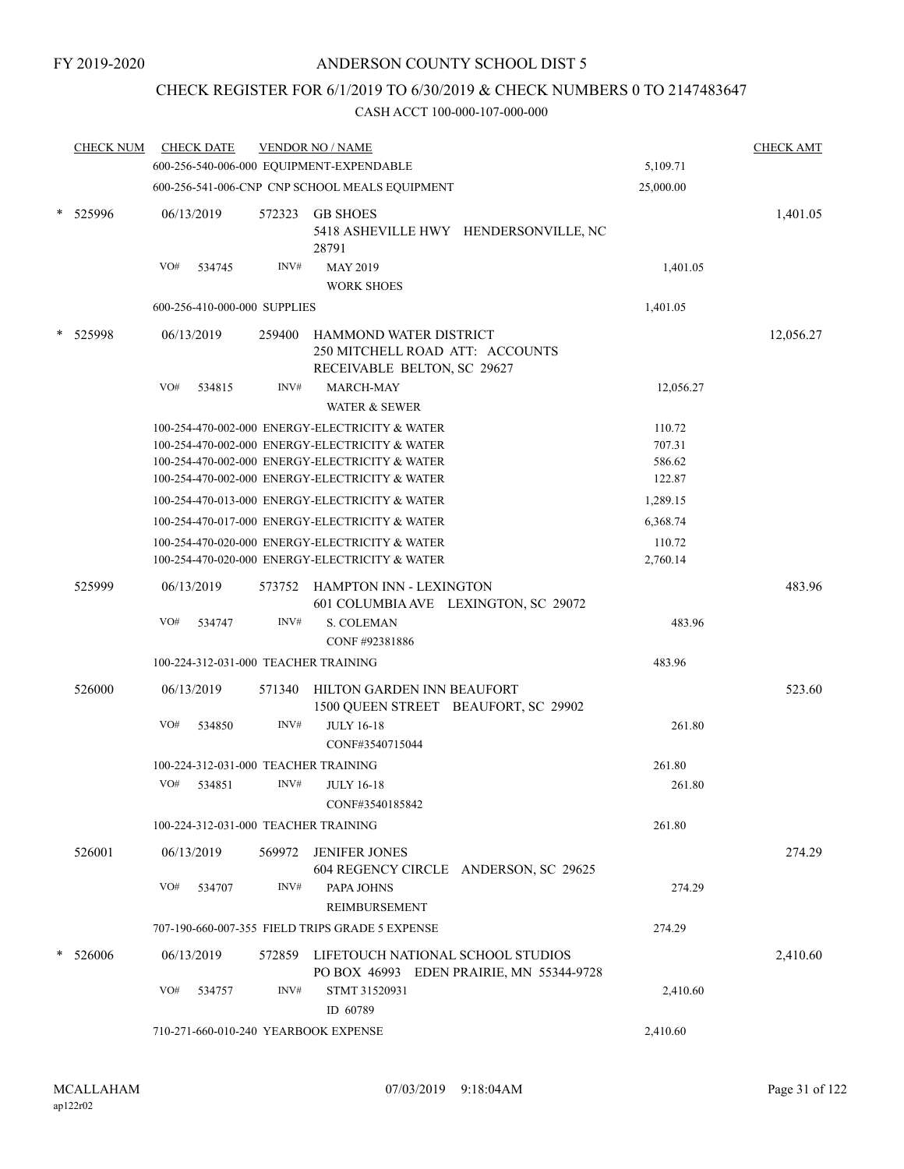# CHECK REGISTER FOR 6/1/2019 TO 6/30/2019 & CHECK NUMBERS 0 TO 2147483647

| <b>CHECK NUM</b> |     | <b>CHECK DATE</b>                    |        | <b>VENDOR NO / NAME</b>                                                                          |           | <b>CHECK AMT</b> |
|------------------|-----|--------------------------------------|--------|--------------------------------------------------------------------------------------------------|-----------|------------------|
|                  |     |                                      |        | 600-256-540-006-000 EQUIPMENT-EXPENDABLE                                                         | 5,109.71  |                  |
|                  |     |                                      |        | 600-256-541-006-CNP CNP SCHOOL MEALS EQUIPMENT                                                   | 25,000.00 |                  |
| 525996           |     | 06/13/2019                           | 572323 | <b>GB SHOES</b><br>5418 ASHEVILLE HWY HENDERSONVILLE, NC<br>28791                                |           | 1,401.05         |
|                  | VO# | 534745                               | INV#   | <b>MAY 2019</b>                                                                                  | 1,401.05  |                  |
|                  |     |                                      |        | <b>WORK SHOES</b>                                                                                |           |                  |
|                  |     | 600-256-410-000-000 SUPPLIES         |        |                                                                                                  | 1,401.05  |                  |
| 525998           |     | 06/13/2019                           | 259400 | HAMMOND WATER DISTRICT<br>250 MITCHELL ROAD ATT: ACCOUNTS<br>RECEIVABLE BELTON, SC 29627         |           | 12,056.27        |
|                  | VO# | 534815                               | INV#   | <b>MARCH-MAY</b><br><b>WATER &amp; SEWER</b>                                                     | 12,056.27 |                  |
|                  |     |                                      |        | 100-254-470-002-000 ENERGY-ELECTRICITY & WATER                                                   | 110.72    |                  |
|                  |     |                                      |        | 100-254-470-002-000 ENERGY-ELECTRICITY & WATER                                                   | 707.31    |                  |
|                  |     |                                      |        | 100-254-470-002-000 ENERGY-ELECTRICITY & WATER                                                   | 586.62    |                  |
|                  |     |                                      |        | 100-254-470-002-000 ENERGY-ELECTRICITY & WATER                                                   | 122.87    |                  |
|                  |     |                                      |        | 100-254-470-013-000 ENERGY-ELECTRICITY & WATER                                                   | 1,289.15  |                  |
|                  |     |                                      |        | 100-254-470-017-000 ENERGY-ELECTRICITY & WATER                                                   | 6,368.74  |                  |
|                  |     |                                      |        | 100-254-470-020-000 ENERGY-ELECTRICITY & WATER<br>100-254-470-020-000 ENERGY-ELECTRICITY & WATER | 110.72    |                  |
|                  |     |                                      |        |                                                                                                  | 2,760.14  |                  |
| 525999           |     | 06/13/2019                           | 573752 | HAMPTON INN - LEXINGTON<br>601 COLUMBIA AVE LEXINGTON, SC 29072                                  |           | 483.96           |
|                  | VO# | 534747                               | INV#   | <b>S. COLEMAN</b>                                                                                | 483.96    |                  |
|                  |     |                                      |        | CONF #92381886                                                                                   |           |                  |
|                  |     |                                      |        | 100-224-312-031-000 TEACHER TRAINING                                                             | 483.96    |                  |
| 526000           |     | 06/13/2019                           | 571340 | HILTON GARDEN INN BEAUFORT<br>1500 QUEEN STREET BEAUFORT, SC 29902                               |           | 523.60           |
|                  | VO# | 534850                               | INV#   | <b>JULY 16-18</b><br>CONF#3540715044                                                             | 261.80    |                  |
|                  |     |                                      |        | 100-224-312-031-000 TEACHER TRAINING                                                             | 261.80    |                  |
|                  | VO# | 534851                               | INV#   | <b>JULY 16-18</b><br>CONF#3540185842                                                             | 261.80    |                  |
|                  |     |                                      |        | 100-224-312-031-000 TEACHER TRAINING                                                             | 261.80    |                  |
| 526001           |     | 06/13/2019                           |        | 569972 JENIFER JONES<br>604 REGENCY CIRCLE ANDERSON, SC 29625                                    |           | 274.29           |
|                  | VO# | 534707                               | INV#   | PAPA JOHNS<br>REIMBURSEMENT                                                                      | 274.29    |                  |
|                  |     |                                      |        | 707-190-660-007-355 FIELD TRIPS GRADE 5 EXPENSE                                                  | 274.29    |                  |
| 526006           |     | 06/13/2019                           |        | 572859 LIFETOUCH NATIONAL SCHOOL STUDIOS<br>PO BOX 46993 EDEN PRAIRIE, MN 55344-9728             |           | 2,410.60         |
|                  | VO# | 534757                               | INV#   | STMT 31520931<br>ID 60789                                                                        | 2,410.60  |                  |
|                  |     | 710-271-660-010-240 YEARBOOK EXPENSE |        | 2,410.60                                                                                         |           |                  |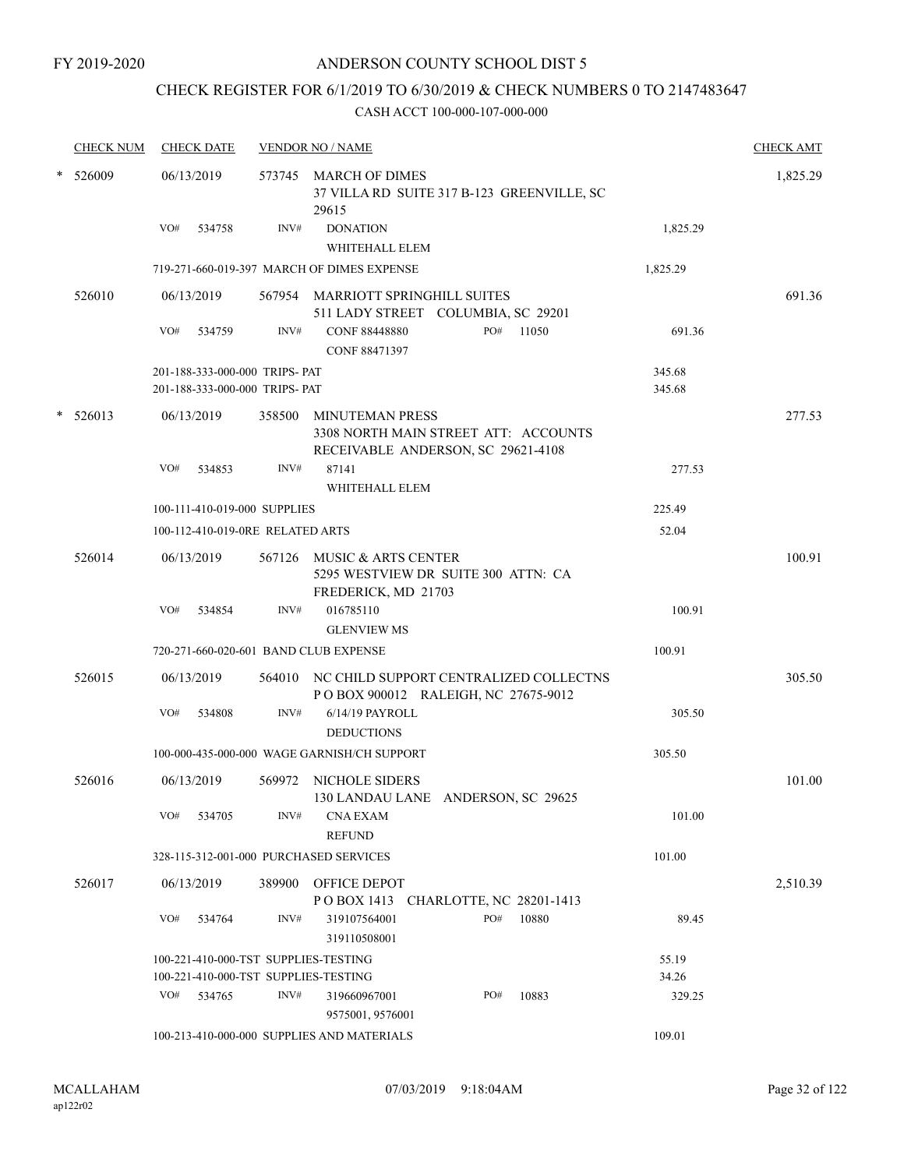# CHECK REGISTER FOR 6/1/2019 TO 6/30/2019 & CHECK NUMBERS 0 TO 2147483647

| <b>CHECK NUM</b> | <b>CHECK DATE</b>                      |      | <b>VENDOR NO / NAME</b>                                                                              |          | <b>CHECK AMT</b> |
|------------------|----------------------------------------|------|------------------------------------------------------------------------------------------------------|----------|------------------|
| * 526009         | 06/13/2019                             |      | 573745 MARCH OF DIMES<br>37 VILLA RD SUITE 317 B-123 GREENVILLE, SC<br>29615                         |          | 1,825.29         |
|                  | VO#<br>534758                          | INV# | <b>DONATION</b><br>WHITEHALL ELEM                                                                    | 1,825.29 |                  |
|                  |                                        |      | 719-271-660-019-397 MARCH OF DIMES EXPENSE                                                           | 1,825.29 |                  |
| 526010           | 06/13/2019                             |      | 567954 MARRIOTT SPRINGHILL SUITES<br>511 LADY STREET COLUMBIA, SC 29201                              |          | 691.36           |
|                  | VO# 534759                             | INV# | PO# 11050<br><b>CONF 88448880</b><br><b>CONF 88471397</b>                                            | 691.36   |                  |
|                  | 201-188-333-000-000 TRIPS- PAT         |      |                                                                                                      | 345.68   |                  |
|                  | 201-188-333-000-000 TRIPS- PAT         |      |                                                                                                      | 345.68   |                  |
| $*$ 526013       | 06/13/2019                             |      | 358500 MINUTEMAN PRESS<br>3308 NORTH MAIN STREET ATT: ACCOUNTS<br>RECEIVABLE ANDERSON, SC 29621-4108 |          | 277.53           |
|                  | VO#<br>534853                          | INV# | 87141<br>WHITEHALL ELEM                                                                              | 277.53   |                  |
|                  | 100-111-410-019-000 SUPPLIES           |      |                                                                                                      | 225.49   |                  |
|                  | 100-112-410-019-0RE RELATED ARTS       |      |                                                                                                      | 52.04    |                  |
| 526014           | 06/13/2019                             |      | 567126 MUSIC & ARTS CENTER<br>5295 WESTVIEW DR SUITE 300 ATTN: CA<br>FREDERICK, MD 21703             |          | 100.91           |
|                  | VO#<br>534854                          | INV# | 016785110<br><b>GLENVIEW MS</b>                                                                      | 100.91   |                  |
|                  | 720-271-660-020-601 BAND CLUB EXPENSE  |      |                                                                                                      | 100.91   |                  |
| 526015           | 06/13/2019                             |      | 564010 NC CHILD SUPPORT CENTRALIZED COLLECTNS<br>POBOX 900012 RALEIGH, NC 27675-9012                 |          | 305.50           |
|                  | VO#<br>534808                          | INV# | 6/14/19 PAYROLL<br><b>DEDUCTIONS</b>                                                                 | 305.50   |                  |
|                  |                                        |      | 100-000-435-000-000 WAGE GARNISH/CH SUPPORT                                                          | 305.50   |                  |
| 526016           | 06/13/2019                             |      | 569972 NICHOLE SIDERS<br>130 LANDAU LANE ANDERSON, SC 29625                                          |          | 101.00           |
|                  | VO#<br>534705                          | INV# | CNA EXAM<br><b>REFUND</b>                                                                            | 101.00   |                  |
|                  | 328-115-312-001-000 PURCHASED SERVICES |      |                                                                                                      | 101.00   |                  |
| 526017           | 06/13/2019                             |      | 389900 OFFICE DEPOT<br>POBOX 1413 CHARLOTTE, NC 28201-1413                                           |          | 2,510.39         |
|                  | VO#<br>534764                          | INV# | PO#<br>10880<br>319107564001<br>319110508001                                                         | 89.45    |                  |
|                  | 100-221-410-000-TST SUPPLIES-TESTING   |      |                                                                                                      | 55.19    |                  |
|                  | 100-221-410-000-TST SUPPLIES-TESTING   |      |                                                                                                      | 34.26    |                  |
|                  | VO#<br>534765                          | INV# | 10883<br>PO#<br>319660967001<br>9575001, 9576001                                                     | 329.25   |                  |
|                  |                                        |      | 100-213-410-000-000 SUPPLIES AND MATERIALS                                                           | 109.01   |                  |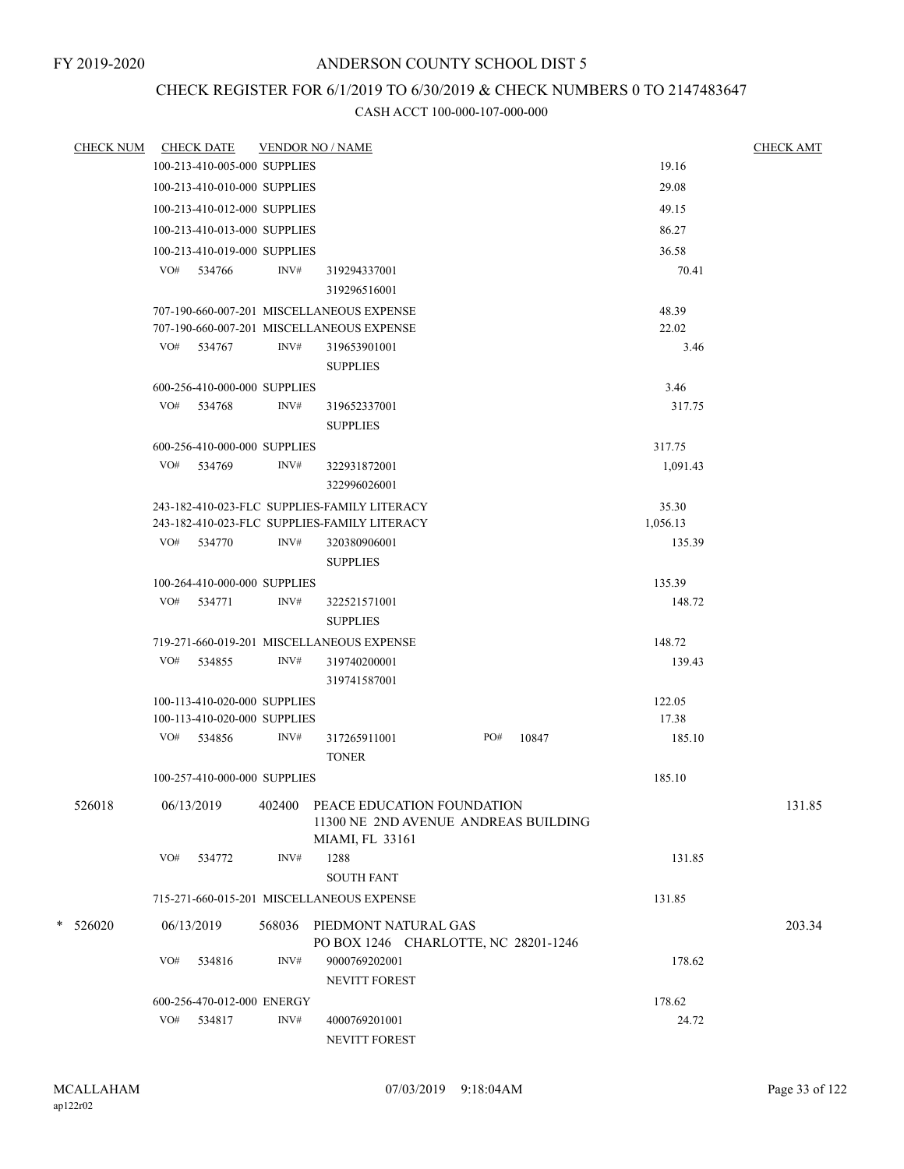# CHECK REGISTER FOR 6/1/2019 TO 6/30/2019 & CHECK NUMBERS 0 TO 2147483647

| <b>CHECK NUM</b> |     | <b>CHECK DATE</b>            | <b>VENDOR NO / NAME</b> |                                                                                        |     |       |                | <b>CHECK AMT</b> |
|------------------|-----|------------------------------|-------------------------|----------------------------------------------------------------------------------------|-----|-------|----------------|------------------|
|                  |     | 100-213-410-005-000 SUPPLIES |                         |                                                                                        |     |       | 19.16          |                  |
|                  |     | 100-213-410-010-000 SUPPLIES |                         |                                                                                        |     |       | 29.08          |                  |
|                  |     | 100-213-410-012-000 SUPPLIES |                         |                                                                                        |     |       | 49.15          |                  |
|                  |     | 100-213-410-013-000 SUPPLIES |                         |                                                                                        |     |       | 86.27          |                  |
|                  |     | 100-213-410-019-000 SUPPLIES |                         |                                                                                        |     |       | 36.58          |                  |
|                  |     | VO# 534766                   | INV#                    | 319294337001                                                                           |     |       | 70.41          |                  |
|                  |     |                              |                         | 319296516001                                                                           |     |       |                |                  |
|                  |     |                              |                         | 707-190-660-007-201 MISCELLANEOUS EXPENSE<br>707-190-660-007-201 MISCELLANEOUS EXPENSE |     |       | 48.39<br>22.02 |                  |
|                  |     | VO# 534767                   | INV#                    | 319653901001                                                                           |     |       | 3.46           |                  |
|                  |     |                              |                         | <b>SUPPLIES</b>                                                                        |     |       |                |                  |
|                  |     | 600-256-410-000-000 SUPPLIES |                         |                                                                                        |     |       | 3.46           |                  |
|                  |     | VO# 534768                   | INV#                    | 319652337001                                                                           |     |       | 317.75         |                  |
|                  |     |                              |                         | <b>SUPPLIES</b>                                                                        |     |       |                |                  |
|                  |     | 600-256-410-000-000 SUPPLIES |                         |                                                                                        |     |       | 317.75         |                  |
|                  |     | VO# 534769                   | INV#                    | 322931872001                                                                           |     |       | 1,091.43       |                  |
|                  |     |                              |                         | 322996026001                                                                           |     |       |                |                  |
|                  |     |                              |                         | 243-182-410-023-FLC SUPPLIES-FAMILY LITERACY                                           |     |       | 35.30          |                  |
|                  |     |                              |                         | 243-182-410-023-FLC SUPPLIES-FAMILY LITERACY                                           |     |       | 1,056.13       |                  |
|                  |     | VO# 534770                   | INV#                    | 320380906001<br><b>SUPPLIES</b>                                                        |     |       | 135.39         |                  |
|                  |     | 100-264-410-000-000 SUPPLIES |                         |                                                                                        |     |       | 135.39         |                  |
|                  |     | VO# 534771                   | INV#                    | 322521571001<br><b>SUPPLIES</b>                                                        |     |       | 148.72         |                  |
|                  |     |                              |                         | 719-271-660-019-201 MISCELLANEOUS EXPENSE                                              |     |       | 148.72         |                  |
|                  |     | VO# 534855                   | INV#                    | 319740200001<br>319741587001                                                           |     |       | 139.43         |                  |
|                  |     | 100-113-410-020-000 SUPPLIES |                         | 122.05                                                                                 |     |       |                |                  |
|                  |     | 100-113-410-020-000 SUPPLIES |                         |                                                                                        |     |       | 17.38          |                  |
|                  |     | VO# 534856                   | INV#                    | 317265911001<br><b>TONER</b>                                                           | PO# | 10847 | 185.10         |                  |
|                  |     | 100-257-410-000-000 SUPPLIES |                         |                                                                                        |     |       | 185.10         |                  |
| 526018           |     | 06/13/2019                   | 402400                  | PEACE EDUCATION FOUNDATION<br>11300 NE 2ND AVENUE ANDREAS BUILDING<br>MIAMI, FL 33161  |     |       |                | 131.85           |
|                  | VO# | 534772                       | INV#                    | 1288<br><b>SOUTH FANT</b>                                                              |     |       | 131.85         |                  |
|                  |     |                              |                         | 715-271-660-015-201 MISCELLANEOUS EXPENSE                                              |     |       | 131.85         |                  |
| $*$ 526020       |     | 06/13/2019                   |                         | 568036 PIEDMONT NATURAL GAS                                                            |     |       |                | 203.34           |
|                  | VO# | 534816                       | INV#                    | PO BOX 1246 CHARLOTTE, NC 28201-1246<br>9000769202001<br><b>NEVITT FOREST</b>          |     |       | 178.62         |                  |
|                  |     | 600-256-470-012-000 ENERGY   |                         | 178.62                                                                                 |     |       |                |                  |
|                  |     | VO# 534817                   | INV#                    | 4000769201001<br>NEVITT FOREST                                                         |     |       | 24.72          |                  |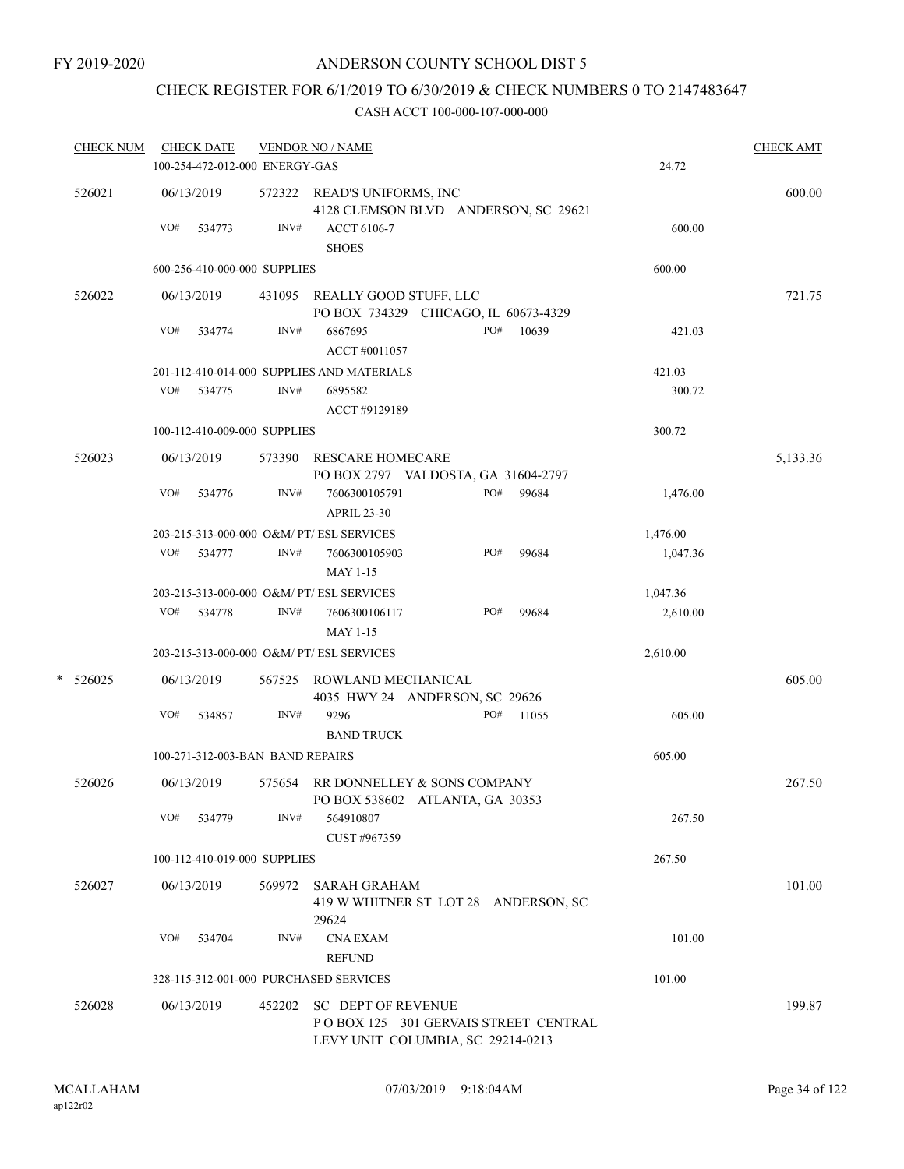# CHECK REGISTER FOR 6/1/2019 TO 6/30/2019 & CHECK NUMBERS 0 TO 2147483647

| <b>CHECK NUM</b> |     | <b>CHECK DATE</b><br>100-254-472-012-000 ENERGY-GAS |        | <b>VENDOR NO / NAME</b>                                                   |     |           | 24.72    | <b>CHECK AMT</b> |
|------------------|-----|-----------------------------------------------------|--------|---------------------------------------------------------------------------|-----|-----------|----------|------------------|
|                  |     |                                                     |        |                                                                           |     |           |          |                  |
| 526021           |     | 06/13/2019                                          |        | 572322 READ'S UNIFORMS, INC<br>4128 CLEMSON BLVD ANDERSON, SC 29621       |     |           |          | 600.00           |
|                  | VO# | 534773                                              | INV#   | <b>ACCT 6106-7</b><br><b>SHOES</b>                                        |     | 600.00    |          |                  |
|                  |     | 600-256-410-000-000 SUPPLIES                        |        |                                                                           |     |           | 600.00   |                  |
| 526022           |     | 06/13/2019                                          |        | 431095 REALLY GOOD STUFF, LLC<br>PO BOX 734329 CHICAGO, IL 60673-4329     |     |           |          | 721.75           |
|                  | VO# | 534774                                              | INV#   | 6867695<br>ACCT #0011057                                                  | PO# | 10639     | 421.03   |                  |
|                  |     |                                                     |        |                                                                           |     |           |          |                  |
|                  | VO# |                                                     | INV#   | 201-112-410-014-000 SUPPLIES AND MATERIALS                                |     |           | 421.03   |                  |
|                  |     | 534775                                              |        | 6895582<br>ACCT #9129189                                                  |     |           | 300.72   |                  |
|                  |     | 100-112-410-009-000 SUPPLIES                        |        |                                                                           |     |           | 300.72   |                  |
| 526023           |     | 06/13/2019                                          |        | 573390 RESCARE HOMECARE<br>PO BOX 2797 VALDOSTA, GA 31604-2797            |     |           |          | 5,133.36         |
|                  | VO# | 534776                                              | INV#   | 7606300105791                                                             | PO# | 99684     | 1,476.00 |                  |
|                  |     |                                                     |        | <b>APRIL 23-30</b>                                                        |     |           |          |                  |
|                  |     |                                                     |        | 203-215-313-000-000 O&M/ PT/ ESL SERVICES                                 |     |           | 1,476.00 |                  |
|                  |     | VO# 534777                                          | INV#   | 7606300105903<br><b>MAY 1-15</b>                                          | PO# | 99684     | 1,047.36 |                  |
|                  |     |                                                     |        | 203-215-313-000-000 O&M/ PT/ ESL SERVICES                                 |     |           | 1,047.36 |                  |
|                  |     | VO# 534778                                          | INV#   | 7606300106117                                                             | PO# | 99684     | 2,610.00 |                  |
|                  |     |                                                     |        | <b>MAY 1-15</b>                                                           |     |           |          |                  |
|                  |     |                                                     |        | 203-215-313-000-000 O&M/ PT/ ESL SERVICES                                 |     |           | 2,610.00 |                  |
| $*$ 526025       |     | 06/13/2019                                          |        | 567525 ROWLAND MECHANICAL<br>4035 HWY 24 ANDERSON, SC 29626               |     |           |          | 605.00           |
|                  | VO# | 534857                                              | INV#   | 9296                                                                      |     | PO# 11055 | 605.00   |                  |
|                  |     |                                                     |        | <b>BAND TRUCK</b>                                                         |     |           |          |                  |
|                  |     | 100-271-312-003-BAN BAND REPAIRS                    |        |                                                                           |     |           | 605.00   |                  |
| 526026           |     | 06/13/2019                                          |        | 575654 RR DONNELLEY & SONS COMPANY<br>PO BOX 538602 ATLANTA, GA 30353     |     |           |          | 267.50           |
|                  |     | VO# 534779                                          | INV#   | 564910807<br>CUST #967359                                                 |     |           | 267.50   |                  |
|                  |     | 100-112-410-019-000 SUPPLIES                        |        |                                                                           |     |           | 267.50   |                  |
|                  |     |                                                     |        |                                                                           |     |           |          |                  |
| 526027           |     | 06/13/2019                                          | 569972 | <b>SARAH GRAHAM</b><br>419 W WHITNER ST LOT 28 ANDERSON, SC<br>29624      |     |           |          | 101.00           |
|                  | VO# | 534704                                              | INV#   | <b>CNA EXAM</b><br><b>REFUND</b>                                          |     |           | 101.00   |                  |
|                  |     |                                                     |        | 328-115-312-001-000 PURCHASED SERVICES                                    |     |           | 101.00   |                  |
| 526028           |     | 06/13/2019                                          |        | 452202 SC DEPT OF REVENUE                                                 |     |           |          | 199.87           |
|                  |     |                                                     |        | POBOX 125 301 GERVAIS STREET CENTRAL<br>LEVY UNIT COLUMBIA, SC 29214-0213 |     |           |          |                  |
|                  |     |                                                     |        |                                                                           |     |           |          |                  |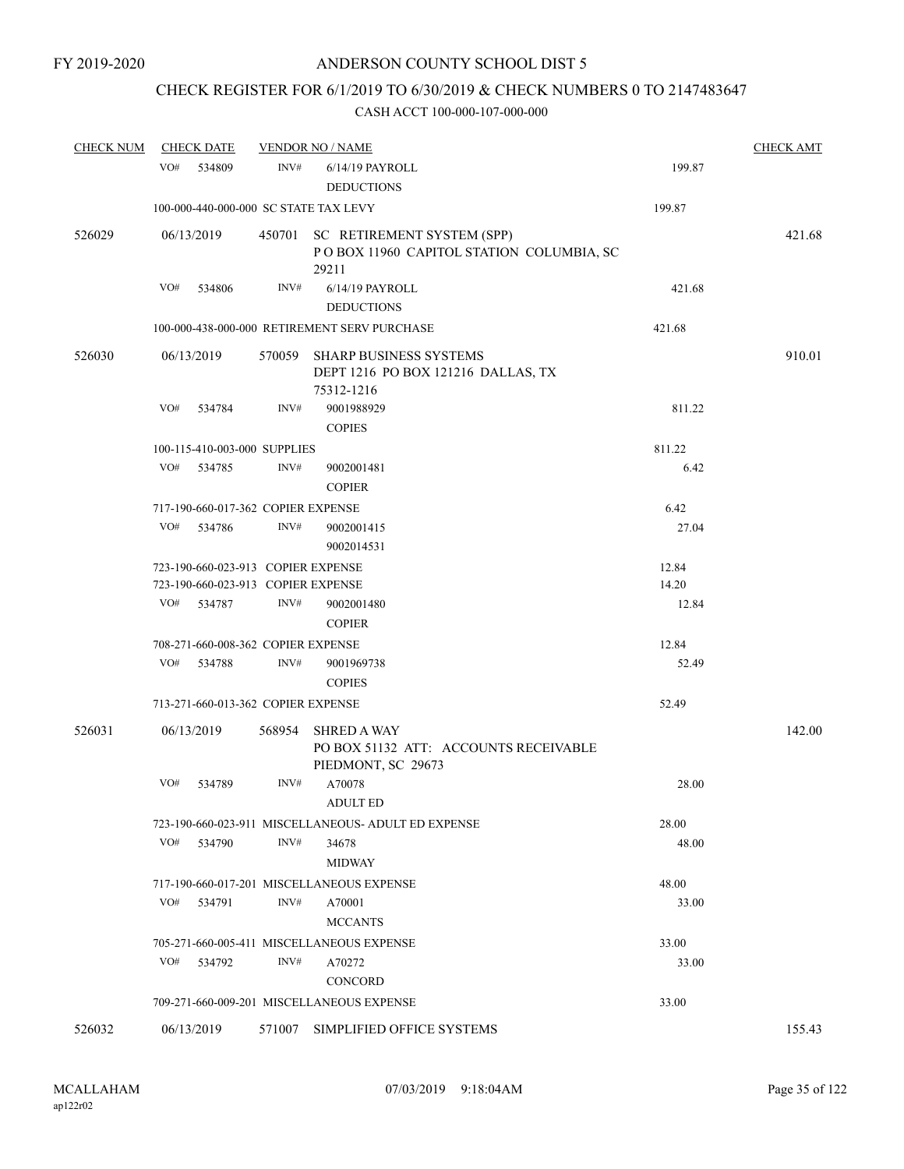# CHECK REGISTER FOR 6/1/2019 TO 6/30/2019 & CHECK NUMBERS 0 TO 2147483647

| <b>CHECK NUM</b> |     | <b>CHECK DATE</b>                  | <b>VENDOR NO / NAME</b> | <b>CHECK AMT</b>                                                                       |        |        |
|------------------|-----|------------------------------------|-------------------------|----------------------------------------------------------------------------------------|--------|--------|
|                  | VO# | 534809                             | INV#                    | 6/14/19 PAYROLL<br><b>DEDUCTIONS</b>                                                   | 199.87 |        |
|                  |     |                                    |                         | 100-000-440-000-000 SC STATE TAX LEVY                                                  | 199.87 |        |
| 526029           |     | 06/13/2019                         |                         | 450701 SC RETIREMENT SYSTEM (SPP)<br>POBOX 11960 CAPITOL STATION COLUMBIA, SC<br>29211 |        | 421.68 |
|                  | VO# | 534806                             | INV#                    | 6/14/19 PAYROLL                                                                        | 421.68 |        |
|                  |     |                                    |                         | <b>DEDUCTIONS</b>                                                                      |        |        |
|                  |     |                                    |                         | 100-000-438-000-000 RETIREMENT SERV PURCHASE                                           | 421.68 |        |
| 526030           |     | 06/13/2019                         |                         | 570059 SHARP BUSINESS SYSTEMS<br>DEPT 1216 PO BOX 121216 DALLAS, TX<br>75312-1216      |        | 910.01 |
|                  | VO# | 534784                             | INV#                    | 9001988929<br><b>COPIES</b>                                                            | 811.22 |        |
|                  |     | 100-115-410-003-000 SUPPLIES       |                         |                                                                                        | 811.22 |        |
|                  | VO# | 534785                             | INV#                    | 9002001481<br><b>COPIER</b>                                                            | 6.42   |        |
|                  |     | 717-190-660-017-362 COPIER EXPENSE |                         |                                                                                        | 6.42   |        |
|                  | VO# | 534786                             | INV#                    | 9002001415<br>9002014531                                                               | 27.04  |        |
|                  |     | 723-190-660-023-913 COPIER EXPENSE |                         |                                                                                        | 12.84  |        |
|                  |     | 723-190-660-023-913 COPIER EXPENSE |                         |                                                                                        | 14.20  |        |
|                  | VO# | 534787                             | INV#                    | 9002001480<br><b>COPIER</b>                                                            | 12.84  |        |
|                  |     | 708-271-660-008-362 COPIER EXPENSE |                         |                                                                                        | 12.84  |        |
|                  | VO# | 534788                             | INV#                    | 9001969738                                                                             | 52.49  |        |
|                  |     |                                    |                         | <b>COPIES</b>                                                                          |        |        |
|                  |     | 713-271-660-013-362 COPIER EXPENSE |                         |                                                                                        | 52.49  |        |
| 526031           |     | 06/13/2019                         | 568954                  | <b>SHRED A WAY</b><br>PO BOX 51132 ATT: ACCOUNTS RECEIVABLE<br>PIEDMONT, SC 29673      |        | 142.00 |
|                  | VO# | 534789                             | INV#                    | A70078<br><b>ADULT ED</b>                                                              | 28.00  |        |
|                  |     |                                    |                         | 723-190-660-023-911 MISCELLANEOUS- ADULT ED EXPENSE                                    | 28.00  |        |
|                  | VO# | 534790                             | INV#                    | 34678<br><b>MIDWAY</b>                                                                 | 48.00  |        |
|                  |     |                                    |                         | 717-190-660-017-201 MISCELLANEOUS EXPENSE                                              | 48.00  |        |
|                  | VO# | 534791                             | INV#                    | A70001<br><b>MCCANTS</b>                                                               | 33.00  |        |
|                  |     |                                    |                         | 705-271-660-005-411 MISCELLANEOUS EXPENSE                                              | 33.00  |        |
|                  | VO# | 534792                             | INV#                    | A70272<br><b>CONCORD</b>                                                               | 33.00  |        |
|                  |     |                                    |                         | 709-271-660-009-201 MISCELLANEOUS EXPENSE                                              | 33.00  |        |
| 526032           |     | 06/13/2019                         |                         | 571007 SIMPLIFIED OFFICE SYSTEMS                                                       |        | 155.43 |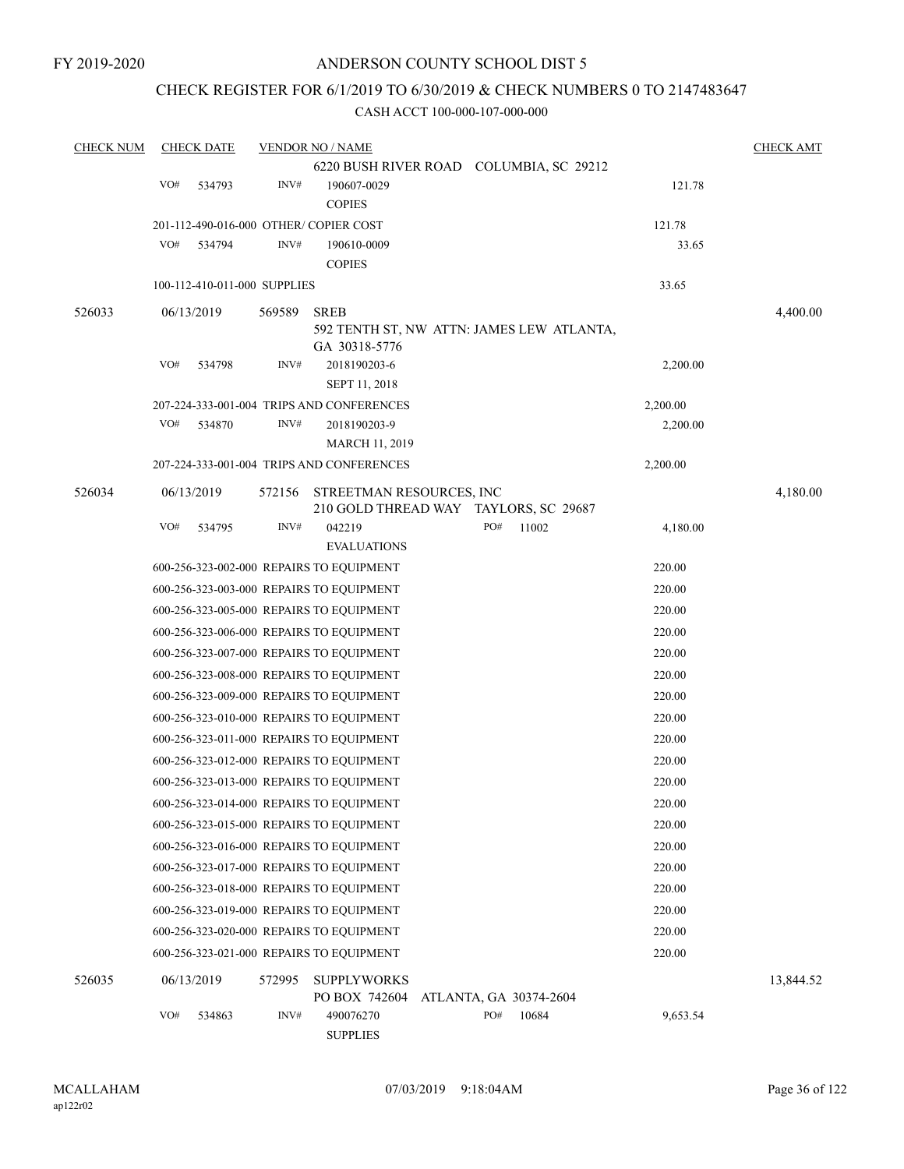# CHECK REGISTER FOR 6/1/2019 TO 6/30/2019 & CHECK NUMBERS 0 TO 2147483647

| <b>CHECK NUM</b> |     | <b>CHECK DATE</b>            |        | <b>VENDOR NO / NAME</b>                   |     |                        |          | <b>CHECK AMT</b> |
|------------------|-----|------------------------------|--------|-------------------------------------------|-----|------------------------|----------|------------------|
|                  |     |                              |        | 6220 BUSH RIVER ROAD COLUMBIA, SC 29212   |     |                        |          |                  |
|                  | VO# | 534793                       | INV#   | 190607-0029                               |     |                        | 121.78   |                  |
|                  |     |                              |        | <b>COPIES</b>                             |     |                        |          |                  |
|                  |     |                              |        | 201-112-490-016-000 OTHER/COPIER COST     |     |                        | 121.78   |                  |
|                  | VO# | 534794                       | INV#   | 190610-0009                               |     |                        | 33.65    |                  |
|                  |     |                              |        | <b>COPIES</b>                             |     |                        |          |                  |
|                  |     | 100-112-410-011-000 SUPPLIES |        |                                           |     |                        | 33.65    |                  |
| 526033           |     | 06/13/2019                   | 569589 | <b>SREB</b>                               |     |                        |          | 4,400.00         |
|                  |     |                              |        | 592 TENTH ST, NW ATTN: JAMES LEW ATLANTA, |     |                        |          |                  |
|                  |     |                              |        | GA 30318-5776                             |     |                        |          |                  |
|                  | VO# | 534798                       | INV#   | 2018190203-6                              |     |                        | 2,200.00 |                  |
|                  |     |                              |        | SEPT 11, 2018                             |     |                        |          |                  |
|                  |     |                              |        | 207-224-333-001-004 TRIPS AND CONFERENCES |     |                        | 2,200.00 |                  |
|                  | VO# | 534870                       | INV#   | 2018190203-9                              |     |                        | 2,200.00 |                  |
|                  |     |                              |        | MARCH 11, 2019                            |     |                        |          |                  |
|                  |     |                              |        | 207-224-333-001-004 TRIPS AND CONFERENCES |     |                        | 2,200.00 |                  |
| 526034           |     | 06/13/2019                   | 572156 | STREETMAN RESOURCES, INC                  |     |                        |          | 4,180.00         |
|                  |     |                              |        | 210 GOLD THREAD WAY TAYLORS, SC 29687     |     |                        |          |                  |
|                  | VO# | 534795                       | INV#   | 042219                                    | PO# | 11002                  | 4,180.00 |                  |
|                  |     |                              |        | <b>EVALUATIONS</b>                        |     |                        |          |                  |
|                  |     |                              |        | 600-256-323-002-000 REPAIRS TO EQUIPMENT  |     |                        | 220.00   |                  |
|                  |     |                              |        | 600-256-323-003-000 REPAIRS TO EQUIPMENT  |     |                        | 220.00   |                  |
|                  |     |                              |        | 600-256-323-005-000 REPAIRS TO EQUIPMENT  |     |                        | 220.00   |                  |
|                  |     |                              |        | 600-256-323-006-000 REPAIRS TO EQUIPMENT  |     |                        | 220.00   |                  |
|                  |     |                              |        | 600-256-323-007-000 REPAIRS TO EQUIPMENT  |     |                        | 220.00   |                  |
|                  |     |                              |        | 600-256-323-008-000 REPAIRS TO EQUIPMENT  |     |                        | 220.00   |                  |
|                  |     |                              |        | 600-256-323-009-000 REPAIRS TO EQUIPMENT  |     |                        | 220.00   |                  |
|                  |     |                              |        | 600-256-323-010-000 REPAIRS TO EQUIPMENT  |     |                        | 220.00   |                  |
|                  |     |                              |        | 600-256-323-011-000 REPAIRS TO EQUIPMENT  |     |                        | 220.00   |                  |
|                  |     |                              |        | 600-256-323-012-000 REPAIRS TO EQUIPMENT  |     |                        | 220.00   |                  |
|                  |     |                              |        | 600-256-323-013-000 REPAIRS TO EQUIPMENT  |     |                        | 220.00   |                  |
|                  |     |                              |        | 600-256-323-014-000 REPAIRS TO EQUIPMENT  |     |                        | 220.00   |                  |
|                  |     |                              |        | 600-256-323-015-000 REPAIRS TO EQUIPMENT  |     |                        | 220.00   |                  |
|                  |     |                              |        | 600-256-323-016-000 REPAIRS TO EQUIPMENT  |     |                        | 220.00   |                  |
|                  |     |                              |        | 600-256-323-017-000 REPAIRS TO EQUIPMENT  |     |                        | 220.00   |                  |
|                  |     |                              |        | 600-256-323-018-000 REPAIRS TO EQUIPMENT  |     |                        | 220.00   |                  |
|                  |     |                              |        | 600-256-323-019-000 REPAIRS TO EQUIPMENT  |     |                        | 220.00   |                  |
|                  |     |                              |        | 600-256-323-020-000 REPAIRS TO EQUIPMENT  |     |                        | 220.00   |                  |
|                  |     |                              |        | 600-256-323-021-000 REPAIRS TO EQUIPMENT  |     |                        | 220.00   |                  |
| 526035           |     | 06/13/2019                   | 572995 | <b>SUPPLYWORKS</b>                        |     |                        |          |                  |
|                  |     |                              |        | PO BOX 742604                             |     | ATLANTA, GA 30374-2604 |          | 13,844.52        |
|                  | VO# | 534863                       | INV#   | 490076270                                 | PO# | 10684                  | 9,653.54 |                  |
|                  |     |                              |        | <b>SUPPLIES</b>                           |     |                        |          |                  |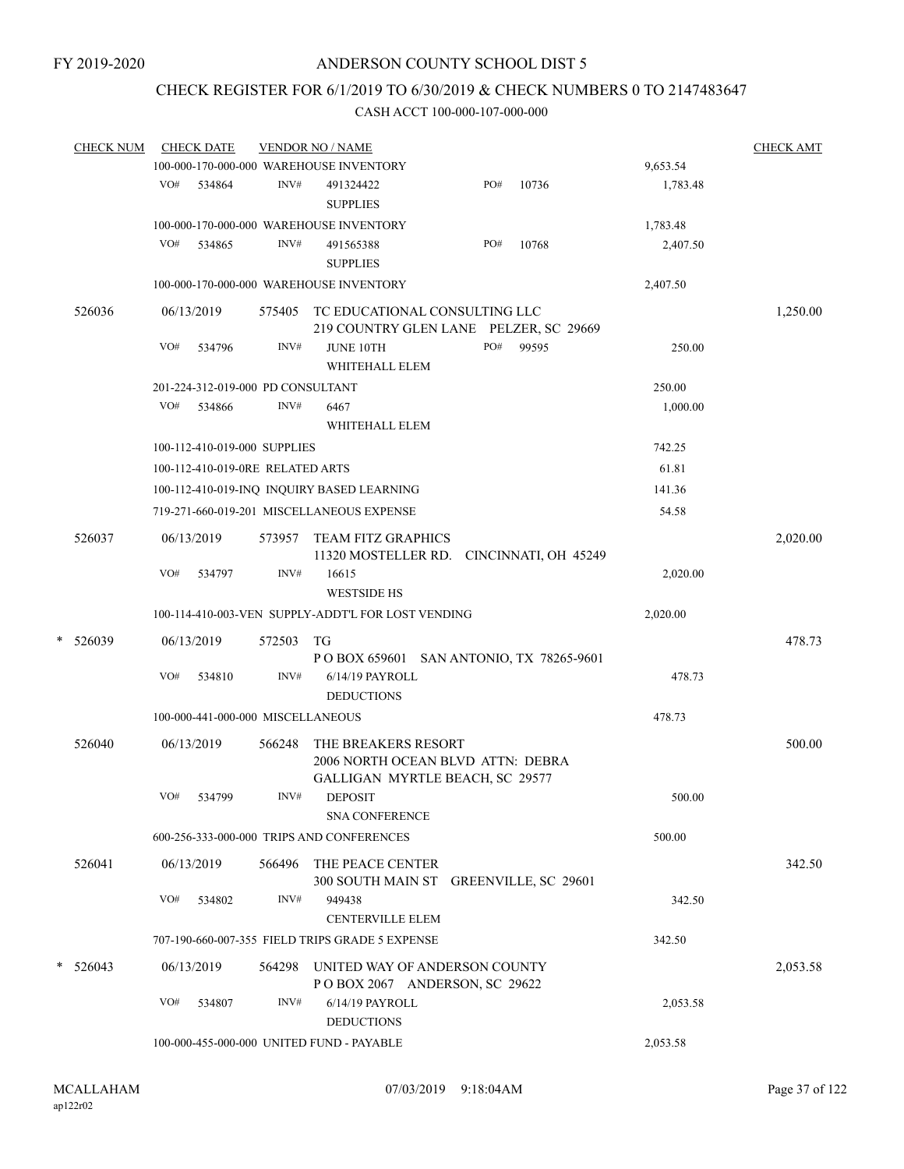### CHECK REGISTER FOR 6/1/2019 TO 6/30/2019 & CHECK NUMBERS 0 TO 2147483647

|   | <b>CHECK NUM</b> |     | <b>CHECK DATE</b>                 |        | <b>VENDOR NO / NAME</b>                                                                     |     |       |          | <b>CHECK AMT</b> |
|---|------------------|-----|-----------------------------------|--------|---------------------------------------------------------------------------------------------|-----|-------|----------|------------------|
|   |                  |     |                                   |        | 100-000-170-000-000 WAREHOUSE INVENTORY                                                     |     |       | 9,653.54 |                  |
|   |                  | VO# | 534864                            | INV#   | 491324422<br><b>SUPPLIES</b>                                                                | PO# | 10736 | 1,783.48 |                  |
|   |                  |     |                                   |        | 100-000-170-000-000 WAREHOUSE INVENTORY                                                     |     |       | 1,783.48 |                  |
|   |                  | VO# | 534865                            | INV#   | 491565388                                                                                   | PO# | 10768 | 2,407.50 |                  |
|   |                  |     |                                   |        | <b>SUPPLIES</b>                                                                             |     |       |          |                  |
|   |                  |     |                                   |        | 100-000-170-000-000 WAREHOUSE INVENTORY                                                     |     |       | 2,407.50 |                  |
|   | 526036           |     | 06/13/2019                        | 575405 | TC EDUCATIONAL CONSULTING LLC<br>219 COUNTRY GLEN LANE PELZER, SC 29669                     |     |       |          | 1,250.00         |
|   |                  | VO# | 534796                            | INV#   | <b>JUNE 10TH</b>                                                                            | PO# | 99595 | 250.00   |                  |
|   |                  |     |                                   |        | WHITEHALL ELEM                                                                              |     |       |          |                  |
|   |                  |     | 201-224-312-019-000 PD CONSULTANT |        |                                                                                             |     |       | 250.00   |                  |
|   |                  | VO# | 534866                            | INV#   | 6467                                                                                        |     |       | 1,000.00 |                  |
|   |                  |     |                                   |        | WHITEHALL ELEM                                                                              |     |       |          |                  |
|   |                  |     | 100-112-410-019-000 SUPPLIES      |        |                                                                                             |     |       | 742.25   |                  |
|   |                  |     | 100-112-410-019-0RE RELATED ARTS  |        |                                                                                             |     |       | 61.81    |                  |
|   |                  |     |                                   |        | 100-112-410-019-INQ INQUIRY BASED LEARNING                                                  |     |       | 141.36   |                  |
|   |                  |     |                                   |        | 719-271-660-019-201 MISCELLANEOUS EXPENSE                                                   |     |       | 54.58    |                  |
|   |                  |     |                                   |        |                                                                                             |     |       |          |                  |
|   | 526037           |     | 06/13/2019                        | 573957 | <b>TEAM FITZ GRAPHICS</b>                                                                   |     |       |          | 2,020.00         |
|   |                  | VO# | 534797                            | INV#   | 11320 MOSTELLER RD. CINCINNATI, OH 45249<br>16615                                           |     |       | 2,020.00 |                  |
|   |                  |     |                                   |        | <b>WESTSIDE HS</b>                                                                          |     |       |          |                  |
|   |                  |     |                                   |        | 100-114-410-003-VEN SUPPLY-ADDT'L FOR LOST VENDING                                          |     |       | 2,020.00 |                  |
| * | 526039           |     | 06/13/2019                        | 572503 | <b>TG</b>                                                                                   |     |       |          | 478.73           |
|   |                  |     |                                   |        | P O BOX 659601 SAN ANTONIO, TX 78265-9601                                                   |     |       |          |                  |
|   |                  | VO# | 534810                            | INV#   | 6/14/19 PAYROLL                                                                             |     |       | 478.73   |                  |
|   |                  |     |                                   |        | <b>DEDUCTIONS</b>                                                                           |     |       |          |                  |
|   |                  |     | 100-000-441-000-000 MISCELLANEOUS |        |                                                                                             |     |       | 478.73   |                  |
|   | 526040           |     | 06/13/2019                        | 566248 | THE BREAKERS RESORT<br>2006 NORTH OCEAN BLVD ATTN: DEBRA<br>GALLIGAN MYRTLE BEACH, SC 29577 |     |       |          | 500.00           |
|   |                  | VO# | 534799                            | INV#   | <b>DEPOSIT</b><br><b>SNA CONFERENCE</b>                                                     |     |       | 500.00   |                  |
|   |                  |     |                                   |        | 600-256-333-000-000 TRIPS AND CONFERENCES                                                   |     |       | 500.00   |                  |
|   | 526041           |     | 06/13/2019                        | 566496 | THE PEACE CENTER                                                                            |     |       |          | 342.50           |
|   |                  | VO# | 534802                            | INV#   | 300 SOUTH MAIN ST GREENVILLE, SC 29601<br>949438                                            |     |       | 342.50   |                  |
|   |                  |     |                                   |        | <b>CENTERVILLE ELEM</b>                                                                     |     |       |          |                  |
|   |                  |     |                                   |        | 707-190-660-007-355 FIELD TRIPS GRADE 5 EXPENSE                                             |     |       | 342.50   |                  |
|   | $* 526043$       |     | 06/13/2019                        |        | 564298 UNITED WAY OF ANDERSON COUNTY<br>POBOX 2067 ANDERSON, SC 29622                       |     |       |          | 2,053.58         |
|   |                  | VO# | 534807                            | INV#   | 6/14/19 PAYROLL<br><b>DEDUCTIONS</b>                                                        |     |       | 2,053.58 |                  |
|   |                  |     |                                   |        | 100-000-455-000-000 UNITED FUND - PAYABLE                                                   |     |       | 2,053.58 |                  |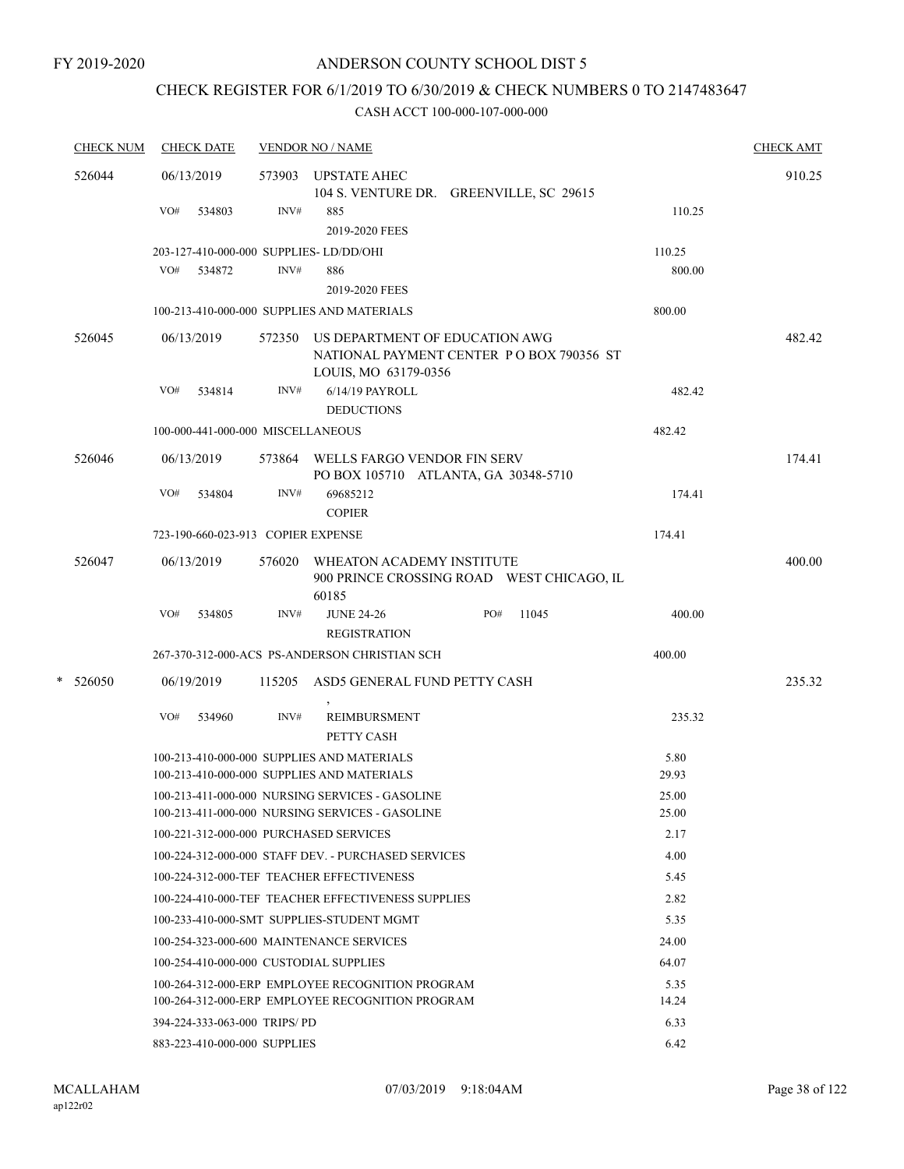### CHECK REGISTER FOR 6/1/2019 TO 6/30/2019 & CHECK NUMBERS 0 TO 2147483647

| <b>CHECK NUM</b> |     | <b>CHECK DATE</b>                  |        | <b>VENDOR NO / NAME</b>                                                                                   |     |       |               | <b>CHECK AMT</b> |
|------------------|-----|------------------------------------|--------|-----------------------------------------------------------------------------------------------------------|-----|-------|---------------|------------------|
| 526044           |     | 06/13/2019                         | 573903 | <b>UPSTATE AHEC</b><br>104 S. VENTURE DR. GREENVILLE, SC 29615                                            |     |       |               | 910.25           |
|                  | VO# | 534803                             | INV#   | 885<br>2019-2020 FEES                                                                                     |     |       | 110.25        |                  |
|                  |     |                                    |        | 203-127-410-000-000 SUPPLIES-LD/DD/OHI                                                                    |     |       | 110.25        |                  |
|                  |     | VO# 534872                         | INV#   | 886                                                                                                       |     |       | 800.00        |                  |
|                  |     |                                    |        | 2019-2020 FEES                                                                                            |     |       |               |                  |
|                  |     |                                    |        | 100-213-410-000-000 SUPPLIES AND MATERIALS                                                                |     |       | 800.00        |                  |
| 526045           |     | 06/13/2019                         |        | 572350 US DEPARTMENT OF EDUCATION AWG<br>NATIONAL PAYMENT CENTER PO BOX 790356 ST<br>LOUIS, MO 63179-0356 |     |       |               | 482.42           |
|                  | VO# | 534814                             | INV#   | 6/14/19 PAYROLL                                                                                           |     |       | 482.42        |                  |
|                  |     |                                    |        | <b>DEDUCTIONS</b>                                                                                         |     |       |               |                  |
|                  |     | 100-000-441-000-000 MISCELLANEOUS  |        |                                                                                                           |     |       | 482.42        |                  |
| 526046           |     | 06/13/2019                         |        | 573864 WELLS FARGO VENDOR FIN SERV<br>PO BOX 105710 ATLANTA, GA 30348-5710                                |     |       |               | 174.41           |
|                  | VO# | 534804                             | INV#   | 69685212<br><b>COPIER</b>                                                                                 |     |       | 174.41        |                  |
|                  |     | 723-190-660-023-913 COPIER EXPENSE |        |                                                                                                           |     |       | 174.41        |                  |
| 526047           |     | 06/13/2019                         | 576020 | WHEATON ACADEMY INSTITUTE<br>900 PRINCE CROSSING ROAD WEST CHICAGO, IL<br>60185                           |     |       |               | 400.00           |
|                  | VO# | 534805                             | INV#   | <b>JUNE 24-26</b><br><b>REGISTRATION</b>                                                                  | PO# | 11045 | 400.00        |                  |
|                  |     |                                    |        | 267-370-312-000-ACS PS-ANDERSON CHRISTIAN SCH                                                             |     |       | 400.00        |                  |
| $*$ 526050       |     |                                    |        | ASD5 GENERAL FUND PETTY CASH                                                                              |     |       |               | 235.32           |
|                  |     | 06/19/2019                         | 115205 |                                                                                                           |     |       |               |                  |
|                  | VO# | 534960                             | INV#   | <b>REIMBURSMENT</b><br>PETTY CASH                                                                         |     |       | 235.32        |                  |
|                  |     |                                    |        | 100-213-410-000-000 SUPPLIES AND MATERIALS                                                                |     |       | 5.80          |                  |
|                  |     |                                    |        | 100-213-410-000-000 SUPPLIES AND MATERIALS                                                                |     |       | 29.93         |                  |
|                  |     |                                    |        | 100-213-411-000-000 NURSING SERVICES - GASOLINE                                                           |     |       | 25.00         |                  |
|                  |     |                                    |        | 100-213-411-000-000 NURSING SERVICES - GASOLINE                                                           |     |       | 25.00         |                  |
|                  |     |                                    |        | 100-221-312-000-000 PURCHASED SERVICES                                                                    |     |       | 2.17          |                  |
|                  |     |                                    |        | 100-224-312-000-000 STAFF DEV. - PURCHASED SERVICES                                                       |     |       | 4.00          |                  |
|                  |     |                                    |        | 100-224-312-000-TEF TEACHER EFFECTIVENESS                                                                 |     |       | 5.45          |                  |
|                  |     |                                    |        | 100-224-410-000-TEF TEACHER EFFECTIVENESS SUPPLIES                                                        |     |       | 2.82          |                  |
|                  |     |                                    |        | 100-233-410-000-SMT SUPPLIES-STUDENT MGMT                                                                 |     |       | 5.35          |                  |
|                  |     |                                    |        | 100-254-323-000-600 MAINTENANCE SERVICES                                                                  |     |       | 24.00         |                  |
|                  |     |                                    |        | 100-254-410-000-000 CUSTODIAL SUPPLIES                                                                    |     |       | 64.07         |                  |
|                  |     |                                    |        | 100-264-312-000-ERP EMPLOYEE RECOGNITION PROGRAM<br>100-264-312-000-ERP EMPLOYEE RECOGNITION PROGRAM      |     |       | 5.35<br>14.24 |                  |
|                  |     | 394-224-333-063-000 TRIPS/PD       |        |                                                                                                           |     |       | 6.33          |                  |
|                  |     | 883-223-410-000-000 SUPPLIES       |        |                                                                                                           |     |       | 6.42          |                  |
|                  |     |                                    |        |                                                                                                           |     |       |               |                  |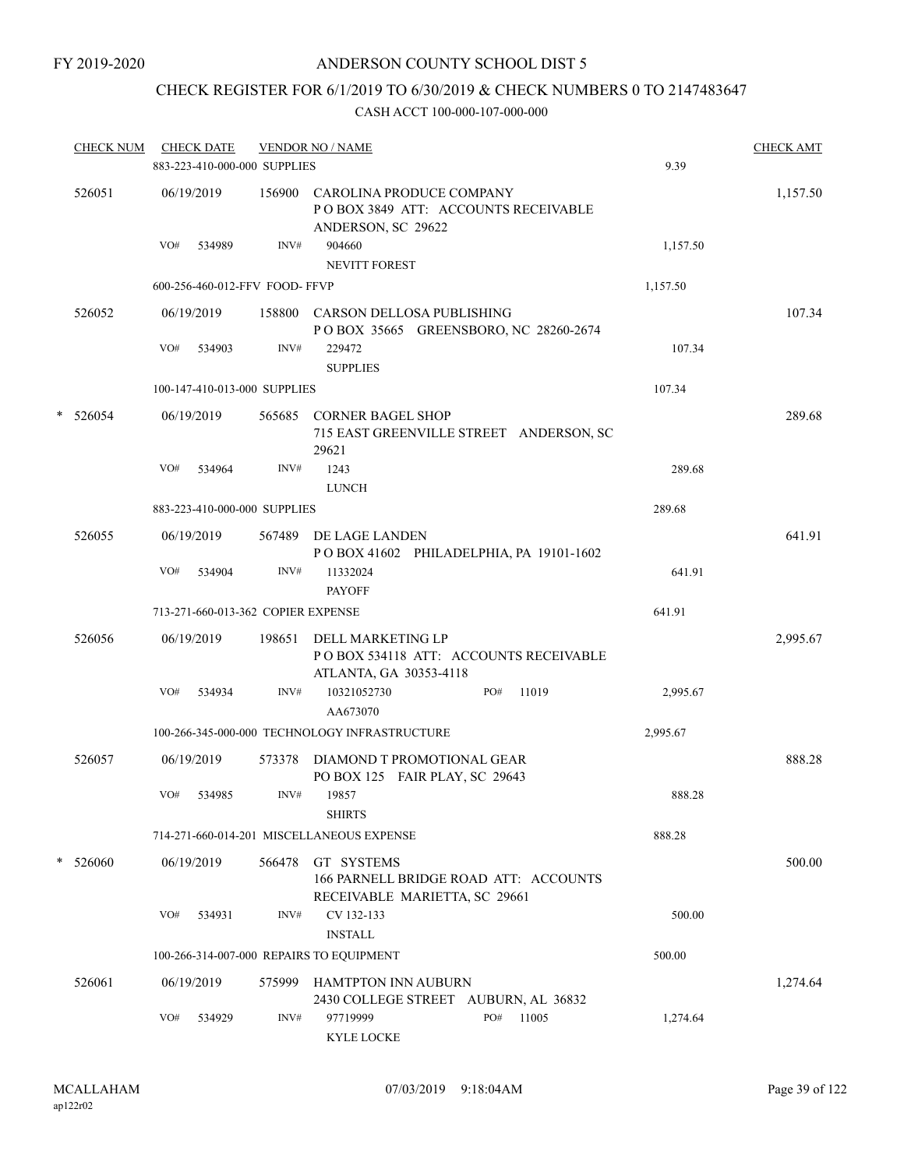### CHECK REGISTER FOR 6/1/2019 TO 6/30/2019 & CHECK NUMBERS 0 TO 2147483647

|   | <b>CHECK NUM</b> |     | <b>CHECK DATE</b><br>883-223-410-000-000 SUPPLIES |        | <b>VENDOR NO / NAME</b>                                                               |     |       | 9.39     | <b>CHECK AMT</b> |
|---|------------------|-----|---------------------------------------------------|--------|---------------------------------------------------------------------------------------|-----|-------|----------|------------------|
|   | 526051           |     | 06/19/2019                                        | 156900 | CAROLINA PRODUCE COMPANY<br>POBOX 3849 ATT: ACCOUNTS RECEIVABLE<br>ANDERSON, SC 29622 |     |       |          | 1,157.50         |
|   |                  | VO# | 534989                                            | INV#   | 904660<br><b>NEVITT FOREST</b>                                                        |     |       | 1,157.50 |                  |
|   |                  |     | 600-256-460-012-FFV FOOD- FFVP                    |        |                                                                                       |     |       | 1,157.50 |                  |
|   | 526052           |     | 06/19/2019                                        | 158800 | CARSON DELLOSA PUBLISHING<br>POBOX 35665 GREENSBORO, NC 28260-2674                    |     |       |          | 107.34           |
|   |                  | VO# | 534903                                            | INV#   | 229472<br><b>SUPPLIES</b>                                                             |     |       | 107.34   |                  |
|   |                  |     | 100-147-410-013-000 SUPPLIES                      |        |                                                                                       |     |       | 107.34   |                  |
| * | 526054           |     | 06/19/2019                                        | 565685 | <b>CORNER BAGEL SHOP</b><br>715 EAST GREENVILLE STREET ANDERSON, SC<br>29621          |     |       |          | 289.68           |
|   |                  | VO# | 534964                                            | INV#   | 1243<br><b>LUNCH</b>                                                                  |     |       | 289.68   |                  |
|   |                  |     | 883-223-410-000-000 SUPPLIES                      |        |                                                                                       |     |       | 289.68   |                  |
|   | 526055           |     | 06/19/2019                                        | 567489 | DE LAGE LANDEN<br>POBOX 41602 PHILADELPHIA, PA 19101-1602                             |     |       |          | 641.91           |
|   |                  | VO# | 534904                                            | INV#   | 11332024<br><b>PAYOFF</b>                                                             |     |       | 641.91   |                  |
|   |                  |     | 713-271-660-013-362 COPIER EXPENSE                |        |                                                                                       |     |       | 641.91   |                  |
|   | 526056           |     | 06/19/2019                                        | 198651 | DELL MARKETING LP<br>PO BOX 534118 ATT: ACCOUNTS RECEIVABLE<br>ATLANTA, GA 30353-4118 |     |       |          | 2,995.67         |
|   |                  | VO# | 534934                                            | INV#   | 10321052730<br>AA673070                                                               | PO# | 11019 | 2,995.67 |                  |
|   |                  |     |                                                   |        | 100-266-345-000-000 TECHNOLOGY INFRASTRUCTURE                                         |     |       | 2,995.67 |                  |
|   | 526057           |     | 06/19/2019                                        | 573378 | DIAMOND T PROMOTIONAL GEAR<br>PO BOX 125 FAIR PLAY, SC 29643                          |     |       |          | 888.28           |
|   |                  | VO# | 534985                                            | INV#   | 19857<br><b>SHIRTS</b>                                                                |     |       | 888.28   |                  |
|   |                  |     |                                                   |        | 714-271-660-014-201 MISCELLANEOUS EXPENSE                                             |     |       | 888.28   |                  |
|   | $*$ 526060       |     | 06/19/2019                                        | 566478 | GT SYSTEMS<br>166 PARNELL BRIDGE ROAD ATT: ACCOUNTS<br>RECEIVABLE MARIETTA, SC 29661  |     |       |          | 500.00           |
|   |                  | VO# | 534931                                            | INV#   | CV 132-133<br><b>INSTALL</b>                                                          |     |       | 500.00   |                  |
|   |                  |     |                                                   |        | 100-266-314-007-000 REPAIRS TO EQUIPMENT                                              |     |       | 500.00   |                  |
|   | 526061           |     | 06/19/2019                                        | 575999 | <b>HAMTPTON INN AUBURN</b><br>2430 COLLEGE STREET AUBURN, AL 36832                    |     |       |          | 1,274.64         |
|   |                  | VO# | 534929                                            | INV#   | 97719999<br><b>KYLE LOCKE</b>                                                         | PO# | 11005 | 1,274.64 |                  |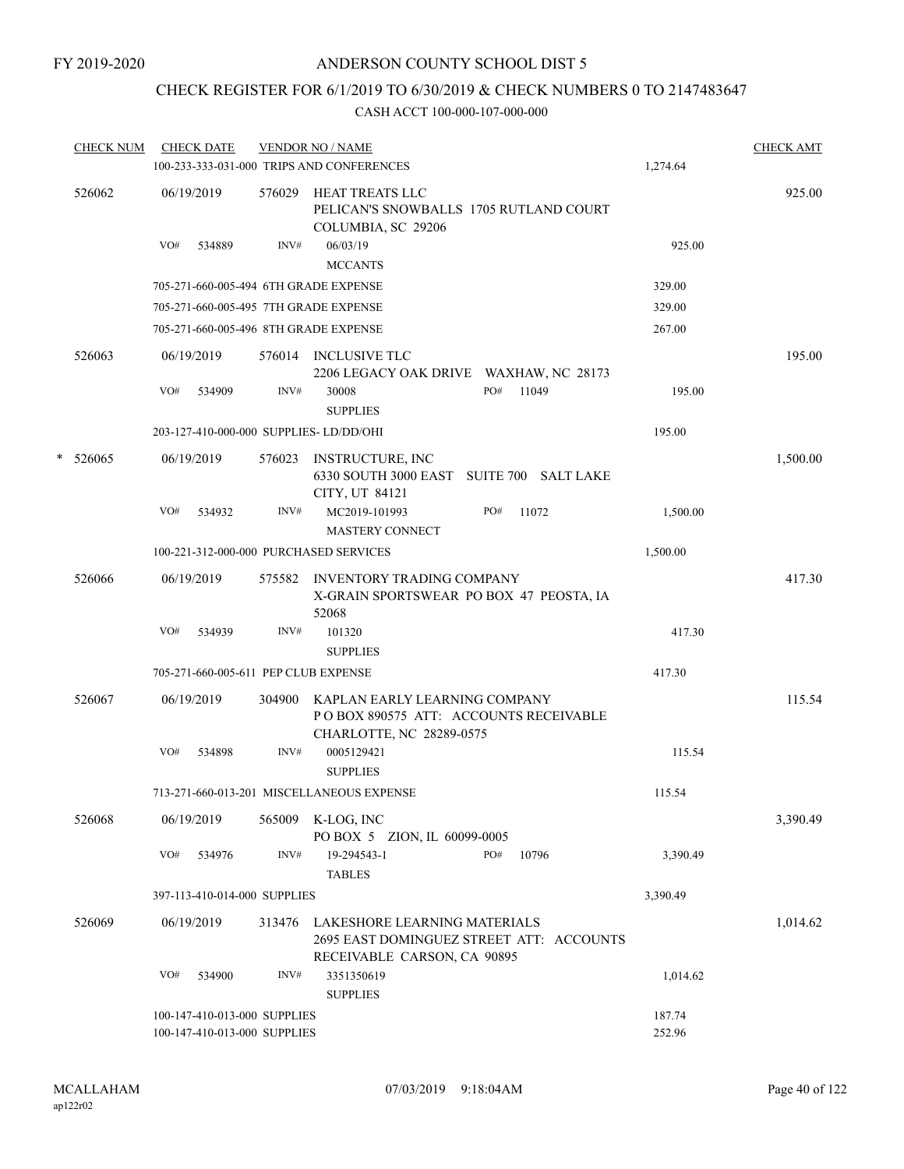### CHECK REGISTER FOR 6/1/2019 TO 6/30/2019 & CHECK NUMBERS 0 TO 2147483647

|   | <b>CHECK NUM</b> | <b>CHECK DATE</b>                                            |        | <b>VENDOR NO / NAME</b><br>100-233-333-031-000 TRIPS AND CONFERENCES                                    | 1,274.64         | <b>CHECK AMT</b> |
|---|------------------|--------------------------------------------------------------|--------|---------------------------------------------------------------------------------------------------------|------------------|------------------|
|   | 526062           | 06/19/2019                                                   | 576029 | HEAT TREATS LLC<br>PELICAN'S SNOWBALLS 1705 RUTLAND COURT<br>COLUMBIA, SC 29206                         |                  | 925.00           |
|   |                  | VO#<br>534889                                                | INV#   | 06/03/19<br><b>MCCANTS</b>                                                                              | 925.00           |                  |
|   |                  | 705-271-660-005-494 6TH GRADE EXPENSE                        |        |                                                                                                         | 329.00           |                  |
|   |                  | 705-271-660-005-495 7TH GRADE EXPENSE                        |        |                                                                                                         | 329.00           |                  |
|   |                  | 705-271-660-005-496 8TH GRADE EXPENSE                        |        |                                                                                                         | 267.00           |                  |
|   | 526063           | 06/19/2019                                                   |        | 576014 INCLUSIVE TLC<br>2206 LEGACY OAK DRIVE WAXHAW, NC 28173                                          |                  | 195.00           |
|   |                  | VO#<br>534909                                                | INV#   | PO#<br>11049<br>30008<br><b>SUPPLIES</b>                                                                | 195.00           |                  |
|   |                  | 203-127-410-000-000 SUPPLIES-LD/DD/OHI                       |        |                                                                                                         | 195.00           |                  |
| * | 526065           | 06/19/2019                                                   | 576023 | INSTRUCTURE, INC<br>6330 SOUTH 3000 EAST<br>SUITE 700 SALT LAKE<br>CITY, UT 84121                       |                  | 1,500.00         |
|   |                  | VO#<br>534932                                                | INV#   | MC2019-101993<br>PO#<br>11072<br><b>MASTERY CONNECT</b>                                                 | 1,500.00         |                  |
|   |                  | 100-221-312-000-000 PURCHASED SERVICES                       |        |                                                                                                         | 1,500.00         |                  |
|   | 526066           | 06/19/2019                                                   | 575582 | <b>INVENTORY TRADING COMPANY</b><br>X-GRAIN SPORTSWEAR PO BOX 47 PEOSTA, IA<br>52068                    |                  | 417.30           |
|   |                  | VO#<br>534939                                                | INV#   | 101320<br><b>SUPPLIES</b>                                                                               | 417.30           |                  |
|   |                  | 705-271-660-005-611 PEP CLUB EXPENSE                         |        |                                                                                                         | 417.30           |                  |
|   | 526067           | 06/19/2019                                                   | 304900 | KAPLAN EARLY LEARNING COMPANY<br>POBOX 890575 ATT: ACCOUNTS RECEIVABLE<br>CHARLOTTE, NC 28289-0575      |                  | 115.54           |
|   |                  | VO#<br>534898                                                | INV#   | 0005129421<br><b>SUPPLIES</b>                                                                           | 115.54           |                  |
|   |                  |                                                              |        | 713-271-660-013-201 MISCELLANEOUS EXPENSE                                                               | 115.54           |                  |
|   | 526068           | 06/19/2019                                                   | 565009 | K-LOG, INC<br>PO BOX 5 ZION, IL 60099-0005                                                              |                  | 3,390.49         |
|   |                  | VO#<br>534976                                                | INV#   | PO#<br>19-294543-1<br>10796<br><b>TABLES</b>                                                            | 3,390.49         |                  |
|   |                  | 397-113-410-014-000 SUPPLIES                                 |        |                                                                                                         | 3,390.49         |                  |
|   | 526069           | 06/19/2019                                                   | 313476 | LAKESHORE LEARNING MATERIALS<br>2695 EAST DOMINGUEZ STREET ATT: ACCOUNTS<br>RECEIVABLE CARSON, CA 90895 |                  | 1,014.62         |
|   |                  | VO#<br>534900                                                | INV#   | 3351350619<br><b>SUPPLIES</b>                                                                           | 1,014.62         |                  |
|   |                  | 100-147-410-013-000 SUPPLIES<br>100-147-410-013-000 SUPPLIES |        |                                                                                                         | 187.74<br>252.96 |                  |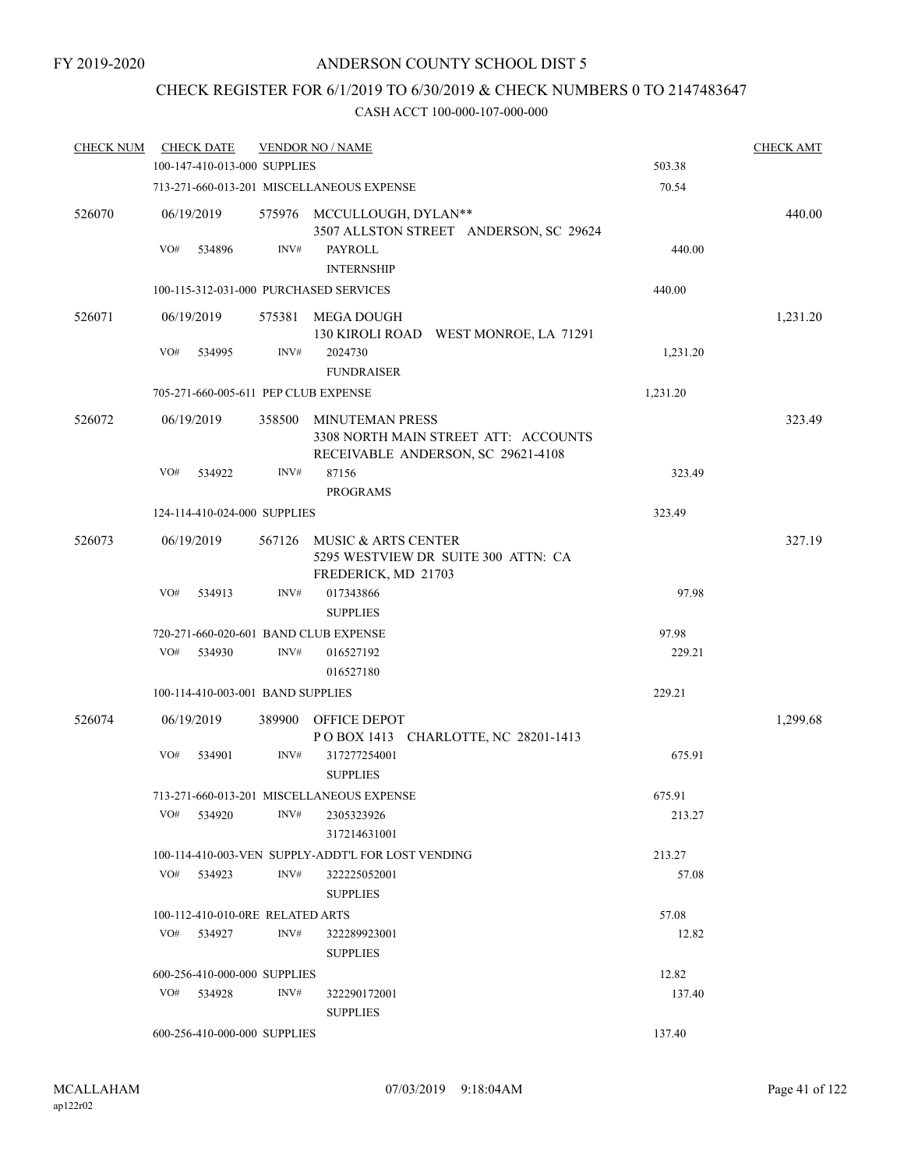## CHECK REGISTER FOR 6/1/2019 TO 6/30/2019 & CHECK NUMBERS 0 TO 2147483647

| <b>CHECK NUM</b> | <b>CHECK DATE</b>                      |        | <b>VENDOR NO / NAME</b>                                                                              |          | <b>CHECK AMT</b> |
|------------------|----------------------------------------|--------|------------------------------------------------------------------------------------------------------|----------|------------------|
|                  | 100-147-410-013-000 SUPPLIES           |        |                                                                                                      | 503.38   |                  |
|                  |                                        |        | 713-271-660-013-201 MISCELLANEOUS EXPENSE                                                            | 70.54    |                  |
| 526070           | 06/19/2019                             |        | 575976 MCCULLOUGH, DYLAN**<br>3507 ALLSTON STREET ANDERSON, SC 29624                                 |          | 440.00           |
|                  | VO#<br>534896                          | INV#   | PAYROLL<br><b>INTERNSHIP</b>                                                                         | 440.00   |                  |
|                  | 100-115-312-031-000 PURCHASED SERVICES |        |                                                                                                      | 440.00   |                  |
| 526071           | 06/19/2019                             | 575381 | MEGA DOUGH<br>130 KIROLI ROAD WEST MONROE, LA 71291                                                  |          | 1,231.20         |
|                  | VO#<br>534995                          | INV#   | 2024730<br><b>FUNDRAISER</b>                                                                         | 1,231.20 |                  |
|                  | 705-271-660-005-611 PEP CLUB EXPENSE   |        |                                                                                                      | 1,231.20 |                  |
| 526072           | 06/19/2019                             | 358500 | <b>MINUTEMAN PRESS</b><br>3308 NORTH MAIN STREET ATT: ACCOUNTS<br>RECEIVABLE ANDERSON, SC 29621-4108 |          | 323.49           |
|                  | VO#<br>534922                          | INV#   | 87156<br><b>PROGRAMS</b>                                                                             | 323.49   |                  |
|                  | 124-114-410-024-000 SUPPLIES           |        |                                                                                                      | 323.49   |                  |
| 526073           | 06/19/2019                             | 567126 | MUSIC & ARTS CENTER<br>5295 WESTVIEW DR SUITE 300 ATTN: CA<br>FREDERICK, MD 21703                    |          | 327.19           |
|                  | VO#<br>534913                          | INV#   | 017343866<br><b>SUPPLIES</b>                                                                         | 97.98    |                  |
|                  | 720-271-660-020-601 BAND CLUB EXPENSE  |        |                                                                                                      | 97.98    |                  |
|                  | VO#<br>534930                          | INV#   | 016527192                                                                                            | 229.21   |                  |
|                  |                                        |        | 016527180                                                                                            |          |                  |
|                  | 100-114-410-003-001 BAND SUPPLIES      |        |                                                                                                      | 229.21   |                  |
| 526074           | 06/19/2019                             | 389900 | OFFICE DEPOT<br>POBOX 1413 CHARLOTTE, NC 28201-1413                                                  |          | 1,299.68         |
|                  | VO#<br>534901                          | INV#   | 317277254001<br><b>SUPPLIES</b>                                                                      | 675.91   |                  |
|                  |                                        |        | 713-271-660-013-201 MISCELLANEOUS EXPENSE                                                            | 675.91   |                  |
|                  | VO#<br>534920                          | INV#   | 2305323926<br>317214631001                                                                           | 213.27   |                  |
|                  |                                        |        | 100-114-410-003-VEN SUPPLY-ADDT'L FOR LOST VENDING                                                   | 213.27   |                  |
|                  | VO#<br>534923                          | INV#   | 322225052001<br><b>SUPPLIES</b>                                                                      | 57.08    |                  |
|                  | 100-112-410-010-0RE RELATED ARTS       |        |                                                                                                      | 57.08    |                  |
|                  | VO#<br>534927                          | INV#   | 322289923001<br><b>SUPPLIES</b>                                                                      | 12.82    |                  |
|                  | 600-256-410-000-000 SUPPLIES           |        |                                                                                                      | 12.82    |                  |
|                  | VO#<br>534928                          | INV#   | 322290172001<br><b>SUPPLIES</b>                                                                      | 137.40   |                  |
|                  | 600-256-410-000-000 SUPPLIES           |        |                                                                                                      | 137.40   |                  |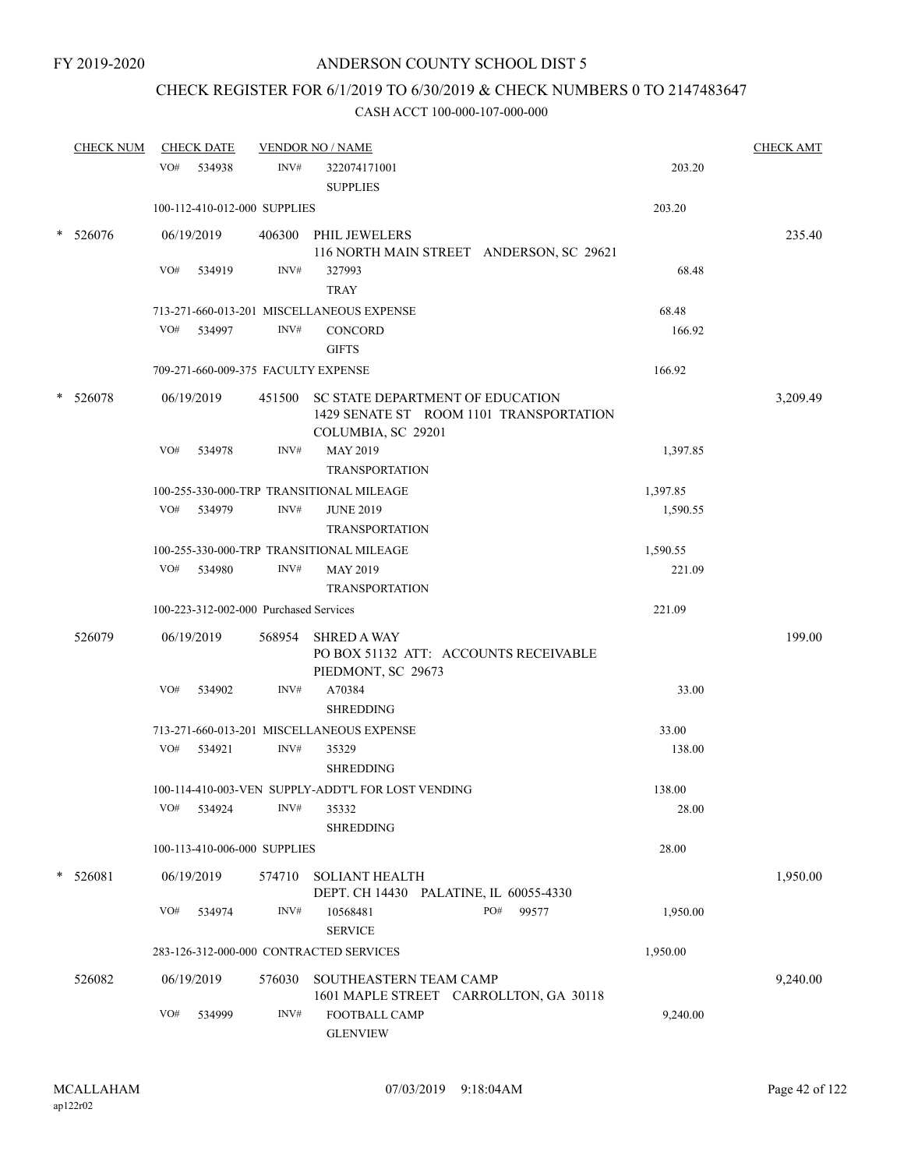## CHECK REGISTER FOR 6/1/2019 TO 6/30/2019 & CHECK NUMBERS 0 TO 2147483647

|        | <b>CHECK NUM</b> |            | <b>CHECK DATE</b> |                                        | <b>VENDOR NO / NAME</b>                                                                                  |          | <b>CHECK AMT</b> |
|--------|------------------|------------|-------------------|----------------------------------------|----------------------------------------------------------------------------------------------------------|----------|------------------|
|        |                  | VO# 534938 |                   | INV#                                   | 322074171001<br><b>SUPPLIES</b>                                                                          | 203.20   |                  |
|        |                  |            |                   | 100-112-410-012-000 SUPPLIES           |                                                                                                          | 203.20   |                  |
| *      | 526076           | 06/19/2019 |                   | 406300                                 | PHIL JEWELERS<br>116 NORTH MAIN STREET ANDERSON, SC 29621                                                |          | 235.40           |
|        |                  | VO#        | 534919            | INV#                                   | 327993<br><b>TRAY</b>                                                                                    | 68.48    |                  |
|        |                  |            |                   |                                        | 713-271-660-013-201 MISCELLANEOUS EXPENSE                                                                | 68.48    |                  |
|        |                  | VO#        | 534997            | INV#                                   | <b>CONCORD</b><br><b>GIFTS</b>                                                                           | 166.92   |                  |
|        |                  |            |                   |                                        | 709-271-660-009-375 FACULTY EXPENSE                                                                      | 166.92   |                  |
| $\ast$ | 526078           | 06/19/2019 |                   |                                        | 451500 SC STATE DEPARTMENT OF EDUCATION<br>1429 SENATE ST ROOM 1101 TRANSPORTATION<br>COLUMBIA, SC 29201 |          | 3,209.49         |
|        |                  | VO#        | 534978            | INV#                                   | MAY 2019<br><b>TRANSPORTATION</b>                                                                        | 1,397.85 |                  |
|        |                  |            |                   |                                        | 100-255-330-000-TRP TRANSITIONAL MILEAGE                                                                 | 1,397.85 |                  |
|        |                  | VO# 534979 |                   | INV#                                   | <b>JUNE 2019</b><br><b>TRANSPORTATION</b>                                                                | 1,590.55 |                  |
|        |                  |            |                   |                                        | 100-255-330-000-TRP TRANSITIONAL MILEAGE                                                                 | 1,590.55 |                  |
|        |                  | VO# 534980 |                   | INV#                                   | <b>MAY 2019</b><br><b>TRANSPORTATION</b>                                                                 | 221.09   |                  |
|        |                  |            |                   | 100-223-312-002-000 Purchased Services |                                                                                                          | 221.09   |                  |
|        | 526079           | 06/19/2019 |                   | 568954                                 | <b>SHRED A WAY</b><br>PO BOX 51132 ATT: ACCOUNTS RECEIVABLE<br>PIEDMONT, SC 29673                        |          | 199.00           |
|        |                  | VO#        | 534902            | INV#                                   | A70384<br><b>SHREDDING</b>                                                                               | 33.00    |                  |
|        |                  |            |                   |                                        | 713-271-660-013-201 MISCELLANEOUS EXPENSE                                                                | 33.00    |                  |
|        |                  | VO#        | 534921            | INV#                                   | 35329<br><b>SHREDDING</b>                                                                                | 138.00   |                  |
|        |                  |            |                   |                                        | 100-114-410-003-VEN SUPPLY-ADDT'L FOR LOST VENDING                                                       | 138.00   |                  |
|        |                  | VO#        | 534924            | INV#                                   | 35332<br><b>SHREDDING</b>                                                                                | 28.00    |                  |
|        |                  |            |                   | 100-113-410-006-000 SUPPLIES           |                                                                                                          | 28.00    |                  |
| $\ast$ | 526081           | 06/19/2019 |                   | 574710                                 | <b>SOLIANT HEALTH</b><br>DEPT. CH 14430 PALATINE, IL 60055-4330                                          |          | 1,950.00         |
|        |                  | VO#        | 534974            | INV#                                   | 10568481<br>PO#<br>99577<br><b>SERVICE</b>                                                               | 1,950.00 |                  |
|        |                  |            |                   |                                        | 283-126-312-000-000 CONTRACTED SERVICES                                                                  | 1,950.00 |                  |
|        | 526082           | 06/19/2019 |                   | 576030                                 | SOUTHEASTERN TEAM CAMP<br>1601 MAPLE STREET CARROLLTON, GA 30118                                         |          | 9,240.00         |
|        |                  | VO#        | 534999            | INV#                                   | FOOTBALL CAMP<br><b>GLENVIEW</b>                                                                         | 9,240.00 |                  |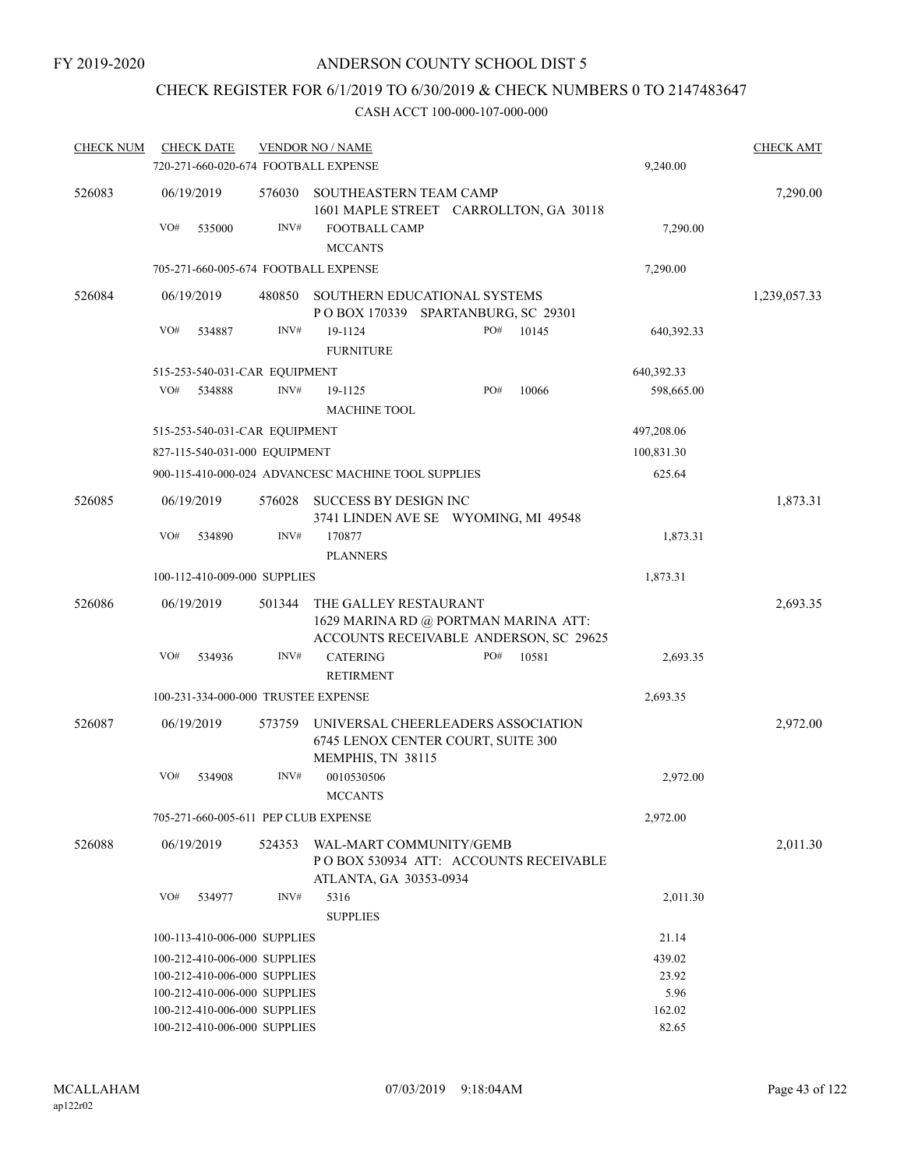## CHECK REGISTER FOR 6/1/2019 TO 6/30/2019 & CHECK NUMBERS 0 TO 2147483647

| <b>CHECK NUM</b> | <b>CHECK DATE</b>                                            |        | <b>VENDOR NO / NAME</b>                                                                                 |                 | <b>CHECK AMT</b> |
|------------------|--------------------------------------------------------------|--------|---------------------------------------------------------------------------------------------------------|-----------------|------------------|
|                  | 720-271-660-020-674 FOOTBALL EXPENSE                         |        |                                                                                                         | 9,240.00        |                  |
| 526083           | 06/19/2019                                                   | 576030 | SOUTHEASTERN TEAM CAMP<br>1601 MAPLE STREET CARROLLTON, GA 30118                                        |                 | 7,290.00         |
|                  | VO#<br>535000                                                | INV#   | FOOTBALL CAMP<br><b>MCCANTS</b>                                                                         | 7,290.00        |                  |
|                  | 705-271-660-005-674 FOOTBALL EXPENSE                         |        |                                                                                                         | 7,290.00        |                  |
| 526084           | 06/19/2019                                                   | 480850 | SOUTHERN EDUCATIONAL SYSTEMS                                                                            |                 | 1,239,057.33     |
|                  |                                                              |        | POBOX 170339 SPARTANBURG, SC 29301                                                                      |                 |                  |
|                  | VO#<br>534887                                                | INV#   | 19-1124<br>PO#<br>10145<br><b>FURNITURE</b>                                                             | 640,392.33      |                  |
|                  | 515-253-540-031-CAR EQUIPMENT                                |        |                                                                                                         | 640,392.33      |                  |
|                  | VO#<br>534888                                                | INV#   | PO#<br>10066<br>19-1125<br><b>MACHINE TOOL</b>                                                          | 598,665.00      |                  |
|                  | 515-253-540-031-CAR EQUIPMENT                                |        |                                                                                                         | 497,208.06      |                  |
|                  | 827-115-540-031-000 EQUIPMENT                                |        |                                                                                                         | 100,831.30      |                  |
|                  |                                                              |        | 900-115-410-000-024 ADVANCESC MACHINE TOOL SUPPLIES                                                     | 625.64          |                  |
| 526085           | 06/19/2019                                                   | 576028 | SUCCESS BY DESIGN INC<br>3741 LINDEN AVE SE WYOMING, MI 49548                                           |                 | 1,873.31         |
|                  | VO#<br>534890                                                | INV#   | 170877<br><b>PLANNERS</b>                                                                               | 1,873.31        |                  |
|                  | 100-112-410-009-000 SUPPLIES                                 |        |                                                                                                         | 1,873.31        |                  |
| 526086           | 06/19/2019                                                   | 501344 | THE GALLEY RESTAURANT<br>1629 MARINA RD @ PORTMAN MARINA ATT:<br>ACCOUNTS RECEIVABLE ANDERSON, SC 29625 |                 | 2,693.35         |
|                  | VO#<br>534936                                                | INV#   | <b>CATERING</b><br>PO#<br>10581<br><b>RETIRMENT</b>                                                     | 2,693.35        |                  |
|                  | 100-231-334-000-000 TRUSTEE EXPENSE                          |        |                                                                                                         | 2,693.35        |                  |
| 526087           | 06/19/2019                                                   | 573759 | UNIVERSAL CHEERLEADERS ASSOCIATION<br>6745 LENOX CENTER COURT, SUITE 300<br>MEMPHIS, TN 38115           |                 | 2,972.00         |
|                  | VO#<br>534908                                                | INV#   | 0010530506<br><b>MCCANTS</b>                                                                            | 2,972.00        |                  |
|                  | 705-271-660-005-611 PEP CLUB EXPENSE                         |        |                                                                                                         | 2,972.00        |                  |
| 526088           | 06/19/2019                                                   | 524353 | WAL-MART COMMUNITY/GEMB<br>PO BOX 530934 ATT: ACCOUNTS RECEIVABLE<br>ATLANTA, GA 30353-0934             |                 | 2,011.30         |
|                  | VO#<br>534977                                                | INV#   | 5316<br><b>SUPPLIES</b>                                                                                 | 2,011.30        |                  |
|                  | 100-113-410-006-000 SUPPLIES                                 |        |                                                                                                         | 21.14           |                  |
|                  | 100-212-410-006-000 SUPPLIES                                 |        |                                                                                                         | 439.02          |                  |
|                  | 100-212-410-006-000 SUPPLIES                                 |        |                                                                                                         | 23.92           |                  |
|                  | 100-212-410-006-000 SUPPLIES                                 |        |                                                                                                         | 5.96            |                  |
|                  | 100-212-410-006-000 SUPPLIES<br>100-212-410-006-000 SUPPLIES |        |                                                                                                         | 162.02<br>82.65 |                  |
|                  |                                                              |        |                                                                                                         |                 |                  |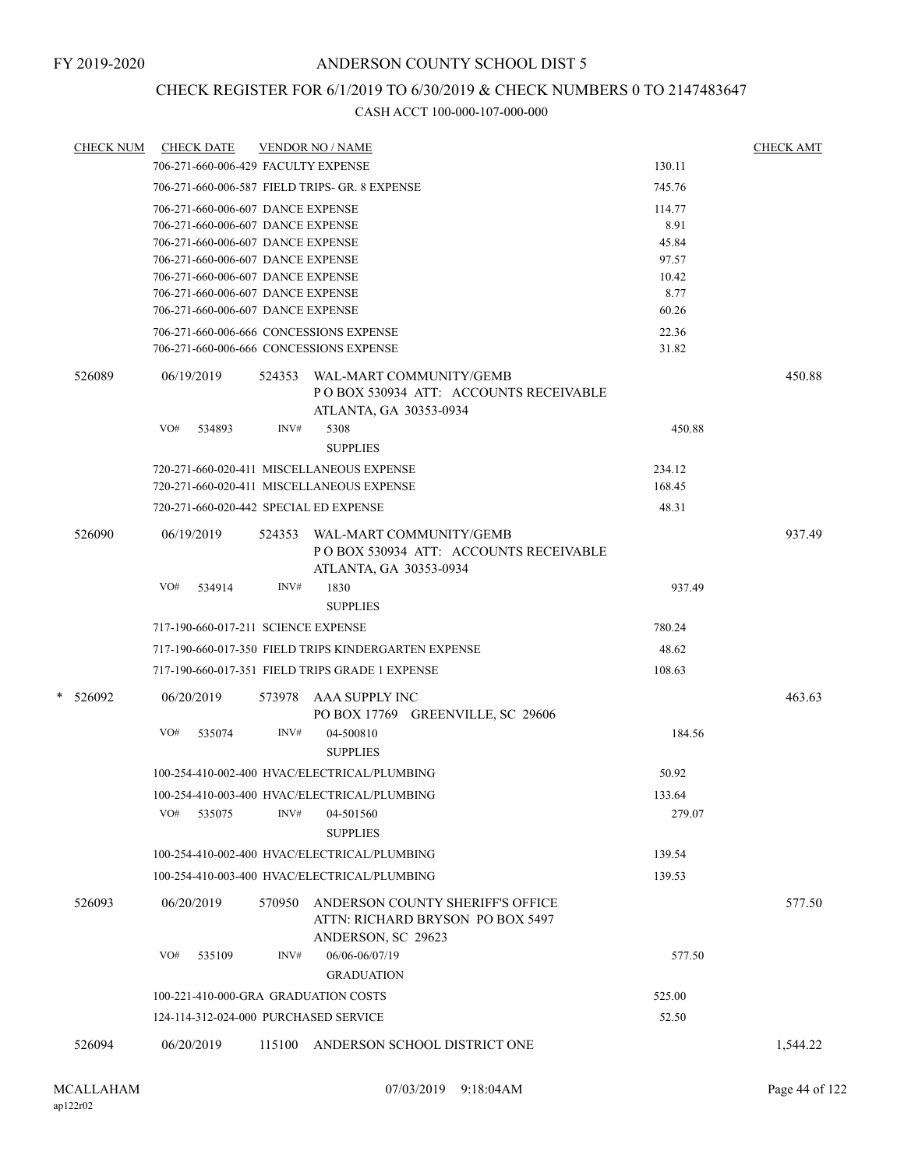### CHECK REGISTER FOR 6/1/2019 TO 6/30/2019 & CHECK NUMBERS 0 TO 2147483647

| <b>CHECK NUM</b> | <b>CHECK DATE</b>                       |        | <b>VENDOR NO / NAME</b>                                                                           |        | <b>CHECK AMT</b> |
|------------------|-----------------------------------------|--------|---------------------------------------------------------------------------------------------------|--------|------------------|
|                  | 706-271-660-006-429 FACULTY EXPENSE     |        |                                                                                                   | 130.11 |                  |
|                  |                                         |        | 706-271-660-006-587 FIELD TRIPS- GR. 8 EXPENSE                                                    | 745.76 |                  |
|                  | 706-271-660-006-607 DANCE EXPENSE       |        |                                                                                                   | 114.77 |                  |
|                  | 706-271-660-006-607 DANCE EXPENSE       |        |                                                                                                   | 8.91   |                  |
|                  | 706-271-660-006-607 DANCE EXPENSE       |        |                                                                                                   | 45.84  |                  |
|                  | 706-271-660-006-607 DANCE EXPENSE       |        |                                                                                                   | 97.57  |                  |
|                  | 706-271-660-006-607 DANCE EXPENSE       |        |                                                                                                   | 10.42  |                  |
|                  | 706-271-660-006-607 DANCE EXPENSE       |        |                                                                                                   | 8.77   |                  |
|                  | 706-271-660-006-607 DANCE EXPENSE       |        |                                                                                                   | 60.26  |                  |
|                  | 706-271-660-006-666 CONCESSIONS EXPENSE |        |                                                                                                   | 22.36  |                  |
|                  | 706-271-660-006-666 CONCESSIONS EXPENSE |        |                                                                                                   | 31.82  |                  |
| 526089           | 06/19/2019                              | 524353 | WAL-MART COMMUNITY/GEMB<br>PO BOX 530934 ATT: ACCOUNTS RECEIVABLE<br>ATLANTA, GA 30353-0934       |        | 450.88           |
|                  | VO#<br>534893                           | INV#   | 5308                                                                                              | 450.88 |                  |
|                  |                                         |        |                                                                                                   |        |                  |
|                  |                                         |        | <b>SUPPLIES</b>                                                                                   |        |                  |
|                  |                                         |        | 720-271-660-020-411 MISCELLANEOUS EXPENSE                                                         | 234.12 |                  |
|                  |                                         |        | 720-271-660-020-411 MISCELLANEOUS EXPENSE                                                         | 168.45 |                  |
|                  | 720-271-660-020-442 SPECIAL ED EXPENSE  |        |                                                                                                   | 48.31  |                  |
| 526090           | 06/19/2019                              |        | 524353 WAL-MART COMMUNITY/GEMB<br>POBOX 530934 ATT: ACCOUNTS RECEIVABLE<br>ATLANTA, GA 30353-0934 |        | 937.49           |
|                  | VO#<br>534914                           | INV#   | 1830                                                                                              | 937.49 |                  |
|                  |                                         |        | <b>SUPPLIES</b>                                                                                   |        |                  |
|                  | 717-190-660-017-211 SCIENCE EXPENSE     |        |                                                                                                   | 780.24 |                  |
|                  |                                         |        | 717-190-660-017-350 FIELD TRIPS KINDERGARTEN EXPENSE                                              | 48.62  |                  |
|                  |                                         |        | 717-190-660-017-351 FIELD TRIPS GRADE 1 EXPENSE                                                   | 108.63 |                  |
| $*$ 526092       | 06/20/2019                              |        | 573978 AAA SUPPLY INC                                                                             |        | 463.63           |
|                  | VO#                                     | INV#   | PO BOX 17769 GREENVILLE, SC 29606                                                                 |        |                  |
|                  | 535074                                  |        | 04-500810<br><b>SUPPLIES</b>                                                                      | 184.56 |                  |
|                  |                                         |        | 100-254-410-002-400 HVAC/ELECTRICAL/PLUMBING                                                      | 50.92  |                  |
|                  |                                         |        | 100-254-410-003-400 HVAC/ELECTRICAL/PLUMBING                                                      | 133.64 |                  |
|                  | VO#<br>535075                           | INV#   | 04-501560                                                                                         | 279.07 |                  |
|                  |                                         |        | <b>SUPPLIES</b>                                                                                   |        |                  |
|                  |                                         |        | 100-254-410-002-400 HVAC/ELECTRICAL/PLUMBING                                                      | 139.54 |                  |
|                  |                                         |        | 100-254-410-003-400 HVAC/ELECTRICAL/PLUMBING                                                      | 139.53 |                  |
| 526093           | 06/20/2019                              | 570950 | ANDERSON COUNTY SHERIFF'S OFFICE<br>ATTN: RICHARD BRYSON PO BOX 5497<br>ANDERSON, SC 29623        |        | 577.50           |
|                  | VO#<br>535109                           | INV#   | 06/06-06/07/19<br><b>GRADUATION</b>                                                               | 577.50 |                  |
|                  |                                         |        |                                                                                                   |        |                  |
|                  | 100-221-410-000-GRA GRADUATION COSTS    |        |                                                                                                   | 525.00 |                  |
|                  | 124-114-312-024-000 PURCHASED SERVICE   |        |                                                                                                   | 52.50  |                  |
| 526094           | 06/20/2019                              | 115100 | ANDERSON SCHOOL DISTRICT ONE                                                                      |        | 1,544.22         |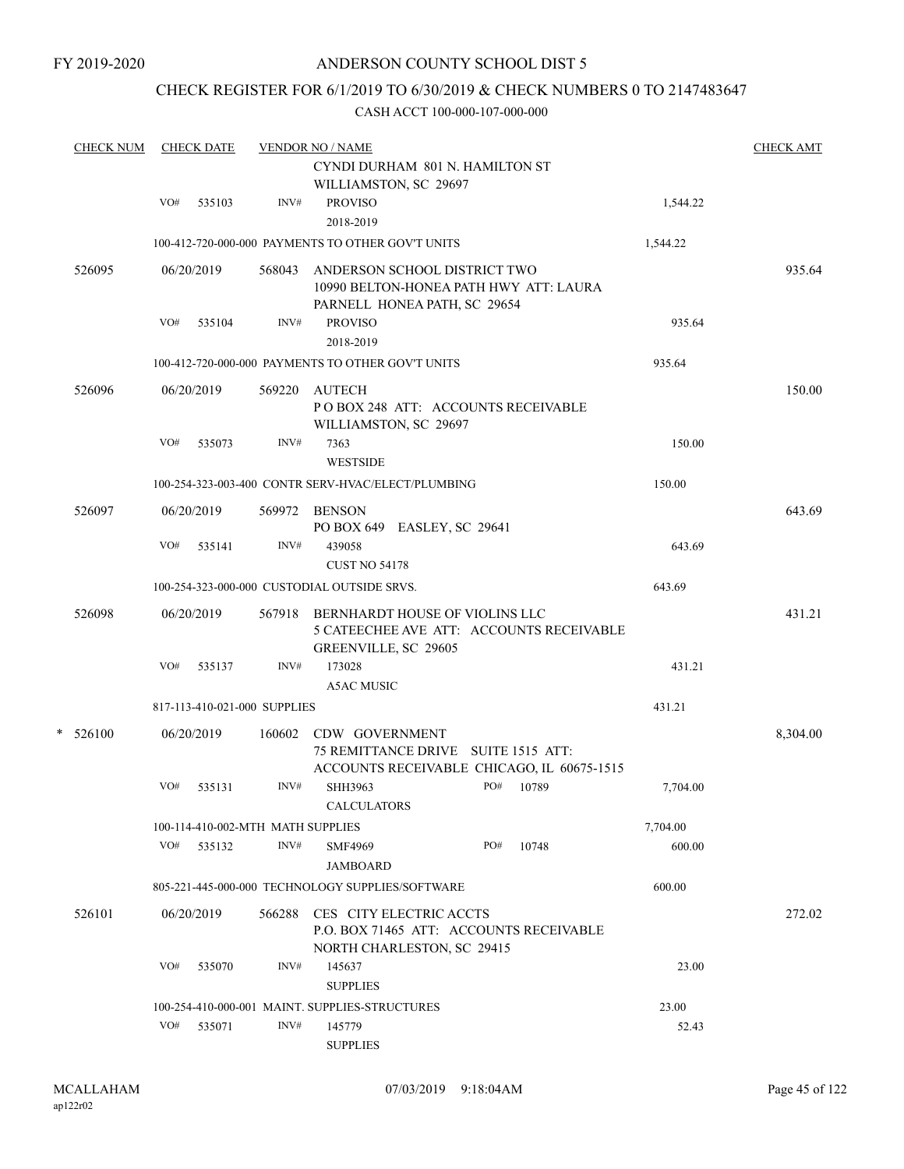### CHECK REGISTER FOR 6/1/2019 TO 6/30/2019 & CHECK NUMBERS 0 TO 2147483647

| <b>CHECK NUM</b> |     | <b>CHECK DATE</b> |                                   | <b>VENDOR NO / NAME</b>                                                                                   | <b>CHECK AMT</b> |
|------------------|-----|-------------------|-----------------------------------|-----------------------------------------------------------------------------------------------------------|------------------|
|                  |     |                   |                                   | CYNDI DURHAM 801 N. HAMILTON ST<br>WILLIAMSTON, SC 29697                                                  |                  |
|                  | VO# | 535103            | INV#                              | <b>PROVISO</b><br>2018-2019                                                                               | 1,544.22         |
|                  |     |                   |                                   | 100-412-720-000-000 PAYMENTS TO OTHER GOV'T UNITS<br>1,544.22                                             |                  |
| 526095           |     | 06/20/2019        | 568043                            | ANDERSON SCHOOL DISTRICT TWO<br>10990 BELTON-HONEA PATH HWY ATT: LAURA<br>PARNELL HONEA PATH, SC 29654    | 935.64           |
|                  | VO# | 535104            | INV#                              | <b>PROVISO</b><br>2018-2019                                                                               | 935.64           |
|                  |     |                   |                                   | 100-412-720-000-000 PAYMENTS TO OTHER GOV'T UNITS<br>935.64                                               |                  |
| 526096           |     | 06/20/2019        | 569220                            | <b>AUTECH</b><br>POBOX 248 ATT: ACCOUNTS RECEIVABLE<br>WILLIAMSTON, SC 29697                              | 150.00           |
|                  | VO# | 535073            | INV#                              | 7363<br><b>WESTSIDE</b>                                                                                   | 150.00           |
|                  |     |                   |                                   | 100-254-323-003-400 CONTR SERV-HVAC/ELECT/PLUMBING<br>150.00                                              |                  |
| 526097           |     | 06/20/2019        |                                   | 569972 BENSON<br>PO BOX 649 EASLEY, SC 29641                                                              | 643.69           |
|                  | VO# | 535141            | INV#                              | 439058<br><b>CUST NO 54178</b>                                                                            | 643.69           |
|                  |     |                   |                                   | 100-254-323-000-000 CUSTODIAL OUTSIDE SRVS.<br>643.69                                                     |                  |
| 526098           |     | 06/20/2019        |                                   | 567918 BERNHARDT HOUSE OF VIOLINS LLC<br>5 CATEECHEE AVE ATT: ACCOUNTS RECEIVABLE<br>GREENVILLE, SC 29605 | 431.21           |
|                  | VO# | 535137            | INV#                              | 173028<br><b>A5AC MUSIC</b>                                                                               | 431.21           |
|                  |     |                   | 817-113-410-021-000 SUPPLIES      | 431.21                                                                                                    |                  |
| $*$ 526100       |     | 06/20/2019        | 160602                            | CDW GOVERNMENT                                                                                            | 8,304.00         |
|                  |     |                   |                                   | 75 REMITTANCE DRIVE SUITE 1515 ATT:<br>ACCOUNTS RECEIVABLE CHICAGO, IL 60675-1515                         |                  |
|                  | VO# | 535131            | INV#                              | PO#<br>SHH3963<br>10789<br>CALCULATORS                                                                    | 7,704.00         |
|                  |     |                   | 100-114-410-002-MTH MATH SUPPLIES | 7,704.00                                                                                                  |                  |
|                  |     | VO# 535132        | INV#                              | PO#<br>10748<br><b>SMF4969</b><br>JAMBOARD                                                                | 600.00           |
|                  |     |                   |                                   | 805-221-445-000-000 TECHNOLOGY SUPPLIES/SOFTWARE<br>600.00                                                |                  |
| 526101           |     | 06/20/2019        | 566288                            | CES CITY ELECTRIC ACCTS<br>P.O. BOX 71465 ATT: ACCOUNTS RECEIVABLE<br>NORTH CHARLESTON, SC 29415          | 272.02           |
|                  | VO# | 535070            | INV#                              | 145637<br><b>SUPPLIES</b>                                                                                 | 23.00            |
|                  |     |                   |                                   | 100-254-410-000-001 MAINT. SUPPLIES-STRUCTURES                                                            | 23.00            |
|                  | VO# | 535071            | INV#                              | 145779<br><b>SUPPLIES</b>                                                                                 | 52.43            |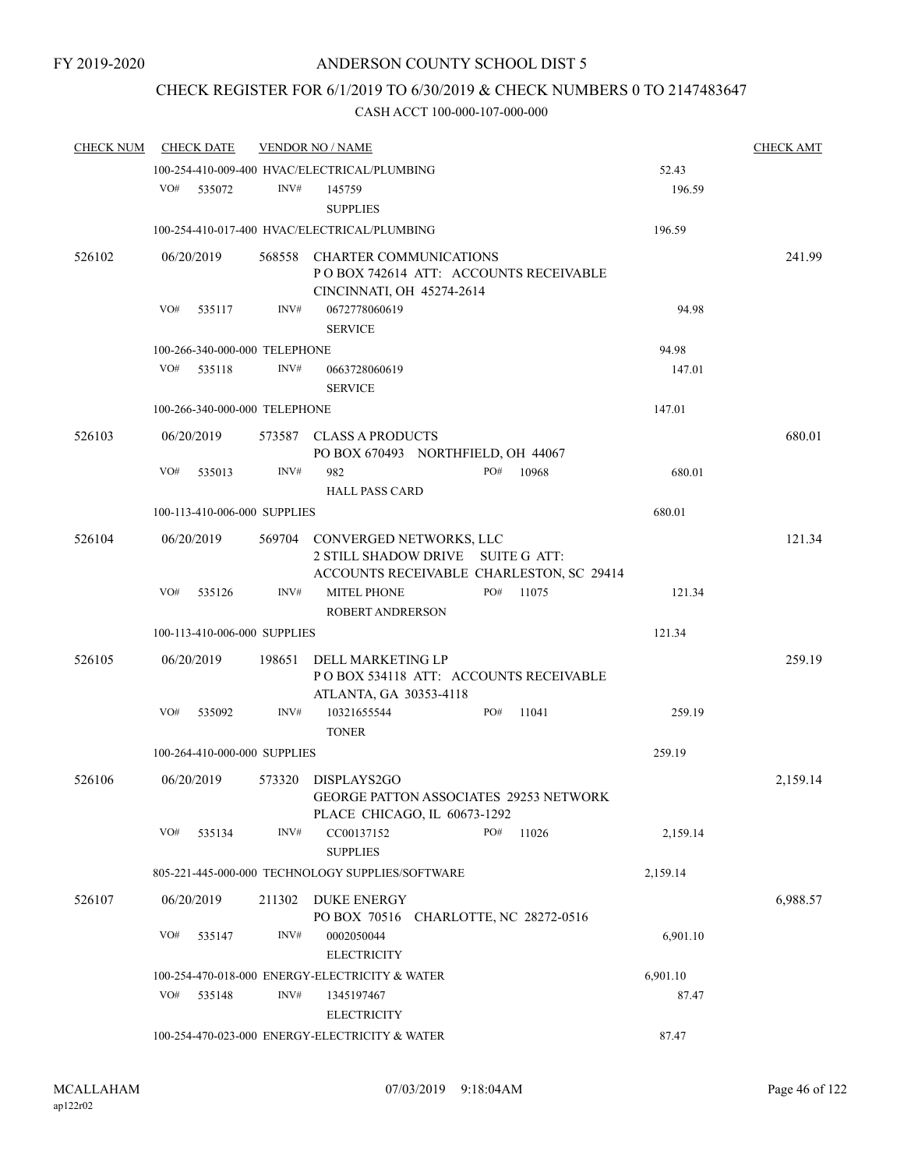### CHECK REGISTER FOR 6/1/2019 TO 6/30/2019 & CHECK NUMBERS 0 TO 2147483647

| <b>CHECK NUM</b> |     | <b>CHECK DATE</b>             |        | <b>VENDOR NO / NAME</b>                                                              |     |       |          | <b>CHECK AMT</b> |
|------------------|-----|-------------------------------|--------|--------------------------------------------------------------------------------------|-----|-------|----------|------------------|
|                  |     |                               |        | 100-254-410-009-400 HVAC/ELECTRICAL/PLUMBING                                         |     |       | 52.43    |                  |
|                  | VO# | 535072                        | INV#   | 145759<br><b>SUPPLIES</b>                                                            |     |       | 196.59   |                  |
|                  |     |                               |        | 100-254-410-017-400 HVAC/ELECTRICAL/PLUMBING                                         |     |       | 196.59   |                  |
| 526102           |     | 06/20/2019                    | 568558 | <b>CHARTER COMMUNICATIONS</b>                                                        |     |       |          | 241.99           |
|                  |     |                               |        | PO BOX 742614 ATT: ACCOUNTS RECEIVABLE                                               |     |       |          |                  |
|                  |     |                               |        | CINCINNATI, OH 45274-2614                                                            |     |       |          |                  |
|                  | VO# | 535117                        | INV#   | 0672778060619                                                                        |     |       | 94.98    |                  |
|                  |     |                               |        | <b>SERVICE</b>                                                                       |     |       |          |                  |
|                  |     | 100-266-340-000-000 TELEPHONE |        |                                                                                      |     |       | 94.98    |                  |
|                  | VO# | 535118                        | INV#   | 0663728060619<br><b>SERVICE</b>                                                      |     |       | 147.01   |                  |
|                  |     | 100-266-340-000-000 TELEPHONE |        |                                                                                      |     |       | 147.01   |                  |
| 526103           |     | 06/20/2019                    |        | 573587 CLASS A PRODUCTS<br>PO BOX 670493 NORTHFIELD, OH 44067                        |     |       |          | 680.01           |
|                  | VO# | 535013                        | INV#   | 982                                                                                  | PO# | 10968 | 680.01   |                  |
|                  |     |                               |        | <b>HALL PASS CARD</b>                                                                |     |       |          |                  |
|                  |     | 100-113-410-006-000 SUPPLIES  |        |                                                                                      |     |       | 680.01   |                  |
| 526104           |     | 06/20/2019                    |        | 569704 CONVERGED NETWORKS, LLC                                                       |     |       |          | 121.34           |
|                  |     |                               |        | 2 STILL SHADOW DRIVE SUITE G ATT:                                                    |     |       |          |                  |
|                  |     |                               | INV#   | ACCOUNTS RECEIVABLE CHARLESTON, SC 29414                                             | PO# |       |          |                  |
|                  | VO# | 535126                        |        | <b>MITEL PHONE</b><br>ROBERT ANDRERSON                                               |     | 11075 | 121.34   |                  |
|                  |     | 100-113-410-006-000 SUPPLIES  |        |                                                                                      |     |       | 121.34   |                  |
|                  |     |                               |        |                                                                                      |     |       |          |                  |
| 526105           |     | 06/20/2019                    | 198651 | DELL MARKETING LP<br>POBOX 534118 ATT: ACCOUNTS RECEIVABLE<br>ATLANTA, GA 30353-4118 |     |       |          | 259.19           |
|                  | VO# | 535092                        | INV#   | 10321655544                                                                          | PO# | 11041 | 259.19   |                  |
|                  |     |                               |        | <b>TONER</b>                                                                         |     |       |          |                  |
|                  |     | 100-264-410-000-000 SUPPLIES  |        |                                                                                      |     |       | 259.19   |                  |
| 526106           |     | 06/20/2019                    | 573320 | DISPLAYS2GO                                                                          |     |       |          | 2,159.14         |
|                  |     |                               |        | GEORGE PATTON ASSOCIATES 29253 NETWORK                                               |     |       |          |                  |
|                  |     |                               |        | PLACE CHICAGO, IL 60673-1292                                                         |     |       |          |                  |
|                  | VO# | 535134                        | INV#   | CC00137152<br><b>SUPPLIES</b>                                                        | PO# | 11026 | 2,159.14 |                  |
|                  |     |                               |        | 805-221-445-000-000 TECHNOLOGY SUPPLIES/SOFTWARE                                     |     |       | 2,159.14 |                  |
| 526107           |     | 06/20/2019                    | 211302 | DUKE ENERGY                                                                          |     |       |          | 6,988.57         |
|                  |     |                               |        | PO BOX 70516 CHARLOTTE, NC 28272-0516                                                |     |       |          |                  |
|                  | VO# | 535147                        | INV#   | 0002050044                                                                           |     |       | 6,901.10 |                  |
|                  |     |                               |        | <b>ELECTRICITY</b>                                                                   |     |       |          |                  |
|                  |     |                               |        | 100-254-470-018-000 ENERGY-ELECTRICITY & WATER                                       |     |       | 6,901.10 |                  |
|                  | VO# | 535148                        | INV#   | 1345197467                                                                           |     |       | 87.47    |                  |
|                  |     |                               |        | <b>ELECTRICITY</b>                                                                   |     |       |          |                  |
|                  |     |                               |        | 100-254-470-023-000 ENERGY-ELECTRICITY & WATER                                       |     |       | 87.47    |                  |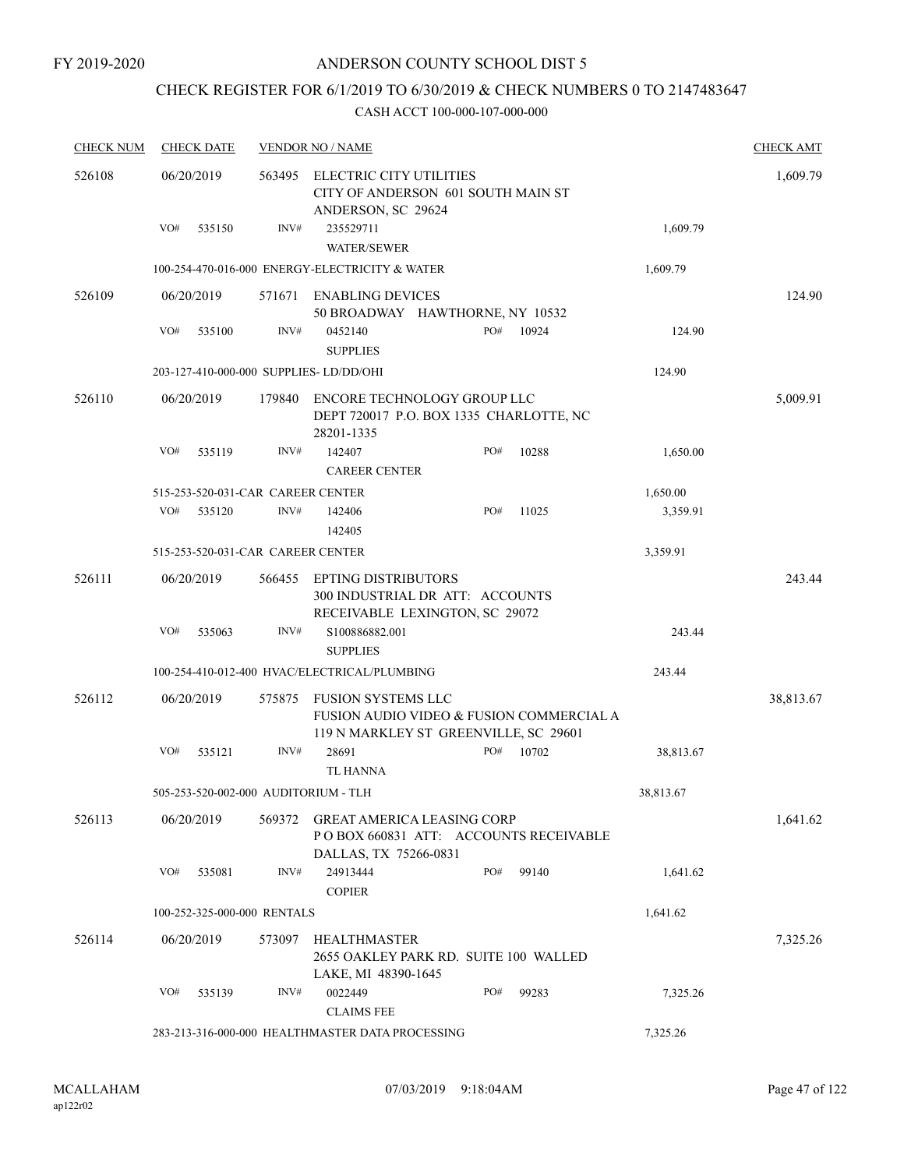## CHECK REGISTER FOR 6/1/2019 TO 6/30/2019 & CHECK NUMBERS 0 TO 2147483647

| <b>CHECK NUM</b> |     | <b>CHECK DATE</b>           |        | <b>VENDOR NO / NAME</b>                                                                                 |     |       |           | <b>CHECK AMT</b> |
|------------------|-----|-----------------------------|--------|---------------------------------------------------------------------------------------------------------|-----|-------|-----------|------------------|
| 526108           |     | 06/20/2019                  | 563495 | <b>ELECTRIC CITY UTILITIES</b><br>CITY OF ANDERSON 601 SOUTH MAIN ST<br>ANDERSON, SC 29624              |     |       |           | 1,609.79         |
|                  | VO# | 535150                      | INV#   | 235529711<br><b>WATER/SEWER</b>                                                                         |     |       | 1,609.79  |                  |
|                  |     |                             |        | 100-254-470-016-000 ENERGY-ELECTRICITY & WATER                                                          |     |       | 1,609.79  |                  |
| 526109           |     | 06/20/2019                  | 571671 | <b>ENABLING DEVICES</b><br>50 BROADWAY HAWTHORNE, NY 10532                                              |     |       |           | 124.90           |
|                  | VO# | 535100                      | INV#   | 0452140<br><b>SUPPLIES</b>                                                                              | PO# | 10924 | 124.90    |                  |
|                  |     |                             |        | 203-127-410-000-000 SUPPLIES-LD/DD/OHI                                                                  |     |       | 124.90    |                  |
| 526110           |     | 06/20/2019                  | 179840 | ENCORE TECHNOLOGY GROUP LLC<br>DEPT 720017 P.O. BOX 1335 CHARLOTTE, NC<br>28201-1335                    |     |       |           | 5,009.91         |
|                  | VO# | 535119                      | INV#   | 142407<br><b>CAREER CENTER</b>                                                                          | PO# | 10288 | 1,650.00  |                  |
|                  |     |                             |        | 515-253-520-031-CAR CAREER CENTER                                                                       |     |       | 1,650.00  |                  |
|                  | VO# | 535120                      | INV#   | 142406<br>142405                                                                                        | PO# | 11025 | 3,359.91  |                  |
|                  |     |                             |        | 515-253-520-031-CAR CAREER CENTER                                                                       |     |       | 3,359.91  |                  |
| 526111           |     | 06/20/2019                  | 566455 | <b>EPTING DISTRIBUTORS</b><br>300 INDUSTRIAL DR ATT: ACCOUNTS<br>RECEIVABLE LEXINGTON, SC 29072         |     |       |           | 243.44           |
|                  | VO# | 535063                      | INV#   | S100886882.001<br><b>SUPPLIES</b>                                                                       |     |       | 243.44    |                  |
|                  |     |                             |        | 100-254-410-012-400 HVAC/ELECTRICAL/PLUMBING                                                            |     |       | 243.44    |                  |
| 526112           |     | 06/20/2019                  | 575875 | FUSION SYSTEMS LLC<br>FUSION AUDIO VIDEO & FUSION COMMERCIAL A<br>119 N MARKLEY ST GREENVILLE, SC 29601 |     |       |           | 38,813.67        |
|                  | VO# | 535121                      | INV#   | 28691<br><b>TL HANNA</b>                                                                                | PO# | 10702 | 38,813.67 |                  |
|                  |     |                             |        | 505-253-520-002-000 AUDITORIUM - TLH                                                                    |     |       | 38,813.67 |                  |
| 526113           |     | 06/20/2019                  | 569372 | <b>GREAT AMERICA LEASING CORP</b><br>PO BOX 660831 ATT: ACCOUNTS RECEIVABLE<br>DALLAS, TX 75266-0831    |     |       |           | 1,641.62         |
|                  | VO# | 535081                      | INV#   | 24913444<br><b>COPIER</b>                                                                               | PO# | 99140 | 1,641.62  |                  |
|                  |     | 100-252-325-000-000 RENTALS |        |                                                                                                         |     |       | 1,641.62  |                  |
| 526114           |     | 06/20/2019                  | 573097 | HEALTHMASTER<br>2655 OAKLEY PARK RD. SUITE 100 WALLED<br>LAKE, MI 48390-1645                            |     |       |           | 7,325.26         |
|                  | VO# | 535139                      | INV#   | 0022449<br><b>CLAIMS FEE</b>                                                                            | PO# | 99283 | 7,325.26  |                  |
|                  |     |                             |        | 283-213-316-000-000 HEALTHMASTER DATA PROCESSING                                                        |     |       | 7,325.26  |                  |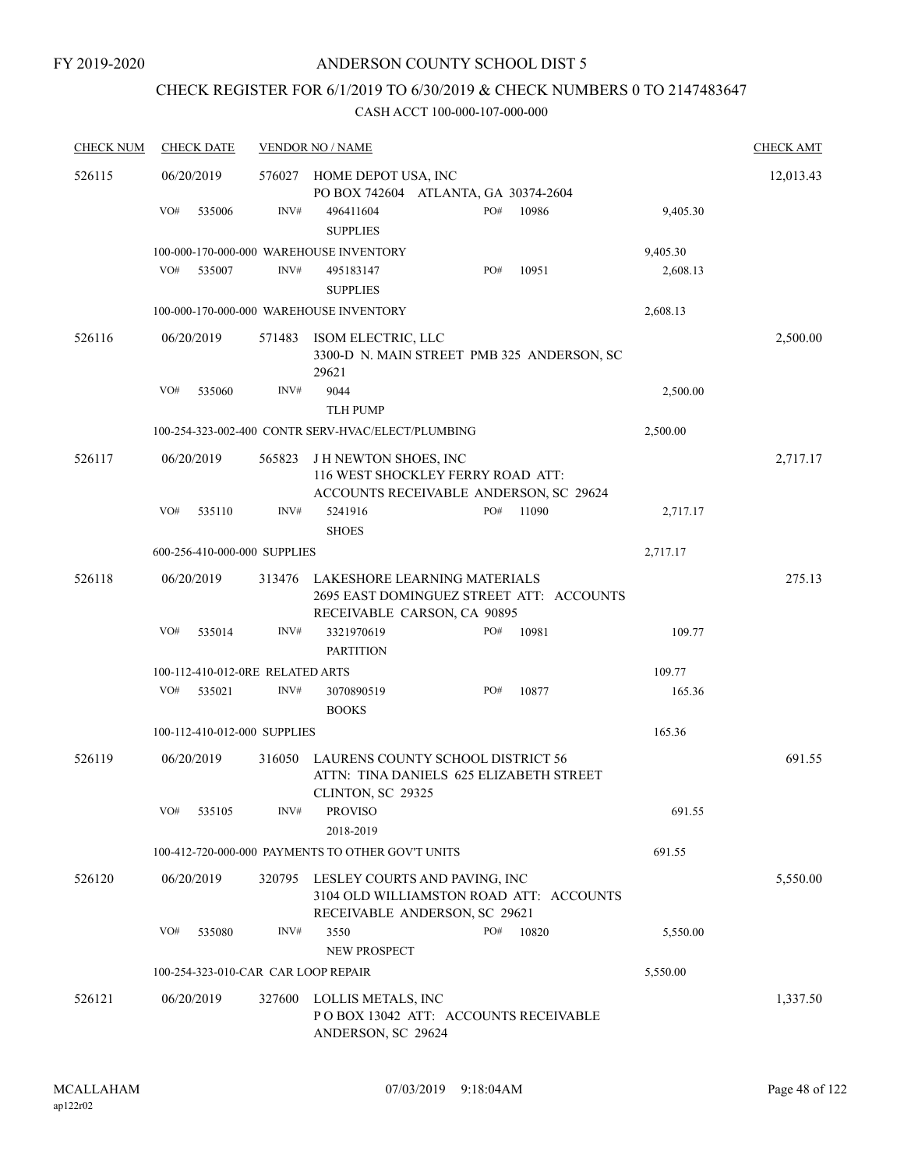### CHECK REGISTER FOR 6/1/2019 TO 6/30/2019 & CHECK NUMBERS 0 TO 2147483647

| <b>CHECK NUM</b> | <b>CHECK DATE</b>                   |        | <b>VENDOR NO / NAME</b>                                                                                   |          | <b>CHECK AMT</b> |
|------------------|-------------------------------------|--------|-----------------------------------------------------------------------------------------------------------|----------|------------------|
| 526115           | 06/20/2019                          |        | 576027 HOME DEPOT USA, INC<br>PO BOX 742604 ATLANTA, GA 30374-2604                                        |          | 12,013.43        |
|                  | VO#<br>535006                       | INV#   | PO#<br>10986<br>496411604<br><b>SUPPLIES</b>                                                              | 9,405.30 |                  |
|                  |                                     |        | 100-000-170-000-000 WAREHOUSE INVENTORY                                                                   | 9,405.30 |                  |
|                  | VO#<br>535007                       | INV#   | PO#<br>10951<br>495183147<br><b>SUPPLIES</b>                                                              | 2,608.13 |                  |
|                  |                                     |        | 100-000-170-000-000 WAREHOUSE INVENTORY                                                                   | 2,608.13 |                  |
| 526116           | 06/20/2019                          | 571483 | ISOM ELECTRIC, LLC<br>3300-D N. MAIN STREET PMB 325 ANDERSON, SC<br>29621                                 |          | 2,500.00         |
|                  | VO#<br>535060                       | INV#   | 9044<br><b>TLH PUMP</b>                                                                                   | 2,500.00 |                  |
|                  |                                     |        | 100-254-323-002-400 CONTR SERV-HVAC/ELECT/PLUMBING                                                        | 2,500.00 |                  |
| 526117           | 06/20/2019                          | 565823 | J H NEWTON SHOES, INC<br>116 WEST SHOCKLEY FERRY ROAD ATT:<br>ACCOUNTS RECEIVABLE ANDERSON, SC 29624      |          | 2,717.17         |
|                  | VO#<br>535110                       | INV#   | PO#<br>5241916<br>11090<br><b>SHOES</b>                                                                   | 2,717.17 |                  |
|                  | 600-256-410-000-000 SUPPLIES        |        |                                                                                                           | 2,717.17 |                  |
| 526118           | 06/20/2019                          | 313476 | LAKESHORE LEARNING MATERIALS<br>2695 EAST DOMINGUEZ STREET ATT: ACCOUNTS<br>RECEIVABLE CARSON, CA 90895   |          | 275.13           |
|                  | VO#<br>535014                       | INV#   | 3321970619<br>10981<br>PO#<br><b>PARTITION</b>                                                            | 109.77   |                  |
|                  | 100-112-410-012-0RE RELATED ARTS    |        |                                                                                                           | 109.77   |                  |
|                  | VO#<br>535021                       | INV#   | 10877<br>3070890519<br>PO#<br><b>BOOKS</b>                                                                | 165.36   |                  |
|                  | 100-112-410-012-000 SUPPLIES        |        |                                                                                                           | 165.36   |                  |
| 526119           | 06/20/2019                          | 316050 | LAURENS COUNTY SCHOOL DISTRICT 56<br>ATTN: TINA DANIELS 625 ELIZABETH STREET<br>CLINTON, SC 29325         |          | 691.55           |
|                  | VO#<br>535105                       | INV#   | <b>PROVISO</b><br>2018-2019                                                                               | 691.55   |                  |
|                  |                                     |        | 100-412-720-000-000 PAYMENTS TO OTHER GOV'T UNITS                                                         | 691.55   |                  |
| 526120           | 06/20/2019                          | 320795 | LESLEY COURTS AND PAVING, INC<br>3104 OLD WILLIAMSTON ROAD ATT: ACCOUNTS<br>RECEIVABLE ANDERSON, SC 29621 |          | 5,550.00         |
|                  | VO#<br>535080                       | INV#   | 3550<br>PO#<br>10820<br>NEW PROSPECT                                                                      | 5,550.00 |                  |
|                  | 100-254-323-010-CAR CAR LOOP REPAIR |        |                                                                                                           | 5,550.00 |                  |
| 526121           | 06/20/2019                          | 327600 | LOLLIS METALS, INC<br>POBOX 13042 ATT: ACCOUNTS RECEIVABLE<br>ANDERSON, SC 29624                          |          | 1,337.50         |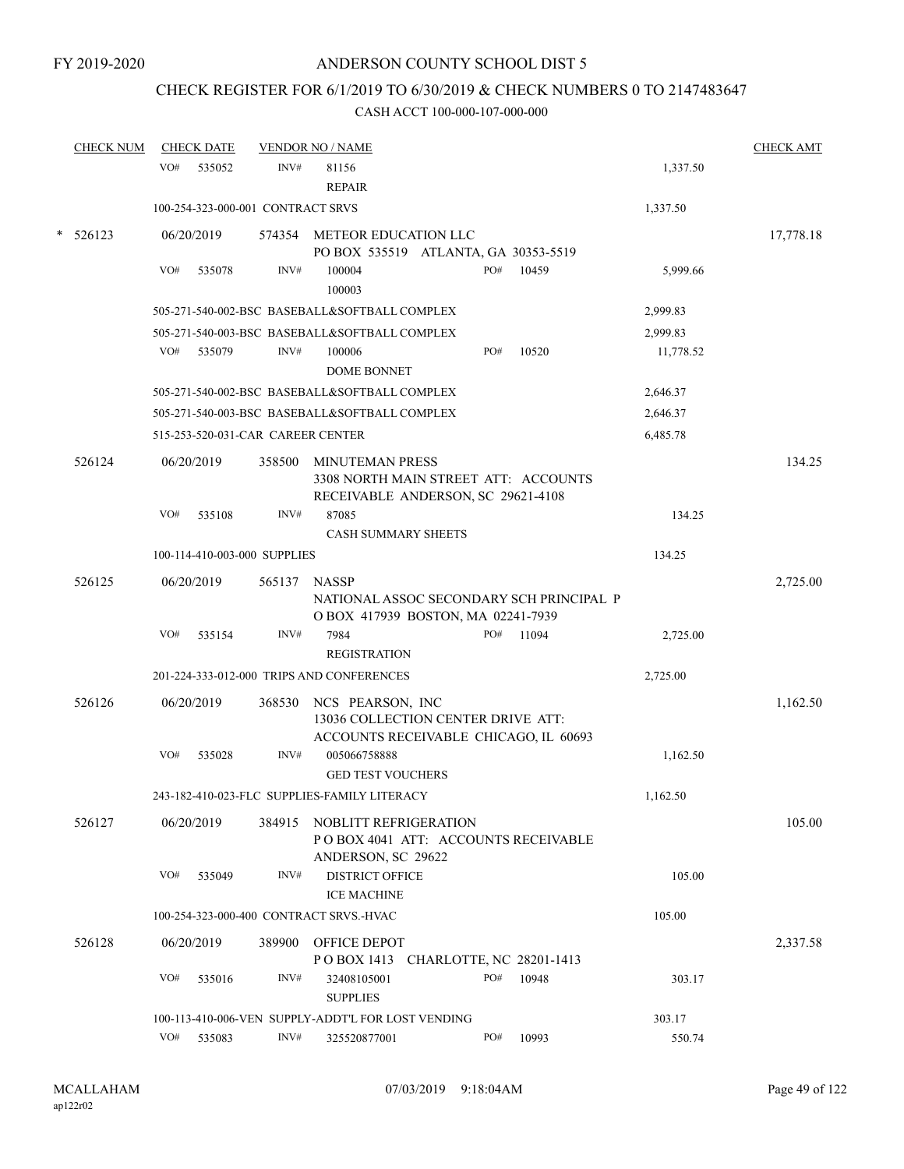## CHECK REGISTER FOR 6/1/2019 TO 6/30/2019 & CHECK NUMBERS 0 TO 2147483647

|   | <b>CHECK NUM</b> |     | <b>CHECK DATE</b> |                                   | <b>VENDOR NO / NAME</b>                                                                              |  |     |       |           |           |
|---|------------------|-----|-------------------|-----------------------------------|------------------------------------------------------------------------------------------------------|--|-----|-------|-----------|-----------|
|   |                  | VO# | 535052            | INV#                              | 81156<br><b>REPAIR</b>                                                                               |  |     |       | 1,337.50  |           |
|   |                  |     |                   | 100-254-323-000-001 CONTRACT SRVS |                                                                                                      |  |     |       | 1,337.50  |           |
| * | 526123           |     | 06/20/2019        |                                   | 574354 METEOR EDUCATION LLC<br>PO BOX 535519 ATLANTA, GA 30353-5519                                  |  |     |       |           | 17,778.18 |
|   |                  | VO# | 535078            | INV#                              | 100004<br>100003                                                                                     |  | PO# | 10459 | 5,999.66  |           |
|   |                  |     |                   |                                   | 505-271-540-002-BSC BASEBALL&SOFTBALL COMPLEX                                                        |  |     |       | 2,999.83  |           |
|   |                  |     |                   |                                   | 505-271-540-003-BSC BASEBALL&SOFTBALL COMPLEX                                                        |  |     |       | 2.999.83  |           |
|   |                  | VO# | 535079            | INV#                              | 100006<br><b>DOME BONNET</b>                                                                         |  | PO# | 10520 | 11,778.52 |           |
|   |                  |     |                   |                                   | 505-271-540-002-BSC BASEBALL&SOFTBALL COMPLEX                                                        |  |     |       | 2,646.37  |           |
|   |                  |     |                   |                                   | 505-271-540-003-BSC BASEBALL&SOFTBALL COMPLEX                                                        |  |     |       | 2,646.37  |           |
|   |                  |     |                   | 515-253-520-031-CAR CAREER CENTER |                                                                                                      |  |     |       | 6,485.78  |           |
|   | 526124           |     | 06/20/2019        | 358500                            | <b>MINUTEMAN PRESS</b><br>3308 NORTH MAIN STREET ATT: ACCOUNTS<br>RECEIVABLE ANDERSON, SC 29621-4108 |  |     |       |           | 134.25    |
|   |                  | VO# | 535108            | INV#                              | 87085<br><b>CASH SUMMARY SHEETS</b>                                                                  |  |     |       | 134.25    |           |
|   |                  |     |                   | 100-114-410-003-000 SUPPLIES      |                                                                                                      |  |     |       | 134.25    |           |
|   | 526125           |     | 06/20/2019        | 565137                            | NASSP<br>NATIONAL ASSOC SECONDARY SCH PRINCIPAL P<br>OBOX 417939 BOSTON, MA 02241-7939               |  |     |       |           | 2,725.00  |
|   |                  | VO# | 535154            | INV#                              | 7984<br><b>REGISTRATION</b>                                                                          |  | PO# | 11094 | 2,725.00  |           |
|   |                  |     |                   |                                   | 201-224-333-012-000 TRIPS AND CONFERENCES                                                            |  |     |       | 2,725.00  |           |
|   | 526126           |     | 06/20/2019        | 368530                            | NCS PEARSON, INC<br>13036 COLLECTION CENTER DRIVE ATT:<br>ACCOUNTS RECEIVABLE CHICAGO, IL 60693      |  |     |       |           | 1,162.50  |
|   |                  | VO# | 535028            | INV#                              | 005066758888<br><b>GED TEST VOUCHERS</b>                                                             |  |     |       | 1,162.50  |           |
|   |                  |     |                   |                                   | 243-182-410-023-FLC SUPPLIES-FAMILY LITERACY                                                         |  |     |       | 1,162.50  |           |
|   | 526127           |     | 06/20/2019        | 384915                            | NOBLITT REFRIGERATION<br>POBOX 4041 ATT: ACCOUNTS RECEIVABLE<br>ANDERSON, SC 29622                   |  |     |       |           | 105.00    |
|   |                  | VO# | 535049            | INV#                              | <b>DISTRICT OFFICE</b><br><b>ICE MACHINE</b>                                                         |  |     |       | 105.00    |           |
|   |                  |     |                   |                                   | 100-254-323-000-400 CONTRACT SRVS.-HVAC                                                              |  |     |       | 105.00    |           |
|   | 526128           |     | 06/20/2019        | 389900                            | <b>OFFICE DEPOT</b><br>POBOX 1413 CHARLOTTE, NC 28201-1413                                           |  |     |       |           | 2,337.58  |
|   |                  | VO# | 535016            | INV#                              | 32408105001<br><b>SUPPLIES</b>                                                                       |  | PO# | 10948 | 303.17    |           |
|   |                  |     |                   |                                   | 100-113-410-006-VEN SUPPLY-ADDT'L FOR LOST VENDING                                                   |  |     |       | 303.17    |           |
|   |                  | VO# | 535083            | INV#                              | 325520877001                                                                                         |  | PO# | 10993 | 550.74    |           |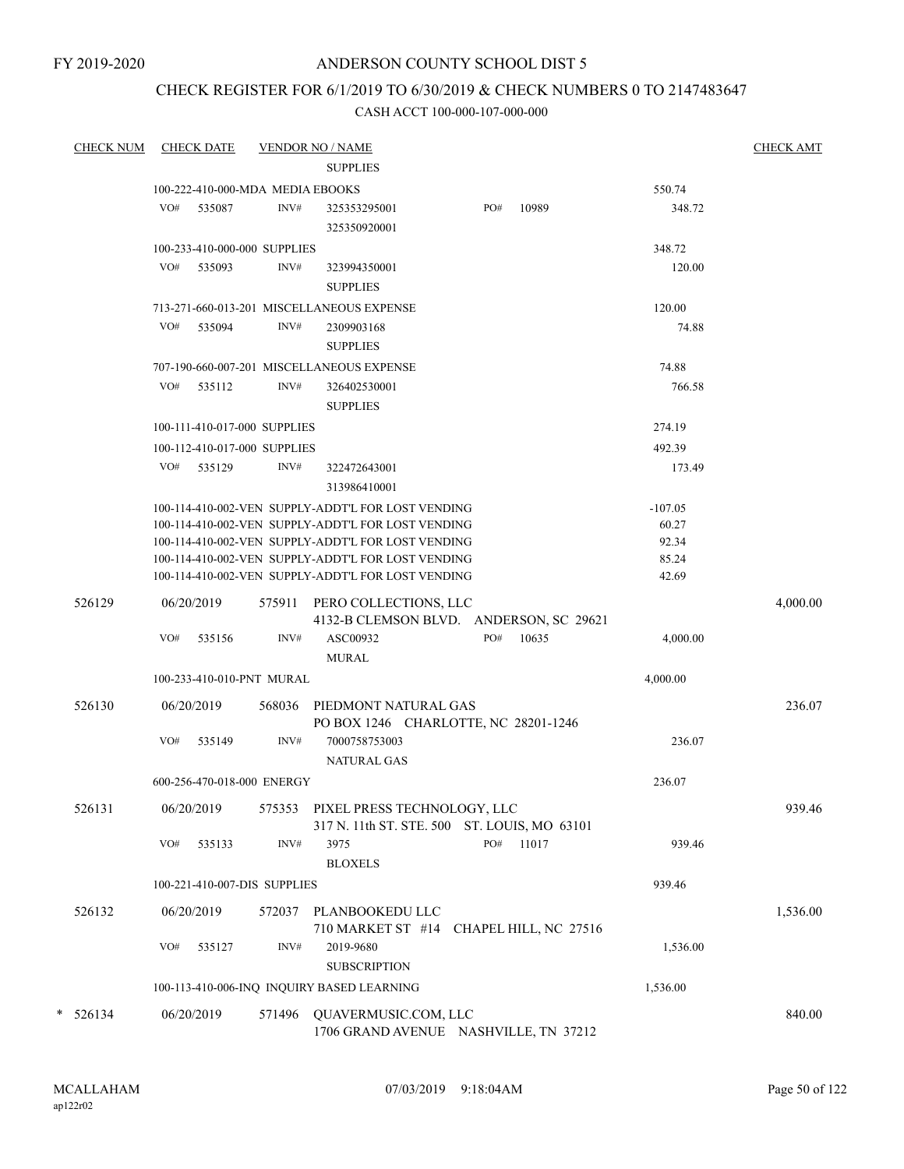FY 2019-2020

### ANDERSON COUNTY SCHOOL DIST 5

## CHECK REGISTER FOR 6/1/2019 TO 6/30/2019 & CHECK NUMBERS 0 TO 2147483647

| <b>CHECK NUM</b> |     | <b>CHECK DATE</b>                |                | <b>VENDOR NO / NAME</b>                                                     |     |       |           | <b>CHECK AMT</b> |
|------------------|-----|----------------------------------|----------------|-----------------------------------------------------------------------------|-----|-------|-----------|------------------|
|                  |     |                                  |                | <b>SUPPLIES</b>                                                             |     |       |           |                  |
|                  |     | 100-222-410-000-MDA MEDIA EBOOKS |                |                                                                             |     |       | 550.74    |                  |
|                  | VO# | 535087                           | INV#           | 325353295001<br>325350920001                                                | PO# | 10989 | 348.72    |                  |
|                  |     | 100-233-410-000-000 SUPPLIES     |                |                                                                             |     |       | 348.72    |                  |
|                  | VO# | 535093                           | INV#           | 323994350001<br><b>SUPPLIES</b>                                             |     |       | 120.00    |                  |
|                  |     |                                  |                | 713-271-660-013-201 MISCELLANEOUS EXPENSE                                   |     |       | 120.00    |                  |
|                  | VO# | 535094                           | INV#           | 2309903168<br><b>SUPPLIES</b>                                               |     |       | 74.88     |                  |
|                  |     |                                  |                | 707-190-660-007-201 MISCELLANEOUS EXPENSE                                   |     |       | 74.88     |                  |
|                  | VO# | 535112                           | INV#           | 326402530001<br><b>SUPPLIES</b>                                             |     |       | 766.58    |                  |
|                  |     | 100-111-410-017-000 SUPPLIES     |                |                                                                             |     |       | 274.19    |                  |
|                  |     | 100-112-410-017-000 SUPPLIES     |                |                                                                             |     |       | 492.39    |                  |
|                  | VO# | 535129                           | INV#           | 322472643001<br>313986410001                                                |     |       | 173.49    |                  |
|                  |     |                                  |                | 100-114-410-002-VEN SUPPLY-ADDT'L FOR LOST VENDING                          |     |       | $-107.05$ |                  |
|                  |     |                                  |                | 100-114-410-002-VEN SUPPLY-ADDT'L FOR LOST VENDING                          |     |       | 60.27     |                  |
|                  |     |                                  |                | 100-114-410-002-VEN SUPPLY-ADDT'L FOR LOST VENDING                          |     |       | 92.34     |                  |
|                  |     |                                  |                | 100-114-410-002-VEN SUPPLY-ADDT'L FOR LOST VENDING                          |     |       | 85.24     |                  |
|                  |     |                                  |                | 100-114-410-002-VEN SUPPLY-ADDT'L FOR LOST VENDING                          |     |       | 42.69     |                  |
| 526129           |     | 06/20/2019                       | 575911         | PERO COLLECTIONS, LLC<br>4132-B CLEMSON BLVD. ANDERSON, SC 29621            |     |       |           | 4,000.00         |
|                  | VO# | 535156                           | INV#           | ASC00932<br><b>MURAL</b>                                                    | PO# | 10635 | 4,000.00  |                  |
|                  |     | 100-233-410-010-PNT MURAL        |                |                                                                             |     |       | 4,000.00  |                  |
| 526130           |     | 06/20/2019                       |                | 568036 PIEDMONT NATURAL GAS<br>PO BOX 1246 CHARLOTTE, NC 28201-1246         |     |       |           | 236.07           |
|                  | VO# | 535149                           | INV#           | 7000758753003<br><b>NATURAL GAS</b>                                         |     |       | 236.07    |                  |
|                  |     | 600-256-470-018-000 ENERGY       |                |                                                                             |     |       | 236.07    |                  |
| 526131           |     | 06/20/2019                       | 575353         | PIXEL PRESS TECHNOLOGY, LLC<br>317 N. 11th ST. STE. 500 ST. LOUIS, MO 63101 |     |       |           | 939.46           |
|                  | VO# | 535133                           | INV#           | 3975<br><b>BLOXELS</b>                                                      | PO# | 11017 | 939.46    |                  |
|                  |     | 100-221-410-007-DIS SUPPLIES     |                |                                                                             |     |       | 939.46    |                  |
|                  |     |                                  |                |                                                                             |     |       |           |                  |
| 526132           | VO# | 06/20/2019<br>535127             | 572037<br>INV# | PLANBOOKEDU LLC<br>710 MARKET ST #14 CHAPEL HILL, NC 27516<br>2019-9680     |     |       | 1,536.00  | 1,536.00         |
|                  |     |                                  |                | <b>SUBSCRIPTION</b>                                                         |     |       |           |                  |
|                  |     |                                  |                | 100-113-410-006-INQ INQUIRY BASED LEARNING                                  |     |       | 1,536.00  |                  |
| $* 526134$       |     | 06/20/2019                       | 571496         | QUAVERMUSIC.COM, LLC<br>1706 GRAND AVENUE NASHVILLE, TN 37212               |     |       |           | 840.00           |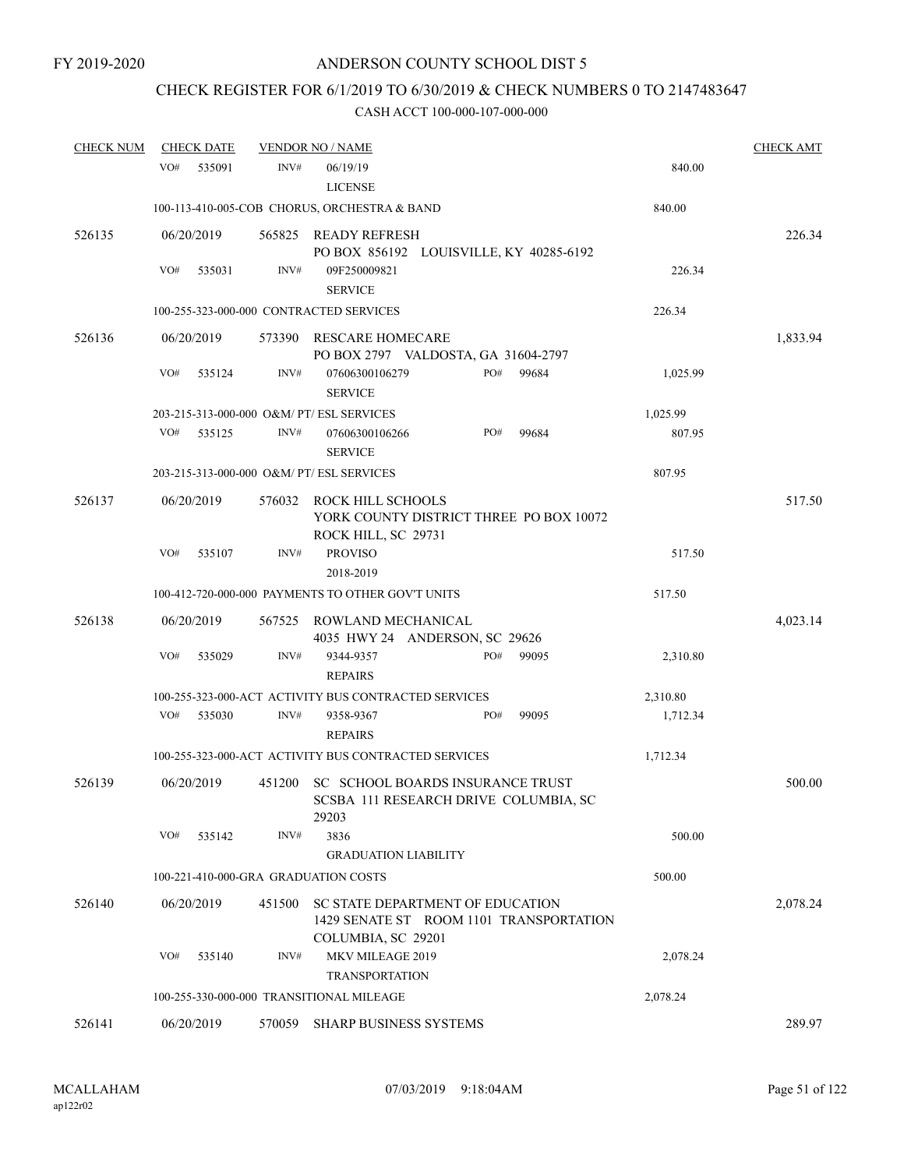## CHECK REGISTER FOR 6/1/2019 TO 6/30/2019 & CHECK NUMBERS 0 TO 2147483647

| <b>CHECK NUM</b> | <b>CHECK DATE</b>                    |        | <b>VENDOR NO / NAME</b>                                                                           |     |       |          | <b>CHECK AMT</b> |
|------------------|--------------------------------------|--------|---------------------------------------------------------------------------------------------------|-----|-------|----------|------------------|
|                  | VO#<br>535091                        | INV#   | 06/19/19<br><b>LICENSE</b>                                                                        |     |       | 840.00   |                  |
|                  |                                      |        | 100-113-410-005-COB CHORUS, ORCHESTRA & BAND                                                      |     |       | 840.00   |                  |
| 526135           | 06/20/2019                           |        | 565825 READY REFRESH<br>PO BOX 856192 LOUISVILLE, KY 40285-6192                                   |     |       |          | 226.34           |
|                  | VO#<br>535031                        | INV#   | 09F250009821<br><b>SERVICE</b>                                                                    |     |       | 226.34   |                  |
|                  |                                      |        | 100-255-323-000-000 CONTRACTED SERVICES                                                           |     |       | 226.34   |                  |
| 526136           | 06/20/2019                           | 573390 | RESCARE HOMECARE<br>PO BOX 2797 VALDOSTA, GA 31604-2797                                           |     |       |          | 1,833.94         |
|                  | VO#<br>535124                        | INV#   | 07606300106279<br><b>SERVICE</b>                                                                  | PO# | 99684 | 1,025.99 |                  |
|                  |                                      |        | 203-215-313-000-000 O&M/ PT/ ESL SERVICES                                                         |     |       | 1,025.99 |                  |
|                  | VO#<br>535125                        | INV#   | 07606300106266<br><b>SERVICE</b>                                                                  | PO# | 99684 | 807.95   |                  |
|                  |                                      |        | 203-215-313-000-000 O&M/ PT/ ESL SERVICES                                                         |     |       | 807.95   |                  |
| 526137           | 06/20/2019                           | 576032 | ROCK HILL SCHOOLS<br>YORK COUNTY DISTRICT THREE PO BOX 10072<br>ROCK HILL, SC 29731               |     |       |          | 517.50           |
|                  | VO#<br>535107                        | INV#   | <b>PROVISO</b><br>2018-2019                                                                       |     |       | 517.50   |                  |
|                  |                                      |        | 100-412-720-000-000 PAYMENTS TO OTHER GOV'T UNITS                                                 |     |       | 517.50   |                  |
| 526138           | 06/20/2019                           | 567525 | ROWLAND MECHANICAL<br>4035 HWY 24 ANDERSON, SC 29626                                              |     |       |          | 4,023.14         |
|                  | VO#<br>535029                        | INV#   | 9344-9357<br><b>REPAIRS</b>                                                                       | PO# | 99095 | 2,310.80 |                  |
|                  |                                      |        | 100-255-323-000-ACT ACTIVITY BUS CONTRACTED SERVICES                                              |     |       | 2,310.80 |                  |
|                  | VO#<br>535030                        | INV#   | 9358-9367<br><b>REPAIRS</b>                                                                       | PO# | 99095 | 1,712.34 |                  |
|                  |                                      |        | 100-255-323-000-ACT ACTIVITY BUS CONTRACTED SERVICES                                              |     |       | 1,712.34 |                  |
| 526139           | 06/20/2019                           | 451200 | SC SCHOOL BOARDS INSURANCE TRUST<br>SCSBA 111 RESEARCH DRIVE COLUMBIA, SC<br>29203                |     |       |          | 500.00           |
|                  | VO#<br>535142                        | INV#   | 3836                                                                                              |     |       | 500.00   |                  |
|                  |                                      |        | <b>GRADUATION LIABILITY</b>                                                                       |     |       |          |                  |
|                  | 100-221-410-000-GRA GRADUATION COSTS |        |                                                                                                   |     |       | 500.00   |                  |
| 526140           | 06/20/2019                           | 451500 | SC STATE DEPARTMENT OF EDUCATION<br>1429 SENATE ST ROOM 1101 TRANSPORTATION<br>COLUMBIA, SC 29201 |     |       |          | 2,078.24         |
|                  | VO#<br>535140                        | INV#   | MKV MILEAGE 2019<br><b>TRANSPORTATION</b>                                                         |     |       | 2,078.24 |                  |
|                  |                                      |        | 100-255-330-000-000 TRANSITIONAL MILEAGE                                                          |     |       | 2,078.24 |                  |
| 526141           | 06/20/2019                           | 570059 | SHARP BUSINESS SYSTEMS                                                                            |     |       |          | 289.97           |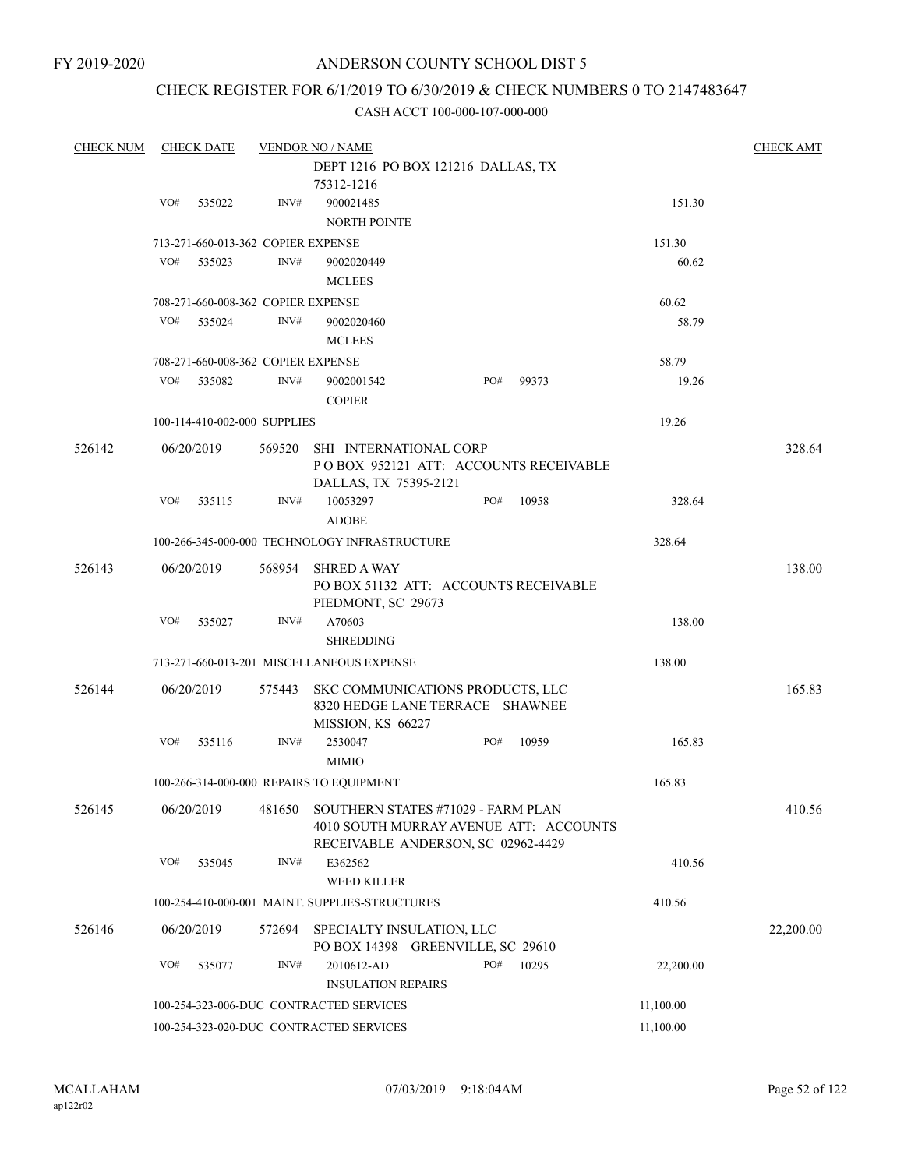### CHECK REGISTER FOR 6/1/2019 TO 6/30/2019 & CHECK NUMBERS 0 TO 2147483647

| <b>CHECK NUM</b> |     | <b>CHECK DATE</b> |                                         | <b>VENDOR NO / NAME</b>                        |     |       |           | <b>CHECK AMT</b> |
|------------------|-----|-------------------|-----------------------------------------|------------------------------------------------|-----|-------|-----------|------------------|
|                  |     |                   |                                         | DEPT 1216 PO BOX 121216 DALLAS, TX             |     |       |           |                  |
|                  |     |                   |                                         | 75312-1216                                     |     |       |           |                  |
|                  | VO# | 535022            | INV#                                    | 900021485                                      |     |       | 151.30    |                  |
|                  |     |                   |                                         | <b>NORTH POINTE</b>                            |     |       |           |                  |
|                  |     |                   | 713-271-660-013-362 COPIER EXPENSE      |                                                |     |       | 151.30    |                  |
|                  | VO# | 535023            | INV#                                    | 9002020449                                     |     |       | 60.62     |                  |
|                  |     |                   |                                         |                                                |     |       |           |                  |
|                  |     |                   |                                         | <b>MCLEES</b>                                  |     |       |           |                  |
|                  |     |                   | 708-271-660-008-362 COPIER EXPENSE      |                                                |     |       | 60.62     |                  |
|                  | VO# | 535024            | INV#                                    | 9002020460                                     |     |       | 58.79     |                  |
|                  |     |                   |                                         | <b>MCLEES</b>                                  |     |       |           |                  |
|                  |     |                   | 708-271-660-008-362 COPIER EXPENSE      |                                                |     |       | 58.79     |                  |
|                  | VO# | 535082            | INV#                                    | 9002001542                                     | PO# | 99373 | 19.26     |                  |
|                  |     |                   |                                         | <b>COPIER</b>                                  |     |       |           |                  |
|                  |     |                   | 100-114-410-002-000 SUPPLIES            |                                                |     |       | 19.26     |                  |
|                  |     |                   |                                         |                                                |     |       |           |                  |
| 526142           |     | 06/20/2019        | 569520                                  | SHI INTERNATIONAL CORP                         |     |       |           | 328.64           |
|                  |     |                   |                                         | POBOX 952121 ATT: ACCOUNTS RECEIVABLE          |     |       |           |                  |
|                  |     |                   |                                         | DALLAS, TX 75395-2121                          |     |       |           |                  |
|                  | VO# | 535115            | INV#                                    | 10053297                                       | PO# | 10958 | 328.64    |                  |
|                  |     |                   |                                         | <b>ADOBE</b>                                   |     |       |           |                  |
|                  |     |                   |                                         | 100-266-345-000-000 TECHNOLOGY INFRASTRUCTURE  |     |       | 328.64    |                  |
| 526143           |     | 06/20/2019        | 568954                                  | <b>SHRED A WAY</b>                             |     |       |           | 138.00           |
|                  |     |                   |                                         | PO BOX 51132 ATT: ACCOUNTS RECEIVABLE          |     |       |           |                  |
|                  |     |                   |                                         | PIEDMONT, SC 29673                             |     |       |           |                  |
|                  | VO# | 535027            | INV#                                    | A70603                                         |     |       | 138.00    |                  |
|                  |     |                   |                                         | <b>SHREDDING</b>                               |     |       |           |                  |
|                  |     |                   |                                         |                                                |     |       |           |                  |
|                  |     |                   |                                         | 713-271-660-013-201 MISCELLANEOUS EXPENSE      |     |       | 138.00    |                  |
| 526144           |     | 06/20/2019        | 575443                                  | SKC COMMUNICATIONS PRODUCTS, LLC               |     |       |           | 165.83           |
|                  |     |                   |                                         | 8320 HEDGE LANE TERRACE SHAWNEE                |     |       |           |                  |
|                  |     |                   |                                         | MISSION, KS 66227                              |     |       |           |                  |
|                  | VO# | 535116            | INV#                                    | 2530047                                        | PO# | 10959 | 165.83    |                  |
|                  |     |                   |                                         | <b>MIMIO</b>                                   |     |       |           |                  |
|                  |     |                   |                                         | 100-266-314-000-000 REPAIRS TO EQUIPMENT       |     |       | 165.83    |                  |
|                  |     |                   |                                         |                                                |     |       |           |                  |
| 526145           |     | 06/20/2019        | 481650                                  | SOUTHERN STATES #71029 - FARM PLAN             |     |       |           | 410.56           |
|                  |     |                   |                                         | 4010 SOUTH MURRAY AVENUE ATT: ACCOUNTS         |     |       |           |                  |
|                  |     |                   |                                         | RECEIVABLE ANDERSON, SC 02962-4429             |     |       |           |                  |
|                  | VO# | 535045            | INV#                                    | E362562                                        |     |       | 410.56    |                  |
|                  |     |                   |                                         | <b>WEED KILLER</b>                             |     |       |           |                  |
|                  |     |                   |                                         | 100-254-410-000-001 MAINT. SUPPLIES-STRUCTURES |     |       | 410.56    |                  |
| 526146           |     | 06/20/2019        | 572694                                  | SPECIALTY INSULATION, LLC                      |     |       |           | 22,200.00        |
|                  |     |                   |                                         | PO BOX 14398 GREENVILLE, SC 29610              |     |       |           |                  |
|                  | VO# | 535077            | INV#                                    | 2010612-AD                                     | PO# | 10295 | 22,200.00 |                  |
|                  |     |                   |                                         | <b>INSULATION REPAIRS</b>                      |     |       |           |                  |
|                  |     |                   |                                         | 100-254-323-006-DUC CONTRACTED SERVICES        |     |       |           |                  |
|                  |     |                   |                                         |                                                |     |       | 11,100.00 |                  |
|                  |     |                   | 100-254-323-020-DUC CONTRACTED SERVICES | 11,100.00                                      |     |       |           |                  |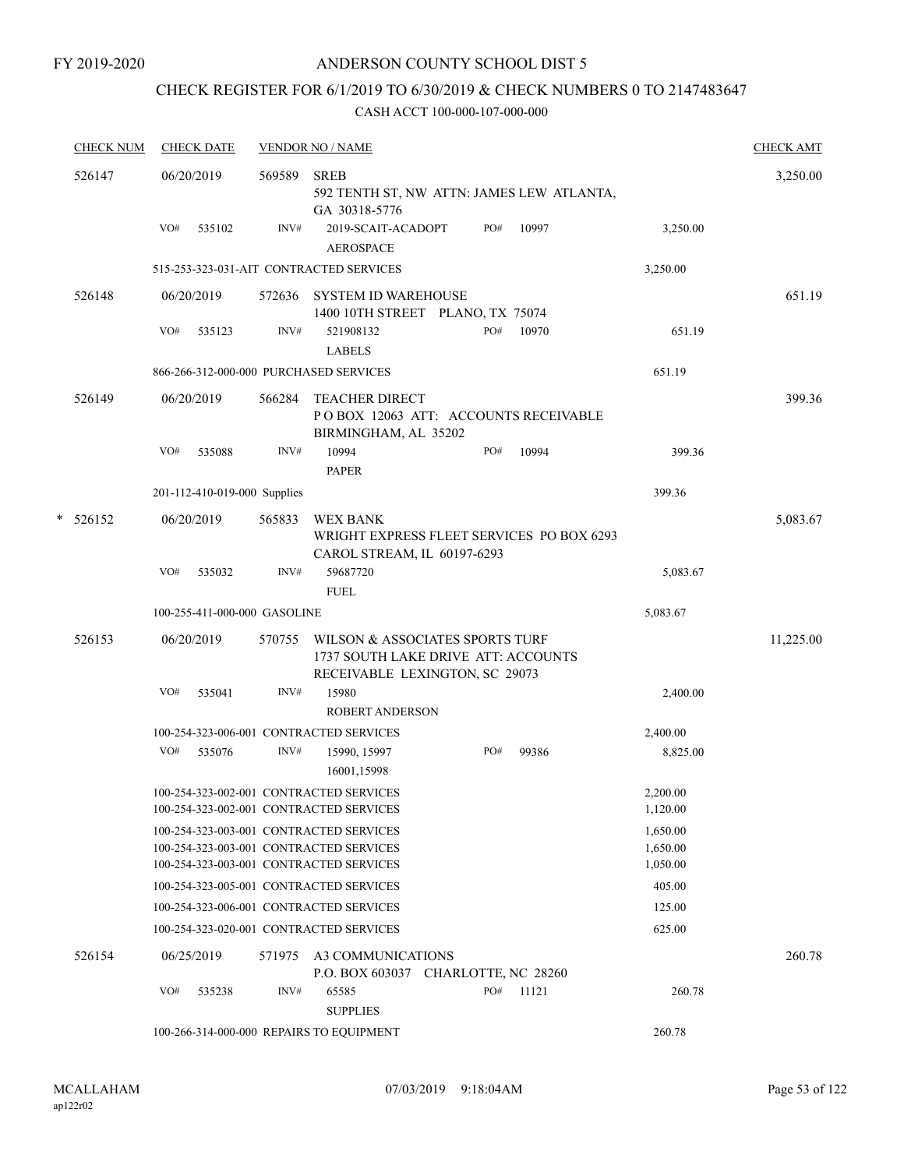### CHECK REGISTER FOR 6/1/2019 TO 6/30/2019 & CHECK NUMBERS 0 TO 2147483647

|   | <b>CHECK NUM</b> |            | <b>CHECK DATE</b>            |        | <b>VENDOR NO / NAME</b>                                                                                                       |     |       |                                  | <b>CHECK AMT</b> |
|---|------------------|------------|------------------------------|--------|-------------------------------------------------------------------------------------------------------------------------------|-----|-------|----------------------------------|------------------|
|   | 526147           | 06/20/2019 |                              | 569589 | <b>SREB</b><br>592 TENTH ST, NW ATTN: JAMES LEW ATLANTA,<br>GA 30318-5776                                                     |     |       |                                  | 3,250.00         |
|   |                  | VO#        | 535102                       | INV#   | 2019-SCAIT-ACADOPT<br><b>AEROSPACE</b>                                                                                        | PO# | 10997 | 3,250.00                         |                  |
|   |                  |            |                              |        | 515-253-323-031-AIT CONTRACTED SERVICES                                                                                       |     |       | 3,250.00                         |                  |
|   | 526148           | 06/20/2019 |                              | 572636 | SYSTEM ID WAREHOUSE<br>1400 10TH STREET PLANO, TX 75074                                                                       |     |       |                                  | 651.19           |
|   |                  | VO#        | 535123                       | INV#   | 521908132<br><b>LABELS</b>                                                                                                    | PO# | 10970 | 651.19                           |                  |
|   |                  |            |                              |        | 866-266-312-000-000 PURCHASED SERVICES                                                                                        |     |       | 651.19                           |                  |
|   | 526149           | 06/20/2019 |                              | 566284 | <b>TEACHER DIRECT</b><br>POBOX 12063 ATT: ACCOUNTS RECEIVABLE<br>BIRMINGHAM, AL 35202                                         |     |       |                                  | 399.36           |
|   |                  | VO#        | 535088                       | INV#   | 10994<br><b>PAPER</b>                                                                                                         | PO# | 10994 | 399.36                           |                  |
|   |                  |            | 201-112-410-019-000 Supplies |        |                                                                                                                               |     |       | 399.36                           |                  |
| * | 526152           | 06/20/2019 |                              | 565833 | <b>WEX BANK</b><br>WRIGHT EXPRESS FLEET SERVICES PO BOX 6293<br>CAROL STREAM, IL 60197-6293                                   |     |       |                                  | 5,083.67         |
|   |                  | VO#        | 535032                       | INV#   | 59687720<br><b>FUEL</b>                                                                                                       |     |       | 5,083.67                         |                  |
|   |                  |            | 100-255-411-000-000 GASOLINE |        |                                                                                                                               |     |       | 5,083.67                         |                  |
|   | 526153           | 06/20/2019 |                              | 570755 | WILSON & ASSOCIATES SPORTS TURF<br>1737 SOUTH LAKE DRIVE ATT: ACCOUNTS<br>RECEIVABLE LEXINGTON, SC 29073                      |     |       |                                  | 11,225.00        |
|   |                  | VO#        | 535041                       | INV#   | 15980<br><b>ROBERT ANDERSON</b>                                                                                               |     |       | 2,400.00                         |                  |
|   |                  |            |                              |        | 100-254-323-006-001 CONTRACTED SERVICES                                                                                       |     |       | 2,400.00                         |                  |
|   |                  | VO#        | 535076                       | INV#   | 15990, 15997<br>16001,15998                                                                                                   | PO# | 99386 | 8,825.00                         |                  |
|   |                  |            |                              |        | 100-254-323-002-001 CONTRACTED SERVICES<br>100-254-323-002-001 CONTRACTED SERVICES                                            |     |       | 2,200.00<br>1,120.00             |                  |
|   |                  |            |                              |        | 100-254-323-003-001 CONTRACTED SERVICES<br>100-254-323-003-001 CONTRACTED SERVICES<br>100-254-323-003-001 CONTRACTED SERVICES |     |       | 1,650.00<br>1,650.00<br>1,050.00 |                  |
|   |                  |            |                              |        | 100-254-323-005-001 CONTRACTED SERVICES                                                                                       |     |       | 405.00                           |                  |
|   |                  |            |                              |        | 100-254-323-006-001 CONTRACTED SERVICES                                                                                       |     |       | 125.00                           |                  |
|   |                  |            |                              |        | 100-254-323-020-001 CONTRACTED SERVICES                                                                                       |     |       | 625.00                           |                  |
|   | 526154           | 06/25/2019 |                              | 571975 | A3 COMMUNICATIONS<br>P.O. BOX 603037 CHARLOTTE, NC 28260                                                                      |     |       |                                  | 260.78           |
|   |                  | VO#        | 535238                       | INV#   | 65585<br><b>SUPPLIES</b>                                                                                                      | PO# | 11121 | 260.78                           |                  |
|   |                  |            |                              |        | 100-266-314-000-000 REPAIRS TO EQUIPMENT                                                                                      |     |       | 260.78                           |                  |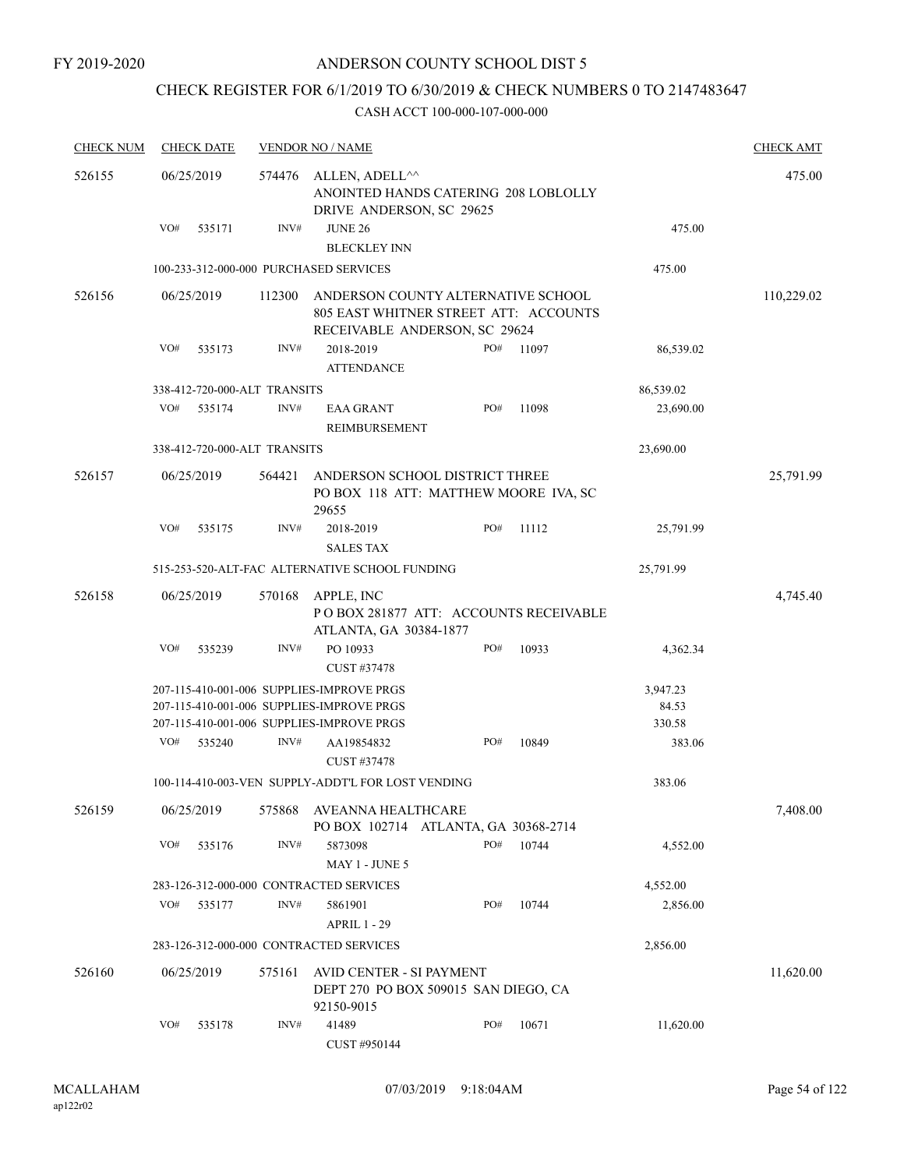### CHECK REGISTER FOR 6/1/2019 TO 6/30/2019 & CHECK NUMBERS 0 TO 2147483647

| <b>CHECK NUM</b> |     | <b>CHECK DATE</b> |                              | <b>VENDOR NO / NAME</b>                                                                                      |     |        |           | <b>CHECK AMT</b> |
|------------------|-----|-------------------|------------------------------|--------------------------------------------------------------------------------------------------------------|-----|--------|-----------|------------------|
| 526155           |     | 06/25/2019        | 574476                       | ALLEN, ADELL^^<br>ANOINTED HANDS CATERING 208 LOBLOLLY<br>DRIVE ANDERSON, SC 29625                           |     | 475.00 |           |                  |
|                  | VO# | 535171            | INV#                         | <b>JUNE 26</b>                                                                                               |     |        | 475.00    |                  |
|                  |     |                   |                              | <b>BLECKLEY INN</b>                                                                                          |     |        |           |                  |
|                  |     |                   |                              | 100-233-312-000-000 PURCHASED SERVICES                                                                       |     |        | 475.00    |                  |
| 526156           |     | 06/25/2019        | 112300                       | ANDERSON COUNTY ALTERNATIVE SCHOOL<br>805 EAST WHITNER STREET ATT: ACCOUNTS<br>RECEIVABLE ANDERSON, SC 29624 |     |        |           | 110,229.02       |
|                  | VO# | 535173            | INV#                         | 2018-2019                                                                                                    | PO# | 11097  | 86,539.02 |                  |
|                  |     |                   |                              | <b>ATTENDANCE</b>                                                                                            |     |        |           |                  |
|                  |     |                   | 338-412-720-000-ALT TRANSITS |                                                                                                              |     |        | 86,539.02 |                  |
|                  | VO# | 535174            | INV#                         | <b>EAA GRANT</b><br>REIMBURSEMENT                                                                            | PO# | 11098  | 23,690.00 |                  |
|                  |     |                   | 338-412-720-000-ALT TRANSITS |                                                                                                              |     |        | 23,690.00 |                  |
| 526157           |     | 06/25/2019        | 564421                       | ANDERSON SCHOOL DISTRICT THREE<br>PO BOX 118 ATT: MATTHEW MOORE IVA, SC<br>29655                             |     |        |           | 25,791.99        |
|                  | VO# | 535175            | INV#                         | 2018-2019<br><b>SALES TAX</b>                                                                                | PO# | 11112  | 25,791.99 |                  |
|                  |     |                   |                              | 515-253-520-ALT-FAC ALTERNATIVE SCHOOL FUNDING                                                               |     |        | 25,791.99 |                  |
| 526158           |     | 06/25/2019        |                              |                                                                                                              |     |        |           | 4,745.40         |
|                  |     |                   | 570168                       | APPLE, INC<br>PO BOX 281877 ATT: ACCOUNTS RECEIVABLE<br>ATLANTA, GA 30384-1877                               |     |        |           |                  |
|                  | VO# | 535239            | INV#                         | PO 10933<br>CUST #37478                                                                                      | PO# | 10933  | 4,362.34  |                  |
|                  |     |                   |                              | 207-115-410-001-006 SUPPLIES-IMPROVE PRGS                                                                    |     |        | 3,947.23  |                  |
|                  |     |                   |                              | 207-115-410-001-006 SUPPLIES-IMPROVE PRGS                                                                    |     |        | 84.53     |                  |
|                  |     |                   |                              | 207-115-410-001-006 SUPPLIES-IMPROVE PRGS                                                                    |     |        | 330.58    |                  |
|                  | VO# | 535240            | INV#                         | AA19854832<br>CUST #37478                                                                                    | PO# | 10849  | 383.06    |                  |
|                  |     |                   |                              | 100-114-410-003-VEN SUPPLY-ADDT'L FOR LOST VENDING                                                           |     |        | 383.06    |                  |
| 526159           |     | 06/25/2019        | 575868                       | AVEANNA HEALTHCARE<br>PO BOX 102714 ATLANTA, GA 30368-2714                                                   |     |        |           | 7,408.00         |
|                  | VO# | 535176            | INV#                         | 5873098<br>MAY 1 - JUNE 5                                                                                    | PO# | 10744  | 4,552.00  |                  |
|                  |     |                   |                              | 283-126-312-000-000 CONTRACTED SERVICES                                                                      |     |        | 4,552.00  |                  |
|                  | VO# | 535177            | INV#                         | 5861901                                                                                                      | PO# | 10744  | 2,856.00  |                  |
|                  |     |                   |                              | <b>APRIL 1 - 29</b>                                                                                          |     |        |           |                  |
|                  |     |                   |                              | 283-126-312-000-000 CONTRACTED SERVICES                                                                      |     |        | 2,856.00  |                  |
| 526160           |     | 06/25/2019        | 575161                       | AVID CENTER - SI PAYMENT                                                                                     |     |        |           | 11,620.00        |
|                  |     |                   |                              | DEPT 270 PO BOX 509015 SAN DIEGO, CA<br>92150-9015                                                           |     |        |           |                  |
|                  | VO# | 535178            | INV#                         | 41489<br>CUST #950144                                                                                        | PO# | 10671  | 11,620.00 |                  |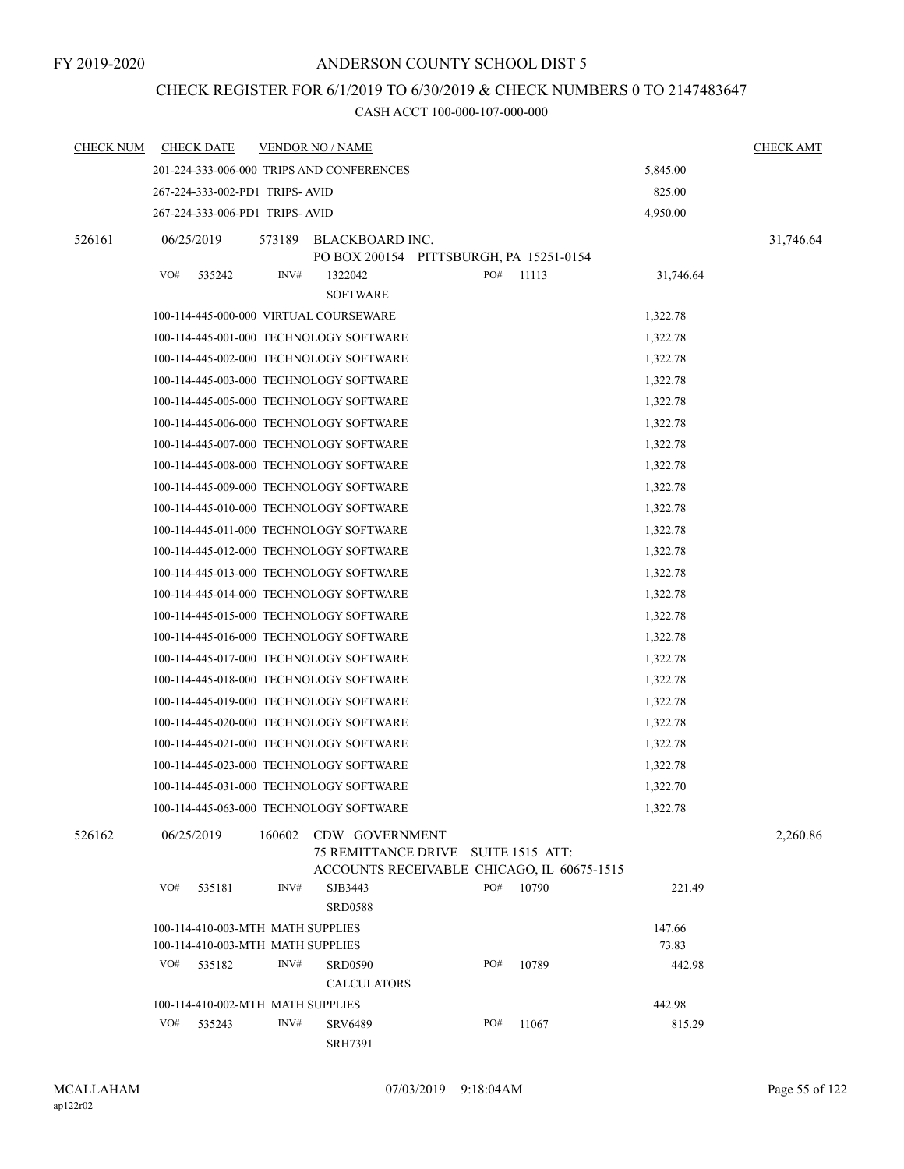## CHECK REGISTER FOR 6/1/2019 TO 6/30/2019 & CHECK NUMBERS 0 TO 2147483647

| <b>CHECK NUM</b> |     | <b>CHECK DATE</b>                 |        | <b>VENDOR NO / NAME</b>                                                                             |     |       |           | <b>CHECK AMT</b> |
|------------------|-----|-----------------------------------|--------|-----------------------------------------------------------------------------------------------------|-----|-------|-----------|------------------|
|                  |     |                                   |        | 201-224-333-006-000 TRIPS AND CONFERENCES                                                           |     |       | 5,845.00  |                  |
|                  |     | 267-224-333-002-PD1 TRIPS-AVID    |        |                                                                                                     |     |       | 825.00    |                  |
|                  |     | 267-224-333-006-PD1 TRIPS-AVID    |        |                                                                                                     |     |       | 4,950.00  |                  |
| 526161           |     | 06/25/2019                        | 573189 | BLACKBOARD INC.<br>PO BOX 200154 PITTSBURGH, PA 15251-0154                                          |     |       |           | 31,746.64        |
|                  | VO# | 535242                            | INV#   | 1322042<br><b>SOFTWARE</b>                                                                          | PO# | 11113 | 31,746.64 |                  |
|                  |     |                                   |        | 100-114-445-000-000 VIRTUAL COURSEWARE                                                              |     |       | 1,322.78  |                  |
|                  |     |                                   |        | 100-114-445-001-000 TECHNOLOGY SOFTWARE                                                             |     |       | 1,322.78  |                  |
|                  |     |                                   |        | 100-114-445-002-000 TECHNOLOGY SOFTWARE                                                             |     |       | 1,322.78  |                  |
|                  |     |                                   |        | 100-114-445-003-000 TECHNOLOGY SOFTWARE                                                             |     |       | 1,322.78  |                  |
|                  |     |                                   |        | 100-114-445-005-000 TECHNOLOGY SOFTWARE                                                             |     |       | 1,322.78  |                  |
|                  |     |                                   |        | 100-114-445-006-000 TECHNOLOGY SOFTWARE                                                             |     |       | 1,322.78  |                  |
|                  |     |                                   |        | 100-114-445-007-000 TECHNOLOGY SOFTWARE                                                             |     |       | 1,322.78  |                  |
|                  |     |                                   |        | 100-114-445-008-000 TECHNOLOGY SOFTWARE                                                             |     |       | 1,322.78  |                  |
|                  |     |                                   |        | 100-114-445-009-000 TECHNOLOGY SOFTWARE                                                             |     |       | 1,322.78  |                  |
|                  |     |                                   |        | 100-114-445-010-000 TECHNOLOGY SOFTWARE                                                             |     |       | 1,322.78  |                  |
|                  |     |                                   |        | 100-114-445-011-000 TECHNOLOGY SOFTWARE                                                             |     |       | 1,322.78  |                  |
|                  |     |                                   |        | 100-114-445-012-000 TECHNOLOGY SOFTWARE                                                             |     |       | 1,322.78  |                  |
|                  |     |                                   |        | 100-114-445-013-000 TECHNOLOGY SOFTWARE                                                             |     |       | 1,322.78  |                  |
|                  |     |                                   |        | 100-114-445-014-000 TECHNOLOGY SOFTWARE                                                             |     |       | 1,322.78  |                  |
|                  |     |                                   |        | 100-114-445-015-000 TECHNOLOGY SOFTWARE                                                             |     |       | 1,322.78  |                  |
|                  |     |                                   |        | 100-114-445-016-000 TECHNOLOGY SOFTWARE                                                             |     |       | 1,322.78  |                  |
|                  |     |                                   |        | 100-114-445-017-000 TECHNOLOGY SOFTWARE                                                             |     |       | 1,322.78  |                  |
|                  |     |                                   |        | 100-114-445-018-000 TECHNOLOGY SOFTWARE                                                             |     |       | 1,322.78  |                  |
|                  |     |                                   |        | 100-114-445-019-000 TECHNOLOGY SOFTWARE                                                             |     |       | 1,322.78  |                  |
|                  |     |                                   |        | 100-114-445-020-000 TECHNOLOGY SOFTWARE                                                             |     |       | 1,322.78  |                  |
|                  |     |                                   |        | 100-114-445-021-000 TECHNOLOGY SOFTWARE                                                             |     |       | 1,322.78  |                  |
|                  |     |                                   |        | 100-114-445-023-000 TECHNOLOGY SOFTWARE                                                             |     |       | 1,322.78  |                  |
|                  |     |                                   |        | 100-114-445-031-000 TECHNOLOGY SOFTWARE                                                             |     |       | 1,322.70  |                  |
|                  |     |                                   |        | 100-114-445-063-000 TECHNOLOGY SOFTWARE                                                             |     |       | 1,322.78  |                  |
| 526162           |     | 06/25/2019                        | 160602 | CDW GOVERNMENT<br>75 REMITTANCE DRIVE SUITE 1515 ATT:<br>ACCOUNTS RECEIVABLE CHICAGO, IL 60675-1515 |     |       |           | 2,260.86         |
|                  | VO# | 535181                            | INV#   | SJB3443                                                                                             | PO# | 10790 | 221.49    |                  |
|                  |     |                                   |        | <b>SRD0588</b>                                                                                      |     |       |           |                  |
|                  |     | 100-114-410-003-MTH MATH SUPPLIES |        |                                                                                                     |     |       | 147.66    |                  |
|                  |     | 100-114-410-003-MTH MATH SUPPLIES |        |                                                                                                     |     |       | 73.83     |                  |
|                  | VO# | 535182                            | INV#   | <b>SRD0590</b>                                                                                      | PO# | 10789 | 442.98    |                  |
|                  |     |                                   |        | <b>CALCULATORS</b>                                                                                  |     |       |           |                  |
|                  |     | 100-114-410-002-MTH MATH SUPPLIES |        |                                                                                                     |     |       | 442.98    |                  |
|                  | VO# | 535243                            | INV#   | <b>SRV6489</b><br><b>SRH7391</b>                                                                    | PO# | 11067 | 815.29    |                  |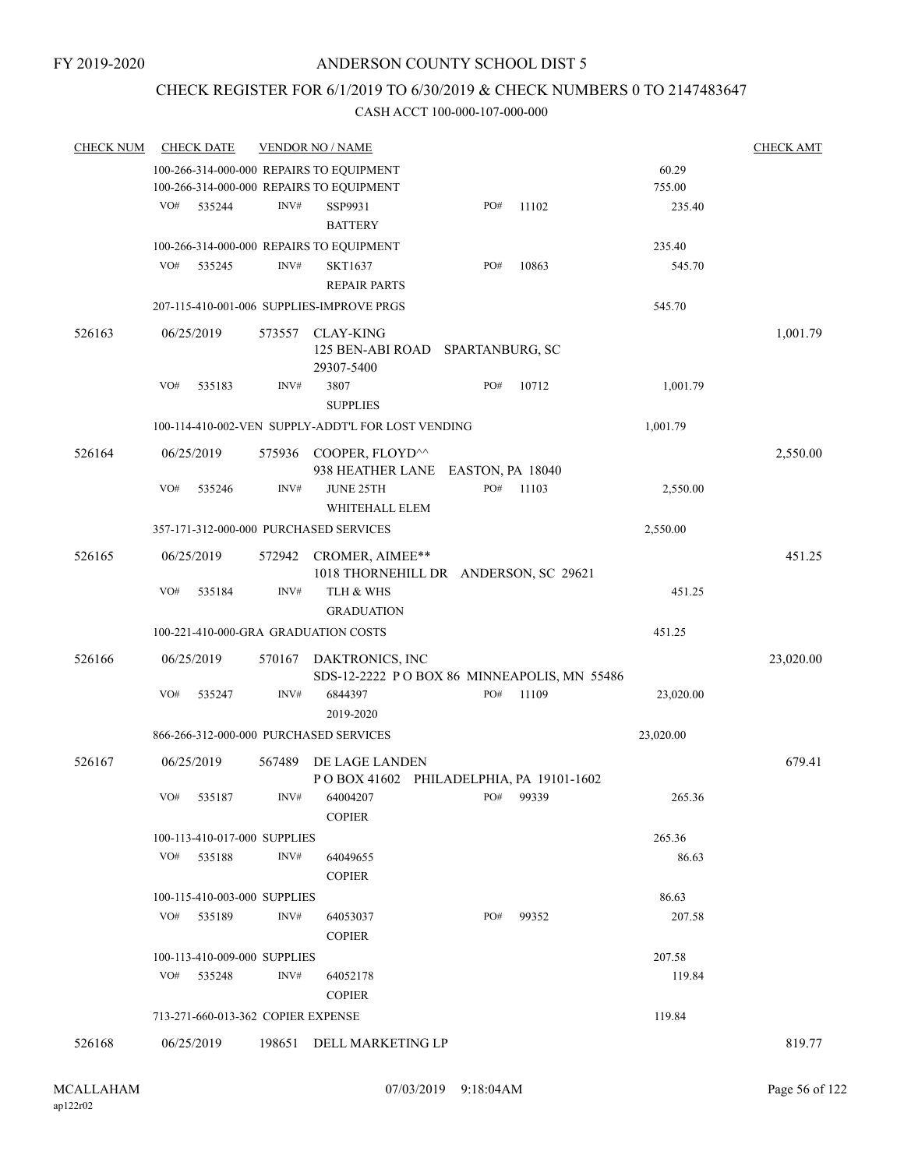### CHECK REGISTER FOR 6/1/2019 TO 6/30/2019 & CHECK NUMBERS 0 TO 2147483647

| <b>CHECK NUM</b> |     | <b>CHECK DATE</b>                  |                  | <b>VENDOR NO / NAME</b>                                                 |     |       |           | <b>CHECK AMT</b> |
|------------------|-----|------------------------------------|------------------|-------------------------------------------------------------------------|-----|-------|-----------|------------------|
|                  |     |                                    |                  | 100-266-314-000-000 REPAIRS TO EQUIPMENT                                |     |       | 60.29     |                  |
|                  |     |                                    |                  | 100-266-314-000-000 REPAIRS TO EQUIPMENT                                |     |       | 755.00    |                  |
|                  | VO# | 535244                             | $\mathrm{INV}\#$ | SSP9931<br><b>BATTERY</b>                                               | PO# | 11102 | 235.40    |                  |
|                  |     |                                    |                  | 100-266-314-000-000 REPAIRS TO EQUIPMENT                                |     |       | 235.40    |                  |
|                  | VO# | 535245                             | INV#             | <b>SKT1637</b><br><b>REPAIR PARTS</b>                                   | PO# | 10863 | 545.70    |                  |
|                  |     |                                    |                  | 207-115-410-001-006 SUPPLIES-IMPROVE PRGS                               |     |       | 545.70    |                  |
| 526163           |     | 06/25/2019                         | 573557           | CLAY-KING<br>125 BEN-ABI ROAD SPARTANBURG, SC<br>29307-5400             |     |       |           | 1,001.79         |
|                  | VO# | 535183                             | INV#             | 3807<br><b>SUPPLIES</b>                                                 | PO# | 10712 | 1,001.79  |                  |
|                  |     |                                    |                  | 100-114-410-002-VEN SUPPLY-ADDT'L FOR LOST VENDING                      |     |       | 1,001.79  |                  |
| 526164           |     | 06/25/2019                         |                  | 575936 COOPER, FLOYD <sup>^^</sup><br>938 HEATHER LANE EASTON, PA 18040 |     |       |           | 2,550.00         |
|                  | VO# | 535246                             | INV#             | <b>JUNE 25TH</b><br>WHITEHALL ELEM                                      | PO# | 11103 | 2,550.00  |                  |
|                  |     |                                    |                  | 357-171-312-000-000 PURCHASED SERVICES                                  |     |       | 2,550.00  |                  |
| 526165           |     | 06/25/2019                         | 572942           | CROMER, AIMEE**<br>1018 THORNEHILL DR ANDERSON, SC 29621                |     |       |           | 451.25           |
|                  | VO# | 535184                             | INV#             | TLH & WHS<br><b>GRADUATION</b>                                          |     |       | 451.25    |                  |
|                  |     |                                    |                  | 100-221-410-000-GRA GRADUATION COSTS                                    |     |       | 451.25    |                  |
| 526166           |     | 06/25/2019                         | 570167           | DAKTRONICS, INC<br>SDS-12-2222 POBOX 86 MINNEAPOLIS, MN 55486           |     |       |           | 23,020.00        |
|                  | VO# | 535247                             | INV#             | 6844397<br>2019-2020                                                    | PO# | 11109 | 23,020.00 |                  |
|                  |     |                                    |                  | 866-266-312-000-000 PURCHASED SERVICES                                  |     |       | 23,020.00 |                  |
| 526167           |     | 06/25/2019                         | 567489           | DE LAGE LANDEN<br>POBOX 41602 PHILADELPHIA, PA 19101-1602               |     |       |           | 679.41           |
|                  | VO# | 535187                             | INV#             | 64004207<br><b>COPIER</b>                                               | PO# | 99339 | 265.36    |                  |
|                  |     | 100-113-410-017-000 SUPPLIES       |                  |                                                                         |     |       | 265.36    |                  |
|                  | VO# | 535188                             | INV#             | 64049655<br><b>COPIER</b>                                               |     |       | 86.63     |                  |
|                  |     | 100-115-410-003-000 SUPPLIES       |                  |                                                                         |     |       | 86.63     |                  |
|                  |     | VO# 535189                         | INV#             | 64053037<br><b>COPIER</b>                                               | PO# | 99352 | 207.58    |                  |
|                  |     | 100-113-410-009-000 SUPPLIES       |                  |                                                                         |     |       | 207.58    |                  |
|                  | VO# | 535248                             | INV#             | 64052178<br><b>COPIER</b>                                               |     |       | 119.84    |                  |
|                  |     | 713-271-660-013-362 COPIER EXPENSE |                  |                                                                         |     |       | 119.84    |                  |
| 526168           |     | 06/25/2019                         |                  | 198651 DELL MARKETING LP                                                |     |       |           | 819.77           |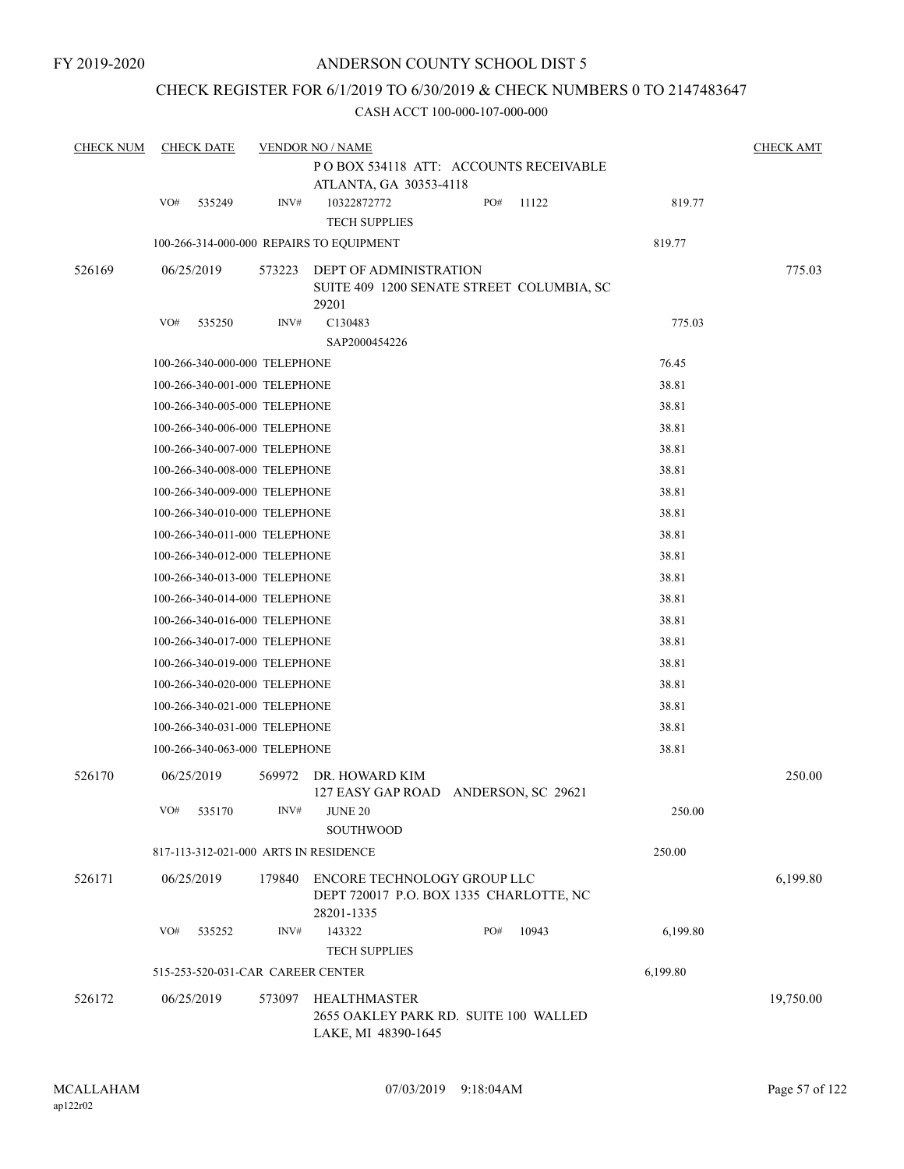### CHECK REGISTER FOR 6/1/2019 TO 6/30/2019 & CHECK NUMBERS 0 TO 2147483647

| <b>CHECK NUM</b> |     | <b>CHECK DATE</b>                 |        | <b>VENDOR NO / NAME</b>                                                              |     |       |          | <b>CHECK AMT</b> |
|------------------|-----|-----------------------------------|--------|--------------------------------------------------------------------------------------|-----|-------|----------|------------------|
|                  |     |                                   |        | PO BOX 534118 ATT: ACCOUNTS RECEIVABLE                                               |     |       |          |                  |
|                  |     |                                   |        | ATLANTA, GA 30353-4118                                                               |     |       |          |                  |
|                  | VO# | 535249                            | INV#   | 10322872772<br><b>TECH SUPPLIES</b>                                                  | PO# | 11122 | 819.77   |                  |
|                  |     |                                   |        | 100-266-314-000-000 REPAIRS TO EQUIPMENT                                             |     |       | 819.77   |                  |
|                  |     |                                   |        | DEPT OF ADMINISTRATION                                                               |     |       |          | 775.03           |
| 526169           |     | 06/25/2019                        | 573223 | SUITE 409 1200 SENATE STREET COLUMBIA, SC<br>29201                                   |     |       |          |                  |
|                  | VO# | 535250                            | INV#   | C130483                                                                              |     |       | 775.03   |                  |
|                  |     |                                   |        | SAP2000454226                                                                        |     |       |          |                  |
|                  |     | 100-266-340-000-000 TELEPHONE     |        |                                                                                      |     |       | 76.45    |                  |
|                  |     | 100-266-340-001-000 TELEPHONE     |        |                                                                                      |     |       | 38.81    |                  |
|                  |     | 100-266-340-005-000 TELEPHONE     |        |                                                                                      |     |       | 38.81    |                  |
|                  |     | 100-266-340-006-000 TELEPHONE     |        |                                                                                      |     |       | 38.81    |                  |
|                  |     | 100-266-340-007-000 TELEPHONE     |        |                                                                                      |     |       | 38.81    |                  |
|                  |     | 100-266-340-008-000 TELEPHONE     |        |                                                                                      |     |       | 38.81    |                  |
|                  |     | 100-266-340-009-000 TELEPHONE     |        |                                                                                      |     |       | 38.81    |                  |
|                  |     | 100-266-340-010-000 TELEPHONE     |        |                                                                                      |     |       | 38.81    |                  |
|                  |     | 100-266-340-011-000 TELEPHONE     |        |                                                                                      |     |       | 38.81    |                  |
|                  |     | 100-266-340-012-000 TELEPHONE     |        |                                                                                      |     |       | 38.81    |                  |
|                  |     | 100-266-340-013-000 TELEPHONE     |        |                                                                                      |     |       | 38.81    |                  |
|                  |     | 100-266-340-014-000 TELEPHONE     |        |                                                                                      |     |       | 38.81    |                  |
|                  |     | 100-266-340-016-000 TELEPHONE     |        |                                                                                      |     |       | 38.81    |                  |
|                  |     | 100-266-340-017-000 TELEPHONE     |        |                                                                                      |     |       | 38.81    |                  |
|                  |     | 100-266-340-019-000 TELEPHONE     |        |                                                                                      |     |       | 38.81    |                  |
|                  |     | 100-266-340-020-000 TELEPHONE     |        |                                                                                      |     |       | 38.81    |                  |
|                  |     | 100-266-340-021-000 TELEPHONE     |        |                                                                                      |     |       | 38.81    |                  |
|                  |     | 100-266-340-031-000 TELEPHONE     |        |                                                                                      |     |       | 38.81    |                  |
|                  |     | 100-266-340-063-000 TELEPHONE     |        |                                                                                      |     |       | 38.81    |                  |
| 526170           |     | 06/25/2019                        | 569972 | DR. HOWARD KIM<br>127 EASY GAP ROAD ANDERSON, SC 29621                               |     |       |          | 250.00           |
|                  | VO# | 535170                            | INV#   | <b>JUNE 20</b><br><b>SOUTHWOOD</b>                                                   |     |       | 250.00   |                  |
|                  |     |                                   |        | 817-113-312-021-000 ARTS IN RESIDENCE                                                |     |       | 250.00   |                  |
| 526171           |     | 06/25/2019                        | 179840 | ENCORE TECHNOLOGY GROUP LLC<br>DEPT 720017 P.O. BOX 1335 CHARLOTTE, NC<br>28201-1335 |     |       |          | 6,199.80         |
|                  | VO# | 535252                            | INV#   | 143322<br><b>TECH SUPPLIES</b>                                                       | PO# | 10943 | 6,199.80 |                  |
|                  |     | 515-253-520-031-CAR CAREER CENTER |        |                                                                                      |     |       | 6,199.80 |                  |
| 526172           |     | 06/25/2019                        | 573097 | HEALTHMASTER<br>2655 OAKLEY PARK RD. SUITE 100 WALLED<br>LAKE, MI 48390-1645         |     |       |          | 19,750.00        |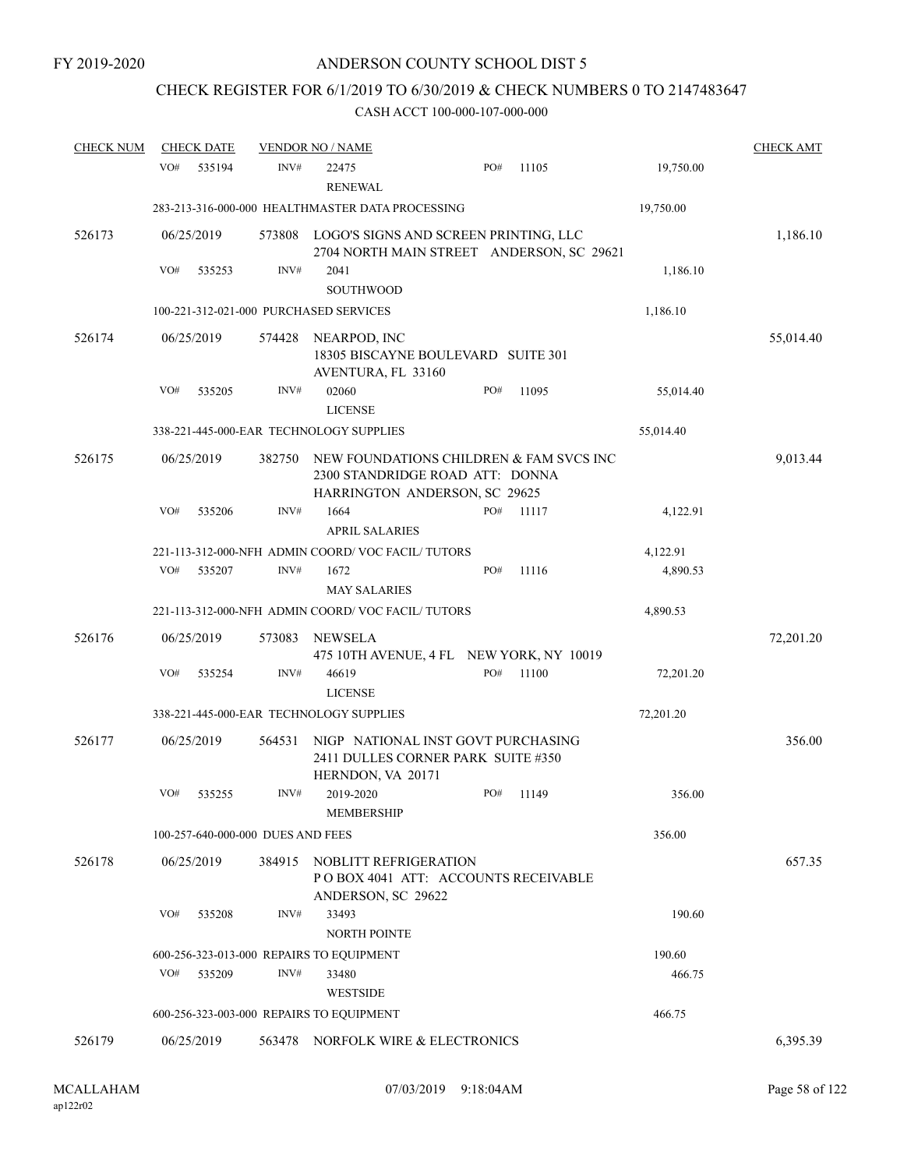## CHECK REGISTER FOR 6/1/2019 TO 6/30/2019 & CHECK NUMBERS 0 TO 2147483647

| <b>CHECK NUM</b> | <b>CHECK DATE</b> |                                        | <b>VENDOR NO / NAME</b>                                                                                     |     |       |           | <b>CHECK AMT</b> |
|------------------|-------------------|----------------------------------------|-------------------------------------------------------------------------------------------------------------|-----|-------|-----------|------------------|
|                  | VO#               | 535194<br>INV#                         | 22475<br><b>RENEWAL</b>                                                                                     | PO# | 11105 | 19,750.00 |                  |
|                  |                   |                                        | 283-213-316-000-000 HEALTHMASTER DATA PROCESSING                                                            |     |       | 19,750.00 |                  |
| 526173           | 06/25/2019        | 573808                                 | LOGO'S SIGNS AND SCREEN PRINTING, LLC<br>2704 NORTH MAIN STREET ANDERSON, SC 29621                          |     |       |           | 1,186.10         |
|                  | VO#               | INV#<br>535253                         | 2041<br>SOUTHWOOD                                                                                           |     |       | 1,186.10  |                  |
|                  |                   | 100-221-312-021-000 PURCHASED SERVICES |                                                                                                             |     |       | 1,186.10  |                  |
| 526174           | 06/25/2019        | 574428                                 | NEARPOD, INC<br>18305 BISCAYNE BOULEVARD SUITE 301<br>AVENTURA, FL 33160                                    |     |       |           | 55,014.40        |
|                  | VO#               | INV#<br>535205                         | 02060<br><b>LICENSE</b>                                                                                     | PO# | 11095 | 55,014.40 |                  |
|                  |                   |                                        | 338-221-445-000-EAR TECHNOLOGY SUPPLIES                                                                     |     |       | 55,014.40 |                  |
| 526175           | 06/25/2019        | 382750                                 | NEW FOUNDATIONS CHILDREN & FAM SVCS INC<br>2300 STANDRIDGE ROAD ATT: DONNA<br>HARRINGTON ANDERSON, SC 29625 |     |       |           | 9,013.44         |
|                  | VO#               | INV#<br>535206                         | 1664<br><b>APRIL SALARIES</b>                                                                               | PO# | 11117 | 4,122.91  |                  |
|                  |                   |                                        | 221-113-312-000-NFH ADMIN COORD/VOC FACIL/TUTORS                                                            |     |       | 4,122.91  |                  |
|                  | VO#               | INV#<br>535207                         | 1672<br><b>MAY SALARIES</b>                                                                                 | PO# | 11116 | 4,890.53  |                  |
|                  |                   |                                        | 221-113-312-000-NFH ADMIN COORD/VOC FACIL/TUTORS                                                            |     |       | 4,890.53  |                  |
| 526176           | 06/25/2019        | 573083                                 | <b>NEWSELA</b><br>475 10TH AVENUE, 4 FL NEW YORK, NY 10019                                                  |     |       |           | 72,201.20        |
|                  | VO#               | INV#<br>535254                         | 46619<br><b>LICENSE</b>                                                                                     | PO# | 11100 | 72,201.20 |                  |
|                  |                   |                                        | 338-221-445-000-EAR TECHNOLOGY SUPPLIES                                                                     |     |       | 72,201.20 |                  |
| 526177           | 06/25/2019        | 564531                                 | NIGP NATIONAL INST GOVT PURCHASING<br>2411 DULLES CORNER PARK SUITE #350<br>HERNDON, VA 20171               |     |       |           | 356.00           |
|                  | VO#               | INV#<br>535255                         | 2019-2020<br>MEMBERSHIP                                                                                     | PO# | 11149 | 356.00    |                  |
|                  |                   | 100-257-640-000-000 DUES AND FEES      |                                                                                                             |     |       | 356.00    |                  |
| 526178           | 06/25/2019        | 384915                                 | NOBLITT REFRIGERATION<br>PO BOX 4041 ATT: ACCOUNTS RECEIVABLE<br>ANDERSON, SC 29622                         |     |       |           | 657.35           |
|                  | VO#               | INV#<br>535208                         | 33493<br><b>NORTH POINTE</b>                                                                                |     |       | 190.60    |                  |
|                  |                   |                                        | 600-256-323-013-000 REPAIRS TO EQUIPMENT                                                                    |     |       | 190.60    |                  |
|                  | VO#               | 535209<br>INV#                         | 33480                                                                                                       |     |       | 466.75    |                  |
|                  |                   |                                        | <b>WESTSIDE</b>                                                                                             |     |       |           |                  |
|                  |                   |                                        | 600-256-323-003-000 REPAIRS TO EQUIPMENT                                                                    |     |       | 466.75    |                  |
| 526179           | 06/25/2019        |                                        | 563478 NORFOLK WIRE & ELECTRONICS                                                                           |     |       |           | 6,395.39         |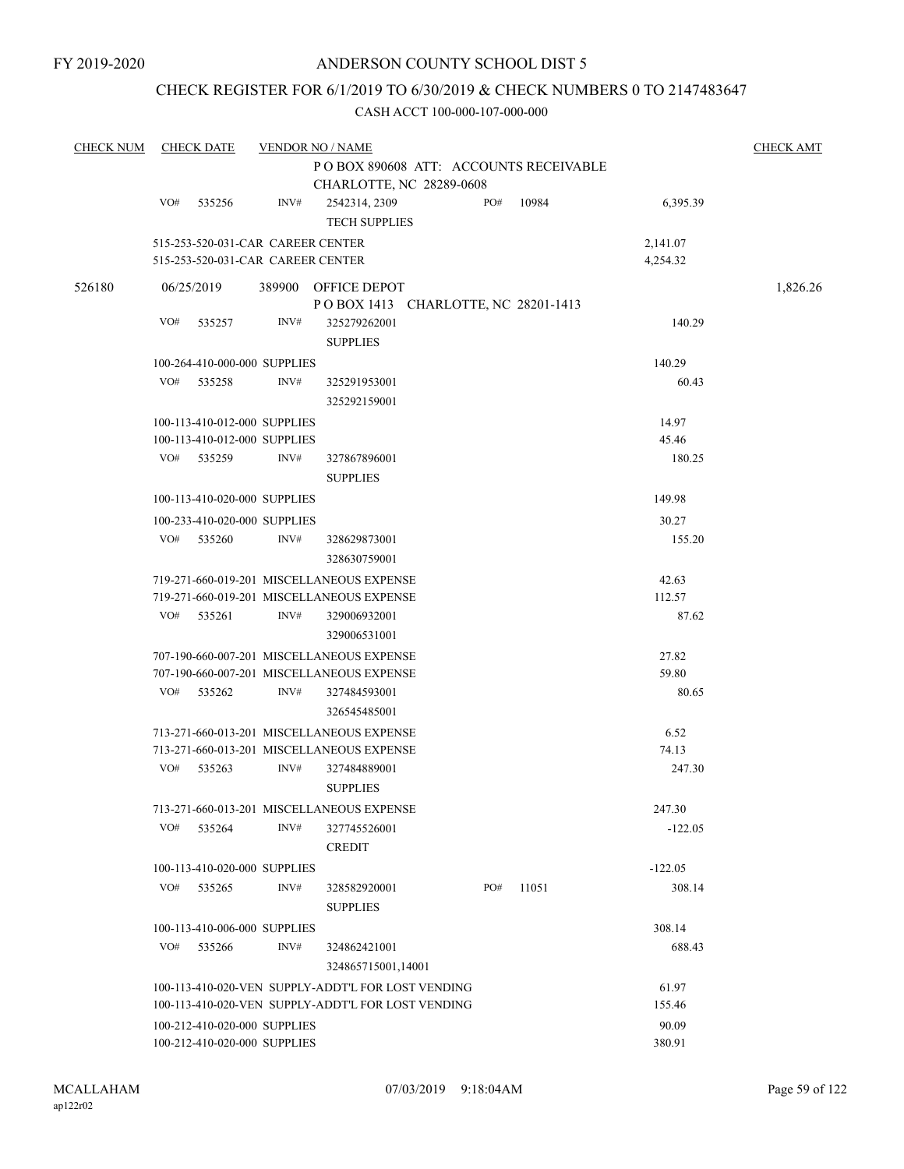### CHECK REGISTER FOR 6/1/2019 TO 6/30/2019 & CHECK NUMBERS 0 TO 2147483647

| <b>CHECK NUM</b> |     | <b>CHECK DATE</b>                                                      |        | <b>VENDOR NO / NAME</b>                                            |     |       |                      | <b>CHECK AMT</b> |
|------------------|-----|------------------------------------------------------------------------|--------|--------------------------------------------------------------------|-----|-------|----------------------|------------------|
|                  |     |                                                                        |        | PO BOX 890608 ATT: ACCOUNTS RECEIVABLE<br>CHARLOTTE, NC 28289-0608 |     |       |                      |                  |
|                  | VO# | 535256                                                                 | INV#   | 2542314, 2309<br><b>TECH SUPPLIES</b>                              | PO# | 10984 | 6,395.39             |                  |
|                  |     | 515-253-520-031-CAR CAREER CENTER<br>515-253-520-031-CAR CAREER CENTER |        |                                                                    |     |       | 2,141.07<br>4,254.32 |                  |
| 526180           |     | 06/25/2019                                                             | 389900 | OFFICE DEPOT<br>POBOX 1413 CHARLOTTE, NC 28201-1413                |     |       |                      | 1,826.26         |
|                  | VO# | 535257                                                                 | INV#   | 325279262001<br><b>SUPPLIES</b>                                    |     |       | 140.29               |                  |
|                  |     | 100-264-410-000-000 SUPPLIES                                           |        |                                                                    |     |       | 140.29               |                  |
|                  | VO# | 535258                                                                 | INV#   | 325291953001<br>325292159001                                       |     |       | 60.43                |                  |
|                  |     | 100-113-410-012-000 SUPPLIES                                           |        |                                                                    |     |       | 14.97                |                  |
|                  |     | 100-113-410-012-000 SUPPLIES                                           |        |                                                                    |     |       | 45.46                |                  |
|                  | VO# | 535259                                                                 | INV#   | 327867896001<br><b>SUPPLIES</b>                                    |     |       | 180.25               |                  |
|                  |     | 100-113-410-020-000 SUPPLIES                                           |        |                                                                    |     |       | 149.98               |                  |
|                  |     | 100-233-410-020-000 SUPPLIES                                           |        |                                                                    |     |       | 30.27                |                  |
|                  | VO# | 535260                                                                 | INV#   | 328629873001<br>328630759001                                       |     |       | 155.20               |                  |
|                  |     |                                                                        |        | 719-271-660-019-201 MISCELLANEOUS EXPENSE                          |     |       | 42.63                |                  |
|                  |     |                                                                        |        | 719-271-660-019-201 MISCELLANEOUS EXPENSE                          |     |       | 112.57               |                  |
|                  | VO# | 535261                                                                 | INV#   | 329006932001<br>329006531001                                       |     |       | 87.62                |                  |
|                  |     |                                                                        |        | 707-190-660-007-201 MISCELLANEOUS EXPENSE                          |     |       | 27.82                |                  |
|                  |     |                                                                        |        | 707-190-660-007-201 MISCELLANEOUS EXPENSE                          |     |       | 59.80                |                  |
|                  | VO# | 535262                                                                 | INV#   | 327484593001<br>326545485001                                       |     |       | 80.65                |                  |
|                  |     |                                                                        |        | 713-271-660-013-201 MISCELLANEOUS EXPENSE                          |     |       | 6.52                 |                  |
|                  |     |                                                                        |        | 713-271-660-013-201 MISCELLANEOUS EXPENSE                          |     |       | 74.13                |                  |
|                  | VO# | 535263                                                                 | INV#   | 327484889001<br><b>SUPPLIES</b>                                    |     |       | 247.30               |                  |
|                  |     |                                                                        |        | 713-271-660-013-201 MISCELLANEOUS EXPENSE                          |     |       | 247.30               |                  |
|                  | VO# | 535264                                                                 | INV#   | 327745526001<br><b>CREDIT</b>                                      |     |       | $-122.05$            |                  |
|                  |     | 100-113-410-020-000 SUPPLIES                                           |        |                                                                    |     |       | $-122.05$            |                  |
|                  | VO# | 535265                                                                 | INV#   | 328582920001<br><b>SUPPLIES</b>                                    | PO# | 11051 | 308.14               |                  |
|                  |     | 100-113-410-006-000 SUPPLIES                                           |        |                                                                    |     |       | 308.14               |                  |
|                  | VO# | 535266                                                                 | INV#   | 324862421001<br>324865715001,14001                                 |     |       | 688.43               |                  |
|                  |     |                                                                        |        | 100-113-410-020-VEN SUPPLY-ADDT'L FOR LOST VENDING                 |     |       | 61.97                |                  |
|                  |     |                                                                        |        | 100-113-410-020-VEN SUPPLY-ADDT'L FOR LOST VENDING                 |     |       | 155.46               |                  |
|                  |     | 100-212-410-020-000 SUPPLIES                                           |        |                                                                    |     |       | 90.09                |                  |
|                  |     | 100-212-410-020-000 SUPPLIES                                           |        |                                                                    |     |       | 380.91               |                  |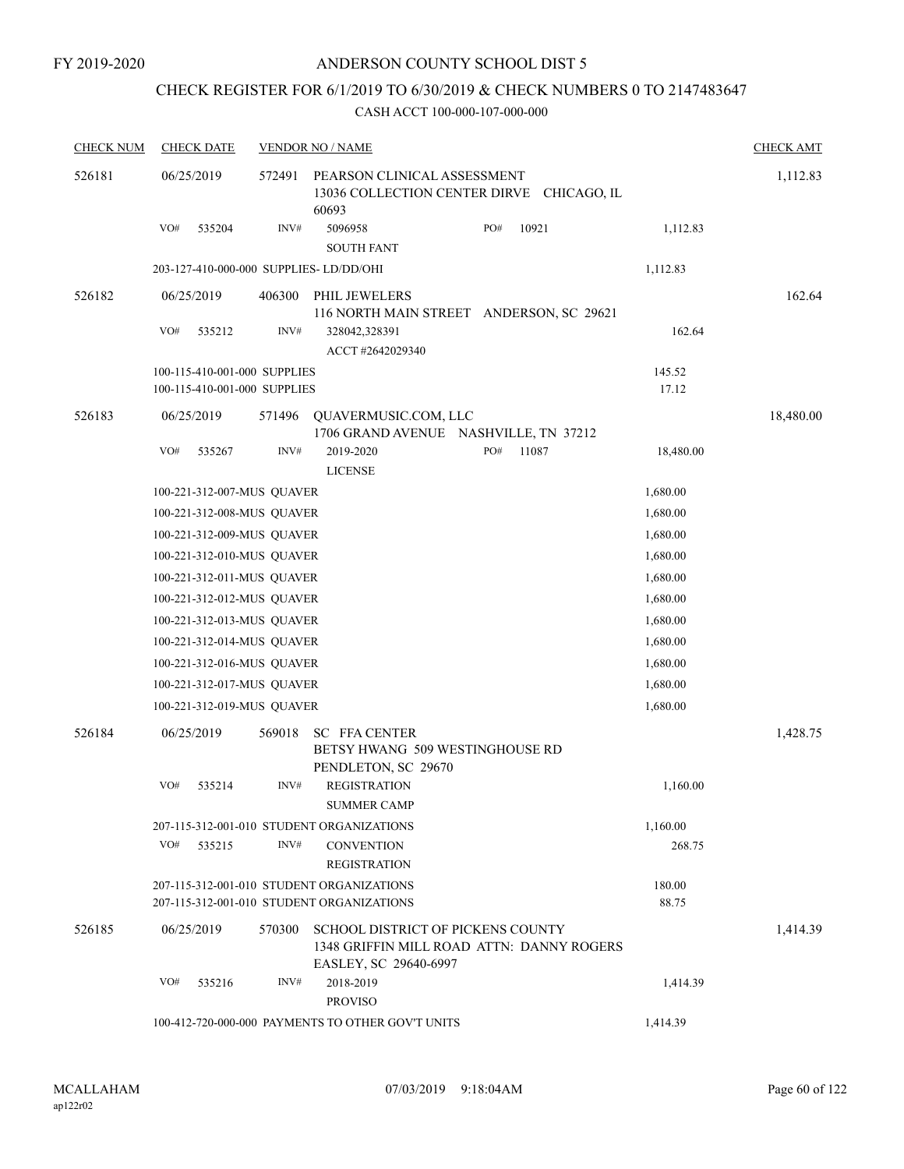### CHECK REGISTER FOR 6/1/2019 TO 6/30/2019 & CHECK NUMBERS 0 TO 2147483647

| <b>CHECK NUM</b> | <b>CHECK DATE</b>                       |        | <b>VENDOR NO / NAME</b>                                                                                        |              |                 | <b>CHECK AMT</b> |
|------------------|-----------------------------------------|--------|----------------------------------------------------------------------------------------------------------------|--------------|-----------------|------------------|
| 526181           | 06/25/2019                              | 572491 | PEARSON CLINICAL ASSESSMENT<br>13036 COLLECTION CENTER DIRVE CHICAGO, IL<br>60693                              |              |                 | 1,112.83         |
|                  | VO#<br>535204                           | INV#   | 5096958<br><b>SOUTH FANT</b>                                                                                   | 10921<br>PO# | 1,112.83        |                  |
|                  | 203-127-410-000-000 SUPPLIES- LD/DD/OHI |        |                                                                                                                |              | 1,112.83        |                  |
| 526182           | 06/25/2019                              | 406300 | PHIL JEWELERS                                                                                                  |              |                 | 162.64           |
|                  | VO#<br>535212                           | INV#   | 116 NORTH MAIN STREET ANDERSON, SC 29621<br>328042,328391<br>ACCT #2642029340                                  |              | 162.64          |                  |
|                  | 100-115-410-001-000 SUPPLIES            |        |                                                                                                                |              | 145.52          |                  |
|                  | 100-115-410-001-000 SUPPLIES            |        |                                                                                                                |              | 17.12           |                  |
| 526183           | 06/25/2019                              | 571496 | QUAVERMUSIC.COM, LLC<br>1706 GRAND AVENUE NASHVILLE, TN 37212                                                  |              |                 | 18,480.00        |
|                  | VO#<br>535267                           | INV#   | 2019-2020<br><b>LICENSE</b>                                                                                    | PO#<br>11087 | 18,480.00       |                  |
|                  | 100-221-312-007-MUS QUAVER              |        |                                                                                                                |              | 1,680.00        |                  |
|                  | 100-221-312-008-MUS QUAVER              |        |                                                                                                                |              | 1,680.00        |                  |
|                  | 100-221-312-009-MUS QUAVER              |        |                                                                                                                |              | 1,680.00        |                  |
|                  | 100-221-312-010-MUS QUAVER              |        |                                                                                                                |              | 1,680.00        |                  |
|                  | 100-221-312-011-MUS QUAVER              |        |                                                                                                                |              | 1,680.00        |                  |
|                  | 100-221-312-012-MUS QUAVER              |        |                                                                                                                |              | 1,680.00        |                  |
|                  | 100-221-312-013-MUS QUAVER              |        |                                                                                                                |              | 1,680.00        |                  |
|                  | 100-221-312-014-MUS QUAVER              |        |                                                                                                                |              | 1,680.00        |                  |
|                  | 100-221-312-016-MUS QUAVER              |        |                                                                                                                |              | 1,680.00        |                  |
|                  | 100-221-312-017-MUS QUAVER              |        |                                                                                                                |              | 1,680.00        |                  |
|                  | 100-221-312-019-MUS QUAVER              |        |                                                                                                                |              | 1,680.00        |                  |
| 526184           | 06/25/2019                              | 569018 | <b>SC FFA CENTER</b><br>BETSY HWANG 509 WESTINGHOUSE RD<br>PENDLETON, SC 29670                                 |              |                 | 1,428.75         |
|                  | VO#<br>535214                           | INV#   | <b>REGISTRATION</b><br><b>SUMMER CAMP</b>                                                                      |              | 1,160.00        |                  |
|                  |                                         |        | 207-115-312-001-010 STUDENT ORGANIZATIONS                                                                      |              | 1,160.00        |                  |
|                  | VO#<br>535215                           | INV#   | <b>CONVENTION</b><br><b>REGISTRATION</b>                                                                       |              | 268.75          |                  |
|                  |                                         |        | 207-115-312-001-010 STUDENT ORGANIZATIONS<br>207-115-312-001-010 STUDENT ORGANIZATIONS                         |              | 180.00<br>88.75 |                  |
| 526185           | 06/25/2019                              | 570300 | <b>SCHOOL DISTRICT OF PICKENS COUNTY</b><br>1348 GRIFFIN MILL ROAD ATTN: DANNY ROGERS<br>EASLEY, SC 29640-6997 |              |                 | 1,414.39         |
|                  | VO#<br>535216                           | INV#   | 2018-2019<br><b>PROVISO</b>                                                                                    |              | 1,414.39        |                  |
|                  |                                         |        | 100-412-720-000-000 PAYMENTS TO OTHER GOV'T UNITS                                                              |              | 1,414.39        |                  |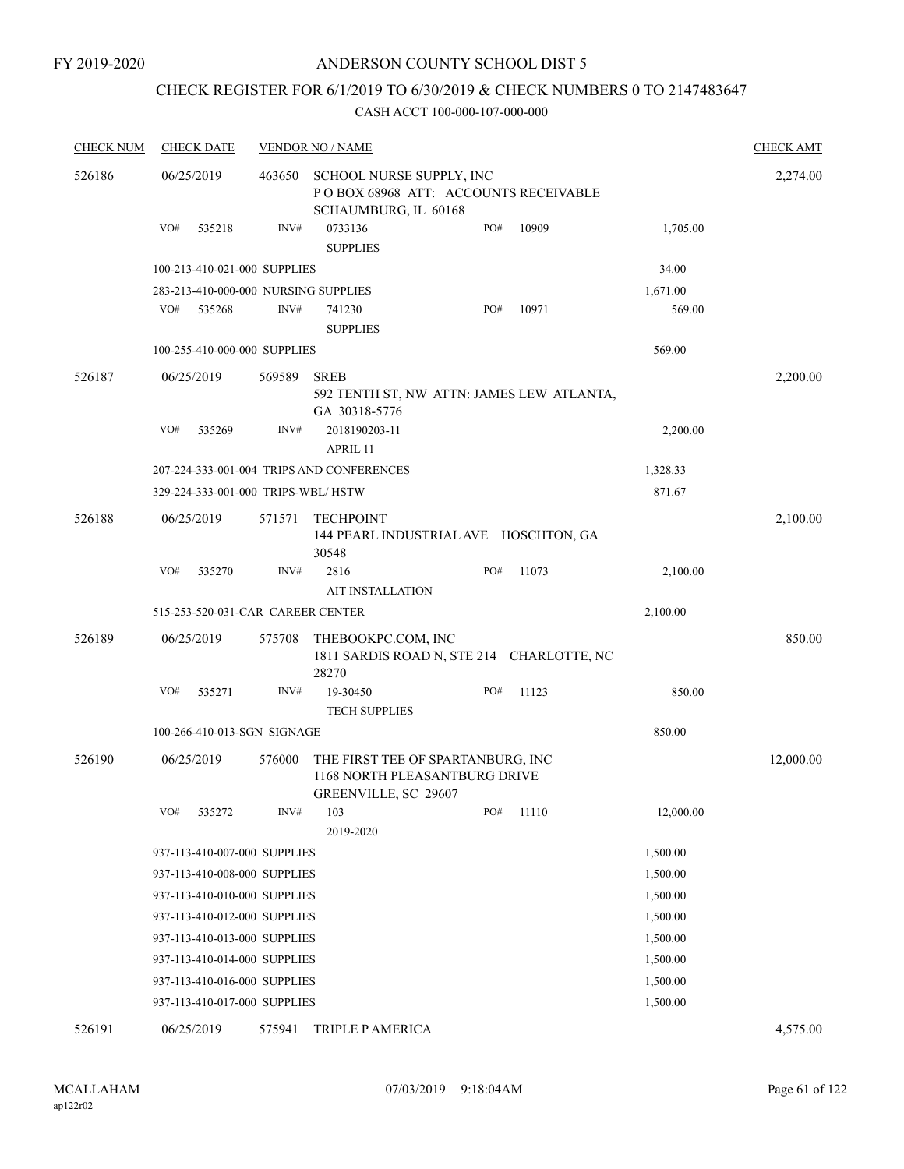#### FY 2019-2020

#### ANDERSON COUNTY SCHOOL DIST 5

## CHECK REGISTER FOR 6/1/2019 TO 6/30/2019 & CHECK NUMBERS 0 TO 2147483647

| <b>CHECK NUM</b> | <b>CHECK DATE</b><br><b>VENDOR NO / NAME</b> |        |                              |                                                                                            |     |       |           | <b>CHECK AMT</b> |
|------------------|----------------------------------------------|--------|------------------------------|--------------------------------------------------------------------------------------------|-----|-------|-----------|------------------|
| 526186           | 06/25/2019                                   |        | 463650                       | SCHOOL NURSE SUPPLY, INC<br>POBOX 68968 ATT: ACCOUNTS RECEIVABLE<br>SCHAUMBURG, IL 60168   |     |       |           | 2,274.00         |
|                  | VO#                                          | 535218 | INV#                         | 0733136<br><b>SUPPLIES</b>                                                                 | PO# | 10909 | 1,705.00  |                  |
|                  |                                              |        | 100-213-410-021-000 SUPPLIES |                                                                                            |     |       | 34.00     |                  |
|                  |                                              |        |                              | 283-213-410-000-000 NURSING SUPPLIES                                                       |     |       | 1,671.00  |                  |
|                  | VO#                                          | 535268 | INV#                         | 741230<br><b>SUPPLIES</b>                                                                  | PO# | 10971 | 569.00    |                  |
|                  |                                              |        | 100-255-410-000-000 SUPPLIES |                                                                                            |     |       | 569.00    |                  |
| 526187           | 06/25/2019                                   |        | 569589                       | <b>SREB</b><br>592 TENTH ST, NW ATTN: JAMES LEW ATLANTA,<br>GA 30318-5776                  |     |       |           | 2,200.00         |
|                  | VO#                                          | 535269 | INV#                         | 2018190203-11<br>APRIL 11                                                                  |     |       | 2,200.00  |                  |
|                  |                                              |        |                              | 207-224-333-001-004 TRIPS AND CONFERENCES                                                  |     |       | 1,328.33  |                  |
|                  |                                              |        |                              | 329-224-333-001-000 TRIPS-WBL/HSTW                                                         |     |       | 871.67    |                  |
| 526188           | 06/25/2019                                   |        | 571571                       | <b>TECHPOINT</b><br>144 PEARL INDUSTRIAL AVE HOSCHTON, GA<br>30548                         |     |       |           | 2,100.00         |
|                  | VO#                                          | 535270 | INV#                         | 2816<br><b>AIT INSTALLATION</b>                                                            | PO# | 11073 | 2,100.00  |                  |
|                  |                                              |        |                              | 515-253-520-031-CAR CAREER CENTER                                                          |     |       | 2,100.00  |                  |
| 526189           | 06/25/2019                                   |        | 575708                       | THEBOOKPC.COM, INC<br>1811 SARDIS ROAD N, STE 214 CHARLOTTE, NC<br>28270                   |     |       |           | 850.00           |
|                  | VO#                                          | 535271 | INV#                         | 19-30450<br><b>TECH SUPPLIES</b>                                                           | PO# | 11123 | 850.00    |                  |
|                  |                                              |        | 100-266-410-013-SGN SIGNAGE  |                                                                                            |     |       | 850.00    |                  |
| 526190           | 06/25/2019                                   |        | 576000                       | THE FIRST TEE OF SPARTANBURG, INC<br>1168 NORTH PLEASANTBURG DRIVE<br>GREENVILLE, SC 29607 |     |       |           | 12,000.00        |
|                  | VO#                                          | 535272 | INV#                         | 103<br>2019-2020                                                                           | PO# | 11110 | 12,000.00 |                  |
|                  |                                              |        | 937-113-410-007-000 SUPPLIES |                                                                                            |     |       | 1,500.00  |                  |
|                  |                                              |        | 937-113-410-008-000 SUPPLIES |                                                                                            |     |       | 1,500.00  |                  |
|                  |                                              |        | 937-113-410-010-000 SUPPLIES |                                                                                            |     |       | 1,500.00  |                  |
|                  |                                              |        | 937-113-410-012-000 SUPPLIES |                                                                                            |     |       | 1,500.00  |                  |
|                  |                                              |        | 937-113-410-013-000 SUPPLIES |                                                                                            |     |       | 1,500.00  |                  |
|                  |                                              |        | 937-113-410-014-000 SUPPLIES |                                                                                            |     |       | 1,500.00  |                  |
|                  |                                              |        | 937-113-410-016-000 SUPPLIES |                                                                                            |     |       | 1,500.00  |                  |
|                  |                                              |        | 937-113-410-017-000 SUPPLIES |                                                                                            |     |       | 1,500.00  |                  |
| 526191           | 06/25/2019                                   |        | 575941                       | <b>TRIPLE P AMERICA</b>                                                                    |     |       |           | 4,575.00         |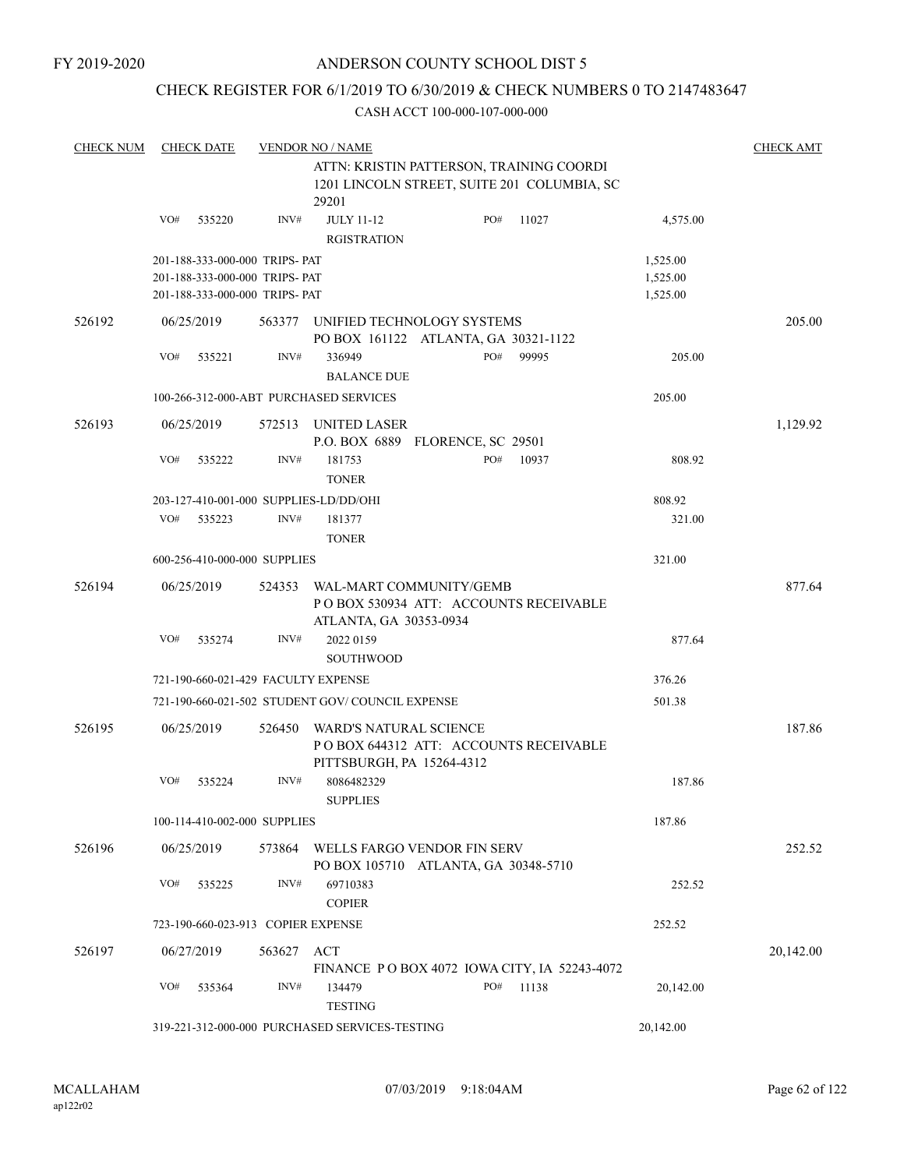### CHECK REGISTER FOR 6/1/2019 TO 6/30/2019 & CHECK NUMBERS 0 TO 2147483647

| <b>CHECK NUM</b> |                                          | <b>CHECK DATE</b> |                                     | <b>VENDOR NO / NAME</b>                                            |     |       |           | <b>CHECK AMT</b> |  |
|------------------|------------------------------------------|-------------------|-------------------------------------|--------------------------------------------------------------------|-----|-------|-----------|------------------|--|
|                  | ATTN: KRISTIN PATTERSON, TRAINING COORDI |                   |                                     |                                                                    |     |       |           |                  |  |
|                  |                                          |                   |                                     | 1201 LINCOLN STREET, SUITE 201 COLUMBIA, SC                        |     |       |           |                  |  |
|                  |                                          |                   |                                     | 29201                                                              |     |       |           |                  |  |
|                  | VO#                                      | 535220            | INV#                                | <b>JULY 11-12</b>                                                  | PO# | 11027 | 4,575.00  |                  |  |
|                  |                                          |                   |                                     | <b>RGISTRATION</b>                                                 |     |       |           |                  |  |
|                  |                                          |                   | 201-188-333-000-000 TRIPS- PAT      |                                                                    |     |       | 1,525.00  |                  |  |
|                  |                                          |                   | 201-188-333-000-000 TRIPS- PAT      |                                                                    |     |       | 1,525.00  |                  |  |
|                  |                                          |                   | 201-188-333-000-000 TRIPS- PAT      |                                                                    |     |       | 1,525.00  |                  |  |
| 526192           |                                          | 06/25/2019        | 563377                              |                                                                    |     |       |           | 205.00           |  |
|                  |                                          |                   |                                     | UNIFIED TECHNOLOGY SYSTEMS<br>PO BOX 161122 ATLANTA, GA 30321-1122 |     |       |           |                  |  |
|                  | VO#                                      | 535221            | INV#                                | 336949                                                             | PO# | 99995 | 205.00    |                  |  |
|                  |                                          |                   |                                     | <b>BALANCE DUE</b>                                                 |     |       |           |                  |  |
|                  |                                          |                   |                                     |                                                                    |     |       |           |                  |  |
|                  |                                          |                   |                                     | 100-266-312-000-ABT PURCHASED SERVICES                             |     |       | 205.00    |                  |  |
| 526193           |                                          | 06/25/2019        | 572513                              | UNITED LASER                                                       |     |       |           | 1,129.92         |  |
|                  |                                          |                   |                                     | P.O. BOX 6889 FLORENCE, SC 29501                                   |     |       |           |                  |  |
|                  | VO#                                      | 535222            | INV#                                | 181753                                                             | PO# | 10937 | 808.92    |                  |  |
|                  |                                          |                   |                                     | <b>TONER</b>                                                       |     |       |           |                  |  |
|                  |                                          |                   |                                     | 203-127-410-001-000 SUPPLIES-LD/DD/OHI                             |     |       | 808.92    |                  |  |
|                  | VO#                                      | 535223            | INV#                                | 181377                                                             |     |       | 321.00    |                  |  |
|                  |                                          |                   |                                     | <b>TONER</b>                                                       |     |       |           |                  |  |
|                  |                                          |                   | 600-256-410-000-000 SUPPLIES        |                                                                    |     |       | 321.00    |                  |  |
|                  |                                          |                   |                                     |                                                                    |     |       |           |                  |  |
| 526194           |                                          | 06/25/2019        | 524353                              | WAL-MART COMMUNITY/GEMB                                            |     |       |           | 877.64           |  |
|                  |                                          |                   |                                     | PO BOX 530934 ATT: ACCOUNTS RECEIVABLE                             |     |       |           |                  |  |
|                  |                                          |                   |                                     | ATLANTA, GA 30353-0934                                             |     |       |           |                  |  |
|                  | VO#                                      | 535274            | INV#                                | 2022 0159                                                          |     |       | 877.64    |                  |  |
|                  |                                          |                   |                                     | <b>SOUTHWOOD</b>                                                   |     |       |           |                  |  |
|                  |                                          |                   | 721-190-660-021-429 FACULTY EXPENSE |                                                                    |     |       | 376.26    |                  |  |
|                  |                                          |                   |                                     | 721-190-660-021-502 STUDENT GOV/COUNCIL EXPENSE                    |     |       | 501.38    |                  |  |
| 526195           |                                          | 06/25/2019        | 526450                              | WARD'S NATURAL SCIENCE                                             |     |       |           | 187.86           |  |
|                  |                                          |                   |                                     | POBOX 644312 ATT: ACCOUNTS RECEIVABLE                              |     |       |           |                  |  |
|                  |                                          |                   |                                     | PITTSBURGH, PA 15264-4312                                          |     |       |           |                  |  |
|                  | VO#                                      | 535224            | INV#                                | 8086482329                                                         |     |       | 187.86    |                  |  |
|                  |                                          |                   |                                     | <b>SUPPLIES</b>                                                    |     |       |           |                  |  |
|                  |                                          |                   |                                     |                                                                    |     |       |           |                  |  |
|                  |                                          |                   | 100-114-410-002-000 SUPPLIES        |                                                                    |     |       | 187.86    |                  |  |
| 526196           |                                          | 06/25/2019        |                                     | 573864 WELLS FARGO VENDOR FIN SERV                                 |     |       |           | 252.52           |  |
|                  |                                          |                   |                                     | PO BOX 105710 ATLANTA, GA 30348-5710                               |     |       |           |                  |  |
|                  | VO#                                      | 535225            | INV#                                | 69710383                                                           |     |       | 252.52    |                  |  |
|                  |                                          |                   |                                     | <b>COPIER</b>                                                      |     |       |           |                  |  |
|                  |                                          |                   | 723-190-660-023-913 COPIER EXPENSE  |                                                                    |     |       | 252.52    |                  |  |
| 526197           |                                          | 06/27/2019        | 563627 ACT                          |                                                                    |     |       |           | 20,142.00        |  |
|                  |                                          |                   |                                     | FINANCE P O BOX 4072 IOWA CITY, IA 52243-4072                      |     |       |           |                  |  |
|                  | VO#                                      | 535364            | INV#                                | 134479                                                             | PO# | 11138 | 20,142.00 |                  |  |
|                  |                                          |                   |                                     | <b>TESTING</b>                                                     |     |       |           |                  |  |
|                  |                                          |                   |                                     |                                                                    |     |       |           |                  |  |
|                  |                                          |                   |                                     | 319-221-312-000-000 PURCHASED SERVICES-TESTING                     |     |       | 20,142.00 |                  |  |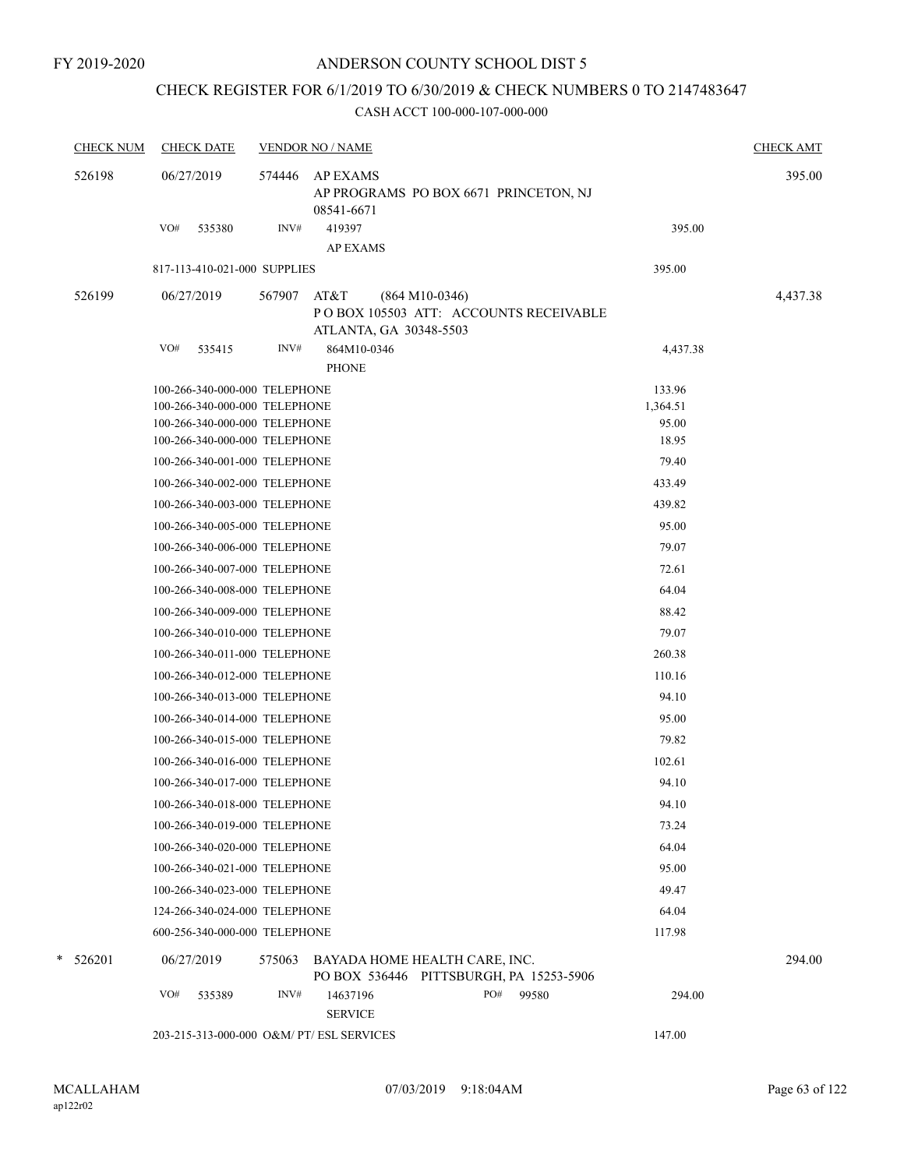## CHECK REGISTER FOR 6/1/2019 TO 6/30/2019 & CHECK NUMBERS 0 TO 2147483647

| <b>CHECK NUM</b> | <b>CHECK DATE</b>             | <b>VENDOR NO / NAME</b>                   |                                                                          |          | <b>CHECK AMT</b> |
|------------------|-------------------------------|-------------------------------------------|--------------------------------------------------------------------------|----------|------------------|
| 526198           | 06/27/2019                    | <b>AP EXAMS</b><br>574446<br>08541-6671   | AP PROGRAMS PO BOX 6671 PRINCETON, NJ                                    |          | 395.00           |
|                  | VO#<br>535380                 | INV#<br>419397                            |                                                                          | 395.00   |                  |
|                  |                               | <b>AP EXAMS</b>                           |                                                                          |          |                  |
|                  | 817-113-410-021-000 SUPPLIES  |                                           |                                                                          | 395.00   |                  |
| 526199           | 06/27/2019                    | AT&T<br>567907                            | $(864 M10-0346)$                                                         |          | 4,437.38         |
|                  |                               |                                           | POBOX 105503 ATT: ACCOUNTS RECEIVABLE<br>ATLANTA, GA 30348-5503          |          |                  |
|                  | VO#<br>535415                 | INV#<br>864M10-0346                       |                                                                          | 4,437.38 |                  |
|                  |                               | <b>PHONE</b>                              |                                                                          |          |                  |
|                  | 100-266-340-000-000 TELEPHONE |                                           |                                                                          | 133.96   |                  |
|                  | 100-266-340-000-000 TELEPHONE |                                           |                                                                          | 1,364.51 |                  |
|                  | 100-266-340-000-000 TELEPHONE |                                           |                                                                          | 95.00    |                  |
|                  | 100-266-340-000-000 TELEPHONE |                                           |                                                                          | 18.95    |                  |
|                  | 100-266-340-001-000 TELEPHONE |                                           |                                                                          | 79.40    |                  |
|                  | 100-266-340-002-000 TELEPHONE |                                           |                                                                          | 433.49   |                  |
|                  | 100-266-340-003-000 TELEPHONE |                                           |                                                                          | 439.82   |                  |
|                  | 100-266-340-005-000 TELEPHONE |                                           |                                                                          | 95.00    |                  |
|                  | 100-266-340-006-000 TELEPHONE |                                           |                                                                          | 79.07    |                  |
|                  | 100-266-340-007-000 TELEPHONE |                                           |                                                                          | 72.61    |                  |
|                  | 100-266-340-008-000 TELEPHONE |                                           |                                                                          | 64.04    |                  |
|                  | 100-266-340-009-000 TELEPHONE |                                           |                                                                          | 88.42    |                  |
|                  | 100-266-340-010-000 TELEPHONE |                                           |                                                                          | 79.07    |                  |
|                  | 100-266-340-011-000 TELEPHONE |                                           |                                                                          | 260.38   |                  |
|                  | 100-266-340-012-000 TELEPHONE |                                           |                                                                          | 110.16   |                  |
|                  | 100-266-340-013-000 TELEPHONE |                                           |                                                                          | 94.10    |                  |
|                  | 100-266-340-014-000 TELEPHONE |                                           |                                                                          | 95.00    |                  |
|                  | 100-266-340-015-000 TELEPHONE |                                           |                                                                          | 79.82    |                  |
|                  | 100-266-340-016-000 TELEPHONE |                                           |                                                                          | 102.61   |                  |
|                  | 100-266-340-017-000 TELEPHONE |                                           |                                                                          | 94.10    |                  |
|                  | 100-266-340-018-000 TELEPHONE |                                           |                                                                          | 94.10    |                  |
|                  | 100-266-340-019-000 TELEPHONE |                                           |                                                                          | 73.24    |                  |
|                  | 100-266-340-020-000 TELEPHONE |                                           |                                                                          | 64.04    |                  |
|                  | 100-266-340-021-000 TELEPHONE |                                           |                                                                          | 95.00    |                  |
|                  | 100-266-340-023-000 TELEPHONE |                                           |                                                                          | 49.47    |                  |
|                  | 124-266-340-024-000 TELEPHONE |                                           |                                                                          | 64.04    |                  |
|                  | 600-256-340-000-000 TELEPHONE |                                           |                                                                          | 117.98   |                  |
|                  |                               |                                           |                                                                          |          |                  |
| $*$ 526201       | 06/27/2019                    | 575063                                    | BAYADA HOME HEALTH CARE, INC.<br>PO BOX 536446 PITTSBURGH, PA 15253-5906 |          | 294.00           |
|                  | VO#<br>535389                 | INV#<br>14637196                          | PO#<br>99580                                                             | 294.00   |                  |
|                  |                               | <b>SERVICE</b>                            |                                                                          |          |                  |
|                  |                               | 203-215-313-000-000 O&M/ PT/ ESL SERVICES |                                                                          | 147.00   |                  |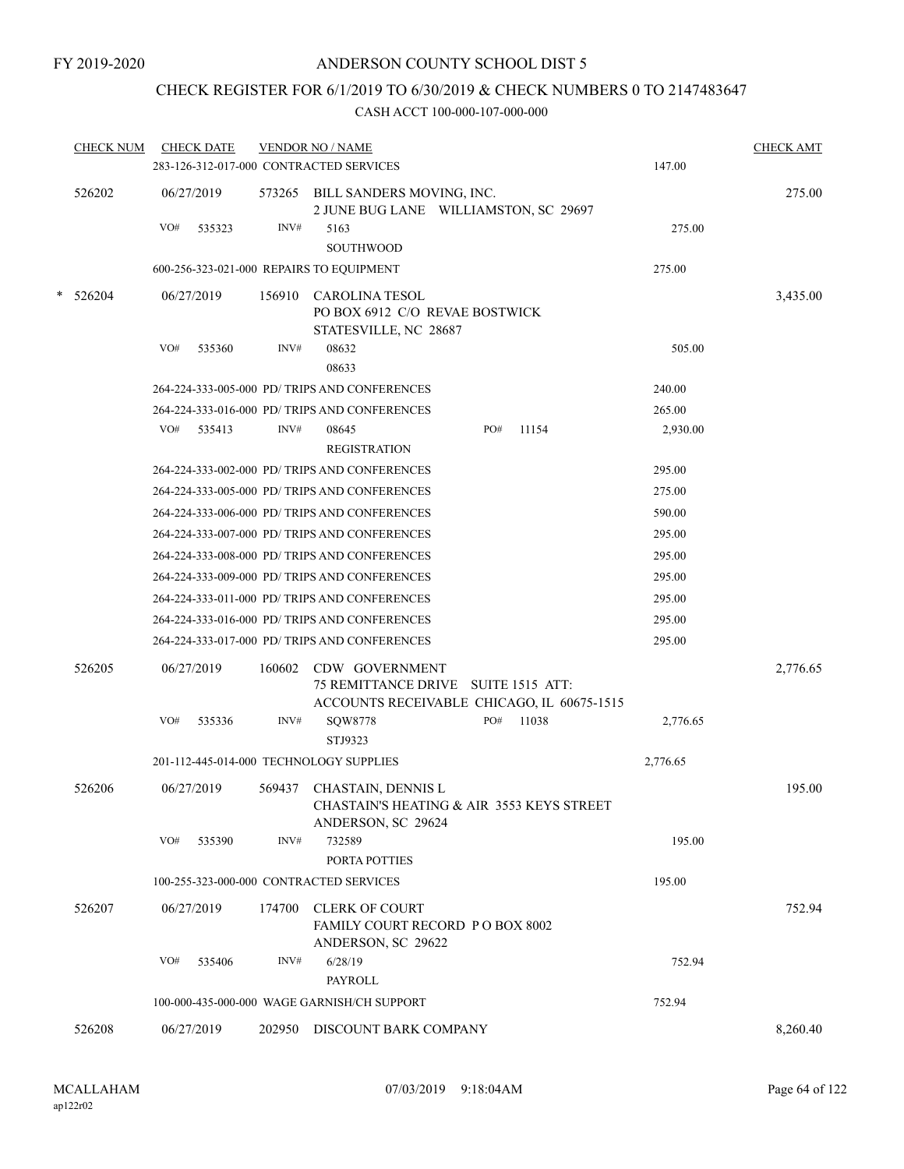## CHECK REGISTER FOR 6/1/2019 TO 6/30/2019 & CHECK NUMBERS 0 TO 2147483647

| <b>CHECK NUM</b> |     | <b>CHECK DATE</b> |        | <b>VENDOR NO / NAME</b>                                                                |     |       |          | <b>CHECK AMT</b> |
|------------------|-----|-------------------|--------|----------------------------------------------------------------------------------------|-----|-------|----------|------------------|
|                  |     |                   |        | 283-126-312-017-000 CONTRACTED SERVICES                                                |     |       | 147.00   |                  |
| 526202           |     | 06/27/2019        |        | 573265 BILL SANDERS MOVING, INC.<br>2 JUNE BUG LANE WILLIAMSTON, SC 29697              |     |       |          | 275.00           |
|                  | VO# | 535323            | INV#   | 5163                                                                                   |     |       | 275.00   |                  |
|                  |     |                   |        | <b>SOUTHWOOD</b>                                                                       |     |       |          |                  |
|                  |     |                   |        | 600-256-323-021-000 REPAIRS TO EQUIPMENT                                               |     |       | 275.00   |                  |
| * 526204         |     | 06/27/2019        | 156910 | CAROLINA TESOL                                                                         |     |       |          | 3,435.00         |
|                  |     |                   |        | PO BOX 6912 C/O REVAE BOSTWICK                                                         |     |       |          |                  |
|                  | VO# | 535360            | INV#   | STATESVILLE, NC 28687<br>08632                                                         |     |       | 505.00   |                  |
|                  |     |                   |        | 08633                                                                                  |     |       |          |                  |
|                  |     |                   |        | 264-224-333-005-000 PD/ TRIPS AND CONFERENCES                                          |     |       | 240.00   |                  |
|                  |     |                   |        | 264-224-333-016-000 PD/ TRIPS AND CONFERENCES                                          |     |       | 265.00   |                  |
|                  |     | VO# 535413        | INV#   | 08645<br><b>REGISTRATION</b>                                                           | PO# | 11154 | 2,930.00 |                  |
|                  |     |                   |        | 264-224-333-002-000 PD/ TRIPS AND CONFERENCES                                          |     |       | 295.00   |                  |
|                  |     |                   |        | 264-224-333-005-000 PD/ TRIPS AND CONFERENCES                                          |     |       | 275.00   |                  |
|                  |     |                   |        | 264-224-333-006-000 PD/ TRIPS AND CONFERENCES                                          |     |       | 590.00   |                  |
|                  |     |                   |        | 264-224-333-007-000 PD/ TRIPS AND CONFERENCES                                          |     |       | 295.00   |                  |
|                  |     |                   |        | 264-224-333-008-000 PD/TRIPS AND CONFERENCES                                           |     |       | 295.00   |                  |
|                  |     |                   |        | 264-224-333-009-000 PD/ TRIPS AND CONFERENCES                                          |     |       | 295.00   |                  |
|                  |     |                   |        | 264-224-333-011-000 PD/ TRIPS AND CONFERENCES                                          |     |       | 295.00   |                  |
|                  |     |                   |        | 264-224-333-016-000 PD/ TRIPS AND CONFERENCES                                          |     |       | 295.00   |                  |
|                  |     |                   |        | 264-224-333-017-000 PD/ TRIPS AND CONFERENCES                                          |     |       | 295.00   |                  |
| 526205           |     | 06/27/2019        | 160602 | CDW GOVERNMENT                                                                         |     |       |          | 2,776.65         |
|                  |     |                   |        | 75 REMITTANCE DRIVE SUITE 1515 ATT:                                                    |     |       |          |                  |
|                  |     |                   |        | ACCOUNTS RECEIVABLE CHICAGO, IL 60675-1515                                             |     |       |          |                  |
|                  | VO# | 535336            | INV#   | SQW8778                                                                                | PO# | 11038 | 2,776.65 |                  |
|                  |     |                   |        | STJ9323                                                                                |     |       |          |                  |
|                  |     |                   |        | 201-112-445-014-000 TECHNOLOGY SUPPLIES                                                |     |       | 2,776.65 |                  |
| 526206           |     | 06/27/2019        | 569437 | CHASTAIN, DENNIS L<br>CHASTAIN'S HEATING & AIR 3553 KEYS STREET<br>ANDERSON, SC 29624  |     |       |          | 195.00           |
|                  | VO# | 535390            | INV#   | 732589<br>PORTA POTTIES                                                                |     |       | 195.00   |                  |
|                  |     |                   |        | 100-255-323-000-000 CONTRACTED SERVICES                                                |     |       | 195.00   |                  |
|                  |     |                   |        |                                                                                        |     |       |          |                  |
| 526207           |     | 06/27/2019        | 174700 | <b>CLERK OF COURT</b><br><b>FAMILY COURT RECORD P O BOX 8002</b><br>ANDERSON, SC 29622 |     |       |          | 752.94           |
|                  | VO# | 535406            | INV#   | 6/28/19                                                                                |     |       | 752.94   |                  |
|                  |     |                   |        | PAYROLL                                                                                |     |       |          |                  |
|                  |     |                   |        | 100-000-435-000-000 WAGE GARNISH/CH SUPPORT                                            |     |       | 752.94   |                  |
| 526208           |     | 06/27/2019        | 202950 | DISCOUNT BARK COMPANY                                                                  |     |       |          | 8,260.40         |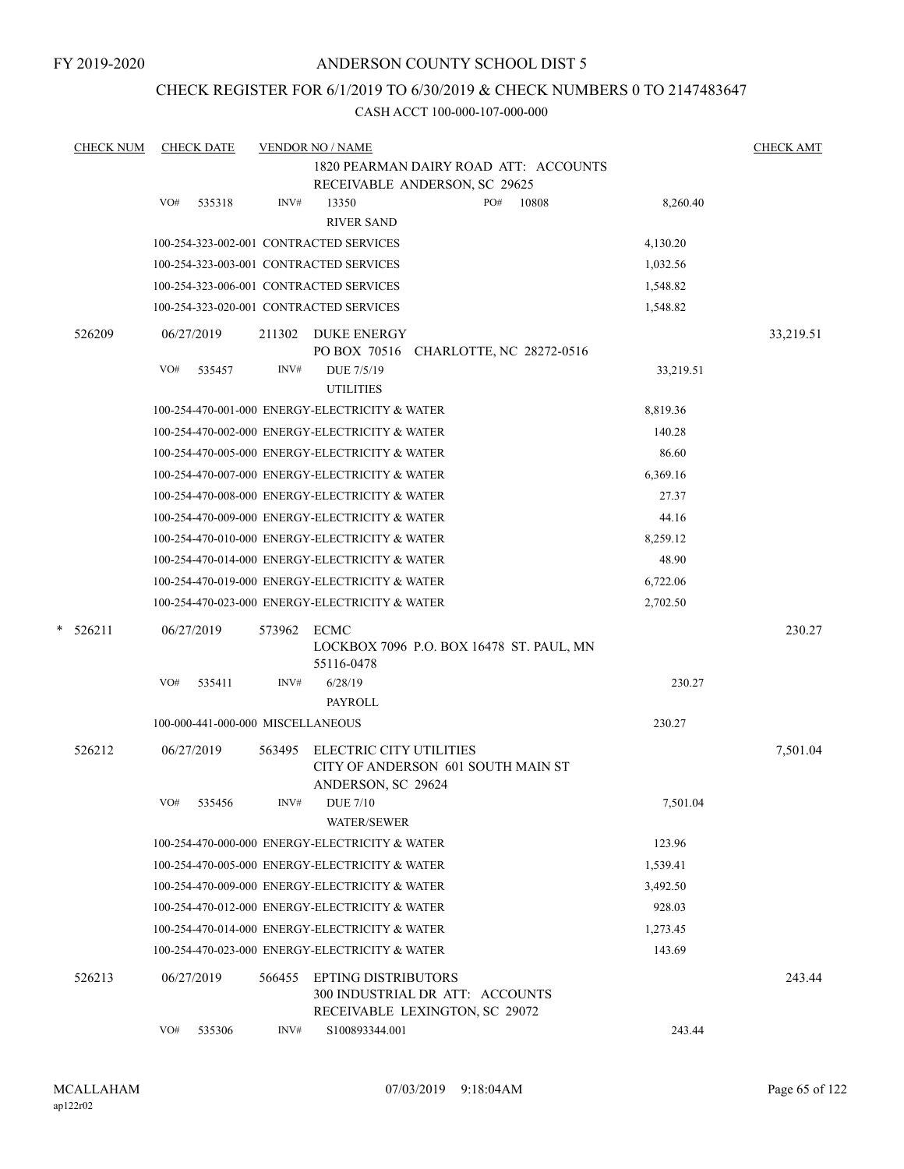FY 2019-2020

### ANDERSON COUNTY SCHOOL DIST 5

### CHECK REGISTER FOR 6/1/2019 TO 6/30/2019 & CHECK NUMBERS 0 TO 2147483647

| <b>CHECK NUM</b> | <b>CHECK DATE</b>                              |        | <b>VENDOR NO / NAME</b>                        |                                                                        |       |           | <b>CHECK AMT</b> |
|------------------|------------------------------------------------|--------|------------------------------------------------|------------------------------------------------------------------------|-------|-----------|------------------|
|                  |                                                |        |                                                | 1820 PEARMAN DAIRY ROAD ATT: ACCOUNTS<br>RECEIVABLE ANDERSON, SC 29625 |       |           |                  |
|                  | VO#<br>535318                                  | INV#   | 13350                                          | PO#                                                                    | 10808 | 8,260.40  |                  |
|                  |                                                |        | <b>RIVER SAND</b>                              |                                                                        |       |           |                  |
|                  | 100-254-323-002-001 CONTRACTED SERVICES        |        |                                                |                                                                        |       | 4,130.20  |                  |
|                  | 100-254-323-003-001 CONTRACTED SERVICES        |        |                                                |                                                                        |       | 1,032.56  |                  |
|                  | 100-254-323-006-001 CONTRACTED SERVICES        |        |                                                |                                                                        |       | 1,548.82  |                  |
|                  | 100-254-323-020-001 CONTRACTED SERVICES        |        |                                                |                                                                        |       | 1,548.82  |                  |
| 526209           | 06/27/2019                                     | 211302 | DUKE ENERGY                                    | PO BOX 70516 CHARLOTTE, NC 28272-0516                                  |       |           | 33,219.51        |
|                  | VO#<br>535457                                  | INV#   | DUE 7/5/19<br><b>UTILITIES</b>                 |                                                                        |       | 33,219.51 |                  |
|                  |                                                |        | 100-254-470-001-000 ENERGY-ELECTRICITY & WATER |                                                                        |       | 8,819.36  |                  |
|                  |                                                |        | 100-254-470-002-000 ENERGY-ELECTRICITY & WATER |                                                                        |       | 140.28    |                  |
|                  |                                                |        | 100-254-470-005-000 ENERGY-ELECTRICITY & WATER |                                                                        |       | 86.60     |                  |
|                  |                                                |        | 100-254-470-007-000 ENERGY-ELECTRICITY & WATER |                                                                        |       | 6,369.16  |                  |
|                  |                                                |        | 100-254-470-008-000 ENERGY-ELECTRICITY & WATER |                                                                        |       | 27.37     |                  |
|                  |                                                |        | 100-254-470-009-000 ENERGY-ELECTRICITY & WATER |                                                                        |       | 44.16     |                  |
|                  |                                                |        | 100-254-470-010-000 ENERGY-ELECTRICITY & WATER |                                                                        |       | 8,259.12  |                  |
|                  |                                                |        | 100-254-470-014-000 ENERGY-ELECTRICITY & WATER |                                                                        |       | 48.90     |                  |
|                  |                                                |        | 100-254-470-019-000 ENERGY-ELECTRICITY & WATER |                                                                        |       | 6,722.06  |                  |
|                  |                                                |        | 100-254-470-023-000 ENERGY-ELECTRICITY & WATER |                                                                        |       | 2,702.50  |                  |
| *<br>526211      | 06/27/2019                                     | 573962 | ECMC<br>55116-0478                             | LOCKBOX 7096 P.O. BOX 16478 ST. PAUL, MN                               |       |           | 230.27           |
|                  | VO#<br>535411                                  | INV#   | 6/28/19<br><b>PAYROLL</b>                      |                                                                        |       | 230.27    |                  |
|                  | 100-000-441-000-000 MISCELLANEOUS              |        |                                                |                                                                        |       | 230.27    |                  |
| 526212           | 06/27/2019                                     | 563495 | ELECTRIC CITY UTILITIES                        |                                                                        |       |           | 7,501.04         |
|                  |                                                |        | ANDERSON, SC 29624                             | CITY OF ANDERSON 601 SOUTH MAIN ST                                     |       |           |                  |
|                  | VO# 535456                                     | INV#   | DUE 7/10<br><b>WATER/SEWER</b>                 |                                                                        |       | 7,501.04  |                  |
|                  |                                                |        | 100-254-470-000-000 ENERGY-ELECTRICITY & WATER |                                                                        |       | 123.96    |                  |
|                  | 100-254-470-005-000 ENERGY-ELECTRICITY & WATER |        |                                                |                                                                        |       | 1,539.41  |                  |
|                  |                                                |        | 100-254-470-009-000 ENERGY-ELECTRICITY & WATER |                                                                        |       | 3,492.50  |                  |
|                  | 100-254-470-012-000 ENERGY-ELECTRICITY & WATER |        |                                                |                                                                        |       | 928.03    |                  |
|                  | 100-254-470-014-000 ENERGY-ELECTRICITY & WATER |        |                                                |                                                                        |       | 1,273.45  |                  |
|                  |                                                |        | 100-254-470-023-000 ENERGY-ELECTRICITY & WATER |                                                                        |       | 143.69    |                  |
| 526213           | 06/27/2019                                     | 566455 | <b>EPTING DISTRIBUTORS</b>                     | 300 INDUSTRIAL DR ATT: ACCOUNTS<br>RECEIVABLE LEXINGTON, SC 29072      |       |           | 243.44           |
|                  | VO#<br>535306                                  | INV#   | S100893344.001                                 |                                                                        |       | 243.44    |                  |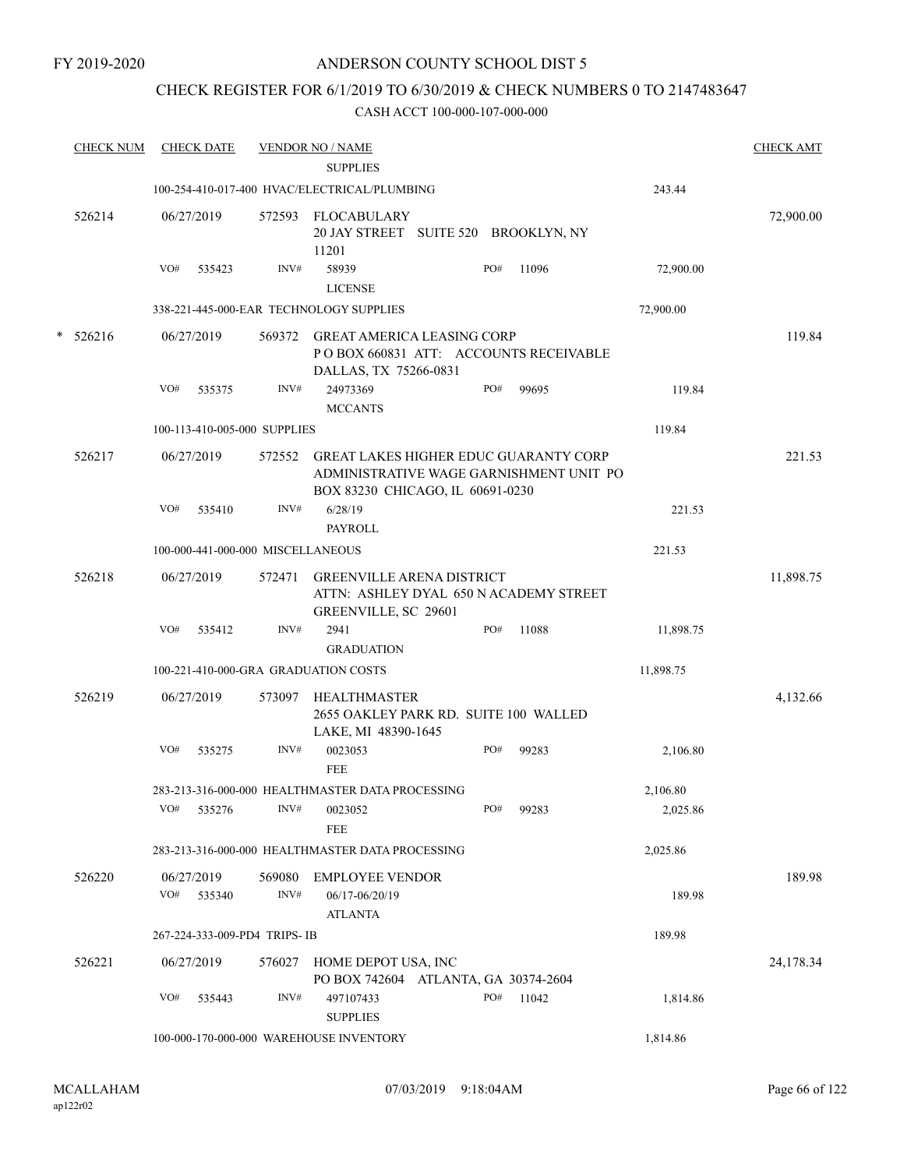### CHECK REGISTER FOR 6/1/2019 TO 6/30/2019 & CHECK NUMBERS 0 TO 2147483647

|        | <b>CHECK NUM</b> |     | <b>CHECK DATE</b>    |                                   | <b>VENDOR NO / NAME</b>                                                                                                     |     |       |           | <b>CHECK AMT</b> |
|--------|------------------|-----|----------------------|-----------------------------------|-----------------------------------------------------------------------------------------------------------------------------|-----|-------|-----------|------------------|
|        |                  |     |                      |                                   | <b>SUPPLIES</b>                                                                                                             |     |       |           |                  |
|        |                  |     |                      |                                   | 100-254-410-017-400 HVAC/ELECTRICAL/PLUMBING                                                                                |     |       | 243.44    |                  |
|        | 526214           |     | 06/27/2019           | 572593                            | FLOCABULARY<br>20 JAY STREET SUITE 520 BROOKLYN, NY<br>11201                                                                |     |       |           | 72,900.00        |
|        |                  | VO# | 535423               | INV#                              | 58939<br><b>LICENSE</b>                                                                                                     | PO# | 11096 | 72,900.00 |                  |
|        |                  |     |                      |                                   | 338-221-445-000-EAR TECHNOLOGY SUPPLIES                                                                                     |     |       | 72,900.00 |                  |
| $\ast$ | 526216           |     | 06/27/2019           |                                   | 569372 GREAT AMERICA LEASING CORP<br>PO BOX 660831 ATT: ACCOUNTS RECEIVABLE<br>DALLAS, TX 75266-0831                        |     |       |           | 119.84           |
|        |                  | VO# | 535375               | INV#                              | 24973369<br><b>MCCANTS</b>                                                                                                  | PO# | 99695 | 119.84    |                  |
|        |                  |     |                      | 100-113-410-005-000 SUPPLIES      |                                                                                                                             |     |       | 119.84    |                  |
|        | 526217           |     | 06/27/2019           | 572552                            | <b>GREAT LAKES HIGHER EDUC GUARANTY CORP</b><br>ADMINISTRATIVE WAGE GARNISHMENT UNIT PO<br>BOX 83230 CHICAGO, IL 60691-0230 |     |       |           | 221.53           |
|        |                  | VO# | 535410               | INV#                              | 6/28/19<br><b>PAYROLL</b>                                                                                                   |     |       | 221.53    |                  |
|        |                  |     |                      | 100-000-441-000-000 MISCELLANEOUS |                                                                                                                             |     |       | 221.53    |                  |
|        | 526218           |     | 06/27/2019           | 572471                            | <b>GREENVILLE ARENA DISTRICT</b><br>ATTN: ASHLEY DYAL 650 N ACADEMY STREET<br>GREENVILLE, SC 29601                          |     |       |           | 11,898.75        |
|        |                  | VO# | 535412               | INV#                              | 2941<br><b>GRADUATION</b>                                                                                                   | PO# | 11088 | 11,898.75 |                  |
|        |                  |     |                      |                                   | 100-221-410-000-GRA GRADUATION COSTS                                                                                        |     |       | 11,898.75 |                  |
|        | 526219           |     | 06/27/2019           | 573097                            | HEALTHMASTER<br>2655 OAKLEY PARK RD. SUITE 100 WALLED<br>LAKE, MI 48390-1645                                                |     |       |           | 4,132.66         |
|        |                  | VO# | 535275               | INV#                              | 0023053<br><b>FEE</b>                                                                                                       | PO# | 99283 | 2,106.80  |                  |
|        |                  |     |                      |                                   | 283-213-316-000-000 HEALTHMASTER DATA PROCESSING                                                                            |     |       | 2,106.80  |                  |
|        |                  | VO# | 535276               | INV#                              | 0023052<br><b>FEE</b>                                                                                                       | PO# | 99283 | 2,025.86  |                  |
|        |                  |     |                      |                                   | 283-213-316-000-000 HEALTHMASTER DATA PROCESSING                                                                            |     |       | 2,025.86  |                  |
|        | 526220           | VO# | 06/27/2019<br>535340 | 569080<br>INV#                    | <b>EMPLOYEE VENDOR</b><br>06/17-06/20/19<br><b>ATLANTA</b>                                                                  |     |       | 189.98    | 189.98           |
|        |                  |     |                      | 267-224-333-009-PD4 TRIPS- IB     |                                                                                                                             |     |       | 189.98    |                  |
|        | 526221           |     | 06/27/2019           | 576027                            | HOME DEPOT USA, INC<br>PO BOX 742604 ATLANTA, GA 30374-2604                                                                 |     |       |           | 24,178.34        |
|        |                  | VO# | 535443               | INV#                              | 497107433<br><b>SUPPLIES</b>                                                                                                | PO# | 11042 | 1,814.86  |                  |
|        |                  |     |                      |                                   | 100-000-170-000-000 WAREHOUSE INVENTORY                                                                                     |     |       | 1,814.86  |                  |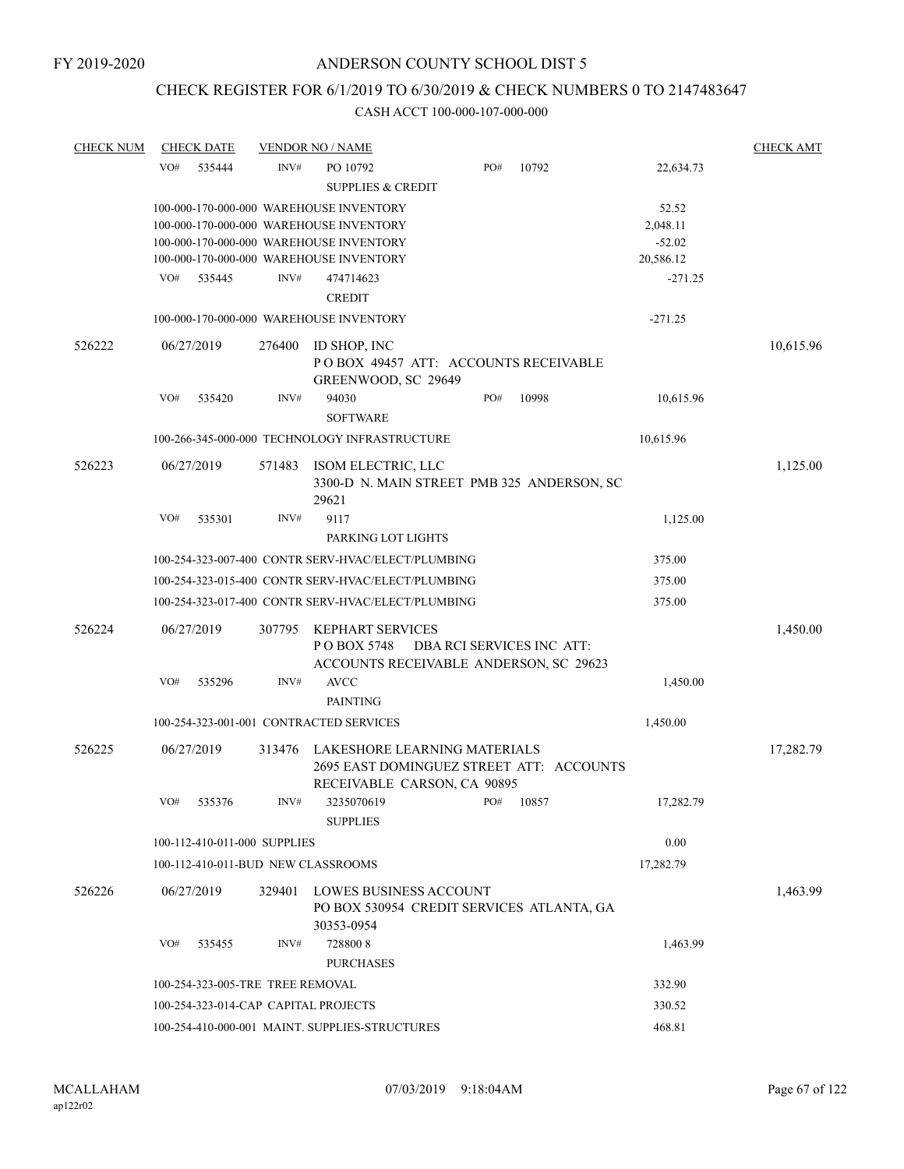### CHECK REGISTER FOR 6/1/2019 TO 6/30/2019 & CHECK NUMBERS 0 TO 2147483647

| <b>CHECK NUM</b> | <b>CHECK DATE</b>                    |        | <b>VENDOR NO / NAME</b>                                                                                 |                           |           |           | <b>CHECK AMT</b> |
|------------------|--------------------------------------|--------|---------------------------------------------------------------------------------------------------------|---------------------------|-----------|-----------|------------------|
|                  | VO#<br>535444                        | INV#   | PO 10792                                                                                                | PO#                       | 10792     | 22,634.73 |                  |
|                  |                                      |        | <b>SUPPLIES &amp; CREDIT</b>                                                                            |                           |           |           |                  |
|                  |                                      |        | 100-000-170-000-000 WAREHOUSE INVENTORY                                                                 |                           |           | 52.52     |                  |
|                  |                                      |        | 100-000-170-000-000 WAREHOUSE INVENTORY                                                                 |                           |           | 2,048.11  |                  |
|                  |                                      |        | 100-000-170-000-000 WAREHOUSE INVENTORY                                                                 |                           |           | $-52.02$  |                  |
|                  |                                      |        | 100-000-170-000-000 WAREHOUSE INVENTORY                                                                 |                           |           | 20,586.12 |                  |
|                  | VO#<br>535445                        | INV#   | 474714623<br><b>CREDIT</b>                                                                              |                           |           | $-271.25$ |                  |
|                  |                                      |        | 100-000-170-000-000 WAREHOUSE INVENTORY                                                                 |                           |           | $-271.25$ |                  |
| 526222           | 06/27/2019                           | 276400 | ID SHOP, INC<br>POBOX 49457 ATT: ACCOUNTS RECEIVABLE<br>GREENWOOD, SC 29649                             |                           |           |           | 10,615.96        |
|                  | VO#<br>535420                        | INV#   | 94030                                                                                                   | PO#                       | 10998     | 10,615.96 |                  |
|                  |                                      |        | <b>SOFTWARE</b>                                                                                         |                           |           |           |                  |
|                  |                                      |        | 100-266-345-000-000 TECHNOLOGY INFRASTRUCTURE                                                           |                           |           | 10,615.96 |                  |
| 526223           | 06/27/2019                           | 571483 | ISOM ELECTRIC, LLC<br>3300-D N. MAIN STREET PMB 325 ANDERSON, SC<br>29621                               |                           |           |           | 1,125.00         |
|                  | VO#<br>535301                        | INV#   | 9117                                                                                                    |                           |           | 1,125.00  |                  |
|                  |                                      |        | PARKING LOT LIGHTS                                                                                      |                           |           |           |                  |
|                  |                                      |        | 100-254-323-007-400 CONTR SERV-HVAC/ELECT/PLUMBING                                                      |                           |           | 375.00    |                  |
|                  |                                      |        | 100-254-323-015-400 CONTR SERV-HVAC/ELECT/PLUMBING                                                      |                           |           | 375.00    |                  |
|                  |                                      |        | 100-254-323-017-400 CONTR SERV-HVAC/ELECT/PLUMBING                                                      |                           |           | 375.00    |                  |
|                  |                                      |        |                                                                                                         |                           |           |           |                  |
| 526224           | 06/27/2019                           | 307795 | <b>KEPHART SERVICES</b><br>P O BOX 5748<br>ACCOUNTS RECEIVABLE ANDERSON, SC 29623                       | DBA RCI SERVICES INC ATT: |           |           | 1,450.00         |
|                  | VO#<br>535296                        | INV#   | <b>AVCC</b>                                                                                             |                           |           | 1,450.00  |                  |
|                  |                                      |        | <b>PAINTING</b>                                                                                         |                           |           |           |                  |
|                  |                                      |        | 100-254-323-001-001 CONTRACTED SERVICES                                                                 |                           |           | 1,450.00  |                  |
| 526225           | 06/27/2019                           | 313476 | LAKESHORE LEARNING MATERIALS<br>2695 EAST DOMINGUEZ STREET ATT: ACCOUNTS<br>RECEIVABLE CARSON, CA 90895 |                           |           |           | 17,282.79        |
|                  | VO# 535376                           | INV#   | 3235070619                                                                                              |                           | PO# 10857 | 17,282.79 |                  |
|                  |                                      |        | <b>SUPPLIES</b>                                                                                         |                           |           |           |                  |
|                  | 100-112-410-011-000 SUPPLIES         |        |                                                                                                         |                           |           | 0.00      |                  |
|                  | 100-112-410-011-BUD NEW CLASSROOMS   |        |                                                                                                         |                           |           | 17,282.79 |                  |
| 526226           | 06/27/2019                           | 329401 | LOWES BUSINESS ACCOUNT<br>PO BOX 530954 CREDIT SERVICES ATLANTA, GA<br>30353-0954                       |                           |           |           | 1,463.99         |
|                  | VO#<br>535455                        | INV#   | 7288008                                                                                                 |                           |           | 1,463.99  |                  |
|                  |                                      |        | <b>PURCHASES</b>                                                                                        |                           |           |           |                  |
|                  | 100-254-323-005-TRE TREE REMOVAL     |        |                                                                                                         |                           |           | 332.90    |                  |
|                  | 100-254-323-014-CAP CAPITAL PROJECTS |        |                                                                                                         |                           |           | 330.52    |                  |
|                  |                                      |        | 100-254-410-000-001 MAINT. SUPPLIES-STRUCTURES                                                          |                           |           | 468.81    |                  |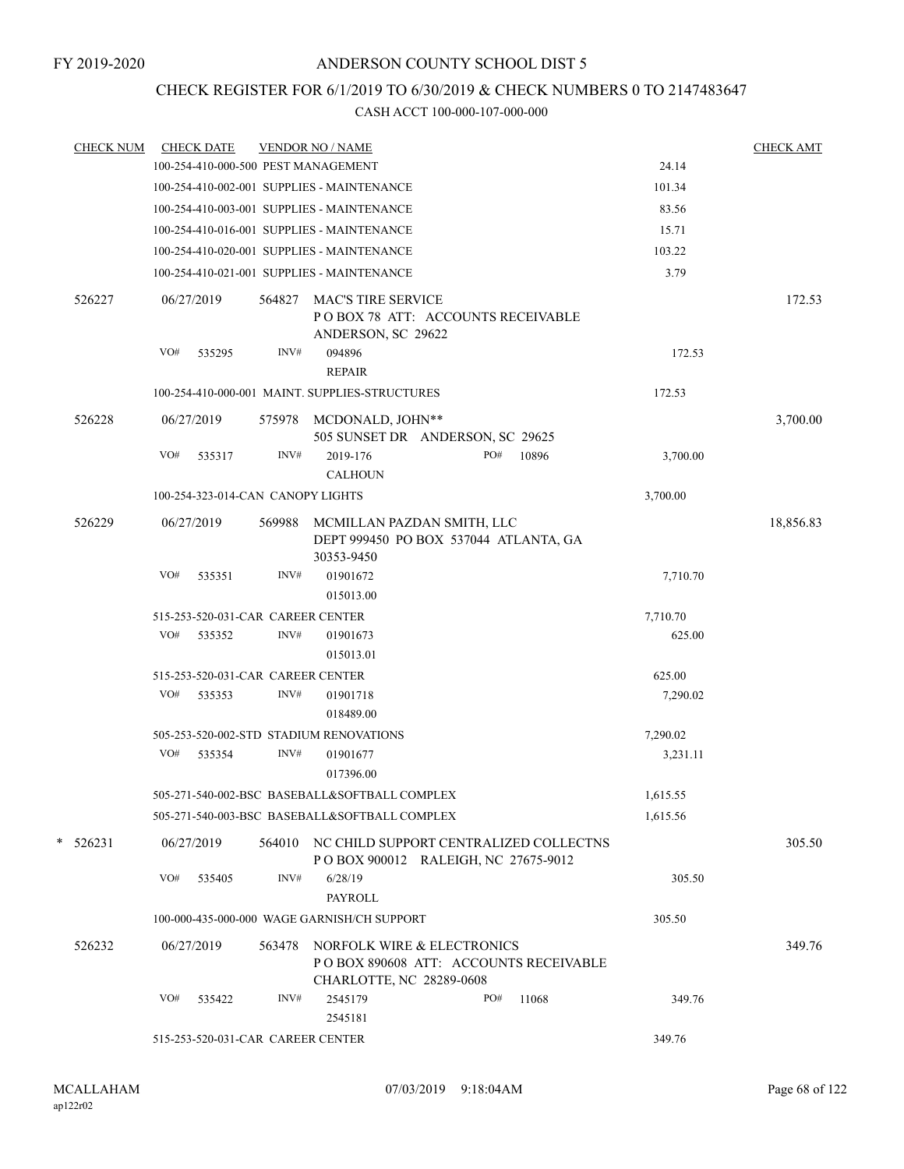# CHECK REGISTER FOR 6/1/2019 TO 6/30/2019 & CHECK NUMBERS 0 TO 2147483647

| <b>CHECK NUM</b> |     | <b>CHECK DATE</b>                 |        | <b>VENDOR NO / NAME</b>                                                                         |     |       |          | <b>CHECK AMT</b> |
|------------------|-----|-----------------------------------|--------|-------------------------------------------------------------------------------------------------|-----|-------|----------|------------------|
|                  |     |                                   |        | 100-254-410-000-500 PEST MANAGEMENT                                                             |     |       | 24.14    |                  |
|                  |     |                                   |        | 100-254-410-002-001 SUPPLIES - MAINTENANCE                                                      |     |       | 101.34   |                  |
|                  |     |                                   |        | 100-254-410-003-001 SUPPLIES - MAINTENANCE                                                      |     |       | 83.56    |                  |
|                  |     |                                   |        | 100-254-410-016-001 SUPPLIES - MAINTENANCE                                                      |     |       | 15.71    |                  |
|                  |     |                                   |        | 100-254-410-020-001 SUPPLIES - MAINTENANCE                                                      |     |       | 103.22   |                  |
|                  |     |                                   |        | 100-254-410-021-001 SUPPLIES - MAINTENANCE                                                      |     |       | 3.79     |                  |
| 526227           |     | 06/27/2019                        | 564827 | <b>MAC'S TIRE SERVICE</b><br>POBOX 78 ATT: ACCOUNTS RECEIVABLE<br>ANDERSON, SC 29622            |     |       |          | 172.53           |
|                  | VO# | 535295                            | INV#   | 094896<br><b>REPAIR</b>                                                                         |     |       | 172.53   |                  |
|                  |     |                                   |        | 100-254-410-000-001 MAINT. SUPPLIES-STRUCTURES                                                  |     |       | 172.53   |                  |
| 526228           |     | 06/27/2019                        | 575978 | MCDONALD, JOHN**<br>505 SUNSET DR ANDERSON, SC 29625                                            |     |       |          | 3,700.00         |
|                  | VO# | 535317                            | INV#   | 2019-176<br><b>CALHOUN</b>                                                                      | PO# | 10896 | 3,700.00 |                  |
|                  |     | 100-254-323-014-CAN CANOPY LIGHTS |        |                                                                                                 |     |       | 3,700.00 |                  |
| 526229           |     | 06/27/2019                        | 569988 | MCMILLAN PAZDAN SMITH, LLC<br>DEPT 999450 PO BOX 537044 ATLANTA, GA<br>30353-9450               |     |       |          | 18,856.83        |
|                  | VO# | 535351                            | INV#   | 01901672<br>015013.00                                                                           |     |       | 7,710.70 |                  |
|                  |     | 515-253-520-031-CAR CAREER CENTER |        |                                                                                                 |     |       | 7,710.70 |                  |
|                  | VO# | 535352                            | INV#   | 01901673<br>015013.01                                                                           |     |       | 625.00   |                  |
|                  |     | 515-253-520-031-CAR CAREER CENTER |        |                                                                                                 |     |       | 625.00   |                  |
|                  | VO# | 535353                            | INV#   | 01901718<br>018489.00                                                                           |     |       | 7,290.02 |                  |
|                  |     |                                   |        | 505-253-520-002-STD STADIUM RENOVATIONS                                                         |     |       | 7,290.02 |                  |
|                  | VO# | 535354                            | INV#   | 01901677<br>017396.00                                                                           |     |       | 3,231.11 |                  |
|                  |     |                                   |        | 505-271-540-002-BSC BASEBALL&SOFTBALL COMPLEX                                                   |     |       | 1,615.55 |                  |
|                  |     |                                   |        | 505-271-540-003-BSC BASEBALL&SOFTBALL COMPLEX                                                   |     |       | 1,615.56 |                  |
| $*$ 526231       |     | 06/27/2019                        |        | 564010 NC CHILD SUPPORT CENTRALIZED COLLECTNS<br>POBOX 900012 RALEIGH, NC 27675-9012            |     |       |          | 305.50           |
|                  | VO# | 535405                            | INV#   | 6/28/19<br><b>PAYROLL</b>                                                                       |     |       | 305.50   |                  |
|                  |     |                                   |        | 100-000-435-000-000 WAGE GARNISH/CH SUPPORT                                                     |     |       | 305.50   |                  |
| 526232           |     | 06/27/2019                        | 563478 | NORFOLK WIRE & ELECTRONICS<br>POBOX 890608 ATT: ACCOUNTS RECEIVABLE<br>CHARLOTTE, NC 28289-0608 |     |       |          | 349.76           |
|                  | VO# | 535422                            | INV#   | 2545179<br>2545181                                                                              | PO# | 11068 | 349.76   |                  |
|                  |     | 515-253-520-031-CAR CAREER CENTER |        |                                                                                                 |     |       | 349.76   |                  |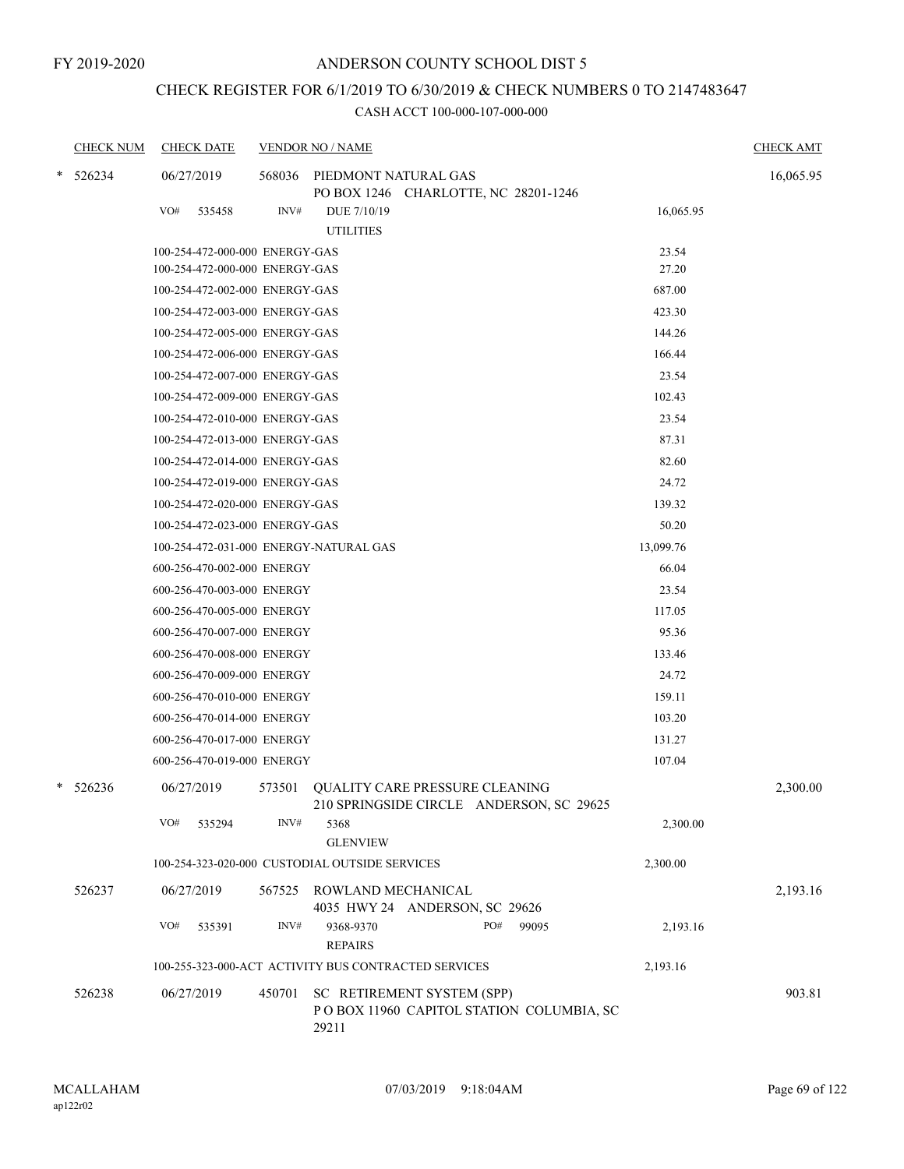## CHECK REGISTER FOR 6/1/2019 TO 6/30/2019 & CHECK NUMBERS 0 TO 2147483647

| <b>CHECK NUM</b> |     | <b>CHECK DATE</b>              |        | <b>VENDOR NO / NAME</b>                                                           | <b>CHECK AMT</b> |
|------------------|-----|--------------------------------|--------|-----------------------------------------------------------------------------------|------------------|
| 526234           |     | 06/27/2019                     |        | 568036 PIEDMONT NATURAL GAS<br>PO BOX 1246 CHARLOTTE, NC 28201-1246               | 16,065.95        |
|                  | VO# | 535458                         | INV#   | DUE 7/10/19<br>16,065.95<br><b>UTILITIES</b>                                      |                  |
|                  |     | 100-254-472-000-000 ENERGY-GAS |        | 23.54                                                                             |                  |
|                  |     | 100-254-472-000-000 ENERGY-GAS |        | 27.20                                                                             |                  |
|                  |     | 100-254-472-002-000 ENERGY-GAS |        | 687.00                                                                            |                  |
|                  |     | 100-254-472-003-000 ENERGY-GAS |        | 423.30                                                                            |                  |
|                  |     | 100-254-472-005-000 ENERGY-GAS |        | 144.26                                                                            |                  |
|                  |     | 100-254-472-006-000 ENERGY-GAS |        | 166.44                                                                            |                  |
|                  |     | 100-254-472-007-000 ENERGY-GAS |        | 23.54                                                                             |                  |
|                  |     | 100-254-472-009-000 ENERGY-GAS |        | 102.43                                                                            |                  |
|                  |     | 100-254-472-010-000 ENERGY-GAS |        | 23.54                                                                             |                  |
|                  |     | 100-254-472-013-000 ENERGY-GAS |        | 87.31                                                                             |                  |
|                  |     | 100-254-472-014-000 ENERGY-GAS |        | 82.60                                                                             |                  |
|                  |     | 100-254-472-019-000 ENERGY-GAS |        | 24.72                                                                             |                  |
|                  |     | 100-254-472-020-000 ENERGY-GAS |        | 139.32                                                                            |                  |
|                  |     | 100-254-472-023-000 ENERGY-GAS |        | 50.20                                                                             |                  |
|                  |     |                                |        | 13,099.76<br>100-254-472-031-000 ENERGY-NATURAL GAS                               |                  |
|                  |     | 600-256-470-002-000 ENERGY     |        | 66.04                                                                             |                  |
|                  |     | 600-256-470-003-000 ENERGY     |        | 23.54                                                                             |                  |
|                  |     | 600-256-470-005-000 ENERGY     |        | 117.05                                                                            |                  |
|                  |     | 600-256-470-007-000 ENERGY     |        | 95.36                                                                             |                  |
|                  |     | 600-256-470-008-000 ENERGY     |        | 133.46                                                                            |                  |
|                  |     | 600-256-470-009-000 ENERGY     |        | 24.72                                                                             |                  |
|                  |     | 600-256-470-010-000 ENERGY     |        | 159.11                                                                            |                  |
|                  |     | 600-256-470-014-000 ENERGY     |        | 103.20                                                                            |                  |
|                  |     | 600-256-470-017-000 ENERGY     |        | 131.27                                                                            |                  |
|                  |     | 600-256-470-019-000 ENERGY     |        | 107.04                                                                            |                  |
| $*$ 526236       |     | 06/27/2019                     | 573501 | <b>QUALITY CARE PRESSURE CLEANING</b><br>210 SPRINGSIDE CIRCLE ANDERSON, SC 29625 | 2,300.00         |
|                  | VO# | 535294                         | INV#   | 2,300.00<br>5368<br><b>GLENVIEW</b>                                               |                  |
|                  |     |                                |        | 100-254-323-020-000 CUSTODIAL OUTSIDE SERVICES<br>2,300.00                        |                  |
| 526237           |     | 06/27/2019                     | 567525 | ROWLAND MECHANICAL<br>4035 HWY 24 ANDERSON, SC 29626                              | 2,193.16         |
|                  | VO# | 535391                         | INV#   | 9368-9370<br>PO#<br>99095<br>2,193.16<br><b>REPAIRS</b>                           |                  |
|                  |     |                                |        | 100-255-323-000-ACT ACTIVITY BUS CONTRACTED SERVICES<br>2,193.16                  |                  |
| 526238           |     | 06/27/2019                     | 450701 | SC RETIREMENT SYSTEM (SPP)<br>POBOX 11960 CAPITOL STATION COLUMBIA, SC<br>29211   | 903.81           |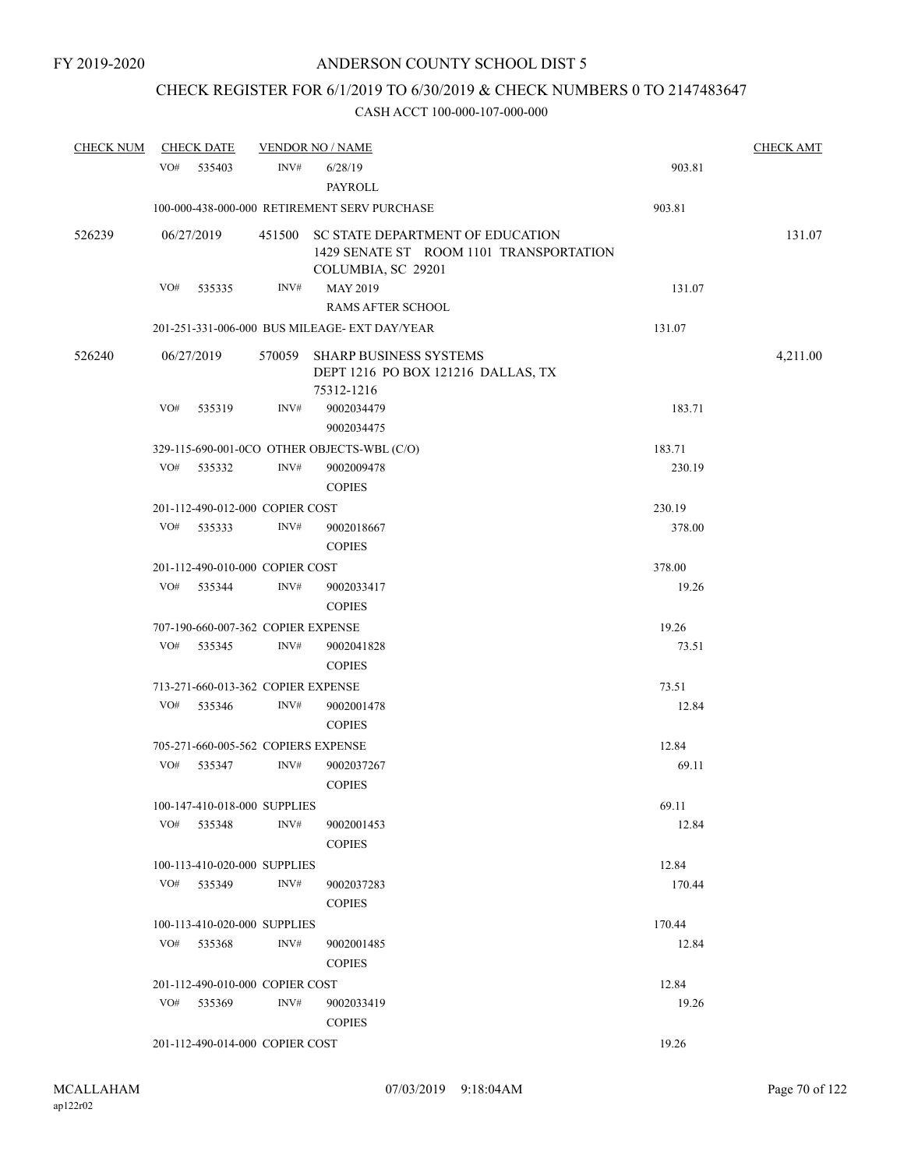## CHECK REGISTER FOR 6/1/2019 TO 6/30/2019 & CHECK NUMBERS 0 TO 2147483647

| <b>CHECK NUM</b> | <b>CHECK DATE</b> |                                     |      | <b>VENDOR NO / NAME</b>                                                                                  |        | <b>CHECK AMT</b> |
|------------------|-------------------|-------------------------------------|------|----------------------------------------------------------------------------------------------------------|--------|------------------|
|                  | VO#               | 535403                              | INV# | 6/28/19<br>PAYROLL                                                                                       | 903.81 |                  |
|                  |                   |                                     |      | 100-000-438-000-000 RETIREMENT SERV PURCHASE                                                             | 903.81 |                  |
| 526239           |                   | 06/27/2019                          |      | 451500 SC STATE DEPARTMENT OF EDUCATION<br>1429 SENATE ST ROOM 1101 TRANSPORTATION<br>COLUMBIA, SC 29201 |        | 131.07           |
|                  | VO#               | 535335                              | INV# | MAY 2019<br><b>RAMS AFTER SCHOOL</b>                                                                     | 131.07 |                  |
|                  |                   |                                     |      | 201-251-331-006-000 BUS MILEAGE- EXT DAY/YEAR                                                            | 131.07 |                  |
| 526240           |                   | 06/27/2019                          |      | 570059 SHARP BUSINESS SYSTEMS<br>DEPT 1216 PO BOX 121216 DALLAS, TX<br>75312-1216                        |        | 4,211.00         |
|                  | VO#               | 535319                              | INV# | 9002034479<br>9002034475                                                                                 | 183.71 |                  |
|                  |                   |                                     |      | 329-115-690-001-0CO OTHER OBJECTS-WBL (C/O)                                                              | 183.71 |                  |
|                  | VO#               | 535332                              | INV# | 9002009478<br><b>COPIES</b>                                                                              | 230.19 |                  |
|                  |                   | 201-112-490-012-000 COPIER COST     |      |                                                                                                          | 230.19 |                  |
|                  | VO#               | 535333                              | INV# | 9002018667<br><b>COPIES</b>                                                                              | 378.00 |                  |
|                  |                   | 201-112-490-010-000 COPIER COST     |      |                                                                                                          | 378.00 |                  |
|                  | VO#               | 535344                              | INV# | 9002033417<br><b>COPIES</b>                                                                              | 19.26  |                  |
|                  |                   | 707-190-660-007-362 COPIER EXPENSE  |      |                                                                                                          | 19.26  |                  |
|                  | VO#               | 535345                              | INV# | 9002041828<br><b>COPIES</b>                                                                              | 73.51  |                  |
|                  |                   | 713-271-660-013-362 COPIER EXPENSE  |      |                                                                                                          | 73.51  |                  |
|                  | VO#               | 535346                              | INV# | 9002001478<br><b>COPIES</b>                                                                              | 12.84  |                  |
|                  |                   | 705-271-660-005-562 COPIERS EXPENSE |      |                                                                                                          | 12.84  |                  |
|                  | VO#               | 535347                              | INV# | 9002037267<br><b>COPIES</b>                                                                              | 69.11  |                  |
|                  |                   | 100-147-410-018-000 SUPPLIES        |      |                                                                                                          | 69.11  |                  |
|                  | VO#               | 535348                              | INV# | 9002001453<br><b>COPIES</b>                                                                              | 12.84  |                  |
|                  |                   | 100-113-410-020-000 SUPPLIES        |      |                                                                                                          | 12.84  |                  |
|                  |                   | VO# 535349                          | INV# | 9002037283<br><b>COPIES</b>                                                                              | 170.44 |                  |
|                  |                   | 100-113-410-020-000 SUPPLIES        |      |                                                                                                          | 170.44 |                  |
|                  | VO#               | 535368                              | INV# | 9002001485<br><b>COPIES</b>                                                                              | 12.84  |                  |
|                  |                   | 201-112-490-010-000 COPIER COST     |      |                                                                                                          | 12.84  |                  |
|                  | VO#               | 535369                              | INV# | 9002033419<br><b>COPIES</b>                                                                              | 19.26  |                  |
|                  |                   | 201-112-490-014-000 COPIER COST     |      |                                                                                                          | 19.26  |                  |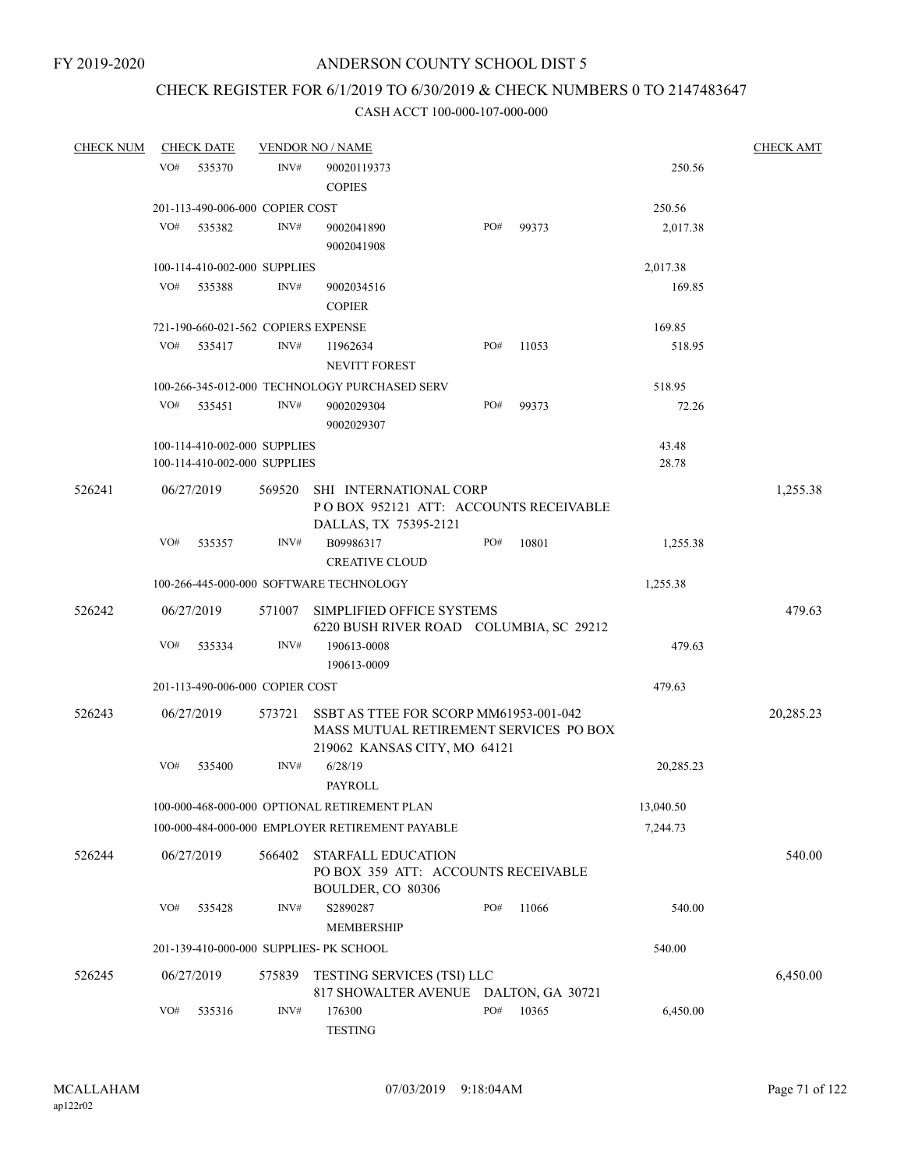## CHECK REGISTER FOR 6/1/2019 TO 6/30/2019 & CHECK NUMBERS 0 TO 2147483647

| <b>CHECK NUM</b> | <b>CHECK DATE</b> |                                                              | <b>VENDOR NO / NAME</b>                                                                  |     |                  |                | <b>CHECK AMT</b> |
|------------------|-------------------|--------------------------------------------------------------|------------------------------------------------------------------------------------------|-----|------------------|----------------|------------------|
|                  | VO#<br>535370     | INV#                                                         | 90020119373<br><b>COPIES</b>                                                             |     |                  | 250.56         |                  |
|                  |                   | 201-113-490-006-000 COPIER COST                              |                                                                                          |     |                  | 250.56         |                  |
|                  | VO#<br>535382     | INV#                                                         | 9002041890<br>9002041908                                                                 | PO# | 99373            | 2,017.38       |                  |
|                  |                   | 100-114-410-002-000 SUPPLIES                                 |                                                                                          |     |                  | 2,017.38       |                  |
|                  | VO#<br>535388     | INV#                                                         | 9002034516<br><b>COPIER</b>                                                              |     |                  | 169.85         |                  |
|                  |                   | 721-190-660-021-562 COPIERS EXPENSE                          |                                                                                          |     |                  | 169.85         |                  |
|                  | VO#<br>535417     | INV#                                                         | 11962634<br>NEVITT FOREST                                                                | PO# | 11053            | 518.95         |                  |
|                  |                   |                                                              | 100-266-345-012-000 TECHNOLOGY PURCHASED SERV                                            |     |                  | 518.95         |                  |
|                  | VO#<br>535451     | INV#                                                         | 9002029304<br>9002029307                                                                 | PO# | 99373            | 72.26          |                  |
|                  |                   | 100-114-410-002-000 SUPPLIES<br>100-114-410-002-000 SUPPLIES |                                                                                          |     |                  | 43.48<br>28.78 |                  |
| 526241           | 06/27/2019        | 569520                                                       | SHI INTERNATIONAL CORP<br>POBOX 952121 ATT: ACCOUNTS RECEIVABLE<br>DALLAS, TX 75395-2121 |     |                  |                | 1,255.38         |
|                  | VO#<br>535357     | INV#                                                         | B09986317<br><b>CREATIVE CLOUD</b>                                                       | PO# | 10801            | 1,255.38       |                  |
|                  |                   |                                                              | 100-266-445-000-000 SOFTWARE TECHNOLOGY                                                  |     |                  | 1,255.38       |                  |
| 526242           | 06/27/2019        | 571007                                                       | SIMPLIFIED OFFICE SYSTEMS<br>6220 BUSH RIVER ROAD COLUMBIA, SC 29212                     |     |                  |                | 479.63           |
|                  | VO#               | INV#<br>535334                                               | 190613-0008<br>190613-0009                                                               |     |                  | 479.63         |                  |
|                  |                   | 201-113-490-006-000 COPIER COST                              |                                                                                          |     |                  | 479.63         |                  |
| 526243           | 06/27/2019        | 573721                                                       | SSBT AS TTEE FOR SCORP MM61953-001-042<br>MASS MUTUAL RETIREMENT SERVICES PO BOX         |     |                  |                | 20,285.23        |
|                  | VO#<br>535400     | INV#                                                         | 219062 KANSAS CITY, MO 64121<br>6/28/19<br>PAYROLL                                       |     |                  | 20,285.23      |                  |
|                  |                   |                                                              | 100-000-468-000-000 OPTIONAL RETIREMENT PLAN                                             |     |                  | 13,040.50      |                  |
|                  |                   |                                                              | 100-000-484-000-000 EMPLOYER RETIREMENT PAYABLE                                          |     |                  | 7,244.73       |                  |
| 526244           | 06/27/2019        | 566402                                                       | <b>STARFALL EDUCATION</b><br>PO BOX 359 ATT: ACCOUNTS RECEIVABLE                         |     |                  |                | 540.00           |
|                  | VO#<br>535428     | INV#                                                         | BOULDER, CO 80306<br>S2890287<br><b>MEMBERSHIP</b>                                       | PO# | 11066            | 540.00         |                  |
|                  |                   | 201-139-410-000-000 SUPPLIES- PK SCHOOL                      |                                                                                          |     |                  | 540.00         |                  |
| 526245           | 06/27/2019        | 575839                                                       | <b>TESTING SERVICES (TSI) LLC</b><br><b>817 SHOWALTER AVENUE</b>                         |     | DALTON, GA 30721 |                | 6,450.00         |
|                  | VO#               | INV#<br>535316                                               | 176300<br><b>TESTING</b>                                                                 | PO# | 10365            | 6,450.00       |                  |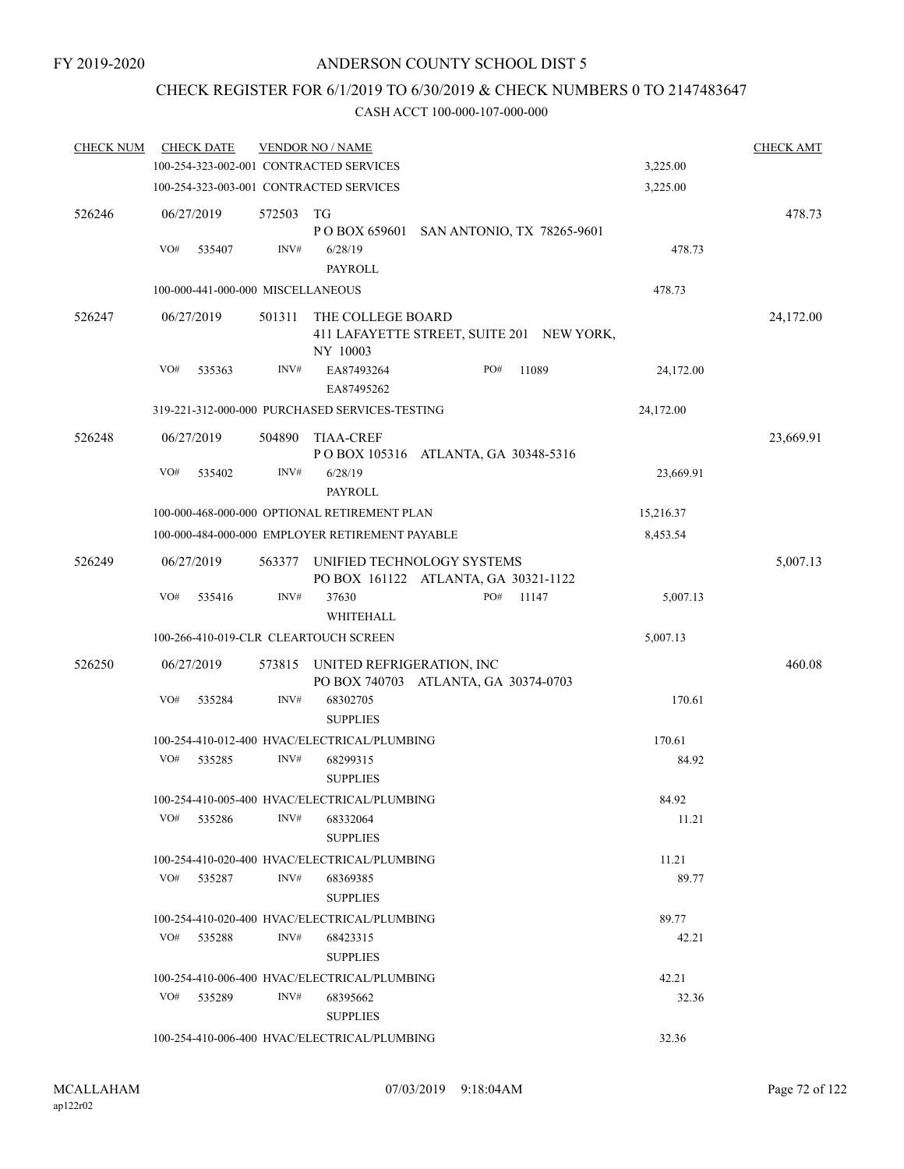## CHECK REGISTER FOR 6/1/2019 TO 6/30/2019 & CHECK NUMBERS 0 TO 2147483647

| <b>CHECK NUM</b> | <b>CHECK DATE</b>                       |                | <b>VENDOR NO / NAME</b>                                                    |     |       |           | <b>CHECK AMT</b> |
|------------------|-----------------------------------------|----------------|----------------------------------------------------------------------------|-----|-------|-----------|------------------|
|                  | 100-254-323-002-001 CONTRACTED SERVICES |                |                                                                            |     |       | 3,225.00  |                  |
|                  | 100-254-323-003-001 CONTRACTED SERVICES |                |                                                                            |     |       | 3,225.00  |                  |
| 526246           | 06/27/2019<br>VO#<br>535407             | 572503<br>INV# | TG<br>P O BOX 659601 SAN ANTONIO, TX 78265-9601<br>6/28/19                 |     |       | 478.73    | 478.73           |
|                  | 100-000-441-000-000 MISCELLANEOUS       |                | PAYROLL                                                                    |     |       | 478.73    |                  |
|                  |                                         |                |                                                                            |     |       |           |                  |
| 526247           | 06/27/2019                              | 501311         | THE COLLEGE BOARD<br>411 LAFAYETTE STREET, SUITE 201 NEW YORK,<br>NY 10003 |     |       |           | 24,172.00        |
|                  | VO#<br>535363                           | INV#           | EA87493264<br>EA87495262                                                   | PO# | 11089 | 24,172.00 |                  |
|                  |                                         |                | 319-221-312-000-000 PURCHASED SERVICES-TESTING                             |     |       | 24,172.00 |                  |
| 526248           | 06/27/2019                              | 504890         | <b>TIAA-CREF</b><br>POBOX 105316 ATLANTA, GA 30348-5316                    |     |       |           | 23,669.91        |
|                  | VO#<br>535402                           | INV#           | 6/28/19<br>PAYROLL                                                         |     |       | 23,669.91 |                  |
|                  |                                         |                | 100-000-468-000-000 OPTIONAL RETIREMENT PLAN                               |     |       | 15,216.37 |                  |
|                  |                                         |                | 100-000-484-000-000 EMPLOYER RETIREMENT PAYABLE                            |     |       | 8,453.54  |                  |
| 526249           | 06/27/2019                              | 563377         | UNIFIED TECHNOLOGY SYSTEMS<br>PO BOX 161122 ATLANTA, GA 30321-1122         |     |       |           | 5,007.13         |
|                  | VO#<br>535416                           | INV#           | 37630<br>WHITEHALL                                                         | PO# | 11147 | 5,007.13  |                  |
|                  | 100-266-410-019-CLR CLEARTOUCH SCREEN   |                |                                                                            |     |       | 5,007.13  |                  |
| 526250           | 06/27/2019                              | 573815         | UNITED REFRIGERATION, INC<br>PO BOX 740703 ATLANTA, GA 30374-0703          |     |       |           | 460.08           |
|                  | VO#<br>535284                           | INV#           | 68302705<br><b>SUPPLIES</b>                                                |     |       | 170.61    |                  |
|                  |                                         |                | 100-254-410-012-400 HVAC/ELECTRICAL/PLUMBING                               |     |       | 170.61    |                  |
|                  | VO#<br>535285                           | INV#           | 68299315<br><b>SUPPLIES</b>                                                |     |       | 84.92     |                  |
|                  |                                         |                | 100-254-410-005-400 HVAC/ELECTRICAL/PLUMBING                               |     |       | 84.92     |                  |
|                  | VO#<br>535286                           | INV#           | 68332064<br><b>SUPPLIES</b>                                                |     |       | 11.21     |                  |
|                  |                                         |                | 100-254-410-020-400 HVAC/ELECTRICAL/PLUMBING                               |     |       | 11.21     |                  |
|                  | VO#<br>535287                           | INV#           | 68369385<br><b>SUPPLIES</b>                                                |     |       | 89.77     |                  |
|                  |                                         |                | 100-254-410-020-400 HVAC/ELECTRICAL/PLUMBING                               |     |       | 89.77     |                  |
|                  | VO#<br>535288                           | INV#           | 68423315<br><b>SUPPLIES</b>                                                |     |       | 42.21     |                  |
|                  |                                         |                | 100-254-410-006-400 HVAC/ELECTRICAL/PLUMBING                               |     |       | 42.21     |                  |
|                  | VO#<br>535289                           | INV#           | 68395662<br><b>SUPPLIES</b>                                                |     |       | 32.36     |                  |
|                  |                                         |                | 100-254-410-006-400 HVAC/ELECTRICAL/PLUMBING                               |     |       | 32.36     |                  |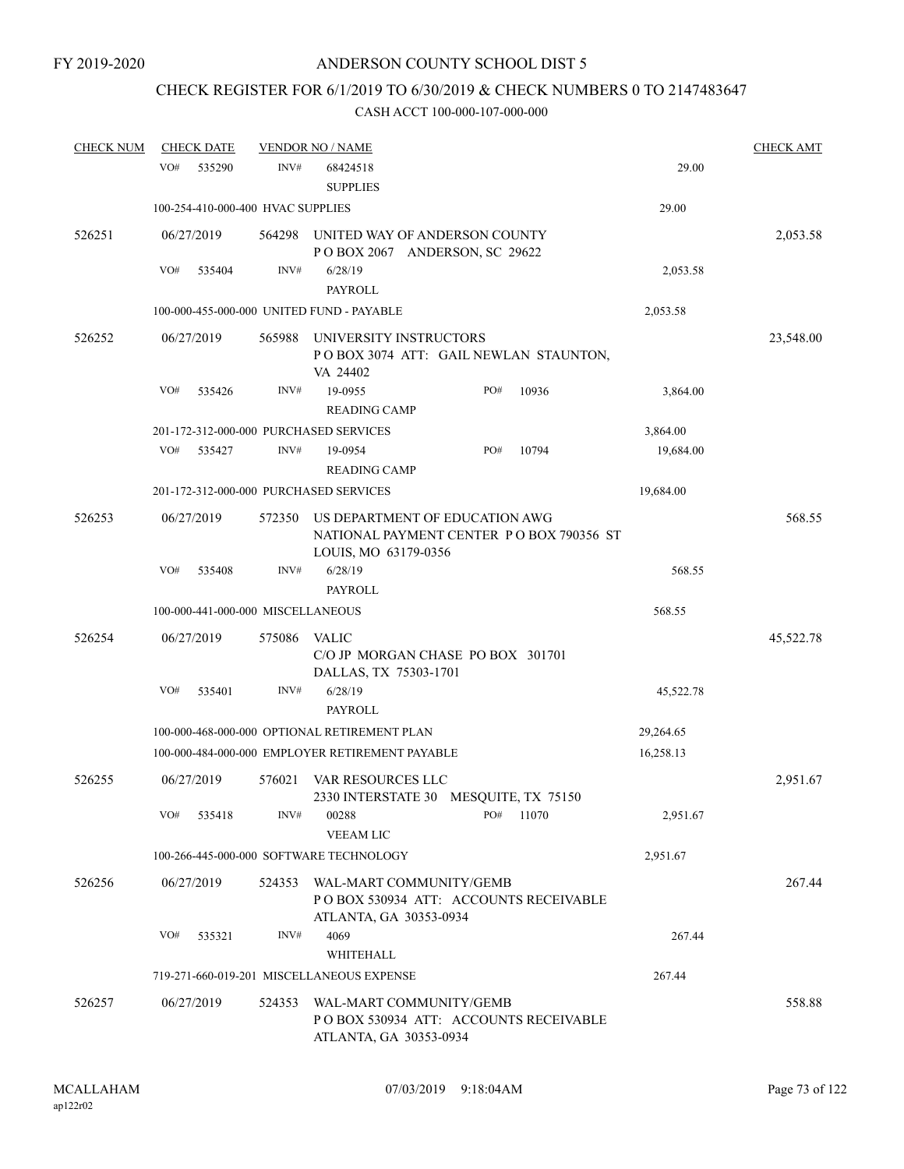## CHECK REGISTER FOR 6/1/2019 TO 6/30/2019 & CHECK NUMBERS 0 TO 2147483647

| <b>CHECK NUM</b> |     | <b>CHECK DATE</b> |                                   | <b>VENDOR NO / NAME</b>                                                                            |     |       |           | <b>CHECK AMT</b> |
|------------------|-----|-------------------|-----------------------------------|----------------------------------------------------------------------------------------------------|-----|-------|-----------|------------------|
|                  | VO# | 535290            | INV#                              | 68424518<br><b>SUPPLIES</b>                                                                        |     |       | 29.00     |                  |
|                  |     |                   | 100-254-410-000-400 HVAC SUPPLIES |                                                                                                    |     |       | 29.00     |                  |
| 526251           |     | 06/27/2019        | 564298                            | UNITED WAY OF ANDERSON COUNTY<br>POBOX 2067 ANDERSON, SC 29622                                     |     |       |           | 2,053.58         |
|                  | VO# | 535404            | INV#                              | 6/28/19                                                                                            |     |       | 2,053.58  |                  |
|                  |     |                   |                                   | PAYROLL                                                                                            |     |       |           |                  |
|                  |     |                   |                                   | 100-000-455-000-000 UNITED FUND - PAYABLE                                                          |     |       | 2,053.58  |                  |
| 526252           |     | 06/27/2019        | 565988                            | UNIVERSITY INSTRUCTORS<br>POBOX 3074 ATT: GAIL NEWLAN STAUNTON,<br>VA 24402                        |     |       |           | 23,548.00        |
|                  | VO# | 535426            | INV#                              | 19-0955                                                                                            | PO# | 10936 | 3,864.00  |                  |
|                  |     |                   |                                   | <b>READING CAMP</b>                                                                                |     |       |           |                  |
|                  |     |                   |                                   | 201-172-312-000-000 PURCHASED SERVICES                                                             |     |       | 3,864.00  |                  |
|                  | VO# | 535427            | INV#                              | 19-0954                                                                                            | PO# | 10794 | 19,684.00 |                  |
|                  |     |                   |                                   | <b>READING CAMP</b>                                                                                |     |       |           |                  |
|                  |     |                   |                                   | 201-172-312-000-000 PURCHASED SERVICES                                                             |     |       | 19,684.00 |                  |
| 526253           |     | 06/27/2019        | 572350                            | US DEPARTMENT OF EDUCATION AWG<br>NATIONAL PAYMENT CENTER PO BOX 790356 ST<br>LOUIS, MO 63179-0356 |     |       |           | 568.55           |
|                  | VO# | 535408            | INV#                              | 6/28/19                                                                                            |     |       | 568.55    |                  |
|                  |     |                   |                                   | <b>PAYROLL</b>                                                                                     |     |       |           |                  |
|                  |     |                   | 100-000-441-000-000 MISCELLANEOUS |                                                                                                    |     |       | 568.55    |                  |
| 526254           |     | 06/27/2019        | 575086                            | <b>VALIC</b><br>C/O JP MORGAN CHASE PO BOX 301701<br>DALLAS, TX 75303-1701                         |     |       |           | 45,522.78        |
|                  | VO# | 535401            | INV#                              | 6/28/19                                                                                            |     |       | 45,522.78 |                  |
|                  |     |                   |                                   | PAYROLL                                                                                            |     |       |           |                  |
|                  |     |                   |                                   | 100-000-468-000-000 OPTIONAL RETIREMENT PLAN                                                       |     |       | 29,264.65 |                  |
|                  |     |                   |                                   | 100-000-484-000-000 EMPLOYER RETIREMENT PAYABLE                                                    |     |       | 16,258.13 |                  |
| 526255           |     | 06/27/2019        | 576021                            | VAR RESOURCES LLC<br>2330 INTERSTATE 30 MESQUITE, TX 75150                                         |     |       |           | 2,951.67         |
|                  | VO# | 535418            | INV#                              | 00288<br>VEEAM LIC                                                                                 | PO# | 11070 | 2,951.67  |                  |
|                  |     |                   |                                   | 100-266-445-000-000 SOFTWARE TECHNOLOGY                                                            |     |       | 2,951.67  |                  |
| 526256           |     | 06/27/2019        | 524353                            | WAL-MART COMMUNITY/GEMB<br>POBOX 530934 ATT: ACCOUNTS RECEIVABLE<br>ATLANTA, GA 30353-0934         |     |       |           | 267.44           |
|                  | VO# | 535321            | INV#                              | 4069<br>WHITEHALL                                                                                  |     |       | 267.44    |                  |
|                  |     |                   |                                   | 719-271-660-019-201 MISCELLANEOUS EXPENSE                                                          |     |       | 267.44    |                  |
| 526257           |     | 06/27/2019        | 524353                            | WAL-MART COMMUNITY/GEMB<br>PO BOX 530934 ATT: ACCOUNTS RECEIVABLE<br>ATLANTA, GA 30353-0934        |     |       |           | 558.88           |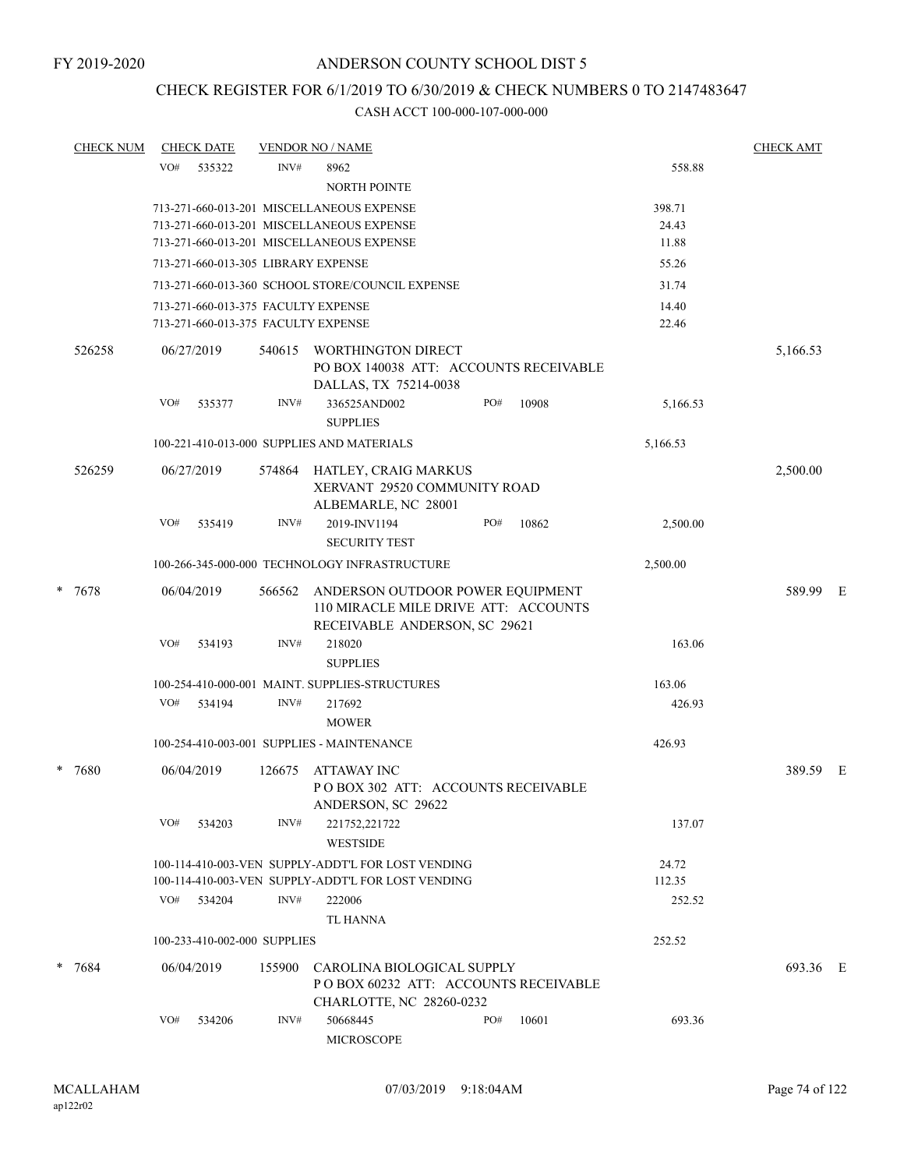## CHECK REGISTER FOR 6/1/2019 TO 6/30/2019 & CHECK NUMBERS 0 TO 2147483647

| <b>CHECK NUM</b> |     | <b>CHECK DATE</b>            |        | <b>VENDOR NO / NAME</b>                                                                                                             |     |       |                          | <b>CHECK AMT</b> |  |
|------------------|-----|------------------------------|--------|-------------------------------------------------------------------------------------------------------------------------------------|-----|-------|--------------------------|------------------|--|
|                  | VO# | 535322                       | INV#   | 8962<br>NORTH POINTE                                                                                                                |     |       | 558.88                   |                  |  |
|                  |     |                              |        | 713-271-660-013-201 MISCELLANEOUS EXPENSE<br>713-271-660-013-201 MISCELLANEOUS EXPENSE<br>713-271-660-013-201 MISCELLANEOUS EXPENSE |     |       | 398.71<br>24.43<br>11.88 |                  |  |
|                  |     |                              |        | 713-271-660-013-305 LIBRARY EXPENSE                                                                                                 |     |       | 55.26                    |                  |  |
|                  |     |                              |        | 713-271-660-013-360 SCHOOL STORE/COUNCIL EXPENSE                                                                                    |     |       | 31.74                    |                  |  |
|                  |     |                              |        | 713-271-660-013-375 FACULTY EXPENSE<br>713-271-660-013-375 FACULTY EXPENSE                                                          |     |       | 14.40<br>22.46           |                  |  |
| 526258           |     | 06/27/2019                   | 540615 | WORTHINGTON DIRECT<br>PO BOX 140038 ATT: ACCOUNTS RECEIVABLE<br>DALLAS, TX 75214-0038                                               |     |       |                          | 5,166.53         |  |
|                  | VO# | 535377                       | INV#   | 336525AND002<br><b>SUPPLIES</b>                                                                                                     | PO# | 10908 | 5,166.53                 |                  |  |
|                  |     |                              |        | 100-221-410-013-000 SUPPLIES AND MATERIALS                                                                                          |     |       | 5,166.53                 |                  |  |
| 526259           |     | 06/27/2019                   |        | 574864 HATLEY, CRAIG MARKUS<br>XERVANT 29520 COMMUNITY ROAD<br>ALBEMARLE, NC 28001                                                  |     |       |                          | 2,500.00         |  |
|                  | VO# | 535419                       | INV#   | 2019-INV1194<br><b>SECURITY TEST</b>                                                                                                | PO# | 10862 | 2,500.00                 |                  |  |
|                  |     |                              |        | 100-266-345-000-000 TECHNOLOGY INFRASTRUCTURE                                                                                       |     |       | 2,500.00                 |                  |  |
| * 7678           |     | 06/04/2019                   | 566562 | ANDERSON OUTDOOR POWER EQUIPMENT<br>110 MIRACLE MILE DRIVE ATT: ACCOUNTS<br>RECEIVABLE ANDERSON, SC 29621                           |     |       |                          | 589.99 E         |  |
|                  | VO# | 534193                       | INV#   | 218020<br><b>SUPPLIES</b>                                                                                                           |     |       | 163.06                   |                  |  |
|                  |     |                              |        | 100-254-410-000-001 MAINT. SUPPLIES-STRUCTURES                                                                                      |     |       | 163.06                   |                  |  |
|                  | VO# | 534194                       | INV#   | 217692<br><b>MOWER</b>                                                                                                              |     |       | 426.93                   |                  |  |
|                  |     |                              |        | 100-254-410-003-001 SUPPLIES - MAINTENANCE                                                                                          |     |       | 426.93                   |                  |  |
| * 7680           |     | 06/04/2019                   | 126675 | ATTAWAY INC<br>PO BOX 302 ATT: ACCOUNTS RECEIVABLE<br>ANDERSON, SC 29622                                                            |     |       |                          | 389.59 E         |  |
|                  | VO# | 534203                       | INV#   | 221752,221722<br><b>WESTSIDE</b>                                                                                                    |     |       | 137.07                   |                  |  |
|                  |     |                              |        | 100-114-410-003-VEN SUPPLY-ADDT'L FOR LOST VENDING<br>100-114-410-003-VEN SUPPLY-ADDT'L FOR LOST VENDING                            |     |       | 24.72<br>112.35          |                  |  |
|                  |     | VO# 534204                   | INV#   | 222006<br><b>TL HANNA</b>                                                                                                           |     |       | 252.52                   |                  |  |
|                  |     | 100-233-410-002-000 SUPPLIES |        |                                                                                                                                     |     |       | 252.52                   |                  |  |
| $* 7684$         |     | 06/04/2019                   | 155900 | CAROLINA BIOLOGICAL SUPPLY<br>PO BOX 60232 ATT: ACCOUNTS RECEIVABLE<br>CHARLOTTE, NC 28260-0232                                     |     |       |                          | 693.36 E         |  |
|                  | VO# | 534206                       | INV#   | 50668445<br>MICROSCOPE                                                                                                              | PO# | 10601 | 693.36                   |                  |  |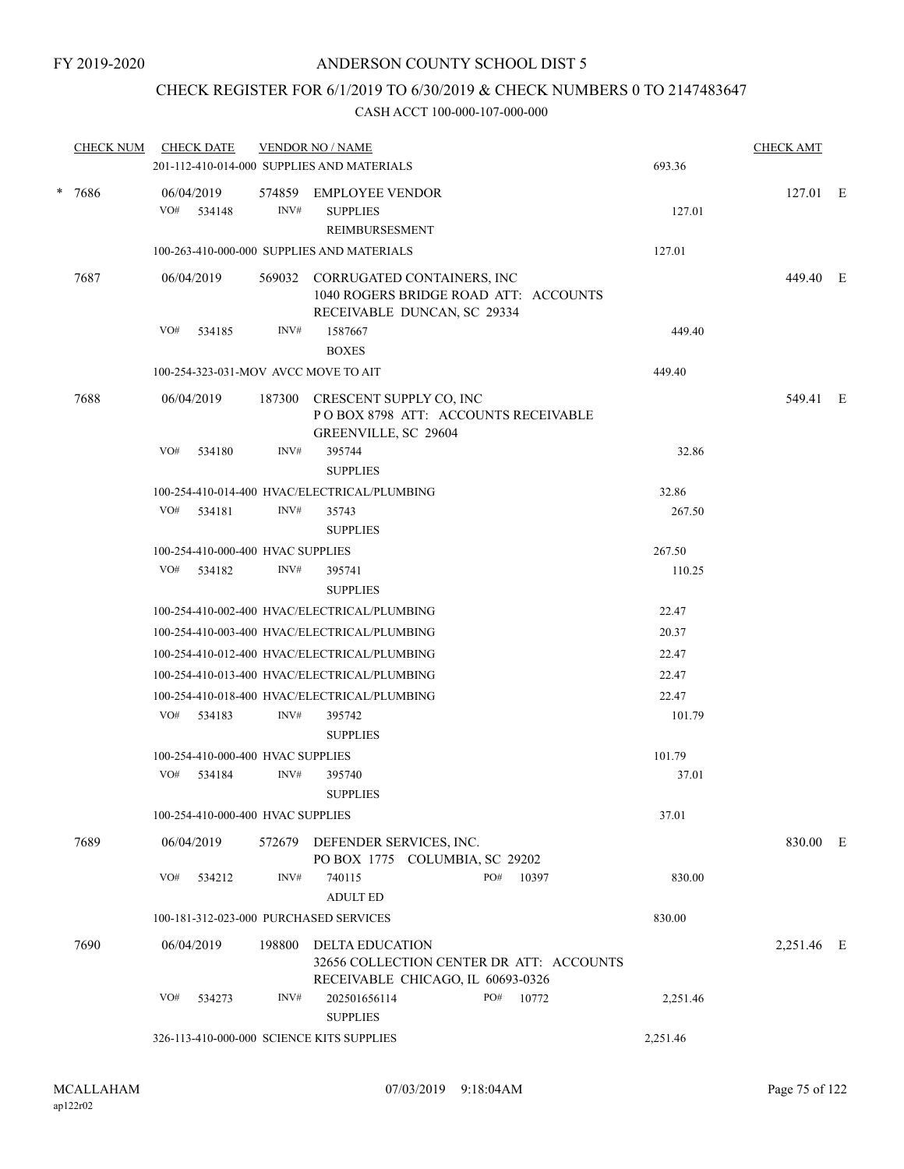## CHECK REGISTER FOR 6/1/2019 TO 6/30/2019 & CHECK NUMBERS 0 TO 2147483647

| <b>CHECK NUM</b> | <b>CHECK DATE</b>                                     |                                   | <b>VENDOR NO / NAME</b><br>201-112-410-014-000 SUPPLIES AND MATERIALS                                     |  |     |       | 693.36   | <b>CHECK AMT</b> |  |  |
|------------------|-------------------------------------------------------|-----------------------------------|-----------------------------------------------------------------------------------------------------------|--|-----|-------|----------|------------------|--|--|
| * 7686           | 06/04/2019                                            |                                   | 574859 EMPLOYEE VENDOR                                                                                    |  |     |       |          | 127.01 E         |  |  |
|                  | VO# 534148                                            | INV#                              | <b>SUPPLIES</b><br><b>REIMBURSESMENT</b>                                                                  |  |     |       | 127.01   |                  |  |  |
|                  |                                                       |                                   | 100-263-410-000-000 SUPPLIES AND MATERIALS                                                                |  |     |       | 127.01   |                  |  |  |
| 7687             | 06/04/2019                                            |                                   | 569032 CORRUGATED CONTAINERS, INC<br>1040 ROGERS BRIDGE ROAD ATT: ACCOUNTS<br>RECEIVABLE DUNCAN, SC 29334 |  |     |       |          | 449.40 E         |  |  |
|                  | VO#<br>534185                                         | INV#                              | 1587667<br><b>BOXES</b>                                                                                   |  |     |       | 449.40   |                  |  |  |
|                  |                                                       |                                   | 100-254-323-031-MOV AVCC MOVE TO AIT                                                                      |  |     |       | 449.40   |                  |  |  |
| 7688             | 06/04/2019                                            | 187300                            | CRESCENT SUPPLY CO, INC                                                                                   |  |     |       |          | 549.41 E         |  |  |
|                  |                                                       |                                   | POBOX 8798 ATT: ACCOUNTS RECEIVABLE<br>GREENVILLE, SC 29604                                               |  |     |       |          |                  |  |  |
|                  | VO#<br>534180                                         | INV#                              | 395744<br><b>SUPPLIES</b>                                                                                 |  |     |       | 32.86    |                  |  |  |
|                  |                                                       |                                   | 100-254-410-014-400 HVAC/ELECTRICAL/PLUMBING                                                              |  |     |       | 32.86    |                  |  |  |
|                  | VO#<br>534181                                         | INV#                              | 35743<br><b>SUPPLIES</b>                                                                                  |  |     |       | 267.50   |                  |  |  |
|                  |                                                       | 100-254-410-000-400 HVAC SUPPLIES |                                                                                                           |  |     |       | 267.50   |                  |  |  |
|                  | VO# 534182                                            | INV#                              | 395741<br><b>SUPPLIES</b>                                                                                 |  |     |       | 110.25   |                  |  |  |
|                  |                                                       |                                   | 100-254-410-002-400 HVAC/ELECTRICAL/PLUMBING                                                              |  |     |       | 22.47    |                  |  |  |
|                  | 100-254-410-003-400 HVAC/ELECTRICAL/PLUMBING<br>20.37 |                                   |                                                                                                           |  |     |       |          |                  |  |  |
|                  | 100-254-410-012-400 HVAC/ELECTRICAL/PLUMBING<br>22.47 |                                   |                                                                                                           |  |     |       |          |                  |  |  |
|                  | 100-254-410-013-400 HVAC/ELECTRICAL/PLUMBING<br>22.47 |                                   |                                                                                                           |  |     |       |          |                  |  |  |
|                  |                                                       |                                   | 100-254-410-018-400 HVAC/ELECTRICAL/PLUMBING                                                              |  |     |       | 22.47    |                  |  |  |
|                  | VO# 534183                                            | INV#                              | 395742<br><b>SUPPLIES</b>                                                                                 |  |     |       | 101.79   |                  |  |  |
|                  |                                                       | 100-254-410-000-400 HVAC SUPPLIES |                                                                                                           |  |     |       | 101.79   |                  |  |  |
|                  | VO#<br>534184                                         | INV#                              | 395740<br><b>SUPPLIES</b>                                                                                 |  |     |       | 37.01    |                  |  |  |
|                  |                                                       | 100-254-410-000-400 HVAC SUPPLIES |                                                                                                           |  |     |       | 37.01    |                  |  |  |
| 7689             | 06/04/2019                                            | 572679                            | DEFENDER SERVICES, INC.<br>PO BOX 1775 COLUMBIA, SC 29202                                                 |  |     |       |          | 830.00 E         |  |  |
|                  | VO#<br>534212                                         | INV#                              | 740115<br><b>ADULT ED</b>                                                                                 |  | PO# | 10397 | 830.00   |                  |  |  |
|                  |                                                       |                                   | 100-181-312-023-000 PURCHASED SERVICES                                                                    |  |     |       | 830.00   |                  |  |  |
| 7690             | 06/04/2019                                            | 198800                            | DELTA EDUCATION<br>32656 COLLECTION CENTER DR ATT: ACCOUNTS<br>RECEIVABLE CHICAGO, IL 60693-0326          |  |     |       |          | 2,251.46 E       |  |  |
|                  | VO#<br>534273                                         | INV#                              | 202501656114<br><b>SUPPLIES</b>                                                                           |  | PO# | 10772 | 2,251.46 |                  |  |  |
|                  |                                                       |                                   | 326-113-410-000-000 SCIENCE KITS SUPPLIES                                                                 |  |     |       | 2,251.46 |                  |  |  |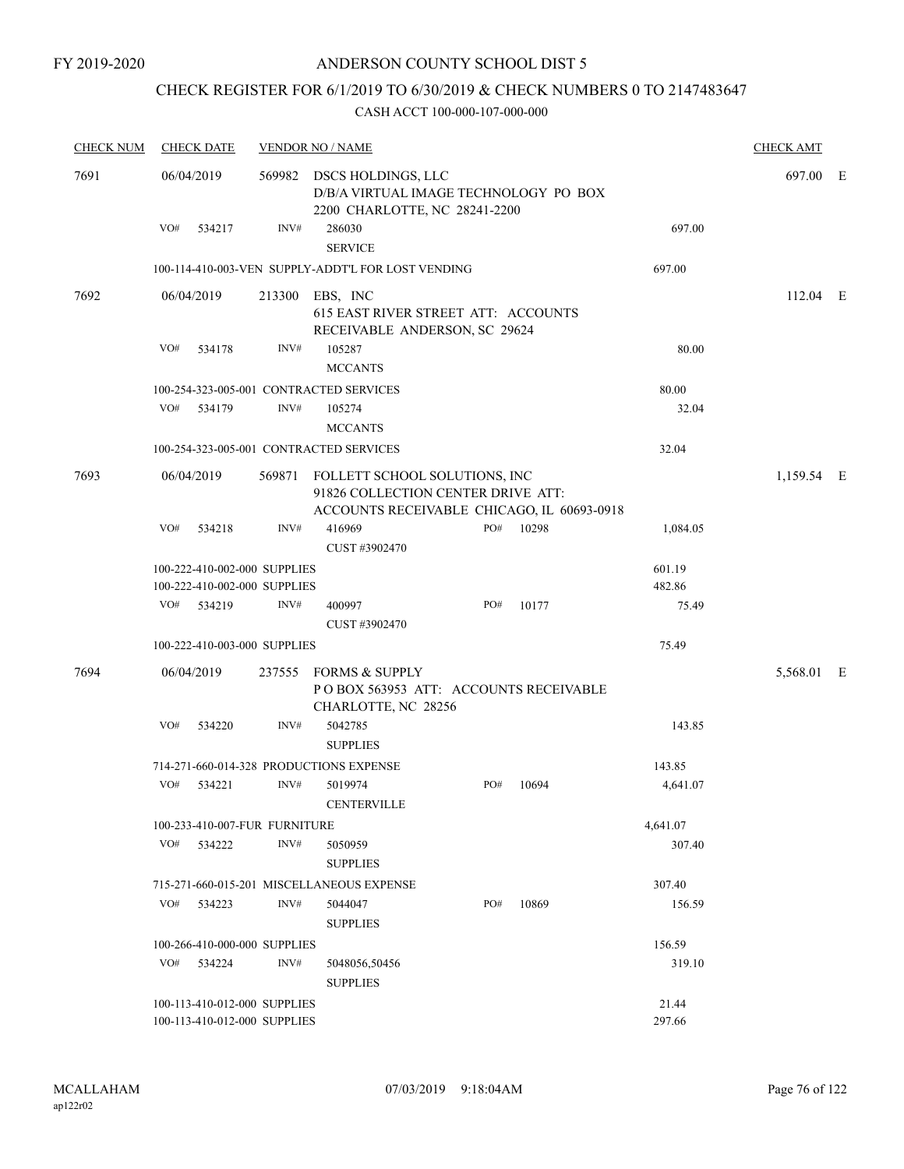## CHECK REGISTER FOR 6/1/2019 TO 6/30/2019 & CHECK NUMBERS 0 TO 2147483647

| <b>CHECK NUM</b> | <b>CHECK DATE</b>                                            |        |      | <b>VENDOR NO / NAME</b>                                                                                                  |     |       |                  | <b>CHECK AMT</b> |  |
|------------------|--------------------------------------------------------------|--------|------|--------------------------------------------------------------------------------------------------------------------------|-----|-------|------------------|------------------|--|
| 7691             | 06/04/2019                                                   |        |      | 569982 DSCS HOLDINGS, LLC<br>D/B/A VIRTUAL IMAGE TECHNOLOGY PO BOX<br>2200 CHARLOTTE, NC 28241-2200                      |     |       |                  | 697.00 E         |  |
|                  | VO#                                                          | 534217 | INV# | 286030<br><b>SERVICE</b>                                                                                                 |     |       | 697.00           |                  |  |
|                  |                                                              |        |      | 100-114-410-003-VEN SUPPLY-ADDT'L FOR LOST VENDING                                                                       |     |       | 697.00           |                  |  |
| 7692             | 06/04/2019                                                   |        |      | 213300 EBS, INC<br>615 EAST RIVER STREET ATT: ACCOUNTS<br>RECEIVABLE ANDERSON, SC 29624                                  |     |       |                  | $112.04$ E       |  |
|                  | VO#                                                          | 534178 | INV# | 105287<br><b>MCCANTS</b>                                                                                                 |     |       | 80.00            |                  |  |
|                  |                                                              |        |      | 100-254-323-005-001 CONTRACTED SERVICES                                                                                  |     |       | 80.00            |                  |  |
|                  | VO#                                                          | 534179 | INV# | 105274<br><b>MCCANTS</b>                                                                                                 |     |       | 32.04            |                  |  |
|                  |                                                              |        |      | 100-254-323-005-001 CONTRACTED SERVICES                                                                                  |     |       | 32.04            |                  |  |
| 7693             | 06/04/2019                                                   |        |      | 569871 FOLLETT SCHOOL SOLUTIONS, INC<br>91826 COLLECTION CENTER DRIVE ATT:<br>ACCOUNTS RECEIVABLE CHICAGO, IL 60693-0918 |     |       |                  | 1,159.54 E       |  |
|                  | VO#                                                          | 534218 | INV# | 416969<br>CUST #3902470                                                                                                  | PO# | 10298 | 1,084.05         |                  |  |
|                  | 100-222-410-002-000 SUPPLIES<br>100-222-410-002-000 SUPPLIES |        |      |                                                                                                                          |     |       | 601.19<br>482.86 |                  |  |
|                  | VO#                                                          | 534219 | INV# | 400997<br>CUST #3902470                                                                                                  | PO# | 10177 | 75.49            |                  |  |
|                  | 100-222-410-003-000 SUPPLIES                                 |        |      |                                                                                                                          |     |       | 75.49            |                  |  |
| 7694             | 06/04/2019                                                   |        |      | 237555 FORMS & SUPPLY<br>POBOX 563953 ATT: ACCOUNTS RECEIVABLE<br>CHARLOTTE, NC 28256                                    |     |       |                  | 5,568.01 E       |  |
|                  | VO#                                                          | 534220 | INV# | 5042785<br><b>SUPPLIES</b>                                                                                               |     |       | 143.85           |                  |  |
|                  |                                                              |        |      | 714-271-660-014-328 PRODUCTIONS EXPENSE                                                                                  |     |       | 143.85           |                  |  |
|                  | VO#                                                          | 534221 | INV# | 5019974<br>$\mbox{CENTERVILLE}$                                                                                          | PO# | 10694 | 4,641.07         |                  |  |
|                  | 100-233-410-007-FUR FURNITURE                                |        |      |                                                                                                                          |     |       | 4,641.07         |                  |  |
|                  | VO#                                                          | 534222 | INV# | 5050959<br><b>SUPPLIES</b>                                                                                               |     |       | 307.40           |                  |  |
|                  |                                                              |        |      | 715-271-660-015-201 MISCELLANEOUS EXPENSE                                                                                |     |       | 307.40           |                  |  |
|                  | VO#                                                          | 534223 | INV# | 5044047<br><b>SUPPLIES</b>                                                                                               | PO# | 10869 | 156.59           |                  |  |
|                  | 100-266-410-000-000 SUPPLIES                                 |        |      |                                                                                                                          |     |       | 156.59           |                  |  |
|                  | VO# 534224                                                   |        | INV# | 5048056,50456<br><b>SUPPLIES</b>                                                                                         |     |       | 319.10           |                  |  |
|                  | 100-113-410-012-000 SUPPLIES<br>100-113-410-012-000 SUPPLIES |        |      |                                                                                                                          |     |       | 21.44<br>297.66  |                  |  |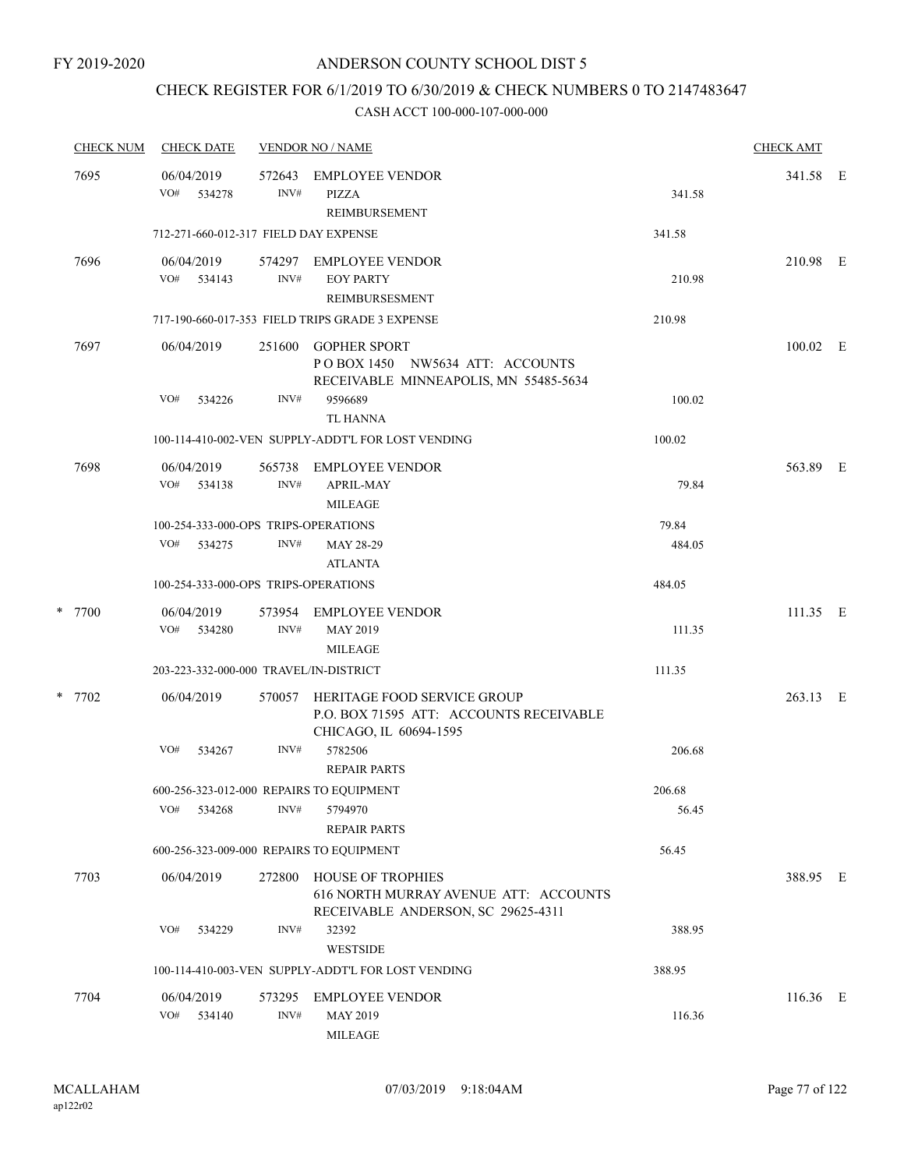## CHECK REGISTER FOR 6/1/2019 TO 6/30/2019 & CHECK NUMBERS 0 TO 2147483647

| <b>CHECK NUM</b> | <b>CHECK DATE</b>                        |                | <b>VENDOR NO / NAME</b>                                                                          |        |            |  |  |  |
|------------------|------------------------------------------|----------------|--------------------------------------------------------------------------------------------------|--------|------------|--|--|--|
| 7695             | 06/04/2019<br>VO#<br>534278              | 572643<br>INV# | <b>EMPLOYEE VENDOR</b><br>PIZZA<br>REIMBURSEMENT                                                 | 341.58 | 341.58 E   |  |  |  |
|                  | 712-271-660-012-317 FIELD DAY EXPENSE    |                |                                                                                                  | 341.58 |            |  |  |  |
| 7696             | 06/04/2019<br>VO# 534143                 | INV#           | 574297 EMPLOYEE VENDOR<br><b>EOY PARTY</b><br><b>REIMBURSESMENT</b>                              | 210.98 | 210.98 E   |  |  |  |
|                  |                                          |                | 717-190-660-017-353 FIELD TRIPS GRADE 3 EXPENSE                                                  | 210.98 |            |  |  |  |
| 7697             | 06/04/2019                               | 251600         | GOPHER SPORT<br>POBOX 1450 NW5634 ATT: ACCOUNTS<br>RECEIVABLE MINNEAPOLIS, MN 55485-5634         |        | $100.02$ E |  |  |  |
|                  | VO#<br>534226                            | INV#           | 9596689                                                                                          | 100.02 |            |  |  |  |
|                  |                                          |                | <b>TL HANNA</b><br>100-114-410-002-VEN SUPPLY-ADDT'L FOR LOST VENDING                            | 100.02 |            |  |  |  |
| 7698             |                                          |                |                                                                                                  |        |            |  |  |  |
|                  | 06/04/2019<br>VO#<br>534138              | 565738<br>INV# | EMPLOYEE VENDOR<br><b>APRIL-MAY</b><br><b>MILEAGE</b>                                            | 79.84  | 563.89 E   |  |  |  |
|                  | 100-254-333-000-OPS TRIPS-OPERATIONS     |                |                                                                                                  | 79.84  |            |  |  |  |
|                  | VO#<br>534275                            | INV#           | MAY 28-29<br><b>ATLANTA</b>                                                                      | 484.05 |            |  |  |  |
|                  | 100-254-333-000-OPS TRIPS-OPERATIONS     |                |                                                                                                  | 484.05 |            |  |  |  |
| * 7700           | 06/04/2019<br>VO# 534280                 | INV#           | 573954 EMPLOYEE VENDOR<br><b>MAY 2019</b><br><b>MILEAGE</b>                                      | 111.35 | 111.35 E   |  |  |  |
|                  | 203-223-332-000-000 TRAVEL/IN-DISTRICT   |                |                                                                                                  | 111.35 |            |  |  |  |
| $*$ 7702         | 06/04/2019                               | 570057         | HERITAGE FOOD SERVICE GROUP<br>P.O. BOX 71595 ATT: ACCOUNTS RECEIVABLE<br>CHICAGO, IL 60694-1595 |        | 263.13 E   |  |  |  |
|                  | VO#<br>534267                            | INV#           | 5782506<br><b>REPAIR PARTS</b>                                                                   | 206.68 |            |  |  |  |
|                  |                                          |                | 600-256-323-012-000 REPAIRS TO EQUIPMENT                                                         | 206.68 |            |  |  |  |
|                  | VO#<br>534268                            | INV#           | 5794970<br><b>REPAIR PARTS</b>                                                                   | 56.45  |            |  |  |  |
|                  | 600-256-323-009-000 REPAIRS TO EQUIPMENT |                |                                                                                                  | 56.45  |            |  |  |  |
| 7703             | 06/04/2019                               | 272800         | HOUSE OF TROPHIES<br>616 NORTH MURRAY AVENUE ATT: ACCOUNTS<br>RECEIVABLE ANDERSON, SC 29625-4311 |        | 388.95 E   |  |  |  |
|                  | VO#<br>534229                            | INV#           | 32392<br><b>WESTSIDE</b>                                                                         | 388.95 |            |  |  |  |
|                  |                                          |                | 100-114-410-003-VEN SUPPLY-ADDT'L FOR LOST VENDING                                               | 388.95 |            |  |  |  |
| 7704             | 06/04/2019<br>VO#<br>534140              | 573295<br>INV# | <b>EMPLOYEE VENDOR</b><br><b>MAY 2019</b><br><b>MILEAGE</b>                                      | 116.36 | 116.36 E   |  |  |  |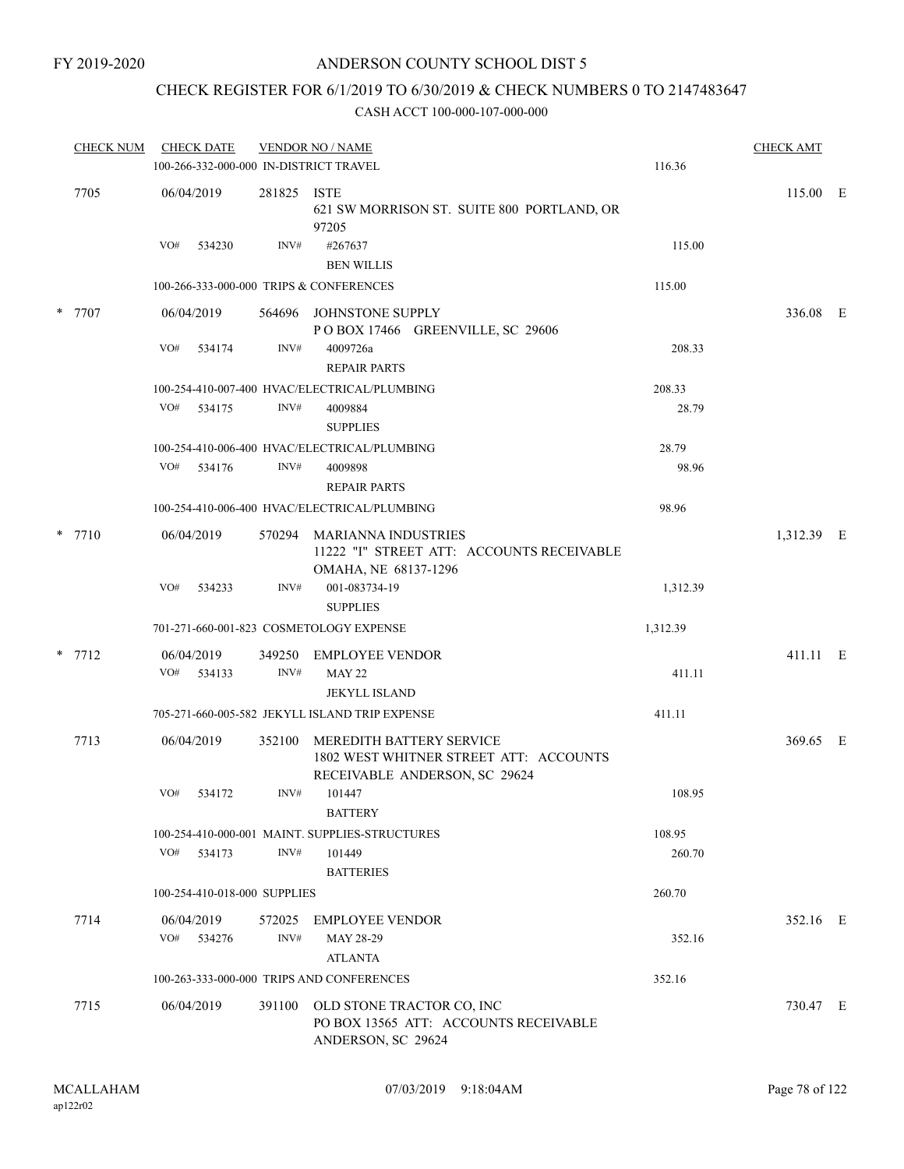## CHECK REGISTER FOR 6/1/2019 TO 6/30/2019 & CHECK NUMBERS 0 TO 2147483647

|          |                   |                              |                | 100-266-332-000-000 IN-DISTRICT TRAVEL                                                                     | 116.36   |            |  |
|----------|-------------------|------------------------------|----------------|------------------------------------------------------------------------------------------------------------|----------|------------|--|
| 7705     | 06/04/2019        |                              | 281825         | ISTE<br>621 SW MORRISON ST. SUITE 800 PORTLAND, OR<br>97205                                                |          | 115.00 E   |  |
|          | VO#               | 534230                       | INV#           | #267637<br><b>BEN WILLIS</b>                                                                               | 115.00   |            |  |
|          |                   |                              |                | 100-266-333-000-000 TRIPS & CONFERENCES                                                                    | 115.00   |            |  |
| * 7707   | 06/04/2019        |                              | 564696         | JOHNSTONE SUPPLY<br>POBOX 17466 GREENVILLE, SC 29606                                                       |          | 336.08 E   |  |
|          | VO#               | 534174                       | INV#           | 4009726a<br><b>REPAIR PARTS</b>                                                                            | 208.33   |            |  |
|          |                   |                              |                | 100-254-410-007-400 HVAC/ELECTRICAL/PLUMBING                                                               | 208.33   |            |  |
|          | VO#               | 534175                       | INV#           | 4009884<br><b>SUPPLIES</b>                                                                                 | 28.79    |            |  |
|          |                   |                              |                | 100-254-410-006-400 HVAC/ELECTRICAL/PLUMBING                                                               | 28.79    |            |  |
|          | VO#               | 534176                       | INV#           | 4009898<br><b>REPAIR PARTS</b>                                                                             | 98.96    |            |  |
|          |                   |                              |                | 100-254-410-006-400 HVAC/ELECTRICAL/PLUMBING                                                               | 98.96    |            |  |
| $*$ 7710 | 06/04/2019        |                              | 570294         | MARIANNA INDUSTRIES<br>11222 "I" STREET ATT: ACCOUNTS RECEIVABLE<br>OMAHA, NE 68137-1296                   |          | 1,312.39 E |  |
|          | VO#               | 534233                       | INV#           | 001-083734-19<br><b>SUPPLIES</b>                                                                           | 1,312.39 |            |  |
|          |                   |                              |                | 701-271-660-001-823 COSMETOLOGY EXPENSE                                                                    | 1,312.39 |            |  |
| $*$ 7712 | 06/04/2019        |                              | 349250         | <b>EMPLOYEE VENDOR</b>                                                                                     |          | 411.11 E   |  |
|          | VO#               | 534133                       | INV#           | <b>MAY 22</b><br><b>JEKYLL ISLAND</b>                                                                      | 411.11   |            |  |
|          |                   |                              |                | 705-271-660-005-582 JEKYLL ISLAND TRIP EXPENSE                                                             | 411.11   |            |  |
| 7713     | 06/04/2019        |                              | 352100         | <b>MEREDITH BATTERY SERVICE</b><br>1802 WEST WHITNER STREET ATT: ACCOUNTS<br>RECEIVABLE ANDERSON, SC 29624 |          | 369.65 E   |  |
|          | VO#               | 534172                       | INV#           | 101447<br><b>BATTERY</b>                                                                                   | 108.95   |            |  |
|          |                   |                              |                | 100-254-410-000-001 MAINT. SUPPLIES-STRUCTURES                                                             | 108.95   |            |  |
|          | VO#               | 534173                       | INV#           | 101449<br><b>BATTERIES</b>                                                                                 | 260.70   |            |  |
|          |                   | 100-254-410-018-000 SUPPLIES |                |                                                                                                            | 260.70   |            |  |
| 7714     | 06/04/2019<br>VO# | 534276                       | 572025<br>INV# | EMPLOYEE VENDOR<br>MAY 28-29                                                                               | 352.16   | 352.16 E   |  |
|          |                   |                              |                | <b>ATLANTA</b>                                                                                             |          |            |  |
|          |                   |                              |                | 100-263-333-000-000 TRIPS AND CONFERENCES                                                                  | 352.16   |            |  |
| 7715     | 06/04/2019        |                              | 391100         | OLD STONE TRACTOR CO, INC<br>PO BOX 13565 ATT: ACCOUNTS RECEIVABLE<br>ANDERSON, SC 29624                   |          | 730.47 E   |  |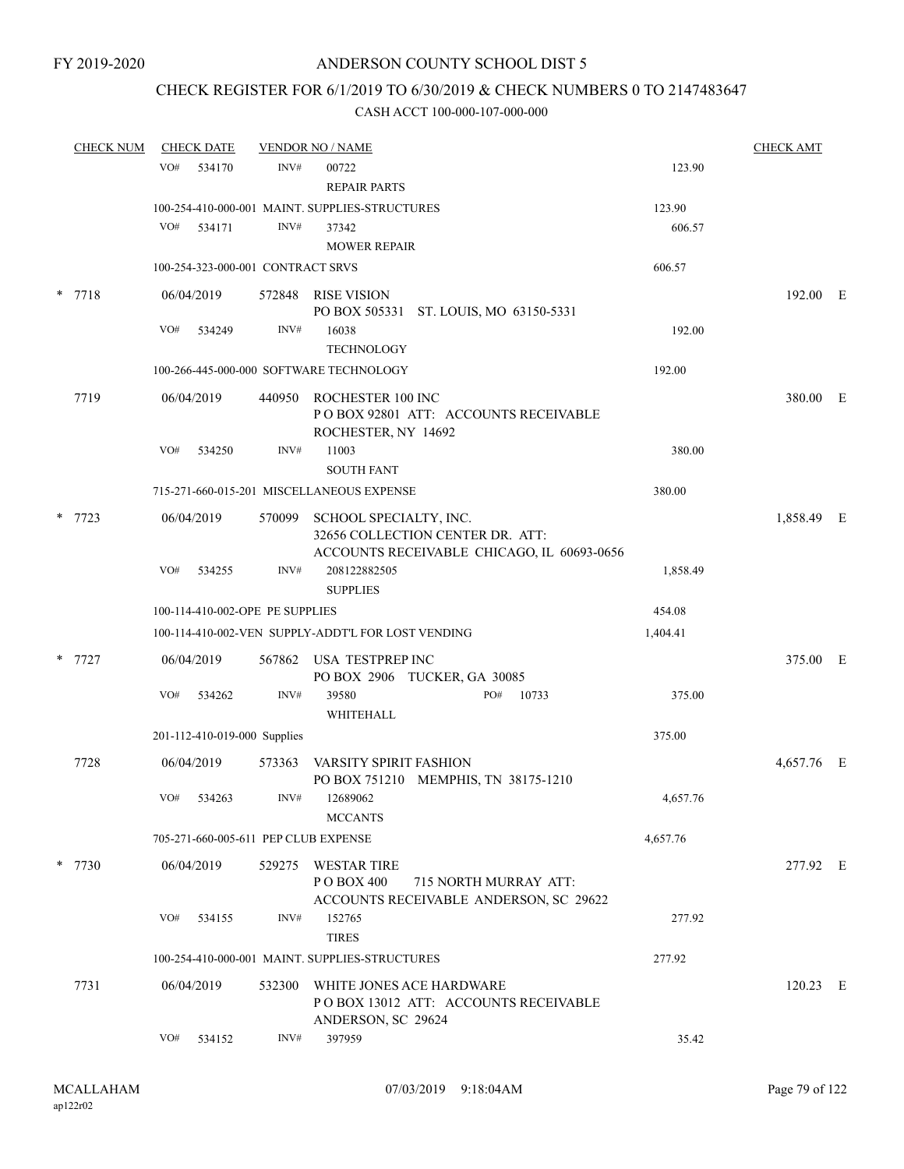## CHECK REGISTER FOR 6/1/2019 TO 6/30/2019 & CHECK NUMBERS 0 TO 2147483647

| <b>CHECK NUM</b> |     | <b>CHECK DATE</b>                 |        | <b>VENDOR NO / NAME</b>                                                                                  |          | <b>CHECK AMT</b> |  |
|------------------|-----|-----------------------------------|--------|----------------------------------------------------------------------------------------------------------|----------|------------------|--|
|                  | VO# | 534170                            | INV#   | 00722<br><b>REPAIR PARTS</b>                                                                             | 123.90   |                  |  |
|                  |     |                                   |        | 100-254-410-000-001 MAINT. SUPPLIES-STRUCTURES                                                           | 123.90   |                  |  |
|                  | VO# | 534171                            | INV#   | 37342<br><b>MOWER REPAIR</b>                                                                             | 606.57   |                  |  |
|                  |     | 100-254-323-000-001 CONTRACT SRVS |        |                                                                                                          | 606.57   |                  |  |
| $* 7718$         |     | 06/04/2019                        | 572848 | RISE VISION<br>PO BOX 505331 ST. LOUIS, MO 63150-5331                                                    |          | 192.00 E         |  |
|                  | VO# | 534249                            | INV#   | 16038<br><b>TECHNOLOGY</b>                                                                               | 192.00   |                  |  |
|                  |     |                                   |        | 100-266-445-000-000 SOFTWARE TECHNOLOGY                                                                  | 192.00   |                  |  |
| 7719             |     | 06/04/2019                        |        | 440950 ROCHESTER 100 INC<br>POBOX 92801 ATT: ACCOUNTS RECEIVABLE<br>ROCHESTER, NY 14692                  |          | 380.00 E         |  |
|                  | VO# | 534250                            | INV#   | 11003<br><b>SOUTH FANT</b>                                                                               | 380.00   |                  |  |
|                  |     |                                   |        | 715-271-660-015-201 MISCELLANEOUS EXPENSE                                                                | 380.00   |                  |  |
| 7723             |     | 06/04/2019                        | 570099 | SCHOOL SPECIALTY, INC.<br>32656 COLLECTION CENTER DR. ATT:<br>ACCOUNTS RECEIVABLE CHICAGO, IL 60693-0656 |          | 1,858.49 E       |  |
|                  | VO# | 534255                            | INV#   | 208122882505<br><b>SUPPLIES</b>                                                                          | 1,858.49 |                  |  |
|                  |     | 100-114-410-002-OPE PE SUPPLIES   |        |                                                                                                          | 454.08   |                  |  |
|                  |     |                                   |        | 100-114-410-002-VEN SUPPLY-ADDT'L FOR LOST VENDING                                                       | 1,404.41 |                  |  |
| 7727             |     | 06/04/2019                        |        | 567862 USA TESTPREP INC<br>PO BOX 2906 TUCKER, GA 30085                                                  |          | 375.00 E         |  |
|                  | VO# | 534262                            | INV#   | PO#<br>39580<br>10733<br>WHITEHALL                                                                       | 375.00   |                  |  |
|                  |     | 201-112-410-019-000 Supplies      |        |                                                                                                          | 375.00   |                  |  |
| 7728             |     | 06/04/2019                        | 573363 | VARSITY SPIRIT FASHION<br>PO BOX 751210 MEMPHIS, TN 38175-1210                                           |          | 4,657.76 E       |  |
|                  |     | VO# 534263                        | INV#   | 12689062<br><b>MCCANTS</b>                                                                               | 4,657.76 |                  |  |
|                  |     |                                   |        | 705-271-660-005-611 PEP CLUB EXPENSE                                                                     | 4,657.76 |                  |  |
| $*$ 7730         |     | 06/04/2019                        |        | 529275 WESTAR TIRE<br>P O BOX 400<br>715 NORTH MURRAY ATT:<br>ACCOUNTS RECEIVABLE ANDERSON, SC 29622     |          | 277.92 E         |  |
|                  | VO# | 534155                            | INV#   | 152765<br><b>TIRES</b>                                                                                   | 277.92   |                  |  |
|                  |     |                                   |        | 100-254-410-000-001 MAINT. SUPPLIES-STRUCTURES                                                           | 277.92   |                  |  |
| 7731             |     | 06/04/2019                        |        | 532300 WHITE JONES ACE HARDWARE<br>POBOX 13012 ATT: ACCOUNTS RECEIVABLE<br>ANDERSON, SC 29624            |          | $120.23$ E       |  |
|                  | VO# | 534152                            | INV#   | 397959                                                                                                   | 35.42    |                  |  |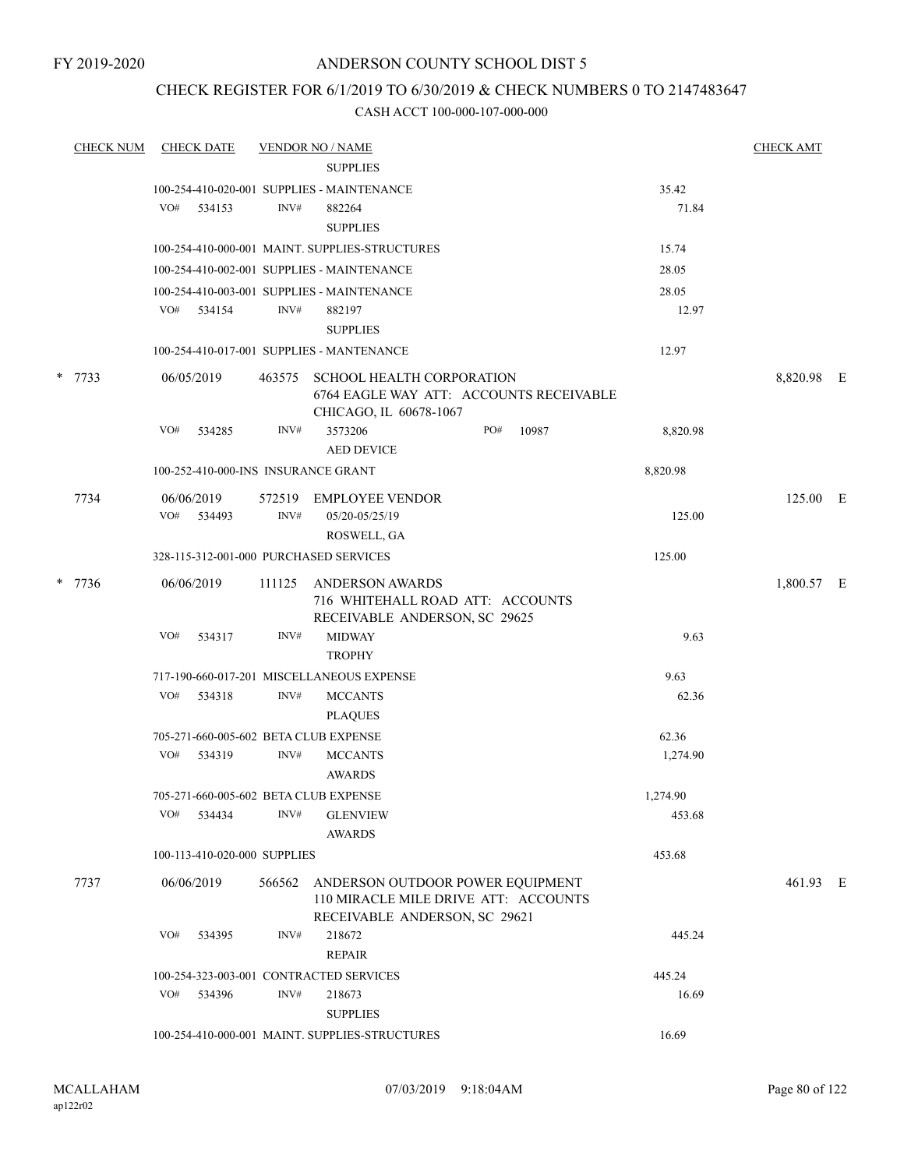FY 2019-2020

## ANDERSON COUNTY SCHOOL DIST 5

## CHECK REGISTER FOR 6/1/2019 TO 6/30/2019 & CHECK NUMBERS 0 TO 2147483647

|      |                          |                  |                                                                                                                                           |                          |                                                                                                                                                                                                                                                                                                                                                                                                                                                                                                                                                                                                                                                                                                                              |       |                                                                                                                                        | <b>CHECK AMT</b>                                                                                                              |                        |
|------|--------------------------|------------------|-------------------------------------------------------------------------------------------------------------------------------------------|--------------------------|------------------------------------------------------------------------------------------------------------------------------------------------------------------------------------------------------------------------------------------------------------------------------------------------------------------------------------------------------------------------------------------------------------------------------------------------------------------------------------------------------------------------------------------------------------------------------------------------------------------------------------------------------------------------------------------------------------------------------|-------|----------------------------------------------------------------------------------------------------------------------------------------|-------------------------------------------------------------------------------------------------------------------------------|------------------------|
|      |                          |                  |                                                                                                                                           | <b>SUPPLIES</b>          |                                                                                                                                                                                                                                                                                                                                                                                                                                                                                                                                                                                                                                                                                                                              |       |                                                                                                                                        |                                                                                                                               |                        |
|      |                          |                  |                                                                                                                                           |                          |                                                                                                                                                                                                                                                                                                                                                                                                                                                                                                                                                                                                                                                                                                                              |       | 35.42                                                                                                                                  |                                                                                                                               |                        |
|      | VO#                      |                  | INV#                                                                                                                                      | 882264                   |                                                                                                                                                                                                                                                                                                                                                                                                                                                                                                                                                                                                                                                                                                                              |       | 71.84                                                                                                                                  |                                                                                                                               |                        |
|      |                          |                  |                                                                                                                                           | <b>SUPPLIES</b>          |                                                                                                                                                                                                                                                                                                                                                                                                                                                                                                                                                                                                                                                                                                                              |       |                                                                                                                                        |                                                                                                                               |                        |
|      |                          |                  |                                                                                                                                           |                          |                                                                                                                                                                                                                                                                                                                                                                                                                                                                                                                                                                                                                                                                                                                              |       | 15.74                                                                                                                                  |                                                                                                                               |                        |
|      |                          |                  |                                                                                                                                           |                          |                                                                                                                                                                                                                                                                                                                                                                                                                                                                                                                                                                                                                                                                                                                              |       | 28.05                                                                                                                                  |                                                                                                                               |                        |
|      |                          |                  |                                                                                                                                           |                          |                                                                                                                                                                                                                                                                                                                                                                                                                                                                                                                                                                                                                                                                                                                              |       | 28.05                                                                                                                                  |                                                                                                                               |                        |
|      |                          |                  | INV#                                                                                                                                      | 882197                   |                                                                                                                                                                                                                                                                                                                                                                                                                                                                                                                                                                                                                                                                                                                              |       | 12.97                                                                                                                                  |                                                                                                                               |                        |
|      |                          |                  |                                                                                                                                           | <b>SUPPLIES</b>          |                                                                                                                                                                                                                                                                                                                                                                                                                                                                                                                                                                                                                                                                                                                              |       |                                                                                                                                        |                                                                                                                               |                        |
|      |                          |                  |                                                                                                                                           |                          |                                                                                                                                                                                                                                                                                                                                                                                                                                                                                                                                                                                                                                                                                                                              |       | 12.97                                                                                                                                  |                                                                                                                               |                        |
|      |                          |                  | 463575                                                                                                                                    |                          |                                                                                                                                                                                                                                                                                                                                                                                                                                                                                                                                                                                                                                                                                                                              |       |                                                                                                                                        | 8,820.98 E                                                                                                                    |                        |
|      | VO#                      | 534285           | INV#                                                                                                                                      | 3573206                  | PO#                                                                                                                                                                                                                                                                                                                                                                                                                                                                                                                                                                                                                                                                                                                          | 10987 | 8,820.98                                                                                                                               |                                                                                                                               |                        |
|      |                          |                  |                                                                                                                                           | <b>AED DEVICE</b>        |                                                                                                                                                                                                                                                                                                                                                                                                                                                                                                                                                                                                                                                                                                                              |       |                                                                                                                                        |                                                                                                                               |                        |
|      |                          |                  |                                                                                                                                           |                          |                                                                                                                                                                                                                                                                                                                                                                                                                                                                                                                                                                                                                                                                                                                              |       | 8,820.98                                                                                                                               |                                                                                                                               |                        |
|      |                          |                  |                                                                                                                                           |                          |                                                                                                                                                                                                                                                                                                                                                                                                                                                                                                                                                                                                                                                                                                                              |       |                                                                                                                                        |                                                                                                                               |                        |
|      | VO#                      |                  |                                                                                                                                           |                          |                                                                                                                                                                                                                                                                                                                                                                                                                                                                                                                                                                                                                                                                                                                              |       |                                                                                                                                        |                                                                                                                               |                        |
|      |                          |                  |                                                                                                                                           |                          |                                                                                                                                                                                                                                                                                                                                                                                                                                                                                                                                                                                                                                                                                                                              |       |                                                                                                                                        |                                                                                                                               |                        |
|      |                          |                  |                                                                                                                                           |                          |                                                                                                                                                                                                                                                                                                                                                                                                                                                                                                                                                                                                                                                                                                                              |       | 125.00                                                                                                                                 |                                                                                                                               |                        |
|      |                          |                  |                                                                                                                                           |                          |                                                                                                                                                                                                                                                                                                                                                                                                                                                                                                                                                                                                                                                                                                                              |       |                                                                                                                                        |                                                                                                                               |                        |
|      |                          |                  |                                                                                                                                           |                          |                                                                                                                                                                                                                                                                                                                                                                                                                                                                                                                                                                                                                                                                                                                              |       |                                                                                                                                        |                                                                                                                               |                        |
|      | VO#                      | 534317           | INV#                                                                                                                                      | <b>MIDWAY</b>            |                                                                                                                                                                                                                                                                                                                                                                                                                                                                                                                                                                                                                                                                                                                              |       | 9.63                                                                                                                                   |                                                                                                                               |                        |
|      |                          |                  |                                                                                                                                           | <b>TROPHY</b>            |                                                                                                                                                                                                                                                                                                                                                                                                                                                                                                                                                                                                                                                                                                                              |       |                                                                                                                                        |                                                                                                                               |                        |
|      |                          |                  |                                                                                                                                           |                          |                                                                                                                                                                                                                                                                                                                                                                                                                                                                                                                                                                                                                                                                                                                              |       | 9.63                                                                                                                                   |                                                                                                                               |                        |
|      | VO#                      |                  | INV#                                                                                                                                      | <b>MCCANTS</b>           |                                                                                                                                                                                                                                                                                                                                                                                                                                                                                                                                                                                                                                                                                                                              |       | 62.36                                                                                                                                  |                                                                                                                               |                        |
|      |                          |                  |                                                                                                                                           | <b>PLAQUES</b>           |                                                                                                                                                                                                                                                                                                                                                                                                                                                                                                                                                                                                                                                                                                                              |       |                                                                                                                                        |                                                                                                                               |                        |
|      |                          |                  |                                                                                                                                           |                          |                                                                                                                                                                                                                                                                                                                                                                                                                                                                                                                                                                                                                                                                                                                              |       | 62.36                                                                                                                                  |                                                                                                                               |                        |
|      | VO#                      |                  | INV#                                                                                                                                      | <b>MCCANTS</b>           |                                                                                                                                                                                                                                                                                                                                                                                                                                                                                                                                                                                                                                                                                                                              |       | 1,274.90                                                                                                                               |                                                                                                                               |                        |
|      |                          |                  |                                                                                                                                           | <b>AWARDS</b>            |                                                                                                                                                                                                                                                                                                                                                                                                                                                                                                                                                                                                                                                                                                                              |       |                                                                                                                                        |                                                                                                                               |                        |
|      |                          |                  |                                                                                                                                           |                          |                                                                                                                                                                                                                                                                                                                                                                                                                                                                                                                                                                                                                                                                                                                              |       | 1,274.90                                                                                                                               |                                                                                                                               |                        |
|      | VO#                      | 534434           | INV#                                                                                                                                      | <b>GLENVIEW</b>          |                                                                                                                                                                                                                                                                                                                                                                                                                                                                                                                                                                                                                                                                                                                              |       | 453.68                                                                                                                                 |                                                                                                                               |                        |
|      |                          |                  |                                                                                                                                           | <b>AWARDS</b>            |                                                                                                                                                                                                                                                                                                                                                                                                                                                                                                                                                                                                                                                                                                                              |       |                                                                                                                                        |                                                                                                                               |                        |
|      |                          |                  |                                                                                                                                           |                          |                                                                                                                                                                                                                                                                                                                                                                                                                                                                                                                                                                                                                                                                                                                              |       | 453.68                                                                                                                                 |                                                                                                                               |                        |
| 7737 |                          |                  | 566562                                                                                                                                    |                          |                                                                                                                                                                                                                                                                                                                                                                                                                                                                                                                                                                                                                                                                                                                              |       |                                                                                                                                        | 461.93 E                                                                                                                      |                        |
|      | VO#                      | 534395           | INV#                                                                                                                                      | 218672                   |                                                                                                                                                                                                                                                                                                                                                                                                                                                                                                                                                                                                                                                                                                                              |       | 445.24                                                                                                                                 |                                                                                                                               |                        |
|      |                          |                  |                                                                                                                                           | <b>REPAIR</b>            |                                                                                                                                                                                                                                                                                                                                                                                                                                                                                                                                                                                                                                                                                                                              |       |                                                                                                                                        |                                                                                                                               |                        |
|      |                          |                  |                                                                                                                                           |                          |                                                                                                                                                                                                                                                                                                                                                                                                                                                                                                                                                                                                                                                                                                                              |       | 445.24                                                                                                                                 |                                                                                                                               |                        |
|      | VO#                      |                  | INV#                                                                                                                                      | 218673                   |                                                                                                                                                                                                                                                                                                                                                                                                                                                                                                                                                                                                                                                                                                                              |       | 16.69                                                                                                                                  |                                                                                                                               |                        |
|      |                          |                  |                                                                                                                                           | <b>SUPPLIES</b>          |                                                                                                                                                                                                                                                                                                                                                                                                                                                                                                                                                                                                                                                                                                                              |       |                                                                                                                                        |                                                                                                                               |                        |
|      |                          |                  |                                                                                                                                           |                          |                                                                                                                                                                                                                                                                                                                                                                                                                                                                                                                                                                                                                                                                                                                              |       | 16.69                                                                                                                                  |                                                                                                                               |                        |
|      | * 7733<br>7734<br>* 7736 | <b>CHECK NUM</b> | <b>CHECK DATE</b><br>534153<br>VO# 534154<br>06/05/2019<br>06/06/2019<br>534493<br>06/06/2019<br>534318<br>534319<br>06/06/2019<br>534396 | 572519<br>INV#<br>111125 | <b>VENDOR NO / NAME</b><br>100-254-410-020-001 SUPPLIES - MAINTENANCE<br>100-254-410-000-001 MAINT. SUPPLIES-STRUCTURES<br>100-254-410-002-001 SUPPLIES - MAINTENANCE<br>100-254-410-003-001 SUPPLIES - MAINTENANCE<br>100-254-410-017-001 SUPPLIES - MANTENANCE<br>CHICAGO, IL 60678-1067<br>100-252-410-000-INS INSURANCE GRANT<br><b>EMPLOYEE VENDOR</b><br>05/20-05/25/19<br>ROSWELL, GA<br>328-115-312-001-000 PURCHASED SERVICES<br><b>ANDERSON AWARDS</b><br>717-190-660-017-201 MISCELLANEOUS EXPENSE<br>705-271-660-005-602 BETA CLUB EXPENSE<br>705-271-660-005-602 BETA CLUB EXPENSE<br>100-113-410-020-000 SUPPLIES<br>100-254-323-003-001 CONTRACTED SERVICES<br>100-254-410-000-001 MAINT. SUPPLIES-STRUCTURES |       | <b>SCHOOL HEALTH CORPORATION</b><br>716 WHITEHALL ROAD ATT: ACCOUNTS<br>RECEIVABLE ANDERSON, SC 29625<br>RECEIVABLE ANDERSON, SC 29621 | 6764 EAGLE WAY ATT: ACCOUNTS RECEIVABLE<br>125.00<br>ANDERSON OUTDOOR POWER EQUIPMENT<br>110 MIRACLE MILE DRIVE ATT: ACCOUNTS | 125.00 E<br>1,800.57 E |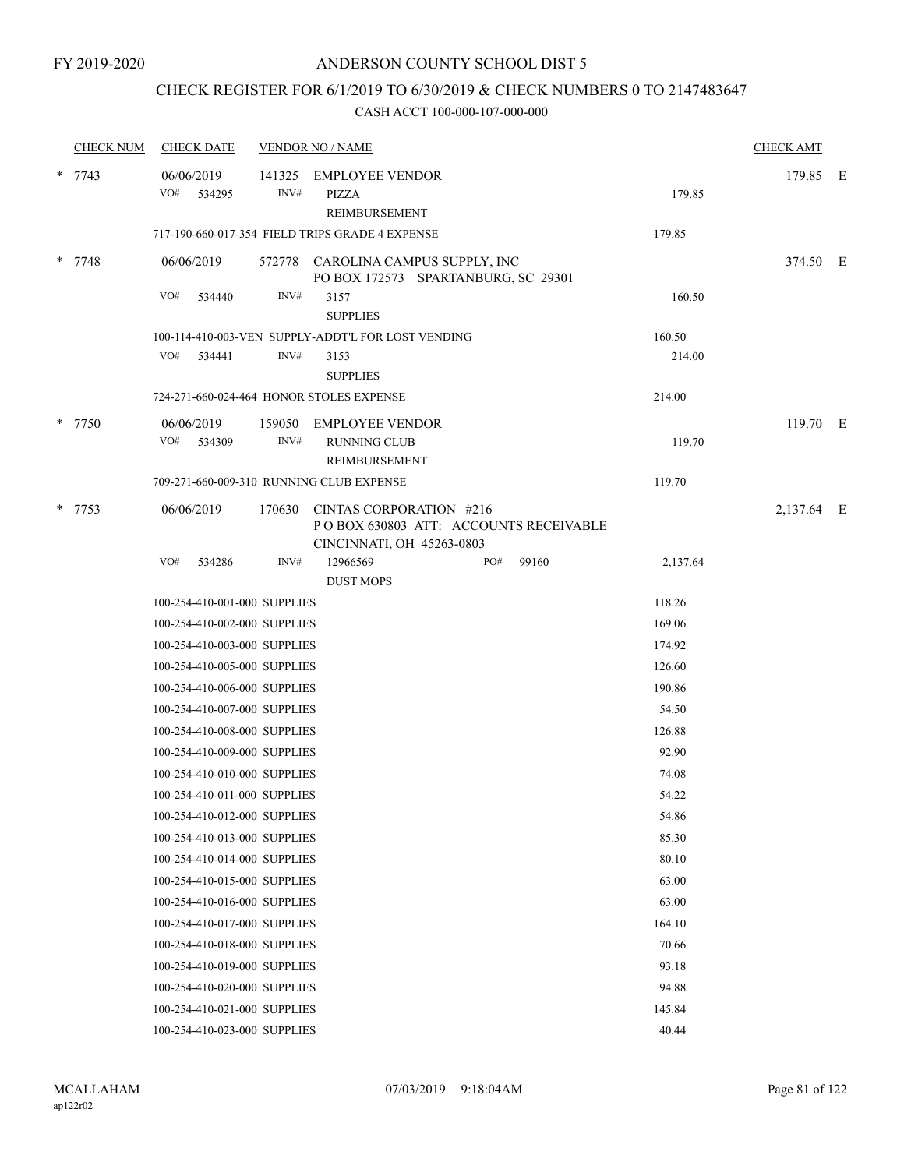## CHECK REGISTER FOR 6/1/2019 TO 6/30/2019 & CHECK NUMBERS 0 TO 2147483647

| <b>CHECK NUM</b> | <b>CHECK DATE</b> |                              |                | <b>VENDOR NO / NAME</b>                                                   |     |                                        |          | <b>CHECK AMT</b> |  |
|------------------|-------------------|------------------------------|----------------|---------------------------------------------------------------------------|-----|----------------------------------------|----------|------------------|--|
| $* 7743$         | 06/06/2019<br>VO# | 534295                       | 141325<br>INV# | <b>EMPLOYEE VENDOR</b><br><b>PIZZA</b><br>REIMBURSEMENT                   |     |                                        | 179.85   | 179.85 E         |  |
|                  |                   |                              |                | 717-190-660-017-354 FIELD TRIPS GRADE 4 EXPENSE                           |     |                                        | 179.85   |                  |  |
| * 7748           | 06/06/2019        |                              |                | 572778 CAROLINA CAMPUS SUPPLY, INC<br>PO BOX 172573 SPARTANBURG, SC 29301 |     |                                        |          | 374.50 E         |  |
|                  | VO#               | 534440                       | INV#           | 3157<br><b>SUPPLIES</b>                                                   |     |                                        | 160.50   |                  |  |
|                  |                   |                              |                | 100-114-410-003-VEN SUPPLY-ADDT'L FOR LOST VENDING                        |     |                                        | 160.50   |                  |  |
|                  | VO#               | 534441                       | INV#           | 3153<br><b>SUPPLIES</b>                                                   |     |                                        | 214.00   |                  |  |
|                  |                   |                              |                | 724-271-660-024-464 HONOR STOLES EXPENSE                                  |     |                                        | 214.00   |                  |  |
| * 7750           | 06/06/2019        |                              | 159050         | <b>EMPLOYEE VENDOR</b>                                                    |     |                                        |          | 119.70 E         |  |
|                  | VO#               | 534309                       | INV#           | <b>RUNNING CLUB</b><br><b>REIMBURSEMENT</b>                               |     |                                        | 119.70   |                  |  |
|                  |                   |                              |                | 709-271-660-009-310 RUNNING CLUB EXPENSE                                  |     |                                        | 119.70   |                  |  |
| * 7753           | 06/06/2019        |                              | 170630         | CINTAS CORPORATION #216<br>CINCINNATI, OH 45263-0803                      |     | PO BOX 630803 ATT: ACCOUNTS RECEIVABLE |          | 2,137.64 E       |  |
|                  | VO#               | 534286                       | INV#           | 12966569<br><b>DUST MOPS</b>                                              | PO# | 99160                                  | 2,137.64 |                  |  |
|                  |                   | 100-254-410-001-000 SUPPLIES |                |                                                                           |     |                                        | 118.26   |                  |  |
|                  |                   | 100-254-410-002-000 SUPPLIES |                |                                                                           |     |                                        | 169.06   |                  |  |
|                  |                   | 100-254-410-003-000 SUPPLIES |                |                                                                           |     |                                        | 174.92   |                  |  |
|                  |                   | 100-254-410-005-000 SUPPLIES |                |                                                                           |     |                                        | 126.60   |                  |  |
|                  |                   | 100-254-410-006-000 SUPPLIES |                |                                                                           |     |                                        | 190.86   |                  |  |
|                  |                   | 100-254-410-007-000 SUPPLIES |                |                                                                           |     |                                        | 54.50    |                  |  |
|                  |                   | 100-254-410-008-000 SUPPLIES |                |                                                                           |     |                                        | 126.88   |                  |  |
|                  |                   | 100-254-410-009-000 SUPPLIES |                |                                                                           |     |                                        | 92.90    |                  |  |
|                  |                   | 100-254-410-010-000 SUPPLIES |                |                                                                           |     |                                        | 74.08    |                  |  |
|                  |                   | 100-254-410-011-000 SUPPLIES |                |                                                                           |     |                                        | 54.22    |                  |  |
|                  |                   | 100-254-410-012-000 SUPPLIES |                |                                                                           |     |                                        | 54.86    |                  |  |
|                  |                   | 100-254-410-013-000 SUPPLIES |                |                                                                           |     |                                        | 85.30    |                  |  |
|                  |                   | 100-254-410-014-000 SUPPLIES |                |                                                                           |     |                                        | 80.10    |                  |  |
|                  |                   | 100-254-410-015-000 SUPPLIES |                |                                                                           |     |                                        | 63.00    |                  |  |
|                  |                   | 100-254-410-016-000 SUPPLIES |                |                                                                           |     |                                        | 63.00    |                  |  |
|                  |                   | 100-254-410-017-000 SUPPLIES |                |                                                                           |     |                                        | 164.10   |                  |  |
|                  |                   | 100-254-410-018-000 SUPPLIES |                |                                                                           |     |                                        | 70.66    |                  |  |
|                  |                   | 100-254-410-019-000 SUPPLIES |                |                                                                           |     |                                        | 93.18    |                  |  |
|                  |                   | 100-254-410-020-000 SUPPLIES |                |                                                                           |     |                                        | 94.88    |                  |  |
|                  |                   | 100-254-410-021-000 SUPPLIES |                |                                                                           |     |                                        | 145.84   |                  |  |
|                  |                   | 100-254-410-023-000 SUPPLIES |                |                                                                           |     |                                        | 40.44    |                  |  |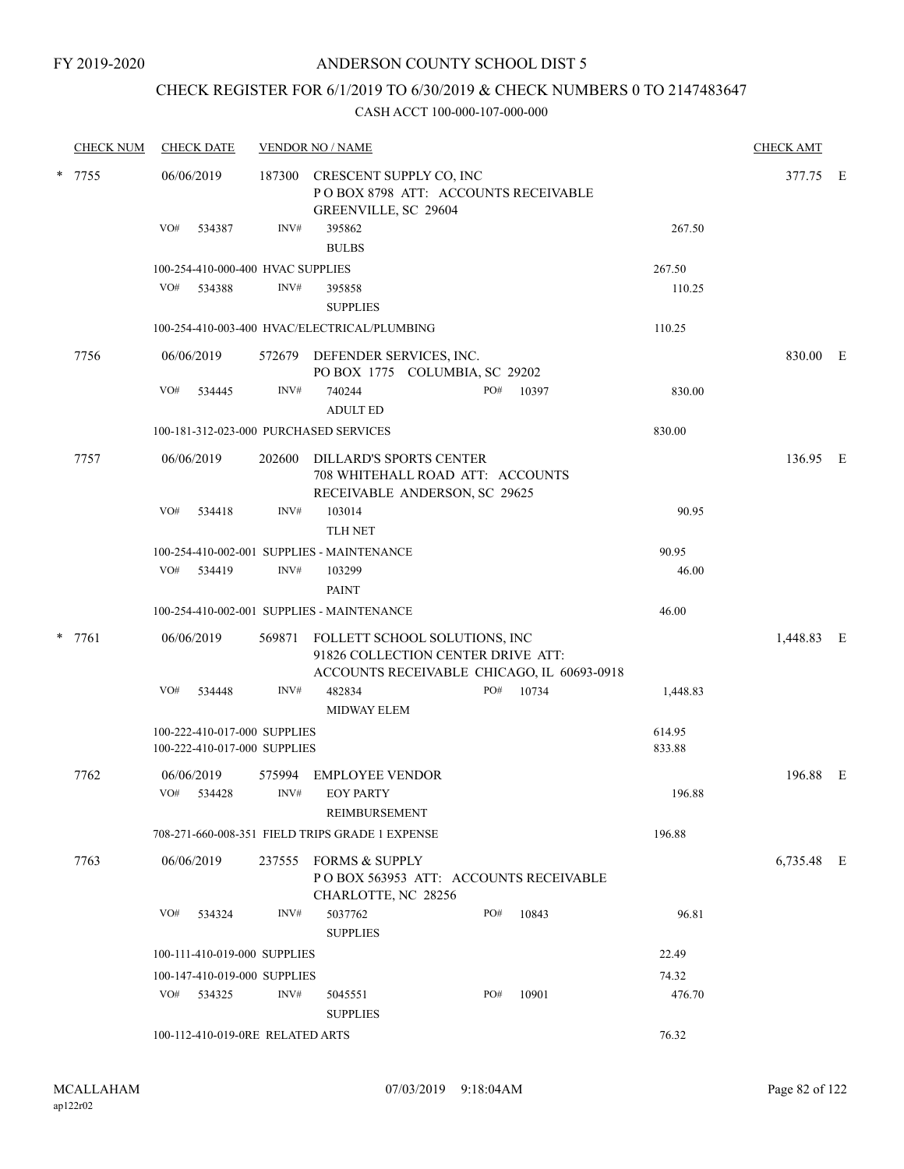## CHECK REGISTER FOR 6/1/2019 TO 6/30/2019 & CHECK NUMBERS 0 TO 2147483647

| <b>CHECK NUM</b> | <b>CHECK DATE</b> |                                        | <b>VENDOR NO / NAME</b>                                                                      |                                                                                                                   |     |          |          |            |  |
|------------------|-------------------|----------------------------------------|----------------------------------------------------------------------------------------------|-------------------------------------------------------------------------------------------------------------------|-----|----------|----------|------------|--|
| * 7755           |                   | 06/06/2019                             | 187300                                                                                       | CRESCENT SUPPLY CO, INC<br>POBOX 8798 ATT: ACCOUNTS RECEIVABLE<br>GREENVILLE, SC 29604                            |     |          |          | 377.75 E   |  |
|                  |                   | VO#<br>534387                          | INV#                                                                                         | 395862<br><b>BULBS</b>                                                                                            |     |          | 267.50   |            |  |
|                  |                   | 100-254-410-000-400 HVAC SUPPLIES      |                                                                                              |                                                                                                                   |     |          | 267.50   |            |  |
|                  |                   | VO# 534388                             | INV#                                                                                         | 395858<br><b>SUPPLIES</b>                                                                                         |     |          | 110.25   |            |  |
|                  |                   |                                        |                                                                                              | 100-254-410-003-400 HVAC/ELECTRICAL/PLUMBING                                                                      |     |          | 110.25   |            |  |
|                  | 7756              | 06/06/2019                             |                                                                                              | 572679 DEFENDER SERVICES, INC.<br>PO BOX 1775 COLUMBIA, SC 29202                                                  |     |          |          | 830.00 E   |  |
|                  |                   | VO#<br>534445                          | INV#                                                                                         | 740244<br><b>ADULT ED</b>                                                                                         | PO# | 10397    | 830.00   |            |  |
|                  |                   | 100-181-312-023-000 PURCHASED SERVICES | 830.00                                                                                       |                                                                                                                   |     |          |          |            |  |
| 7757             | 06/06/2019        | 202600                                 | DILLARD'S SPORTS CENTER<br>708 WHITEHALL ROAD ATT: ACCOUNTS<br>RECEIVABLE ANDERSON, SC 29625 |                                                                                                                   |     | 136.95 E |          |            |  |
|                  |                   | VO#<br>534418                          | INV#                                                                                         | 103014<br><b>TLH NET</b>                                                                                          |     |          | 90.95    |            |  |
|                  |                   |                                        |                                                                                              | 100-254-410-002-001 SUPPLIES - MAINTENANCE                                                                        |     |          | 90.95    |            |  |
|                  |                   | VO# 534419                             | INV#                                                                                         | 103299<br><b>PAINT</b>                                                                                            |     |          | 46.00    |            |  |
|                  |                   |                                        |                                                                                              | 100-254-410-002-001 SUPPLIES - MAINTENANCE                                                                        |     |          | 46.00    |            |  |
|                  | * 7761            | 06/06/2019                             | 569871                                                                                       | FOLLETT SCHOOL SOLUTIONS, INC<br>91826 COLLECTION CENTER DRIVE ATT:<br>ACCOUNTS RECEIVABLE CHICAGO, IL 60693-0918 |     |          |          | 1,448.83 E |  |
|                  |                   | VO#<br>534448                          | INV#                                                                                         | 482834<br><b>MIDWAY ELEM</b>                                                                                      | PO# | 10734    | 1,448.83 |            |  |
|                  |                   | 100-222-410-017-000 SUPPLIES           |                                                                                              |                                                                                                                   |     |          | 614.95   |            |  |
|                  |                   | 100-222-410-017-000 SUPPLIES           |                                                                                              |                                                                                                                   |     |          | 833.88   |            |  |
|                  | 7762              | 06/06/2019<br>VO# 534428               | 575994<br>INV#                                                                               | <b>EMPLOYEE VENDOR</b><br><b>EOY PARTY</b><br>REIMBURSEMENT                                                       |     |          | 196.88   | 196.88 E   |  |
|                  |                   |                                        |                                                                                              | 708-271-660-008-351 FIELD TRIPS GRADE 1 EXPENSE                                                                   |     |          | 196.88   |            |  |
|                  | 7763              | 06/06/2019                             | 237555                                                                                       | FORMS & SUPPLY<br>POBOX 563953 ATT: ACCOUNTS RECEIVABLE                                                           |     |          |          | 6,735.48 E |  |
|                  |                   | VO#<br>534324                          | INV#                                                                                         | CHARLOTTE, NC 28256<br>5037762<br><b>SUPPLIES</b>                                                                 | PO# | 10843    | 96.81    |            |  |
|                  |                   | 100-111-410-019-000 SUPPLIES           |                                                                                              |                                                                                                                   |     |          | 22.49    |            |  |
|                  |                   | 100-147-410-019-000 SUPPLIES           |                                                                                              |                                                                                                                   |     |          | 74.32    |            |  |
|                  |                   | VO# 534325                             | INV#                                                                                         | 5045551<br><b>SUPPLIES</b>                                                                                        | PO# | 10901    | 476.70   |            |  |
|                  |                   | 100-112-410-019-0RE RELATED ARTS       |                                                                                              |                                                                                                                   |     |          | 76.32    |            |  |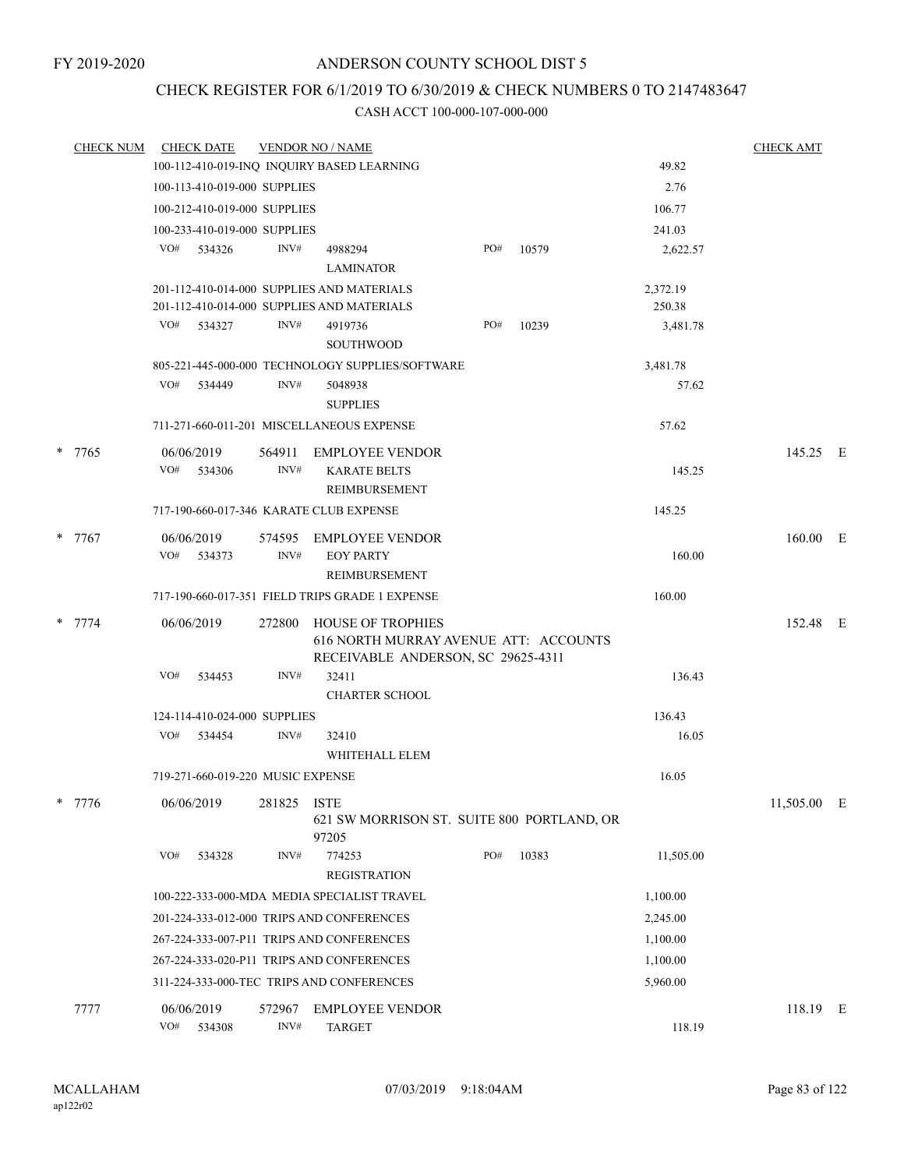# CHECK REGISTER FOR 6/1/2019 TO 6/30/2019 & CHECK NUMBERS 0 TO 2147483647

| <b>CHECK NUM</b> |     | <b>CHECK DATE</b>                 |        | <b>VENDOR NO / NAME</b>                                                                          |     |       |                    | <b>CHECK AMT</b> |  |
|------------------|-----|-----------------------------------|--------|--------------------------------------------------------------------------------------------------|-----|-------|--------------------|------------------|--|
|                  |     |                                   |        | 100-112-410-019-INQ INQUIRY BASED LEARNING                                                       |     |       | 49.82              |                  |  |
|                  |     | 100-113-410-019-000 SUPPLIES      |        |                                                                                                  |     |       | 2.76               |                  |  |
|                  |     | 100-212-410-019-000 SUPPLIES      |        |                                                                                                  |     |       | 106.77             |                  |  |
|                  |     | 100-233-410-019-000 SUPPLIES      |        |                                                                                                  |     |       | 241.03             |                  |  |
|                  |     | VO# 534326                        | INV#   | 4988294                                                                                          | PO# | 10579 | 2,622.57           |                  |  |
|                  |     |                                   |        | <b>LAMINATOR</b>                                                                                 |     |       |                    |                  |  |
|                  |     |                                   |        | 201-112-410-014-000 SUPPLIES AND MATERIALS<br>201-112-410-014-000 SUPPLIES AND MATERIALS         |     |       | 2,372.19<br>250.38 |                  |  |
|                  |     | VO# 534327                        | INV#   | 4919736<br><b>SOUTHWOOD</b>                                                                      | PO# | 10239 | 3,481.78           |                  |  |
|                  |     |                                   |        | 805-221-445-000-000 TECHNOLOGY SUPPLIES/SOFTWARE                                                 |     |       | 3,481.78           |                  |  |
|                  | VO# | 534449                            | INV#   | 5048938<br><b>SUPPLIES</b>                                                                       |     |       | 57.62              |                  |  |
|                  |     |                                   |        | 711-271-660-011-201 MISCELLANEOUS EXPENSE                                                        |     |       | 57.62              |                  |  |
| * 7765           |     | 06/06/2019                        | 564911 | EMPLOYEE VENDOR                                                                                  |     |       |                    | 145.25 E         |  |
|                  |     | VO# 534306                        | INV#   | <b>KARATE BELTS</b><br>REIMBURSEMENT                                                             |     |       | 145.25             |                  |  |
|                  |     |                                   |        | 717-190-660-017-346 KARATE CLUB EXPENSE                                                          |     |       | 145.25             |                  |  |
| $*$ 7767         |     | 06/06/2019                        |        | 574595 EMPLOYEE VENDOR                                                                           |     |       |                    | $160.00$ E       |  |
|                  |     | VO# 534373                        | INV#   | <b>EOY PARTY</b><br>REIMBURSEMENT                                                                |     |       | 160.00             |                  |  |
|                  |     |                                   |        | 717-190-660-017-351 FIELD TRIPS GRADE 1 EXPENSE                                                  |     |       | 160.00             |                  |  |
| $* 7774$         |     | 06/06/2019                        | 272800 | HOUSE OF TROPHIES<br>616 NORTH MURRAY AVENUE ATT: ACCOUNTS<br>RECEIVABLE ANDERSON, SC 29625-4311 |     |       |                    | 152.48 E         |  |
|                  | VO# | 534453                            | INV#   | 32411<br><b>CHARTER SCHOOL</b>                                                                   |     |       | 136.43             |                  |  |
|                  |     | 124-114-410-024-000 SUPPLIES      |        |                                                                                                  |     |       | 136.43             |                  |  |
|                  |     | VO# 534454                        | INV#   | 32410                                                                                            |     |       | 16.05              |                  |  |
|                  |     |                                   |        | WHITEHALL ELEM                                                                                   |     |       |                    |                  |  |
|                  |     | 719-271-660-019-220 MUSIC EXPENSE |        |                                                                                                  |     |       | 16.05              |                  |  |
| 7776             |     | 06/06/2019                        | 281825 | <b>ISTE</b><br>621 SW MORRISON ST. SUITE 800 PORTLAND, OR<br>97205                               |     |       |                    | 11,505.00 E      |  |
|                  | VO# | 534328                            | INV#   | 774253<br><b>REGISTRATION</b>                                                                    | PO# | 10383 | 11,505.00          |                  |  |
|                  |     |                                   |        | 100-222-333-000-MDA MEDIA SPECIALIST TRAVEL                                                      |     |       | 1,100.00           |                  |  |
|                  |     |                                   |        | 201-224-333-012-000 TRIPS AND CONFERENCES                                                        |     |       | 2,245.00           |                  |  |
|                  |     |                                   |        | 267-224-333-007-P11 TRIPS AND CONFERENCES                                                        |     |       | 1,100.00           |                  |  |
|                  |     |                                   |        | 267-224-333-020-P11 TRIPS AND CONFERENCES                                                        |     |       | 1,100.00           |                  |  |
|                  |     |                                   |        | 311-224-333-000-TEC TRIPS AND CONFERENCES                                                        |     |       | 5,960.00           |                  |  |
| 7777             |     | 06/06/2019                        | 572967 | <b>EMPLOYEE VENDOR</b>                                                                           |     |       |                    | 118.19 E         |  |
|                  | VO# | 534308                            | INV#   | <b>TARGET</b>                                                                                    |     |       | 118.19             |                  |  |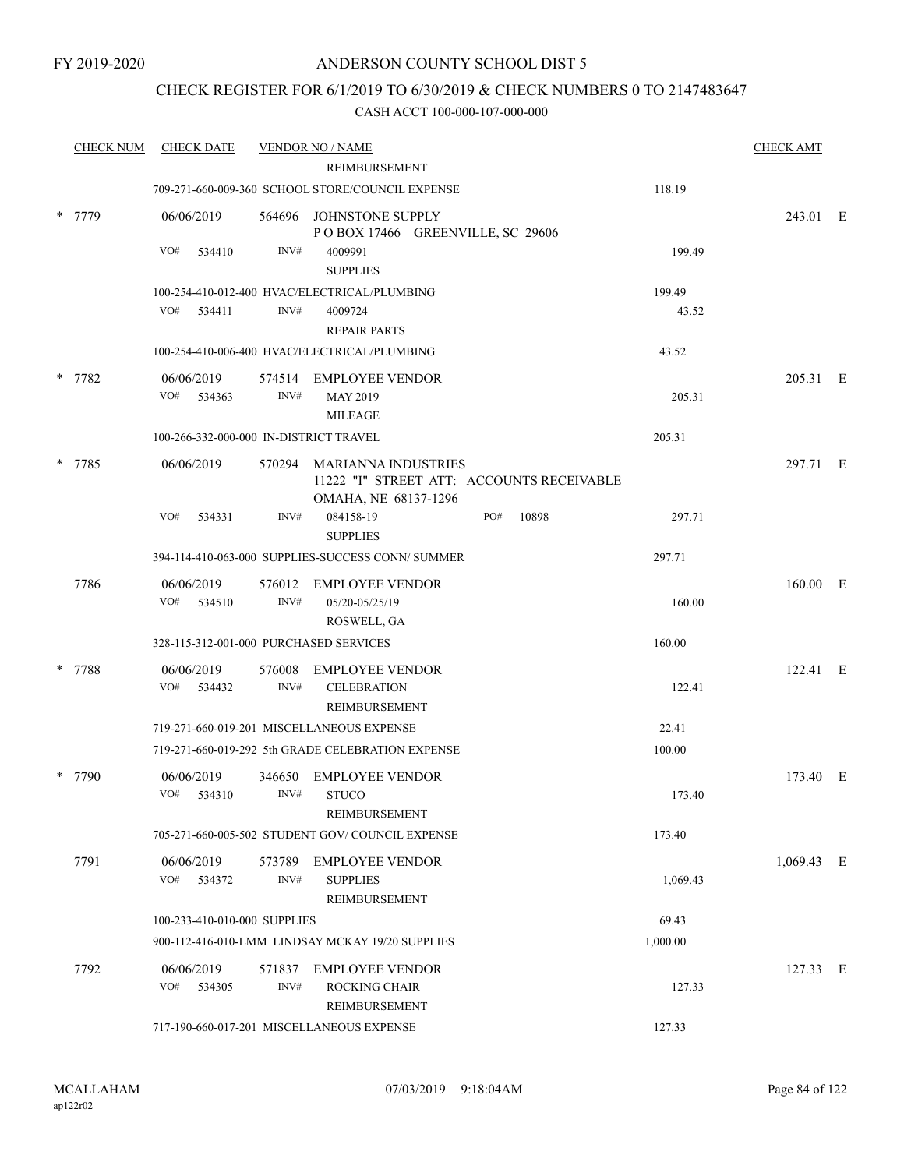## CHECK REGISTER FOR 6/1/2019 TO 6/30/2019 & CHECK NUMBERS 0 TO 2147483647

| <b>CHECK NUM</b> | <b>CHECK DATE</b>                      |                | <b>VENDOR NO / NAME</b>                                                                         |              |          | <b>CHECK AMT</b> |  |
|------------------|----------------------------------------|----------------|-------------------------------------------------------------------------------------------------|--------------|----------|------------------|--|
|                  |                                        |                | REIMBURSEMENT                                                                                   |              |          |                  |  |
|                  |                                        |                | 709-271-660-009-360 SCHOOL STORE/COUNCIL EXPENSE                                                |              | 118.19   |                  |  |
| 7779             | 06/06/2019                             |                | 564696 JOHNSTONE SUPPLY<br>POBOX 17466 GREENVILLE, SC 29606                                     |              |          | 243.01 E         |  |
|                  | VO#<br>534410                          | INV#           | 4009991<br><b>SUPPLIES</b>                                                                      |              | 199.49   |                  |  |
|                  |                                        |                | 100-254-410-012-400 HVAC/ELECTRICAL/PLUMBING                                                    |              | 199.49   |                  |  |
|                  | VO#<br>534411                          | INV#           | 4009724<br><b>REPAIR PARTS</b>                                                                  |              | 43.52    |                  |  |
|                  |                                        |                | 100-254-410-006-400 HVAC/ELECTRICAL/PLUMBING                                                    |              | 43.52    |                  |  |
| * 7782           | 06/06/2019<br>VO#<br>534363            | INV#           | 574514 EMPLOYEE VENDOR<br><b>MAY 2019</b>                                                       |              | 205.31   | 205.31 E         |  |
|                  | 100-266-332-000-000 IN-DISTRICT TRAVEL |                | <b>MILEAGE</b>                                                                                  |              | 205.31   |                  |  |
|                  |                                        |                |                                                                                                 |              |          |                  |  |
| 7785             | 06/06/2019                             |                | 570294 MARIANNA INDUSTRIES<br>11222 "I" STREET ATT: ACCOUNTS RECEIVABLE<br>OMAHA, NE 68137-1296 |              |          | 297.71 E         |  |
|                  | VO#<br>534331                          | INV#           | 084158-19<br><b>SUPPLIES</b>                                                                    | PO#<br>10898 | 297.71   |                  |  |
|                  |                                        |                | 394-114-410-063-000 SUPPLIES-SUCCESS CONN/ SUMMER                                               |              | 297.71   |                  |  |
| 7786             | 06/06/2019<br>VO#<br>534510            | 576012<br>INV# | <b>EMPLOYEE VENDOR</b><br>05/20-05/25/19                                                        |              | 160.00   | 160.00 E         |  |
|                  | 328-115-312-001-000 PURCHASED SERVICES |                | ROSWELL, GA                                                                                     |              | 160.00   |                  |  |
|                  |                                        |                |                                                                                                 |              |          |                  |  |
| 7788             | 06/06/2019<br>VO#<br>534432            | 576008<br>INV# | <b>EMPLOYEE VENDOR</b><br><b>CELEBRATION</b><br>REIMBURSEMENT                                   |              | 122.41   | 122.41 E         |  |
|                  |                                        |                | 719-271-660-019-201 MISCELLANEOUS EXPENSE                                                       |              | 22.41    |                  |  |
|                  |                                        |                | 719-271-660-019-292 5th GRADE CELEBRATION EXPENSE                                               |              | 100.00   |                  |  |
| 7790             | 06/06/2019<br>VO#<br>534310            | 346650<br>INV# | <b>EMPLOYEE VENDOR</b><br><b>STUCO</b>                                                          |              | 173.40   | 173.40 E         |  |
|                  |                                        |                | REIMBURSEMENT<br>705-271-660-005-502 STUDENT GOV/COUNCIL EXPENSE                                |              | 173.40   |                  |  |
| 7791             | 06/06/2019<br>VO#<br>534372            | 573789<br>INV# | <b>EMPLOYEE VENDOR</b><br><b>SUPPLIES</b>                                                       |              | 1,069.43 | $1,069.43$ E     |  |
|                  |                                        |                | REIMBURSEMENT                                                                                   |              |          |                  |  |
|                  | 100-233-410-010-000 SUPPLIES           |                |                                                                                                 |              | 69.43    |                  |  |
|                  |                                        |                | 900-112-416-010-LMM LINDSAY MCKAY 19/20 SUPPLIES                                                |              | 1,000.00 |                  |  |
| 7792             | 06/06/2019<br>VO#<br>534305            | 571837<br>INV# | <b>EMPLOYEE VENDOR</b><br>ROCKING CHAIR<br>REIMBURSEMENT                                        |              | 127.33   | 127.33 E         |  |
|                  |                                        |                | 717-190-660-017-201 MISCELLANEOUS EXPENSE                                                       |              | 127.33   |                  |  |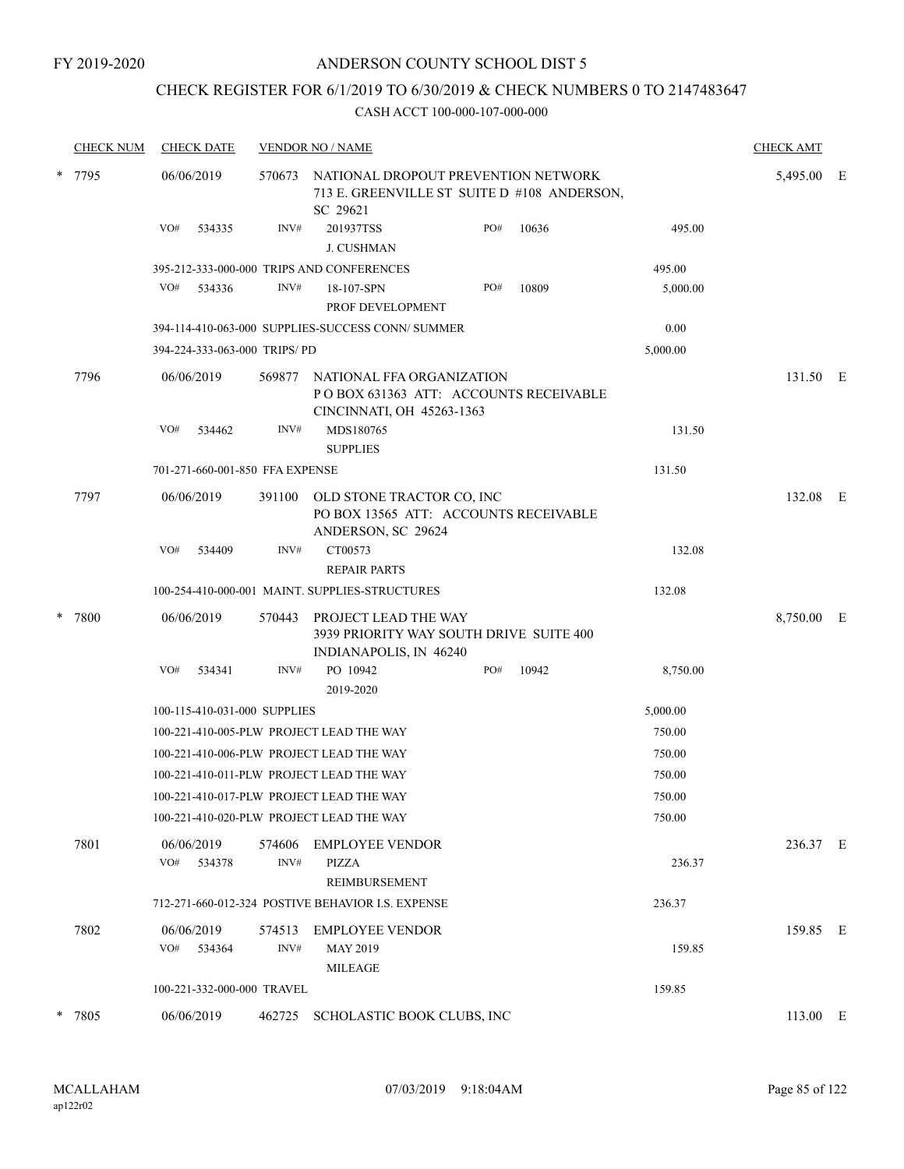## CHECK REGISTER FOR 6/1/2019 TO 6/30/2019 & CHECK NUMBERS 0 TO 2147483647

| <b>CHECK NUM</b> | <b>CHECK DATE</b>               |                | <b>VENDOR NO / NAME</b>                                                                                |     |          |          | <b>CHECK AMT</b> |  |  |
|------------------|---------------------------------|----------------|--------------------------------------------------------------------------------------------------------|-----|----------|----------|------------------|--|--|
| * 7795           | 06/06/2019                      | 570673         | NATIONAL DROPOUT PREVENTION NETWORK<br>713 E. GREENVILLE ST SUITE D #108 ANDERSON,<br>SC 29621         |     |          |          | 5,495.00 E       |  |  |
|                  | VO#<br>534335                   | INV#           | 201937TSS<br>J. CUSHMAN                                                                                | PO# | 10636    | 495.00   |                  |  |  |
|                  |                                 |                | 395-212-333-000-000 TRIPS AND CONFERENCES                                                              |     |          | 495.00   |                  |  |  |
|                  | VO#<br>534336                   | INV#           | 18-107-SPN<br>PROF DEVELOPMENT                                                                         | PO# | 10809    | 5,000.00 |                  |  |  |
|                  |                                 |                | 394-114-410-063-000 SUPPLIES-SUCCESS CONN/SUMMER                                                       |     |          | 0.00     |                  |  |  |
|                  | 394-224-333-063-000 TRIPS/PD    |                |                                                                                                        |     |          | 5,000.00 |                  |  |  |
| 7796             | 06/06/2019                      |                | 569877 NATIONAL FFA ORGANIZATION<br>POBOX 631363 ATT: ACCOUNTS RECEIVABLE<br>CINCINNATI, OH 45263-1363 |     |          |          | 131.50 E         |  |  |
|                  | VO#<br>534462                   | INV#           | MDS180765<br><b>SUPPLIES</b>                                                                           |     |          | 131.50   |                  |  |  |
|                  | 701-271-660-001-850 FFA EXPENSE |                |                                                                                                        |     |          | 131.50   |                  |  |  |
| 7797             | 06/06/2019                      | 391100         | OLD STONE TRACTOR CO, INC<br>PO BOX 13565 ATT: ACCOUNTS RECEIVABLE                                     |     |          |          | 132.08 E         |  |  |
|                  | VO#<br>534409                   | INV#           | ANDERSON, SC 29624<br>CT00573<br><b>REPAIR PARTS</b>                                                   |     |          | 132.08   |                  |  |  |
|                  |                                 |                | 100-254-410-000-001 MAINT. SUPPLIES-STRUCTURES                                                         |     |          | 132.08   |                  |  |  |
| * 7800           | 06/06/2019                      | 570443         | PROJECT LEAD THE WAY<br>3939 PRIORITY WAY SOUTH DRIVE SUITE 400<br>INDIANAPOLIS, IN 46240              |     |          |          | 8,750.00 E       |  |  |
|                  | VO#<br>534341                   | INV#           | PO 10942<br>2019-2020                                                                                  | PO# | 10942    | 8,750.00 |                  |  |  |
|                  | 100-115-410-031-000 SUPPLIES    |                |                                                                                                        |     | 5,000.00 |          |                  |  |  |
|                  |                                 |                | 100-221-410-005-PLW PROJECT LEAD THE WAY                                                               |     |          | 750.00   |                  |  |  |
|                  |                                 |                | 100-221-410-006-PLW PROJECT LEAD THE WAY                                                               |     |          | 750.00   |                  |  |  |
|                  |                                 |                | 100-221-410-011-PLW PROJECT LEAD THE WAY                                                               |     |          | 750.00   |                  |  |  |
|                  |                                 |                | 100-221-410-017-PLW PROJECT LEAD THE WAY                                                               |     |          | 750.00   |                  |  |  |
|                  |                                 |                | 100-221-410-020-PLW PROJECT LEAD THE WAY                                                               |     |          | 750.00   |                  |  |  |
| 7801             | 06/06/2019<br>VO#<br>534378     | 574606<br>INV# | <b>EMPLOYEE VENDOR</b><br>PIZZA<br><b>REIMBURSEMENT</b>                                                |     |          | 236.37   | 236.37 E         |  |  |
|                  |                                 |                | 712-271-660-012-324 POSTIVE BEHAVIOR I.S. EXPENSE                                                      |     |          | 236.37   |                  |  |  |
| 7802             | 06/06/2019<br>VO#<br>534364     | 574513<br>INV# | <b>EMPLOYEE VENDOR</b><br><b>MAY 2019</b><br>MILEAGE                                                   |     |          | 159.85   | 159.85 E         |  |  |
|                  | 100-221-332-000-000 TRAVEL      |                |                                                                                                        |     |          | 159.85   |                  |  |  |
| * 7805           | 06/06/2019                      | 462725         | SCHOLASTIC BOOK CLUBS, INC                                                                             |     |          |          | 113.00 E         |  |  |
|                  |                                 |                |                                                                                                        |     |          |          |                  |  |  |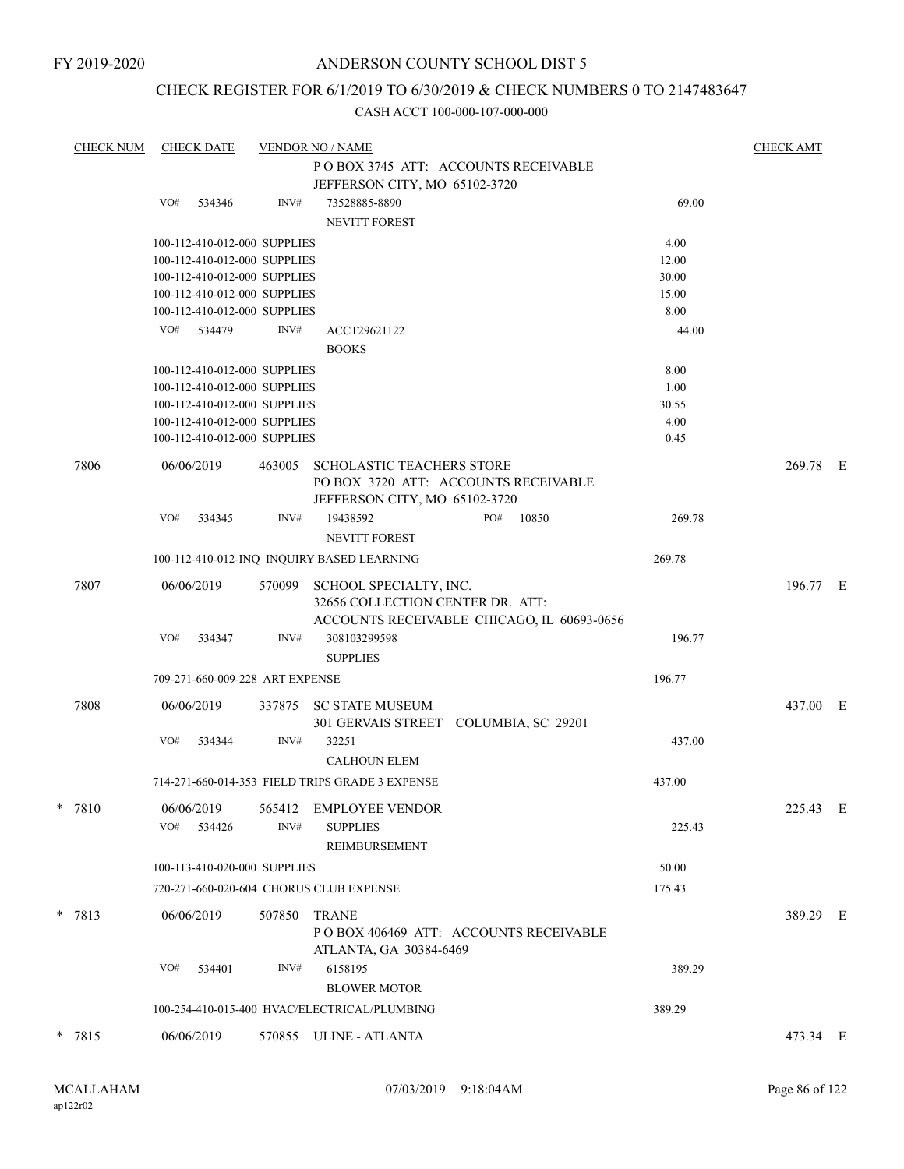FY 2019-2020

## ANDERSON COUNTY SCHOOL DIST 5

# CHECK REGISTER FOR 6/1/2019 TO 6/30/2019 & CHECK NUMBERS 0 TO 2147483647

|   | <b>CHECK NUM</b> |     | <b>CHECK DATE</b> |                                 | <b>VENDOR NO / NAME</b>                         |        | <b>CHECK AMT</b> |  |
|---|------------------|-----|-------------------|---------------------------------|-------------------------------------------------|--------|------------------|--|
|   |                  |     |                   |                                 | POBOX 3745 ATT: ACCOUNTS RECEIVABLE             |        |                  |  |
|   |                  |     |                   |                                 | JEFFERSON CITY, MO 65102-3720                   |        |                  |  |
|   |                  | VO# | 534346            | INV#                            | 73528885-8890                                   | 69.00  |                  |  |
|   |                  |     |                   |                                 | <b>NEVITT FOREST</b>                            |        |                  |  |
|   |                  |     |                   | 100-112-410-012-000 SUPPLIES    |                                                 | 4.00   |                  |  |
|   |                  |     |                   | 100-112-410-012-000 SUPPLIES    |                                                 | 12.00  |                  |  |
|   |                  |     |                   | 100-112-410-012-000 SUPPLIES    |                                                 | 30.00  |                  |  |
|   |                  |     |                   | 100-112-410-012-000 SUPPLIES    |                                                 | 15.00  |                  |  |
|   |                  |     |                   | 100-112-410-012-000 SUPPLIES    |                                                 | 8.00   |                  |  |
|   |                  |     | VO# 534479        | INV#                            | ACCT29621122                                    | 44.00  |                  |  |
|   |                  |     |                   |                                 | <b>BOOKS</b>                                    |        |                  |  |
|   |                  |     |                   | 100-112-410-012-000 SUPPLIES    |                                                 | 8.00   |                  |  |
|   |                  |     |                   | 100-112-410-012-000 SUPPLIES    |                                                 | 1.00   |                  |  |
|   |                  |     |                   | 100-112-410-012-000 SUPPLIES    |                                                 | 30.55  |                  |  |
|   |                  |     |                   | 100-112-410-012-000 SUPPLIES    |                                                 | 4.00   |                  |  |
|   |                  |     |                   | 100-112-410-012-000 SUPPLIES    |                                                 | 0.45   |                  |  |
|   |                  |     |                   |                                 |                                                 |        |                  |  |
|   | 7806             |     | 06/06/2019        | 463005                          | <b>SCHOLASTIC TEACHERS STORE</b>                |        | 269.78 E         |  |
|   |                  |     |                   |                                 | PO BOX 3720 ATT: ACCOUNTS RECEIVABLE            |        |                  |  |
|   |                  |     |                   |                                 | JEFFERSON CITY, MO 65102-3720                   |        |                  |  |
|   |                  | VO# | 534345            | INV#                            | PO#<br>19438592<br>10850                        | 269.78 |                  |  |
|   |                  |     |                   |                                 | <b>NEVITT FOREST</b>                            |        |                  |  |
|   |                  |     |                   |                                 | 100-112-410-012-INQ INQUIRY BASED LEARNING      | 269.78 |                  |  |
|   | 7807             |     | 06/06/2019        | 570099                          | SCHOOL SPECIALTY, INC.                          |        | 196.77 E         |  |
|   |                  |     |                   |                                 | 32656 COLLECTION CENTER DR. ATT:                |        |                  |  |
|   |                  |     |                   |                                 | ACCOUNTS RECEIVABLE CHICAGO, IL 60693-0656      |        |                  |  |
|   |                  | VO# | 534347            | INV#                            | 308103299598                                    | 196.77 |                  |  |
|   |                  |     |                   |                                 | <b>SUPPLIES</b>                                 |        |                  |  |
|   |                  |     |                   |                                 |                                                 |        |                  |  |
|   |                  |     |                   | 709-271-660-009-228 ART EXPENSE |                                                 | 196.77 |                  |  |
|   | 7808             |     | 06/06/2019        | 337875                          | <b>SC STATE MUSEUM</b>                          |        | 437.00 E         |  |
|   |                  |     |                   |                                 | 301 GERVAIS STREET COLUMBIA, SC 29201           |        |                  |  |
|   |                  | VO# | 534344            | INV#                            | 32251                                           | 437.00 |                  |  |
|   |                  |     |                   |                                 | <b>CALHOUN ELEM</b>                             |        |                  |  |
|   |                  |     |                   |                                 | 714-271-660-014-353 FIELD TRIPS GRADE 3 EXPENSE | 437.00 |                  |  |
|   |                  |     |                   |                                 |                                                 |        |                  |  |
| * | 7810             |     | 06/06/2019        | 565412                          | <b>EMPLOYEE VENDOR</b>                          |        | 225.43 E         |  |
|   |                  | VO# | 534426            | INV#                            | <b>SUPPLIES</b>                                 | 225.43 |                  |  |
|   |                  |     |                   |                                 | REIMBURSEMENT                                   |        |                  |  |
|   |                  |     |                   | 100-113-410-020-000 SUPPLIES    |                                                 | 50.00  |                  |  |
|   |                  |     |                   |                                 | 720-271-660-020-604 CHORUS CLUB EXPENSE         | 175.43 |                  |  |
|   |                  |     |                   |                                 |                                                 |        |                  |  |
|   | $* 7813$         |     | 06/06/2019        | 507850                          | <b>TRANE</b>                                    |        | 389.29 E         |  |
|   |                  |     |                   |                                 | POBOX 406469 ATT: ACCOUNTS RECEIVABLE           |        |                  |  |
|   |                  |     |                   |                                 | ATLANTA, GA 30384-6469                          |        |                  |  |
|   |                  | VO# | 534401            | INV#                            | 6158195                                         | 389.29 |                  |  |
|   |                  |     |                   |                                 | <b>BLOWER MOTOR</b>                             |        |                  |  |
|   |                  |     |                   |                                 | 100-254-410-015-400 HVAC/ELECTRICAL/PLUMBING    | 389.29 |                  |  |
|   |                  |     |                   |                                 |                                                 |        |                  |  |
|   | * 7815           |     | 06/06/2019        |                                 | 570855 ULINE - ATLANTA                          |        | 473.34 E         |  |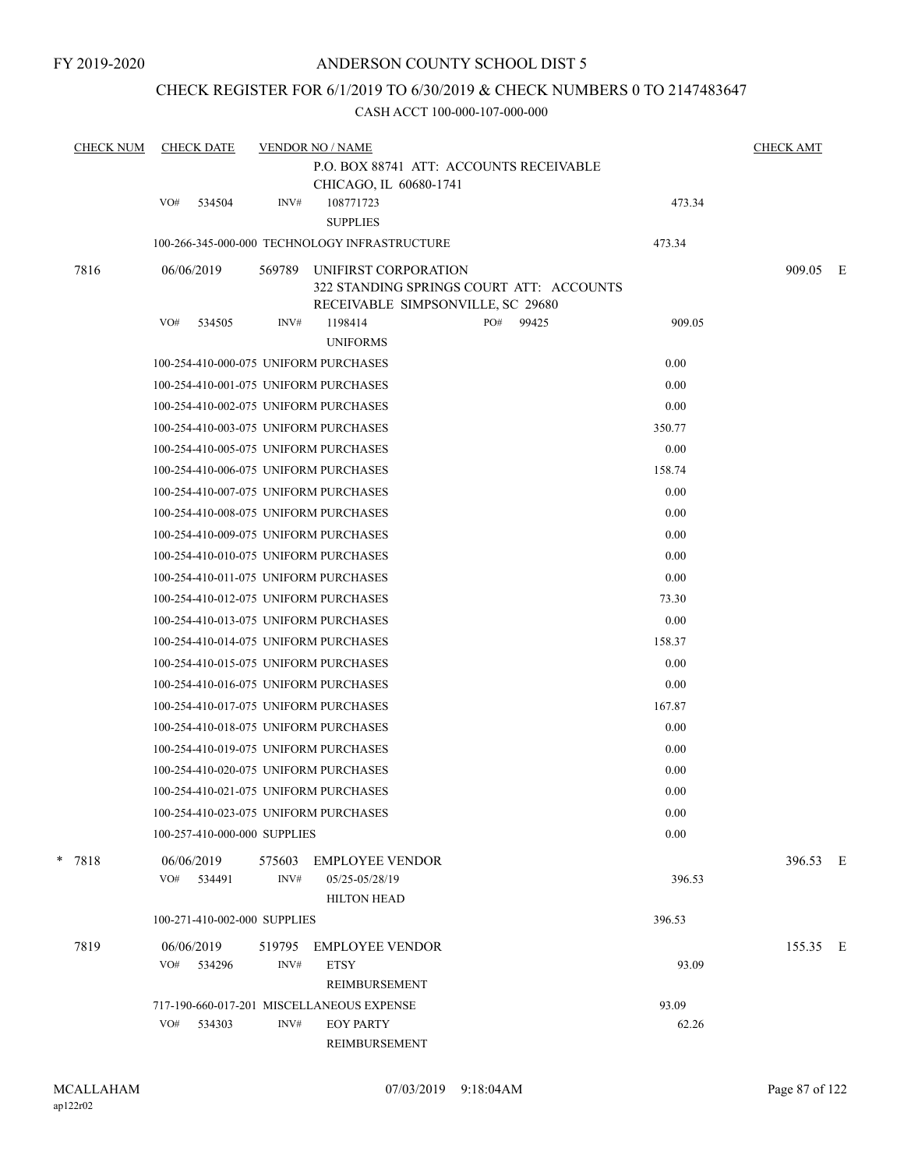## CHECK REGISTER FOR 6/1/2019 TO 6/30/2019 & CHECK NUMBERS 0 TO 2147483647

| <b>CHECK NUM</b> | <b>CHECK DATE</b>                     | <b>CHECK AMT</b> |                                                                |                                          |        |          |  |
|------------------|---------------------------------------|------------------|----------------------------------------------------------------|------------------------------------------|--------|----------|--|
|                  |                                       |                  | P.O. BOX 88741 ATT: ACCOUNTS RECEIVABLE                        |                                          |        |          |  |
|                  |                                       |                  | CHICAGO, IL 60680-1741                                         |                                          |        |          |  |
|                  | VO#<br>534504                         | INV#             | 108771723<br><b>SUPPLIES</b>                                   |                                          | 473.34 |          |  |
|                  |                                       |                  | 100-266-345-000-000 TECHNOLOGY INFRASTRUCTURE                  |                                          | 473.34 |          |  |
| 7816             | 06/06/2019                            | 569789           | UNIFIRST CORPORATION<br>RECEIVABLE SIMPSONVILLE, SC 29680      | 322 STANDING SPRINGS COURT ATT: ACCOUNTS |        | 909.05 E |  |
|                  | VO#<br>534505                         | INV#             | 1198414<br><b>UNIFORMS</b>                                     | PO#<br>99425                             | 909.05 |          |  |
|                  | 100-254-410-000-075 UNIFORM PURCHASES |                  |                                                                |                                          | 0.00   |          |  |
|                  | 100-254-410-001-075 UNIFORM PURCHASES |                  |                                                                |                                          | 0.00   |          |  |
|                  | 100-254-410-002-075 UNIFORM PURCHASES |                  |                                                                |                                          | 0.00   |          |  |
|                  | 100-254-410-003-075 UNIFORM PURCHASES |                  |                                                                |                                          | 350.77 |          |  |
|                  | 100-254-410-005-075 UNIFORM PURCHASES |                  |                                                                |                                          | 0.00   |          |  |
|                  | 100-254-410-006-075 UNIFORM PURCHASES |                  |                                                                |                                          | 158.74 |          |  |
|                  | 100-254-410-007-075 UNIFORM PURCHASES |                  |                                                                |                                          | 0.00   |          |  |
|                  | 100-254-410-008-075 UNIFORM PURCHASES |                  |                                                                |                                          | 0.00   |          |  |
|                  | 100-254-410-009-075 UNIFORM PURCHASES |                  |                                                                |                                          | 0.00   |          |  |
|                  | 100-254-410-010-075 UNIFORM PURCHASES |                  |                                                                |                                          | 0.00   |          |  |
|                  | 100-254-410-011-075 UNIFORM PURCHASES |                  |                                                                |                                          | 0.00   |          |  |
|                  | 100-254-410-012-075 UNIFORM PURCHASES |                  |                                                                |                                          | 73.30  |          |  |
|                  | 100-254-410-013-075 UNIFORM PURCHASES |                  |                                                                |                                          | 0.00   |          |  |
|                  | 100-254-410-014-075 UNIFORM PURCHASES |                  |                                                                |                                          | 158.37 |          |  |
|                  | 100-254-410-015-075 UNIFORM PURCHASES |                  |                                                                |                                          | 0.00   |          |  |
|                  | 100-254-410-016-075 UNIFORM PURCHASES |                  |                                                                |                                          | 0.00   |          |  |
|                  | 100-254-410-017-075 UNIFORM PURCHASES |                  |                                                                |                                          | 167.87 |          |  |
|                  | 100-254-410-018-075 UNIFORM PURCHASES |                  |                                                                |                                          | 0.00   |          |  |
|                  | 100-254-410-019-075 UNIFORM PURCHASES |                  |                                                                |                                          | 0.00   |          |  |
|                  | 100-254-410-020-075 UNIFORM PURCHASES |                  |                                                                |                                          | 0.00   |          |  |
|                  | 100-254-410-021-075 UNIFORM PURCHASES |                  |                                                                |                                          | 0.00   |          |  |
|                  | 100-254-410-023-075 UNIFORM PURCHASES |                  |                                                                |                                          | 0.00   |          |  |
|                  | 100-257-410-000-000 SUPPLIES          |                  |                                                                |                                          | 0.00   |          |  |
| * 7818           | 06/06/2019<br>VO#<br>534491           | 575603<br>INV#   | <b>EMPLOYEE VENDOR</b><br>05/25-05/28/19<br><b>HILTON HEAD</b> |                                          | 396.53 | 396.53 E |  |
|                  | 100-271-410-002-000 SUPPLIES          |                  |                                                                |                                          | 396.53 |          |  |
| 7819             | 06/06/2019                            | 519795           | <b>EMPLOYEE VENDOR</b>                                         |                                          |        | 155.35 E |  |
|                  | VO#<br>534296                         | INV#             | <b>ETSY</b>                                                    |                                          | 93.09  |          |  |
|                  |                                       |                  | REIMBURSEMENT                                                  |                                          |        |          |  |
|                  |                                       |                  | 717-190-660-017-201 MISCELLANEOUS EXPENSE                      |                                          | 93.09  |          |  |
|                  | VO#<br>534303                         | INV#             | <b>EOY PARTY</b>                                               |                                          | 62.26  |          |  |
|                  |                                       |                  | REIMBURSEMENT                                                  |                                          |        |          |  |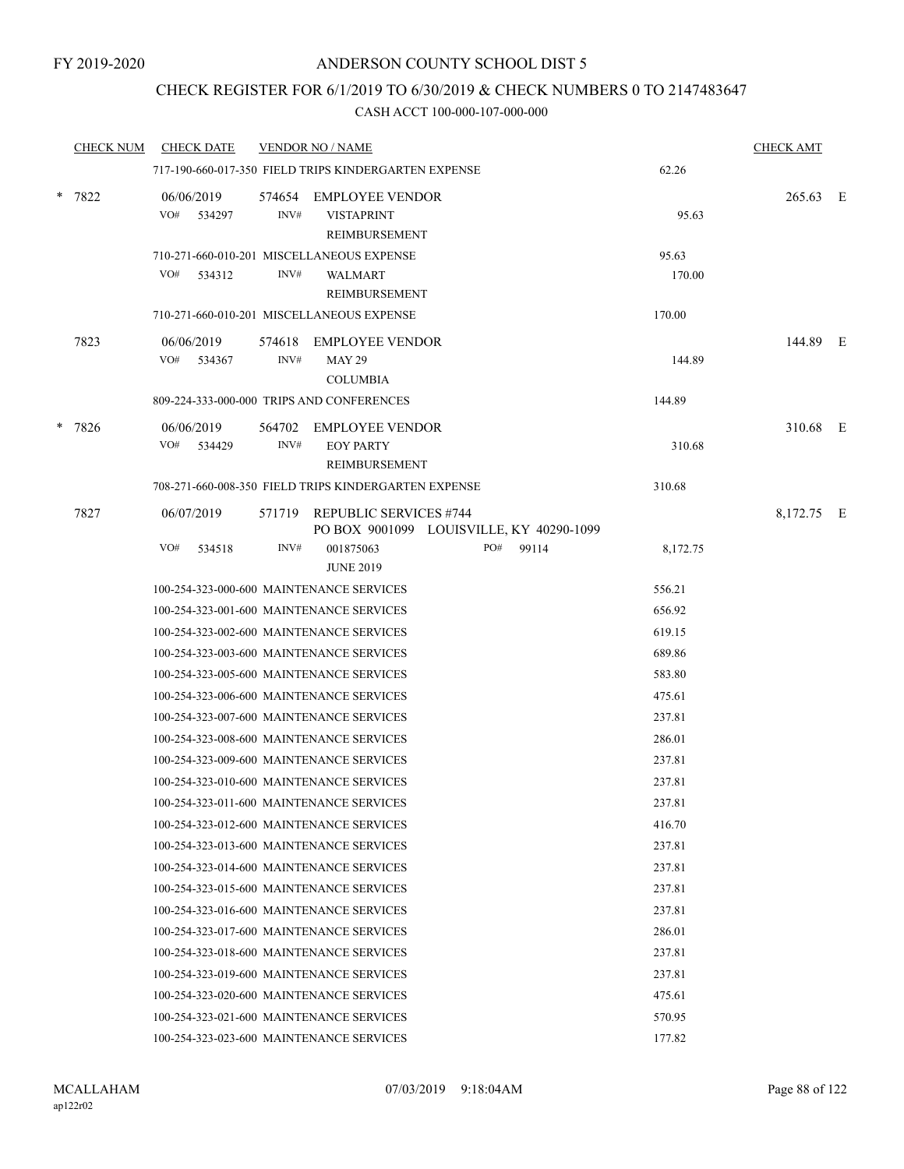## CHECK REGISTER FOR 6/1/2019 TO 6/30/2019 & CHECK NUMBERS 0 TO 2147483647

|        | <b>CHECK NUM</b> | <b>CHECK DATE</b>                        |                | <b>VENDOR NO / NAME</b>                                                                                   |              |                | <b>CHECK AMT</b> |  |
|--------|------------------|------------------------------------------|----------------|-----------------------------------------------------------------------------------------------------------|--------------|----------------|------------------|--|
|        |                  |                                          |                | 717-190-660-017-350 FIELD TRIPS KINDERGARTEN EXPENSE                                                      |              | 62.26          |                  |  |
| $\ast$ | 7822             | 06/06/2019<br>VO#<br>534297              | INV#           | 574654 EMPLOYEE VENDOR<br><b>VISTAPRINT</b><br>REIMBURSEMENT<br>710-271-660-010-201 MISCELLANEOUS EXPENSE |              | 95.63<br>95.63 | 265.63 E         |  |
|        |                  | VO#<br>534312                            | INV#           | <b>WALMART</b><br>REIMBURSEMENT                                                                           |              | 170.00         |                  |  |
|        |                  |                                          |                | 710-271-660-010-201 MISCELLANEOUS EXPENSE                                                                 |              | 170.00         |                  |  |
|        | 7823             | 06/06/2019<br>VO#<br>534367              | INV#           | 574618 EMPLOYEE VENDOR<br><b>MAY 29</b><br><b>COLUMBIA</b>                                                |              | 144.89         | 144.89 E         |  |
|        |                  |                                          |                | 809-224-333-000-000 TRIPS AND CONFERENCES                                                                 |              | 144.89         |                  |  |
| *      | 7826             | 06/06/2019<br>VO# 534429                 | 564702<br>INV# | <b>EMPLOYEE VENDOR</b><br><b>EOY PARTY</b><br><b>REIMBURSEMENT</b>                                        |              | 310.68         | 310.68 E         |  |
|        |                  |                                          |                | 708-271-660-008-350 FIELD TRIPS KINDERGARTEN EXPENSE                                                      |              | 310.68         |                  |  |
|        | 7827             | 06/07/2019                               |                | 571719 REPUBLIC SERVICES #744<br>PO BOX 9001099 LOUISVILLE, KY 40290-1099                                 |              |                | 8,172.75 E       |  |
|        |                  | VO#<br>534518                            | INV#           | 001875063<br><b>JUNE 2019</b>                                                                             | PO#<br>99114 | 8,172.75       |                  |  |
|        |                  |                                          |                | 100-254-323-000-600 MAINTENANCE SERVICES                                                                  |              | 556.21         |                  |  |
|        |                  |                                          |                | 100-254-323-001-600 MAINTENANCE SERVICES                                                                  |              | 656.92         |                  |  |
|        |                  |                                          |                | 100-254-323-002-600 MAINTENANCE SERVICES                                                                  |              | 619.15         |                  |  |
|        |                  |                                          |                | 100-254-323-003-600 MAINTENANCE SERVICES                                                                  |              | 689.86         |                  |  |
|        |                  |                                          |                | 100-254-323-005-600 MAINTENANCE SERVICES                                                                  |              | 583.80         |                  |  |
|        |                  |                                          |                | 100-254-323-006-600 MAINTENANCE SERVICES                                                                  |              | 475.61         |                  |  |
|        |                  |                                          |                | 100-254-323-007-600 MAINTENANCE SERVICES                                                                  |              | 237.81         |                  |  |
|        |                  |                                          |                | 100-254-323-008-600 MAINTENANCE SERVICES                                                                  |              | 286.01         |                  |  |
|        |                  |                                          |                | 100-254-323-009-600 MAINTENANCE SERVICES                                                                  |              | 237.81         |                  |  |
|        |                  |                                          |                | 100-254-323-010-600 MAINTENANCE SERVICES                                                                  |              | 237.81         |                  |  |
|        |                  | 100-254-323-011-600 MAINTENANCE SERVICES |                |                                                                                                           |              | 237.81         |                  |  |
|        |                  |                                          |                | 100-254-323-012-600 MAINTENANCE SERVICES                                                                  |              | 416.70         |                  |  |
|        |                  |                                          |                | 100-254-323-013-600 MAINTENANCE SERVICES                                                                  |              | 237.81         |                  |  |
|        |                  |                                          |                | 100-254-323-014-600 MAINTENANCE SERVICES                                                                  |              | 237.81         |                  |  |
|        |                  |                                          |                | 100-254-323-015-600 MAINTENANCE SERVICES                                                                  |              | 237.81         |                  |  |
|        |                  |                                          |                | 100-254-323-016-600 MAINTENANCE SERVICES                                                                  |              | 237.81         |                  |  |
|        |                  |                                          |                | 100-254-323-017-600 MAINTENANCE SERVICES                                                                  |              | 286.01         |                  |  |
|        |                  |                                          |                | 100-254-323-018-600 MAINTENANCE SERVICES                                                                  |              | 237.81         |                  |  |
|        |                  |                                          |                | 100-254-323-019-600 MAINTENANCE SERVICES                                                                  |              | 237.81         |                  |  |
|        |                  |                                          |                | 100-254-323-020-600 MAINTENANCE SERVICES                                                                  |              | 475.61         |                  |  |
|        |                  |                                          |                | 100-254-323-021-600 MAINTENANCE SERVICES                                                                  |              | 570.95         |                  |  |
|        |                  |                                          |                | 100-254-323-023-600 MAINTENANCE SERVICES                                                                  |              | 177.82         |                  |  |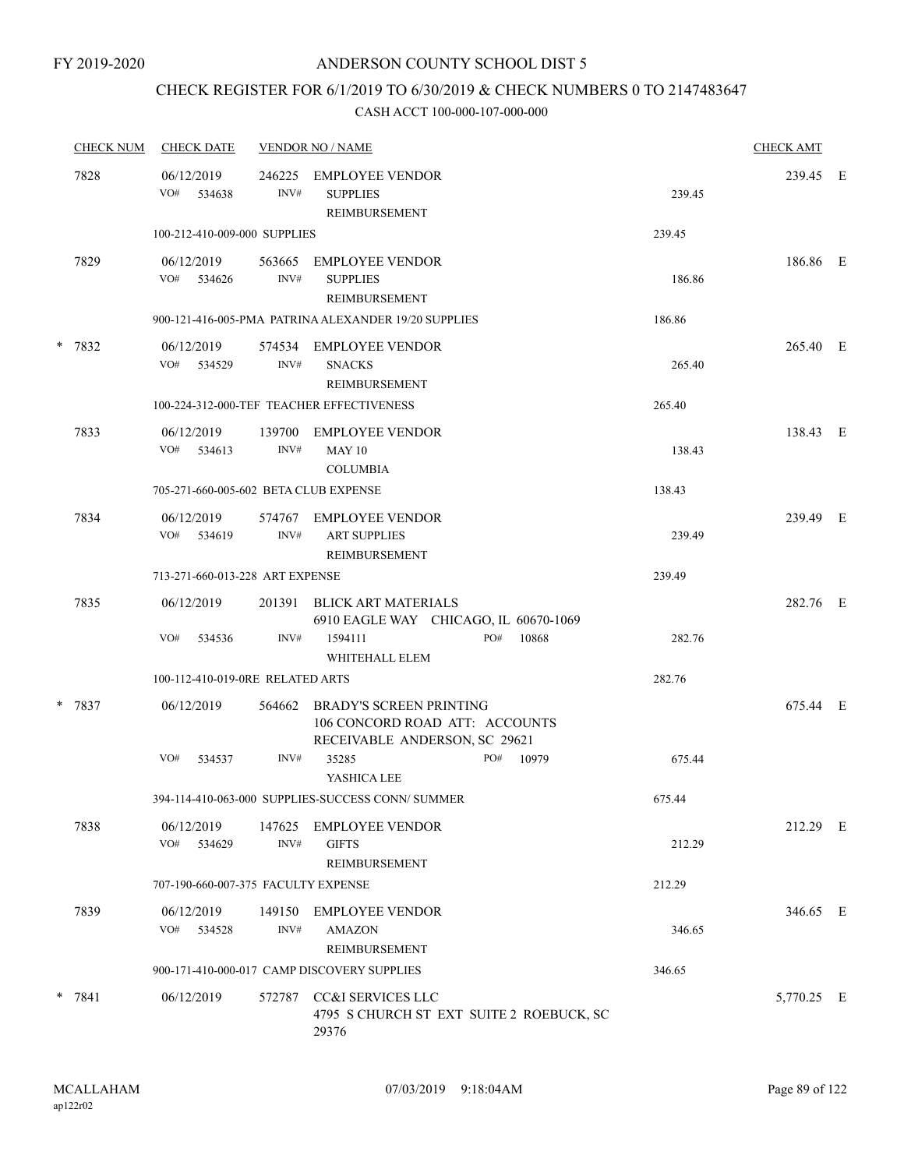## CHECK REGISTER FOR 6/1/2019 TO 6/30/2019 & CHECK NUMBERS 0 TO 2147483647

|  | <b>CHECK NUM</b> | <b>CHECK DATE</b>                         |                | <b>VENDOR NO / NAME</b>                                                                           |        |            |  |  |  |
|--|------------------|-------------------------------------------|----------------|---------------------------------------------------------------------------------------------------|--------|------------|--|--|--|
|  | 7828             | 06/12/2019<br>VO#<br>534638               | 246225<br>INV# | <b>EMPLOYEE VENDOR</b><br><b>SUPPLIES</b><br>REIMBURSEMENT                                        | 239.45 | 239.45 E   |  |  |  |
|  |                  | 100-212-410-009-000 SUPPLIES              |                |                                                                                                   | 239.45 |            |  |  |  |
|  | 7829             | 06/12/2019<br>VO# 534626                  | 563665<br>INV# | EMPLOYEE VENDOR<br><b>SUPPLIES</b><br>REIMBURSEMENT                                               | 186.86 | 186.86 E   |  |  |  |
|  |                  |                                           |                | 900-121-416-005-PMA PATRINA ALEXANDER 19/20 SUPPLIES                                              | 186.86 |            |  |  |  |
|  | * 7832           | 06/12/2019<br>VO# 534529                  | INV#           | 574534 EMPLOYEE VENDOR<br><b>SNACKS</b><br>REIMBURSEMENT                                          | 265.40 | 265.40 E   |  |  |  |
|  |                  | 100-224-312-000-TEF TEACHER EFFECTIVENESS | 265.40         |                                                                                                   |        |            |  |  |  |
|  | 7833             | 06/12/2019<br>VO#<br>534613               | 139700<br>INV# | EMPLOYEE VENDOR<br><b>MAY 10</b><br><b>COLUMBIA</b>                                               | 138.43 | 138.43 E   |  |  |  |
|  |                  | 705-271-660-005-602 BETA CLUB EXPENSE     |                |                                                                                                   | 138.43 |            |  |  |  |
|  | 7834             | 06/12/2019<br>VO#<br>534619               | 574767<br>INV# | EMPLOYEE VENDOR<br><b>ART SUPPLIES</b><br>REIMBURSEMENT                                           | 239.49 | 239.49 E   |  |  |  |
|  |                  | 713-271-660-013-228 ART EXPENSE           |                |                                                                                                   | 239.49 |            |  |  |  |
|  | 7835             | 06/12/2019                                | 201391         | BLICK ART MATERIALS<br>6910 EAGLE WAY CHICAGO, IL 60670-1069                                      |        | 282.76 E   |  |  |  |
|  |                  | VO#<br>534536                             | INV#           | 1594111<br>PO#<br>10868<br>WHITEHALL ELEM                                                         | 282.76 |            |  |  |  |
|  |                  | 100-112-410-019-0RE RELATED ARTS          |                |                                                                                                   | 282.76 |            |  |  |  |
|  | * 7837           | 06/12/2019                                | 564662         | <b>BRADY'S SCREEN PRINTING</b><br>106 CONCORD ROAD ATT: ACCOUNTS<br>RECEIVABLE ANDERSON, SC 29621 |        | 675.44 E   |  |  |  |
|  |                  | VO#<br>534537                             | INV#           | PO#<br>10979<br>35285<br>YASHICA LEE                                                              | 675.44 |            |  |  |  |
|  |                  |                                           |                | 394-114-410-063-000 SUPPLIES-SUCCESS CONN/ SUMMER                                                 | 675.44 |            |  |  |  |
|  | 7838             | 06/12/2019<br>VO# 534629                  | INV#           | 147625 EMPLOYEE VENDOR<br><b>GIFTS</b><br>REIMBURSEMENT                                           | 212.29 | 212.29 E   |  |  |  |
|  |                  | 707-190-660-007-375 FACULTY EXPENSE       |                |                                                                                                   | 212.29 |            |  |  |  |
|  | 7839             | 06/12/2019<br>VO# 534528                  | INV#           | 149150 EMPLOYEE VENDOR<br><b>AMAZON</b><br>REIMBURSEMENT                                          | 346.65 | 346.65 E   |  |  |  |
|  |                  |                                           |                | 900-171-410-000-017 CAMP DISCOVERY SUPPLIES                                                       | 346.65 |            |  |  |  |
|  | * 7841           | 06/12/2019                                |                | 572787 CC&I SERVICES LLC<br>4795 S CHURCH ST EXT SUITE 2 ROEBUCK, SC<br>29376                     |        | 5,770.25 E |  |  |  |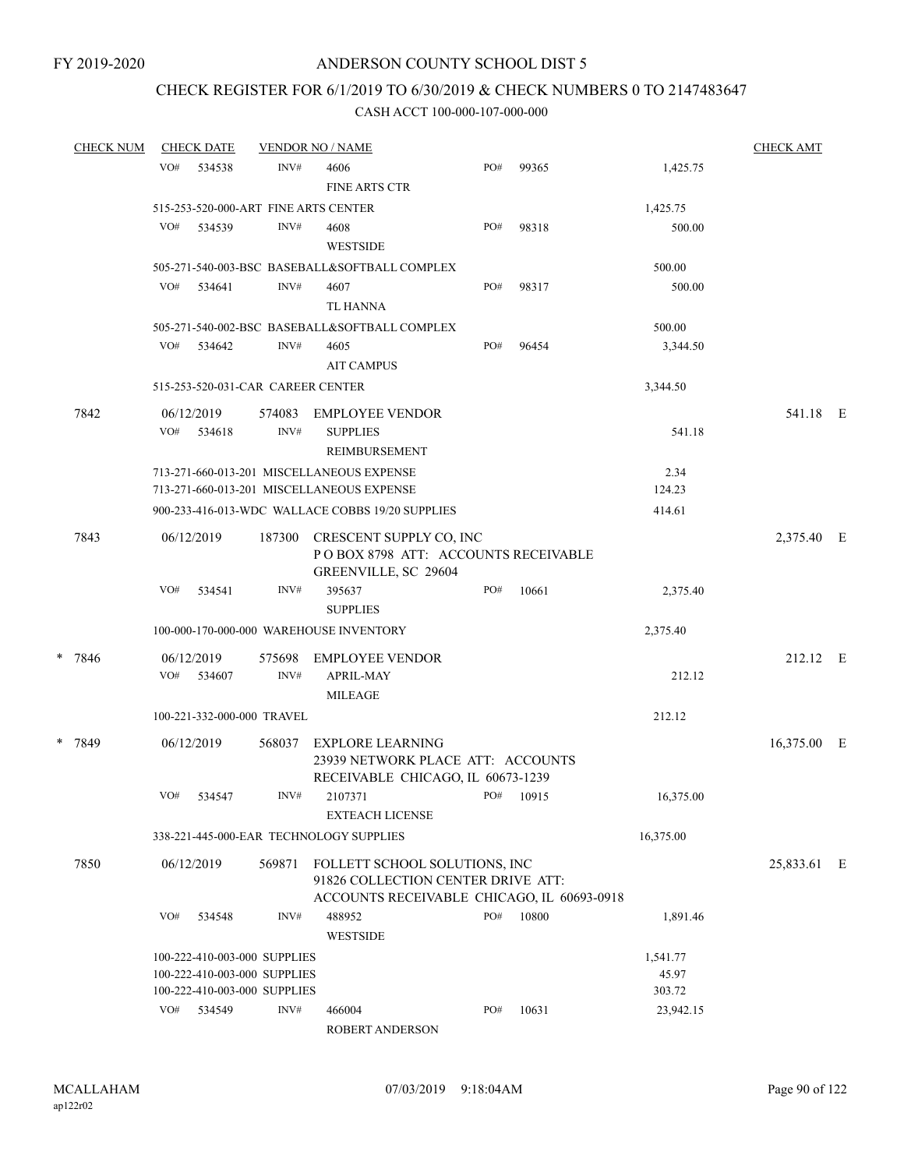## CHECK REGISTER FOR 6/1/2019 TO 6/30/2019 & CHECK NUMBERS 0 TO 2147483647

#### CASH ACCT 100-000-107-000-000

| <b>CHECK NUM</b> |     | <b>CHECK DATE</b>                                            |                | <b>CHECK AMT</b><br><b>VENDOR NO / NAME</b>                                                                       |     |       |                     |             |  |
|------------------|-----|--------------------------------------------------------------|----------------|-------------------------------------------------------------------------------------------------------------------|-----|-------|---------------------|-------------|--|
|                  | VO# | 534538                                                       | INV#           | 4606<br><b>FINE ARTS CTR</b>                                                                                      | PO# | 99365 | 1,425.75            |             |  |
|                  |     | 515-253-520-000-ART FINE ARTS CENTER                         |                |                                                                                                                   |     |       | 1,425.75            |             |  |
|                  | VO# | 534539                                                       | INV#           | 4608<br><b>WESTSIDE</b>                                                                                           | PO# | 98318 | 500.00              |             |  |
|                  |     |                                                              |                | 505-271-540-003-BSC BASEBALL&SOFTBALL COMPLEX                                                                     |     |       | 500.00              |             |  |
|                  | VO# | 534641                                                       | INV#           | 4607<br>TL HANNA                                                                                                  | PO# | 98317 | 500.00              |             |  |
|                  |     |                                                              |                | 505-271-540-002-BSC BASEBALL&SOFTBALL COMPLEX                                                                     |     |       | 500.00              |             |  |
|                  | VO# | 534642                                                       | INV#           | 4605<br><b>AIT CAMPUS</b>                                                                                         | PO# | 96454 | 3,344.50            |             |  |
|                  |     | 515-253-520-031-CAR CAREER CENTER                            |                |                                                                                                                   |     |       | 3,344.50            |             |  |
| 7842             | VO# | 06/12/2019<br>534618                                         | 574083<br>INV# | <b>EMPLOYEE VENDOR</b><br><b>SUPPLIES</b><br>REIMBURSEMENT                                                        |     |       | 541.18              | 541.18 E    |  |
|                  |     |                                                              |                | 713-271-660-013-201 MISCELLANEOUS EXPENSE<br>713-271-660-013-201 MISCELLANEOUS EXPENSE                            |     |       | 2.34<br>124.23      |             |  |
|                  |     |                                                              |                | 900-233-416-013-WDC WALLACE COBBS 19/20 SUPPLIES                                                                  |     |       | 414.61              |             |  |
| 7843             |     | 06/12/2019                                                   | 187300         | CRESCENT SUPPLY CO, INC<br>POBOX 8798 ATT: ACCOUNTS RECEIVABLE<br>GREENVILLE, SC 29604                            |     |       |                     | 2,375.40 E  |  |
|                  | VO# | 534541                                                       | INV#           | 395637<br><b>SUPPLIES</b>                                                                                         | PO# | 10661 | 2,375.40            |             |  |
|                  |     |                                                              |                | 100-000-170-000-000 WAREHOUSE INVENTORY                                                                           |     |       | 2,375.40            |             |  |
| * 7846           |     | 06/12/2019                                                   | 575698         | <b>EMPLOYEE VENDOR</b>                                                                                            |     |       |                     | 212.12 E    |  |
|                  | VO# | 534607                                                       | INV#           | <b>APRIL-MAY</b><br><b>MILEAGE</b>                                                                                |     |       | 212.12              |             |  |
|                  |     | 100-221-332-000-000 TRAVEL                                   |                |                                                                                                                   |     |       | 212.12              |             |  |
| * 7849           |     | 06/12/2019                                                   | 568037         | <b>EXPLORE LEARNING</b><br>23939 NETWORK PLACE ATT: ACCOUNTS<br>RECEIVABLE CHICAGO, IL 60673-1239                 |     |       |                     | 16,375.00 E |  |
|                  | VO# | 534547                                                       | INV#           | 2107371<br><b>EXTEACH LICENSE</b>                                                                                 | PO# | 10915 | 16,375.00           |             |  |
|                  |     |                                                              |                | 338-221-445-000-EAR TECHNOLOGY SUPPLIES                                                                           |     |       | 16,375.00           |             |  |
| 7850             |     | 06/12/2019                                                   | 569871         | FOLLETT SCHOOL SOLUTIONS, INC<br>91826 COLLECTION CENTER DRIVE ATT:<br>ACCOUNTS RECEIVABLE CHICAGO, IL 60693-0918 |     |       |                     | 25,833.61 E |  |
|                  | VO# | 534548                                                       | INV#           | 488952<br><b>WESTSIDE</b>                                                                                         | PO# | 10800 | 1,891.46            |             |  |
|                  |     | 100-222-410-003-000 SUPPLIES<br>100-222-410-003-000 SUPPLIES |                |                                                                                                                   |     |       | 1,541.77<br>45.97   |             |  |
|                  | VO# | 100-222-410-003-000 SUPPLIES<br>534549                       | INV#           | 466004                                                                                                            | PO# | 10631 | 303.72<br>23,942.15 |             |  |
|                  |     |                                                              |                | 0.0022110000                                                                                                      |     |       |                     |             |  |

ROBERT ANDERSON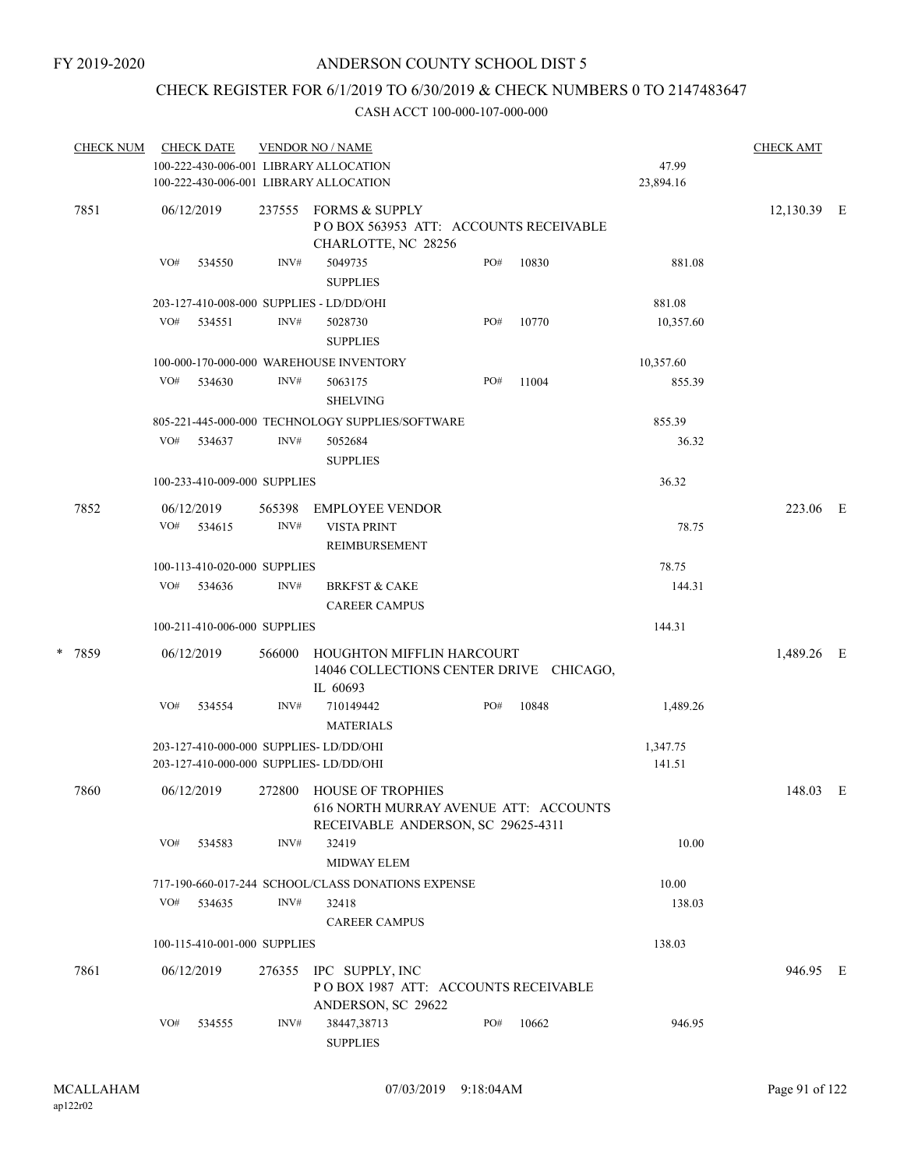## CHECK REGISTER FOR 6/1/2019 TO 6/30/2019 & CHECK NUMBERS 0 TO 2147483647

| <b>CHECK NUM</b> |      | <b>CHECK DATE</b> |                              | <b>VENDOR NO / NAME</b> |                                                                                                  |     |       | <b>CHECK AMT</b>   |             |  |
|------------------|------|-------------------|------------------------------|-------------------------|--------------------------------------------------------------------------------------------------|-----|-------|--------------------|-------------|--|
|                  |      |                   |                              |                         | 100-222-430-006-001 LIBRARY ALLOCATION<br>100-222-430-006-001 LIBRARY ALLOCATION                 |     |       | 47.99<br>23,894.16 |             |  |
|                  | 7851 |                   | 06/12/2019                   | 237555                  | <b>FORMS &amp; SUPPLY</b><br>PO BOX 563953 ATT: ACCOUNTS RECEIVABLE<br>CHARLOTTE, NC 28256       |     |       |                    | 12,130.39 E |  |
|                  |      | VO#               | 534550                       | INV#                    | 5049735<br><b>SUPPLIES</b>                                                                       | PO# | 10830 | 881.08             |             |  |
|                  |      |                   |                              |                         | 203-127-410-008-000 SUPPLIES - LD/DD/OHI                                                         |     |       | 881.08             |             |  |
|                  |      | VO#               | 534551                       | INV#                    | 5028730<br><b>SUPPLIES</b>                                                                       | PO# | 10770 | 10,357.60          |             |  |
|                  |      |                   |                              |                         | 100-000-170-000-000 WAREHOUSE INVENTORY                                                          |     |       | 10,357.60          |             |  |
|                  |      | VO#               | 534630                       | INV#                    | 5063175<br><b>SHELVING</b>                                                                       | PO# | 11004 | 855.39             |             |  |
|                  |      |                   |                              |                         | 805-221-445-000-000 TECHNOLOGY SUPPLIES/SOFTWARE                                                 |     |       | 855.39             |             |  |
|                  |      | VO#               | 534637                       | INV#                    | 5052684<br><b>SUPPLIES</b>                                                                       |     |       | 36.32              |             |  |
|                  |      |                   | 100-233-410-009-000 SUPPLIES |                         |                                                                                                  |     |       | 36.32              |             |  |
|                  | 7852 |                   | 06/12/2019                   | 565398                  | <b>EMPLOYEE VENDOR</b>                                                                           |     |       |                    | 223.06 E    |  |
|                  |      | VO#               | 534615                       | INV#                    | <b>VISTA PRINT</b><br><b>REIMBURSEMENT</b>                                                       |     |       | 78.75              |             |  |
|                  |      |                   | 100-113-410-020-000 SUPPLIES |                         |                                                                                                  |     |       | 78.75              |             |  |
|                  |      | VO#               | 534636                       | INV#                    | <b>BRKFST &amp; CAKE</b><br><b>CAREER CAMPUS</b>                                                 |     |       | 144.31             |             |  |
|                  |      |                   | 100-211-410-006-000 SUPPLIES |                         |                                                                                                  |     |       | 144.31             |             |  |
| *                | 7859 |                   | 06/12/2019                   | 566000                  | <b>HOUGHTON MIFFLIN HARCOURT</b><br>14046 COLLECTIONS CENTER DRIVE CHICAGO,<br>IL 60693          |     |       |                    | 1,489.26 E  |  |
|                  |      | VO#               | 534554                       | INV#                    | 710149442<br><b>MATERIALS</b>                                                                    | PO# | 10848 | 1,489.26           |             |  |
|                  |      |                   |                              |                         | 203-127-410-000-000 SUPPLIES- LD/DD/OHI<br>203-127-410-000-000 SUPPLIES- LD/DD/OHI               |     |       | 1,347.75<br>141.51 |             |  |
|                  | 7860 |                   | 06/12/2019                   | 272800                  | HOUSE OF TROPHIES<br>616 NORTH MURRAY AVENUE ATT: ACCOUNTS<br>RECEIVABLE ANDERSON, SC 29625-4311 |     |       |                    | 148.03 E    |  |
|                  |      | VO#               | 534583                       | INV#                    | 32419<br>MIDWAY ELEM                                                                             |     |       | 10.00              |             |  |
|                  |      |                   |                              |                         | 717-190-660-017-244 SCHOOL/CLASS DONATIONS EXPENSE                                               |     |       | 10.00              |             |  |
|                  |      | VO#               | 534635                       | INV#                    | 32418<br><b>CAREER CAMPUS</b>                                                                    |     |       | 138.03             |             |  |
|                  |      |                   | 100-115-410-001-000 SUPPLIES |                         |                                                                                                  |     |       | 138.03             |             |  |
|                  | 7861 |                   | 06/12/2019                   |                         | 276355 IPC SUPPLY, INC<br>POBOX 1987 ATT: ACCOUNTS RECEIVABLE<br>ANDERSON, SC 29622              |     |       |                    | 946.95 E    |  |
|                  |      | VO#               | 534555                       | INV#                    | 38447,38713<br><b>SUPPLIES</b>                                                                   | PO# | 10662 | 946.95             |             |  |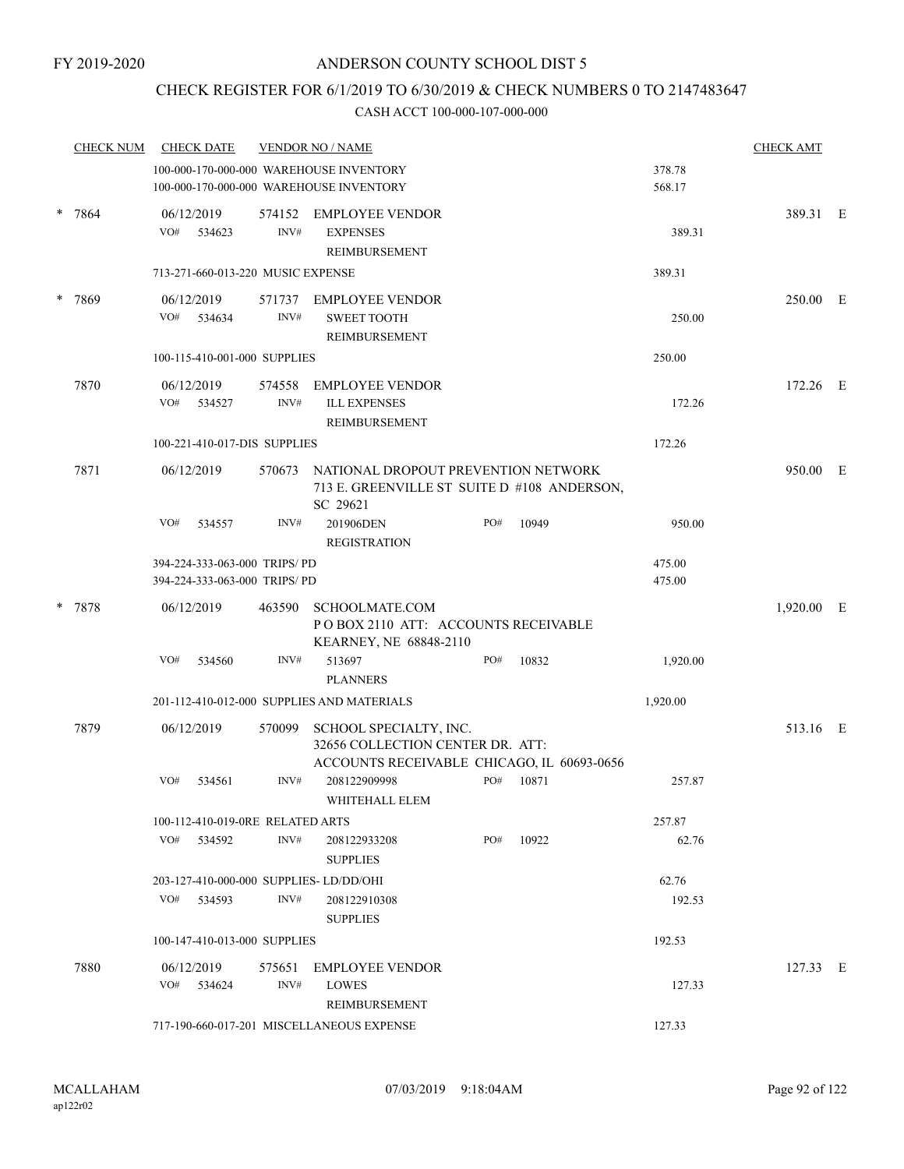## CHECK REGISTER FOR 6/1/2019 TO 6/30/2019 & CHECK NUMBERS 0 TO 2147483647

|   | <b>CHECK NUM</b> |     | <b>CHECK DATE</b>            |                                                              | <b>VENDOR NO / NAME</b>                                                                               |     |       |                  | <b>CHECK AMT</b> |  |
|---|------------------|-----|------------------------------|--------------------------------------------------------------|-------------------------------------------------------------------------------------------------------|-----|-------|------------------|------------------|--|
|   |                  |     |                              |                                                              | 100-000-170-000-000 WAREHOUSE INVENTORY                                                               |     |       | 378.78           |                  |  |
|   |                  |     |                              |                                                              | 100-000-170-000-000 WAREHOUSE INVENTORY                                                               |     |       | 568.17           |                  |  |
| * | 7864             | VO# | 06/12/2019<br>534623         | 574152<br>INV#                                               | <b>EMPLOYEE VENDOR</b><br><b>EXPENSES</b>                                                             |     |       | 389.31           | 389.31 E         |  |
|   |                  |     |                              | 713-271-660-013-220 MUSIC EXPENSE                            | REIMBURSEMENT                                                                                         |     |       | 389.31           |                  |  |
|   |                  |     | 06/12/2019                   |                                                              | 571737 EMPLOYEE VENDOR                                                                                |     |       |                  | 250.00 E         |  |
|   | 7869             | VO# | 534634                       | INV#                                                         | <b>SWEET TOOTH</b><br>REIMBURSEMENT                                                                   |     |       | 250.00           |                  |  |
|   |                  |     |                              | 100-115-410-001-000 SUPPLIES                                 | 250.00                                                                                                |     |       |                  |                  |  |
|   | 7870             | VO# | 06/12/2019<br>534527         | 574558<br>INV#                                               | <b>EMPLOYEE VENDOR</b><br><b>ILL EXPENSES</b><br>REIMBURSEMENT                                        |     |       | 172.26           | 172.26 E         |  |
|   |                  |     | 100-221-410-017-DIS SUPPLIES | 172.26                                                       |                                                                                                       |     |       |                  |                  |  |
|   | 7871             |     | 06/12/2019                   |                                                              | 570673 NATIONAL DROPOUT PREVENTION NETWORK<br>713 E. GREENVILLE ST SUITE D #108 ANDERSON,<br>SC 29621 |     |       |                  | 950.00 E         |  |
|   |                  | VO# | 534557                       | INV#                                                         | 201906DEN<br><b>REGISTRATION</b>                                                                      | PO# | 10949 | 950.00           |                  |  |
|   |                  |     |                              | 394-224-333-063-000 TRIPS/PD<br>394-224-333-063-000 TRIPS/PD |                                                                                                       |     |       | 475.00<br>475.00 |                  |  |
|   | 7878             |     | 06/12/2019                   | 463590                                                       | <b>SCHOOLMATE.COM</b><br>PO BOX 2110 ATT: ACCOUNTS RECEIVABLE<br>KEARNEY, NE 68848-2110               |     |       |                  | 1,920.00 E       |  |
|   |                  | VO# | 534560                       | INV#                                                         | 513697                                                                                                | PO# | 10832 | 1,920.00         |                  |  |
|   |                  |     |                              |                                                              | <b>PLANNERS</b>                                                                                       |     |       |                  |                  |  |
|   |                  |     |                              |                                                              | 201-112-410-012-000 SUPPLIES AND MATERIALS                                                            |     |       | 1,920.00         |                  |  |
|   | 7879             |     | 06/12/2019                   | 570099                                                       | SCHOOL SPECIALTY, INC.<br>32656 COLLECTION CENTER DR. ATT:                                            |     |       |                  | 513.16 E         |  |
|   |                  | VO# | 534561                       | INV#                                                         | ACCOUNTS RECEIVABLE CHICAGO, IL 60693-0656<br>208122909998<br>WHITEHALL ELEM                          | PO# | 10871 | 257.87           |                  |  |
|   |                  |     |                              | 100-112-410-019-0RE RELATED ARTS                             |                                                                                                       |     |       | 257.87           |                  |  |
|   |                  |     | VO# 534592                   | INV#                                                         | 208122933208<br><b>SUPPLIES</b>                                                                       | PO# | 10922 | 62.76            |                  |  |
|   |                  |     |                              |                                                              | 203-127-410-000-000 SUPPLIES-LD/DD/OHI                                                                |     |       | 62.76            |                  |  |
|   |                  |     | VO# 534593                   | INV#                                                         | 208122910308<br><b>SUPPLIES</b>                                                                       |     |       | 192.53           |                  |  |
|   |                  |     |                              | 100-147-410-013-000 SUPPLIES                                 |                                                                                                       |     |       | 192.53           |                  |  |
|   | 7880             |     | 06/12/2019                   | 575651                                                       | <b>EMPLOYEE VENDOR</b>                                                                                |     |       |                  | 127.33 E         |  |
|   |                  |     | $VO#$ 534624                 | INV#                                                         | LOWES<br>REIMBURSEMENT                                                                                |     |       | 127.33           |                  |  |
|   |                  |     |                              |                                                              | 717-190-660-017-201 MISCELLANEOUS EXPENSE                                                             |     |       | 127.33           |                  |  |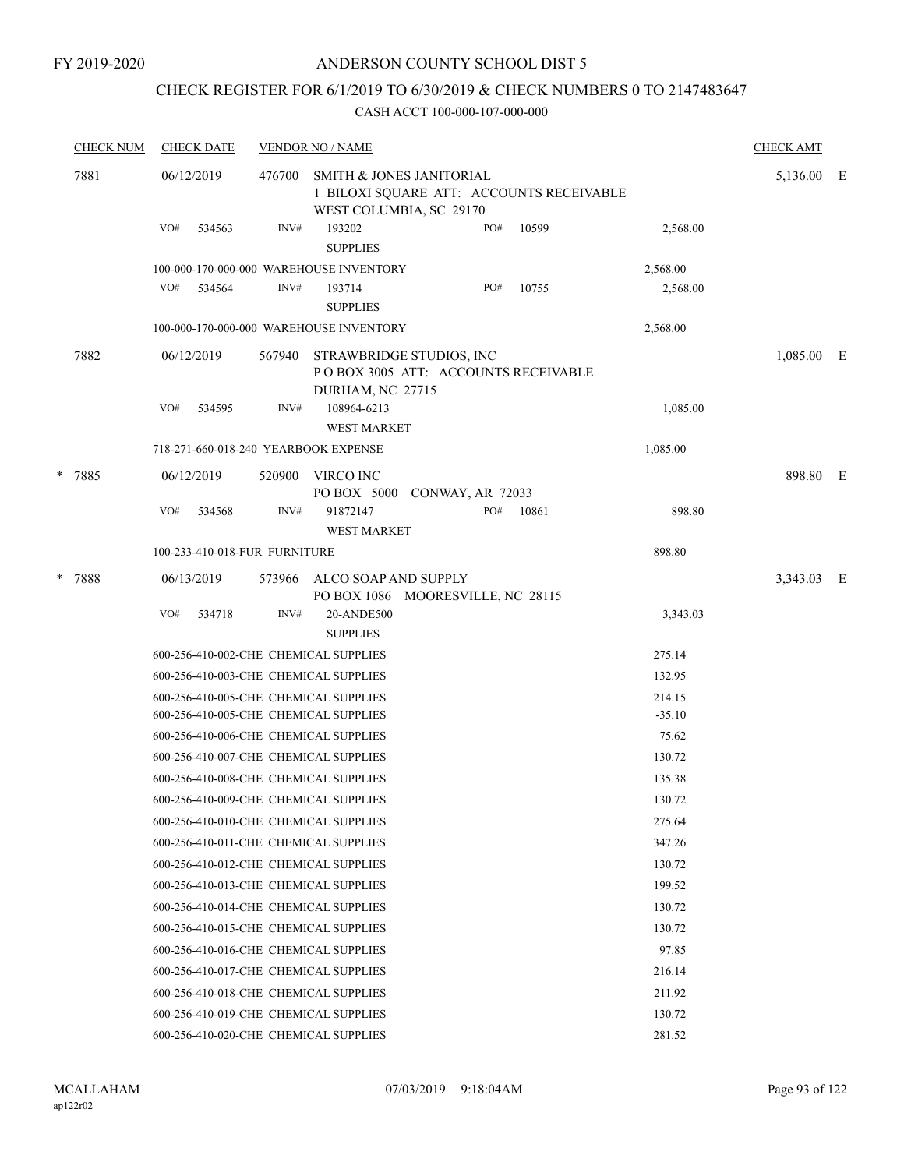#### FY 2019-2020

## ANDERSON COUNTY SCHOOL DIST 5

## CHECK REGISTER FOR 6/1/2019 TO 6/30/2019 & CHECK NUMBERS 0 TO 2147483647

|   | <b>CHECK NUM</b> | <b>CHECK DATE</b><br><b>VENDOR NO / NAME</b> |        |                                                                                     |  |     |                                          |          |            |   |
|---|------------------|----------------------------------------------|--------|-------------------------------------------------------------------------------------|--|-----|------------------------------------------|----------|------------|---|
|   | 7881             | 06/12/2019                                   | 476700 | SMITH & JONES JANITORIAL<br>WEST COLUMBIA, SC 29170                                 |  |     | 1 BILOXI SQUARE ATT: ACCOUNTS RECEIVABLE |          | 5,136.00   | E |
|   |                  | VO#<br>534563                                | INV#   | 193202<br><b>SUPPLIES</b>                                                           |  | PO# | 10599                                    | 2,568.00 |            |   |
|   |                  | 100-000-170-000-000 WAREHOUSE INVENTORY      |        |                                                                                     |  |     |                                          | 2,568.00 |            |   |
|   |                  | VO#<br>534564                                | INV#   | 193714<br><b>SUPPLIES</b>                                                           |  | PO# | 10755                                    | 2,568.00 |            |   |
|   |                  | 100-000-170-000-000 WAREHOUSE INVENTORY      |        |                                                                                     |  |     |                                          | 2,568.00 |            |   |
|   | 7882             | 06/12/2019                                   | 567940 | STRAWBRIDGE STUDIOS, INC<br>POBOX 3005 ATT: ACCOUNTS RECEIVABLE<br>DURHAM, NC 27715 |  |     |                                          |          | 1,085.00   | E |
|   |                  | VO#<br>534595                                | INV#   | 108964-6213<br><b>WEST MARKET</b>                                                   |  |     |                                          | 1,085.00 |            |   |
|   |                  | 718-271-660-018-240 YEARBOOK EXPENSE         |        |                                                                                     |  |     |                                          | 1,085.00 |            |   |
| * | 7885             | 06/12/2019                                   | 520900 | VIRCO INC<br>PO BOX 5000 CONWAY, AR 72033                                           |  |     |                                          |          | 898.80     | E |
|   |                  | VO#<br>534568                                | INV#   | 91872147<br><b>WEST MARKET</b>                                                      |  | PO# | 10861                                    | 898.80   |            |   |
|   |                  | 100-233-410-018-FUR FURNITURE                |        |                                                                                     |  |     |                                          | 898.80   |            |   |
|   | * 7888           | 06/13/2019                                   | 573966 | ALCO SOAP AND SUPPLY<br>PO BOX 1086 MOORESVILLE, NC 28115                           |  |     |                                          |          | 3,343.03 E |   |
|   |                  | VO#<br>534718                                | INV#   | 20-ANDE500<br><b>SUPPLIES</b>                                                       |  |     |                                          | 3,343.03 |            |   |
|   |                  | 600-256-410-002-CHE CHEMICAL SUPPLIES        |        |                                                                                     |  |     |                                          | 275.14   |            |   |
|   |                  | 600-256-410-003-CHE CHEMICAL SUPPLIES        |        |                                                                                     |  |     |                                          | 132.95   |            |   |
|   |                  | 600-256-410-005-CHE CHEMICAL SUPPLIES        |        |                                                                                     |  |     |                                          | 214.15   |            |   |
|   |                  | 600-256-410-005-CHE CHEMICAL SUPPLIES        |        |                                                                                     |  |     |                                          | $-35.10$ |            |   |
|   |                  | 600-256-410-006-CHE CHEMICAL SUPPLIES        |        |                                                                                     |  |     |                                          | 75.62    |            |   |
|   |                  | 600-256-410-007-CHE CHEMICAL SUPPLIES        |        |                                                                                     |  |     |                                          | 130.72   |            |   |
|   |                  | 600-256-410-008-CHE CHEMICAL SUPPLIES        |        |                                                                                     |  |     |                                          | 135.38   |            |   |
|   |                  | 600-256-410-009-CHE CHEMICAL SUPPLIES        |        |                                                                                     |  |     |                                          | 130.72   |            |   |
|   |                  | 600-256-410-010-CHE CHEMICAL SUPPLIES        |        |                                                                                     |  |     |                                          | 275.64   |            |   |
|   |                  | 600-256-410-011-CHE CHEMICAL SUPPLIES        |        |                                                                                     |  |     |                                          | 347.26   |            |   |
|   |                  | 600-256-410-012-CHE CHEMICAL SUPPLIES        |        |                                                                                     |  |     |                                          | 130.72   |            |   |
|   |                  | 600-256-410-013-CHE CHEMICAL SUPPLIES        |        |                                                                                     |  |     |                                          | 199.52   |            |   |
|   |                  | 600-256-410-014-CHE CHEMICAL SUPPLIES        |        |                                                                                     |  |     |                                          | 130.72   |            |   |
|   |                  | 600-256-410-015-CHE CHEMICAL SUPPLIES        |        |                                                                                     |  |     |                                          | 130.72   |            |   |
|   |                  | 600-256-410-016-CHE CHEMICAL SUPPLIES        |        |                                                                                     |  |     |                                          | 97.85    |            |   |
|   |                  | 600-256-410-017-CHE CHEMICAL SUPPLIES        |        |                                                                                     |  |     |                                          | 216.14   |            |   |
|   |                  | 600-256-410-018-CHE CHEMICAL SUPPLIES        |        |                                                                                     |  |     |                                          | 211.92   |            |   |
|   |                  | 600-256-410-019-CHE CHEMICAL SUPPLIES        |        |                                                                                     |  |     |                                          | 130.72   |            |   |
|   |                  | 600-256-410-020-CHE CHEMICAL SUPPLIES        |        |                                                                                     |  |     |                                          | 281.52   |            |   |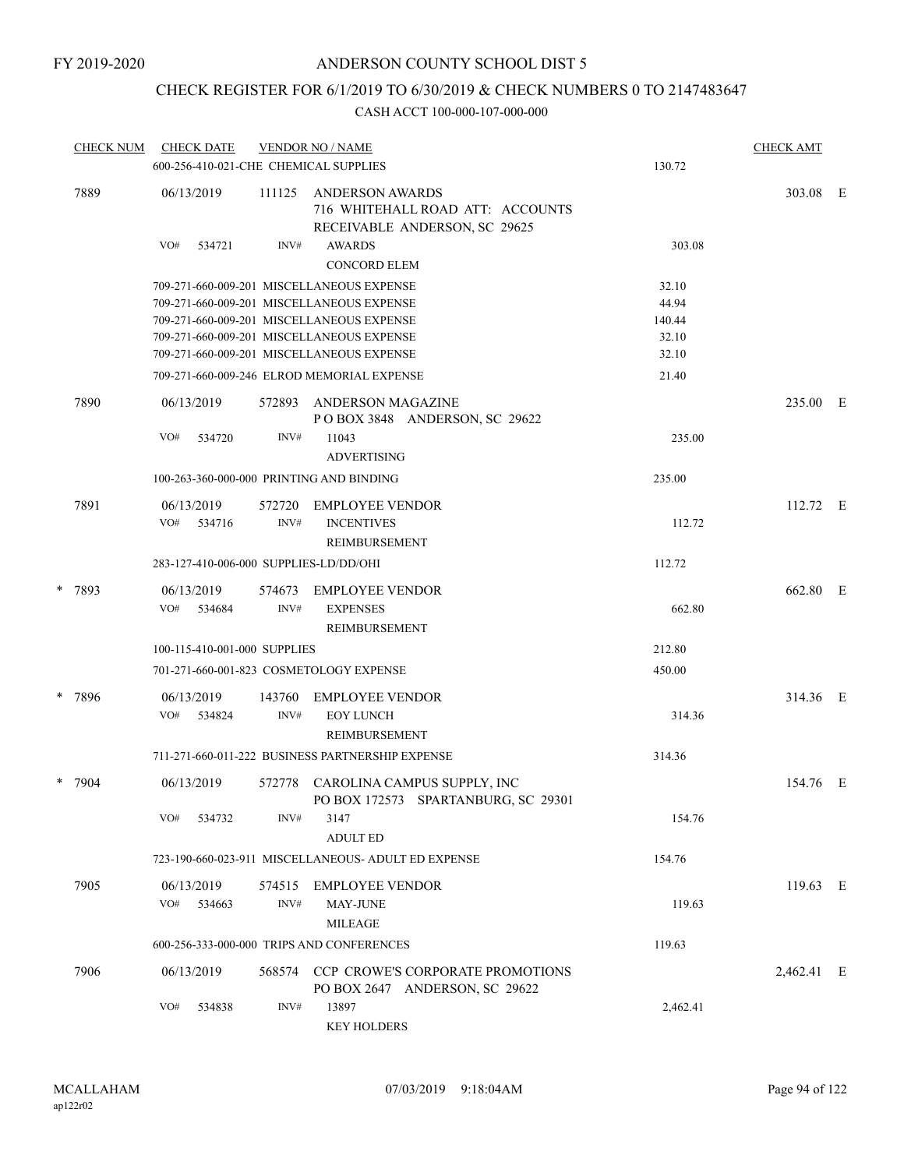## CHECK REGISTER FOR 6/1/2019 TO 6/30/2019 & CHECK NUMBERS 0 TO 2147483647

| <b>CHECK NUM</b> | <b>CHECK DATE</b> |                              |        | <b>VENDOR NO / NAME</b><br>600-256-410-021-CHE CHEMICAL SUPPLIES                            | 130.72   | <b>CHECK AMT</b> |  |
|------------------|-------------------|------------------------------|--------|---------------------------------------------------------------------------------------------|----------|------------------|--|
| 7889             | 06/13/2019        |                              | 111125 | <b>ANDERSON AWARDS</b><br>716 WHITEHALL ROAD ATT: ACCOUNTS<br>RECEIVABLE ANDERSON, SC 29625 |          | 303.08 E         |  |
|                  | VO#               | 534721                       | INV#   | <b>AWARDS</b><br><b>CONCORD ELEM</b>                                                        | 303.08   |                  |  |
|                  |                   |                              |        | 709-271-660-009-201 MISCELLANEOUS EXPENSE                                                   | 32.10    |                  |  |
|                  |                   |                              |        | 709-271-660-009-201 MISCELLANEOUS EXPENSE                                                   | 44.94    |                  |  |
|                  |                   |                              |        | 709-271-660-009-201 MISCELLANEOUS EXPENSE                                                   | 140.44   |                  |  |
|                  |                   |                              |        | 709-271-660-009-201 MISCELLANEOUS EXPENSE                                                   | 32.10    |                  |  |
|                  |                   |                              |        | 709-271-660-009-201 MISCELLANEOUS EXPENSE                                                   | 32.10    |                  |  |
|                  |                   |                              |        | 709-271-660-009-246 ELROD MEMORIAL EXPENSE                                                  | 21.40    |                  |  |
| 7890             | 06/13/2019        |                              | 572893 | ANDERSON MAGAZINE<br>POBOX 3848 ANDERSON, SC 29622                                          |          | 235.00 E         |  |
|                  | VO#               | 534720                       | INV#   | 11043<br><b>ADVERTISING</b>                                                                 | 235.00   |                  |  |
|                  |                   |                              |        | 100-263-360-000-000 PRINTING AND BINDING                                                    | 235.00   |                  |  |
| 7891             | 06/13/2019        |                              | 572720 | <b>EMPLOYEE VENDOR</b>                                                                      |          | 112.72 E         |  |
|                  | VO# 534716        |                              | INV#   | <b>INCENTIVES</b><br>REIMBURSEMENT                                                          | 112.72   |                  |  |
|                  |                   |                              |        | 283-127-410-006-000 SUPPLIES-LD/DD/OHI                                                      | 112.72   |                  |  |
| * 7893           | 06/13/2019        |                              | 574673 | <b>EMPLOYEE VENDOR</b>                                                                      |          | 662.80 E         |  |
|                  | VO# 534684        |                              | INV#   | <b>EXPENSES</b>                                                                             | 662.80   |                  |  |
|                  |                   |                              |        | REIMBURSEMENT                                                                               |          |                  |  |
|                  |                   | 100-115-410-001-000 SUPPLIES |        |                                                                                             | 212.80   |                  |  |
|                  |                   |                              |        | 701-271-660-001-823 COSMETOLOGY EXPENSE                                                     | 450.00   |                  |  |
| * 7896           | 06/13/2019        |                              | 143760 | EMPLOYEE VENDOR                                                                             |          | 314.36 E         |  |
|                  | VO# 534824        |                              | INV#   | <b>EOY LUNCH</b>                                                                            | 314.36   |                  |  |
|                  |                   |                              |        | <b>REIMBURSEMENT</b>                                                                        |          |                  |  |
|                  |                   |                              |        | 711-271-660-011-222 BUSINESS PARTNERSHIP EXPENSE                                            | 314.36   |                  |  |
| * 7904           | 06/13/2019        |                              |        | 572778 CAROLINA CAMPUS SUPPLY, INC<br>PO BOX 172573 SPARTANBURG, SC 29301                   |          | 154.76 E         |  |
|                  | VO#               | 534732                       | INV#   | 3147<br><b>ADULT ED</b>                                                                     | 154.76   |                  |  |
|                  |                   |                              |        | 723-190-660-023-911 MISCELLANEOUS- ADULT ED EXPENSE                                         | 154.76   |                  |  |
|                  |                   |                              |        |                                                                                             |          |                  |  |
| 7905             | 06/13/2019        |                              | 574515 | <b>EMPLOYEE VENDOR</b>                                                                      |          | 119.63 E         |  |
|                  | VO# 534663        |                              | INV#   | MAY-JUNE                                                                                    | 119.63   |                  |  |
|                  |                   |                              |        | <b>MILEAGE</b><br>600-256-333-000-000 TRIPS AND CONFERENCES                                 | 119.63   |                  |  |
|                  |                   |                              |        |                                                                                             |          |                  |  |
| 7906             | 06/13/2019        |                              | 568574 | CCP CROWE'S CORPORATE PROMOTIONS<br>PO BOX 2647 ANDERSON, SC 29622                          |          | 2,462.41 E       |  |
|                  | VO#               | 534838                       | INV#   | 13897<br><b>KEY HOLDERS</b>                                                                 | 2,462.41 |                  |  |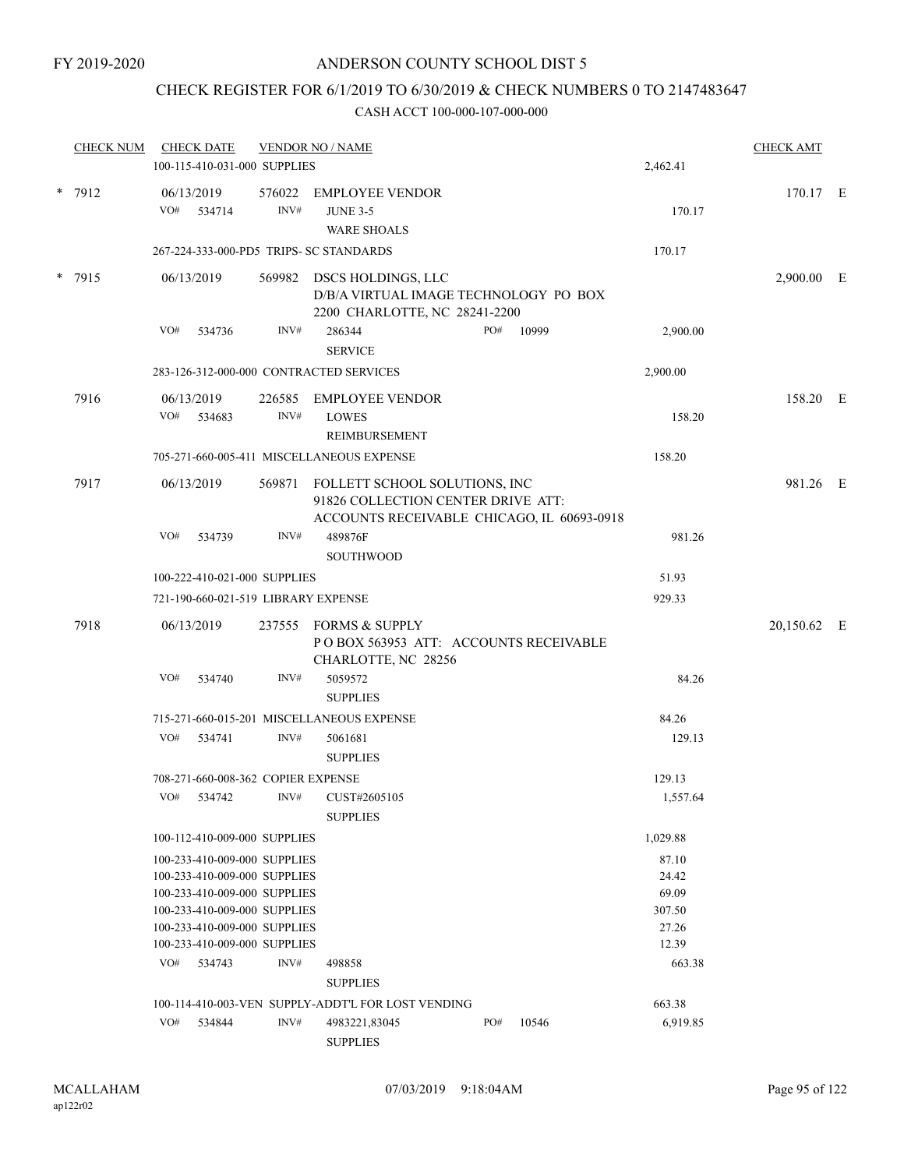## CHECK REGISTER FOR 6/1/2019 TO 6/30/2019 & CHECK NUMBERS 0 TO 2147483647

| <b>CHECK NUM</b> |     | <b>CHECK DATE</b><br>100-115-410-031-000 SUPPLIES            |                | <b>VENDOR NO / NAME</b>                                                                                           |     |       | 2,462.41       | <b>CHECK AMT</b> |  |
|------------------|-----|--------------------------------------------------------------|----------------|-------------------------------------------------------------------------------------------------------------------|-----|-------|----------------|------------------|--|
|                  |     |                                                              |                |                                                                                                                   |     |       |                |                  |  |
| * 7912           | VO# | 06/13/2019<br>534714                                         | 576022<br>INV# | EMPLOYEE VENDOR<br><b>JUNE 3-5</b><br><b>WARE SHOALS</b>                                                          |     |       | 170.17         | 170.17 E         |  |
|                  |     |                                                              |                | 267-224-333-000-PD5 TRIPS- SC STANDARDS                                                                           |     |       | 170.17         |                  |  |
| * 7915           |     | 06/13/2019                                                   |                | 569982 DSCS HOLDINGS, LLC<br>D/B/A VIRTUAL IMAGE TECHNOLOGY PO BOX<br>2200 CHARLOTTE, NC 28241-2200               |     |       |                | 2,900.00 E       |  |
|                  | VO# | 534736                                                       | INV#           | 286344<br><b>SERVICE</b>                                                                                          | PO# | 10999 | 2,900.00       |                  |  |
|                  |     | 283-126-312-000-000 CONTRACTED SERVICES                      |                | 2,900.00                                                                                                          |     |       |                |                  |  |
| 7916             |     | 06/13/2019<br>VO# 534683                                     | 226585<br>INV# | EMPLOYEE VENDOR<br><b>LOWES</b><br><b>REIMBURSEMENT</b>                                                           |     |       | 158.20         | 158.20 E         |  |
|                  |     |                                                              |                | 705-271-660-005-411 MISCELLANEOUS EXPENSE                                                                         |     |       | 158.20         |                  |  |
| 7917             |     | 06/13/2019                                                   | 569871         | FOLLETT SCHOOL SOLUTIONS, INC<br>91826 COLLECTION CENTER DRIVE ATT:<br>ACCOUNTS RECEIVABLE CHICAGO, IL 60693-0918 |     |       |                | 981.26 E         |  |
|                  | VO# | 534739                                                       | INV#           | 489876F<br>SOUTHWOOD                                                                                              |     |       | 981.26         |                  |  |
|                  |     | 100-222-410-021-000 SUPPLIES                                 |                |                                                                                                                   |     |       | 51.93          |                  |  |
|                  |     | 721-190-660-021-519 LIBRARY EXPENSE                          |                |                                                                                                                   |     |       | 929.33         |                  |  |
| 7918             |     | 06/13/2019                                                   |                | 237555 FORMS & SUPPLY<br>POBOX 563953 ATT: ACCOUNTS RECEIVABLE<br>CHARLOTTE, NC 28256                             |     |       |                | 20,150.62 E      |  |
|                  | VO# | 534740                                                       | INV#           | 5059572<br><b>SUPPLIES</b>                                                                                        |     |       | 84.26          |                  |  |
|                  |     |                                                              |                | 715-271-660-015-201 MISCELLANEOUS EXPENSE                                                                         |     |       | 84.26          |                  |  |
|                  | VO# | 534741                                                       | INV#           | 5061681<br><b>SUPPLIES</b>                                                                                        |     |       | 129.13         |                  |  |
|                  |     | 708-271-660-008-362 COPIER EXPENSE                           |                |                                                                                                                   |     |       | 129.13         |                  |  |
|                  | VO# | 534742                                                       | INV#           | CUST#2605105<br><b>SUPPLIES</b>                                                                                   |     |       | 1,557.64       |                  |  |
|                  |     | 100-112-410-009-000 SUPPLIES                                 |                |                                                                                                                   |     |       | 1,029.88       |                  |  |
|                  |     | 100-233-410-009-000 SUPPLIES<br>100-233-410-009-000 SUPPLIES |                |                                                                                                                   |     |       | 87.10<br>24.42 |                  |  |
|                  |     | 100-233-410-009-000 SUPPLIES                                 |                |                                                                                                                   |     |       | 69.09          |                  |  |
|                  |     | 100-233-410-009-000 SUPPLIES                                 |                |                                                                                                                   |     |       | 307.50         |                  |  |
|                  |     | 100-233-410-009-000 SUPPLIES<br>100-233-410-009-000 SUPPLIES |                |                                                                                                                   |     |       | 27.26<br>12.39 |                  |  |
|                  | VO# | 534743                                                       | INV#           | 498858                                                                                                            |     |       | 663.38         |                  |  |
|                  |     |                                                              |                | <b>SUPPLIES</b>                                                                                                   |     |       |                |                  |  |
|                  |     |                                                              |                |                                                                                                                   |     |       |                |                  |  |
|                  | VO# |                                                              | INV#           | 100-114-410-003-VEN SUPPLY-ADDT'L FOR LOST VENDING                                                                | PO# |       | 663.38         |                  |  |
|                  |     | 534844                                                       |                | 4983221,83045<br><b>SUPPLIES</b>                                                                                  |     | 10546 | 6,919.85       |                  |  |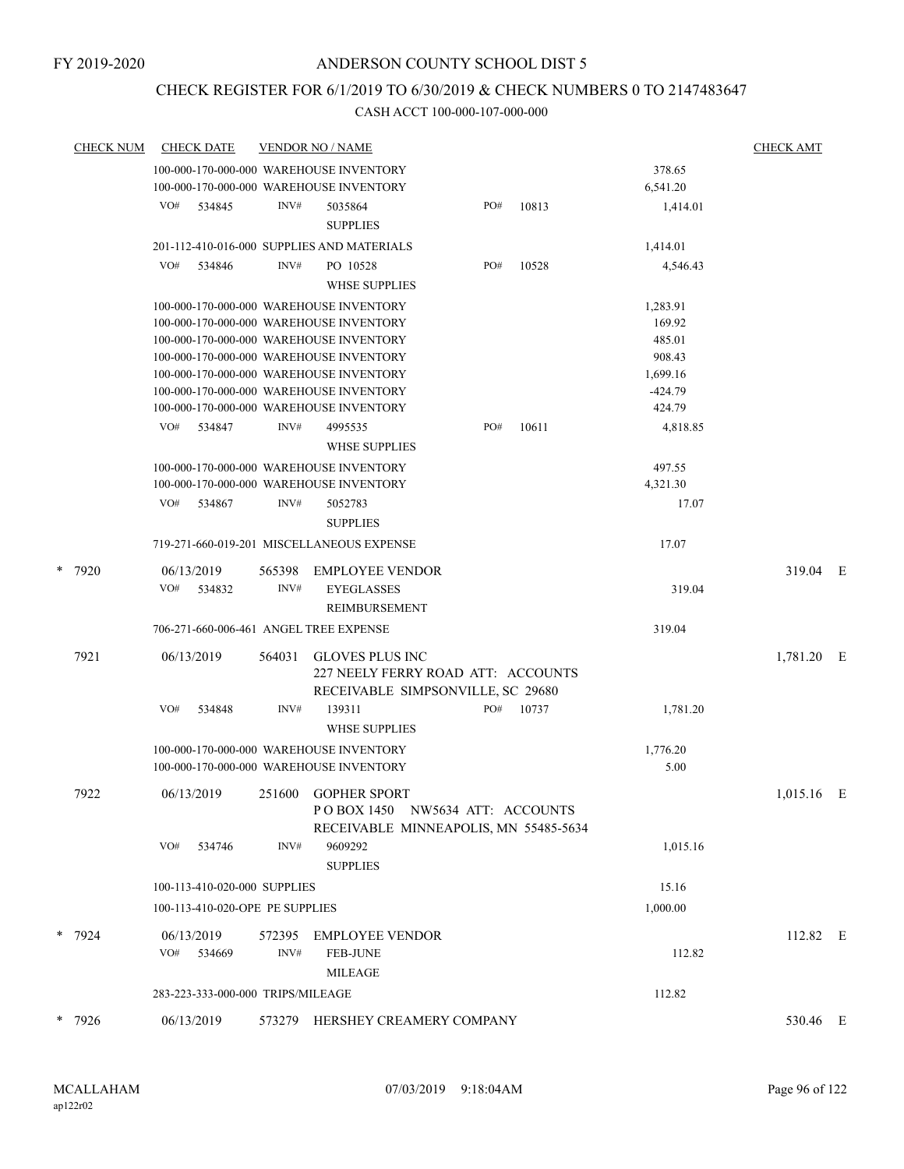# CHECK REGISTER FOR 6/1/2019 TO 6/30/2019 & CHECK NUMBERS 0 TO 2147483647

|   | <b>CHECK NUM</b> | <b>CHECK DATE</b>                       |        | <b>VENDOR NO / NAME</b>                                                                           |     |       |           | <b>CHECK AMT</b> |     |
|---|------------------|-----------------------------------------|--------|---------------------------------------------------------------------------------------------------|-----|-------|-----------|------------------|-----|
|   |                  | 100-000-170-000-000 WAREHOUSE INVENTORY |        |                                                                                                   |     |       | 378.65    |                  |     |
|   |                  | 100-000-170-000-000 WAREHOUSE INVENTORY |        |                                                                                                   |     |       | 6,541.20  |                  |     |
|   |                  | VO#<br>534845                           | INV#   | 5035864<br><b>SUPPLIES</b>                                                                        | PO# | 10813 | 1,414.01  |                  |     |
|   |                  |                                         |        | 201-112-410-016-000 SUPPLIES AND MATERIALS                                                        |     |       | 1,414.01  |                  |     |
|   |                  | VO#<br>534846                           | INV#   | PO 10528                                                                                          | PO# | 10528 | 4,546.43  |                  |     |
|   |                  |                                         |        | <b>WHSE SUPPLIES</b>                                                                              |     |       |           |                  |     |
|   |                  | 100-000-170-000-000 WAREHOUSE INVENTORY |        |                                                                                                   |     |       | 1,283.91  |                  |     |
|   |                  | 100-000-170-000-000 WAREHOUSE INVENTORY |        |                                                                                                   |     |       | 169.92    |                  |     |
|   |                  | 100-000-170-000-000 WAREHOUSE INVENTORY |        |                                                                                                   |     |       | 485.01    |                  |     |
|   |                  | 100-000-170-000-000 WAREHOUSE INVENTORY |        |                                                                                                   |     |       | 908.43    |                  |     |
|   |                  | 100-000-170-000-000 WAREHOUSE INVENTORY |        |                                                                                                   |     |       | 1,699.16  |                  |     |
|   |                  | 100-000-170-000-000 WAREHOUSE INVENTORY |        |                                                                                                   |     |       | $-424.79$ |                  |     |
|   |                  | 100-000-170-000-000 WAREHOUSE INVENTORY |        |                                                                                                   |     |       | 424.79    |                  |     |
|   |                  | VO#<br>534847                           | INV#   | 4995535<br><b>WHSE SUPPLIES</b>                                                                   | PO# | 10611 | 4,818.85  |                  |     |
|   |                  | 100-000-170-000-000 WAREHOUSE INVENTORY |        |                                                                                                   |     |       | 497.55    |                  |     |
|   |                  | 100-000-170-000-000 WAREHOUSE INVENTORY |        |                                                                                                   |     |       | 4,321.30  |                  |     |
|   |                  | VO#<br>534867                           | INV#   | 5052783                                                                                           |     |       | 17.07     |                  |     |
|   |                  |                                         |        | <b>SUPPLIES</b>                                                                                   |     |       |           |                  |     |
|   |                  |                                         |        | 719-271-660-019-201 MISCELLANEOUS EXPENSE                                                         |     |       | 17.07     |                  |     |
| * | 7920             | 06/13/2019                              | 565398 | <b>EMPLOYEE VENDOR</b>                                                                            |     |       |           | 319.04 E         |     |
|   |                  | VO#<br>534832                           | INV#   | <b>EYEGLASSES</b>                                                                                 |     |       | 319.04    |                  |     |
|   |                  |                                         |        | REIMBURSEMENT                                                                                     |     |       |           |                  |     |
|   |                  | 706-271-660-006-461 ANGEL TREE EXPENSE  |        |                                                                                                   |     |       | 319.04    |                  |     |
|   | 7921             | 06/13/2019                              | 564031 | <b>GLOVES PLUS INC</b><br>227 NEELY FERRY ROAD ATT: ACCOUNTS<br>RECEIVABLE SIMPSONVILLE, SC 29680 |     |       |           | 1,781.20 E       |     |
|   |                  | VO#<br>534848                           | INV#   | 139311<br><b>WHSE SUPPLIES</b>                                                                    | PO# | 10737 | 1,781.20  |                  |     |
|   |                  | 100-000-170-000-000 WAREHOUSE INVENTORY |        |                                                                                                   |     |       | 1,776.20  |                  |     |
|   |                  | 100-000-170-000-000 WAREHOUSE INVENTORY |        |                                                                                                   |     |       | 5.00      |                  |     |
|   | 7922             | 06/13/2019                              | 251600 | <b>GOPHER SPORT</b>                                                                               |     |       |           | 1,015.16         | – E |
|   |                  |                                         |        | POBOX 1450 NW5634 ATT: ACCOUNTS<br>RECEIVABLE MINNEAPOLIS, MN 55485-5634                          |     |       |           |                  |     |
|   |                  | VO#<br>534746                           | INV#   | 9609292                                                                                           |     |       | 1,015.16  |                  |     |
|   |                  |                                         |        | <b>SUPPLIES</b>                                                                                   |     |       |           |                  |     |
|   |                  | 100-113-410-020-000 SUPPLIES            |        |                                                                                                   |     |       | 15.16     |                  |     |
|   |                  | 100-113-410-020-OPE PE SUPPLIES         |        |                                                                                                   |     |       | 1,000.00  |                  |     |
|   | * 7924           | 06/13/2019                              | 572395 | <b>EMPLOYEE VENDOR</b>                                                                            |     |       |           | 112.82 E         |     |
|   |                  | VO#<br>534669                           | INV#   | <b>FEB-JUNE</b>                                                                                   |     |       | 112.82    |                  |     |
|   |                  |                                         |        | <b>MILEAGE</b>                                                                                    |     |       |           |                  |     |
|   |                  | 283-223-333-000-000 TRIPS/MILEAGE       |        |                                                                                                   |     |       | 112.82    |                  |     |
|   | * 7926           | 06/13/2019                              |        | 573279 HERSHEY CREAMERY COMPANY                                                                   |     |       |           | 530.46 E         |     |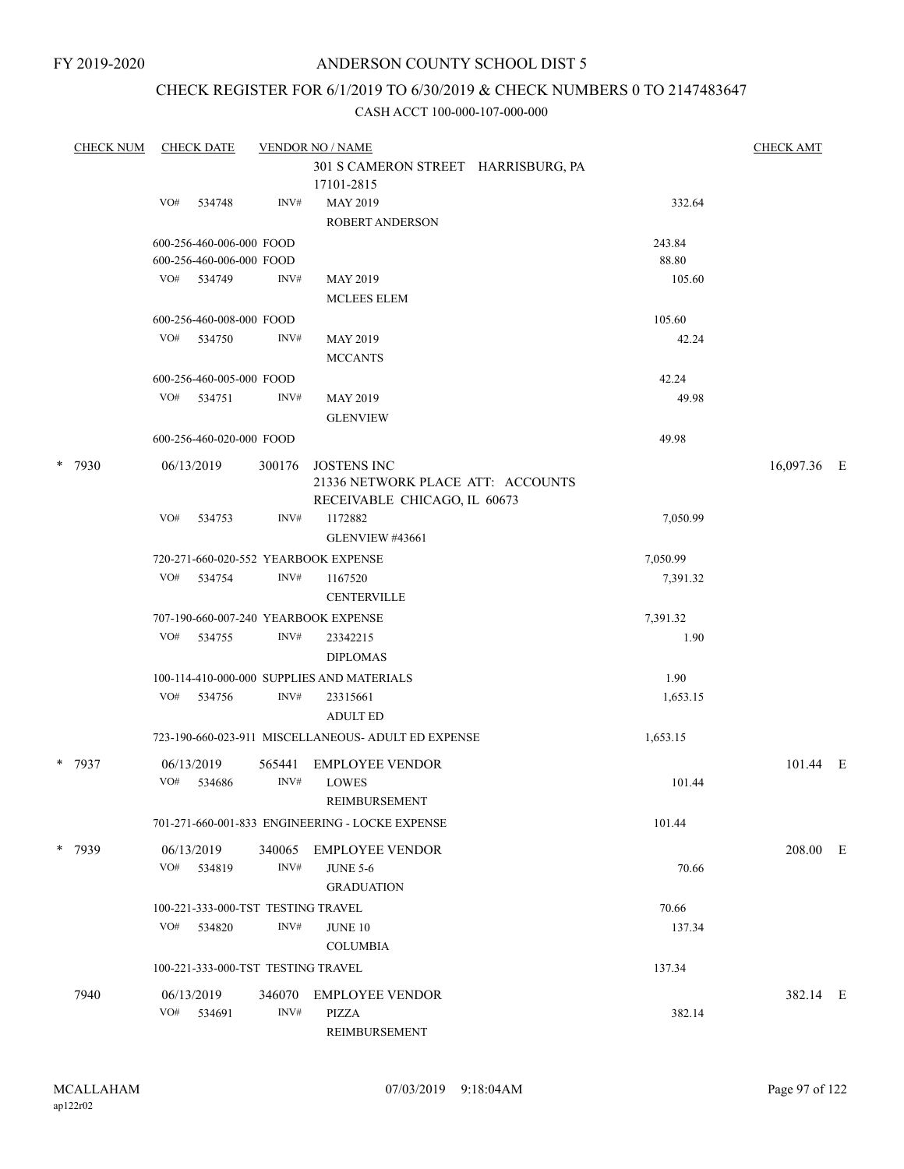## CHECK REGISTER FOR 6/1/2019 TO 6/30/2019 & CHECK NUMBERS 0 TO 2147483647

| <b>CHECK NUM</b> | <b>CHECK DATE</b>                    |        | <b>VENDOR NO / NAME</b>                             |          | <b>CHECK AMT</b> |  |
|------------------|--------------------------------------|--------|-----------------------------------------------------|----------|------------------|--|
|                  |                                      |        | 301 S CAMERON STREET HARRISBURG, PA                 |          |                  |  |
|                  |                                      |        | 17101-2815                                          |          |                  |  |
|                  | VO#<br>534748                        | INV#   | MAY 2019                                            | 332.64   |                  |  |
|                  |                                      |        | <b>ROBERT ANDERSON</b>                              |          |                  |  |
|                  | 600-256-460-006-000 FOOD             |        |                                                     | 243.84   |                  |  |
|                  | 600-256-460-006-000 FOOD             |        |                                                     | 88.80    |                  |  |
|                  | VO# 534749                           | INV#   | <b>MAY 2019</b>                                     | 105.60   |                  |  |
|                  |                                      |        | <b>MCLEES ELEM</b>                                  |          |                  |  |
|                  | 600-256-460-008-000 FOOD             |        |                                                     | 105.60   |                  |  |
|                  | VO#<br>534750                        | INV#   | <b>MAY 2019</b>                                     | 42.24    |                  |  |
|                  |                                      |        | <b>MCCANTS</b>                                      |          |                  |  |
|                  | 600-256-460-005-000 FOOD             |        |                                                     | 42.24    |                  |  |
|                  | VO# 534751                           | INV#   | <b>MAY 2019</b>                                     | 49.98    |                  |  |
|                  |                                      |        | <b>GLENVIEW</b>                                     |          |                  |  |
|                  | 600-256-460-020-000 FOOD             |        |                                                     | 49.98    |                  |  |
| * 7930           | 06/13/2019                           | 300176 | <b>JOSTENS INC</b>                                  |          | 16,097.36 E      |  |
|                  |                                      |        | 21336 NETWORK PLACE ATT: ACCOUNTS                   |          |                  |  |
|                  |                                      |        | RECEIVABLE CHICAGO, IL 60673                        |          |                  |  |
|                  | VO#<br>534753                        | INV#   | 1172882                                             | 7,050.99 |                  |  |
|                  |                                      |        | GLENVIEW #43661                                     |          |                  |  |
|                  | 720-271-660-020-552 YEARBOOK EXPENSE |        |                                                     | 7,050.99 |                  |  |
|                  | VO#<br>534754                        | INV#   | 1167520                                             | 7,391.32 |                  |  |
|                  |                                      |        | <b>CENTERVILLE</b>                                  |          |                  |  |
|                  | 707-190-660-007-240 YEARBOOK EXPENSE |        |                                                     | 7,391.32 |                  |  |
|                  | VO#<br>534755                        | INV#   | 23342215                                            | 1.90     |                  |  |
|                  |                                      |        | <b>DIPLOMAS</b>                                     |          |                  |  |
|                  |                                      |        | 100-114-410-000-000 SUPPLIES AND MATERIALS          | 1.90     |                  |  |
|                  | VO# 534756                           | INV#   | 23315661                                            | 1,653.15 |                  |  |
|                  |                                      |        | <b>ADULT ED</b>                                     |          |                  |  |
|                  |                                      |        | 723-190-660-023-911 MISCELLANEOUS- ADULT ED EXPENSE | 1,653.15 |                  |  |
|                  |                                      |        |                                                     |          |                  |  |
| * 7937           | 06/13/2019                           | 565441 | <b>EMPLOYEE VENDOR</b>                              |          | 101.44 E         |  |
|                  | VO#<br>534686                        | INV#   | <b>LOWES</b>                                        | 101.44   |                  |  |
|                  |                                      |        | REIMBURSEMENT                                       |          |                  |  |
|                  |                                      |        | 701-271-660-001-833 ENGINEERING - LOCKE EXPENSE     | 101.44   |                  |  |
| * 7939           | 06/13/2019                           | 340065 | EMPLOYEE VENDOR                                     |          | 208.00 E         |  |
|                  | VO# 534819                           | INV#   | <b>JUNE 5-6</b>                                     | 70.66    |                  |  |
|                  |                                      |        | <b>GRADUATION</b>                                   |          |                  |  |
|                  | 100-221-333-000-TST TESTING TRAVEL   |        |                                                     | 70.66    |                  |  |
|                  | VO# 534820                           | INV#   | JUNE 10                                             | 137.34   |                  |  |
|                  |                                      |        | <b>COLUMBIA</b>                                     |          |                  |  |
|                  | 100-221-333-000-TST TESTING TRAVEL   |        |                                                     | 137.34   |                  |  |
|                  |                                      |        |                                                     |          |                  |  |
| 7940             | 06/13/2019                           |        | 346070 EMPLOYEE VENDOR                              |          | 382.14 E         |  |
|                  | VO# 534691                           | INV#   | PIZZA                                               | 382.14   |                  |  |
|                  |                                      |        | REIMBURSEMENT                                       |          |                  |  |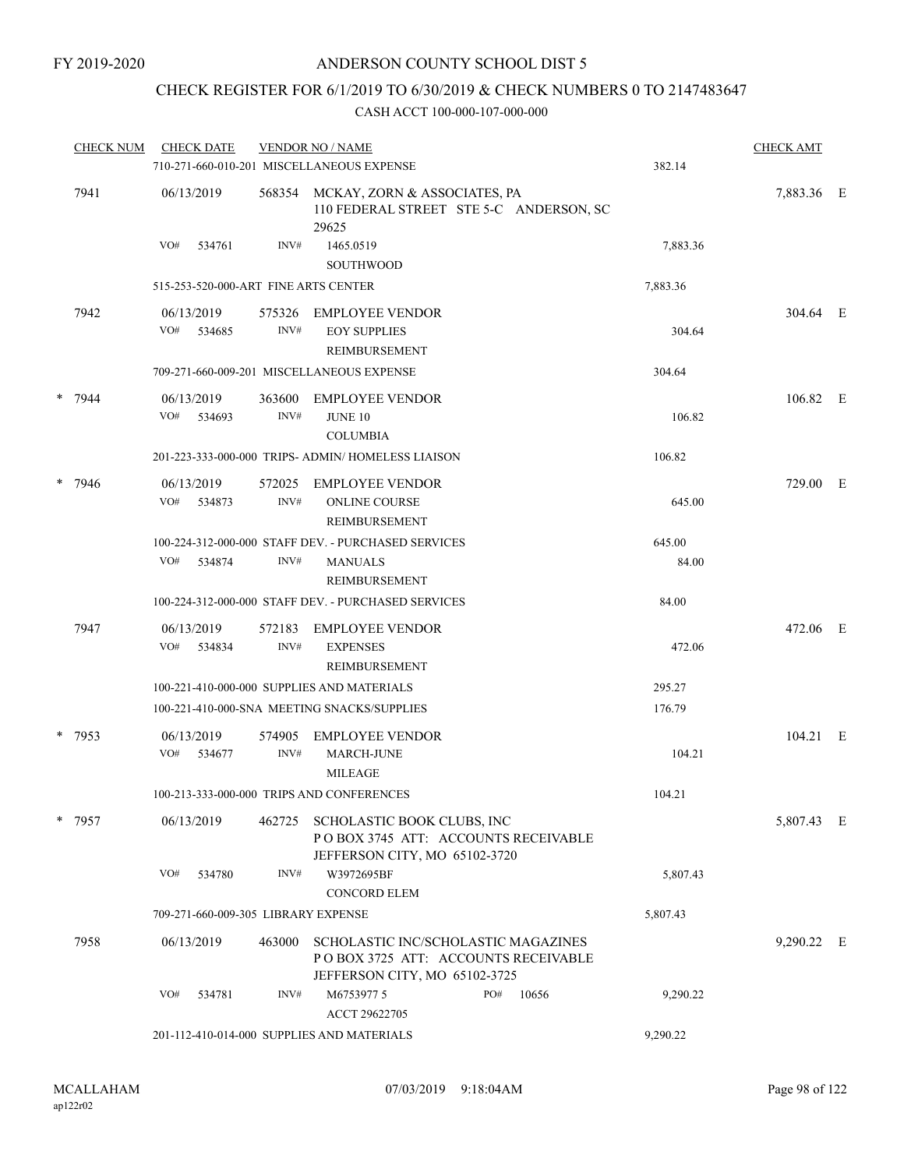## CHECK REGISTER FOR 6/1/2019 TO 6/30/2019 & CHECK NUMBERS 0 TO 2147483647

|   | <b>CHECK NUM</b> | <b>CHECK DATE</b>                    |                | <b>VENDOR NO / NAME</b><br>710-271-660-010-201 MISCELLANEOUS EXPENSE                                        | 382.14          | <b>CHECK AMT</b> |  |  |
|---|------------------|--------------------------------------|----------------|-------------------------------------------------------------------------------------------------------------|-----------------|------------------|--|--|
|   | 7941             | 06/13/2019                           |                | 568354 MCKAY, ZORN & ASSOCIATES, PA<br>110 FEDERAL STREET STE 5-C ANDERSON, SC<br>29625                     |                 | 7,883.36 E       |  |  |
|   |                  | VO#<br>534761                        | INV#           | 1465.0519<br><b>SOUTHWOOD</b>                                                                               | 7,883.36        |                  |  |  |
|   |                  | 515-253-520-000-ART FINE ARTS CENTER |                |                                                                                                             | 7,883.36        |                  |  |  |
|   | 7942             | 06/13/2019<br>VO# 534685             | 575326<br>INV# | EMPLOYEE VENDOR<br><b>EOY SUPPLIES</b><br>REIMBURSEMENT                                                     | 304.64          | 304.64 E         |  |  |
|   |                  |                                      |                | 709-271-660-009-201 MISCELLANEOUS EXPENSE                                                                   | 304.64          |                  |  |  |
| * | 7944             | 06/13/2019<br>VO#<br>534693          | 363600<br>INV# | <b>EMPLOYEE VENDOR</b><br><b>JUNE 10</b><br><b>COLUMBIA</b>                                                 | 106.82          | 106.82 E         |  |  |
|   |                  |                                      |                | 201-223-333-000-000 TRIPS- ADMIN/ HOMELESS LIAISON                                                          | 106.82          |                  |  |  |
|   | $* 7946$         | 06/13/2019<br>VO#<br>534873          | 572025<br>INV# | EMPLOYEE VENDOR<br><b>ONLINE COURSE</b><br>REIMBURSEMENT                                                    | 645.00          | 729.00 E         |  |  |
|   |                  | VO#<br>534874                        | INV#           | 100-224-312-000-000 STAFF DEV. - PURCHASED SERVICES<br><b>MANUALS</b><br>REIMBURSEMENT                      | 645.00<br>84.00 |                  |  |  |
|   |                  |                                      |                | 100-224-312-000-000 STAFF DEV. - PURCHASED SERVICES                                                         | 84.00           |                  |  |  |
|   | 7947             | 06/13/2019<br>VO#<br>534834          | 572183<br>INV# | <b>EMPLOYEE VENDOR</b><br><b>EXPENSES</b><br>REIMBURSEMENT                                                  | 472.06          | 472.06 E         |  |  |
|   |                  |                                      |                | 100-221-410-000-000 SUPPLIES AND MATERIALS                                                                  | 295.27          |                  |  |  |
|   |                  |                                      |                | 100-221-410-000-SNA MEETING SNACKS/SUPPLIES                                                                 | 176.79          |                  |  |  |
|   | * 7953           | 06/13/2019<br>VO#<br>534677          | 574905<br>INV# | <b>EMPLOYEE VENDOR</b><br><b>MARCH-JUNE</b><br><b>MILEAGE</b>                                               | 104.21          | 104.21 E         |  |  |
|   |                  |                                      |                | 100-213-333-000-000 TRIPS AND CONFERENCES                                                                   | 104.21          |                  |  |  |
|   | * 7957           | 06/13/2019                           |                | 462725 SCHOLASTIC BOOK CLUBS, INC<br>POBOX 3745 ATT: ACCOUNTS RECEIVABLE<br>JEFFERSON CITY, MO 65102-3720   |                 | 5,807.43 E       |  |  |
|   |                  | VO#<br>534780                        | INV#           | W3972695BF<br><b>CONCORD ELEM</b>                                                                           | 5,807.43        |                  |  |  |
|   |                  | 709-271-660-009-305 LIBRARY EXPENSE  |                |                                                                                                             | 5,807.43        |                  |  |  |
|   | 7958             | 06/13/2019                           | 463000         | SCHOLASTIC INC/SCHOLASTIC MAGAZINES<br>POBOX 3725 ATT: ACCOUNTS RECEIVABLE<br>JEFFERSON CITY, MO 65102-3725 |                 | 9,290.22 E       |  |  |
|   |                  | VO#<br>534781                        | INV#           | M6753977 5<br>PO#<br>10656<br>ACCT 29622705                                                                 | 9,290.22        |                  |  |  |
|   |                  |                                      |                | 201-112-410-014-000 SUPPLIES AND MATERIALS                                                                  | 9,290.22        |                  |  |  |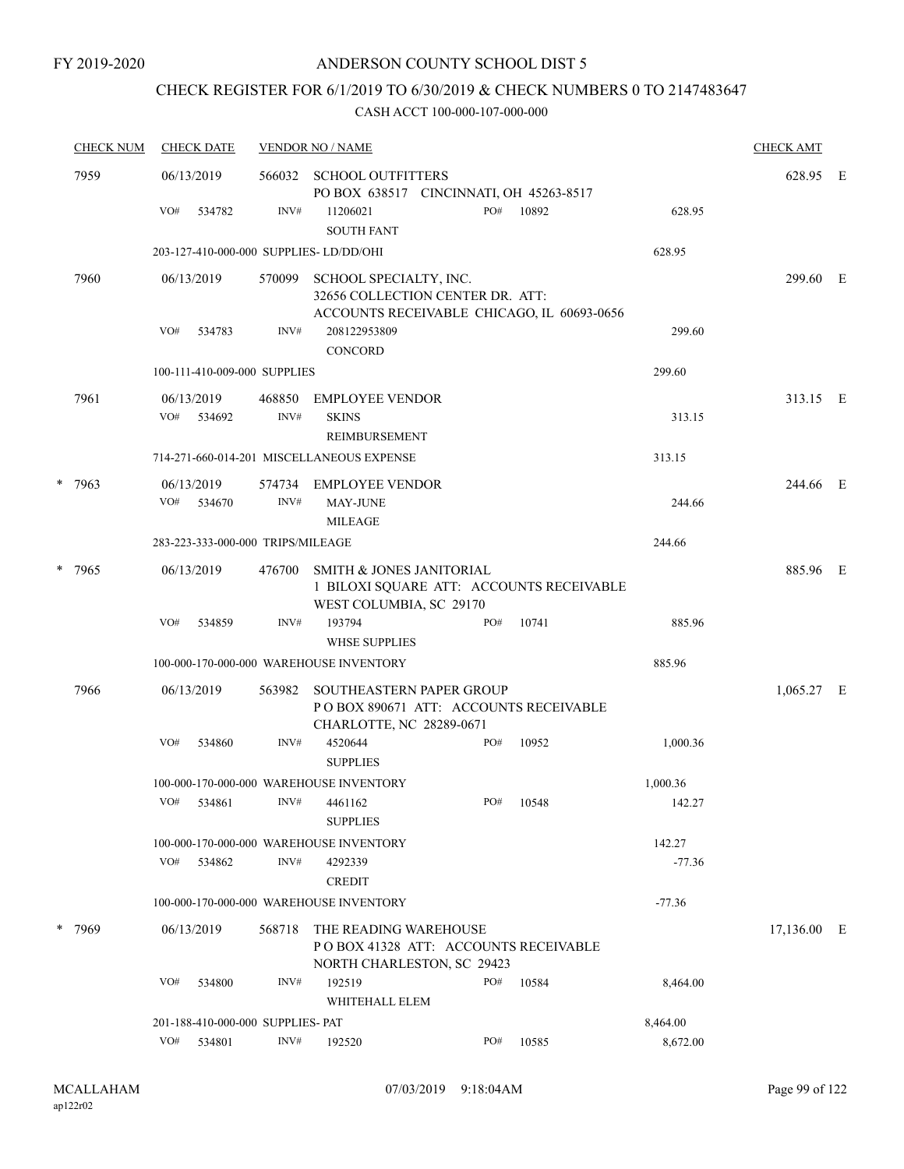## CHECK REGISTER FOR 6/1/2019 TO 6/30/2019 & CHECK NUMBERS 0 TO 2147483647

|        | <b>CHECK NUM</b> | <b>CHECK DATE</b>                      |                                                                                                            | <b>VENDOR NO / NAME</b>                                                                      | <b>CHECK AMT</b> |           |          |              |  |
|--------|------------------|----------------------------------------|------------------------------------------------------------------------------------------------------------|----------------------------------------------------------------------------------------------|------------------|-----------|----------|--------------|--|
|        | 7959             | 06/13/2019                             |                                                                                                            | 566032 SCHOOL OUTFITTERS<br>PO BOX 638517 CINCINNATI, OH 45263-8517                          |                  |           |          | 628.95 E     |  |
|        |                  | VO#<br>534782                          | INV#                                                                                                       | 11206021<br><b>SOUTH FANT</b>                                                                | PO#              | 10892     | 628.95   |              |  |
|        |                  | 203-127-410-000-000 SUPPLIES-LD/DD/OHI |                                                                                                            |                                                                                              |                  |           | 628.95   |              |  |
|        | 7960             | 06/13/2019                             | 570099                                                                                                     | SCHOOL SPECIALTY, INC.<br>32656 COLLECTION CENTER DR. ATT:                                   |                  |           |          | 299.60 E     |  |
|        |                  |                                        |                                                                                                            | ACCOUNTS RECEIVABLE CHICAGO, IL 60693-0656                                                   |                  |           |          |              |  |
|        |                  | VO#<br>534783                          | INV#                                                                                                       | 208122953809<br>CONCORD                                                                      |                  |           | 299.60   |              |  |
|        |                  | 100-111-410-009-000 SUPPLIES           |                                                                                                            |                                                                                              |                  |           | 299.60   |              |  |
|        | 7961             | 06/13/2019                             | 468850                                                                                                     | <b>EMPLOYEE VENDOR</b>                                                                       |                  |           |          | 313.15 E     |  |
|        |                  | VO#<br>534692                          | INV#                                                                                                       | <b>SKINS</b><br><b>REIMBURSEMENT</b>                                                         |                  |           | 313.15   |              |  |
|        |                  |                                        |                                                                                                            | 714-271-660-014-201 MISCELLANEOUS EXPENSE                                                    |                  |           | 313.15   |              |  |
|        | $* 7963$         | 06/13/2019                             |                                                                                                            | 574734 EMPLOYEE VENDOR                                                                       |                  |           |          | 244.66 E     |  |
|        |                  | VO# 534670                             | INV#                                                                                                       | <b>MAY-JUNE</b><br><b>MILEAGE</b>                                                            |                  |           | 244.66   |              |  |
|        |                  | 283-223-333-000-000 TRIPS/MILEAGE      |                                                                                                            |                                                                                              |                  |           | 244.66   |              |  |
| * 7965 | 06/13/2019       | 476700                                 | <b>SMITH &amp; JONES JANITORIAL</b><br>1 BILOXI SQUARE ATT: ACCOUNTS RECEIVABLE<br>WEST COLUMBIA, SC 29170 |                                                                                              |                  |           | 885.96 E |              |  |
|        |                  | VO#<br>534859                          | INV#                                                                                                       | 193794<br><b>WHSE SUPPLIES</b>                                                               | PO#              | 10741     | 885.96   |              |  |
|        |                  |                                        |                                                                                                            | 100-000-170-000-000 WAREHOUSE INVENTORY                                                      |                  |           | 885.96   |              |  |
|        | 7966             | 06/13/2019                             | 563982                                                                                                     | <b>SOUTHEASTERN PAPER GROUP</b>                                                              |                  |           |          | $1,065.27$ E |  |
|        |                  |                                        |                                                                                                            | PO BOX 890671 ATT: ACCOUNTS RECEIVABLE<br>CHARLOTTE, NC 28289-0671                           |                  |           |          |              |  |
|        |                  | VO#<br>534860                          | INV#                                                                                                       | 4520644<br><b>SUPPLIES</b>                                                                   | PO#              | 10952     | 1,000.36 |              |  |
|        |                  |                                        |                                                                                                            | 100-000-170-000-000 WAREHOUSE INVENTORY                                                      |                  |           | 1,000.36 |              |  |
|        |                  | VO# 534861                             |                                                                                                            | $INV#$ 4461162<br><b>SUPPLIES</b>                                                            |                  | PO# 10548 | 142.27   |              |  |
|        |                  |                                        |                                                                                                            | 100-000-170-000-000 WAREHOUSE INVENTORY                                                      |                  |           | 142.27   |              |  |
|        |                  | VO#<br>534862                          | INV#                                                                                                       | 4292339<br><b>CREDIT</b>                                                                     |                  |           | $-77.36$ |              |  |
|        |                  |                                        |                                                                                                            | 100-000-170-000-000 WAREHOUSE INVENTORY                                                      |                  |           | $-77.36$ |              |  |
|        | * 7969           | 06/13/2019                             | 568718                                                                                                     | THE READING WAREHOUSE<br>PO BOX 41328 ATT: ACCOUNTS RECEIVABLE<br>NORTH CHARLESTON, SC 29423 |                  |           |          | 17,136.00 E  |  |
|        |                  | VO#<br>534800                          | INV#                                                                                                       | 192519<br>WHITEHALL ELEM                                                                     | PO#              | 10584     | 8,464.00 |              |  |
|        |                  | 201-188-410-000-000 SUPPLIES- PAT      |                                                                                                            |                                                                                              |                  |           | 8,464.00 |              |  |
|        |                  | VO# 534801                             | INV#                                                                                                       | 192520                                                                                       | PO#              | 10585     | 8,672.00 |              |  |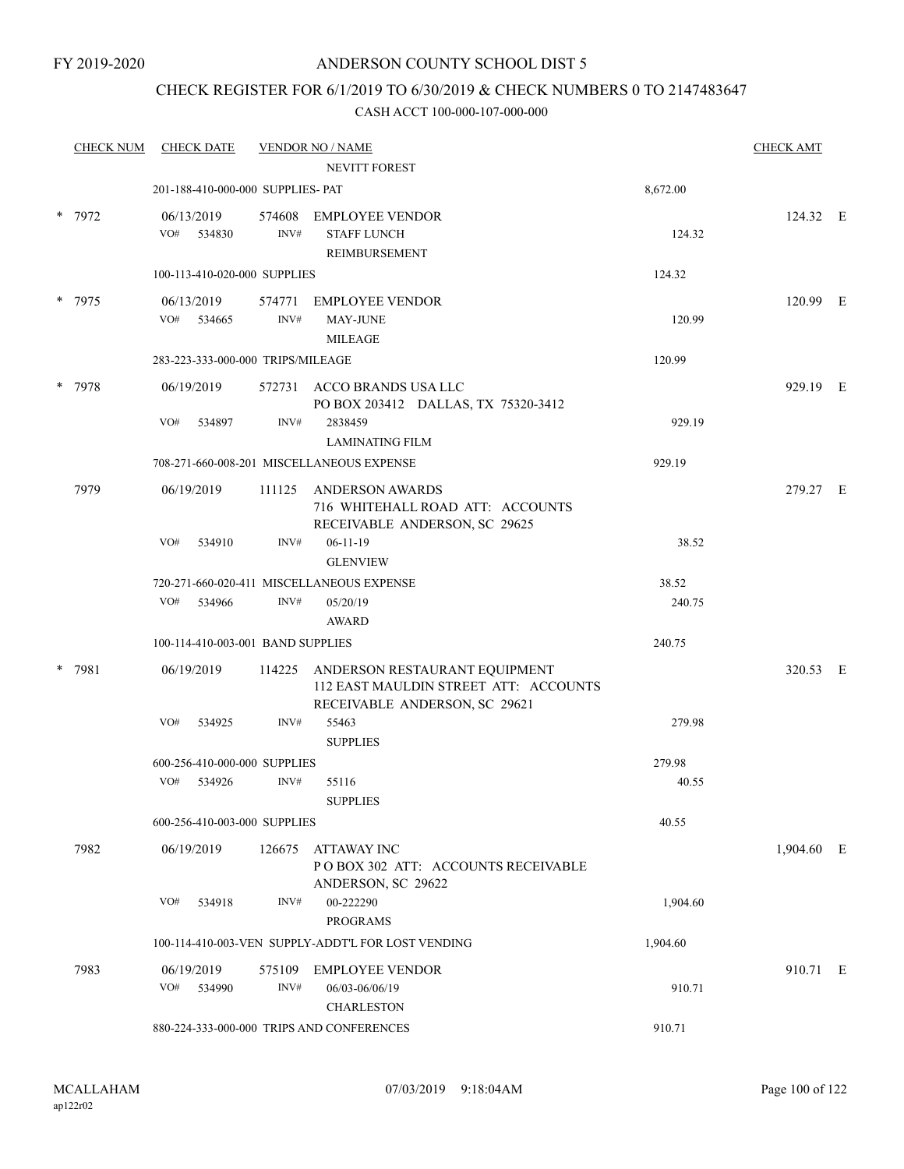## CHECK REGISTER FOR 6/1/2019 TO 6/30/2019 & CHECK NUMBERS 0 TO 2147483647

|        | <b>CHECK NUM</b> | <b>CHECK DATE</b>                 |                | <b>VENDOR NO / NAME</b>                                                                                 |          | <b>CHECK AMT</b> |  |
|--------|------------------|-----------------------------------|----------------|---------------------------------------------------------------------------------------------------------|----------|------------------|--|
|        |                  |                                   |                | NEVITT FOREST                                                                                           |          |                  |  |
|        |                  | 201-188-410-000-000 SUPPLIES- PAT |                |                                                                                                         | 8,672.00 |                  |  |
|        | * 7972           | 06/13/2019<br>VO# 534830          | 574608<br>INV# | EMPLOYEE VENDOR<br><b>STAFF LUNCH</b><br>REIMBURSEMENT                                                  | 124.32   | 124.32 E         |  |
|        |                  | 100-113-410-020-000 SUPPLIES      |                |                                                                                                         | 124.32   |                  |  |
|        | * 7975           | 06/13/2019<br>VO#<br>534665       | 574771<br>INV# | <b>EMPLOYEE VENDOR</b><br><b>MAY-JUNE</b><br><b>MILEAGE</b>                                             | 120.99   | 120.99 E         |  |
|        |                  | 283-223-333-000-000 TRIPS/MILEAGE |                |                                                                                                         | 120.99   |                  |  |
| $\ast$ | 7978             | 06/19/2019                        |                | 572731 ACCO BRANDS USA LLC<br>PO BOX 203412 DALLAS, TX 75320-3412                                       |          | 929.19 E         |  |
|        |                  | VO#<br>534897                     | INV#           | 2838459<br><b>LAMINATING FILM</b>                                                                       | 929.19   |                  |  |
|        |                  |                                   |                | 708-271-660-008-201 MISCELLANEOUS EXPENSE                                                               | 929.19   |                  |  |
|        | 7979             | 06/19/2019                        | 111125         | ANDERSON AWARDS<br>716 WHITEHALL ROAD ATT: ACCOUNTS<br>RECEIVABLE ANDERSON, SC 29625                    |          | 279.27 E         |  |
|        |                  | VO#<br>534910                     | INV#           | $06-11-19$<br><b>GLENVIEW</b>                                                                           | 38.52    |                  |  |
|        |                  |                                   |                | 720-271-660-020-411 MISCELLANEOUS EXPENSE                                                               | 38.52    |                  |  |
|        |                  | VO#<br>534966                     | INV#           | 05/20/19<br>AWARD                                                                                       | 240.75   |                  |  |
|        |                  | 100-114-410-003-001 BAND SUPPLIES |                |                                                                                                         | 240.75   |                  |  |
| $\ast$ | 7981             | 06/19/2019                        | 114225         | ANDERSON RESTAURANT EQUIPMENT<br>112 EAST MAULDIN STREET ATT: ACCOUNTS<br>RECEIVABLE ANDERSON, SC 29621 |          | 320.53 E         |  |
|        |                  | VO#<br>534925                     | INV#           | 55463<br><b>SUPPLIES</b>                                                                                | 279.98   |                  |  |
|        |                  | 600-256-410-000-000 SUPPLIES      |                |                                                                                                         | 279.98   |                  |  |
|        |                  | VO#<br>534926                     | INV#           | 55116<br><b>SUPPLIES</b>                                                                                | 40.55    |                  |  |
|        |                  | 600-256-410-003-000 SUPPLIES      |                |                                                                                                         | 40.55    |                  |  |
|        | 7982             | 06/19/2019                        | 126675         | <b>ATTAWAY INC</b><br>POBOX 302 ATT: ACCOUNTS RECEIVABLE<br>ANDERSON, SC 29622                          |          | 1,904.60 E       |  |
|        |                  | VO#<br>534918                     | INV#           | 00-222290<br><b>PROGRAMS</b>                                                                            | 1,904.60 |                  |  |
|        |                  |                                   |                | 100-114-410-003-VEN SUPPLY-ADDT'L FOR LOST VENDING                                                      | 1,904.60 |                  |  |
|        | 7983             | 06/19/2019                        | 575109         | <b>EMPLOYEE VENDOR</b>                                                                                  |          | 910.71 E         |  |
|        |                  | VO#<br>534990                     | INV#           | 06/03-06/06/19<br><b>CHARLESTON</b>                                                                     | 910.71   |                  |  |
|        |                  |                                   |                | 880-224-333-000-000 TRIPS AND CONFERENCES                                                               | 910.71   |                  |  |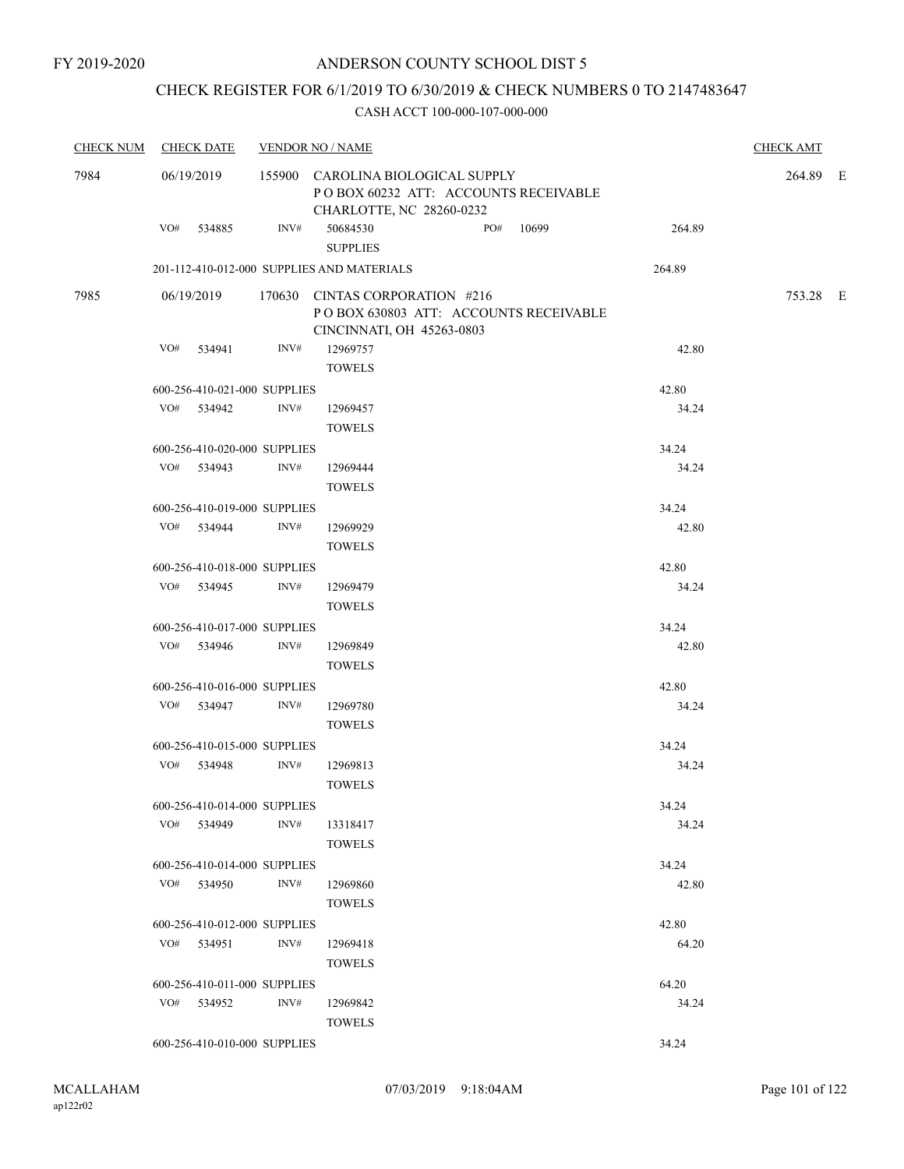## CHECK REGISTER FOR 6/1/2019 TO 6/30/2019 & CHECK NUMBERS 0 TO 2147483647

| <b>CHECK NUM</b> |            | <b>CHECK DATE</b>            |      | <b>VENDOR NO / NAME</b>                                                                               |  |           |        | <b>CHECK AMT</b> |  |
|------------------|------------|------------------------------|------|-------------------------------------------------------------------------------------------------------|--|-----------|--------|------------------|--|
| 7984             |            | 06/19/2019                   |      | 155900 CAROLINA BIOLOGICAL SUPPLY<br>POBOX 60232 ATT: ACCOUNTS RECEIVABLE<br>CHARLOTTE, NC 28260-0232 |  |           |        | 264.89 E         |  |
|                  |            | VO# 534885                   | INV# | 50684530<br><b>SUPPLIES</b>                                                                           |  | PO# 10699 | 264.89 |                  |  |
|                  |            |                              |      | 201-112-410-012-000 SUPPLIES AND MATERIALS                                                            |  |           | 264.89 |                  |  |
| 7985             | 06/19/2019 |                              |      | 170630 CINTAS CORPORATION #216<br>POBOX 630803 ATT: ACCOUNTS RECEIVABLE<br>CINCINNATI, OH 45263-0803  |  |           |        | 753.28 E         |  |
|                  |            | VO# 534941                   | INV# | 12969757                                                                                              |  |           | 42.80  |                  |  |
|                  |            |                              |      | <b>TOWELS</b>                                                                                         |  |           |        |                  |  |
|                  |            | 600-256-410-021-000 SUPPLIES |      |                                                                                                       |  |           | 42.80  |                  |  |
|                  |            | VO# 534942                   | INV# | 12969457<br><b>TOWELS</b>                                                                             |  |           | 34.24  |                  |  |
|                  |            | 600-256-410-020-000 SUPPLIES |      |                                                                                                       |  |           | 34.24  |                  |  |
|                  |            | VO# 534943                   | INV# | 12969444                                                                                              |  |           | 34.24  |                  |  |
|                  |            |                              |      | <b>TOWELS</b>                                                                                         |  |           |        |                  |  |
|                  |            | 600-256-410-019-000 SUPPLIES |      |                                                                                                       |  |           | 34.24  |                  |  |
|                  |            | VO# 534944                   | INV# | 12969929                                                                                              |  |           | 42.80  |                  |  |
|                  |            |                              |      | <b>TOWELS</b>                                                                                         |  |           |        |                  |  |
|                  |            | 600-256-410-018-000 SUPPLIES |      |                                                                                                       |  |           | 42.80  |                  |  |
|                  |            | VO# 534945                   | INV# | 12969479                                                                                              |  |           | 34.24  |                  |  |
|                  |            |                              |      | <b>TOWELS</b>                                                                                         |  |           |        |                  |  |
|                  |            | 600-256-410-017-000 SUPPLIES |      |                                                                                                       |  |           | 34.24  |                  |  |
|                  |            | VO# 534946                   | INV# | 12969849                                                                                              |  |           | 42.80  |                  |  |
|                  |            |                              |      | <b>TOWELS</b>                                                                                         |  |           |        |                  |  |
|                  |            | 600-256-410-016-000 SUPPLIES |      |                                                                                                       |  |           | 42.80  |                  |  |
|                  |            | VO# 534947                   | INV# | 12969780                                                                                              |  |           | 34.24  |                  |  |
|                  |            |                              |      | <b>TOWELS</b>                                                                                         |  |           |        |                  |  |
|                  |            | 600-256-410-015-000 SUPPLIES |      |                                                                                                       |  |           | 34.24  |                  |  |
|                  |            | VO# 534948                   | INV# | 12969813                                                                                              |  |           | 34.24  |                  |  |
|                  |            |                              |      | <b>TOWELS</b>                                                                                         |  |           |        |                  |  |
|                  |            | 600-256-410-014-000 SUPPLIES |      |                                                                                                       |  |           | 34.24  |                  |  |
|                  |            | VO# 534949                   | INV# | 13318417                                                                                              |  |           | 34.24  |                  |  |
|                  |            |                              |      | <b>TOWELS</b>                                                                                         |  |           |        |                  |  |
|                  |            | 600-256-410-014-000 SUPPLIES |      |                                                                                                       |  |           | 34.24  |                  |  |
|                  |            | VO# 534950                   | INV# | 12969860                                                                                              |  |           | 42.80  |                  |  |
|                  |            |                              |      | <b>TOWELS</b>                                                                                         |  |           |        |                  |  |
|                  |            | 600-256-410-012-000 SUPPLIES |      |                                                                                                       |  |           | 42.80  |                  |  |
|                  |            | VO# 534951                   | INV# | 12969418                                                                                              |  |           | 64.20  |                  |  |
|                  |            |                              |      | <b>TOWELS</b>                                                                                         |  |           |        |                  |  |
|                  |            | 600-256-410-011-000 SUPPLIES |      |                                                                                                       |  |           | 64.20  |                  |  |
|                  |            | VO# 534952                   | INV# | 12969842                                                                                              |  |           | 34.24  |                  |  |
|                  |            |                              |      | <b>TOWELS</b>                                                                                         |  |           |        |                  |  |
|                  |            | 600-256-410-010-000 SUPPLIES |      |                                                                                                       |  |           | 34.24  |                  |  |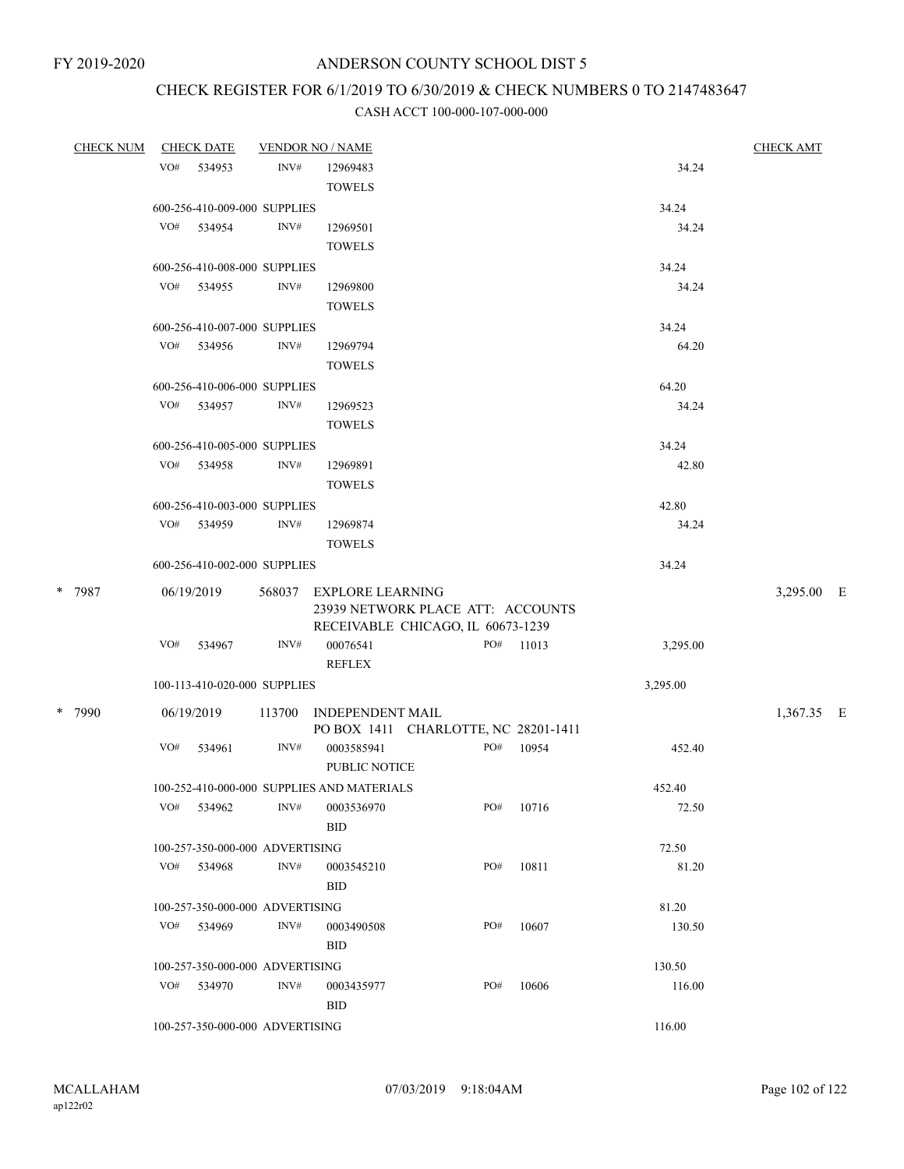# CHECK REGISTER FOR 6/1/2019 TO 6/30/2019 & CHECK NUMBERS 0 TO 2147483647

| <b>CHECK NUM</b> |     | <b>CHECK DATE</b>               |      | <b>VENDOR NO / NAME</b>                    |     |           |          | <b>CHECK AMT</b> |  |
|------------------|-----|---------------------------------|------|--------------------------------------------|-----|-----------|----------|------------------|--|
|                  |     | VO# 534953                      | INV# | 12969483                                   |     |           | 34.24    |                  |  |
|                  |     |                                 |      | <b>TOWELS</b>                              |     |           |          |                  |  |
|                  |     | 600-256-410-009-000 SUPPLIES    |      |                                            |     |           | 34.24    |                  |  |
|                  |     | VO# 534954                      | INV# | 12969501                                   |     |           | 34.24    |                  |  |
|                  |     |                                 |      | <b>TOWELS</b>                              |     |           |          |                  |  |
|                  |     | 600-256-410-008-000 SUPPLIES    |      |                                            |     |           | 34.24    |                  |  |
|                  |     | VO# 534955                      | INV# | 12969800                                   |     |           | 34.24    |                  |  |
|                  |     |                                 |      | <b>TOWELS</b>                              |     |           |          |                  |  |
|                  |     | 600-256-410-007-000 SUPPLIES    |      |                                            |     |           | 34.24    |                  |  |
|                  |     | VO# 534956                      | INV# | 12969794                                   |     |           | 64.20    |                  |  |
|                  |     |                                 |      | <b>TOWELS</b>                              |     |           |          |                  |  |
|                  |     | 600-256-410-006-000 SUPPLIES    |      |                                            |     |           | 64.20    |                  |  |
|                  |     | VO# 534957                      | INV# | 12969523                                   |     |           | 34.24    |                  |  |
|                  |     |                                 |      | <b>TOWELS</b>                              |     |           |          |                  |  |
|                  |     | 600-256-410-005-000 SUPPLIES    |      |                                            |     |           | 34.24    |                  |  |
|                  |     | VO# 534958                      | INV# | 12969891                                   |     |           | 42.80    |                  |  |
|                  |     |                                 |      | <b>TOWELS</b>                              |     |           |          |                  |  |
|                  |     | 600-256-410-003-000 SUPPLIES    |      |                                            |     |           | 42.80    |                  |  |
|                  |     | VO# 534959                      | INV# | 12969874                                   |     |           | 34.24    |                  |  |
|                  |     |                                 |      | <b>TOWELS</b>                              |     |           |          |                  |  |
|                  |     | 600-256-410-002-000 SUPPLIES    |      |                                            |     |           | 34.24    |                  |  |
| * 7987           |     | 06/19/2019                      |      | 568037 EXPLORE LEARNING                    |     |           |          | 3,295.00 E       |  |
|                  |     |                                 |      |                                            |     |           |          |                  |  |
|                  |     |                                 |      | RECEIVABLE CHICAGO, IL 60673-1239          |     |           |          |                  |  |
|                  |     | VO# 534967                      | INV# | 00076541                                   |     | PO# 11013 | 3,295.00 |                  |  |
|                  |     |                                 |      | <b>REFLEX</b>                              |     |           |          |                  |  |
|                  |     | 100-113-410-020-000 SUPPLIES    |      |                                            |     |           | 3,295.00 |                  |  |
| * 7990           |     | 06/19/2019                      |      | 113700 INDEPENDENT MAIL                    |     |           |          | 1,367.35 E       |  |
|                  |     |                                 |      | PO BOX 1411 CHARLOTTE, NC 28201-1411       |     |           |          |                  |  |
|                  |     | VO# 534961                      | INV# | 0003585941                                 |     | PO# 10954 | 452.40   |                  |  |
|                  |     |                                 |      | <b>PUBLIC NOTICE</b>                       |     |           |          |                  |  |
|                  |     |                                 |      | 100-252-410-000-000 SUPPLIES AND MATERIALS |     |           | 452.40   |                  |  |
|                  | VO# | 534962                          | INV# | 0003536970                                 | PO# | 10716     | 72.50    |                  |  |
|                  |     |                                 |      | <b>BID</b>                                 |     |           |          |                  |  |
|                  |     | 100-257-350-000-000 ADVERTISING |      |                                            |     |           | 72.50    |                  |  |
|                  |     | VO# 534968                      | INV# | 0003545210                                 | PO# | 10811     | 81.20    |                  |  |
|                  |     |                                 |      | <b>BID</b>                                 |     |           |          |                  |  |
|                  |     | 100-257-350-000-000 ADVERTISING |      |                                            |     |           | 81.20    |                  |  |
|                  |     | VO# 534969                      | INV# | 0003490508                                 | PO# | 10607     | 130.50   |                  |  |
|                  |     |                                 |      | <b>BID</b>                                 |     |           |          |                  |  |
|                  |     | 100-257-350-000-000 ADVERTISING |      |                                            |     |           | 130.50   |                  |  |
|                  |     | VO# 534970                      | INV# | 0003435977                                 | PO# | 10606     | 116.00   |                  |  |
|                  |     |                                 |      | <b>BID</b>                                 |     |           |          |                  |  |
|                  |     | 100-257-350-000-000 ADVERTISING |      |                                            |     |           | 116.00   |                  |  |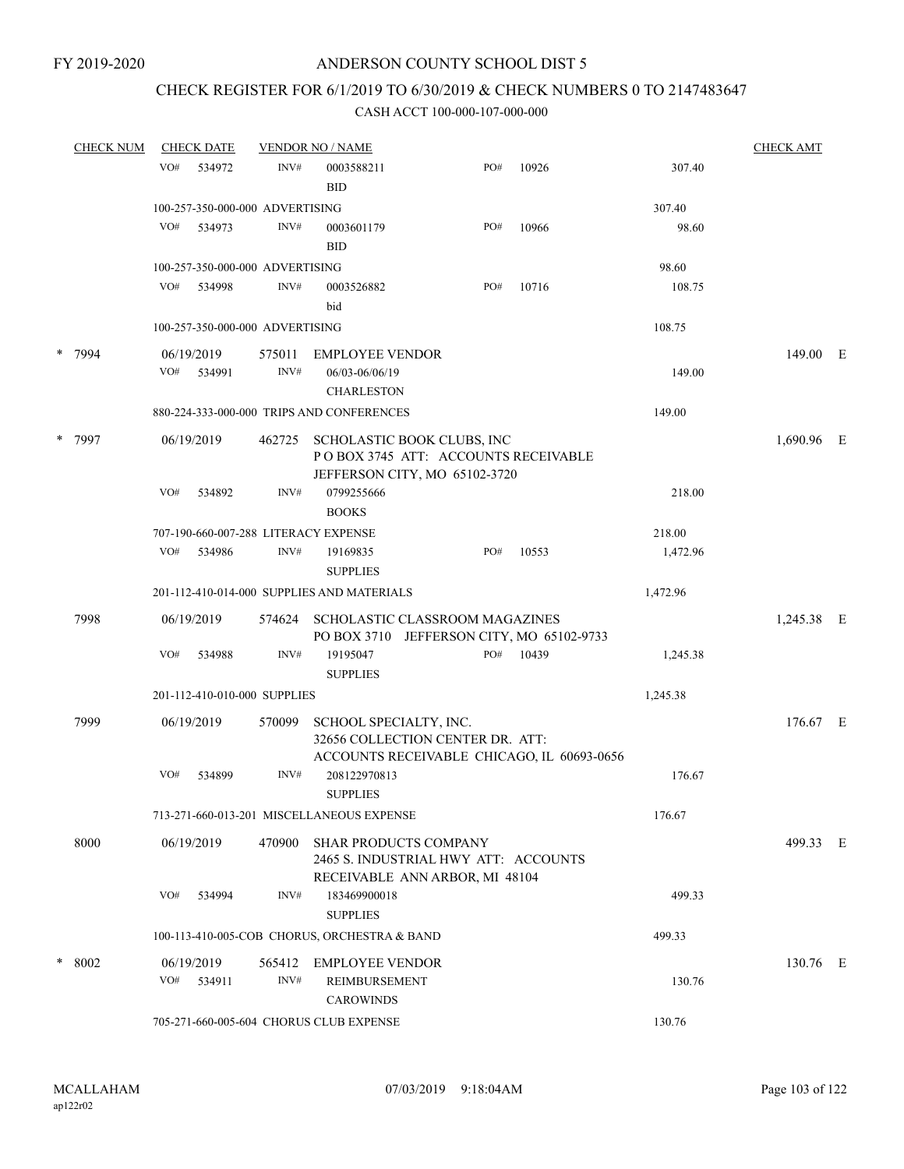## CHECK REGISTER FOR 6/1/2019 TO 6/30/2019 & CHECK NUMBERS 0 TO 2147483647

|        | <b>CHECK NUM</b>                                                                                                           |        | <b>CHECK DATE</b> |                                 | <b>VENDOR NO / NAME</b>                                                                                |     |        |            | <b>CHECK AMT</b> |  |
|--------|----------------------------------------------------------------------------------------------------------------------------|--------|-------------------|---------------------------------|--------------------------------------------------------------------------------------------------------|-----|--------|------------|------------------|--|
|        |                                                                                                                            | VO#    | 534972            | INV#                            | 0003588211<br><b>BID</b>                                                                               | PO# | 10926  | 307.40     |                  |  |
|        |                                                                                                                            |        |                   | 100-257-350-000-000 ADVERTISING |                                                                                                        |     |        | 307.40     |                  |  |
|        |                                                                                                                            | VO#    | 534973            | INV#                            | 0003601179<br><b>BID</b>                                                                               | PO# | 10966  | 98.60      |                  |  |
|        |                                                                                                                            |        |                   | 100-257-350-000-000 ADVERTISING |                                                                                                        |     |        | 98.60      |                  |  |
|        |                                                                                                                            | VO#    | 534998            | INV#                            | 0003526882<br>bid                                                                                      | PO# | 10716  | 108.75     |                  |  |
|        |                                                                                                                            |        |                   | 100-257-350-000-000 ADVERTISING |                                                                                                        |     |        | 108.75     |                  |  |
| *      | 7994                                                                                                                       |        | 06/19/2019        | 575011                          | <b>EMPLOYEE VENDOR</b>                                                                                 |     |        |            | 149.00 E         |  |
|        |                                                                                                                            | VO#    | 534991            | INV#                            | 06/03-06/06/19<br><b>CHARLESTON</b>                                                                    |     |        | 149.00     |                  |  |
|        |                                                                                                                            |        |                   |                                 | 880-224-333-000-000 TRIPS AND CONFERENCES                                                              |     |        | 149.00     |                  |  |
| * 7997 | 06/19/2019<br>SCHOLASTIC BOOK CLUBS, INC<br>462725<br>POBOX 3745 ATT: ACCOUNTS RECEIVABLE<br>JEFFERSON CITY, MO 65102-3720 |        |                   |                                 |                                                                                                        |     |        | 1,690.96 E |                  |  |
|        | VO#                                                                                                                        | 534892 | INV#              | 0799255666                      |                                                                                                        |     | 218.00 |            |                  |  |
|        |                                                                                                                            |        |                   | <b>BOOKS</b>                    |                                                                                                        |     |        |            |                  |  |
|        |                                                                                                                            |        |                   |                                 | 707-190-660-007-288 LITERACY EXPENSE                                                                   |     |        | 218.00     |                  |  |
|        |                                                                                                                            | VO#    | 534986            | INV#                            | 19169835<br><b>SUPPLIES</b>                                                                            | PO# | 10553  | 1,472.96   |                  |  |
|        |                                                                                                                            |        |                   |                                 | 201-112-410-014-000 SUPPLIES AND MATERIALS                                                             |     |        | 1,472.96   |                  |  |
|        | 7998                                                                                                                       |        | 06/19/2019        | 574624                          | SCHOLASTIC CLASSROOM MAGAZINES<br>PO BOX 3710 JEFFERSON CITY, MO 65102-9733                            |     |        |            | 1,245.38 E       |  |
|        |                                                                                                                            | VO#    | 534988            | INV#                            | 19195047<br><b>SUPPLIES</b>                                                                            | PO# | 10439  | 1,245.38   |                  |  |
|        |                                                                                                                            |        |                   | 201-112-410-010-000 SUPPLIES    | 1,245.38                                                                                               |     |        |            |                  |  |
|        | 7999                                                                                                                       |        | 06/19/2019        | 570099                          | SCHOOL SPECIALTY, INC.<br>32656 COLLECTION CENTER DR. ATT:                                             |     |        |            | 176.67 E         |  |
|        |                                                                                                                            | VO#    | 534899            | INV#                            | ACCOUNTS RECEIVABLE CHICAGO, IL 60693-0656<br>208122970813<br><b>SUPPLIES</b>                          |     |        | 176.67     |                  |  |
|        |                                                                                                                            |        |                   |                                 | 713-271-660-013-201 MISCELLANEOUS EXPENSE                                                              |     |        | 176.67     |                  |  |
|        | 8000                                                                                                                       |        | 06/19/2019        | 470900                          | <b>SHAR PRODUCTS COMPANY</b><br>2465 S. INDUSTRIAL HWY ATT: ACCOUNTS<br>RECEIVABLE ANN ARBOR, MI 48104 |     |        |            | 499.33 E         |  |
|        |                                                                                                                            | VO#    | 534994            | INV#                            | 183469900018<br><b>SUPPLIES</b>                                                                        |     |        | 499.33     |                  |  |
|        |                                                                                                                            |        |                   |                                 | 100-113-410-005-COB CHORUS, ORCHESTRA & BAND                                                           |     |        | 499.33     |                  |  |
|        | * 8002                                                                                                                     |        | 06/19/2019        | 565412                          | <b>EMPLOYEE VENDOR</b>                                                                                 |     |        |            | 130.76 E         |  |
|        |                                                                                                                            | VO#    | 534911            | INV#                            | <b>REIMBURSEMENT</b><br><b>CAROWINDS</b>                                                               |     |        | 130.76     |                  |  |
|        |                                                                                                                            |        |                   |                                 | 705-271-660-005-604 CHORUS CLUB EXPENSE                                                                |     |        | 130.76     |                  |  |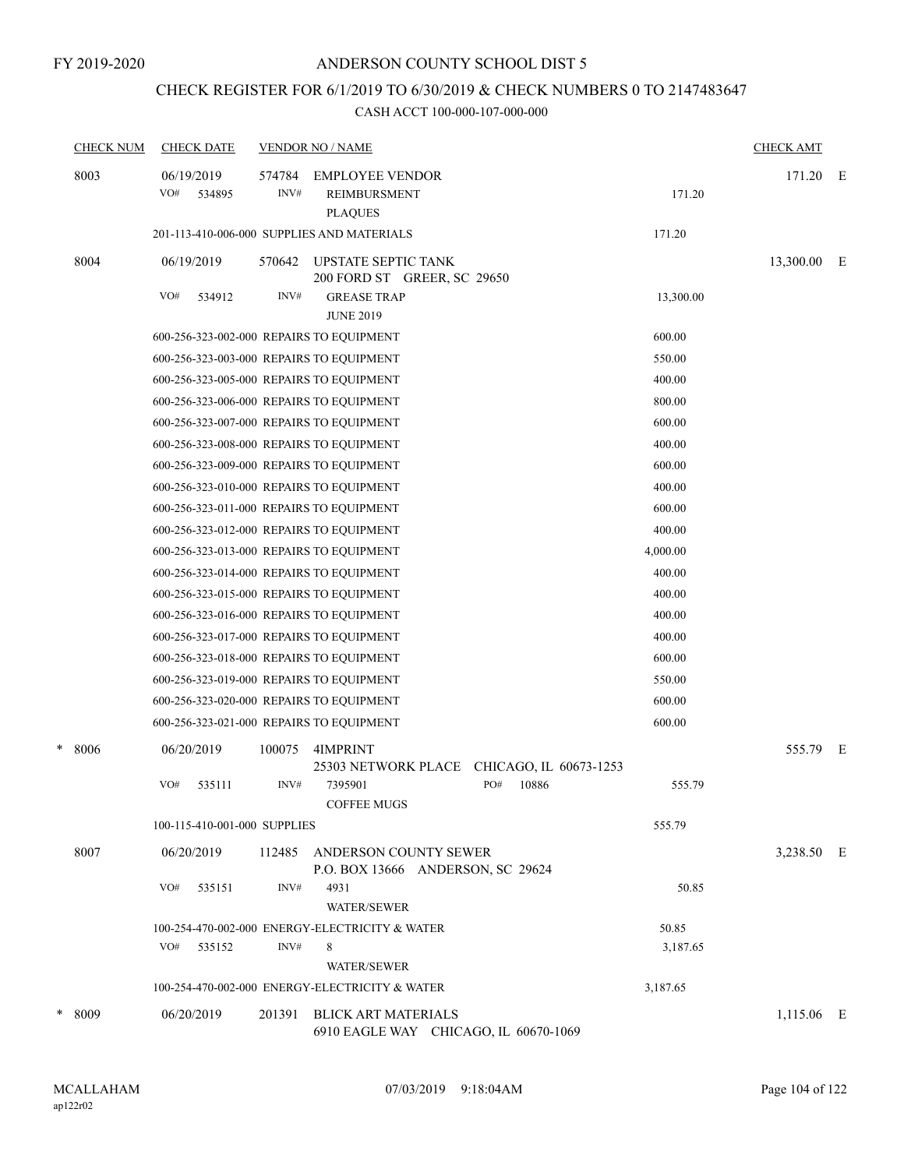## CHECK REGISTER FOR 6/1/2019 TO 6/30/2019 & CHECK NUMBERS 0 TO 2147483647

| <b>CHECK NUM</b> | <b>CHECK DATE</b>                        |                | <b>VENDOR NO / NAME</b>                                             |              |           | <b>CHECK AMT</b> |    |
|------------------|------------------------------------------|----------------|---------------------------------------------------------------------|--------------|-----------|------------------|----|
| 8003             | 06/19/2019<br>VO#<br>534895              | 574784<br>INV# | <b>EMPLOYEE VENDOR</b><br>REIMBURSMENT                              |              | 171.20    | 171.20           | ΞE |
|                  |                                          |                | <b>PLAQUES</b>                                                      |              |           |                  |    |
|                  |                                          |                | 201-113-410-006-000 SUPPLIES AND MATERIALS                          |              | 171.20    |                  |    |
| 8004             | 06/19/2019                               | 570642         | <b>UPSTATE SEPTIC TANK</b><br>200 FORD ST GREER, SC 29650           |              |           | 13,300.00 E      |    |
|                  | VO#<br>534912                            | INV#           | <b>GREASE TRAP</b><br><b>JUNE 2019</b>                              |              | 13,300.00 |                  |    |
|                  | 600-256-323-002-000 REPAIRS TO EQUIPMENT |                |                                                                     |              | 600.00    |                  |    |
|                  | 600-256-323-003-000 REPAIRS TO EQUIPMENT |                |                                                                     |              | 550.00    |                  |    |
|                  | 600-256-323-005-000 REPAIRS TO EQUIPMENT |                |                                                                     |              | 400.00    |                  |    |
|                  | 600-256-323-006-000 REPAIRS TO EQUIPMENT |                |                                                                     |              | 800.00    |                  |    |
|                  | 600-256-323-007-000 REPAIRS TO EQUIPMENT |                |                                                                     |              | 600.00    |                  |    |
|                  | 600-256-323-008-000 REPAIRS TO EQUIPMENT |                |                                                                     |              | 400.00    |                  |    |
|                  | 600-256-323-009-000 REPAIRS TO EQUIPMENT |                |                                                                     |              | 600.00    |                  |    |
|                  | 600-256-323-010-000 REPAIRS TO EQUIPMENT |                |                                                                     |              | 400.00    |                  |    |
|                  | 600-256-323-011-000 REPAIRS TO EQUIPMENT |                |                                                                     |              | 600.00    |                  |    |
|                  | 600-256-323-012-000 REPAIRS TO EQUIPMENT |                |                                                                     |              | 400.00    |                  |    |
|                  | 600-256-323-013-000 REPAIRS TO EQUIPMENT |                |                                                                     |              | 4,000.00  |                  |    |
|                  | 600-256-323-014-000 REPAIRS TO EQUIPMENT |                |                                                                     |              | 400.00    |                  |    |
|                  | 600-256-323-015-000 REPAIRS TO EQUIPMENT |                |                                                                     |              | 400.00    |                  |    |
|                  | 600-256-323-016-000 REPAIRS TO EQUIPMENT |                |                                                                     |              | 400.00    |                  |    |
|                  | 600-256-323-017-000 REPAIRS TO EQUIPMENT |                |                                                                     |              | 400.00    |                  |    |
|                  | 600-256-323-018-000 REPAIRS TO EQUIPMENT |                |                                                                     |              | 600.00    |                  |    |
|                  | 600-256-323-019-000 REPAIRS TO EQUIPMENT |                |                                                                     |              | 550.00    |                  |    |
|                  | 600-256-323-020-000 REPAIRS TO EQUIPMENT |                |                                                                     |              | 600.00    |                  |    |
|                  | 600-256-323-021-000 REPAIRS TO EQUIPMENT |                |                                                                     |              | 600.00    |                  |    |
| *<br>8006        | 06/20/2019                               | 100075         | 4IMPRINT<br>25303 NETWORK PLACE CHICAGO, IL 60673-1253              |              |           | 555.79 E         |    |
|                  | VO#<br>535111                            | INV#           | 7395901<br><b>COFFEE MUGS</b>                                       | PO#<br>10886 | 555.79    |                  |    |
|                  | 100-115-410-001-000 SUPPLIES             |                |                                                                     |              | 555.79    |                  |    |
| 8007             | 06/20/2019                               | 112485         | ANDERSON COUNTY SEWER<br>P.O. BOX 13666 ANDERSON, SC 29624          |              |           | 3,238.50 E       |    |
|                  | VO#<br>535151                            | INV#           | 4931<br><b>WATER/SEWER</b>                                          |              | 50.85     |                  |    |
|                  |                                          |                | 100-254-470-002-000 ENERGY-ELECTRICITY & WATER                      |              | 50.85     |                  |    |
|                  | VO#<br>535152                            | INV#           | 8                                                                   |              | 3,187.65  |                  |    |
|                  |                                          |                | <b>WATER/SEWER</b>                                                  |              |           |                  |    |
|                  |                                          |                | 100-254-470-002-000 ENERGY-ELECTRICITY & WATER                      |              | 3,187.65  |                  |    |
| * 8009           | 06/20/2019                               | 201391         | <b>BLICK ART MATERIALS</b><br>6910 EAGLE WAY CHICAGO, IL 60670-1069 |              |           | 1,115.06 E       |    |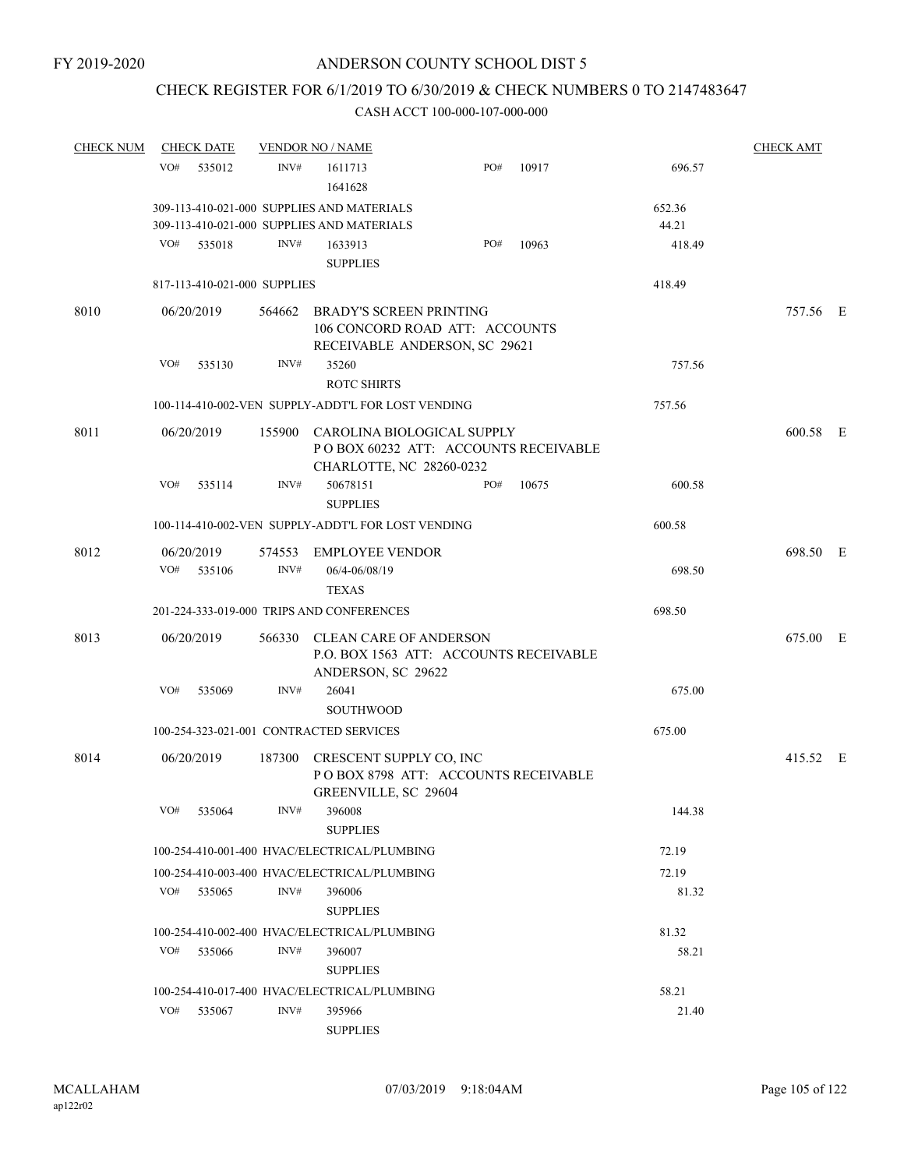## CHECK REGISTER FOR 6/1/2019 TO 6/30/2019 & CHECK NUMBERS 0 TO 2147483647

| <b>CHECK NUM</b> |     | <b>CHECK DATE</b>        |                              | <b>VENDOR NO / NAME</b>                                                                               |     |       |        | <b>CHECK AMT</b> |  |
|------------------|-----|--------------------------|------------------------------|-------------------------------------------------------------------------------------------------------|-----|-------|--------|------------------|--|
|                  | VO# | 535012                   | INV#                         | 1611713<br>1641628                                                                                    | PO# | 10917 | 696.57 |                  |  |
|                  |     |                          |                              | 309-113-410-021-000 SUPPLIES AND MATERIALS                                                            |     |       | 652.36 |                  |  |
|                  |     |                          |                              | 309-113-410-021-000 SUPPLIES AND MATERIALS                                                            |     |       | 44.21  |                  |  |
|                  | VO# | 535018                   | INV#                         | 1633913                                                                                               | PO# | 10963 | 418.49 |                  |  |
|                  |     |                          |                              | <b>SUPPLIES</b>                                                                                       |     |       |        |                  |  |
|                  |     |                          | 817-113-410-021-000 SUPPLIES |                                                                                                       |     |       | 418.49 |                  |  |
| 8010             |     | 06/20/2019               | 564662                       | <b>BRADY'S SCREEN PRINTING</b><br>106 CONCORD ROAD ATT: ACCOUNTS<br>RECEIVABLE ANDERSON, SC 29621     |     |       |        | 757.56 E         |  |
|                  | VO# | 535130                   | INV#                         | 35260<br><b>ROTC SHIRTS</b>                                                                           |     |       | 757.56 |                  |  |
|                  |     |                          |                              | 100-114-410-002-VEN SUPPLY-ADDT'L FOR LOST VENDING                                                    |     |       | 757.56 |                  |  |
| 8011             |     | 06/20/2019               |                              | 155900 CAROLINA BIOLOGICAL SUPPLY<br>POBOX 60232 ATT: ACCOUNTS RECEIVABLE<br>CHARLOTTE, NC 28260-0232 |     |       |        | 600.58 E         |  |
|                  | VO# | 535114                   | INV#                         | 50678151<br><b>SUPPLIES</b>                                                                           | PO# | 10675 | 600.58 |                  |  |
|                  |     |                          |                              | 100-114-410-002-VEN SUPPLY-ADDT'L FOR LOST VENDING                                                    |     |       | 600.58 |                  |  |
| 8012             |     | 06/20/2019<br>VO# 535106 | INV#                         | 574553 EMPLOYEE VENDOR<br>06/4-06/08/19                                                               |     |       | 698.50 | 698.50 E         |  |
|                  |     |                          |                              | <b>TEXAS</b><br>201-224-333-019-000 TRIPS AND CONFERENCES                                             |     |       | 698.50 |                  |  |
|                  |     |                          |                              |                                                                                                       |     |       |        |                  |  |
| 8013             |     | 06/20/2019               |                              | 566330 CLEAN CARE OF ANDERSON<br>P.O. BOX 1563 ATT: ACCOUNTS RECEIVABLE<br>ANDERSON, SC 29622         |     |       |        | 675.00 E         |  |
|                  | VO# | 535069                   | INV#                         | 26041<br><b>SOUTHWOOD</b>                                                                             |     |       | 675.00 |                  |  |
|                  |     |                          |                              | 100-254-323-021-001 CONTRACTED SERVICES                                                               |     |       | 675.00 |                  |  |
| 8014             |     | 06/20/2019               |                              | 187300 CRESCENT SUPPLY CO, INC<br>POBOX 8798 ATT: ACCOUNTS RECEIVABLE<br>GREENVILLE, SC 29604         |     |       |        | 415.52 E         |  |
|                  | VO# | 535064                   | INV#                         | 396008<br><b>SUPPLIES</b>                                                                             |     |       | 144.38 |                  |  |
|                  |     |                          |                              | 100-254-410-001-400 HVAC/ELECTRICAL/PLUMBING                                                          |     |       | 72.19  |                  |  |
|                  |     |                          |                              | 100-254-410-003-400 HVAC/ELECTRICAL/PLUMBING                                                          |     |       | 72.19  |                  |  |
|                  |     | VO# 535065               | INV#                         | 396006<br><b>SUPPLIES</b>                                                                             |     |       | 81.32  |                  |  |
|                  |     |                          |                              | 100-254-410-002-400 HVAC/ELECTRICAL/PLUMBING                                                          |     |       | 81.32  |                  |  |
|                  |     | VO# 535066               | INV#                         | 396007<br><b>SUPPLIES</b>                                                                             |     |       | 58.21  |                  |  |
|                  |     |                          |                              | 100-254-410-017-400 HVAC/ELECTRICAL/PLUMBING                                                          |     |       | 58.21  |                  |  |
|                  | VO# | 535067                   | INV#                         | 395966<br><b>SUPPLIES</b>                                                                             |     |       | 21.40  |                  |  |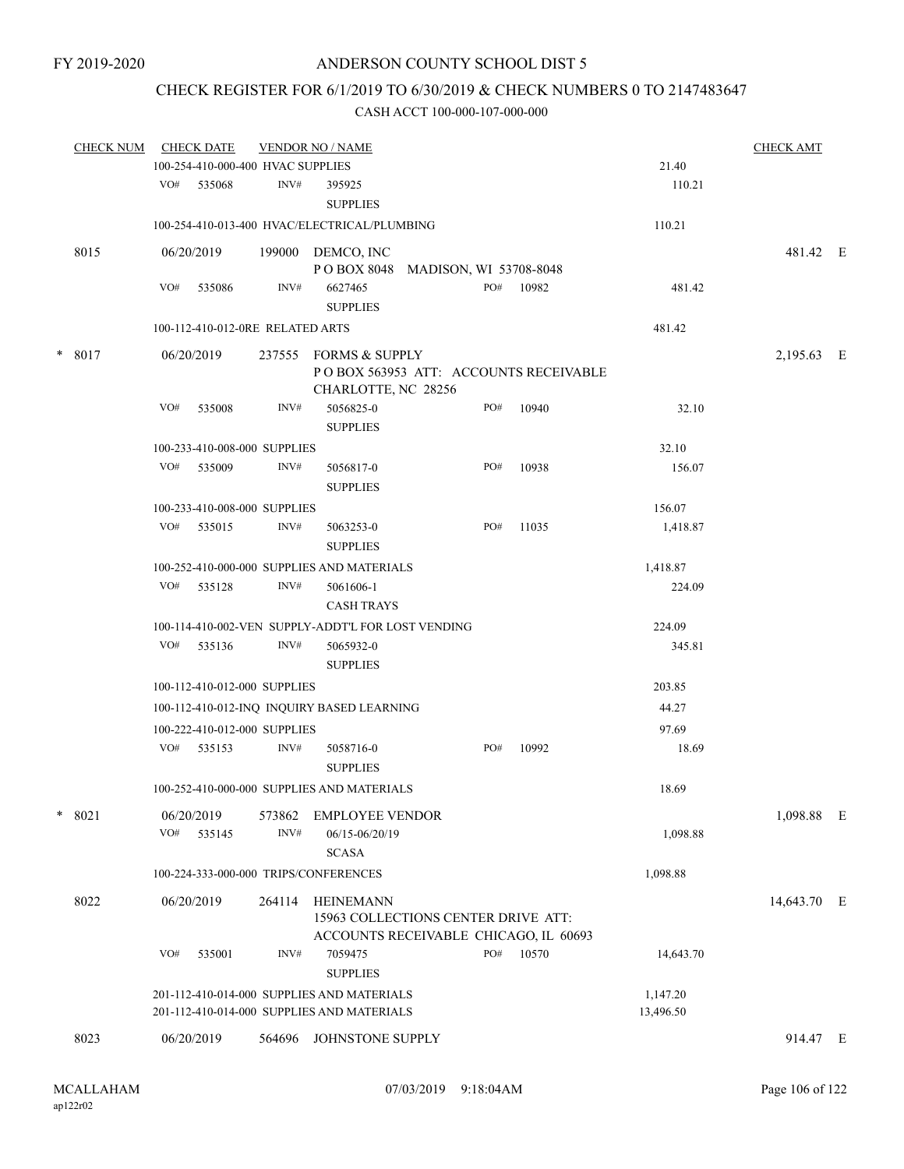## CHECK REGISTER FOR 6/1/2019 TO 6/30/2019 & CHECK NUMBERS 0 TO 2147483647

|   | <b>CHECK NUM</b> |     | <b>CHECK DATE</b>                 |                | <b>VENDOR NO / NAME</b>                                                                   |       |                                       |           | <b>CHECK AMT</b> |  |
|---|------------------|-----|-----------------------------------|----------------|-------------------------------------------------------------------------------------------|-------|---------------------------------------|-----------|------------------|--|
|   |                  |     | 100-254-410-000-400 HVAC SUPPLIES |                |                                                                                           |       |                                       | 21.40     |                  |  |
|   |                  |     | VO# 535068                        | INV#           | 395925<br><b>SUPPLIES</b>                                                                 |       |                                       | 110.21    |                  |  |
|   |                  |     |                                   |                | 100-254-410-013-400 HVAC/ELECTRICAL/PLUMBING                                              |       |                                       | 110.21    |                  |  |
|   | 8015             |     | 06/20/2019                        |                | 199000 DEMCO, INC<br>POBOX 8048 MADISON, WI 53708-8048                                    |       |                                       |           | 481.42 E         |  |
|   |                  | VO# | 535086                            | INV#           | 6627465<br><b>SUPPLIES</b>                                                                |       | PO# 10982                             | 481.42    |                  |  |
|   |                  |     | 100-112-410-012-0RE RELATED ARTS  |                |                                                                                           |       |                                       | 481.42    |                  |  |
| * | 8017             |     | 06/20/2019                        |                | 237555 FORMS & SUPPLY                                                                     |       |                                       |           | 2,195.63 E       |  |
|   |                  |     |                                   |                | CHARLOTTE, NC 28256                                                                       |       | POBOX 563953 ATT: ACCOUNTS RECEIVABLE |           |                  |  |
|   |                  | VO# | 535008                            | INV#           | 5056825-0<br><b>SUPPLIES</b>                                                              | PO#   | 10940                                 | 32.10     |                  |  |
|   |                  |     | 100-233-410-008-000 SUPPLIES      |                |                                                                                           |       |                                       | 32.10     |                  |  |
|   |                  | VO# | 535009                            | INV#           | 5056817-0                                                                                 | PO#   | 10938                                 | 156.07    |                  |  |
|   |                  |     |                                   |                | <b>SUPPLIES</b>                                                                           |       |                                       |           |                  |  |
|   |                  |     | 100-233-410-008-000 SUPPLIES      |                |                                                                                           |       |                                       | 156.07    |                  |  |
|   |                  | VO# | 535015                            | INV#           | 5063253-0<br><b>SUPPLIES</b>                                                              | PO#   | 11035                                 | 1,418.87  |                  |  |
|   |                  |     |                                   |                | 100-252-410-000-000 SUPPLIES AND MATERIALS                                                |       |                                       | 1,418.87  |                  |  |
|   |                  |     | VO# 535128                        | INV#           | 5061606-1<br><b>CASH TRAYS</b>                                                            |       |                                       | 224.09    |                  |  |
|   |                  |     |                                   |                | 100-114-410-002-VEN SUPPLY-ADDT'L FOR LOST VENDING                                        |       |                                       | 224.09    |                  |  |
|   |                  | VO# | 535136                            | INV#           | 5065932-0<br><b>SUPPLIES</b>                                                              |       |                                       | 345.81    |                  |  |
|   |                  |     | 100-112-410-012-000 SUPPLIES      |                |                                                                                           |       |                                       | 203.85    |                  |  |
|   |                  |     |                                   |                | 100-112-410-012-INQ INQUIRY BASED LEARNING                                                | 44.27 |                                       |           |                  |  |
|   |                  |     | 100-222-410-012-000 SUPPLIES      |                |                                                                                           |       | 97.69                                 |           |                  |  |
|   |                  |     | VO# 535153                        | INV#           | 5058716-0<br><b>SUPPLIES</b>                                                              | PO#   | 10992                                 | 18.69     |                  |  |
|   |                  |     |                                   |                | 100-252-410-000-000 SUPPLIES AND MATERIALS                                                |       |                                       | 18.69     |                  |  |
|   | * 8021           | VO# | 06/20/2019<br>535145              | 573862<br>INV# | <b>EMPLOYEE VENDOR</b><br>06/15-06/20/19<br><b>SCASA</b>                                  |       |                                       | 1,098.88  | 1,098.88 E       |  |
|   |                  |     |                                   |                | 100-224-333-000-000 TRIPS/CONFERENCES                                                     |       |                                       | 1,098.88  |                  |  |
|   | 8022             |     | 06/20/2019                        | 264114         | HEINEMANN<br>15963 COLLECTIONS CENTER DRIVE ATT:<br>ACCOUNTS RECEIVABLE CHICAGO, IL 60693 |       |                                       |           | 14,643.70 E      |  |
|   |                  | VO# | 535001                            | INV#           | 7059475<br><b>SUPPLIES</b>                                                                | PO#   | 10570                                 | 14,643.70 |                  |  |
|   |                  |     |                                   |                | 201-112-410-014-000 SUPPLIES AND MATERIALS                                                |       |                                       | 1,147.20  |                  |  |
|   |                  |     |                                   |                | 201-112-410-014-000 SUPPLIES AND MATERIALS                                                |       |                                       | 13,496.50 |                  |  |
|   | 8023             |     | 06/20/2019                        | 564696         | JOHNSTONE SUPPLY                                                                          |       |                                       |           | 914.47 E         |  |
|   |                  |     |                                   |                |                                                                                           |       |                                       |           |                  |  |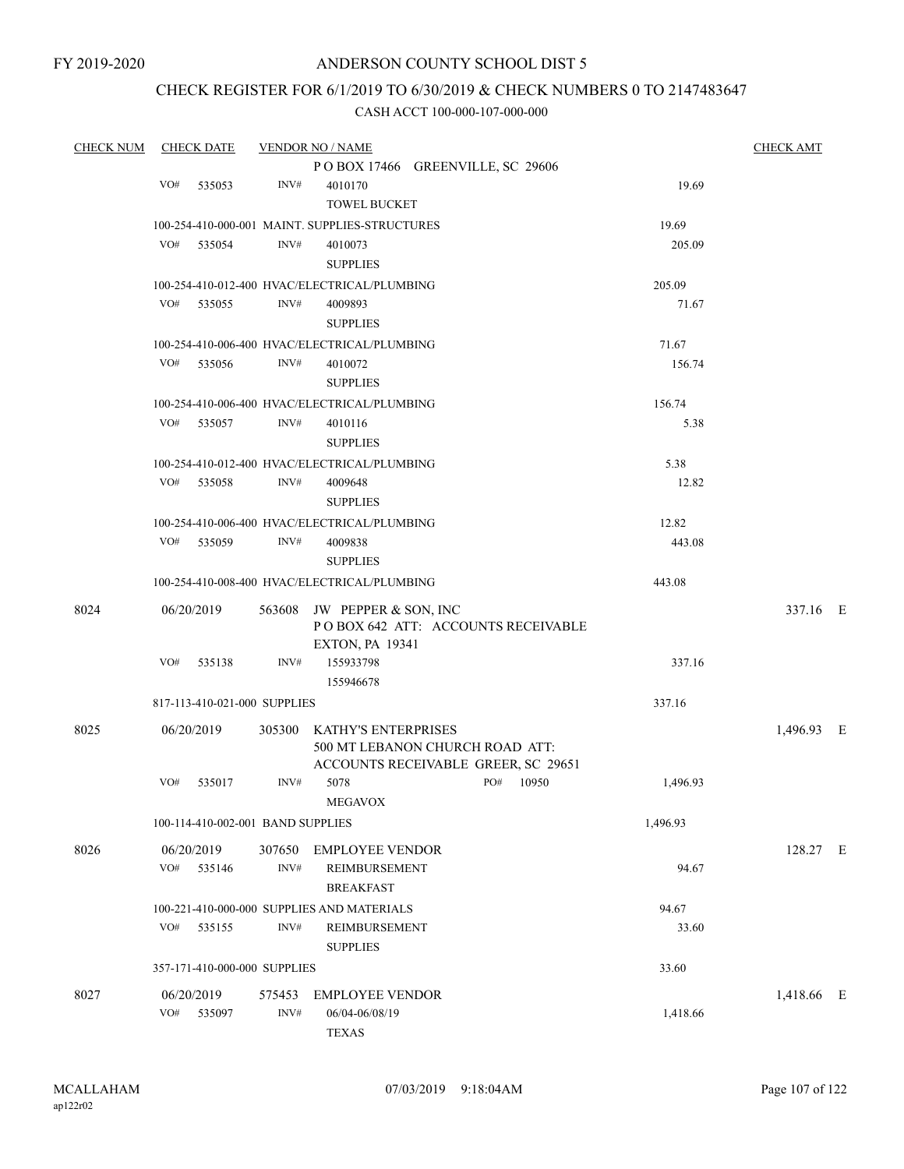# CHECK REGISTER FOR 6/1/2019 TO 6/30/2019 & CHECK NUMBERS 0 TO 2147483647

| <b>CHECK NUM</b> | <b>CHECK DATE</b> |                                   |        | <b>VENDOR NO / NAME</b>                        |     |       |          | <b>CHECK AMT</b> |  |
|------------------|-------------------|-----------------------------------|--------|------------------------------------------------|-----|-------|----------|------------------|--|
|                  |                   |                                   |        | POBOX 17466 GREENVILLE, SC 29606               |     |       |          |                  |  |
|                  | VO#               | 535053                            | INV#   | 4010170                                        |     |       | 19.69    |                  |  |
|                  |                   |                                   |        | <b>TOWEL BUCKET</b>                            |     |       |          |                  |  |
|                  |                   |                                   |        | 100-254-410-000-001 MAINT. SUPPLIES-STRUCTURES |     |       | 19.69    |                  |  |
|                  | VO#               | 535054                            | INV#   | 4010073                                        |     |       | 205.09   |                  |  |
|                  |                   |                                   |        | <b>SUPPLIES</b>                                |     |       |          |                  |  |
|                  |                   |                                   |        | 100-254-410-012-400 HVAC/ELECTRICAL/PLUMBING   |     |       | 205.09   |                  |  |
|                  | VO#               | 535055                            | INV#   | 4009893                                        |     |       | 71.67    |                  |  |
|                  |                   |                                   |        | <b>SUPPLIES</b>                                |     |       |          |                  |  |
|                  |                   |                                   |        | 100-254-410-006-400 HVAC/ELECTRICAL/PLUMBING   |     |       | 71.67    |                  |  |
|                  | VO#               | 535056                            | INV#   | 4010072                                        |     |       | 156.74   |                  |  |
|                  |                   |                                   |        | <b>SUPPLIES</b>                                |     |       |          |                  |  |
|                  |                   |                                   |        | 100-254-410-006-400 HVAC/ELECTRICAL/PLUMBING   |     |       | 156.74   |                  |  |
|                  | VO#               | 535057                            | INV#   | 4010116                                        |     |       | 5.38     |                  |  |
|                  |                   |                                   |        | <b>SUPPLIES</b>                                |     |       |          |                  |  |
|                  |                   |                                   |        | 100-254-410-012-400 HVAC/ELECTRICAL/PLUMBING   |     |       | 5.38     |                  |  |
|                  | VO#               | 535058                            | INV#   | 4009648                                        |     |       | 12.82    |                  |  |
|                  |                   |                                   |        | <b>SUPPLIES</b>                                |     |       |          |                  |  |
|                  |                   |                                   |        | 100-254-410-006-400 HVAC/ELECTRICAL/PLUMBING   |     |       | 12.82    |                  |  |
|                  | VO#               | 535059                            | INV#   | 4009838                                        |     |       | 443.08   |                  |  |
|                  |                   |                                   |        | <b>SUPPLIES</b>                                |     |       |          |                  |  |
|                  |                   |                                   |        | 100-254-410-008-400 HVAC/ELECTRICAL/PLUMBING   |     |       | 443.08   |                  |  |
| 8024             | 06/20/2019        |                                   |        | 563608 JW PEPPER & SON, INC                    |     |       |          | 337.16 E         |  |
|                  |                   |                                   |        | POBOX 642 ATT: ACCOUNTS RECEIVABLE             |     |       |          |                  |  |
|                  |                   |                                   |        | <b>EXTON, PA 19341</b>                         |     |       |          |                  |  |
|                  | VO#               | 535138                            | INV#   | 155933798                                      |     |       | 337.16   |                  |  |
|                  |                   |                                   |        | 155946678                                      |     |       |          |                  |  |
|                  |                   | 817-113-410-021-000 SUPPLIES      |        |                                                |     |       | 337.16   |                  |  |
| 8025             | 06/20/2019        |                                   | 305300 | KATHY'S ENTERPRISES                            |     |       |          | 1,496.93 E       |  |
|                  |                   |                                   |        | 500 MT LEBANON CHURCH ROAD ATT:                |     |       |          |                  |  |
|                  |                   |                                   |        | ACCOUNTS RECEIVABLE GREER, SC 29651            |     |       |          |                  |  |
|                  | VO#               | 535017                            | INV#   | 5078                                           | PO# | 10950 | 1,496.93 |                  |  |
|                  |                   |                                   |        | MEGAVOX                                        |     |       |          |                  |  |
|                  |                   | 100-114-410-002-001 BAND SUPPLIES |        |                                                |     |       | 1,496.93 |                  |  |
| 8026             |                   | 06/20/2019                        |        | 307650 EMPLOYEE VENDOR                         |     |       |          | 128.27 E         |  |
|                  | VO# 535146        |                                   | INV#   | REIMBURSEMENT                                  |     |       | 94.67    |                  |  |
|                  |                   |                                   |        | <b>BREAKFAST</b>                               |     |       |          |                  |  |
|                  |                   |                                   |        | 100-221-410-000-000 SUPPLIES AND MATERIALS     |     |       | 94.67    |                  |  |
|                  | VO#               | 535155                            | INV#   | REIMBURSEMENT                                  |     |       | 33.60    |                  |  |
|                  |                   |                                   |        | <b>SUPPLIES</b>                                |     |       |          |                  |  |
|                  |                   | 357-171-410-000-000 SUPPLIES      |        |                                                |     |       | 33.60    |                  |  |
| 8027             | 06/20/2019        |                                   | 575453 | <b>EMPLOYEE VENDOR</b>                         |     |       |          | 1,418.66 E       |  |
|                  | VO# 535097        |                                   | INV#   | 06/04-06/08/19                                 |     |       | 1,418.66 |                  |  |
|                  |                   |                                   |        | <b>TEXAS</b>                                   |     |       |          |                  |  |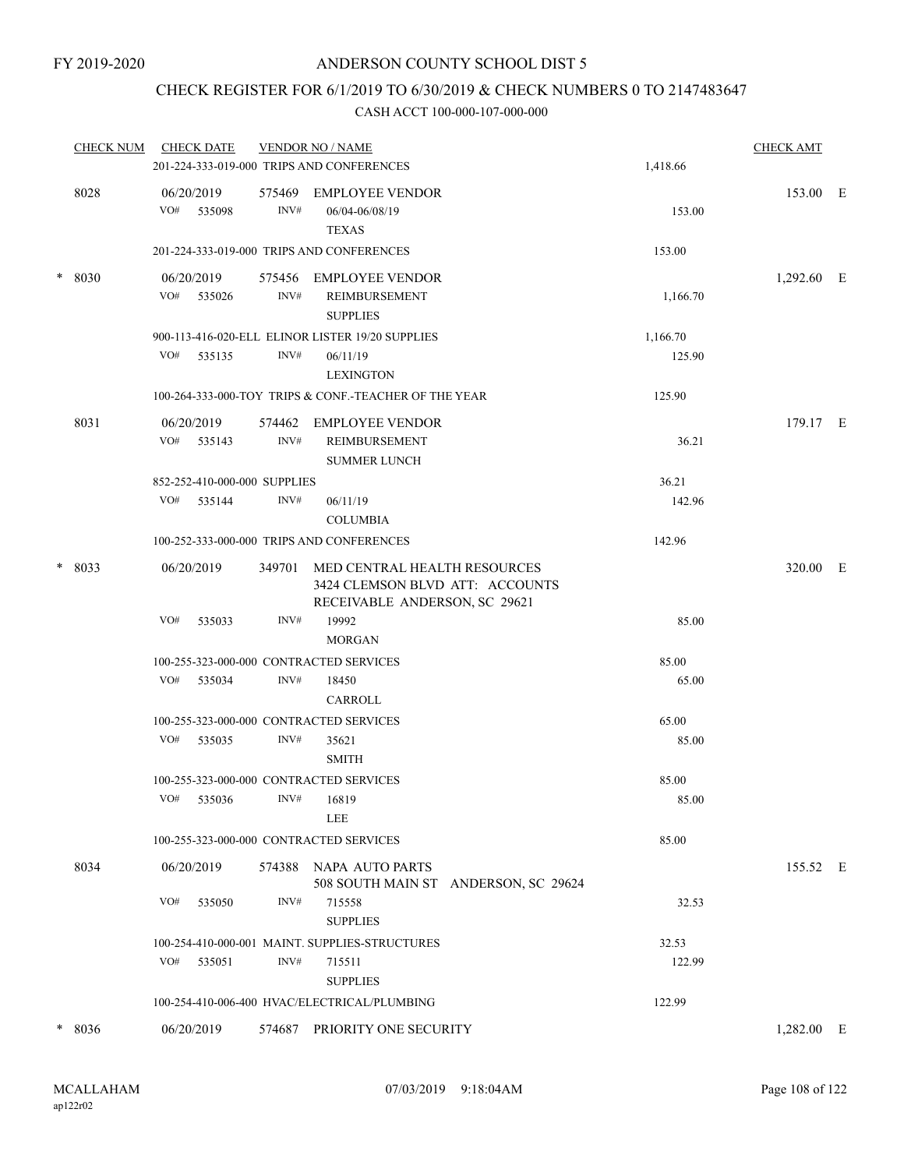## CHECK REGISTER FOR 6/1/2019 TO 6/30/2019 & CHECK NUMBERS 0 TO 2147483647

| <b>CHECK NUM</b> | <b>CHECK DATE</b> |                              | <b>VENDOR NO / NAME</b> |                                                                                                  | <b>CHECK AMT</b> |            |  |
|------------------|-------------------|------------------------------|-------------------------|--------------------------------------------------------------------------------------------------|------------------|------------|--|
|                  |                   |                              |                         | 201-224-333-019-000 TRIPS AND CONFERENCES                                                        | 1,418.66         |            |  |
|                  | 8028              | 06/20/2019<br>VO# 535098     | 575469<br>INV#          | <b>EMPLOYEE VENDOR</b><br>06/04-06/08/19<br><b>TEXAS</b>                                         | 153.00           | 153.00 E   |  |
|                  |                   |                              |                         | 201-224-333-019-000 TRIPS AND CONFERENCES                                                        | 153.00           |            |  |
| $\ast$           | 8030              | 06/20/2019<br>VO# 535026     | INV#                    | 575456 EMPLOYEE VENDOR<br><b>REIMBURSEMENT</b><br><b>SUPPLIES</b>                                | 1,166.70         | 1,292.60 E |  |
|                  |                   |                              |                         | 900-113-416-020-ELL ELINOR LISTER 19/20 SUPPLIES                                                 | 1,166.70         |            |  |
|                  |                   | VO# 535135                   | INV#                    | 06/11/19<br><b>LEXINGTON</b>                                                                     | 125.90           |            |  |
|                  |                   |                              |                         | 100-264-333-000-TOY TRIPS & CONF.-TEACHER OF THE YEAR                                            | 125.90           |            |  |
|                  | 8031              | 06/20/2019<br>VO#<br>535143  | 574462<br>INV#          | <b>EMPLOYEE VENDOR</b><br><b>REIMBURSEMENT</b><br><b>SUMMER LUNCH</b>                            | 36.21            | 179.17 E   |  |
|                  |                   | 852-252-410-000-000 SUPPLIES |                         |                                                                                                  | 36.21            |            |  |
|                  |                   | VO# 535144                   | INV#                    | 06/11/19<br><b>COLUMBIA</b>                                                                      | 142.96           |            |  |
|                  |                   |                              |                         | 100-252-333-000-000 TRIPS AND CONFERENCES                                                        | 142.96           |            |  |
| *<br>8033        |                   | 06/20/2019                   | 349701                  | MED CENTRAL HEALTH RESOURCES<br>3424 CLEMSON BLVD ATT: ACCOUNTS<br>RECEIVABLE ANDERSON, SC 29621 |                  | 320.00 E   |  |
|                  |                   | VO#<br>535033                | INV#                    | 19992<br><b>MORGAN</b>                                                                           | 85.00            |            |  |
|                  |                   |                              |                         | 100-255-323-000-000 CONTRACTED SERVICES                                                          | 85.00            |            |  |
|                  |                   | VO# 535034                   | INV#                    | 18450<br>CARROLL                                                                                 | 65.00            |            |  |
|                  |                   |                              |                         | 100-255-323-000-000 CONTRACTED SERVICES                                                          | 65.00            |            |  |
|                  |                   | VO# 535035                   | INV#                    | 35621<br><b>SMITH</b>                                                                            | 85.00            |            |  |
|                  |                   |                              |                         | 100-255-323-000-000 CONTRACTED SERVICES                                                          | 85.00            |            |  |
|                  |                   | VO# 535036 INV# 16819        |                         | LEE                                                                                              | 85.00            |            |  |
|                  |                   |                              |                         | 100-255-323-000-000 CONTRACTED SERVICES                                                          | 85.00            |            |  |
|                  | 8034              | 06/20/2019                   |                         | 574388 NAPA AUTO PARTS<br>508 SOUTH MAIN ST ANDERSON, SC 29624                                   |                  | 155.52 E   |  |
|                  |                   | VO#<br>535050                | INV#                    | 715558<br><b>SUPPLIES</b>                                                                        | 32.53            |            |  |
|                  |                   |                              |                         | 100-254-410-000-001 MAINT. SUPPLIES-STRUCTURES                                                   | 32.53            |            |  |
|                  |                   | VO# 535051                   | INV#                    | 715511<br><b>SUPPLIES</b>                                                                        | 122.99           |            |  |
|                  |                   |                              |                         | 100-254-410-006-400 HVAC/ELECTRICAL/PLUMBING                                                     | 122.99           |            |  |
| $\ast$           | 8036              | 06/20/2019                   |                         | 574687 PRIORITY ONE SECURITY                                                                     |                  | 1,282.00 E |  |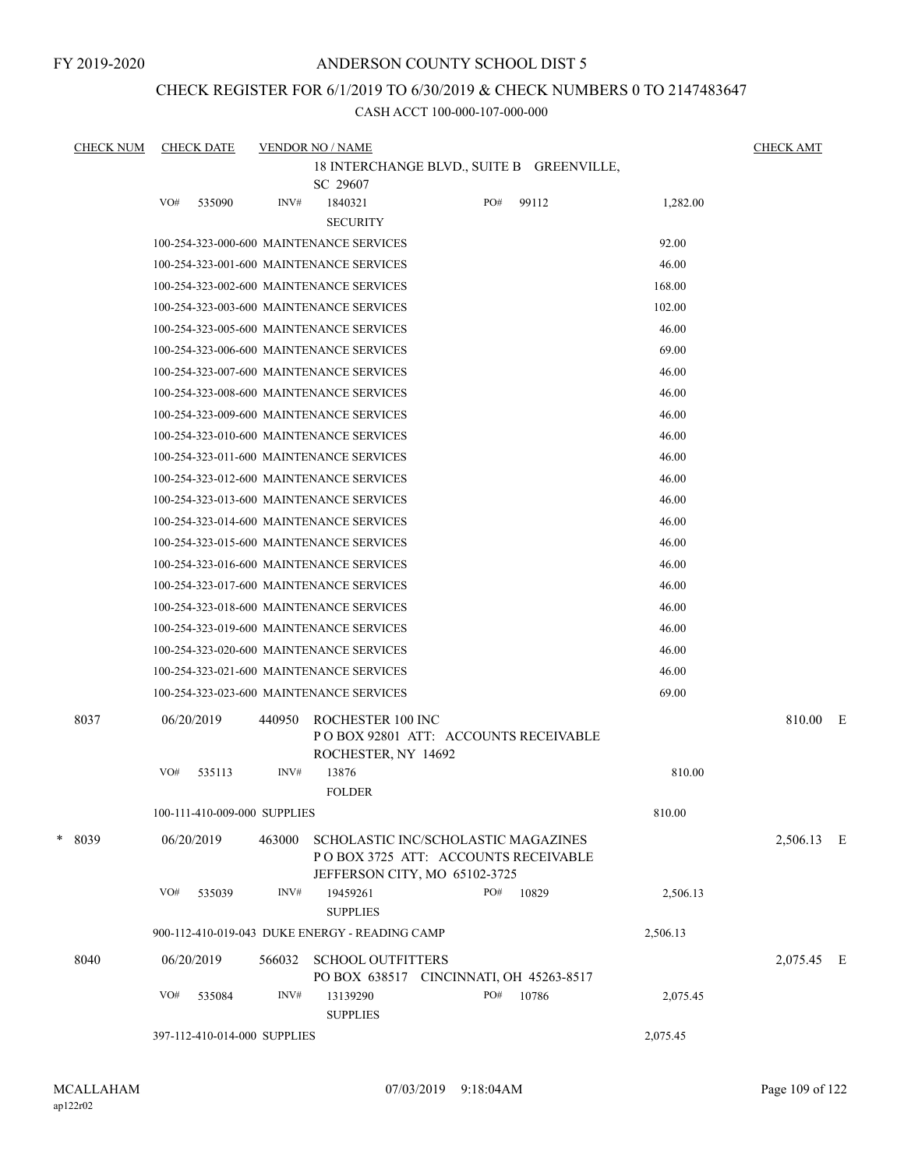FY 2019-2020

## ANDERSON COUNTY SCHOOL DIST 5

# CHECK REGISTER FOR 6/1/2019 TO 6/30/2019 & CHECK NUMBERS 0 TO 2147483647

| <b>CHECK NUM</b> |                                                       | <b>CHECK DATE</b>            |        | <b>VENDOR NO / NAME</b>                                                                                      |  |              |  |          | <b>CHECK AMT</b> |  |
|------------------|-------------------------------------------------------|------------------------------|--------|--------------------------------------------------------------------------------------------------------------|--|--------------|--|----------|------------------|--|
|                  | 18 INTERCHANGE BLVD., SUITE B GREENVILLE,<br>SC 29607 |                              |        |                                                                                                              |  |              |  |          |                  |  |
|                  | VO#                                                   | 535090                       | INV#   | 1840321                                                                                                      |  | PO#<br>99112 |  | 1,282.00 |                  |  |
|                  |                                                       |                              |        | <b>SECURITY</b>                                                                                              |  |              |  |          |                  |  |
|                  |                                                       |                              |        | 100-254-323-000-600 MAINTENANCE SERVICES                                                                     |  |              |  | 92.00    |                  |  |
|                  |                                                       |                              |        | 100-254-323-001-600 MAINTENANCE SERVICES                                                                     |  |              |  | 46.00    |                  |  |
|                  |                                                       |                              |        | 100-254-323-002-600 MAINTENANCE SERVICES                                                                     |  |              |  | 168.00   |                  |  |
|                  |                                                       |                              |        | 100-254-323-003-600 MAINTENANCE SERVICES                                                                     |  |              |  | 102.00   |                  |  |
|                  |                                                       |                              |        | 100-254-323-005-600 MAINTENANCE SERVICES                                                                     |  |              |  | 46.00    |                  |  |
|                  |                                                       |                              |        | 100-254-323-006-600 MAINTENANCE SERVICES                                                                     |  |              |  | 69.00    |                  |  |
|                  |                                                       |                              |        | 100-254-323-007-600 MAINTENANCE SERVICES                                                                     |  |              |  | 46.00    |                  |  |
|                  |                                                       |                              |        | 100-254-323-008-600 MAINTENANCE SERVICES                                                                     |  |              |  | 46.00    |                  |  |
|                  |                                                       |                              |        | 100-254-323-009-600 MAINTENANCE SERVICES                                                                     |  |              |  | 46.00    |                  |  |
|                  |                                                       |                              |        | 100-254-323-010-600 MAINTENANCE SERVICES                                                                     |  |              |  | 46.00    |                  |  |
|                  |                                                       |                              |        | 100-254-323-011-600 MAINTENANCE SERVICES                                                                     |  |              |  | 46.00    |                  |  |
|                  |                                                       |                              |        | 100-254-323-012-600 MAINTENANCE SERVICES                                                                     |  |              |  | 46.00    |                  |  |
|                  |                                                       |                              |        | 100-254-323-013-600 MAINTENANCE SERVICES                                                                     |  |              |  | 46.00    |                  |  |
|                  |                                                       |                              |        | 100-254-323-014-600 MAINTENANCE SERVICES                                                                     |  |              |  | 46.00    |                  |  |
|                  |                                                       |                              |        | 100-254-323-015-600 MAINTENANCE SERVICES                                                                     |  |              |  | 46.00    |                  |  |
|                  |                                                       |                              |        | 100-254-323-016-600 MAINTENANCE SERVICES                                                                     |  |              |  | 46.00    |                  |  |
|                  |                                                       |                              |        | 100-254-323-017-600 MAINTENANCE SERVICES                                                                     |  |              |  | 46.00    |                  |  |
|                  |                                                       |                              |        | 100-254-323-018-600 MAINTENANCE SERVICES                                                                     |  |              |  | 46.00    |                  |  |
|                  |                                                       |                              |        | 100-254-323-019-600 MAINTENANCE SERVICES                                                                     |  |              |  | 46.00    |                  |  |
|                  |                                                       |                              |        | 100-254-323-020-600 MAINTENANCE SERVICES                                                                     |  |              |  | 46.00    |                  |  |
|                  |                                                       |                              |        | 100-254-323-021-600 MAINTENANCE SERVICES                                                                     |  |              |  | 46.00    |                  |  |
|                  |                                                       |                              |        | 100-254-323-023-600 MAINTENANCE SERVICES                                                                     |  |              |  | 69.00    |                  |  |
| 8037             |                                                       | 06/20/2019                   | 440950 | ROCHESTER 100 INC<br>PO BOX 92801 ATT: ACCOUNTS RECEIVABLE<br>ROCHESTER, NY 14692                            |  |              |  |          | 810.00 E         |  |
|                  | VO#                                                   | 535113                       | INV#   | 13876<br><b>FOLDER</b>                                                                                       |  |              |  | 810.00   |                  |  |
|                  |                                                       | 100-111-410-009-000 SUPPLIES |        |                                                                                                              |  |              |  | 810.00   |                  |  |
|                  |                                                       |                              |        |                                                                                                              |  |              |  |          |                  |  |
| * 8039           |                                                       | 06/20/2019                   | 463000 | SCHOLASTIC INC/SCHOLASTIC MAGAZINES<br>PO BOX 3725 ATT: ACCOUNTS RECEIVABLE<br>JEFFERSON CITY, MO 65102-3725 |  |              |  |          | 2,506.13 E       |  |
|                  | VO#                                                   | 535039                       | INV#   | 19459261<br><b>SUPPLIES</b>                                                                                  |  | PO#<br>10829 |  | 2,506.13 |                  |  |
|                  |                                                       |                              |        | 900-112-410-019-043 DUKE ENERGY - READING CAMP                                                               |  |              |  | 2,506.13 |                  |  |
| 8040             |                                                       | 06/20/2019                   | 566032 | <b>SCHOOL OUTFITTERS</b><br>PO BOX 638517 CINCINNATI, OH 45263-8517                                          |  |              |  |          | 2,075.45 E       |  |
|                  | VO#                                                   | 535084                       | INV#   | 13139290<br><b>SUPPLIES</b>                                                                                  |  | PO#<br>10786 |  | 2,075.45 |                  |  |
|                  |                                                       | 397-112-410-014-000 SUPPLIES |        |                                                                                                              |  |              |  | 2,075.45 |                  |  |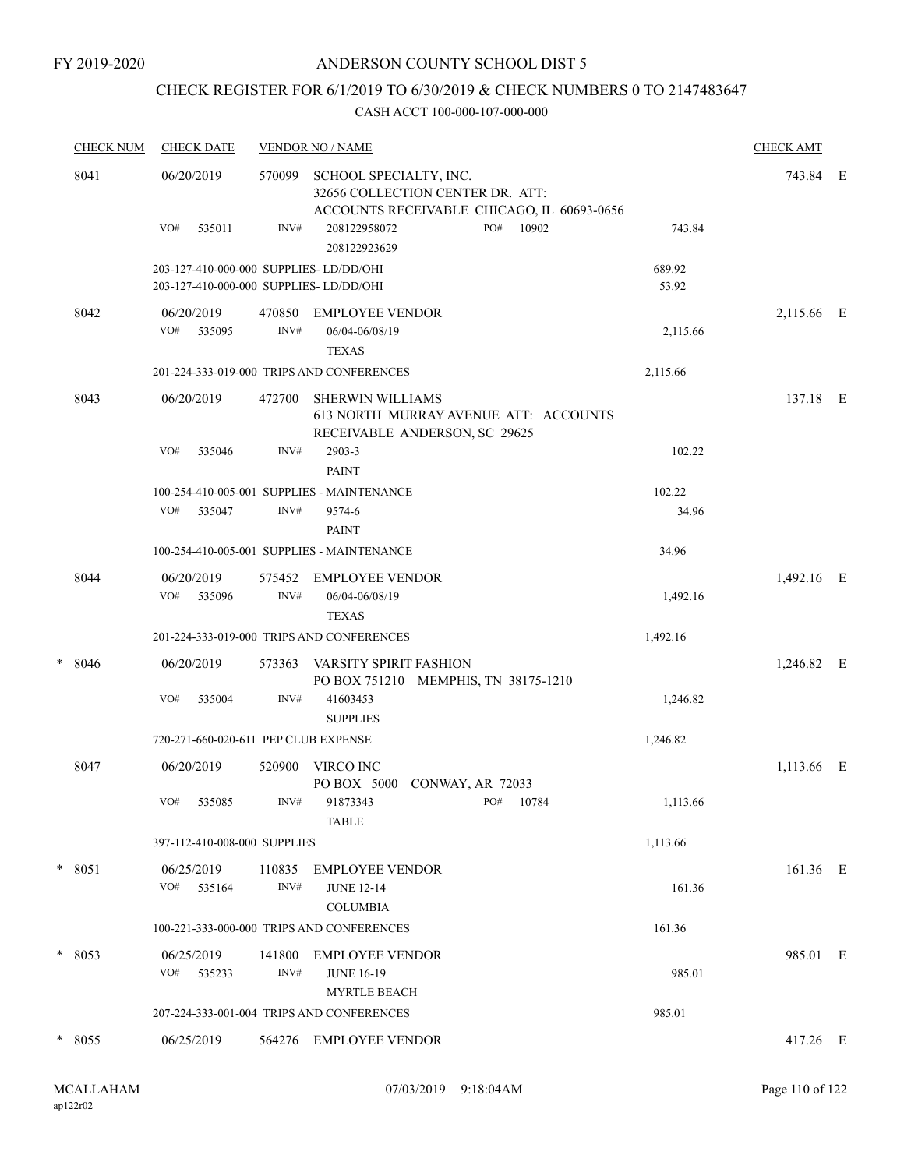# CHECK REGISTER FOR 6/1/2019 TO 6/30/2019 & CHECK NUMBERS 0 TO 2147483647

|   | <b>CHECK NUM</b> | <b>CHECK DATE</b>                                                                 |                | <b>VENDOR NO / NAME</b>                                                                                  |                 | <b>CHECK AMT</b> |  |
|---|------------------|-----------------------------------------------------------------------------------|----------------|----------------------------------------------------------------------------------------------------------|-----------------|------------------|--|
|   | 8041             | 06/20/2019                                                                        | 570099         | SCHOOL SPECIALTY, INC.<br>32656 COLLECTION CENTER DR. ATT:<br>ACCOUNTS RECEIVABLE CHICAGO, IL 60693-0656 |                 | 743.84 E         |  |
|   |                  | VO#<br>535011                                                                     | INV#           | PO#<br>208122958072<br>10902<br>208122923629                                                             | 743.84          |                  |  |
|   |                  | 203-127-410-000-000 SUPPLIES-LD/DD/OHI<br>203-127-410-000-000 SUPPLIES- LD/DD/OHI |                |                                                                                                          | 689.92<br>53.92 |                  |  |
|   | 8042             | 06/20/2019<br>VO#<br>535095                                                       | 470850<br>INV# | EMPLOYEE VENDOR<br>06/04-06/08/19<br><b>TEXAS</b>                                                        | 2,115.66        | 2,115.66 E       |  |
|   |                  |                                                                                   |                | 201-224-333-019-000 TRIPS AND CONFERENCES                                                                | 2,115.66        |                  |  |
|   | 8043             | 06/20/2019                                                                        | 472700         | <b>SHERWIN WILLIAMS</b><br>613 NORTH MURRAY AVENUE ATT: ACCOUNTS<br>RECEIVABLE ANDERSON, SC 29625        |                 | 137.18 E         |  |
|   |                  | VO#<br>535046                                                                     | INV#           | 2903-3<br><b>PAINT</b>                                                                                   | 102.22          |                  |  |
|   |                  |                                                                                   |                | 100-254-410-005-001 SUPPLIES - MAINTENANCE                                                               | 102.22          |                  |  |
|   |                  | VO#<br>535047                                                                     | INV#           | 9574-6<br><b>PAINT</b>                                                                                   | 34.96           |                  |  |
|   |                  |                                                                                   |                | 100-254-410-005-001 SUPPLIES - MAINTENANCE                                                               | 34.96           |                  |  |
|   | 8044             | 06/20/2019<br>VO#<br>535096                                                       | 575452<br>INV# | EMPLOYEE VENDOR<br>06/04-06/08/19<br><b>TEXAS</b>                                                        | 1,492.16        | 1,492.16 E       |  |
|   |                  |                                                                                   |                | 201-224-333-019-000 TRIPS AND CONFERENCES                                                                | 1,492.16        |                  |  |
| * | 8046             | 06/20/2019                                                                        | 573363         | VARSITY SPIRIT FASHION<br>PO BOX 751210 MEMPHIS, TN 38175-1210                                           |                 | 1,246.82 E       |  |
|   |                  | VO#<br>535004                                                                     | INV#           | 41603453<br><b>SUPPLIES</b>                                                                              | 1,246.82        |                  |  |
|   |                  | 720-271-660-020-611 PEP CLUB EXPENSE                                              |                |                                                                                                          | 1,246.82        |                  |  |
|   | 8047             | 06/20/2019                                                                        | 520900         | VIRCO INC<br>PO BOX 5000<br>CONWAY, AR 72033                                                             |                 | 1,113.66 E       |  |
|   |                  | VO# 535085                                                                        | INV#           | 91873343<br>PO# 10784<br><b>TABLE</b>                                                                    | 1,113.66        |                  |  |
|   |                  | 397-112-410-008-000 SUPPLIES                                                      |                |                                                                                                          | 1,113.66        |                  |  |
|   | $* 8051$         | 06/25/2019<br>VO# 535164                                                          | INV#           | 110835 EMPLOYEE VENDOR<br><b>JUNE 12-14</b><br><b>COLUMBIA</b>                                           | 161.36          | 161.36 E         |  |
|   |                  |                                                                                   |                | 100-221-333-000-000 TRIPS AND CONFERENCES                                                                | 161.36          |                  |  |
|   | * 8053           | 06/25/2019<br>VO# 535233                                                          | 141800<br>INV# | EMPLOYEE VENDOR<br><b>JUNE 16-19</b>                                                                     | 985.01          | 985.01 E         |  |
|   |                  |                                                                                   |                | <b>MYRTLE BEACH</b>                                                                                      |                 |                  |  |
|   |                  |                                                                                   |                | 207-224-333-001-004 TRIPS AND CONFERENCES                                                                | 985.01          |                  |  |
|   | * 8055           | 06/25/2019                                                                        |                | 564276 EMPLOYEE VENDOR                                                                                   |                 | 417.26 E         |  |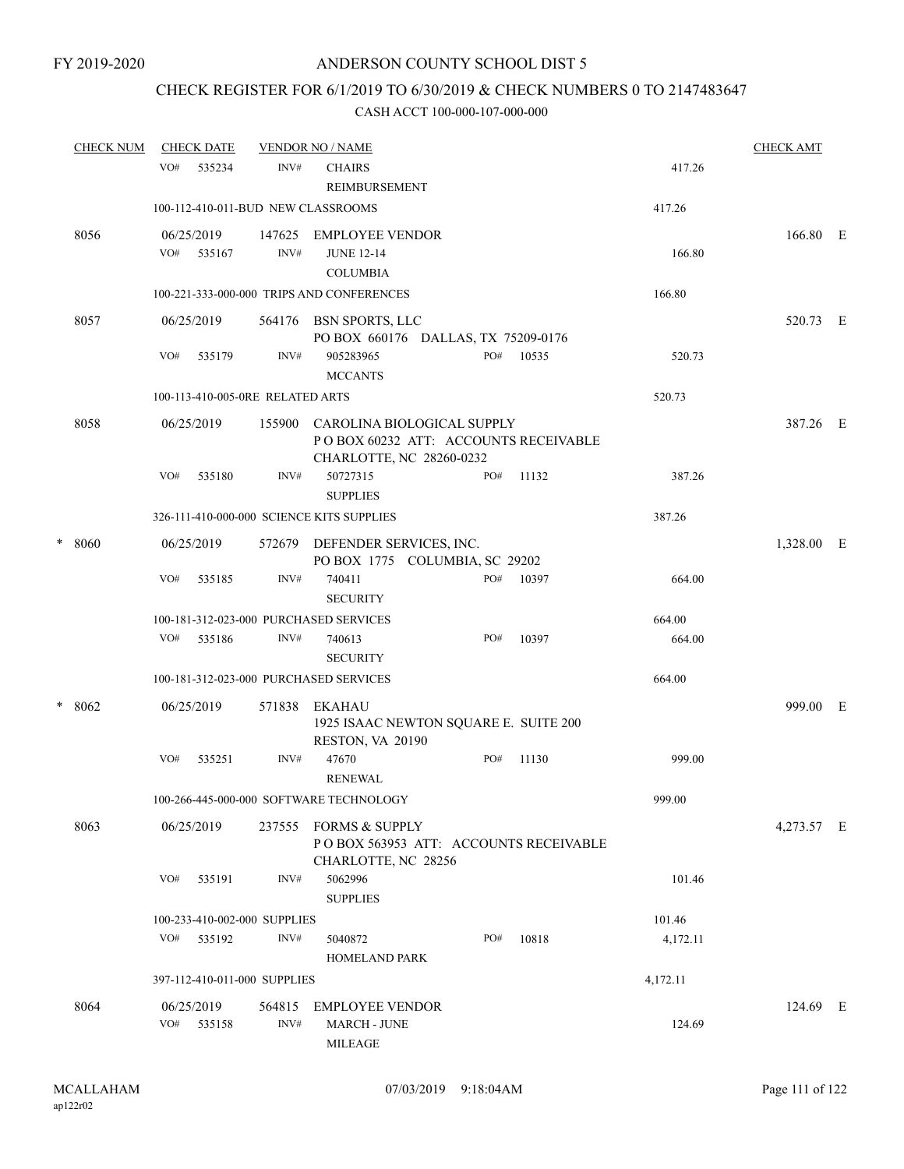## CHECK REGISTER FOR 6/1/2019 TO 6/30/2019 & CHECK NUMBERS 0 TO 2147483647

|   | <b>CHECK NUM</b> |     | <b>CHECK DATE</b>        |                                  | <b>VENDOR NO / NAME</b>                                                                        |     |       |          | <b>CHECK AMT</b> |   |
|---|------------------|-----|--------------------------|----------------------------------|------------------------------------------------------------------------------------------------|-----|-------|----------|------------------|---|
|   |                  | VO# | 535234                   | INV#                             | <b>CHAIRS</b><br><b>REIMBURSEMENT</b>                                                          |     |       | 417.26   |                  |   |
|   |                  |     |                          |                                  | 100-112-410-011-BUD NEW CLASSROOMS                                                             |     |       | 417.26   |                  |   |
|   | 8056             |     | 06/25/2019<br>VO# 535167 | 147625<br>INV#                   | EMPLOYEE VENDOR<br><b>JUNE 12-14</b><br><b>COLUMBIA</b>                                        |     |       | 166.80   | 166.80 E         |   |
|   |                  |     |                          |                                  | 100-221-333-000-000 TRIPS AND CONFERENCES                                                      |     |       | 166.80   |                  |   |
|   | 8057             |     | 06/25/2019               |                                  | 564176 BSN SPORTS, LLC<br>PO BOX 660176 DALLAS, TX 75209-0176                                  |     |       |          | 520.73 E         |   |
|   |                  | VO# | 535179                   | INV#                             | 905283965<br><b>MCCANTS</b>                                                                    | PO# | 10535 | 520.73   |                  |   |
|   |                  |     |                          | 100-113-410-005-0RE RELATED ARTS |                                                                                                |     |       | 520.73   |                  |   |
|   | 8058             |     | 06/25/2019               | 155900                           | CAROLINA BIOLOGICAL SUPPLY<br>POBOX 60232 ATT: ACCOUNTS RECEIVABLE<br>CHARLOTTE, NC 28260-0232 |     |       |          | 387.26 E         |   |
|   |                  | VO# | 535180                   | INV#                             | 50727315<br><b>SUPPLIES</b>                                                                    | PO# | 11132 | 387.26   |                  |   |
|   |                  |     |                          |                                  | 326-111-410-000-000 SCIENCE KITS SUPPLIES                                                      |     |       | 387.26   |                  |   |
| * | 8060             |     | 06/25/2019               |                                  | 572679 DEFENDER SERVICES, INC.<br>PO BOX 1775 COLUMBIA, SC 29202                               |     |       |          | 1,328.00 E       |   |
|   |                  | VO# | 535185                   | INV#                             | 740411<br><b>SECURITY</b>                                                                      | PO# | 10397 | 664.00   |                  |   |
|   |                  |     |                          |                                  | 100-181-312-023-000 PURCHASED SERVICES                                                         |     |       | 664.00   |                  |   |
|   |                  | VO# | 535186                   | INV#                             | 740613<br><b>SECURITY</b>                                                                      | PO# | 10397 | 664.00   |                  |   |
|   |                  |     |                          |                                  | 100-181-312-023-000 PURCHASED SERVICES                                                         |     |       | 664.00   |                  |   |
| * | 8062             |     | 06/25/2019               | 571838                           | EKAHAU<br>1925 ISAAC NEWTON SQUARE E. SUITE 200<br>RESTON, VA 20190                            |     |       |          | 999.00           | Ε |
|   |                  | VO# | 535251                   | INV#                             | 47670<br><b>RENEWAL</b>                                                                        | PO# | 11130 | 999.00   |                  |   |
|   |                  |     |                          |                                  | 100-266-445-000-000 SOFTWARE TECHNOLOGY                                                        |     |       | 999.00   |                  |   |
|   | 8063             |     | 06/25/2019               | 237555                           | <b>FORMS &amp; SUPPLY</b><br>POBOX 563953 ATT: ACCOUNTS RECEIVABLE<br>CHARLOTTE, NC 28256      |     |       |          | 4,273.57 E       |   |
|   |                  | VO# | 535191                   | INV#                             | 5062996<br><b>SUPPLIES</b>                                                                     |     |       | 101.46   |                  |   |
|   |                  |     |                          | 100-233-410-002-000 SUPPLIES     |                                                                                                |     |       | 101.46   |                  |   |
|   |                  |     | VO# 535192               | INV#                             | 5040872<br>HOMELAND PARK                                                                       | PO# | 10818 | 4,172.11 |                  |   |
|   |                  |     |                          | 397-112-410-011-000 SUPPLIES     |                                                                                                |     |       | 4,172.11 |                  |   |
|   | 8064             |     | 06/25/2019               | 564815                           | <b>EMPLOYEE VENDOR</b>                                                                         |     |       |          | 124.69 E         |   |
|   |                  |     | VO# 535158               | INV#                             | <b>MARCH - JUNE</b><br><b>MILEAGE</b>                                                          |     |       | 124.69   |                  |   |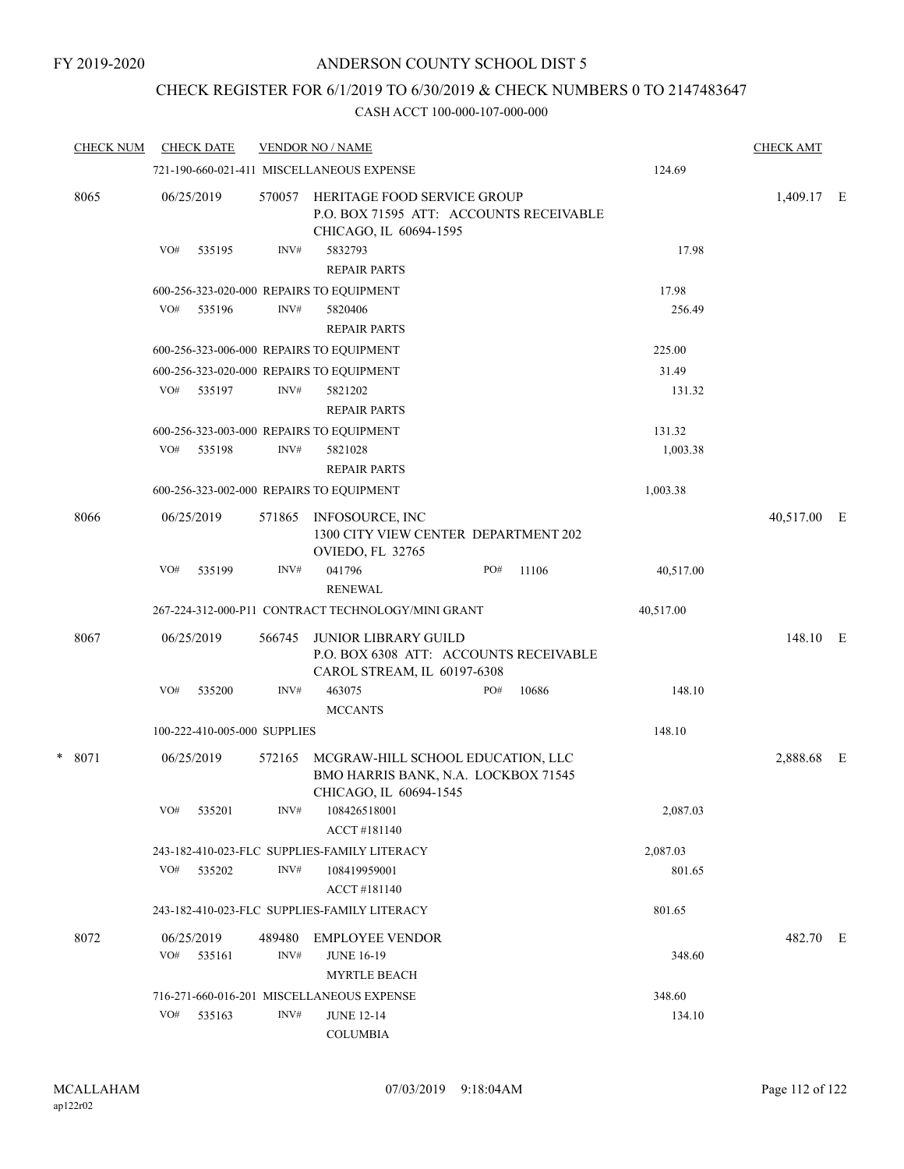# CHECK REGISTER FOR 6/1/2019 TO 6/30/2019 & CHECK NUMBERS 0 TO 2147483647

| <b>CHECK NUM</b> |     | <b>CHECK DATE</b>            |        | <b>VENDOR NO / NAME</b>                                                                              |     |       |           | <b>CHECK AMT</b> |  |
|------------------|-----|------------------------------|--------|------------------------------------------------------------------------------------------------------|-----|-------|-----------|------------------|--|
|                  |     |                              |        | 721-190-660-021-411 MISCELLANEOUS EXPENSE                                                            |     |       | 124.69    |                  |  |
| 8065             |     | 06/25/2019                   | 570057 | HERITAGE FOOD SERVICE GROUP<br>P.O. BOX 71595 ATT: ACCOUNTS RECEIVABLE<br>CHICAGO, IL 60694-1595     |     |       |           | 1,409.17 E       |  |
|                  | VO# | 535195                       | INV#   | 5832793<br><b>REPAIR PARTS</b>                                                                       |     |       | 17.98     |                  |  |
|                  |     |                              |        | 600-256-323-020-000 REPAIRS TO EQUIPMENT                                                             |     |       | 17.98     |                  |  |
|                  |     | VO# 535196                   | INV#   | 5820406<br><b>REPAIR PARTS</b>                                                                       |     |       | 256.49    |                  |  |
|                  |     |                              |        | 600-256-323-006-000 REPAIRS TO EQUIPMENT                                                             |     |       | 225.00    |                  |  |
|                  |     |                              |        | 600-256-323-020-000 REPAIRS TO EQUIPMENT                                                             |     |       | 31.49     |                  |  |
|                  | VO# | 535197                       | INV#   | 5821202<br><b>REPAIR PARTS</b>                                                                       |     |       | 131.32    |                  |  |
|                  |     |                              |        | 600-256-323-003-000 REPAIRS TO EQUIPMENT                                                             |     |       | 131.32    |                  |  |
|                  | VO# | 535198                       | INV#   | 5821028<br><b>REPAIR PARTS</b>                                                                       |     |       | 1,003.38  |                  |  |
|                  |     |                              |        | 600-256-323-002-000 REPAIRS TO EQUIPMENT                                                             |     |       | 1,003.38  |                  |  |
| 8066             |     | 06/25/2019                   | 571865 | INFOSOURCE, INC<br>1300 CITY VIEW CENTER DEPARTMENT 202<br>OVIEDO, FL 32765                          |     |       |           | 40,517.00 E      |  |
|                  | VO# | 535199                       | INV#   | 041796<br><b>RENEWAL</b>                                                                             | PO# | 11106 | 40,517.00 |                  |  |
|                  |     |                              |        | 267-224-312-000-P11 CONTRACT TECHNOLOGY/MINI GRANT                                                   |     |       | 40,517.00 |                  |  |
| 8067             |     | 06/25/2019                   | 566745 | <b>JUNIOR LIBRARY GUILD</b><br>P.O. BOX 6308 ATT: ACCOUNTS RECEIVABLE<br>CAROL STREAM, IL 60197-6308 |     |       |           | 148.10 E         |  |
|                  | VO# | 535200                       | INV#   | 463075<br><b>MCCANTS</b>                                                                             | PO# | 10686 | 148.10    |                  |  |
|                  |     | 100-222-410-005-000 SUPPLIES |        |                                                                                                      |     |       | 148.10    |                  |  |
| $*8071$          |     | 06/25/2019                   | 572165 | MCGRAW-HILL SCHOOL EDUCATION, LLC<br>BMO HARRIS BANK, N.A. LOCKBOX 71545<br>CHICAGO, IL 60694-1545   |     |       |           | 2,888.68 E       |  |
|                  | VO# | 535201                       | INV#   | 108426518001<br>ACCT#181140                                                                          |     |       | 2,087.03  |                  |  |
|                  |     |                              |        | 243-182-410-023-FLC SUPPLIES-FAMILY LITERACY                                                         |     |       | 2,087.03  |                  |  |
|                  | VO# | 535202                       | INV#   | 108419959001<br>ACCT#181140                                                                          |     |       | 801.65    |                  |  |
|                  |     |                              |        | 243-182-410-023-FLC SUPPLIES-FAMILY LITERACY                                                         |     |       | 801.65    |                  |  |
| 8072             |     | 06/25/2019                   | 489480 | <b>EMPLOYEE VENDOR</b>                                                                               |     |       |           | 482.70 E         |  |
|                  | VO# | 535161                       | INV#   | <b>JUNE 16-19</b><br><b>MYRTLE BEACH</b>                                                             |     |       | 348.60    |                  |  |
|                  |     |                              |        | 716-271-660-016-201 MISCELLANEOUS EXPENSE                                                            |     |       | 348.60    |                  |  |
|                  | VO# | 535163                       | INV#   | <b>JUNE 12-14</b><br><b>COLUMBIA</b>                                                                 |     |       | 134.10    |                  |  |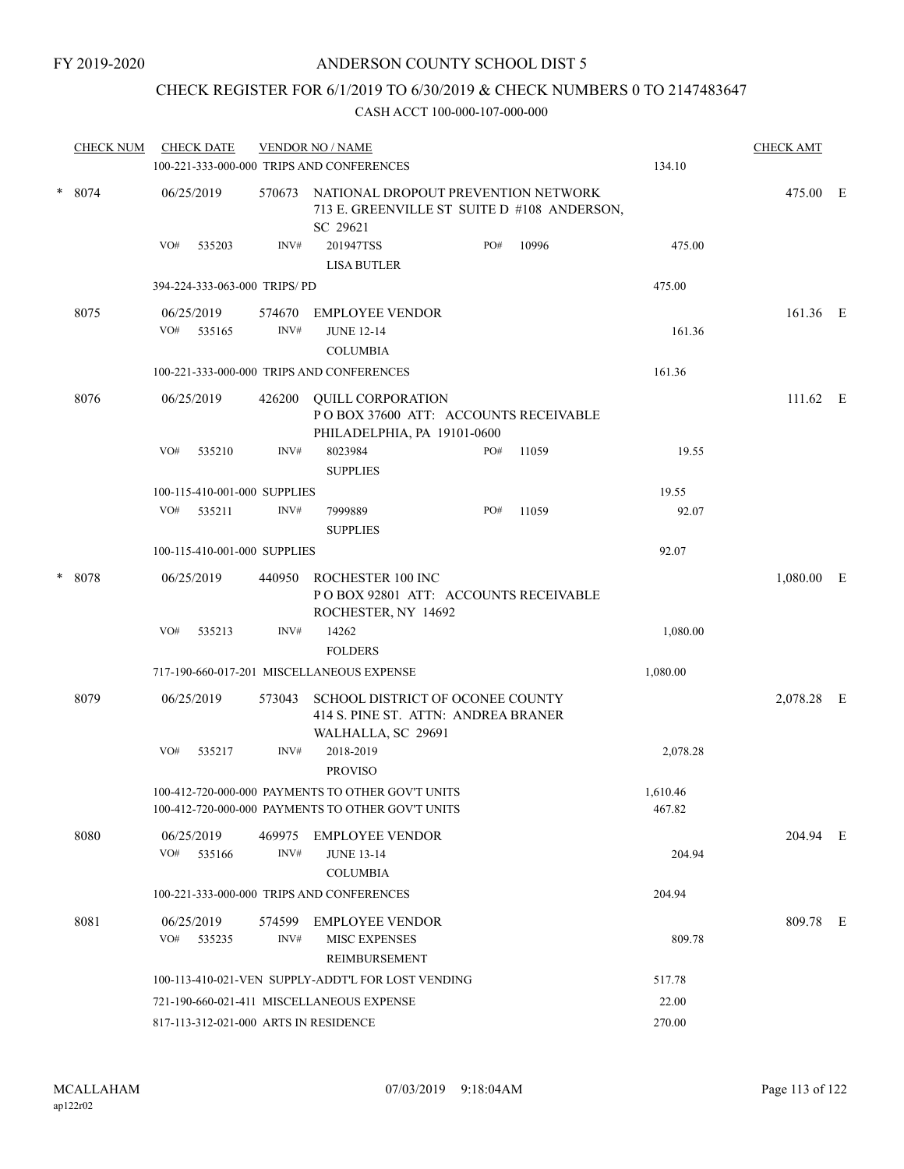# CHECK REGISTER FOR 6/1/2019 TO 6/30/2019 & CHECK NUMBERS 0 TO 2147483647

|        | <b>CHECK NUM</b> |            | <b>CHECK DATE</b>    |                                                                                                | <b>VENDOR NO / NAME</b><br>100-221-333-000-000 TRIPS AND CONFERENCES                                   |     |        | 134.10             | <b>CHECK AMT</b> |  |
|--------|------------------|------------|----------------------|------------------------------------------------------------------------------------------------|--------------------------------------------------------------------------------------------------------|-----|--------|--------------------|------------------|--|
| * 8074 |                  | 06/25/2019 | 570673               | NATIONAL DROPOUT PREVENTION NETWORK<br>713 E. GREENVILLE ST SUITE D #108 ANDERSON,<br>SC 29621 |                                                                                                        |     |        | 475.00 E           |                  |  |
|        |                  | VO#        | 535203               | INV#                                                                                           | 201947TSS<br><b>LISA BUTLER</b>                                                                        | PO# | 10996  | 475.00             |                  |  |
|        |                  |            |                      | 394-224-333-063-000 TRIPS/ PD                                                                  |                                                                                                        |     |        | 475.00             |                  |  |
|        | 8075             |            | 06/25/2019           | 574670                                                                                         | <b>EMPLOYEE VENDOR</b>                                                                                 |     |        |                    | 161.36 E         |  |
|        |                  | VO# 535165 | INV#                 | <b>JUNE 12-14</b><br><b>COLUMBIA</b>                                                           |                                                                                                        |     | 161.36 |                    |                  |  |
|        |                  |            |                      | 100-221-333-000-000 TRIPS AND CONFERENCES                                                      |                                                                                                        |     | 161.36 |                    |                  |  |
| 8076   |                  | 06/25/2019 | 426200               | POBOX 37600 ATT: ACCOUNTS RECEIVABLE                                                           | $111.62 \quad E$                                                                                       |     |        |                    |                  |  |
|        |                  | VO#        | 535210               | INV#                                                                                           | 8023984<br><b>SUPPLIES</b>                                                                             | PO# | 11059  | 19.55              |                  |  |
|        |                  |            |                      | 100-115-410-001-000 SUPPLIES                                                                   |                                                                                                        |     |        | 19.55              |                  |  |
|        |                  | VO#        | 535211               | INV#                                                                                           | 7999889<br><b>SUPPLIES</b>                                                                             | PO# | 11059  | 92.07              |                  |  |
|        |                  |            |                      | 100-115-410-001-000 SUPPLIES                                                                   |                                                                                                        |     |        | 92.07              |                  |  |
|        | * 8078           |            | 06/25/2019           | 440950                                                                                         | ROCHESTER 100 INC<br>POBOX 92801 ATT: ACCOUNTS RECEIVABLE<br>ROCHESTER, NY 14692                       |     |        |                    | $1,080.00$ E     |  |
|        |                  | VO#        | 535213               | INV#                                                                                           | 14262<br><b>FOLDERS</b>                                                                                |     |        | 1,080.00           |                  |  |
|        |                  |            |                      |                                                                                                | 717-190-660-017-201 MISCELLANEOUS EXPENSE                                                              |     |        | 1,080.00           |                  |  |
|        | 8079             |            | 06/25/2019           | 573043                                                                                         | SCHOOL DISTRICT OF OCONEE COUNTY<br>414 S. PINE ST. ATTN: ANDREA BRANER<br>WALHALLA, SC 29691          |     |        |                    | 2,078.28 E       |  |
|        |                  | VO#        | 535217               | INV#                                                                                           | 2018-2019<br><b>PROVISO</b>                                                                            |     |        | 2,078.28           |                  |  |
|        |                  |            |                      |                                                                                                | 100-412-720-000-000 PAYMENTS TO OTHER GOV'T UNITS<br>100-412-720-000-000 PAYMENTS TO OTHER GOV'T UNITS |     |        | 1,610.46<br>467.82 |                  |  |
|        | 8080             |            | 06/25/2019           | 469975                                                                                         | EMPLOYEE VENDOR                                                                                        |     |        |                    | 204.94 E         |  |
|        |                  |            | VO# 535166           | INV#                                                                                           | <b>JUNE 13-14</b><br><b>COLUMBIA</b>                                                                   |     |        | 204.94             |                  |  |
|        |                  |            |                      |                                                                                                | 100-221-333-000-000 TRIPS AND CONFERENCES                                                              |     |        | 204.94             |                  |  |
|        | 8081             | VO#        | 06/25/2019<br>535235 | 574599<br>INV#                                                                                 | <b>EMPLOYEE VENDOR</b><br><b>MISC EXPENSES</b><br>REIMBURSEMENT                                        |     |        | 809.78             | 809.78 E         |  |
|        |                  |            |                      |                                                                                                | 100-113-410-021-VEN SUPPLY-ADDT'L FOR LOST VENDING                                                     |     |        | 517.78             |                  |  |
|        |                  |            |                      |                                                                                                | 721-190-660-021-411 MISCELLANEOUS EXPENSE                                                              |     |        | 22.00              |                  |  |
|        |                  |            |                      | 817-113-312-021-000 ARTS IN RESIDENCE                                                          | 270.00                                                                                                 |     |        |                    |                  |  |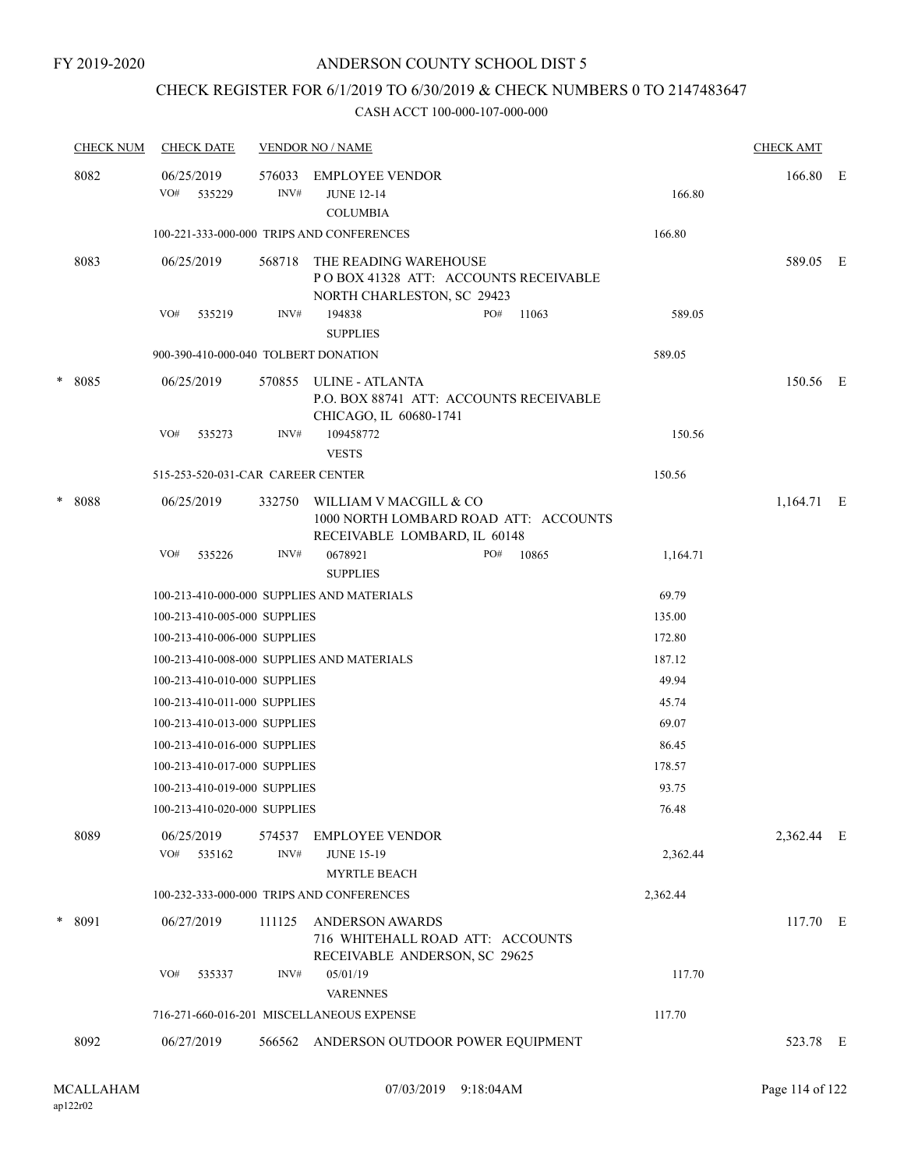# CHECK REGISTER FOR 6/1/2019 TO 6/30/2019 & CHECK NUMBERS 0 TO 2147483647

|   | <b>CHECK NUM</b> | <b>CHECK DATE</b>                    |                | <b>VENDOR NO / NAME</b>                                                                         |       |          | <b>CHECK AMT</b> |  |
|---|------------------|--------------------------------------|----------------|-------------------------------------------------------------------------------------------------|-------|----------|------------------|--|
|   | 8082             | 06/25/2019<br>VO#<br>535229          | 576033<br>INV# | <b>EMPLOYEE VENDOR</b><br><b>JUNE 12-14</b><br><b>COLUMBIA</b>                                  |       | 166.80   | 166.80 E         |  |
|   |                  |                                      |                | 100-221-333-000-000 TRIPS AND CONFERENCES                                                       |       | 166.80   |                  |  |
|   | 8083             | 06/25/2019                           | 568718         | THE READING WAREHOUSE<br>POBOX 41328 ATT: ACCOUNTS RECEIVABLE<br>NORTH CHARLESTON, SC 29423     |       |          | 589.05 E         |  |
|   |                  | VO#<br>535219                        | INV#           | 194838<br>PO#<br><b>SUPPLIES</b>                                                                | 11063 | 589.05   |                  |  |
|   |                  | 900-390-410-000-040 TOLBERT DONATION |                |                                                                                                 |       | 589.05   |                  |  |
|   | * 8085           | 06/25/2019                           | 570855         | ULINE - ATLANTA<br>P.O. BOX 88741 ATT: ACCOUNTS RECEIVABLE<br>CHICAGO, IL 60680-1741            |       |          | 150.56 E         |  |
|   |                  | VO#<br>535273                        | INV#           | 109458772                                                                                       |       | 150.56   |                  |  |
|   |                  |                                      |                | <b>VESTS</b>                                                                                    |       |          |                  |  |
|   |                  | 515-253-520-031-CAR CAREER CENTER    |                |                                                                                                 |       | 150.56   |                  |  |
| * | 8088             | 06/25/2019                           | 332750         | WILLIAM V MACGILL & CO<br>1000 NORTH LOMBARD ROAD ATT: ACCOUNTS<br>RECEIVABLE LOMBARD, IL 60148 |       |          | $1,164.71$ E     |  |
|   |                  | VO#<br>535226                        | INV#           | 0678921<br>PO#<br><b>SUPPLIES</b>                                                               | 10865 | 1,164.71 |                  |  |
|   |                  |                                      |                | 100-213-410-000-000 SUPPLIES AND MATERIALS                                                      |       | 69.79    |                  |  |
|   |                  | 100-213-410-005-000 SUPPLIES         |                |                                                                                                 |       | 135.00   |                  |  |
|   |                  | 100-213-410-006-000 SUPPLIES         |                |                                                                                                 |       | 172.80   |                  |  |
|   |                  |                                      |                | 100-213-410-008-000 SUPPLIES AND MATERIALS                                                      |       | 187.12   |                  |  |
|   |                  | 100-213-410-010-000 SUPPLIES         |                |                                                                                                 |       | 49.94    |                  |  |
|   |                  | 100-213-410-011-000 SUPPLIES         |                |                                                                                                 |       | 45.74    |                  |  |
|   |                  | 100-213-410-013-000 SUPPLIES         |                |                                                                                                 |       | 69.07    |                  |  |
|   |                  | 100-213-410-016-000 SUPPLIES         |                |                                                                                                 |       | 86.45    |                  |  |
|   |                  | 100-213-410-017-000 SUPPLIES         |                |                                                                                                 |       | 178.57   |                  |  |
|   |                  | 100-213-410-019-000 SUPPLIES         |                |                                                                                                 |       | 93.75    |                  |  |
|   |                  | 100-213-410-020-000 SUPPLIES         |                |                                                                                                 |       | 76.48    |                  |  |
|   | 8089             | 06/25/2019<br>VO#<br>535162          | 574537<br>INV# | EMPLOYEE VENDOR<br><b>JUNE 15-19</b>                                                            |       | 2,362.44 | 2,362.44 E       |  |
|   |                  |                                      |                | <b>MYRTLE BEACH</b><br>100-232-333-000-000 TRIPS AND CONFERENCES                                |       |          |                  |  |
|   |                  |                                      |                |                                                                                                 |       | 2,362.44 |                  |  |
|   | * 8091           | 06/27/2019                           | 111125         | <b>ANDERSON AWARDS</b><br>716 WHITEHALL ROAD ATT: ACCOUNTS<br>RECEIVABLE ANDERSON, SC 29625     |       |          | 117.70 E         |  |
|   |                  | VO#<br>535337                        | INV#           | 05/01/19<br><b>VARENNES</b>                                                                     |       | 117.70   |                  |  |
|   |                  |                                      |                | 716-271-660-016-201 MISCELLANEOUS EXPENSE                                                       |       | 117.70   |                  |  |
|   | 8092             | 06/27/2019                           | 566562         | ANDERSON OUTDOOR POWER EQUIPMENT                                                                |       |          | 523.78 E         |  |
|   |                  |                                      |                |                                                                                                 |       |          |                  |  |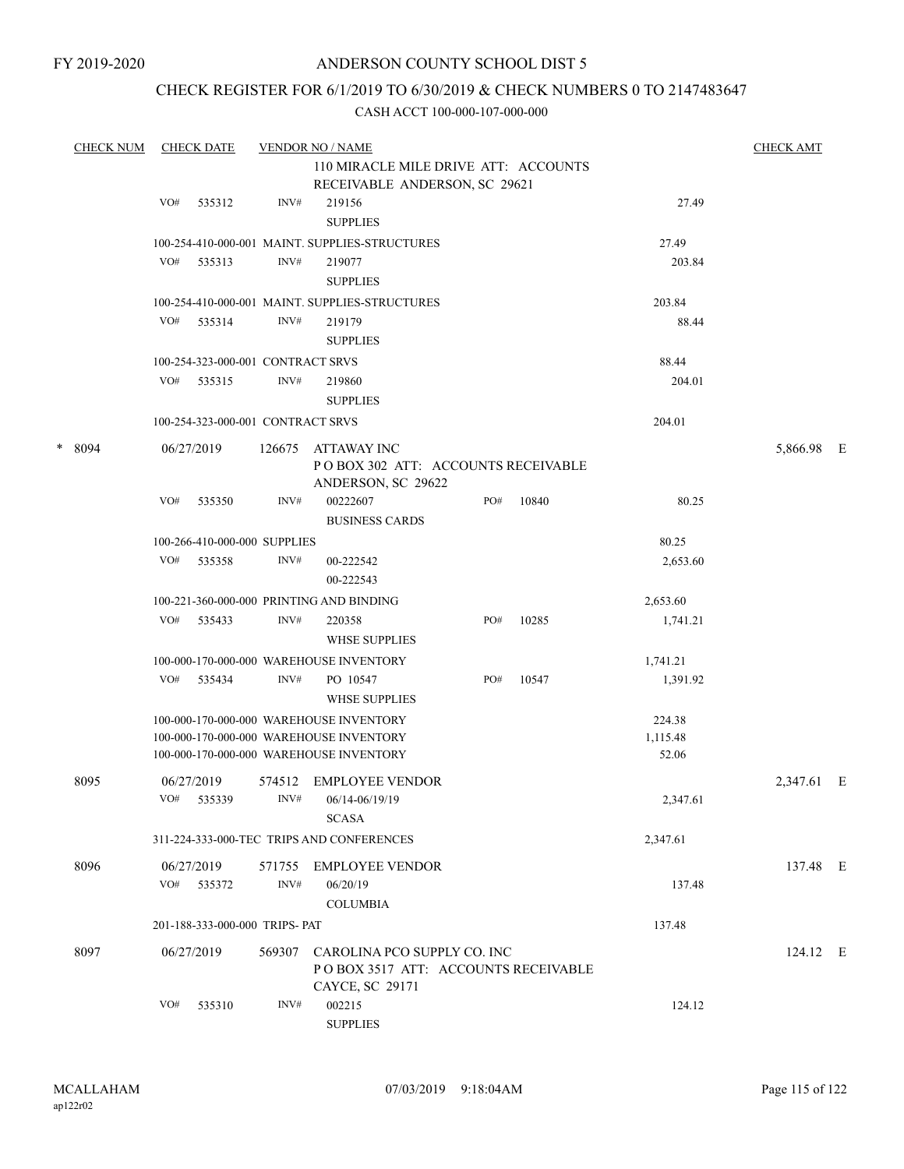# CHECK REGISTER FOR 6/1/2019 TO 6/30/2019 & CHECK NUMBERS 0 TO 2147483647

|   | <b>CHECK NUM</b> |     | <b>CHECK DATE</b>                 |        | <b>VENDOR NO / NAME</b>                                                                |     |       |          | <b>CHECK AMT</b> |  |
|---|------------------|-----|-----------------------------------|--------|----------------------------------------------------------------------------------------|-----|-------|----------|------------------|--|
|   |                  |     |                                   |        | 110 MIRACLE MILE DRIVE ATT: ACCOUNTS                                                   |     |       |          |                  |  |
|   |                  |     |                                   |        | RECEIVABLE ANDERSON, SC 29621                                                          |     |       |          |                  |  |
|   |                  | VO# | 535312                            | INV#   | 219156<br><b>SUPPLIES</b>                                                              |     |       | 27.49    |                  |  |
|   |                  |     |                                   |        | 100-254-410-000-001 MAINT. SUPPLIES-STRUCTURES                                         |     |       | 27.49    |                  |  |
|   |                  | VO# | 535313                            | INV#   | 219077                                                                                 |     |       | 203.84   |                  |  |
|   |                  |     |                                   |        | <b>SUPPLIES</b>                                                                        |     |       |          |                  |  |
|   |                  |     |                                   |        | 100-254-410-000-001 MAINT. SUPPLIES-STRUCTURES                                         |     |       | 203.84   |                  |  |
|   |                  | VO# | 535314                            | INV#   | 219179                                                                                 |     |       | 88.44    |                  |  |
|   |                  |     |                                   |        | <b>SUPPLIES</b>                                                                        |     |       |          |                  |  |
|   |                  |     | 100-254-323-000-001 CONTRACT SRVS |        |                                                                                        |     |       | 88.44    |                  |  |
|   |                  |     | VO# 535315                        | INV#   | 219860                                                                                 |     |       | 204.01   |                  |  |
|   |                  |     |                                   |        | <b>SUPPLIES</b>                                                                        |     |       |          |                  |  |
|   |                  |     | 100-254-323-000-001 CONTRACT SRVS |        |                                                                                        |     |       | 204.01   |                  |  |
|   |                  |     |                                   |        |                                                                                        |     |       |          |                  |  |
| * | 8094             |     | 06/27/2019                        | 126675 | ATTAWAY INC<br>POBOX 302 ATT: ACCOUNTS RECEIVABLE<br>ANDERSON, SC 29622                |     |       |          | 5,866.98 E       |  |
|   |                  | VO# | 535350                            | INV#   | 00222607<br><b>BUSINESS CARDS</b>                                                      | PO# | 10840 | 80.25    |                  |  |
|   |                  |     | 100-266-410-000-000 SUPPLIES      |        |                                                                                        |     |       | 80.25    |                  |  |
|   |                  | VO# | 535358                            | INV#   | 00-222542                                                                              |     |       | 2,653.60 |                  |  |
|   |                  |     |                                   |        | 00-222543                                                                              |     |       |          |                  |  |
|   |                  |     |                                   |        | 100-221-360-000-000 PRINTING AND BINDING                                               |     |       | 2,653.60 |                  |  |
|   |                  | VO# | 535433                            | INV#   | 220358                                                                                 | PO# | 10285 | 1,741.21 |                  |  |
|   |                  |     |                                   |        | <b>WHSE SUPPLIES</b>                                                                   |     |       |          |                  |  |
|   |                  |     |                                   |        | 100-000-170-000-000 WAREHOUSE INVENTORY                                                |     |       | 1,741.21 |                  |  |
|   |                  | VO# | 535434                            | INV#   | PO 10547                                                                               | PO# | 10547 | 1,391.92 |                  |  |
|   |                  |     |                                   |        | <b>WHSE SUPPLIES</b>                                                                   |     |       |          |                  |  |
|   |                  |     |                                   |        | 100-000-170-000-000 WAREHOUSE INVENTORY                                                |     |       | 224.38   |                  |  |
|   |                  |     |                                   |        | 100-000-170-000-000 WAREHOUSE INVENTORY                                                |     |       | 1,115.48 |                  |  |
|   |                  |     |                                   |        | 100-000-170-000-000 WAREHOUSE INVENTORY                                                |     |       | 52.06    |                  |  |
|   | 8095             |     | 06/27/2019                        | 574512 | <b>EMPLOYEE VENDOR</b>                                                                 |     |       |          | 2,347.61 E       |  |
|   |                  |     | VO# 535339                        | INV#   | 06/14-06/19/19                                                                         |     |       | 2,347.61 |                  |  |
|   |                  |     |                                   |        | <b>SCASA</b>                                                                           |     |       |          |                  |  |
|   |                  |     |                                   |        | 311-224-333-000-TEC TRIPS AND CONFERENCES                                              |     |       | 2,347.61 |                  |  |
|   | 8096             |     | 06/27/2019                        | 571755 | <b>EMPLOYEE VENDOR</b>                                                                 |     |       |          | 137.48 E         |  |
|   |                  |     | VO# 535372                        | INV#   | 06/20/19                                                                               |     |       | 137.48   |                  |  |
|   |                  |     |                                   |        | <b>COLUMBIA</b>                                                                        |     |       |          |                  |  |
|   |                  |     | 201-188-333-000-000 TRIPS- PAT    |        |                                                                                        |     |       | 137.48   |                  |  |
|   |                  |     |                                   |        |                                                                                        |     |       |          |                  |  |
|   | 8097             |     | 06/27/2019                        | 569307 | CAROLINA PCO SUPPLY CO. INC<br>PO BOX 3517 ATT: ACCOUNTS RECEIVABLE<br>CAYCE, SC 29171 |     |       |          | 124.12 E         |  |
|   |                  | VO# | 535310                            | INV#   | 002215<br><b>SUPPLIES</b>                                                              |     |       | 124.12   |                  |  |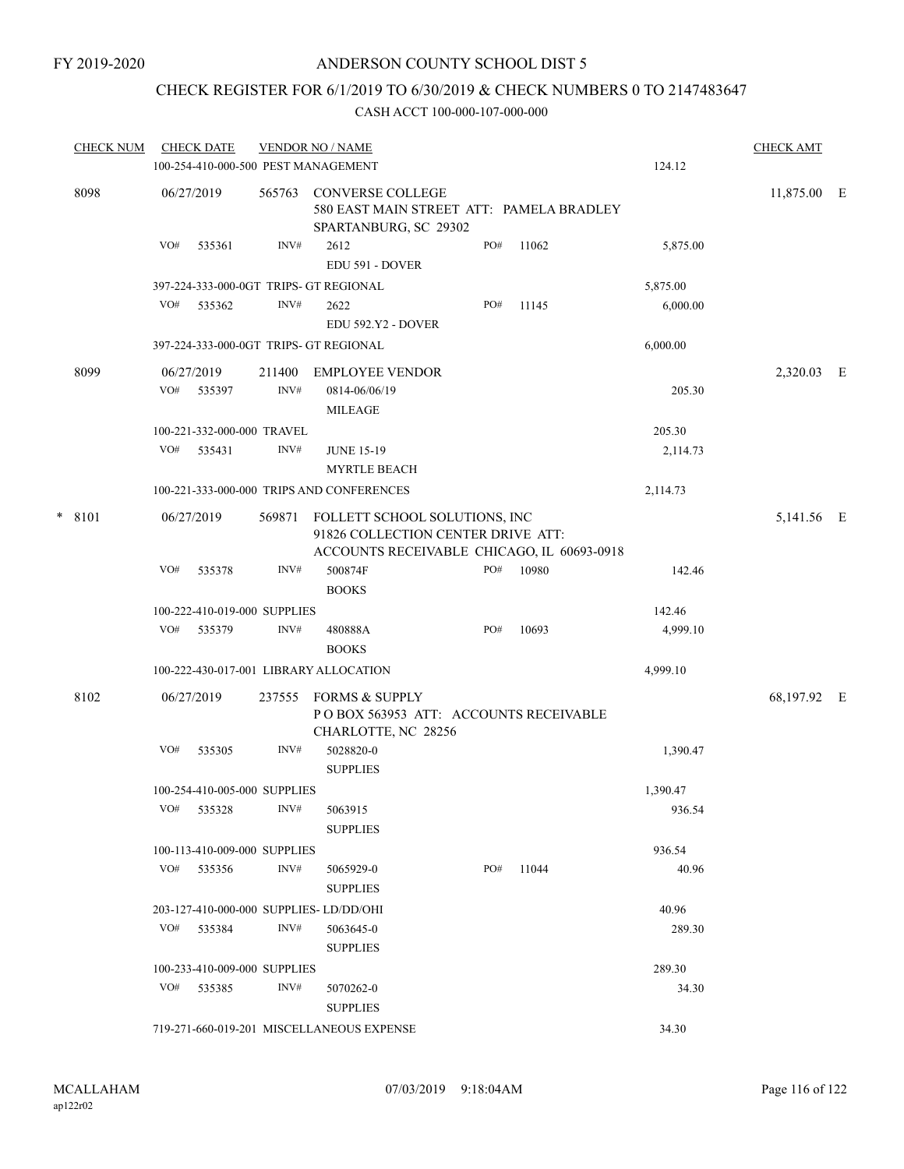# CHECK REGISTER FOR 6/1/2019 TO 6/30/2019 & CHECK NUMBERS 0 TO 2147483647

|          | <b>CHECK NUM</b> |            | <b>CHECK DATE</b>            |                                                                                                                   | <b>VENDOR NO / NAME</b>                                                                      |     |       |            | <b>CHECK AMT</b> |  |
|----------|------------------|------------|------------------------------|-------------------------------------------------------------------------------------------------------------------|----------------------------------------------------------------------------------------------|-----|-------|------------|------------------|--|
|          |                  |            |                              |                                                                                                                   | 100-254-410-000-500 PEST MANAGEMENT                                                          |     |       | 124.12     |                  |  |
|          | 8098             |            | 06/27/2019                   | 565763                                                                                                            | <b>CONVERSE COLLEGE</b><br>580 EAST MAIN STREET ATT: PAMELA BRADLEY<br>SPARTANBURG, SC 29302 |     |       |            | 11,875.00 E      |  |
|          |                  | VO#        | 535361                       | INV#                                                                                                              | 2612<br>EDU 591 - DOVER                                                                      | PO# | 11062 | 5,875.00   |                  |  |
|          |                  |            |                              |                                                                                                                   | 397-224-333-000-0GT TRIPS- GT REGIONAL                                                       |     |       | 5,875.00   |                  |  |
|          |                  | VO#        | 535362                       | INV#                                                                                                              | 2622<br>EDU 592.Y2 - DOVER                                                                   | PO# | 11145 | 6,000.00   |                  |  |
|          |                  |            |                              |                                                                                                                   | 397-224-333-000-0GT TRIPS- GT REGIONAL                                                       |     |       | 6,000.00   |                  |  |
|          | 8099             |            | 06/27/2019                   | 211400                                                                                                            | <b>EMPLOYEE VENDOR</b>                                                                       |     |       |            | 2,320.03 E       |  |
|          |                  | VO#        | 535397                       | INV#                                                                                                              | 0814-06/06/19<br><b>MILEAGE</b>                                                              |     |       | 205.30     |                  |  |
|          |                  |            | 100-221-332-000-000 TRAVEL   |                                                                                                                   |                                                                                              |     |       | 205.30     |                  |  |
|          |                  | VO#        | 535431                       | INV#                                                                                                              | <b>JUNE 15-19</b><br><b>MYRTLE BEACH</b>                                                     |     |       | 2,114.73   |                  |  |
|          |                  |            |                              |                                                                                                                   | 100-221-333-000-000 TRIPS AND CONFERENCES                                                    |     |       | 2,114.73   |                  |  |
| $* 8101$ |                  | 06/27/2019 | 569871                       | FOLLETT SCHOOL SOLUTIONS, INC<br>91826 COLLECTION CENTER DRIVE ATT:<br>ACCOUNTS RECEIVABLE CHICAGO, IL 60693-0918 |                                                                                              |     |       | 5,141.56 E |                  |  |
|          |                  | VO#        | 535378                       | INV#                                                                                                              | 500874F<br><b>BOOKS</b>                                                                      | PO# | 10980 | 142.46     |                  |  |
|          |                  |            | 100-222-410-019-000 SUPPLIES |                                                                                                                   |                                                                                              |     |       | 142.46     |                  |  |
|          |                  | VO#        | 535379                       | INV#                                                                                                              | 480888A<br><b>BOOKS</b>                                                                      | PO# | 10693 | 4,999.10   |                  |  |
|          |                  |            |                              |                                                                                                                   | 100-222-430-017-001 LIBRARY ALLOCATION                                                       |     |       | 4,999.10   |                  |  |
|          | 8102             |            | 06/27/2019                   | 237555                                                                                                            | FORMS & SUPPLY<br>POBOX 563953 ATT: ACCOUNTS RECEIVABLE<br>CHARLOTTE, NC 28256               |     |       |            | 68,197.92 E      |  |
|          |                  | VO#        | 535305                       | INV#                                                                                                              | 5028820-0<br><b>SUPPLIES</b>                                                                 |     |       | 1,390.47   |                  |  |
|          |                  |            | 100-254-410-005-000 SUPPLIES |                                                                                                                   |                                                                                              |     |       | 1,390.47   |                  |  |
|          |                  | VO#        | 535328                       | INV#                                                                                                              | 5063915<br><b>SUPPLIES</b>                                                                   |     |       | 936.54     |                  |  |
|          |                  |            | 100-113-410-009-000 SUPPLIES |                                                                                                                   |                                                                                              |     |       | 936.54     |                  |  |
|          |                  | VO#        | 535356                       | INV#                                                                                                              | 5065929-0<br><b>SUPPLIES</b>                                                                 | PO# | 11044 | 40.96      |                  |  |
|          |                  |            |                              |                                                                                                                   | 203-127-410-000-000 SUPPLIES-LD/DD/OHI                                                       |     |       | 40.96      |                  |  |
|          |                  | VO#        | 535384                       | INV#                                                                                                              | 5063645-0<br><b>SUPPLIES</b>                                                                 |     |       | 289.30     |                  |  |
|          |                  |            | 100-233-410-009-000 SUPPLIES |                                                                                                                   |                                                                                              |     |       | 289.30     |                  |  |
|          |                  |            | VO# 535385                   | INV#                                                                                                              | 5070262-0<br><b>SUPPLIES</b>                                                                 |     |       | 34.30      |                  |  |
|          |                  |            |                              |                                                                                                                   | 719-271-660-019-201 MISCELLANEOUS EXPENSE                                                    |     |       | 34.30      |                  |  |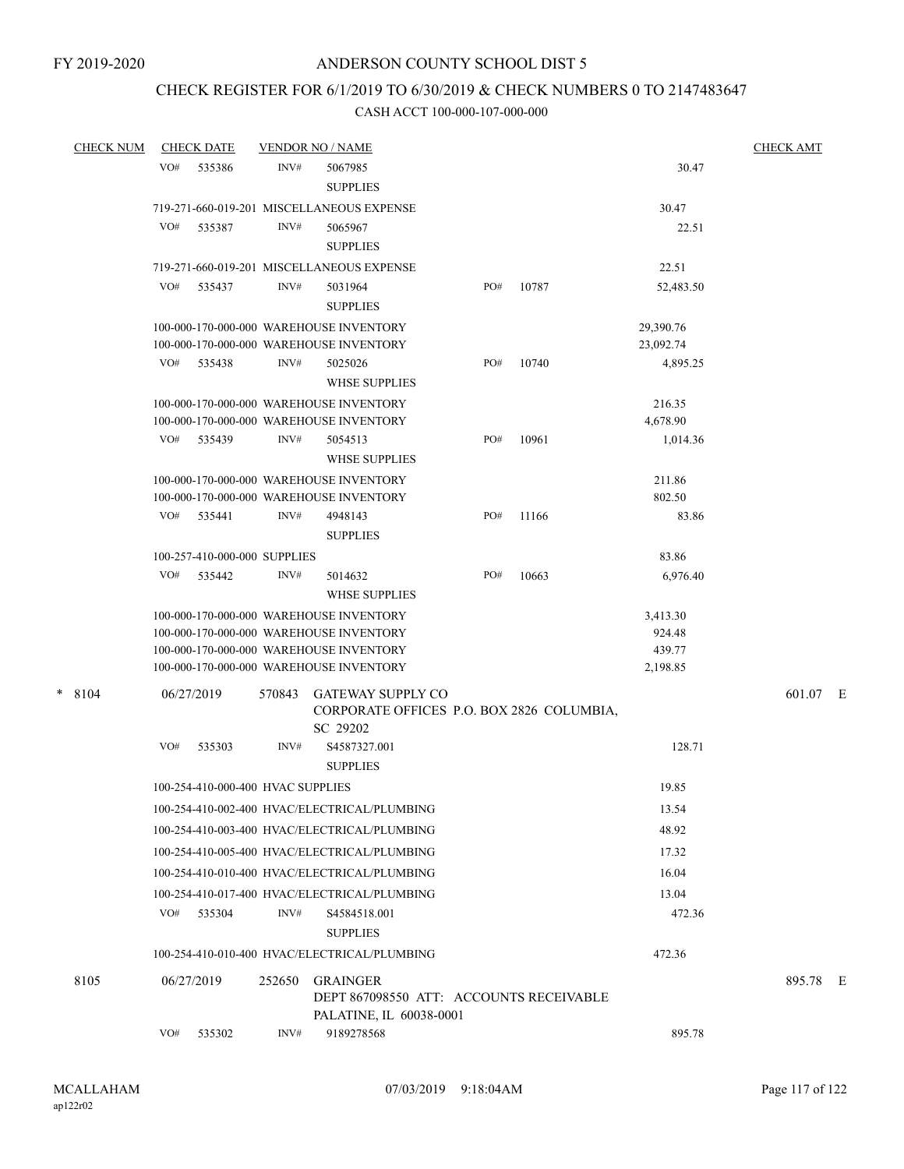# CHECK REGISTER FOR 6/1/2019 TO 6/30/2019 & CHECK NUMBERS 0 TO 2147483647

| <b>CHECK NUM</b> |     | <b>CHECK DATE</b>                 |        | <b>VENDOR NO / NAME</b>                                                                                                                                                  |     |       |                                          | <b>CHECK AMT</b> |
|------------------|-----|-----------------------------------|--------|--------------------------------------------------------------------------------------------------------------------------------------------------------------------------|-----|-------|------------------------------------------|------------------|
|                  | VO# | 535386                            | INV#   | 5067985<br><b>SUPPLIES</b>                                                                                                                                               |     |       | 30.47                                    |                  |
|                  |     |                                   |        | 719-271-660-019-201 MISCELLANEOUS EXPENSE                                                                                                                                |     |       | 30.47                                    |                  |
|                  | VO# | 535387                            | INV#   | 5065967<br><b>SUPPLIES</b>                                                                                                                                               |     |       | 22.51                                    |                  |
|                  |     |                                   |        | 719-271-660-019-201 MISCELLANEOUS EXPENSE                                                                                                                                |     |       | 22.51                                    |                  |
|                  | VO# | 535437                            | INV#   | 5031964<br><b>SUPPLIES</b>                                                                                                                                               | PO# | 10787 | 52,483.50                                |                  |
|                  |     |                                   |        | 100-000-170-000-000 WAREHOUSE INVENTORY<br>100-000-170-000-000 WAREHOUSE INVENTORY                                                                                       |     |       | 29,390.76<br>23,092.74                   |                  |
|                  | VO# | 535438                            | INV#   | 5025026<br><b>WHSE SUPPLIES</b>                                                                                                                                          | PO# | 10740 | 4,895.25                                 |                  |
|                  |     |                                   |        | 100-000-170-000-000 WAREHOUSE INVENTORY<br>100-000-170-000-000 WAREHOUSE INVENTORY                                                                                       |     |       | 216.35<br>4,678.90                       |                  |
|                  | VO# | 535439                            | INV#   | 5054513<br><b>WHSE SUPPLIES</b>                                                                                                                                          | PO# | 10961 | 1,014.36                                 |                  |
|                  |     |                                   |        | 100-000-170-000-000 WAREHOUSE INVENTORY<br>100-000-170-000-000 WAREHOUSE INVENTORY                                                                                       |     |       | 211.86<br>802.50                         |                  |
|                  | VO# | 535441                            | INV#   | 4948143<br><b>SUPPLIES</b>                                                                                                                                               | PO# | 11166 | 83.86                                    |                  |
|                  |     | 100-257-410-000-000 SUPPLIES      |        |                                                                                                                                                                          |     |       | 83.86                                    |                  |
|                  | VO# | 535442                            | INV#   | 5014632<br><b>WHSE SUPPLIES</b>                                                                                                                                          | PO# | 10663 | 6,976.40                                 |                  |
|                  |     |                                   |        | 100-000-170-000-000 WAREHOUSE INVENTORY<br>100-000-170-000-000 WAREHOUSE INVENTORY<br>100-000-170-000-000 WAREHOUSE INVENTORY<br>100-000-170-000-000 WAREHOUSE INVENTORY |     |       | 3,413.30<br>924.48<br>439.77<br>2,198.85 |                  |
| $\ast$<br>8104   |     | 06/27/2019                        | 570843 | <b>GATEWAY SUPPLY CO</b><br>CORPORATE OFFICES P.O. BOX 2826 COLUMBIA,                                                                                                    |     |       |                                          | 601.07 E         |
|                  | VO# | 535303                            | INV#   | SC 29202<br>S4587327.001<br><b>SUPPLIES</b>                                                                                                                              |     |       | 128.71                                   |                  |
|                  |     | 100-254-410-000-400 HVAC SUPPLIES |        |                                                                                                                                                                          |     |       | 19.85                                    |                  |
|                  |     |                                   |        | 100-254-410-002-400 HVAC/ELECTRICAL/PLUMBING                                                                                                                             |     |       | 13.54                                    |                  |
|                  |     |                                   |        | 100-254-410-003-400 HVAC/ELECTRICAL/PLUMBING                                                                                                                             |     |       | 48.92                                    |                  |
|                  |     |                                   |        | 100-254-410-005-400 HVAC/ELECTRICAL/PLUMBING                                                                                                                             |     |       | 17.32                                    |                  |
|                  |     |                                   |        | 100-254-410-010-400 HVAC/ELECTRICAL/PLUMBING                                                                                                                             |     |       | 16.04                                    |                  |
|                  |     |                                   |        | 100-254-410-017-400 HVAC/ELECTRICAL/PLUMBING                                                                                                                             |     |       | 13.04                                    |                  |
|                  | VO# | 535304                            | INV#   | S4584518.001<br><b>SUPPLIES</b>                                                                                                                                          |     |       | 472.36                                   |                  |
|                  |     |                                   |        | 100-254-410-010-400 HVAC/ELECTRICAL/PLUMBING                                                                                                                             |     |       | 472.36                                   |                  |
| 8105             |     | 06/27/2019                        | 252650 | <b>GRAINGER</b><br>DEPT 867098550 ATT: ACCOUNTS RECEIVABLE                                                                                                               |     |       |                                          | 895.78 E         |
|                  | VO# | 535302                            | INV#   | PALATINE, IL 60038-0001<br>9189278568                                                                                                                                    |     |       | 895.78                                   |                  |
|                  |     |                                   |        |                                                                                                                                                                          |     |       |                                          |                  |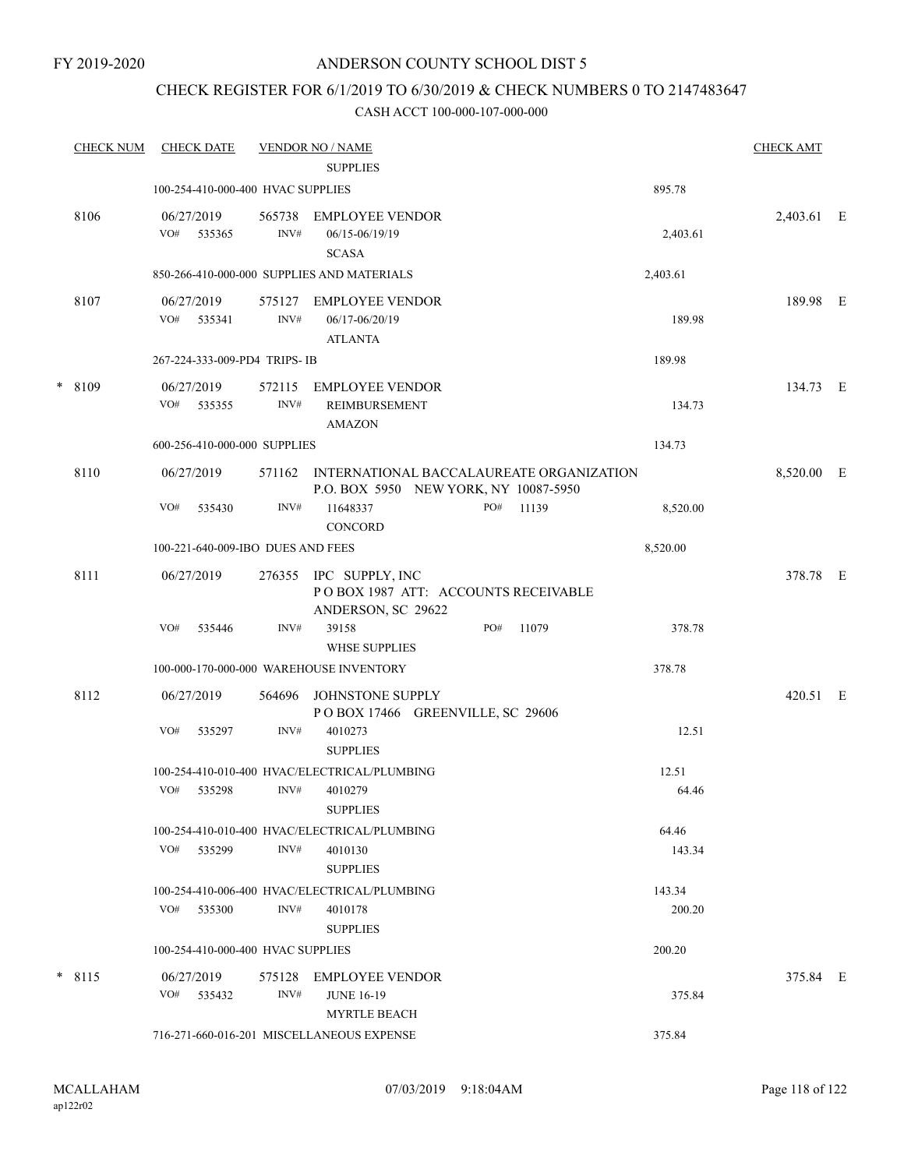## CHECK REGISTER FOR 6/1/2019 TO 6/30/2019 & CHECK NUMBERS 0 TO 2147483647

|   | <b>CHECK NUM</b> | <b>CHECK DATE</b>                 |                | <b>VENDOR NO / NAME</b><br><b>SUPPLIES</b>                                               |     |       |          | <b>CHECK AMT</b> |  |
|---|------------------|-----------------------------------|----------------|------------------------------------------------------------------------------------------|-----|-------|----------|------------------|--|
|   |                  | 100-254-410-000-400 HVAC SUPPLIES |                |                                                                                          |     |       | 895.78   |                  |  |
|   | 8106             | 06/27/2019<br>VO# 535365          | 565738<br>INV# | EMPLOYEE VENDOR<br>06/15-06/19/19<br><b>SCASA</b>                                        |     |       | 2,403.61 | 2,403.61 E       |  |
|   |                  |                                   |                | 850-266-410-000-000 SUPPLIES AND MATERIALS                                               |     |       | 2,403.61 |                  |  |
|   | 8107             | 06/27/2019<br>VO#<br>535341       | INV#           | 575127 EMPLOYEE VENDOR<br>06/17-06/20/19<br><b>ATLANTA</b>                               |     |       | 189.98   | 189.98 E         |  |
|   |                  | 267-224-333-009-PD4 TRIPS- IB     |                |                                                                                          |     |       | 189.98   |                  |  |
| * | 8109             | 06/27/2019<br>VO#<br>535355       | 572115<br>INV# | <b>EMPLOYEE VENDOR</b><br>REIMBURSEMENT<br><b>AMAZON</b>                                 |     |       | 134.73   | 134.73 E         |  |
|   |                  | 600-256-410-000-000 SUPPLIES      |                |                                                                                          |     |       | 134.73   |                  |  |
|   | 8110             | 06/27/2019                        |                | 571162 INTERNATIONAL BACCALAUREATE ORGANIZATION<br>P.O. BOX 5950 NEW YORK, NY 10087-5950 |     |       |          | 8,520.00 E       |  |
|   |                  | VO#<br>535430                     | INV#           | 11648337<br><b>CONCORD</b>                                                               | PO# | 11139 | 8,520.00 |                  |  |
|   |                  | 100-221-640-009-IBO DUES AND FEES |                |                                                                                          |     |       | 8,520.00 |                  |  |
|   | 8111             | 06/27/2019                        |                | 276355 IPC SUPPLY, INC<br>POBOX 1987 ATT: ACCOUNTS RECEIVABLE<br>ANDERSON, SC 29622      |     |       |          | 378.78 E         |  |
|   |                  | VO#<br>535446                     | INV#           | 39158<br><b>WHSE SUPPLIES</b>                                                            | PO# | 11079 | 378.78   |                  |  |
|   |                  |                                   |                | 100-000-170-000-000 WAREHOUSE INVENTORY                                                  |     |       | 378.78   |                  |  |
|   | 8112             | 06/27/2019                        | 564696         | JOHNSTONE SUPPLY<br>POBOX 17466 GREENVILLE, SC 29606                                     |     |       |          | 420.51 E         |  |
|   |                  | VO#<br>535297                     | INV#           | 4010273<br><b>SUPPLIES</b>                                                               |     |       | 12.51    |                  |  |
|   |                  |                                   |                | 100-254-410-010-400 HVAC/ELECTRICAL/PLUMBING                                             |     |       | 12.51    |                  |  |
|   |                  | VO#<br>535298                     | INV#           | 4010279<br><b>SUPPLIES</b>                                                               |     |       | 64.46    |                  |  |
|   |                  |                                   |                | 100-254-410-010-400 HVAC/ELECTRICAL/PLUMBING                                             |     |       | 64.46    |                  |  |
|   |                  | VO#<br>535299                     | INV#           | 4010130<br><b>SUPPLIES</b>                                                               |     |       | 143.34   |                  |  |
|   |                  |                                   |                | 100-254-410-006-400 HVAC/ELECTRICAL/PLUMBING                                             |     |       | 143.34   |                  |  |
|   |                  | VO#<br>535300                     | INV#           | 4010178<br><b>SUPPLIES</b>                                                               |     |       | 200.20   |                  |  |
|   |                  | 100-254-410-000-400 HVAC SUPPLIES |                |                                                                                          |     |       | 200.20   |                  |  |
|   | $*$ 8115         | 06/27/2019<br>VO#<br>535432       | 575128<br>INV# | EMPLOYEE VENDOR<br><b>JUNE 16-19</b>                                                     |     |       | 375.84   | 375.84 E         |  |
|   |                  |                                   |                | <b>MYRTLE BEACH</b><br>716-271-660-016-201 MISCELLANEOUS EXPENSE                         |     |       | 375.84   |                  |  |
|   |                  |                                   |                |                                                                                          |     |       |          |                  |  |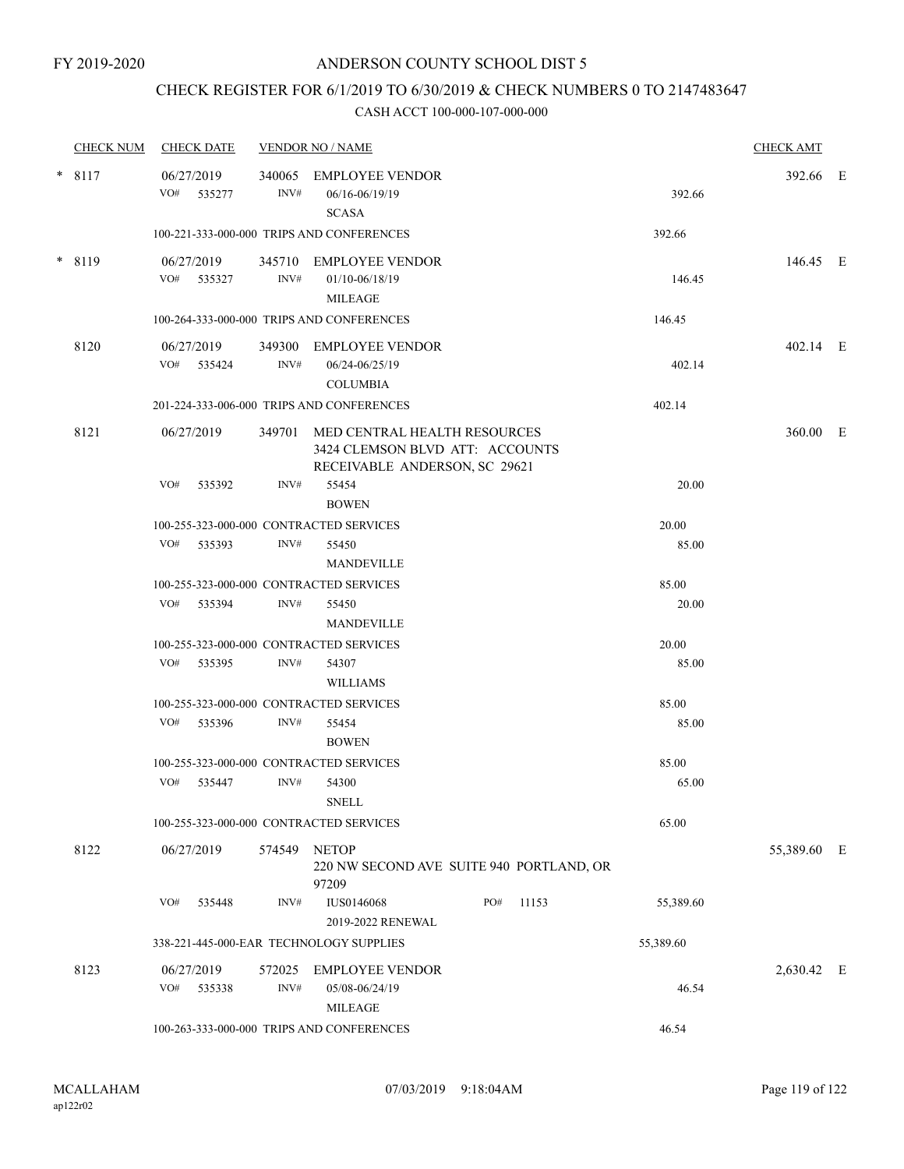# CHECK REGISTER FOR 6/1/2019 TO 6/30/2019 & CHECK NUMBERS 0 TO 2147483647

| <b>CHECK NUM</b> | <b>CHECK DATE</b>                       |                | <b>VENDOR NO / NAME</b>                                                                                 |              |           | <b>CHECK AMT</b> |  |
|------------------|-----------------------------------------|----------------|---------------------------------------------------------------------------------------------------------|--------------|-----------|------------------|--|
| $* 8117$         | 06/27/2019<br>VO#<br>535277             | 340065<br>INV# | <b>EMPLOYEE VENDOR</b><br>06/16-06/19/19<br><b>SCASA</b>                                                |              | 392.66    | 392.66 E         |  |
|                  |                                         |                | 100-221-333-000-000 TRIPS AND CONFERENCES                                                               |              | 392.66    |                  |  |
| * 8119           | 06/27/2019<br>VO# 535327                | INV#           | 345710 EMPLOYEE VENDOR<br>01/10-06/18/19<br><b>MILEAGE</b>                                              |              | 146.45    | 146.45 E         |  |
|                  |                                         |                | 100-264-333-000-000 TRIPS AND CONFERENCES                                                               |              | 146.45    |                  |  |
| 8120             | 06/27/2019<br>VO# 535424                | INV#           | 349300 EMPLOYEE VENDOR<br>06/24-06/25/19<br><b>COLUMBIA</b>                                             |              | 402.14    | 402.14 E         |  |
|                  |                                         |                | 201-224-333-006-000 TRIPS AND CONFERENCES                                                               |              | 402.14    |                  |  |
| 8121             | 06/27/2019                              |                | 349701 MED CENTRAL HEALTH RESOURCES<br>3424 CLEMSON BLVD ATT: ACCOUNTS<br>RECEIVABLE ANDERSON, SC 29621 |              |           | 360.00 E         |  |
|                  | VO#<br>535392                           | INV#           | 55454<br><b>BOWEN</b>                                                                                   |              | 20.00     |                  |  |
|                  | 100-255-323-000-000 CONTRACTED SERVICES |                |                                                                                                         |              | 20.00     |                  |  |
|                  | VO#<br>535393                           | INV#           | 55450<br><b>MANDEVILLE</b>                                                                              |              | 85.00     |                  |  |
|                  | 100-255-323-000-000 CONTRACTED SERVICES |                |                                                                                                         |              | 85.00     |                  |  |
|                  | VO#<br>535394                           | INV#           | 55450<br><b>MANDEVILLE</b>                                                                              |              | 20.00     |                  |  |
|                  | 100-255-323-000-000 CONTRACTED SERVICES |                |                                                                                                         |              | 20.00     |                  |  |
|                  | VO#<br>535395                           | INV#           | 54307<br><b>WILLIAMS</b>                                                                                |              | 85.00     |                  |  |
|                  | 100-255-323-000-000 CONTRACTED SERVICES |                |                                                                                                         |              | 85.00     |                  |  |
|                  | VO#<br>535396                           | INV#           | 55454<br><b>BOWEN</b>                                                                                   |              | 85.00     |                  |  |
|                  | 100-255-323-000-000 CONTRACTED SERVICES |                |                                                                                                         |              | 85.00     |                  |  |
|                  | VO#<br>535447                           | INV#           | 54300<br><b>SNELL</b>                                                                                   |              | 65.00     |                  |  |
|                  | 100-255-323-000-000 CONTRACTED SERVICES |                |                                                                                                         |              | 65.00     |                  |  |
| 8122             | 06/27/2019                              |                | 574549 NETOP<br>220 NW SECOND AVE SUITE 940 PORTLAND, OR<br>97209                                       |              |           | 55,389.60 E      |  |
|                  | VO#<br>535448                           | INV#           | <b>IUS0146068</b><br>2019-2022 RENEWAL                                                                  | PO#<br>11153 | 55,389.60 |                  |  |
|                  |                                         |                | 338-221-445-000-EAR TECHNOLOGY SUPPLIES                                                                 |              | 55,389.60 |                  |  |
| 8123             | 06/27/2019<br>VO# 535338                | 572025<br>INV# | <b>EMPLOYEE VENDOR</b><br>05/08-06/24/19                                                                |              | 46.54     | 2,630.42 E       |  |
|                  |                                         |                | <b>MILEAGE</b><br>100-263-333-000-000 TRIPS AND CONFERENCES                                             |              | 46.54     |                  |  |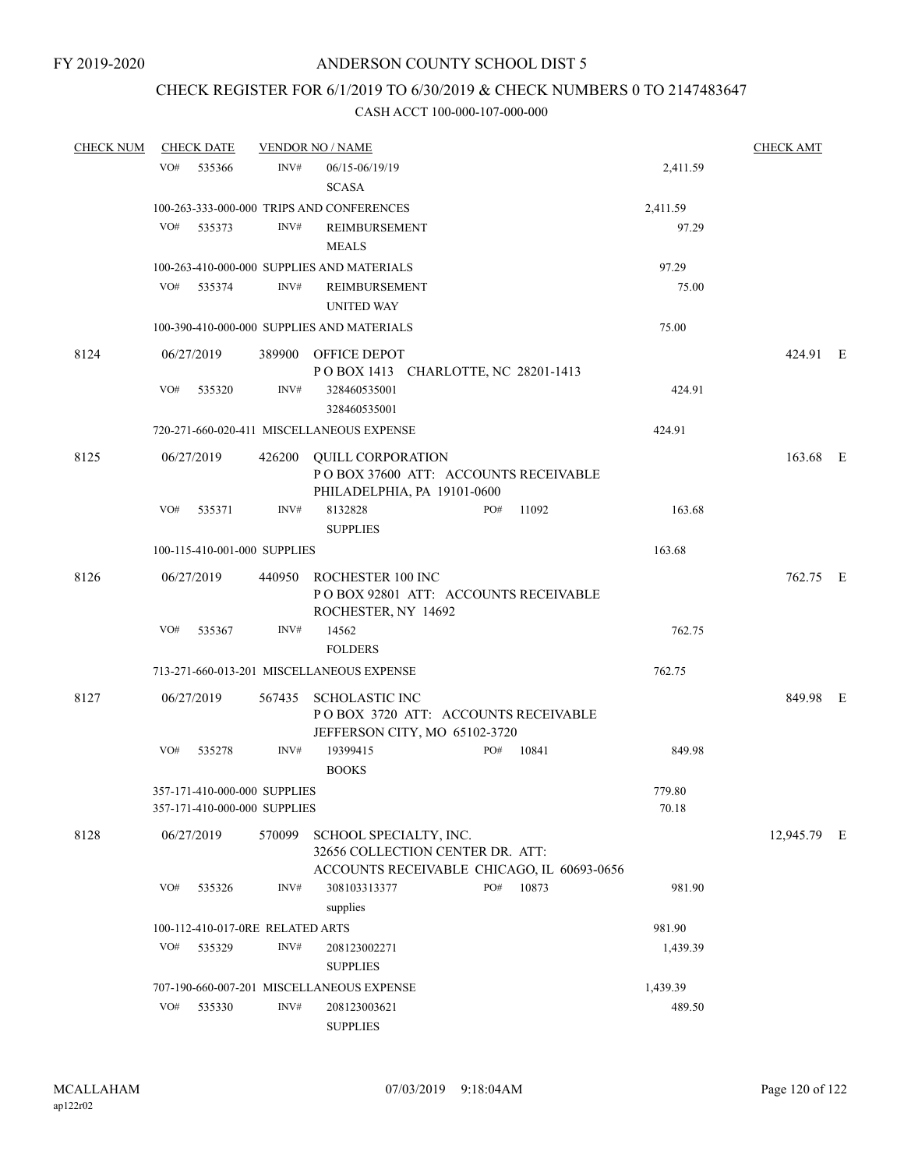## CHECK REGISTER FOR 6/1/2019 TO 6/30/2019 & CHECK NUMBERS 0 TO 2147483647

| <b>CHECK NUM</b> |     | <b>CHECK DATE</b> |                                                              | <b>VENDOR NO / NAME</b>                                                                                  |                 | <b>CHECK AMT</b> |  |
|------------------|-----|-------------------|--------------------------------------------------------------|----------------------------------------------------------------------------------------------------------|-----------------|------------------|--|
|                  | VO# | 535366            | INV#                                                         | 06/15-06/19/19<br><b>SCASA</b>                                                                           | 2,411.59        |                  |  |
|                  |     |                   |                                                              | 100-263-333-000-000 TRIPS AND CONFERENCES                                                                | 2,411.59        |                  |  |
|                  | VO# | 535373            | INV#                                                         | REIMBURSEMENT<br><b>MEALS</b>                                                                            | 97.29           |                  |  |
|                  |     |                   |                                                              | 100-263-410-000-000 SUPPLIES AND MATERIALS                                                               | 97.29           |                  |  |
|                  |     | VO# 535374        | INV#                                                         | <b>REIMBURSEMENT</b><br><b>UNITED WAY</b>                                                                | 75.00           |                  |  |
|                  |     |                   |                                                              | 100-390-410-000-000 SUPPLIES AND MATERIALS                                                               | 75.00           |                  |  |
| 8124             |     | 06/27/2019        |                                                              | 389900 OFFICE DEPOT<br>POBOX 1413 CHARLOTTE, NC 28201-1413                                               |                 | 424.91 E         |  |
|                  | VO# | 535320            | INV#                                                         | 328460535001<br>328460535001                                                                             | 424.91          |                  |  |
|                  |     |                   |                                                              | 720-271-660-020-411 MISCELLANEOUS EXPENSE                                                                | 424.91          |                  |  |
| 8125             |     | 06/27/2019        |                                                              | 426200 QUILL CORPORATION                                                                                 |                 | 163.68 E         |  |
|                  |     |                   |                                                              | PO BOX 37600 ATT: ACCOUNTS RECEIVABLE<br>PHILADELPHIA, PA 19101-0600                                     |                 |                  |  |
|                  | VO# | 535371            | INV#                                                         | 8132828<br>PO#<br>11092<br><b>SUPPLIES</b>                                                               | 163.68          |                  |  |
|                  |     |                   | 100-115-410-001-000 SUPPLIES                                 |                                                                                                          | 163.68          |                  |  |
| 8126             |     | 06/27/2019        |                                                              | 440950 ROCHESTER 100 INC<br>POBOX 92801 ATT: ACCOUNTS RECEIVABLE<br>ROCHESTER, NY 14692                  |                 | 762.75 E         |  |
|                  | VO# | 535367            | INV#                                                         | 14562<br><b>FOLDERS</b>                                                                                  | 762.75          |                  |  |
|                  |     |                   |                                                              | 713-271-660-013-201 MISCELLANEOUS EXPENSE                                                                | 762.75          |                  |  |
| 8127             |     | 06/27/2019        |                                                              | 567435 SCHOLASTIC INC<br>POBOX 3720 ATT: ACCOUNTS RECEIVABLE<br>JEFFERSON CITY, MO 65102-3720            |                 | 849.98 E         |  |
|                  | VO# | 535278            | INV#                                                         | 10841<br>19399415<br>PO#<br><b>BOOKS</b>                                                                 | 849.98          |                  |  |
|                  |     |                   | 357-171-410-000-000 SUPPLIES<br>357-171-410-000-000 SUPPLIES |                                                                                                          | 779.80<br>70.18 |                  |  |
| 8128             |     | 06/27/2019        | 570099                                                       | SCHOOL SPECIALTY, INC.<br>32656 COLLECTION CENTER DR. ATT:<br>ACCOUNTS RECEIVABLE CHICAGO, IL 60693-0656 |                 | 12,945.79 E      |  |
|                  | VO# | 535326            | INV#                                                         | PO#<br>10873<br>308103313377<br>supplies                                                                 | 981.90          |                  |  |
|                  |     |                   | 100-112-410-017-0RE RELATED ARTS                             |                                                                                                          | 981.90          |                  |  |
|                  | VO# | 535329            | INV#                                                         | 208123002271<br><b>SUPPLIES</b>                                                                          | 1,439.39        |                  |  |
|                  |     |                   |                                                              | 707-190-660-007-201 MISCELLANEOUS EXPENSE                                                                | 1,439.39        |                  |  |
|                  | VO# | 535330            | INV#                                                         | 208123003621                                                                                             | 489.50          |                  |  |
|                  |     |                   |                                                              | <b>SUPPLIES</b>                                                                                          |                 |                  |  |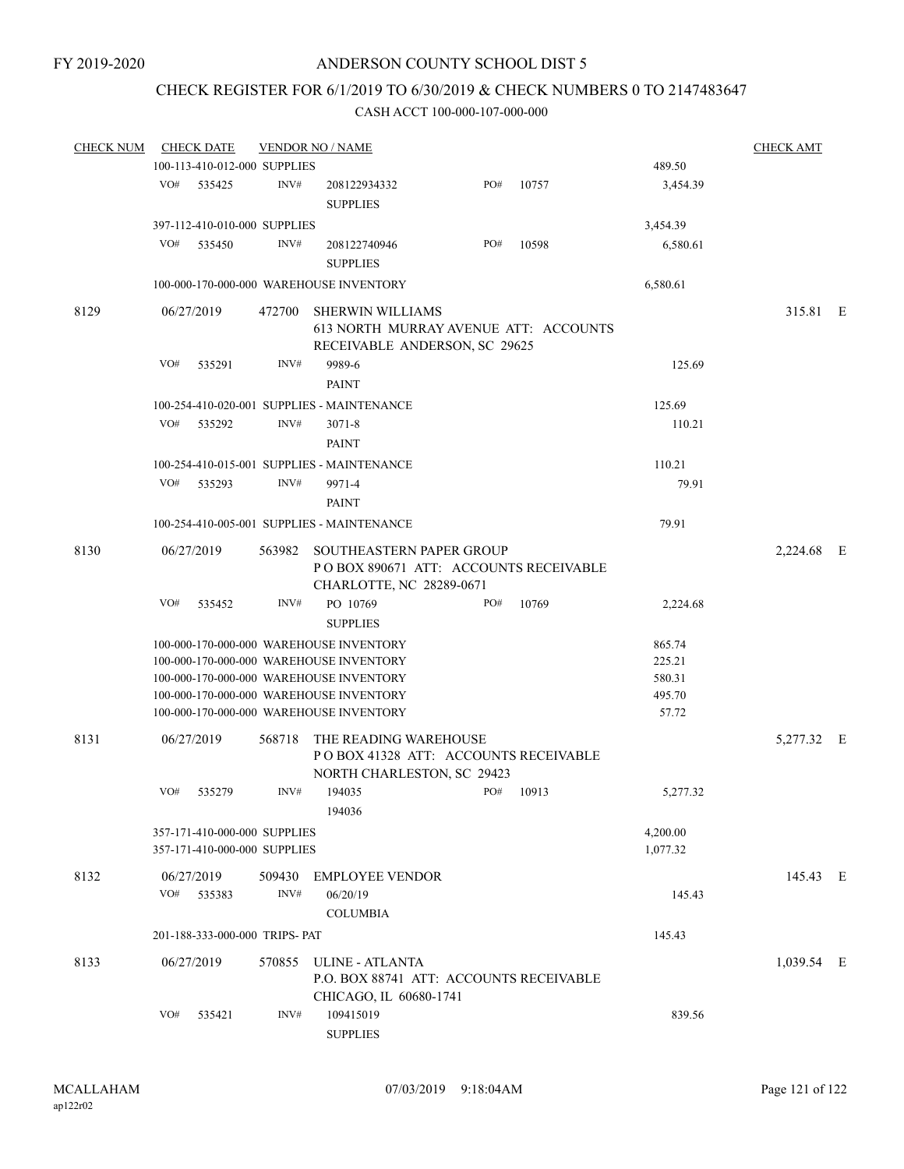## CHECK REGISTER FOR 6/1/2019 TO 6/30/2019 & CHECK NUMBERS 0 TO 2147483647

| <b>CHECK NUM</b> | <b>CHECK DATE</b>                                            |                | <b>VENDOR NO / NAME</b>                                                                                                                                                                                             |     |       |                                               | <b>CHECK AMT</b> |  |
|------------------|--------------------------------------------------------------|----------------|---------------------------------------------------------------------------------------------------------------------------------------------------------------------------------------------------------------------|-----|-------|-----------------------------------------------|------------------|--|
|                  | 100-113-410-012-000 SUPPLIES                                 |                |                                                                                                                                                                                                                     |     |       | 489.50                                        |                  |  |
|                  | VO#<br>535425                                                | INV#           | 208122934332<br><b>SUPPLIES</b>                                                                                                                                                                                     | PO# | 10757 | 3,454.39                                      |                  |  |
|                  | 397-112-410-010-000 SUPPLIES                                 |                | 3,454.39                                                                                                                                                                                                            |     |       |                                               |                  |  |
|                  | VO#<br>535450                                                | INV#           | 208122740946<br><b>SUPPLIES</b>                                                                                                                                                                                     | PO# | 10598 | 6,580.61                                      |                  |  |
|                  |                                                              |                | 100-000-170-000-000 WAREHOUSE INVENTORY                                                                                                                                                                             |     |       | 6,580.61                                      |                  |  |
| 8129             | 06/27/2019                                                   | 472700         | <b>SHERWIN WILLIAMS</b><br>613 NORTH MURRAY AVENUE ATT: ACCOUNTS<br>RECEIVABLE ANDERSON, SC 29625                                                                                                                   |     |       |                                               | 315.81 E         |  |
|                  | VO#<br>535291                                                | INV#           | 9989-6<br><b>PAINT</b>                                                                                                                                                                                              |     |       | 125.69                                        |                  |  |
|                  |                                                              |                | 100-254-410-020-001 SUPPLIES - MAINTENANCE                                                                                                                                                                          |     |       | 125.69                                        |                  |  |
|                  | VO#<br>535292                                                | INV#           | $3071 - 8$<br><b>PAINT</b>                                                                                                                                                                                          |     |       | 110.21                                        |                  |  |
|                  |                                                              |                | 100-254-410-015-001 SUPPLIES - MAINTENANCE                                                                                                                                                                          |     |       | 110.21                                        |                  |  |
|                  | VO#<br>535293                                                | INV#           | 9971-4<br><b>PAINT</b>                                                                                                                                                                                              |     |       | 79.91                                         |                  |  |
|                  |                                                              |                | 100-254-410-005-001 SUPPLIES - MAINTENANCE                                                                                                                                                                          |     |       | 79.91                                         |                  |  |
| 8130             | 06/27/2019                                                   | 563982         | SOUTHEASTERN PAPER GROUP<br>POBOX 890671 ATT: ACCOUNTS RECEIVABLE<br>CHARLOTTE, NC 28289-0671                                                                                                                       |     |       |                                               | 2,224.68 E       |  |
|                  | VO#<br>535452                                                | INV#           | PO 10769<br><b>SUPPLIES</b>                                                                                                                                                                                         | PO# | 10769 | 2,224.68                                      |                  |  |
|                  |                                                              |                | 100-000-170-000-000 WAREHOUSE INVENTORY<br>100-000-170-000-000 WAREHOUSE INVENTORY<br>100-000-170-000-000 WAREHOUSE INVENTORY<br>100-000-170-000-000 WAREHOUSE INVENTORY<br>100-000-170-000-000 WAREHOUSE INVENTORY |     |       | 865.74<br>225.21<br>580.31<br>495.70<br>57.72 |                  |  |
| 8131             | 06/27/2019                                                   | 568718         | THE READING WAREHOUSE<br>PO BOX 41328 ATT: ACCOUNTS RECEIVABLE<br>NORTH CHARLESTON, SC 29423                                                                                                                        |     |       |                                               | 5,277.32 E       |  |
|                  | VO#<br>535279                                                | INV#           | 194035<br>194036                                                                                                                                                                                                    | PO# | 10913 | 5,277.32                                      |                  |  |
|                  | 357-171-410-000-000 SUPPLIES<br>357-171-410-000-000 SUPPLIES |                | 4,200.00<br>1,077.32                                                                                                                                                                                                |     |       |                                               |                  |  |
| 8132             | 06/27/2019<br>VO#<br>535383                                  | 509430<br>INV# | <b>EMPLOYEE VENDOR</b><br>06/20/19<br><b>COLUMBIA</b>                                                                                                                                                               |     |       | 145.43                                        | 145.43 E         |  |
|                  | 201-188-333-000-000 TRIPS- PAT                               |                |                                                                                                                                                                                                                     |     |       | 145.43                                        |                  |  |
| 8133             | 06/27/2019                                                   | 570855         | ULINE - ATLANTA<br>P.O. BOX 88741 ATT: ACCOUNTS RECEIVABLE<br>CHICAGO, IL 60680-1741                                                                                                                                |     |       |                                               | 1,039.54 E       |  |
|                  | VO#<br>535421                                                | INV#           | 109415019<br><b>SUPPLIES</b>                                                                                                                                                                                        |     |       | 839.56                                        |                  |  |